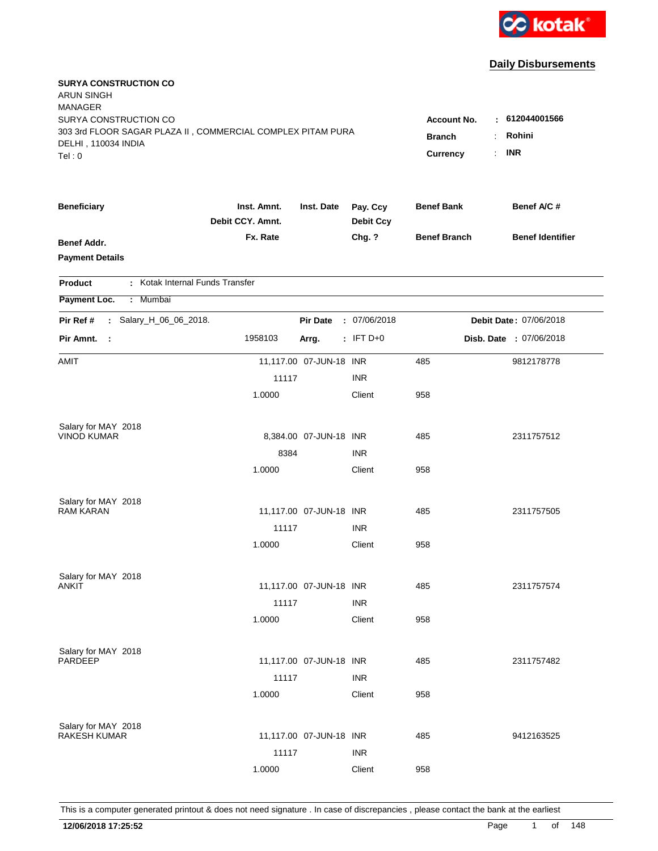

| <b>SURYA CONSTRUCTION CO</b><br><b>ARUN SINGH</b><br><b>MANAGER</b><br>SURYA CONSTRUCTION CO<br>303 3rd FLOOR SAGAR PLAZA II, COMMERCIAL COMPLEX PITAM PURA<br>DELHI, 110034 INDIA<br>Tel:0 | Account No.<br><b>Branch</b><br>Currency | $\mathcal{L}_{\mathcal{A}}$ | : 612044001566<br>Rohini<br><b>INR</b> |                     |  |                         |
|---------------------------------------------------------------------------------------------------------------------------------------------------------------------------------------------|------------------------------------------|-----------------------------|----------------------------------------|---------------------|--|-------------------------|
| <b>Beneficiary</b>                                                                                                                                                                          | Inst. Amnt.<br>Debit CCY. Amnt.          | Inst. Date                  | Pay. Ccy<br><b>Debit Ccy</b>           | <b>Benef Bank</b>   |  | Benef A/C#              |
| Benef Addr.<br><b>Payment Details</b>                                                                                                                                                       | Fx. Rate                                 |                             | Chg. ?                                 | <b>Benef Branch</b> |  | <b>Benef Identifier</b> |
| : Kotak Internal Funds Transfer<br><b>Product</b>                                                                                                                                           |                                          |                             |                                        |                     |  |                         |
| Payment Loc.<br>: Mumbai                                                                                                                                                                    |                                          |                             |                                        |                     |  |                         |
| Salary_H_06_06_2018.<br>Pir Ref #<br>$\mathcal{L}$                                                                                                                                          |                                          | <b>Pir Date</b>             | : 07/06/2018                           |                     |  | Debit Date: 07/06/2018  |
| Pir Amnt. :                                                                                                                                                                                 | 1958103                                  | Arrg.                       | $:$ IFT D+0                            |                     |  | Disb. Date : 07/06/2018 |
| AMIT                                                                                                                                                                                        |                                          | 11,117.00 07-JUN-18 INR     |                                        | 485                 |  | 9812178778              |
|                                                                                                                                                                                             | 11117                                    |                             | <b>INR</b>                             |                     |  |                         |
|                                                                                                                                                                                             | 1.0000                                   |                             | Client                                 | 958                 |  |                         |
| Salary for MAY 2018                                                                                                                                                                         |                                          |                             |                                        |                     |  |                         |
| <b>VINOD KUMAR</b>                                                                                                                                                                          |                                          | 8,384.00 07-JUN-18 INR      |                                        | 485                 |  | 2311757512              |
|                                                                                                                                                                                             | 8384                                     |                             | <b>INR</b>                             |                     |  |                         |
|                                                                                                                                                                                             | 1.0000                                   |                             | Client                                 | 958                 |  |                         |
| Salary for MAY 2018                                                                                                                                                                         |                                          |                             |                                        |                     |  |                         |
| <b>RAM KARAN</b>                                                                                                                                                                            |                                          | 11,117.00 07-JUN-18 INR     |                                        | 485                 |  | 2311757505              |
|                                                                                                                                                                                             | 11117                                    |                             | <b>INR</b>                             |                     |  |                         |
|                                                                                                                                                                                             | 1.0000                                   |                             | Client                                 | 958                 |  |                         |
| Salary for MAY 2018                                                                                                                                                                         |                                          |                             |                                        |                     |  |                         |
| ANKIT                                                                                                                                                                                       |                                          | 11,117.00 07-JUN-18 INR     |                                        | 485                 |  | 2311757574              |
|                                                                                                                                                                                             | 11117                                    |                             | <b>INR</b>                             |                     |  |                         |
|                                                                                                                                                                                             | 1.0000                                   |                             | Client                                 | 958                 |  |                         |
| Salary for MAY 2018                                                                                                                                                                         |                                          |                             |                                        |                     |  |                         |
| PARDEEP                                                                                                                                                                                     |                                          | 11,117.00 07-JUN-18 INR     |                                        | 485                 |  | 2311757482              |
|                                                                                                                                                                                             | 11117                                    |                             | <b>INR</b>                             |                     |  |                         |
|                                                                                                                                                                                             | 1.0000                                   |                             | Client                                 | 958                 |  |                         |
| Salary for MAY 2018                                                                                                                                                                         |                                          |                             |                                        |                     |  |                         |
| <b>RAKESH KUMAR</b>                                                                                                                                                                         |                                          | 11,117.00  07-JUN-18  INR   |                                        | 485                 |  | 9412163525              |
|                                                                                                                                                                                             | 11117                                    |                             | <b>INR</b>                             |                     |  |                         |
|                                                                                                                                                                                             | 1.0000                                   |                             | Client                                 | 958                 |  |                         |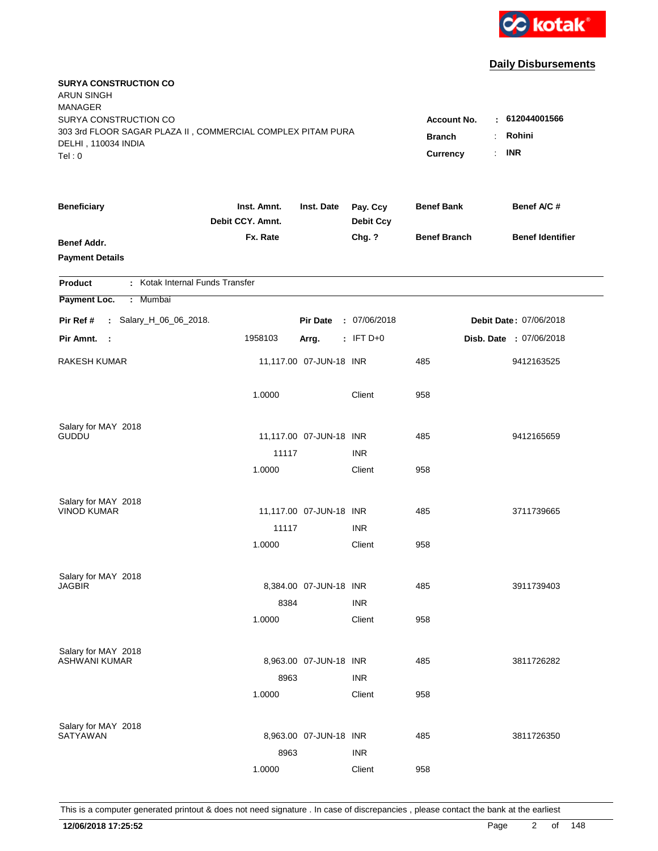

| <b>SURYA CONSTRUCTION CO</b><br>ARUN SINGH<br><b>MANAGER</b><br>SURYA CONSTRUCTION CO        |                                 |                                 |                              | <b>Account No.</b>  | : 612044001566          |
|----------------------------------------------------------------------------------------------|---------------------------------|---------------------------------|------------------------------|---------------------|-------------------------|
| 303 3rd FLOOR SAGAR PLAZA II, COMMERCIAL COMPLEX PITAM PURA<br>DELHI, 110034 INDIA<br>Tel: 0 | <b>Branch</b><br>Currency       | Rohini<br>÷<br><b>INR</b><br>÷. |                              |                     |                         |
| <b>Beneficiary</b>                                                                           | Inst. Amnt.<br>Debit CCY. Amnt. | Inst. Date                      | Pay. Ccy<br><b>Debit Ccy</b> | <b>Benef Bank</b>   | Benef A/C #             |
| <b>Benef Addr.</b><br><b>Payment Details</b>                                                 | Fx. Rate                        |                                 | Chg. ?                       | <b>Benef Branch</b> | <b>Benef Identifier</b> |
| : Kotak Internal Funds Transfer<br><b>Product</b>                                            |                                 |                                 |                              |                     |                         |
| Payment Loc.<br>: Mumbai                                                                     |                                 |                                 |                              |                     |                         |
| : Salary_H_06_06_2018.<br>Pir Ref #                                                          |                                 | <b>Pir Date</b>                 | : 07/06/2018                 |                     | Debit Date: 07/06/2018  |
| Pir Amnt. :                                                                                  | 1958103                         | Arrg.                           | $:$ IFT D+0                  |                     | Disb. Date : 07/06/2018 |
| RAKESH KUMAR                                                                                 |                                 | 11,117.00 07-JUN-18 INR         |                              | 485                 | 9412163525              |
|                                                                                              | 1.0000                          |                                 | Client                       | 958                 |                         |
| Salary for MAY 2018                                                                          |                                 |                                 |                              |                     |                         |
| <b>GUDDU</b>                                                                                 | 11117                           | 11,117.00 07-JUN-18 INR         | <b>INR</b>                   | 485                 | 9412165659              |
|                                                                                              | 1.0000                          |                                 | Client                       | 958                 |                         |
|                                                                                              |                                 |                                 |                              |                     |                         |
| Salary for MAY 2018                                                                          |                                 |                                 |                              |                     |                         |
| <b>VINOD KUMAR</b>                                                                           |                                 | 11,117.00 07-JUN-18 INR         |                              | 485                 | 3711739665              |
|                                                                                              | 11117                           |                                 | <b>INR</b>                   |                     |                         |
|                                                                                              | 1.0000                          |                                 | Client                       | 958                 |                         |
| Salary for MAY 2018                                                                          |                                 |                                 |                              |                     |                         |
| <b>JAGBIR</b>                                                                                |                                 | 8,384.00 07-JUN-18 INR          |                              | 485                 | 3911739403              |
|                                                                                              | 8384                            |                                 | <b>INR</b>                   |                     |                         |
|                                                                                              | 1.0000                          |                                 | Client                       | 958                 |                         |
| Salary for MAY 2018                                                                          |                                 |                                 |                              |                     |                         |
| ASHWANI KUMAR                                                                                |                                 | 8,963.00 07-JUN-18 INR          |                              | 485                 | 3811726282              |
|                                                                                              | 8963                            |                                 | <b>INR</b>                   |                     |                         |
|                                                                                              | 1.0000                          |                                 | Client                       | 958                 |                         |
|                                                                                              |                                 |                                 |                              |                     |                         |
| Salary for MAY 2018<br>SATYAWAN                                                              |                                 | 8,963.00 07-JUN-18 INR          |                              | 485                 | 3811726350              |
|                                                                                              | 8963                            |                                 | <b>INR</b>                   |                     |                         |
|                                                                                              | 1.0000                          |                                 | Client                       | 958                 |                         |
|                                                                                              |                                 |                                 |                              |                     |                         |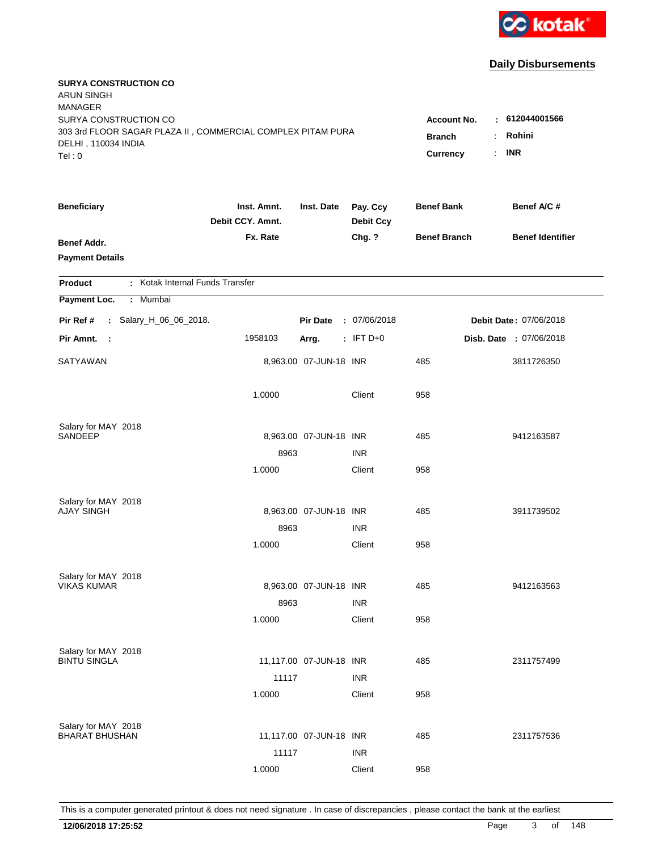

| <b>SURYA CONSTRUCTION CO</b><br><b>ARUN SINGH</b><br><b>MANAGER</b>                |                                 |                         |                              |                     |                         |
|------------------------------------------------------------------------------------|---------------------------------|-------------------------|------------------------------|---------------------|-------------------------|
| SURYA CONSTRUCTION CO                                                              |                                 |                         |                              | <b>Account No.</b>  | : 612044001566          |
| 303 3rd FLOOR SAGAR PLAZA II, COMMERCIAL COMPLEX PITAM PURA<br>DELHI, 110034 INDIA | <b>Branch</b>                   | Rohini<br>÷.            |                              |                     |                         |
| Tel: 0                                                                             |                                 |                         |                              | Currency            | <b>INR</b><br>÷.        |
|                                                                                    |                                 |                         |                              |                     |                         |
| <b>Beneficiary</b>                                                                 | Inst. Amnt.<br>Debit CCY. Amnt. | Inst. Date              | Pay. Ccy<br><b>Debit Ccy</b> | <b>Benef Bank</b>   | Benef A/C #             |
| <b>Benef Addr.</b>                                                                 | Fx. Rate                        |                         | Chg. ?                       | <b>Benef Branch</b> | <b>Benef Identifier</b> |
| <b>Payment Details</b>                                                             |                                 |                         |                              |                     |                         |
| : Kotak Internal Funds Transfer<br><b>Product</b>                                  |                                 |                         |                              |                     |                         |
| Payment Loc.<br>Mumbai<br>÷.                                                       |                                 |                         |                              |                     |                         |
| : Salary_H_06_06_2018.<br>Pir Ref #                                                |                                 | <b>Pir Date</b>         | : 07/06/2018                 |                     | Debit Date: 07/06/2018  |
| Pir Amnt. :                                                                        | 1958103                         | Arrg.                   | $:$ IFT D+0                  |                     | Disb. Date : 07/06/2018 |
| SATYAWAN                                                                           |                                 | 8,963.00 07-JUN-18 INR  |                              | 485                 | 3811726350              |
|                                                                                    | 1.0000                          |                         | Client                       | 958                 |                         |
| Salary for MAY 2018                                                                |                                 |                         |                              |                     |                         |
| SANDEEP                                                                            |                                 | 8,963.00 07-JUN-18 INR  |                              | 485                 | 9412163587              |
|                                                                                    | 8963                            |                         | <b>INR</b>                   |                     |                         |
|                                                                                    | 1.0000                          |                         | Client                       | 958                 |                         |
| Salary for MAY 2018                                                                |                                 |                         |                              |                     |                         |
| <b>AJAY SINGH</b>                                                                  |                                 | 8,963.00 07-JUN-18 INR  |                              | 485                 | 3911739502              |
|                                                                                    | 8963                            |                         | <b>INR</b>                   |                     |                         |
|                                                                                    | 1.0000                          |                         | Client                       | 958                 |                         |
| Salary for MAY 2018                                                                |                                 |                         |                              |                     |                         |
| <b>VIKAS KUMAR</b>                                                                 |                                 | 8,963.00 07-JUN-18 INR  |                              | 485                 | 9412163563              |
|                                                                                    | 8963                            |                         | <b>INR</b>                   |                     |                         |
|                                                                                    | 1.0000                          |                         | Client                       | 958                 |                         |
| Salary for MAY 2018                                                                |                                 |                         |                              |                     |                         |
| <b>BINTU SINGLA</b>                                                                |                                 | 11,117.00 07-JUN-18 INR |                              | 485                 | 2311757499              |
|                                                                                    | 11117                           |                         | <b>INR</b>                   |                     |                         |
|                                                                                    | 1.0000                          |                         | Client                       | 958                 |                         |
| Salary for MAY 2018                                                                |                                 |                         |                              |                     |                         |
| <b>BHARAT BHUSHAN</b>                                                              |                                 | 11,117.00 07-JUN-18 INR |                              | 485                 | 2311757536              |
|                                                                                    | 11117                           |                         | <b>INR</b>                   |                     |                         |
|                                                                                    | 1.0000                          |                         | Client                       | 958                 |                         |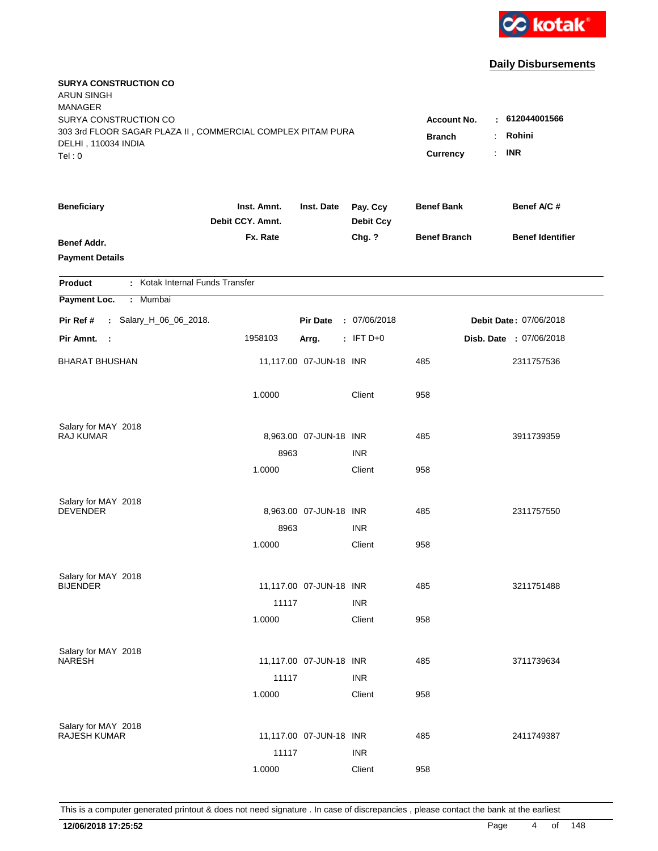

| <b>SURYA CONSTRUCTION CO</b><br><b>ARUN SINGH</b><br><b>MANAGER</b><br>SURYA CONSTRUCTION CO |                                          |                                                    |                              |                     | $\pm 612044001566$      |
|----------------------------------------------------------------------------------------------|------------------------------------------|----------------------------------------------------|------------------------------|---------------------|-------------------------|
| 303 3rd FLOOR SAGAR PLAZA II, COMMERCIAL COMPLEX PITAM PURA<br>DELHI, 110034 INDIA<br>Tel: 0 | Account No.<br><b>Branch</b><br>Currency | Rohini<br>$\ddot{\phantom{a}}$<br><b>INR</b><br>÷. |                              |                     |                         |
| <b>Beneficiary</b>                                                                           | Inst. Amnt.<br>Debit CCY. Amnt.          | Inst. Date                                         | Pay. Ccy<br><b>Debit Ccy</b> | <b>Benef Bank</b>   | Benef A/C #             |
| Benef Addr.<br><b>Payment Details</b>                                                        | Fx. Rate                                 |                                                    | Chg. ?                       | <b>Benef Branch</b> | <b>Benef Identifier</b> |
| : Kotak Internal Funds Transfer<br><b>Product</b>                                            |                                          |                                                    |                              |                     |                         |
| Payment Loc.<br>Mumbai<br>÷.                                                                 |                                          |                                                    |                              |                     |                         |
| Pir Ref #<br>: Salary_H_06_06_2018.                                                          |                                          | <b>Pir Date</b>                                    | : 07/06/2018                 |                     | Debit Date: 07/06/2018  |
| Pir Amnt.<br>$\sim$ 1                                                                        | 1958103                                  | Arrg.                                              | $:$ IFT D+0                  |                     | Disb. Date : 07/06/2018 |
| <b>BHARAT BHUSHAN</b>                                                                        |                                          | 11,117.00 07-JUN-18 INR                            |                              | 485                 | 2311757536              |
|                                                                                              | 1.0000                                   |                                                    | Client                       | 958                 |                         |
| Salary for MAY 2018                                                                          |                                          |                                                    |                              |                     |                         |
| RAJ KUMAR                                                                                    |                                          | 8,963.00 07-JUN-18 INR                             |                              | 485                 | 3911739359              |
|                                                                                              | 8963<br>1.0000                           |                                                    | <b>INR</b><br>Client         | 958                 |                         |
|                                                                                              |                                          |                                                    |                              |                     |                         |
| Salary for MAY 2018                                                                          |                                          |                                                    |                              |                     |                         |
| <b>DEVENDER</b>                                                                              |                                          | 8,963.00 07-JUN-18 INR                             |                              | 485                 | 2311757550              |
|                                                                                              | 8963                                     |                                                    | <b>INR</b>                   |                     |                         |
|                                                                                              | 1.0000                                   |                                                    | Client                       | 958                 |                         |
| Salary for MAY 2018                                                                          |                                          |                                                    |                              |                     |                         |
| <b>BIJENDER</b>                                                                              |                                          | 11,117.00 07-JUN-18 INR                            |                              | 485                 | 3211751488              |
|                                                                                              | 11117                                    |                                                    | <b>INR</b>                   |                     |                         |
|                                                                                              | 1.0000                                   |                                                    | Client                       | 958                 |                         |
| Salary for MAY 2018                                                                          |                                          |                                                    |                              |                     |                         |
| <b>NARESH</b>                                                                                |                                          | 11,117.00 07-JUN-18 INR                            |                              | 485                 | 3711739634              |
|                                                                                              | 11117                                    |                                                    | <b>INR</b>                   |                     |                         |
|                                                                                              | 1.0000                                   |                                                    | Client                       | 958                 |                         |
|                                                                                              |                                          |                                                    |                              |                     |                         |
| Salary for MAY 2018<br><b>RAJESH KUMAR</b>                                                   |                                          | 11,117.00 07-JUN-18 INR                            |                              | 485                 | 2411749387              |
|                                                                                              | 11117                                    |                                                    | <b>INR</b>                   |                     |                         |
|                                                                                              | 1.0000                                   |                                                    | Client                       | 958                 |                         |
|                                                                                              |                                          |                                                    |                              |                     |                         |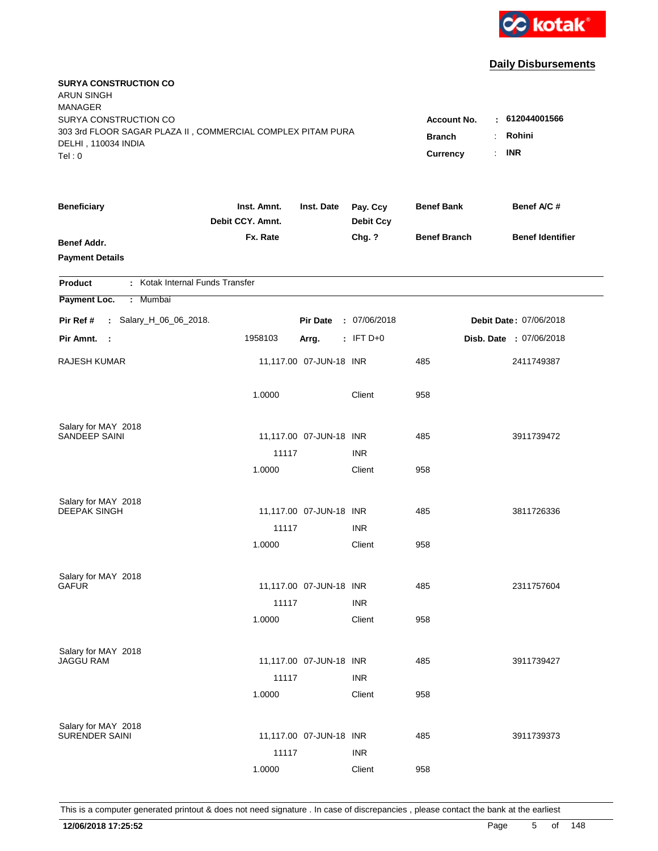

| <b>SURYA CONSTRUCTION CO</b><br><b>ARUN SINGH</b><br><b>MANAGER</b>                                         |                                 |                          |                              |                     |                               |
|-------------------------------------------------------------------------------------------------------------|---------------------------------|--------------------------|------------------------------|---------------------|-------------------------------|
| SURYA CONSTRUCTION CO<br>303 3rd FLOOR SAGAR PLAZA II, COMMERCIAL COMPLEX PITAM PURA<br>DELHI, 110034 INDIA | Account No.<br><b>Branch</b>    | : 612044001566<br>Rohini |                              |                     |                               |
| Tel: 0                                                                                                      |                                 |                          |                              | Currency            | <b>INR</b><br>÷.              |
| <b>Beneficiary</b>                                                                                          | Inst. Amnt.<br>Debit CCY. Amnt. | Inst. Date               | Pay. Ccy<br><b>Debit Ccy</b> | <b>Benef Bank</b>   | Benef A/C #                   |
| <b>Benef Addr.</b><br><b>Payment Details</b>                                                                | Fx. Rate                        |                          | Chg. ?                       | <b>Benef Branch</b> | <b>Benef Identifier</b>       |
| : Kotak Internal Funds Transfer<br><b>Product</b>                                                           |                                 |                          |                              |                     |                               |
| Payment Loc.<br>Mumbai<br>÷.                                                                                |                                 |                          |                              |                     |                               |
| : Salary_H_06_06_2018.<br>Pir Ref #                                                                         |                                 | <b>Pir Date</b>          | : 07/06/2018                 |                     | <b>Debit Date: 07/06/2018</b> |
| Pir Amnt.<br>$\sim$ :                                                                                       | 1958103                         | Arrg.                    | $:$ IFT D+0                  |                     | Disb. Date : 07/06/2018       |
| RAJESH KUMAR                                                                                                |                                 | 11,117.00 07-JUN-18 INR  |                              | 485                 | 2411749387                    |
|                                                                                                             | 1.0000                          |                          | Client                       | 958                 |                               |
| Salary for MAY 2018                                                                                         |                                 |                          |                              |                     |                               |
| SANDEEP SAINI                                                                                               |                                 | 11,117.00 07-JUN-18 INR  |                              | 485                 | 3911739472                    |
|                                                                                                             | 11117                           |                          | <b>INR</b>                   |                     |                               |
|                                                                                                             | 1.0000                          |                          | Client                       | 958                 |                               |
| Salary for MAY 2018                                                                                         |                                 |                          |                              |                     |                               |
| <b>DEEPAK SINGH</b>                                                                                         |                                 | 11,117.00 07-JUN-18 INR  |                              | 485                 | 3811726336                    |
|                                                                                                             | 11117                           |                          | <b>INR</b>                   |                     |                               |
|                                                                                                             | 1.0000                          |                          | Client                       | 958                 |                               |
| Salary for MAY 2018                                                                                         |                                 |                          |                              |                     |                               |
| <b>GAFUR</b>                                                                                                |                                 | 11,117.00 07-JUN-18 INR  |                              | 485                 | 2311757604                    |
|                                                                                                             | 11117                           |                          | <b>INR</b>                   |                     |                               |
|                                                                                                             | 1.0000                          |                          | Client                       | 958                 |                               |
| Salary for MAY 2018                                                                                         |                                 |                          |                              |                     |                               |
| <b>JAGGU RAM</b>                                                                                            |                                 | 11,117.00 07-JUN-18 INR  |                              | 485                 | 3911739427                    |
|                                                                                                             | 11117                           |                          | <b>INR</b>                   |                     |                               |
|                                                                                                             | 1.0000                          |                          | Client                       | 958                 |                               |
| Salary for MAY 2018                                                                                         |                                 |                          |                              |                     |                               |
| <b>SURENDER SAINI</b>                                                                                       |                                 | 11,117.00 07-JUN-18 INR  |                              | 485                 | 3911739373                    |
|                                                                                                             | 11117                           |                          | <b>INR</b>                   |                     |                               |
|                                                                                                             | 1.0000                          |                          | Client                       | 958                 |                               |
|                                                                                                             |                                 |                          |                              |                     |                               |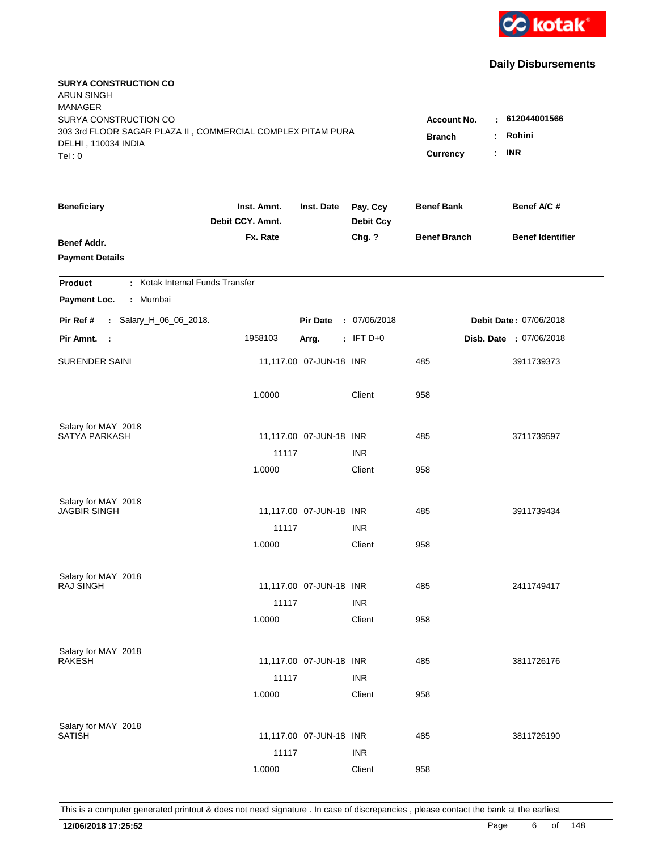

| <b>SURYA CONSTRUCTION CO</b><br><b>ARUN SINGH</b><br><b>MANAGER</b>                                         |                                          |                                              |                              |                     |                               |
|-------------------------------------------------------------------------------------------------------------|------------------------------------------|----------------------------------------------|------------------------------|---------------------|-------------------------------|
| SURYA CONSTRUCTION CO<br>303 3rd FLOOR SAGAR PLAZA II, COMMERCIAL COMPLEX PITAM PURA<br>DELHI, 110034 INDIA | Account No.<br><b>Branch</b><br>Currency | : 612044001566<br>Rohini<br><b>INR</b><br>÷. |                              |                     |                               |
| Tel: 0                                                                                                      |                                          |                                              |                              |                     |                               |
| <b>Beneficiary</b>                                                                                          | Inst. Amnt.<br>Debit CCY. Amnt.          | Inst. Date                                   | Pay. Ccy<br><b>Debit Ccy</b> | <b>Benef Bank</b>   | Benef A/C #                   |
| <b>Benef Addr.</b><br><b>Payment Details</b>                                                                | Fx. Rate                                 |                                              | Chg. ?                       | <b>Benef Branch</b> | <b>Benef Identifier</b>       |
| : Kotak Internal Funds Transfer<br><b>Product</b>                                                           |                                          |                                              |                              |                     |                               |
| Payment Loc.<br>Mumbai<br>÷.                                                                                |                                          |                                              |                              |                     |                               |
| : Salary_H_06_06_2018.<br>Pir Ref #                                                                         |                                          | <b>Pir Date</b>                              | : 07/06/2018                 |                     | <b>Debit Date: 07/06/2018</b> |
| Pir Amnt.<br>- 1                                                                                            | 1958103                                  | Arrg.                                        | $:$ IFT D+0                  |                     | Disb. Date : 07/06/2018       |
| <b>SURENDER SAINI</b>                                                                                       |                                          | 11,117.00 07-JUN-18 INR                      |                              | 485                 | 3911739373                    |
|                                                                                                             | 1.0000                                   |                                              | Client                       | 958                 |                               |
| Salary for MAY 2018                                                                                         |                                          |                                              |                              |                     |                               |
| <b>SATYA PARKASH</b>                                                                                        |                                          | 11,117.00 07-JUN-18 INR                      |                              | 485                 | 3711739597                    |
|                                                                                                             | 11117<br>1.0000                          |                                              | <b>INR</b><br>Client         | 958                 |                               |
|                                                                                                             |                                          |                                              |                              |                     |                               |
| Salary for MAY 2018                                                                                         |                                          |                                              |                              |                     |                               |
| <b>JAGBIR SINGH</b>                                                                                         |                                          | 11,117.00 07-JUN-18 INR                      |                              | 485                 | 3911739434                    |
|                                                                                                             | 11117                                    |                                              | <b>INR</b>                   |                     |                               |
|                                                                                                             | 1.0000                                   |                                              | Client                       | 958                 |                               |
| Salary for MAY 2018                                                                                         |                                          |                                              |                              |                     |                               |
| <b>RAJ SINGH</b>                                                                                            |                                          | 11,117.00 07-JUN-18 INR                      |                              | 485                 | 2411749417                    |
|                                                                                                             | 11117                                    |                                              | <b>INR</b>                   |                     |                               |
|                                                                                                             | 1.0000                                   |                                              | Client                       | 958                 |                               |
| Salary for MAY 2018                                                                                         |                                          |                                              |                              |                     |                               |
| <b>RAKESH</b>                                                                                               |                                          | 11,117.00 07-JUN-18 INR                      |                              | 485                 | 3811726176                    |
|                                                                                                             | 11117                                    |                                              | <b>INR</b>                   |                     |                               |
|                                                                                                             | 1.0000                                   |                                              | Client                       | 958                 |                               |
|                                                                                                             |                                          |                                              |                              |                     |                               |
| Salary for MAY 2018<br><b>SATISH</b>                                                                        |                                          | 11,117.00 07-JUN-18 INR                      |                              | 485                 | 3811726190                    |
|                                                                                                             | 11117                                    |                                              | <b>INR</b>                   |                     |                               |
|                                                                                                             | 1.0000                                   |                                              | Client                       | 958                 |                               |
|                                                                                                             |                                          |                                              |                              |                     |                               |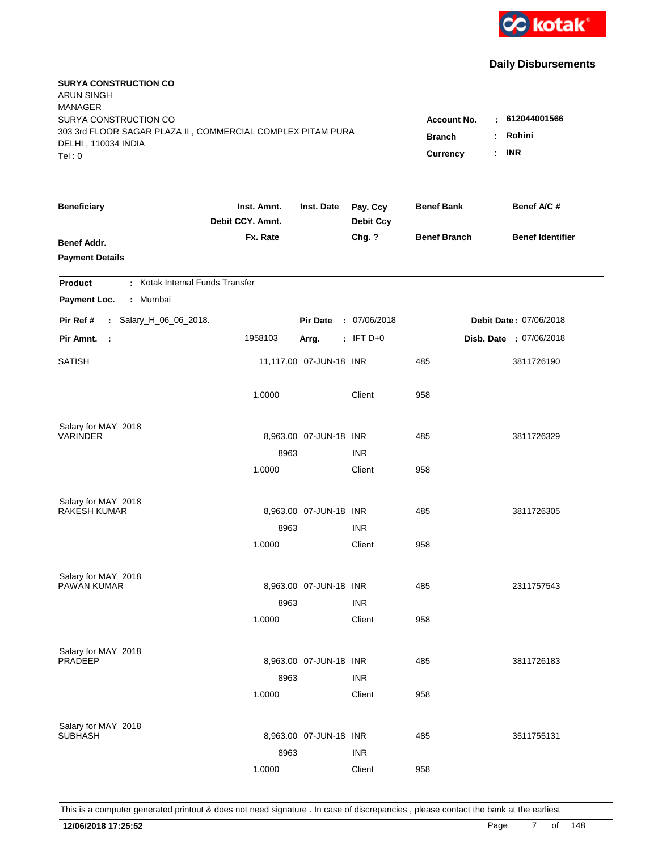

| <b>SURYA CONSTRUCTION CO</b><br><b>ARUN SINGH</b><br><b>MANAGER</b>                  |                                 |                         |                              |                                     |                                 |
|--------------------------------------------------------------------------------------|---------------------------------|-------------------------|------------------------------|-------------------------------------|---------------------------------|
| SURYA CONSTRUCTION CO<br>303 3rd FLOOR SAGAR PLAZA II, COMMERCIAL COMPLEX PITAM PURA |                                 |                         |                              | <b>Account No.</b><br><b>Branch</b> | $-612044001566$<br>Rohini<br>÷. |
| DELHI, 110034 INDIA<br>Tel: 0                                                        |                                 |                         |                              | Currency                            | <b>INR</b><br>÷.                |
| <b>Beneficiary</b>                                                                   | Inst. Amnt.<br>Debit CCY. Amnt. | Inst. Date              | Pay. Ccy<br><b>Debit Ccy</b> | <b>Benef Bank</b>                   | Benef A/C #                     |
| <b>Benef Addr.</b><br><b>Payment Details</b>                                         | Fx. Rate                        |                         | Chg. ?                       | <b>Benef Branch</b>                 | <b>Benef Identifier</b>         |
| : Kotak Internal Funds Transfer<br><b>Product</b>                                    |                                 |                         |                              |                                     |                                 |
| Payment Loc.<br>: Mumbai                                                             |                                 |                         |                              |                                     |                                 |
| Pir Ref #<br>: Salary_H_06_06_2018.                                                  |                                 | <b>Pir Date</b>         | : 07/06/2018                 |                                     | Debit Date: 07/06/2018          |
| Pir Amnt.<br>$\sim$                                                                  | 1958103                         | Arrg.                   | $:$ IFT D+0                  |                                     | Disb. Date : 07/06/2018         |
| <b>SATISH</b>                                                                        |                                 | 11,117.00 07-JUN-18 INR |                              | 485                                 | 3811726190                      |
|                                                                                      | 1.0000                          |                         | Client                       | 958                                 |                                 |
| Salary for MAY 2018                                                                  |                                 |                         |                              |                                     |                                 |
| <b>VARINDER</b>                                                                      |                                 | 8,963.00 07-JUN-18 INR  |                              | 485                                 | 3811726329                      |
|                                                                                      | 8963<br>1.0000                  |                         | <b>INR</b><br>Client         | 958                                 |                                 |
|                                                                                      |                                 |                         |                              |                                     |                                 |
| Salary for MAY 2018                                                                  |                                 |                         |                              |                                     |                                 |
| <b>RAKESH KUMAR</b>                                                                  |                                 | 8,963.00 07-JUN-18 INR  |                              | 485                                 | 3811726305                      |
|                                                                                      | 8963                            |                         | <b>INR</b>                   |                                     |                                 |
|                                                                                      | 1.0000                          |                         | Client                       | 958                                 |                                 |
| Salary for MAY 2018                                                                  |                                 |                         |                              |                                     |                                 |
| PAWAN KUMAR                                                                          |                                 | 8,963.00 07-JUN-18 INR  |                              | 485                                 | 2311757543                      |
|                                                                                      | 8963                            |                         | <b>INR</b>                   |                                     |                                 |
|                                                                                      | 1.0000                          |                         | Client                       | 958                                 |                                 |
| Salary for MAY 2018                                                                  |                                 |                         |                              |                                     |                                 |
| PRADEEP                                                                              |                                 | 8,963.00 07-JUN-18 INR  |                              | 485                                 | 3811726183                      |
|                                                                                      | 8963                            |                         | <b>INR</b>                   |                                     |                                 |
|                                                                                      | 1.0000                          |                         | Client                       | 958                                 |                                 |
|                                                                                      |                                 |                         |                              |                                     |                                 |
| Salary for MAY 2018<br><b>SUBHASH</b>                                                |                                 | 8,963.00 07-JUN-18 INR  |                              | 485                                 | 3511755131                      |
|                                                                                      | 8963                            |                         | <b>INR</b>                   |                                     |                                 |
|                                                                                      | 1.0000                          |                         | Client                       | 958                                 |                                 |
|                                                                                      |                                 |                         |                              |                                     |                                 |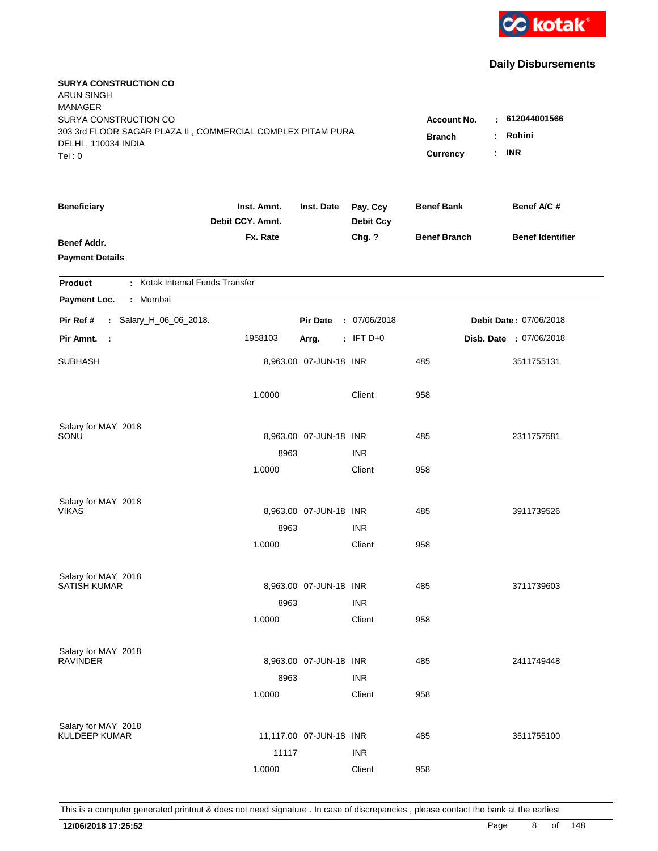

| <b>SURYA CONSTRUCTION CO</b><br><b>ARUN SINGH</b><br><b>MANAGER</b>                  |                                 |                         |                              |                                     |                               |
|--------------------------------------------------------------------------------------|---------------------------------|-------------------------|------------------------------|-------------------------------------|-------------------------------|
| SURYA CONSTRUCTION CO<br>303 3rd FLOOR SAGAR PLAZA II, COMMERCIAL COMPLEX PITAM PURA |                                 |                         |                              | <b>Account No.</b><br><b>Branch</b> | : 612044001566<br>Rohini<br>÷ |
| DELHI, 110034 INDIA<br>Tel: 0                                                        |                                 |                         |                              | Currency                            | <b>INR</b><br>÷.              |
| <b>Beneficiary</b>                                                                   | Inst. Amnt.<br>Debit CCY. Amnt. | Inst. Date              | Pay. Ccy<br><b>Debit Ccy</b> | <b>Benef Bank</b>                   | Benef A/C #                   |
| <b>Benef Addr.</b><br><b>Payment Details</b>                                         | Fx. Rate                        |                         | Chg. ?                       | <b>Benef Branch</b>                 | <b>Benef Identifier</b>       |
| : Kotak Internal Funds Transfer<br><b>Product</b>                                    |                                 |                         |                              |                                     |                               |
| Payment Loc.<br>: Mumbai                                                             |                                 |                         |                              |                                     |                               |
| Pir Ref #<br>: Salary_H_06_06_2018.                                                  |                                 | <b>Pir Date</b>         | : 07/06/2018                 |                                     | Debit Date: 07/06/2018        |
| Pir Amnt.<br>$\mathbb{R}^2$                                                          | 1958103                         | Arrg.                   | $:$ IFT D+0                  |                                     | Disb. Date : 07/06/2018       |
| <b>SUBHASH</b>                                                                       |                                 | 8,963.00 07-JUN-18 INR  |                              | 485                                 | 3511755131                    |
|                                                                                      | 1.0000                          |                         | Client                       | 958                                 |                               |
| Salary for MAY 2018                                                                  |                                 |                         |                              |                                     |                               |
| SONU                                                                                 |                                 | 8,963.00 07-JUN-18 INR  | <b>INR</b>                   | 485                                 | 2311757581                    |
|                                                                                      | 8963<br>1.0000                  |                         | Client                       | 958                                 |                               |
|                                                                                      |                                 |                         |                              |                                     |                               |
| Salary for MAY 2018<br><b>VIKAS</b>                                                  |                                 | 8,963.00 07-JUN-18 INR  |                              | 485                                 | 3911739526                    |
|                                                                                      | 8963                            |                         | <b>INR</b>                   |                                     |                               |
|                                                                                      | 1.0000                          |                         | Client                       | 958                                 |                               |
|                                                                                      |                                 |                         |                              |                                     |                               |
| Salary for MAY 2018                                                                  |                                 |                         |                              |                                     |                               |
| <b>SATISH KUMAR</b>                                                                  |                                 | 8,963.00 07-JUN-18 INR  |                              | 485                                 | 3711739603                    |
|                                                                                      | 8963                            |                         | <b>INR</b>                   |                                     |                               |
|                                                                                      | 1.0000                          |                         | Client                       | 958                                 |                               |
| Salary for MAY 2018                                                                  |                                 |                         |                              |                                     |                               |
| <b>RAVINDER</b>                                                                      |                                 | 8,963.00 07-JUN-18 INR  |                              | 485                                 | 2411749448                    |
|                                                                                      | 8963                            |                         | <b>INR</b>                   |                                     |                               |
|                                                                                      | 1.0000                          |                         | Client                       | 958                                 |                               |
|                                                                                      |                                 |                         |                              |                                     |                               |
| Salary for MAY 2018<br><b>KULDEEP KUMAR</b>                                          |                                 | 11,117.00 07-JUN-18 INR |                              | 485                                 | 3511755100                    |
|                                                                                      | 11117                           |                         | <b>INR</b>                   |                                     |                               |
|                                                                                      | 1.0000                          |                         | Client                       | 958                                 |                               |
|                                                                                      |                                 |                         |                              |                                     |                               |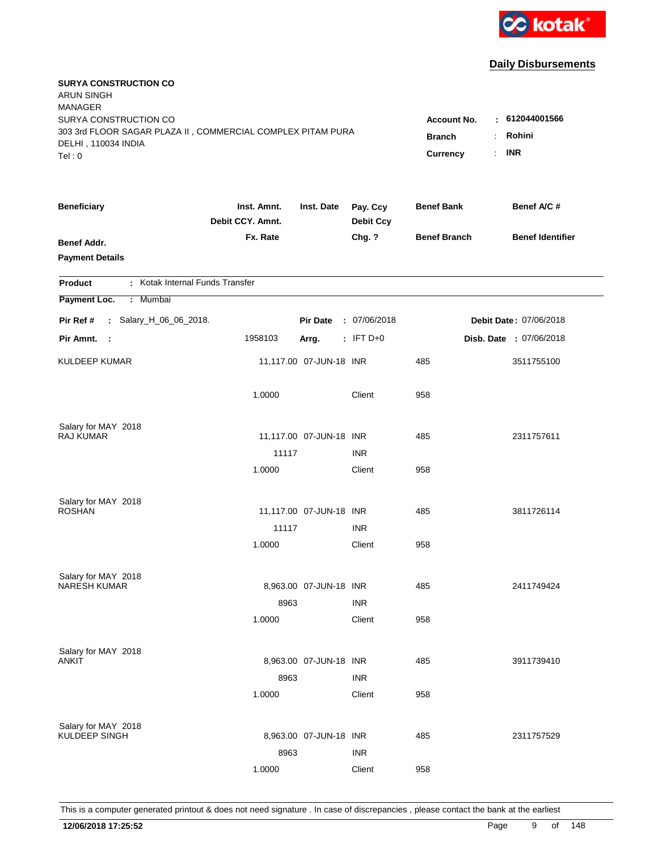

| <b>SURYA CONSTRUCTION CO</b><br><b>ARUN SINGH</b><br><b>MANAGER</b>                |                                 |                         |                              |                     |                               |
|------------------------------------------------------------------------------------|---------------------------------|-------------------------|------------------------------|---------------------|-------------------------------|
| SURYA CONSTRUCTION CO                                                              |                                 |                         |                              | Account No.         | $\pm 612044001566$            |
| 303 3rd FLOOR SAGAR PLAZA II, COMMERCIAL COMPLEX PITAM PURA<br>DELHI, 110034 INDIA | <b>Branch</b>                   | Rohini                  |                              |                     |                               |
| Tel: 0                                                                             |                                 |                         |                              | Currency            | <b>INR</b><br>÷.              |
| <b>Beneficiary</b>                                                                 | Inst. Amnt.<br>Debit CCY. Amnt. | Inst. Date              | Pay. Ccy<br><b>Debit Ccy</b> | <b>Benef Bank</b>   | Benef A/C #                   |
| <b>Benef Addr.</b>                                                                 | Fx. Rate                        |                         | Chg. ?                       | <b>Benef Branch</b> | <b>Benef Identifier</b>       |
| <b>Payment Details</b>                                                             |                                 |                         |                              |                     |                               |
| : Kotak Internal Funds Transfer<br><b>Product</b>                                  |                                 |                         |                              |                     |                               |
| Payment Loc.<br>Mumbai<br>÷.                                                       |                                 |                         |                              |                     |                               |
| : Salary_H_06_06_2018.<br>Pir Ref #                                                |                                 | <b>Pir Date</b>         | : 07/06/2018                 |                     | <b>Debit Date: 07/06/2018</b> |
| Pir Amnt.<br>$\sim$                                                                | 1958103                         | Arrg.                   | $:$ IFT D+0                  |                     | Disb. Date : 07/06/2018       |
| <b>KULDEEP KUMAR</b>                                                               |                                 | 11,117.00 07-JUN-18 INR |                              | 485                 | 3511755100                    |
|                                                                                    | 1.0000                          |                         | Client                       | 958                 |                               |
| Salary for MAY 2018                                                                |                                 |                         |                              |                     |                               |
| <b>RAJ KUMAR</b>                                                                   |                                 | 11,117.00 07-JUN-18 INR |                              | 485                 | 2311757611                    |
|                                                                                    | 11117                           |                         | <b>INR</b>                   |                     |                               |
|                                                                                    | 1.0000                          |                         | Client                       | 958                 |                               |
| Salary for MAY 2018                                                                |                                 |                         |                              |                     |                               |
| <b>ROSHAN</b>                                                                      |                                 | 11,117.00 07-JUN-18 INR |                              | 485                 | 3811726114                    |
|                                                                                    | 11117                           |                         | <b>INR</b>                   |                     |                               |
|                                                                                    | 1.0000                          |                         | Client                       | 958                 |                               |
| Salary for MAY 2018                                                                |                                 |                         |                              |                     |                               |
| <b>NARESH KUMAR</b>                                                                |                                 | 8,963.00 07-JUN-18 INR  |                              | 485                 | 2411749424                    |
|                                                                                    | 8963                            |                         | <b>INR</b>                   |                     |                               |
|                                                                                    | 1.0000                          |                         | Client                       | 958                 |                               |
| Salary for MAY 2018                                                                |                                 |                         |                              |                     |                               |
| ANKIT                                                                              |                                 | 8,963.00 07-JUN-18 INR  |                              | 485                 | 3911739410                    |
|                                                                                    | 8963                            |                         | <b>INR</b>                   |                     |                               |
|                                                                                    | 1.0000                          |                         | Client                       | 958                 |                               |
| Salary for MAY 2018                                                                |                                 |                         |                              |                     |                               |
| KULDEEP SINGH                                                                      |                                 | 8,963.00 07-JUN-18 INR  |                              | 485                 | 2311757529                    |
|                                                                                    | 8963                            |                         | <b>INR</b>                   |                     |                               |
|                                                                                    | 1.0000                          |                         | Client                       | 958                 |                               |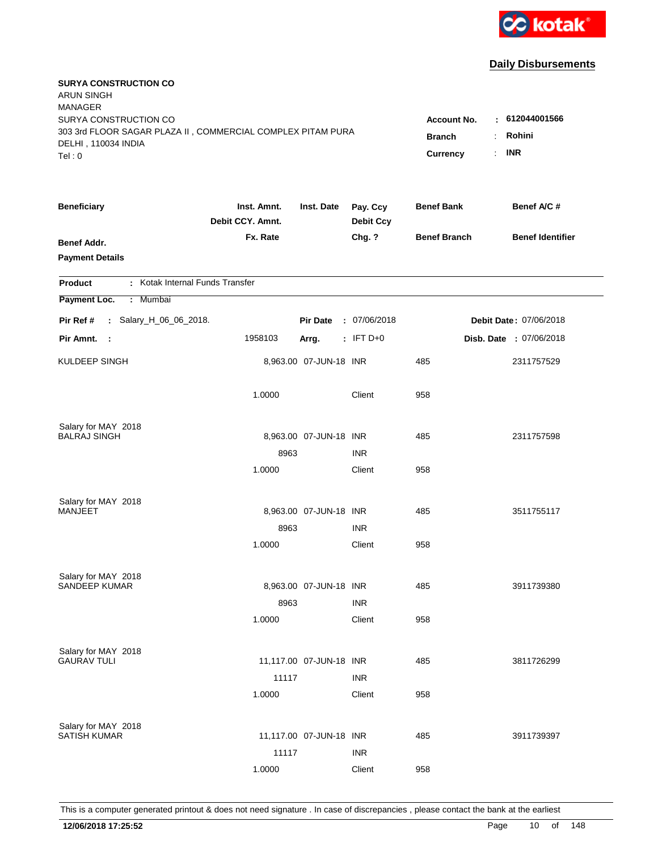

| <b>SURYA CONSTRUCTION CO</b><br><b>ARUN SINGH</b><br><b>MANAGER</b>                |                                 |                         |                              |                     |                               |
|------------------------------------------------------------------------------------|---------------------------------|-------------------------|------------------------------|---------------------|-------------------------------|
| SURYA CONSTRUCTION CO                                                              |                                 |                         |                              | Account No.         | $-612044001566$               |
| 303 3rd FLOOR SAGAR PLAZA II, COMMERCIAL COMPLEX PITAM PURA<br>DELHI, 110034 INDIA | <b>Branch</b>                   | Rohini                  |                              |                     |                               |
| Tel: 0                                                                             |                                 |                         |                              | Currency            | <b>INR</b><br>÷.              |
|                                                                                    |                                 |                         |                              |                     |                               |
| <b>Beneficiary</b>                                                                 | Inst. Amnt.<br>Debit CCY. Amnt. | Inst. Date              | Pay. Ccy<br><b>Debit Ccy</b> | <b>Benef Bank</b>   | Benef A/C #                   |
| <b>Benef Addr.</b>                                                                 | Fx. Rate                        |                         | Chg. ?                       | <b>Benef Branch</b> | <b>Benef Identifier</b>       |
| <b>Payment Details</b>                                                             |                                 |                         |                              |                     |                               |
| : Kotak Internal Funds Transfer<br>Product                                         |                                 |                         |                              |                     |                               |
| Payment Loc.<br>Mumbai<br>÷.                                                       |                                 |                         |                              |                     |                               |
| : Salary_H_06_06_2018.<br>Pir Ref #                                                |                                 | <b>Pir Date</b>         | : 07/06/2018                 |                     | <b>Debit Date: 07/06/2018</b> |
| Pir Amnt.<br>$\sim$                                                                | 1958103                         | Arrg.                   | $:$ IFT D+0                  |                     | Disb. Date : 07/06/2018       |
| KULDEEP SINGH                                                                      |                                 | 8,963.00 07-JUN-18 INR  |                              | 485                 | 2311757529                    |
|                                                                                    | 1.0000                          |                         | Client                       | 958                 |                               |
| Salary for MAY 2018                                                                |                                 |                         |                              |                     |                               |
| <b>BALRAJ SINGH</b>                                                                |                                 | 8,963.00 07-JUN-18 INR  |                              | 485                 | 2311757598                    |
|                                                                                    | 8963                            |                         | <b>INR</b>                   |                     |                               |
|                                                                                    | 1.0000                          |                         | Client                       | 958                 |                               |
| Salary for MAY 2018                                                                |                                 |                         |                              |                     |                               |
| MANJEET                                                                            |                                 | 8,963.00 07-JUN-18 INR  |                              | 485                 | 3511755117                    |
|                                                                                    | 8963                            |                         | <b>INR</b>                   |                     |                               |
|                                                                                    | 1.0000                          |                         | Client                       | 958                 |                               |
| Salary for MAY 2018                                                                |                                 |                         |                              |                     |                               |
| SANDEEP KUMAR                                                                      |                                 | 8,963.00 07-JUN-18 INR  |                              | 485                 | 3911739380                    |
|                                                                                    | 8963                            |                         | <b>INR</b>                   |                     |                               |
|                                                                                    | 1.0000                          |                         | Client                       | 958                 |                               |
|                                                                                    |                                 |                         |                              |                     |                               |
| Salary for MAY 2018<br><b>GAURAV TULI</b>                                          |                                 | 11,117.00 07-JUN-18 INR |                              | 485                 | 3811726299                    |
|                                                                                    | 11117                           |                         | <b>INR</b>                   |                     |                               |
|                                                                                    | 1.0000                          |                         | Client                       | 958                 |                               |
|                                                                                    |                                 |                         |                              |                     |                               |
| Salary for MAY 2018<br><b>SATISH KUMAR</b>                                         |                                 | 11,117.00 07-JUN-18 INR |                              | 485                 | 3911739397                    |
|                                                                                    | 11117                           |                         | <b>INR</b>                   |                     |                               |
|                                                                                    | 1.0000                          |                         | Client                       | 958                 |                               |
|                                                                                    |                                 |                         |                              |                     |                               |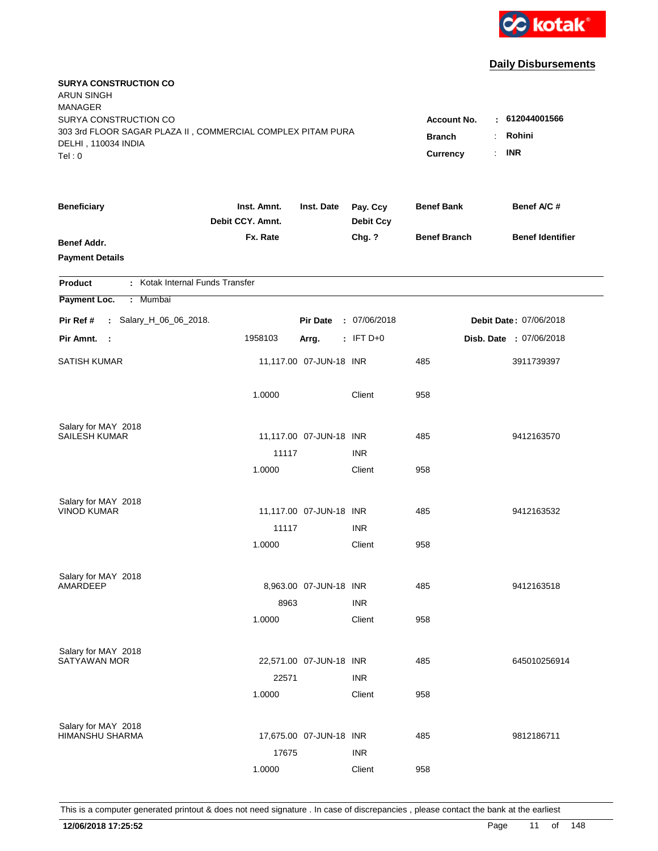

| <b>SURYA CONSTRUCTION CO</b><br><b>ARUN SINGH</b><br><b>MANAGER</b><br>SURYA CONSTRUCTION CO |                                 |                         |                              | <b>Account No.</b><br>٠         | 612044001566            |
|----------------------------------------------------------------------------------------------|---------------------------------|-------------------------|------------------------------|---------------------------------|-------------------------|
| 303 3rd FLOOR SAGAR PLAZA II, COMMERCIAL COMPLEX PITAM PURA<br>DELHI, 110034 INDIA<br>Tel: 0 |                                 |                         |                              | <b>Branch</b><br>Currency<br>÷. | Rohini<br><b>INR</b>    |
| <b>Beneficiary</b>                                                                           | Inst. Amnt.<br>Debit CCY. Amnt. | Inst. Date              | Pay. Ccy<br><b>Debit Ccy</b> | <b>Benef Bank</b>               | Benef A/C #             |
| <b>Benef Addr.</b><br><b>Payment Details</b>                                                 | Fx. Rate                        |                         | Chg. ?                       | <b>Benef Branch</b>             | <b>Benef Identifier</b> |
| : Kotak Internal Funds Transfer<br>Product                                                   |                                 |                         |                              |                                 |                         |
| Payment Loc.<br>: Mumbai                                                                     |                                 |                         |                              |                                 |                         |
| : Salary_H_06_06_2018.<br>Pir Ref #                                                          |                                 | <b>Pir Date</b>         | : 07/06/2018                 |                                 | Debit Date: 07/06/2018  |
| Pir Amnt. :                                                                                  | 1958103                         | Arrg.                   | $:$ IFT D+0                  |                                 | Disb. Date : 07/06/2018 |
| <b>SATISH KUMAR</b>                                                                          |                                 | 11,117.00 07-JUN-18 INR |                              | 485                             | 3911739397              |
|                                                                                              | 1.0000                          |                         | Client                       | 958                             |                         |
| Salary for MAY 2018<br><b>SAILESH KUMAR</b>                                                  |                                 | 11,117.00 07-JUN-18 INR |                              | 485                             | 9412163570              |
|                                                                                              | 11117                           |                         | <b>INR</b>                   |                                 |                         |
|                                                                                              | 1.0000                          |                         | Client                       | 958                             |                         |
|                                                                                              |                                 |                         |                              |                                 |                         |
| Salary for MAY 2018<br><b>VINOD KUMAR</b>                                                    |                                 | 11,117.00 07-JUN-18 INR |                              | 485                             | 9412163532              |
|                                                                                              | 11117                           |                         | <b>INR</b>                   |                                 |                         |
|                                                                                              | 1.0000                          |                         | Client                       | 958                             |                         |
|                                                                                              |                                 |                         |                              |                                 |                         |
| Salary for MAY 2018                                                                          |                                 |                         |                              |                                 |                         |
| AMARDEEP                                                                                     |                                 | 8,963.00 07-JUN-18 INR  |                              | 485                             | 9412163518              |
|                                                                                              | 8963<br>1.0000                  |                         | <b>INR</b><br>Client         | 958                             |                         |
|                                                                                              |                                 |                         |                              |                                 |                         |
| Salary for MAY 2018                                                                          |                                 |                         |                              |                                 |                         |
| <b>SATYAWAN MOR</b>                                                                          |                                 | 22,571.00 07-JUN-18 INR |                              | 485                             | 645010256914            |
|                                                                                              | 22571<br>1.0000                 |                         | <b>INR</b><br>Client         | 958                             |                         |
|                                                                                              |                                 |                         |                              |                                 |                         |
| Salary for MAY 2018                                                                          |                                 |                         |                              |                                 |                         |
| HIMANSHU SHARMA                                                                              |                                 | 17,675.00 07-JUN-18 INR |                              | 485                             | 9812186711              |
|                                                                                              | 17675                           |                         | <b>INR</b>                   |                                 |                         |
|                                                                                              | 1.0000                          |                         | Client                       | 958                             |                         |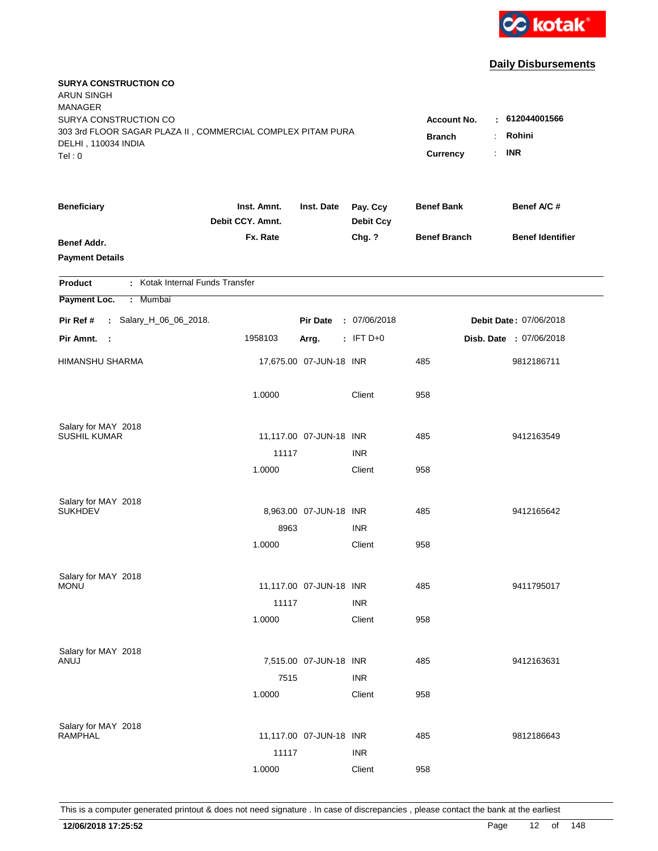

| <b>SURYA CONSTRUCTION CO</b><br><b>ARUN SINGH</b><br><b>MANAGER</b><br>SURYA CONSTRUCTION CO<br>303 3rd FLOOR SAGAR PLAZA II, COMMERCIAL COMPLEX PITAM PURA<br>DELHI, 110034 INDIA<br>Tel: 0 | <b>Account No.</b><br><b>Branch</b><br>Currency | : 612044001566<br>Rohini<br>$\ddot{\phantom{a}}$<br><b>INR</b><br>÷. |                              |                     |                         |
|----------------------------------------------------------------------------------------------------------------------------------------------------------------------------------------------|-------------------------------------------------|----------------------------------------------------------------------|------------------------------|---------------------|-------------------------|
| <b>Beneficiary</b>                                                                                                                                                                           | Inst. Amnt.<br>Debit CCY. Amnt.                 | Inst. Date                                                           | Pay. Ccy<br><b>Debit Ccy</b> | <b>Benef Bank</b>   | Benef A/C #             |
| Benef Addr.<br><b>Payment Details</b>                                                                                                                                                        | Fx. Rate                                        |                                                                      | Chg. ?                       | <b>Benef Branch</b> | <b>Benef Identifier</b> |
| : Kotak Internal Funds Transfer<br>Product                                                                                                                                                   |                                                 |                                                                      |                              |                     |                         |
| Payment Loc.<br>Mumbai<br>÷.                                                                                                                                                                 |                                                 |                                                                      |                              |                     |                         |
| : Salary_H_06_06_2018.<br>Pir Ref #                                                                                                                                                          |                                                 | <b>Pir Date</b>                                                      | : 07/06/2018                 |                     | Debit Date: 07/06/2018  |
| Pir Amnt.<br>- 1                                                                                                                                                                             | 1958103                                         | Arrg.                                                                | $:$ IFT D+0                  |                     | Disb. Date : 07/06/2018 |
| <b>HIMANSHU SHARMA</b>                                                                                                                                                                       |                                                 | 17,675.00 07-JUN-18 INR                                              |                              | 485                 | 9812186711              |
|                                                                                                                                                                                              | 1.0000                                          |                                                                      | Client                       | 958                 |                         |
| Salary for MAY 2018                                                                                                                                                                          |                                                 |                                                                      |                              |                     |                         |
| <b>SUSHIL KUMAR</b>                                                                                                                                                                          |                                                 | 11,117.00 07-JUN-18 INR                                              |                              | 485                 | 9412163549              |
|                                                                                                                                                                                              | 11117<br>1.0000                                 |                                                                      | <b>INR</b><br>Client         | 958                 |                         |
|                                                                                                                                                                                              |                                                 |                                                                      |                              |                     |                         |
| Salary for MAY 2018                                                                                                                                                                          |                                                 |                                                                      |                              |                     |                         |
| <b>SUKHDEV</b>                                                                                                                                                                               |                                                 | 8,963.00 07-JUN-18 INR                                               |                              | 485                 | 9412165642              |
|                                                                                                                                                                                              | 8963                                            |                                                                      | <b>INR</b>                   |                     |                         |
|                                                                                                                                                                                              | 1.0000                                          |                                                                      | Client                       | 958                 |                         |
| Salary for MAY 2018                                                                                                                                                                          |                                                 |                                                                      |                              |                     |                         |
| <b>MONU</b>                                                                                                                                                                                  |                                                 | 11,117.00 07-JUN-18 INR                                              |                              | 485                 | 9411795017              |
|                                                                                                                                                                                              | 11117                                           |                                                                      | <b>INR</b>                   |                     |                         |
|                                                                                                                                                                                              | 1.0000                                          |                                                                      | Client                       | 958                 |                         |
| Salary for MAY 2018                                                                                                                                                                          |                                                 |                                                                      |                              |                     |                         |
| ANUJ                                                                                                                                                                                         |                                                 | 7,515.00 07-JUN-18 INR                                               |                              | 485                 | 9412163631              |
|                                                                                                                                                                                              | 7515                                            |                                                                      | <b>INR</b>                   |                     |                         |
|                                                                                                                                                                                              | 1.0000                                          |                                                                      | Client                       | 958                 |                         |
|                                                                                                                                                                                              |                                                 |                                                                      |                              |                     |                         |
| Salary for MAY 2018<br><b>RAMPHAL</b>                                                                                                                                                        |                                                 | 11,117.00 07-JUN-18 INR                                              |                              | 485                 | 9812186643              |
|                                                                                                                                                                                              | 11117                                           |                                                                      | <b>INR</b>                   |                     |                         |
|                                                                                                                                                                                              | 1.0000                                          |                                                                      | Client                       | 958                 |                         |
|                                                                                                                                                                                              |                                                 |                                                                      |                              |                     |                         |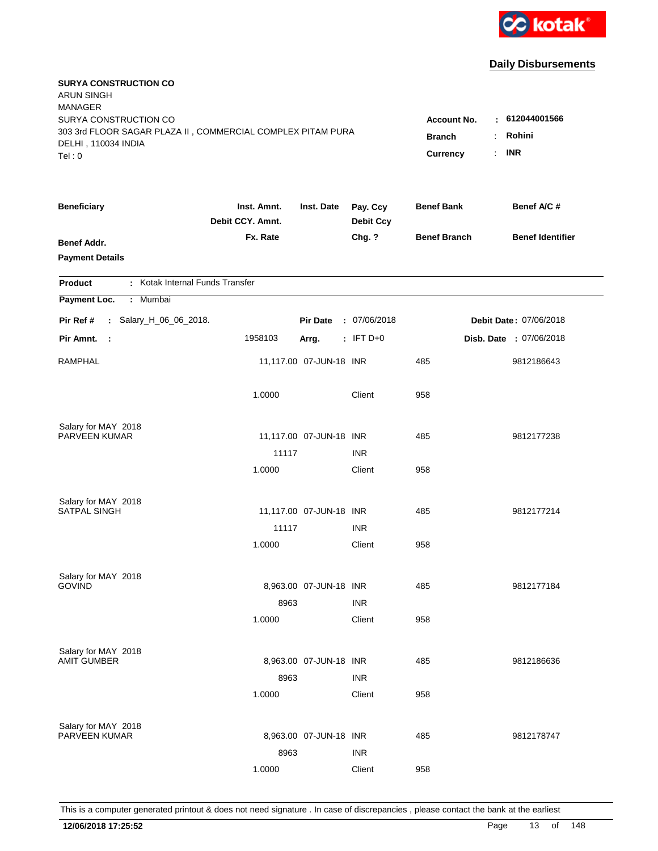

| <b>SURYA CONSTRUCTION CO</b><br><b>ARUN SINGH</b><br><b>MANAGER</b>                  |                                 |                         |                              |                                     |                           |
|--------------------------------------------------------------------------------------|---------------------------------|-------------------------|------------------------------|-------------------------------------|---------------------------|
| SURYA CONSTRUCTION CO<br>303 3rd FLOOR SAGAR PLAZA II, COMMERCIAL COMPLEX PITAM PURA |                                 |                         |                              | <b>Account No.</b><br><b>Branch</b> | $-612044001566$<br>Rohini |
| DELHI, 110034 INDIA<br>Tel: 0                                                        |                                 |                         |                              | <b>Currency</b>                     | <b>INR</b><br>÷.          |
| <b>Beneficiary</b>                                                                   | Inst. Amnt.<br>Debit CCY. Amnt. | Inst. Date              | Pay. Ccy<br><b>Debit Ccy</b> | <b>Benef Bank</b>                   | Benef A/C #               |
| <b>Benef Addr.</b><br><b>Payment Details</b>                                         | Fx. Rate                        |                         | Chg. ?                       | <b>Benef Branch</b>                 | <b>Benef Identifier</b>   |
| : Kotak Internal Funds Transfer<br><b>Product</b>                                    |                                 |                         |                              |                                     |                           |
| Payment Loc.<br>: Mumbai                                                             |                                 |                         |                              |                                     |                           |
| : Salary_H_06_06_2018.<br>Pir Ref #                                                  |                                 | <b>Pir Date</b>         | : 07/06/2018                 |                                     | Debit Date: 07/06/2018    |
| Pir Amnt.<br>$\mathbb{R}^2$                                                          | 1958103                         | Arrg.                   | $:$ IFT D+0                  |                                     | Disb. Date : 07/06/2018   |
| <b>RAMPHAL</b>                                                                       |                                 | 11,117.00 07-JUN-18 INR |                              | 485                                 | 9812186643                |
|                                                                                      | 1.0000                          |                         | Client                       | 958                                 |                           |
| Salary for MAY 2018                                                                  |                                 |                         |                              |                                     |                           |
| PARVEEN KUMAR                                                                        |                                 | 11,117.00 07-JUN-18 INR |                              | 485                                 | 9812177238                |
|                                                                                      | 11117<br>1.0000                 |                         | <b>INR</b><br>Client         | 958                                 |                           |
|                                                                                      |                                 |                         |                              |                                     |                           |
| Salary for MAY 2018                                                                  |                                 |                         |                              |                                     |                           |
| <b>SATPAL SINGH</b>                                                                  |                                 | 11,117.00 07-JUN-18 INR |                              | 485                                 | 9812177214                |
|                                                                                      | 11117                           |                         | <b>INR</b>                   |                                     |                           |
|                                                                                      | 1.0000                          |                         | Client                       | 958                                 |                           |
| Salary for MAY 2018                                                                  |                                 |                         |                              |                                     |                           |
| <b>GOVIND</b>                                                                        |                                 | 8,963.00 07-JUN-18 INR  |                              | 485                                 | 9812177184                |
|                                                                                      | 8963                            |                         | <b>INR</b>                   |                                     |                           |
|                                                                                      | 1.0000                          |                         | Client                       | 958                                 |                           |
| Salary for MAY 2018                                                                  |                                 |                         |                              |                                     |                           |
| <b>AMIT GUMBER</b>                                                                   |                                 | 8,963.00 07-JUN-18 INR  |                              | 485                                 | 9812186636                |
|                                                                                      | 8963                            |                         | <b>INR</b>                   |                                     |                           |
|                                                                                      | 1.0000                          |                         | Client                       | 958                                 |                           |
|                                                                                      |                                 |                         |                              |                                     |                           |
| Salary for MAY 2018<br>PARVEEN KUMAR                                                 |                                 | 8,963.00 07-JUN-18 INR  |                              | 485                                 | 9812178747                |
|                                                                                      | 8963                            |                         | <b>INR</b>                   |                                     |                           |
|                                                                                      | 1.0000                          |                         | Client                       | 958                                 |                           |
|                                                                                      |                                 |                         |                              |                                     |                           |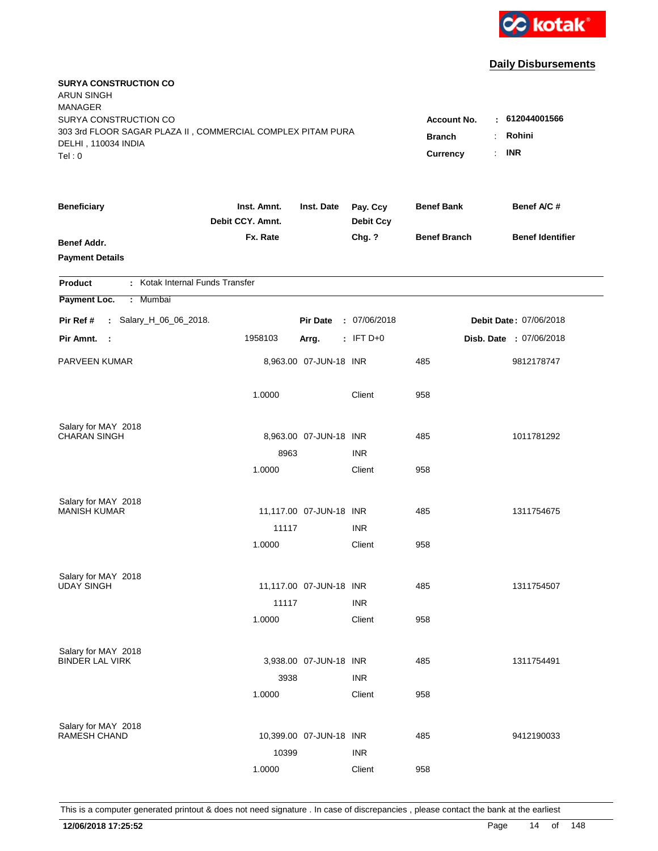

| <b>SURYA CONSTRUCTION CO</b><br><b>ARUN SINGH</b><br><b>MANAGER</b><br>SURYA CONSTRUCTION CO |                                  |                            |                              | <b>Account No.</b>  | : 612044001566          |
|----------------------------------------------------------------------------------------------|----------------------------------|----------------------------|------------------------------|---------------------|-------------------------|
| 303 3rd FLOOR SAGAR PLAZA II, COMMERCIAL COMPLEX PITAM PURA<br>DELHI, 110034 INDIA<br>Tel: 0 | <b>Branch</b><br><b>Currency</b> | Rohini<br><b>INR</b><br>÷. |                              |                     |                         |
| <b>Beneficiary</b>                                                                           | Inst. Amnt.<br>Debit CCY. Amnt.  | Inst. Date                 | Pay. Ccy<br><b>Debit Ccy</b> | <b>Benef Bank</b>   | Benef A/C #             |
| Benef Addr.<br><b>Payment Details</b>                                                        | Fx. Rate                         |                            | Chg. ?                       | <b>Benef Branch</b> | <b>Benef Identifier</b> |
| : Kotak Internal Funds Transfer<br><b>Product</b>                                            |                                  |                            |                              |                     |                         |
| Payment Loc.<br>Mumbai<br>÷.                                                                 |                                  |                            |                              |                     |                         |
| : Salary_H_06_06_2018.<br>Pir Ref #                                                          |                                  | <b>Pir Date</b>            | : 07/06/2018                 |                     | Debit Date: 07/06/2018  |
| Pir Amnt.<br>$\sim$ 1                                                                        | 1958103                          | Arrg.                      | $:$ IFT D+0                  |                     | Disb. Date : 07/06/2018 |
| <b>PARVEEN KUMAR</b>                                                                         |                                  | 8,963.00 07-JUN-18 INR     |                              | 485                 | 9812178747              |
|                                                                                              | 1.0000                           |                            | Client                       | 958                 |                         |
| Salary for MAY 2018                                                                          |                                  |                            |                              |                     |                         |
| <b>CHARAN SINGH</b>                                                                          | 8963                             | 8,963.00 07-JUN-18 INR     | <b>INR</b>                   | 485                 | 1011781292              |
|                                                                                              | 1.0000                           |                            | Client                       | 958                 |                         |
|                                                                                              |                                  |                            |                              |                     |                         |
| Salary for MAY 2018<br><b>MANISH KUMAR</b>                                                   |                                  | 11,117.00 07-JUN-18 INR    |                              | 485                 | 1311754675              |
|                                                                                              | 11117                            |                            | <b>INR</b>                   |                     |                         |
|                                                                                              | 1.0000                           |                            | Client                       | 958                 |                         |
| Salary for MAY 2018                                                                          |                                  |                            |                              |                     |                         |
| <b>UDAY SINGH</b>                                                                            |                                  | 11,117.00 07-JUN-18 INR    |                              | 485                 | 1311754507              |
|                                                                                              | 11117                            |                            | <b>INR</b>                   |                     |                         |
|                                                                                              | 1.0000                           |                            | Client                       | 958                 |                         |
| Salary for MAY 2018                                                                          |                                  |                            |                              |                     |                         |
| <b>BINDER LAL VIRK</b>                                                                       |                                  | 3,938.00 07-JUN-18 INR     |                              | 485                 | 1311754491              |
|                                                                                              | 3938                             |                            | <b>INR</b>                   |                     |                         |
|                                                                                              | 1.0000                           |                            | Client                       | 958                 |                         |
| Salary for MAY 2018                                                                          |                                  |                            |                              |                     |                         |
| <b>RAMESH CHAND</b>                                                                          |                                  | 10,399.00 07-JUN-18 INR    |                              | 485                 | 9412190033              |
|                                                                                              | 10399                            |                            | <b>INR</b>                   |                     |                         |
|                                                                                              | 1.0000                           |                            | Client                       | 958                 |                         |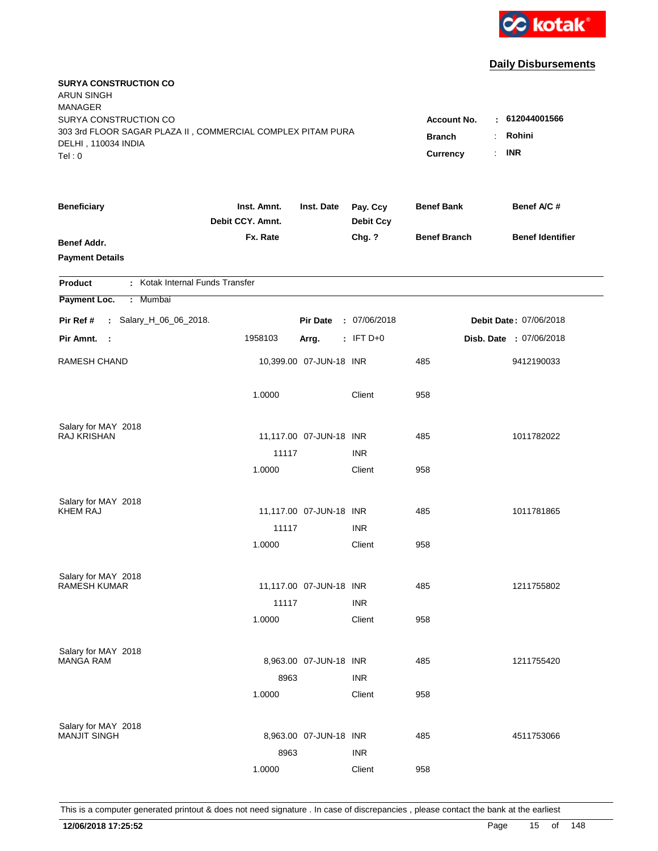

| <b>SURYA CONSTRUCTION CO</b><br><b>ARUN SINGH</b><br><b>MANAGER</b>                |                                 |                         |                              |                     |                               |
|------------------------------------------------------------------------------------|---------------------------------|-------------------------|------------------------------|---------------------|-------------------------------|
| SURYA CONSTRUCTION CO                                                              |                                 |                         |                              | Account No.         | $\pm 612044001566$            |
| 303 3rd FLOOR SAGAR PLAZA II, COMMERCIAL COMPLEX PITAM PURA<br>DELHI, 110034 INDIA | <b>Branch</b>                   | Rohini                  |                              |                     |                               |
| Tel: 0                                                                             |                                 |                         |                              | Currency            | <b>INR</b><br>÷.              |
| <b>Beneficiary</b>                                                                 | Inst. Amnt.<br>Debit CCY. Amnt. | Inst. Date              | Pay. Ccy<br><b>Debit Ccy</b> | <b>Benef Bank</b>   | Benef A/C #                   |
| <b>Benef Addr.</b>                                                                 | Fx. Rate                        |                         | Chg. ?                       | <b>Benef Branch</b> | <b>Benef Identifier</b>       |
| <b>Payment Details</b>                                                             |                                 |                         |                              |                     |                               |
| : Kotak Internal Funds Transfer<br>Product                                         |                                 |                         |                              |                     |                               |
| Payment Loc.<br>Mumbai<br>÷.                                                       |                                 |                         |                              |                     |                               |
| : Salary_H_06_06_2018.<br>Pir Ref #                                                |                                 | <b>Pir Date</b>         | : 07/06/2018                 |                     | <b>Debit Date: 07/06/2018</b> |
| Pir Amnt.<br>- 1                                                                   | 1958103                         | Arrg.                   | $:$ IFT D+0                  |                     | Disb. Date : 07/06/2018       |
| <b>RAMESH CHAND</b>                                                                |                                 | 10,399.00 07-JUN-18 INR |                              | 485                 | 9412190033                    |
|                                                                                    | 1.0000                          |                         | Client                       | 958                 |                               |
| Salary for MAY 2018                                                                |                                 |                         |                              |                     |                               |
| <b>RAJ KRISHAN</b>                                                                 |                                 | 11,117.00 07-JUN-18 INR |                              | 485                 | 1011782022                    |
|                                                                                    | 11117                           |                         | <b>INR</b>                   |                     |                               |
|                                                                                    | 1.0000                          |                         | Client                       | 958                 |                               |
| Salary for MAY 2018                                                                |                                 |                         |                              |                     |                               |
| <b>KHEM RAJ</b>                                                                    |                                 | 11,117.00 07-JUN-18 INR |                              | 485                 | 1011781865                    |
|                                                                                    | 11117                           |                         | <b>INR</b>                   |                     |                               |
|                                                                                    | 1.0000                          |                         | Client                       | 958                 |                               |
| Salary for MAY 2018                                                                |                                 |                         |                              |                     |                               |
| <b>RAMESH KUMAR</b>                                                                |                                 | 11,117.00 07-JUN-18 INR |                              | 485                 | 1211755802                    |
|                                                                                    | 11117                           |                         | <b>INR</b>                   |                     |                               |
|                                                                                    | 1.0000                          |                         | Client                       | 958                 |                               |
| Salary for MAY 2018                                                                |                                 |                         |                              |                     |                               |
| <b>MANGA RAM</b>                                                                   |                                 | 8,963.00 07-JUN-18 INR  |                              | 485                 | 1211755420                    |
|                                                                                    | 8963                            |                         | <b>INR</b>                   |                     |                               |
|                                                                                    | 1.0000                          |                         | Client                       | 958                 |                               |
| Salary for MAY 2018                                                                |                                 |                         |                              |                     |                               |
| <b>MANJIT SINGH</b>                                                                |                                 | 8,963.00 07-JUN-18 INR  |                              | 485                 | 4511753066                    |
|                                                                                    | 8963                            |                         | <b>INR</b>                   |                     |                               |
|                                                                                    | 1.0000                          |                         | Client                       | 958                 |                               |
|                                                                                    |                                 |                         |                              |                     |                               |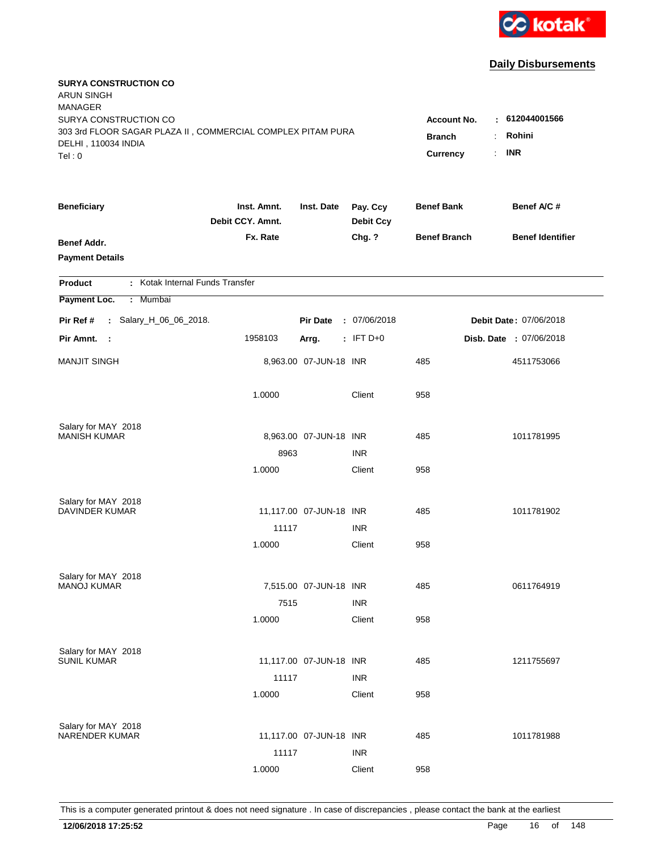

| <b>SURYA CONSTRUCTION CO</b><br><b>ARUN SINGH</b><br><b>MANAGER</b><br>SURYA CONSTRUCTION CO<br>303 3rd FLOOR SAGAR PLAZA II, COMMERCIAL COMPLEX PITAM PURA<br>DELHI, 110034 INDIA |                                 |                         |                              | Account No.<br><b>Branch</b> | : 612044001566<br>Rohini<br>÷. |
|------------------------------------------------------------------------------------------------------------------------------------------------------------------------------------|---------------------------------|-------------------------|------------------------------|------------------------------|--------------------------------|
| Tel: 0                                                                                                                                                                             |                                 |                         |                              | Currency                     | <b>INR</b><br>÷.               |
| <b>Beneficiary</b>                                                                                                                                                                 | Inst. Amnt.<br>Debit CCY. Amnt. | Inst. Date              | Pay. Ccy<br><b>Debit Ccy</b> | <b>Benef Bank</b>            | Benef A/C #                    |
| Benef Addr.<br><b>Payment Details</b>                                                                                                                                              | Fx. Rate                        |                         | Chg. ?                       | <b>Benef Branch</b>          | <b>Benef Identifier</b>        |
| : Kotak Internal Funds Transfer<br><b>Product</b>                                                                                                                                  |                                 |                         |                              |                              |                                |
| Payment Loc.<br>Mumbai<br>÷.                                                                                                                                                       |                                 |                         |                              |                              |                                |
| Pir Ref #<br>: Salary_H_06_06_2018.                                                                                                                                                |                                 | <b>Pir Date</b>         | : 07/06/2018                 |                              | Debit Date: 07/06/2018         |
| Pir Amnt. :                                                                                                                                                                        | 1958103                         | Arrg.                   | $:$ IFT D+0                  |                              | Disb. Date : 07/06/2018        |
| <b>MANJIT SINGH</b>                                                                                                                                                                |                                 | 8,963.00 07-JUN-18 INR  |                              | 485                          | 4511753066                     |
|                                                                                                                                                                                    | 1.0000                          |                         | Client                       | 958                          |                                |
| Salary for MAY 2018                                                                                                                                                                |                                 |                         |                              |                              |                                |
| <b>MANISH KUMAR</b>                                                                                                                                                                | 8963                            | 8,963.00 07-JUN-18 INR  | <b>INR</b>                   | 485                          | 1011781995                     |
|                                                                                                                                                                                    | 1.0000                          |                         | Client                       | 958                          |                                |
|                                                                                                                                                                                    |                                 |                         |                              |                              |                                |
| Salary for MAY 2018<br><b>DAVINDER KUMAR</b>                                                                                                                                       |                                 | 11,117.00 07-JUN-18 INR |                              | 485                          | 1011781902                     |
|                                                                                                                                                                                    | 11117                           |                         | <b>INR</b>                   |                              |                                |
|                                                                                                                                                                                    | 1.0000                          |                         | Client                       | 958                          |                                |
|                                                                                                                                                                                    |                                 |                         |                              |                              |                                |
| Salary for MAY 2018                                                                                                                                                                |                                 |                         |                              |                              |                                |
| <b>MANOJ KUMAR</b>                                                                                                                                                                 |                                 | 7,515.00 07-JUN-18 INR  |                              | 485                          | 0611764919                     |
|                                                                                                                                                                                    | 7515<br>1.0000                  |                         | <b>INR</b><br>Client         | 958                          |                                |
|                                                                                                                                                                                    |                                 |                         |                              |                              |                                |
| Salary for MAY 2018                                                                                                                                                                |                                 |                         |                              |                              |                                |
| <b>SUNIL KUMAR</b>                                                                                                                                                                 |                                 | 11,117.00 07-JUN-18 INR |                              | 485                          | 1211755697                     |
|                                                                                                                                                                                    | 11117<br>1.0000                 |                         | <b>INR</b><br>Client         | 958                          |                                |
|                                                                                                                                                                                    |                                 |                         |                              |                              |                                |
| Salary for MAY 2018                                                                                                                                                                |                                 |                         |                              |                              |                                |
| <b>NARENDER KUMAR</b>                                                                                                                                                              |                                 | 11,117.00 07-JUN-18 INR |                              | 485                          | 1011781988                     |
|                                                                                                                                                                                    | 11117                           |                         | <b>INR</b>                   |                              |                                |
|                                                                                                                                                                                    | 1.0000                          |                         | Client                       | 958                          |                                |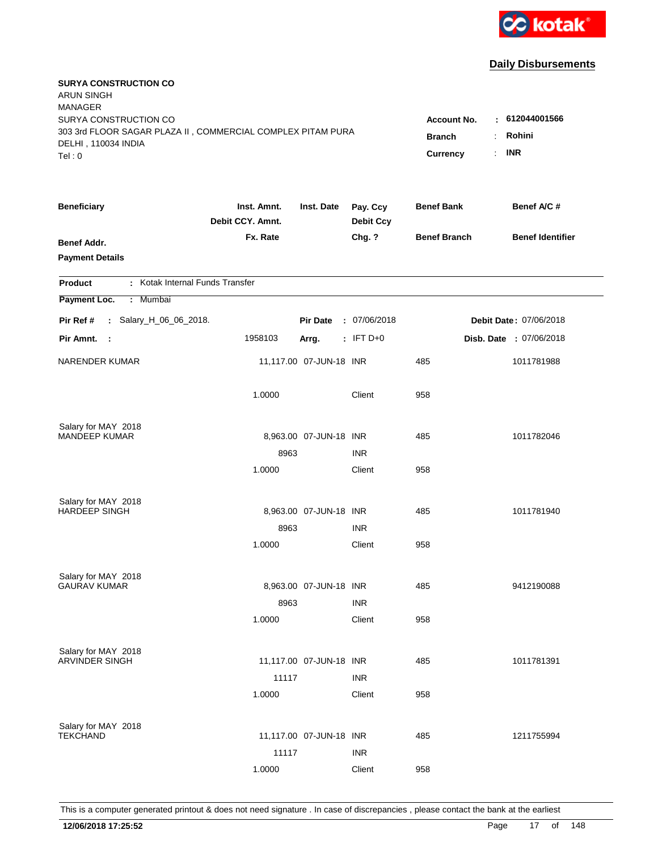

| <b>SURYA CONSTRUCTION CO</b><br><b>ARUN SINGH</b><br><b>MANAGER</b>                |                                 |                         |                              |                     |                               |
|------------------------------------------------------------------------------------|---------------------------------|-------------------------|------------------------------|---------------------|-------------------------------|
| SURYA CONSTRUCTION CO                                                              |                                 |                         |                              | Account No.         | : 612044001566                |
| 303 3rd FLOOR SAGAR PLAZA II, COMMERCIAL COMPLEX PITAM PURA<br>DELHI, 110034 INDIA | <b>Branch</b>                   | Rohini                  |                              |                     |                               |
| Tel: 0                                                                             |                                 |                         |                              | ÷.<br>Currency      | <b>INR</b>                    |
|                                                                                    |                                 |                         |                              |                     |                               |
| <b>Beneficiary</b>                                                                 | Inst. Amnt.<br>Debit CCY. Amnt. | Inst. Date              | Pay. Ccy<br><b>Debit Ccy</b> | <b>Benef Bank</b>   | Benef A/C #                   |
| <b>Benef Addr.</b>                                                                 | Fx. Rate                        |                         | Chg. ?                       | <b>Benef Branch</b> | <b>Benef Identifier</b>       |
| <b>Payment Details</b>                                                             |                                 |                         |                              |                     |                               |
| : Kotak Internal Funds Transfer<br>Product                                         |                                 |                         |                              |                     |                               |
| Payment Loc.<br>Mumbai<br>÷.                                                       |                                 |                         |                              |                     |                               |
| : Salary_H_06_06_2018.<br>Pir Ref #                                                |                                 | <b>Pir Date</b>         | : 07/06/2018                 |                     | <b>Debit Date: 07/06/2018</b> |
| Pir Amnt.<br>$\mathbf{L}$                                                          | 1958103                         | Arrg.                   | $:$ IFT D+0                  |                     | Disb. Date : 07/06/2018       |
| <b>NARENDER KUMAR</b>                                                              |                                 | 11,117.00 07-JUN-18 INR |                              | 485                 | 1011781988                    |
|                                                                                    | 1.0000                          |                         | Client                       | 958                 |                               |
| Salary for MAY 2018                                                                |                                 |                         |                              |                     |                               |
| <b>MANDEEP KUMAR</b>                                                               |                                 | 8,963.00 07-JUN-18 INR  |                              | 485                 | 1011782046                    |
|                                                                                    | 8963                            |                         | <b>INR</b>                   |                     |                               |
|                                                                                    | 1.0000                          |                         | Client                       | 958                 |                               |
| Salary for MAY 2018                                                                |                                 |                         |                              |                     |                               |
| <b>HARDEEP SINGH</b>                                                               |                                 | 8,963.00 07-JUN-18 INR  |                              | 485                 | 1011781940                    |
|                                                                                    | 8963                            |                         | <b>INR</b>                   |                     |                               |
|                                                                                    | 1.0000                          |                         | Client                       | 958                 |                               |
| Salary for MAY 2018                                                                |                                 |                         |                              |                     |                               |
| <b>GAURAV KUMAR</b>                                                                |                                 | 8,963.00 07-JUN-18 INR  |                              | 485                 | 9412190088                    |
|                                                                                    | 8963                            |                         | <b>INR</b>                   |                     |                               |
|                                                                                    | 1.0000                          |                         | Client                       | 958                 |                               |
| Salary for MAY 2018                                                                |                                 |                         |                              |                     |                               |
| <b>ARVINDER SINGH</b>                                                              |                                 | 11,117.00 07-JUN-18 INR |                              | 485                 | 1011781391                    |
|                                                                                    | 11117                           |                         | <b>INR</b>                   |                     |                               |
|                                                                                    | 1.0000                          |                         | Client                       | 958                 |                               |
| Salary for MAY 2018                                                                |                                 |                         |                              |                     |                               |
| <b>TEKCHAND</b>                                                                    |                                 | 11,117.00 07-JUN-18 INR |                              | 485                 | 1211755994                    |
|                                                                                    | 11117                           |                         | <b>INR</b>                   |                     |                               |
|                                                                                    | 1.0000                          |                         | Client                       | 958                 |                               |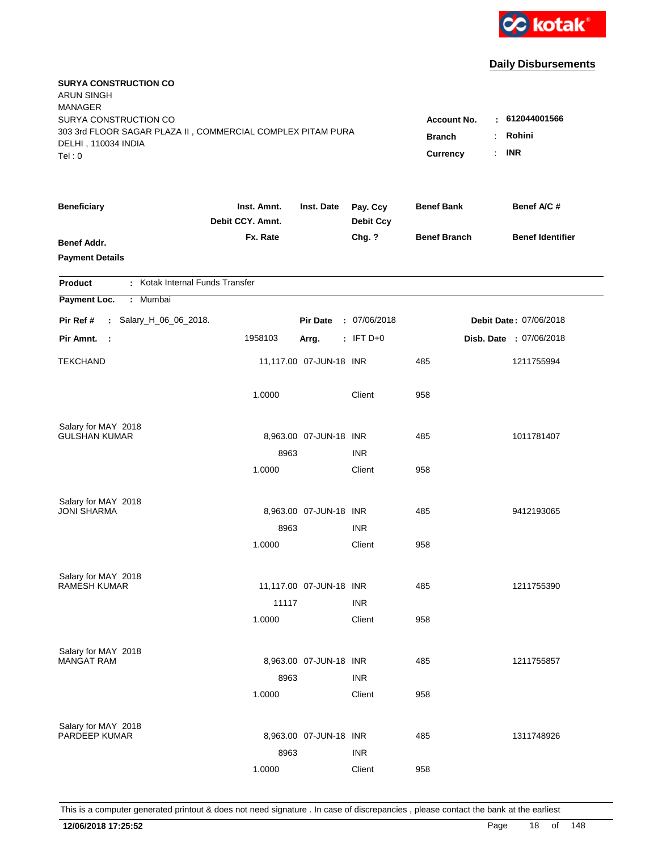

| <b>SURYA CONSTRUCTION CO</b><br><b>ARUN SINGH</b><br><b>MANAGER</b> |                                 |                         |                              |                     |                               |
|---------------------------------------------------------------------|---------------------------------|-------------------------|------------------------------|---------------------|-------------------------------|
| SURYA CONSTRUCTION CO                                               |                                 |                         |                              | <b>Account No.</b>  | : 612044001566                |
| 303 3rd FLOOR SAGAR PLAZA II, COMMERCIAL COMPLEX PITAM PURA         | <b>Branch</b>                   | Rohini                  |                              |                     |                               |
| DELHI, 110034 INDIA<br>Tel: 0                                       |                                 |                         |                              | Currency            | <b>INR</b><br>÷.              |
|                                                                     |                                 |                         |                              |                     |                               |
| <b>Beneficiary</b>                                                  | Inst. Amnt.<br>Debit CCY. Amnt. | Inst. Date              | Pay. Ccy<br><b>Debit Ccy</b> | <b>Benef Bank</b>   | Benef A/C #                   |
| <b>Benef Addr.</b>                                                  | Fx. Rate                        |                         | Chg. ?                       | <b>Benef Branch</b> | <b>Benef Identifier</b>       |
| <b>Payment Details</b>                                              |                                 |                         |                              |                     |                               |
| : Kotak Internal Funds Transfer<br>Product                          |                                 |                         |                              |                     |                               |
| Payment Loc.<br>Mumbai<br>÷.                                        |                                 |                         |                              |                     |                               |
| : Salary_H_06_06_2018.<br>Pir Ref #                                 |                                 | <b>Pir Date</b>         | : 07/06/2018                 |                     | <b>Debit Date: 07/06/2018</b> |
| Pir Amnt.<br>$\sim$ :                                               | 1958103                         | Arrg.                   | $:$ IFT D+0                  |                     | Disb. Date : 07/06/2018       |
| <b>TEKCHAND</b>                                                     |                                 | 11,117.00 07-JUN-18 INR |                              | 485                 | 1211755994                    |
|                                                                     | 1.0000                          |                         | Client                       | 958                 |                               |
| Salary for MAY 2018                                                 |                                 |                         |                              |                     |                               |
| <b>GULSHAN KUMAR</b>                                                |                                 | 8,963.00 07-JUN-18 INR  |                              | 485                 | 1011781407                    |
|                                                                     | 8963                            |                         | <b>INR</b>                   |                     |                               |
|                                                                     | 1.0000                          |                         | Client                       | 958                 |                               |
| Salary for MAY 2018                                                 |                                 |                         |                              |                     |                               |
| <b>JONI SHARMA</b>                                                  |                                 | 8,963.00 07-JUN-18 INR  |                              | 485                 | 9412193065                    |
|                                                                     | 8963                            |                         | <b>INR</b>                   |                     |                               |
|                                                                     | 1.0000                          |                         | Client                       | 958                 |                               |
| Salary for MAY 2018                                                 |                                 |                         |                              |                     |                               |
| <b>RAMESH KUMAR</b>                                                 |                                 | 11,117.00 07-JUN-18 INR |                              | 485                 | 1211755390                    |
|                                                                     | 11117                           |                         | <b>INR</b>                   |                     |                               |
|                                                                     | 1.0000                          |                         | Client                       | 958                 |                               |
| Salary for MAY 2018                                                 |                                 |                         |                              |                     |                               |
| <b>MANGAT RAM</b>                                                   |                                 | 8,963.00 07-JUN-18 INR  |                              | 485                 | 1211755857                    |
|                                                                     | 8963                            |                         | <b>INR</b>                   |                     |                               |
|                                                                     | 1.0000                          |                         | Client                       | 958                 |                               |
| Salary for MAY 2018                                                 |                                 |                         |                              |                     |                               |
| PARDEEP KUMAR                                                       |                                 | 8,963.00 07-JUN-18 INR  |                              | 485                 | 1311748926                    |
|                                                                     | 8963                            |                         | <b>INR</b>                   |                     |                               |
|                                                                     | 1.0000                          |                         | Client                       | 958                 |                               |
|                                                                     |                                 |                         |                              |                     |                               |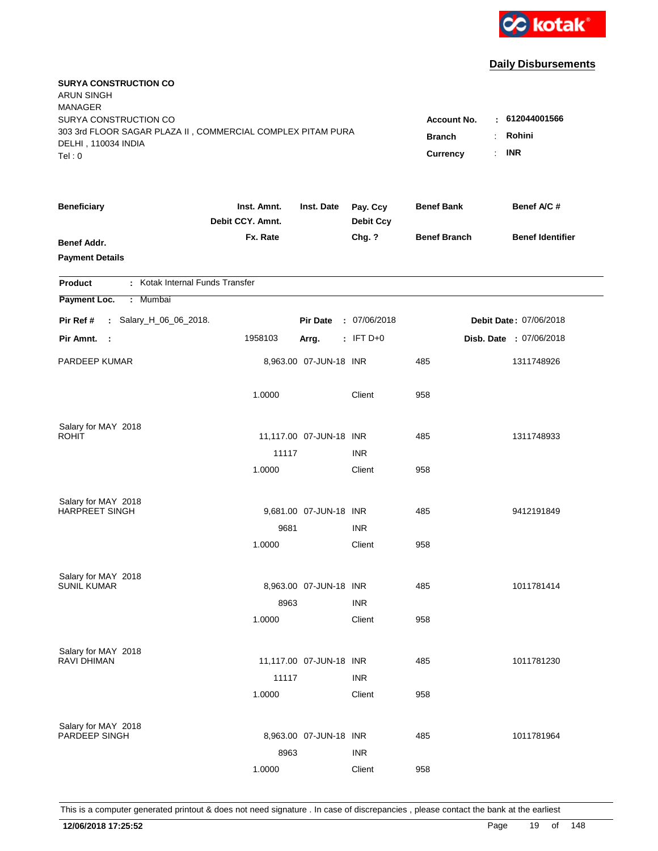

| <b>SURYA CONSTRUCTION CO</b><br><b>ARUN SINGH</b><br><b>MANAGER</b><br>SURYA CONSTRUCTION CO |                                  |                            |                              | <b>Account No.</b>  | : 612044001566          |
|----------------------------------------------------------------------------------------------|----------------------------------|----------------------------|------------------------------|---------------------|-------------------------|
| 303 3rd FLOOR SAGAR PLAZA II, COMMERCIAL COMPLEX PITAM PURA<br>DELHI, 110034 INDIA<br>Tel: 0 | <b>Branch</b><br><b>Currency</b> | Rohini<br><b>INR</b><br>÷. |                              |                     |                         |
| <b>Beneficiary</b>                                                                           | Inst. Amnt.<br>Debit CCY. Amnt.  | Inst. Date                 | Pay. Ccy<br><b>Debit Ccy</b> | <b>Benef Bank</b>   | Benef A/C #             |
| Benef Addr.<br><b>Payment Details</b>                                                        | Fx. Rate                         |                            | Chg. ?                       | <b>Benef Branch</b> | <b>Benef Identifier</b> |
| : Kotak Internal Funds Transfer<br><b>Product</b>                                            |                                  |                            |                              |                     |                         |
| Payment Loc.<br>Mumbai<br>÷.                                                                 |                                  |                            |                              |                     |                         |
| : Salary_H_06_06_2018.<br>Pir Ref #                                                          |                                  | <b>Pir Date</b>            | : 07/06/2018                 |                     | Debit Date: 07/06/2018  |
| Pir Amnt.<br>$\sim$ 1                                                                        | 1958103                          | Arrg.                      | : IFT $D+0$                  |                     | Disb. Date : 07/06/2018 |
| PARDEEP KUMAR                                                                                |                                  | 8,963.00 07-JUN-18 INR     |                              | 485                 | 1311748926              |
|                                                                                              | 1.0000                           |                            | Client                       | 958                 |                         |
| Salary for MAY 2018<br><b>ROHIT</b>                                                          |                                  | 11,117.00 07-JUN-18 INR    |                              | 485                 | 1311748933              |
|                                                                                              | 11117                            |                            | <b>INR</b>                   |                     |                         |
|                                                                                              | 1.0000                           |                            | Client                       | 958                 |                         |
| Salary for MAY 2018                                                                          |                                  |                            |                              |                     |                         |
| <b>HARPREET SINGH</b>                                                                        |                                  | 9,681.00 07-JUN-18 INR     |                              | 485                 | 9412191849              |
|                                                                                              | 9681                             |                            | <b>INR</b>                   |                     |                         |
|                                                                                              | 1.0000                           |                            | Client                       | 958                 |                         |
| Salary for MAY 2018                                                                          |                                  |                            |                              |                     |                         |
| <b>SUNIL KUMAR</b>                                                                           |                                  | 8,963.00 07-JUN-18 INR     |                              | 485                 | 1011781414              |
|                                                                                              | 8963                             |                            | <b>INR</b>                   |                     |                         |
|                                                                                              | 1.0000                           |                            | Client                       | 958                 |                         |
| Salary for MAY 2018                                                                          |                                  |                            |                              |                     |                         |
| RAVI DHIMAN                                                                                  |                                  | 11,117.00 07-JUN-18 INR    |                              | 485                 | 1011781230              |
|                                                                                              | 11117                            |                            | <b>INR</b>                   |                     |                         |
|                                                                                              | 1.0000                           |                            | Client                       | 958                 |                         |
| Salary for MAY 2018                                                                          |                                  |                            |                              |                     |                         |
| PARDEEP SINGH                                                                                |                                  | 8,963.00 07-JUN-18 INR     |                              | 485                 | 1011781964              |
|                                                                                              | 8963                             |                            | <b>INR</b>                   |                     |                         |
|                                                                                              | 1.0000                           |                            | Client                       | 958                 |                         |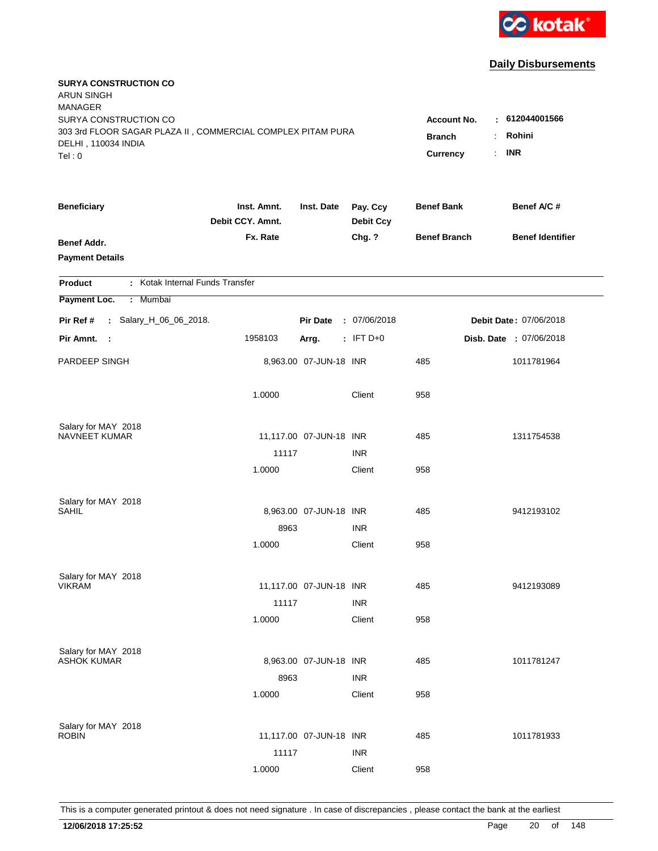

| <b>SURYA CONSTRUCTION CO</b><br><b>ARUN SINGH</b><br><b>MANAGER</b>                                         |                                 |                         |                              |                                     |                            |
|-------------------------------------------------------------------------------------------------------------|---------------------------------|-------------------------|------------------------------|-------------------------------------|----------------------------|
| SURYA CONSTRUCTION CO<br>303 3rd FLOOR SAGAR PLAZA II, COMMERCIAL COMPLEX PITAM PURA<br>DELHI, 110034 INDIA |                                 |                         |                              | <b>Account No.</b><br><b>Branch</b> | : 612044001566<br>Rohini   |
| Tel: 0                                                                                                      |                                 |                         |                              | <b>Currency</b>                     | <b>INR</b><br>$\mathbf{r}$ |
| <b>Beneficiary</b>                                                                                          | Inst. Amnt.<br>Debit CCY. Amnt. | Inst. Date              | Pay. Ccy<br><b>Debit Ccy</b> | <b>Benef Bank</b>                   | Benef A/C #                |
| <b>Benef Addr.</b><br><b>Payment Details</b>                                                                | Fx. Rate                        |                         | Chg. ?                       | <b>Benef Branch</b>                 | <b>Benef Identifier</b>    |
| : Kotak Internal Funds Transfer<br><b>Product</b>                                                           |                                 |                         |                              |                                     |                            |
| Payment Loc.<br>: Mumbai                                                                                    |                                 |                         |                              |                                     |                            |
| : Salary_H_06_06_2018.<br>Pir Ref #                                                                         |                                 | <b>Pir Date</b>         | : 07/06/2018                 |                                     | Debit Date: 07/06/2018     |
| Pir Amnt.<br>$\sim$ 1                                                                                       | 1958103                         | Arrg.                   | $:$ IFT D+0                  |                                     | Disb. Date : 07/06/2018    |
| PARDEEP SINGH                                                                                               |                                 | 8,963.00 07-JUN-18 INR  |                              | 485                                 | 1011781964                 |
|                                                                                                             | 1.0000                          |                         | Client                       | 958                                 |                            |
| Salary for MAY 2018                                                                                         |                                 |                         |                              |                                     |                            |
| NAVNEET KUMAR                                                                                               |                                 | 11,117.00 07-JUN-18 INR |                              | 485                                 | 1311754538                 |
|                                                                                                             | 11117<br>1.0000                 |                         | <b>INR</b><br>Client         | 958                                 |                            |
|                                                                                                             |                                 |                         |                              |                                     |                            |
| Salary for MAY 2018                                                                                         |                                 |                         |                              |                                     |                            |
| SAHIL                                                                                                       |                                 | 8,963.00 07-JUN-18 INR  |                              | 485                                 | 9412193102                 |
|                                                                                                             | 8963                            |                         | <b>INR</b>                   |                                     |                            |
|                                                                                                             | 1.0000                          |                         | Client                       | 958                                 |                            |
| Salary for MAY 2018                                                                                         |                                 |                         |                              |                                     |                            |
| <b>VIKRAM</b>                                                                                               |                                 | 11,117.00 07-JUN-18 INR |                              | 485                                 | 9412193089                 |
|                                                                                                             | 11117                           |                         | <b>INR</b>                   |                                     |                            |
|                                                                                                             | 1.0000                          |                         | Client                       | 958                                 |                            |
| Salary for MAY 2018                                                                                         |                                 |                         |                              |                                     |                            |
| <b>ASHOK KUMAR</b>                                                                                          |                                 | 8,963.00 07-JUN-18 INR  |                              | 485                                 | 1011781247                 |
|                                                                                                             | 8963                            |                         | <b>INR</b>                   |                                     |                            |
|                                                                                                             | 1.0000                          |                         | Client                       | 958                                 |                            |
|                                                                                                             |                                 |                         |                              |                                     |                            |
| Salary for MAY 2018<br><b>ROBIN</b>                                                                         |                                 | 11,117.00 07-JUN-18 INR |                              | 485                                 | 1011781933                 |
|                                                                                                             | 11117                           |                         | <b>INR</b>                   |                                     |                            |
|                                                                                                             | 1.0000                          |                         | Client                       | 958                                 |                            |
|                                                                                                             |                                 |                         |                              |                                     |                            |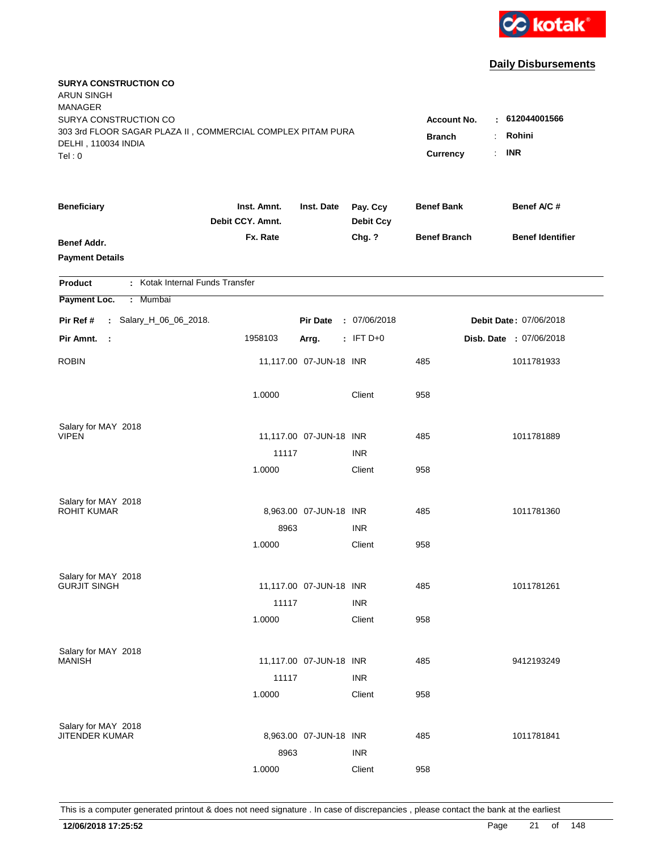

| <b>SURYA CONSTRUCTION CO</b><br><b>ARUN SINGH</b><br><b>MANAGER</b>                                         |                                 |                         |                              |                                     |                          |
|-------------------------------------------------------------------------------------------------------------|---------------------------------|-------------------------|------------------------------|-------------------------------------|--------------------------|
| SURYA CONSTRUCTION CO<br>303 3rd FLOOR SAGAR PLAZA II, COMMERCIAL COMPLEX PITAM PURA<br>DELHI, 110034 INDIA |                                 |                         |                              | <b>Account No.</b><br><b>Branch</b> | : 612044001566<br>Rohini |
| Tel: 0                                                                                                      |                                 |                         |                              | <b>Currency</b>                     | <b>INR</b><br>÷.         |
| <b>Beneficiary</b>                                                                                          | Inst. Amnt.<br>Debit CCY. Amnt. | Inst. Date              | Pay. Ccy<br><b>Debit Ccy</b> | <b>Benef Bank</b>                   | Benef A/C #              |
| <b>Benef Addr.</b><br><b>Payment Details</b>                                                                | Fx. Rate                        |                         | Chg. ?                       | <b>Benef Branch</b>                 | <b>Benef Identifier</b>  |
| : Kotak Internal Funds Transfer<br><b>Product</b>                                                           |                                 |                         |                              |                                     |                          |
| Payment Loc.<br>: Mumbai                                                                                    |                                 |                         |                              |                                     |                          |
| Pir Ref #<br>: Salary_H_06_06_2018.                                                                         |                                 | <b>Pir Date</b>         | : 07/06/2018                 |                                     | Debit Date: 07/06/2018   |
| Pir Amnt.<br>$\mathbb{R}^2$                                                                                 | 1958103                         | Arrg.                   | $:$ IFT D+0                  |                                     | Disb. Date : 07/06/2018  |
| <b>ROBIN</b>                                                                                                |                                 | 11,117.00 07-JUN-18 INR |                              | 485                                 | 1011781933               |
|                                                                                                             | 1.0000                          |                         | Client                       | 958                                 |                          |
| Salary for MAY 2018                                                                                         |                                 |                         |                              |                                     |                          |
| <b>VIPEN</b>                                                                                                | 11117                           | 11,117.00 07-JUN-18 INR | <b>INR</b>                   | 485                                 | 1011781889               |
|                                                                                                             | 1.0000                          |                         | Client                       | 958                                 |                          |
|                                                                                                             |                                 |                         |                              |                                     |                          |
| Salary for MAY 2018<br><b>ROHIT KUMAR</b>                                                                   |                                 |                         |                              |                                     |                          |
|                                                                                                             |                                 | 8,963.00 07-JUN-18 INR  |                              | 485                                 | 1011781360               |
|                                                                                                             | 8963<br>1.0000                  |                         | <b>INR</b><br>Client         | 958                                 |                          |
|                                                                                                             |                                 |                         |                              |                                     |                          |
| Salary for MAY 2018                                                                                         |                                 |                         |                              |                                     |                          |
| <b>GURJIT SINGH</b>                                                                                         |                                 | 11,117.00 07-JUN-18 INR |                              | 485                                 | 1011781261               |
|                                                                                                             | 11117                           |                         | <b>INR</b>                   |                                     |                          |
|                                                                                                             | 1.0000                          |                         | Client                       | 958                                 |                          |
| Salary for MAY 2018                                                                                         |                                 |                         |                              |                                     |                          |
| <b>MANISH</b>                                                                                               |                                 | 11,117.00 07-JUN-18 INR |                              | 485                                 | 9412193249               |
|                                                                                                             | 11117                           |                         | <b>INR</b>                   |                                     |                          |
|                                                                                                             | 1.0000                          |                         | Client                       | 958                                 |                          |
|                                                                                                             |                                 |                         |                              |                                     |                          |
| Salary for MAY 2018<br>JITENDER KUMAR                                                                       |                                 | 8,963.00 07-JUN-18 INR  |                              | 485                                 | 1011781841               |
|                                                                                                             | 8963                            |                         | <b>INR</b>                   |                                     |                          |
|                                                                                                             | 1.0000                          |                         | Client                       | 958                                 |                          |
|                                                                                                             |                                 |                         |                              |                                     |                          |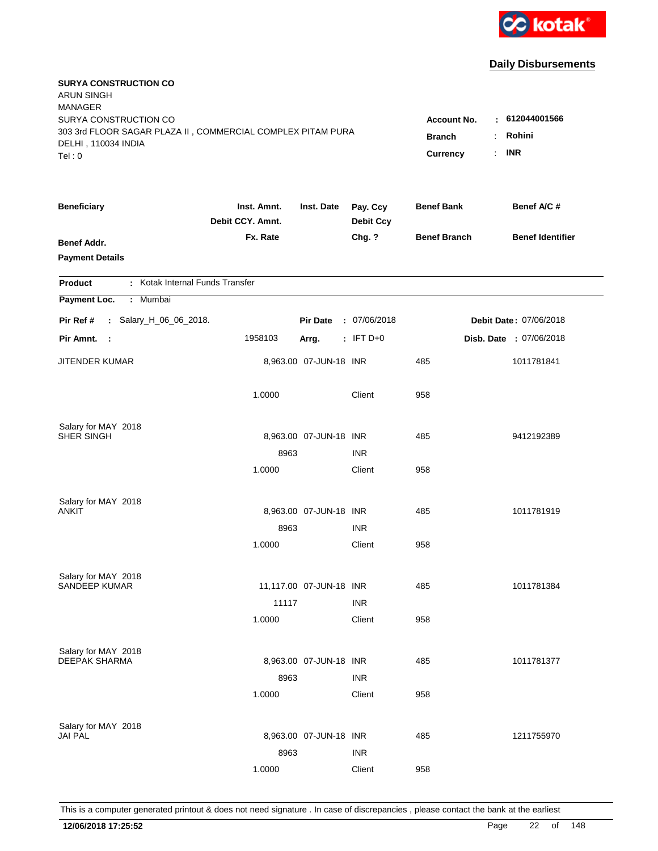

| <b>SURYA CONSTRUCTION CO</b><br><b>ARUN SINGH</b><br><b>MANAGER</b>                                                   |                                                        |                                                   |                              |                     |                         |
|-----------------------------------------------------------------------------------------------------------------------|--------------------------------------------------------|---------------------------------------------------|------------------------------|---------------------|-------------------------|
| SURYA CONSTRUCTION CO<br>303 3rd FLOOR SAGAR PLAZA II, COMMERCIAL COMPLEX PITAM PURA<br>DELHI, 110034 INDIA<br>Tel: 0 | <b>Account No.</b><br><b>Branch</b><br><b>Currency</b> | : 612044001566<br>Rohini<br>÷<br><b>INR</b><br>÷. |                              |                     |                         |
| <b>Beneficiary</b>                                                                                                    | Inst. Amnt.<br>Debit CCY. Amnt.                        | Inst. Date                                        | Pay. Ccy<br><b>Debit Ccy</b> | <b>Benef Bank</b>   | Benef A/C #             |
| Benef Addr.<br><b>Payment Details</b>                                                                                 | Fx. Rate                                               |                                                   | Chg. ?                       | <b>Benef Branch</b> | <b>Benef Identifier</b> |
| : Kotak Internal Funds Transfer<br><b>Product</b>                                                                     |                                                        |                                                   |                              |                     |                         |
| Payment Loc.<br>Mumbai<br>÷.                                                                                          |                                                        |                                                   |                              |                     |                         |
| : Salary_H_06_06_2018.<br>Pir Ref #                                                                                   |                                                        | <b>Pir Date</b>                                   | : 07/06/2018                 |                     | Debit Date: 07/06/2018  |
| Pir Amnt.<br>$\sim$ :                                                                                                 | 1958103                                                | Arrg.                                             | $:$ IFT D+0                  |                     | Disb. Date : 07/06/2018 |
| JITENDER KUMAR                                                                                                        |                                                        | 8,963.00 07-JUN-18 INR                            |                              | 485                 | 1011781841              |
|                                                                                                                       | 1.0000                                                 |                                                   | Client                       | 958                 |                         |
| Salary for MAY 2018                                                                                                   |                                                        |                                                   |                              |                     |                         |
| SHER SINGH                                                                                                            |                                                        | 8,963.00 07-JUN-18 INR                            |                              | 485                 | 9412192389              |
|                                                                                                                       | 8963                                                   |                                                   | <b>INR</b>                   |                     |                         |
|                                                                                                                       | 1.0000                                                 |                                                   | Client                       | 958                 |                         |
| Salary for MAY 2018                                                                                                   |                                                        |                                                   |                              |                     |                         |
| <b>ANKIT</b>                                                                                                          |                                                        | 8,963.00 07-JUN-18 INR                            |                              | 485                 | 1011781919              |
|                                                                                                                       | 8963                                                   |                                                   | <b>INR</b>                   |                     |                         |
|                                                                                                                       | 1.0000                                                 |                                                   | Client                       | 958                 |                         |
| Salary for MAY 2018                                                                                                   |                                                        |                                                   |                              |                     |                         |
| <b>SANDEEP KUMAR</b>                                                                                                  |                                                        | 11,117.00 07-JUN-18 INR                           |                              | 485                 | 1011781384              |
|                                                                                                                       | 11117                                                  |                                                   | <b>INR</b>                   |                     |                         |
|                                                                                                                       | 1.0000                                                 |                                                   | Client                       | 958                 |                         |
| Salary for MAY 2018                                                                                                   |                                                        |                                                   |                              |                     |                         |
| <b>DEEPAK SHARMA</b>                                                                                                  |                                                        | 8,963.00 07-JUN-18 INR                            |                              | 485                 | 1011781377              |
|                                                                                                                       | 8963                                                   |                                                   | <b>INR</b>                   |                     |                         |
|                                                                                                                       | 1.0000                                                 |                                                   | Client                       | 958                 |                         |
|                                                                                                                       |                                                        |                                                   |                              |                     |                         |
| Salary for MAY 2018<br><b>JAI PAL</b>                                                                                 |                                                        | 8,963.00 07-JUN-18 INR                            |                              | 485                 | 1211755970              |
|                                                                                                                       | 8963                                                   |                                                   | <b>INR</b>                   |                     |                         |
|                                                                                                                       | 1.0000                                                 |                                                   | Client                       | 958                 |                         |
|                                                                                                                       |                                                        |                                                   |                              |                     |                         |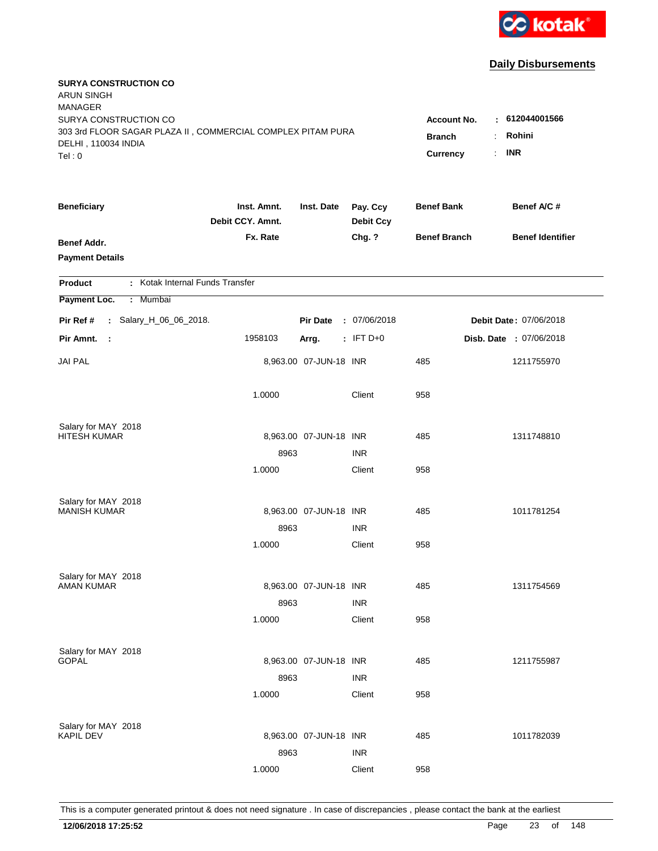

| <b>SURYA CONSTRUCTION CO</b><br><b>ARUN SINGH</b><br><b>MANAGER</b>                  |                                 |                        |                              |                                     |                                                   |
|--------------------------------------------------------------------------------------|---------------------------------|------------------------|------------------------------|-------------------------------------|---------------------------------------------------|
| SURYA CONSTRUCTION CO<br>303 3rd FLOOR SAGAR PLAZA II, COMMERCIAL COMPLEX PITAM PURA |                                 |                        |                              | <b>Account No.</b><br><b>Branch</b> | $-612044001566$<br>Rohini<br>$\ddot{\phantom{a}}$ |
| DELHI, 110034 INDIA<br>Tel: 0                                                        |                                 |                        |                              | Currency                            | <b>INR</b><br>÷.                                  |
| <b>Beneficiary</b>                                                                   | Inst. Amnt.<br>Debit CCY. Amnt. | Inst. Date             | Pay. Ccy<br><b>Debit Ccy</b> | <b>Benef Bank</b>                   | Benef A/C #                                       |
| <b>Benef Addr.</b><br><b>Payment Details</b>                                         | Fx. Rate                        |                        | Chg. ?                       | <b>Benef Branch</b>                 | <b>Benef Identifier</b>                           |
| : Kotak Internal Funds Transfer<br><b>Product</b>                                    |                                 |                        |                              |                                     |                                                   |
| Payment Loc.<br>Mumbai<br>÷.                                                         |                                 |                        |                              |                                     |                                                   |
| : Salary_H_06_06_2018.<br>Pir Ref #                                                  |                                 | <b>Pir Date</b>        | : 07/06/2018                 |                                     | Debit Date: 07/06/2018                            |
| Pir Amnt.<br>$\sim$                                                                  | 1958103                         | Arrg.                  | $:$ IFT D+0                  |                                     | Disb. Date : 07/06/2018                           |
| <b>JAI PAL</b>                                                                       |                                 | 8,963.00 07-JUN-18 INR |                              | 485                                 | 1211755970                                        |
|                                                                                      | 1.0000                          |                        | Client                       | 958                                 |                                                   |
| Salary for MAY 2018                                                                  |                                 |                        |                              |                                     |                                                   |
| <b>HITESH KUMAR</b>                                                                  |                                 | 8,963.00 07-JUN-18 INR |                              | 485                                 | 1311748810                                        |
|                                                                                      | 8963<br>1.0000                  |                        | <b>INR</b><br>Client         | 958                                 |                                                   |
|                                                                                      |                                 |                        |                              |                                     |                                                   |
| Salary for MAY 2018                                                                  |                                 |                        |                              |                                     |                                                   |
| <b>MANISH KUMAR</b>                                                                  |                                 | 8,963.00 07-JUN-18 INR |                              | 485                                 | 1011781254                                        |
|                                                                                      | 8963                            |                        | <b>INR</b>                   |                                     |                                                   |
|                                                                                      | 1.0000                          |                        | Client                       | 958                                 |                                                   |
| Salary for MAY 2018                                                                  |                                 |                        |                              |                                     |                                                   |
| <b>AMAN KUMAR</b>                                                                    |                                 | 8,963.00 07-JUN-18 INR |                              | 485                                 | 1311754569                                        |
|                                                                                      | 8963                            |                        | <b>INR</b>                   |                                     |                                                   |
|                                                                                      | 1.0000                          |                        | Client                       | 958                                 |                                                   |
|                                                                                      |                                 |                        |                              |                                     |                                                   |
| Salary for MAY 2018<br><b>GOPAL</b>                                                  |                                 | 8,963.00 07-JUN-18 INR |                              | 485                                 | 1211755987                                        |
|                                                                                      | 8963                            |                        | <b>INR</b>                   |                                     |                                                   |
|                                                                                      | 1.0000                          |                        | Client                       | 958                                 |                                                   |
|                                                                                      |                                 |                        |                              |                                     |                                                   |
| Salary for MAY 2018<br><b>KAPIL DEV</b>                                              |                                 | 8,963.00 07-JUN-18 INR |                              | 485                                 | 1011782039                                        |
|                                                                                      | 8963                            |                        | <b>INR</b>                   |                                     |                                                   |
|                                                                                      | 1.0000                          |                        | Client                       | 958                                 |                                                   |
|                                                                                      |                                 |                        |                              |                                     |                                                   |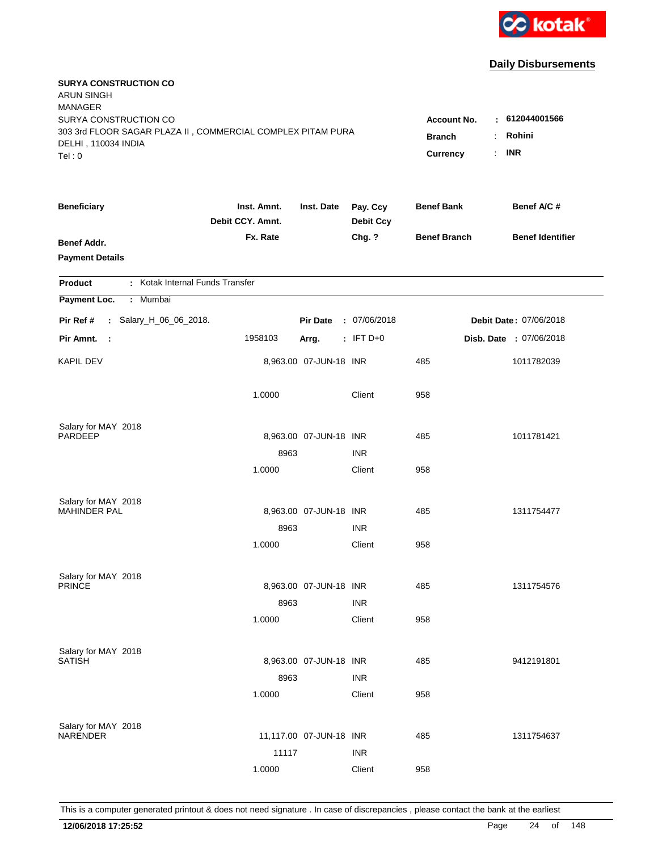

| <b>SURYA CONSTRUCTION CO</b><br><b>ARUN SINGH</b><br><b>MANAGER</b> |                                 |                         |                              |                     |                         |
|---------------------------------------------------------------------|---------------------------------|-------------------------|------------------------------|---------------------|-------------------------|
| SURYA CONSTRUCTION CO                                               |                                 |                         |                              | <b>Account No.</b>  | : 612044001566          |
| 303 3rd FLOOR SAGAR PLAZA II, COMMERCIAL COMPLEX PITAM PURA         | <b>Branch</b>                   | Rohini<br>÷             |                              |                     |                         |
| DELHI, 110034 INDIA<br>Tel: 0                                       |                                 |                         |                              | <b>Currency</b>     | <b>INR</b><br>÷.        |
|                                                                     |                                 |                         |                              |                     |                         |
| <b>Beneficiary</b>                                                  | Inst. Amnt.<br>Debit CCY. Amnt. | Inst. Date              | Pay. Ccy<br><b>Debit Ccy</b> | <b>Benef Bank</b>   | Benef A/C #             |
| Benef Addr.                                                         | Fx. Rate                        |                         | Chg. ?                       | <b>Benef Branch</b> | <b>Benef Identifier</b> |
| <b>Payment Details</b>                                              |                                 |                         |                              |                     |                         |
|                                                                     |                                 |                         |                              |                     |                         |
| : Kotak Internal Funds Transfer<br><b>Product</b>                   |                                 |                         |                              |                     |                         |
| Payment Loc.<br>: Mumbai                                            |                                 |                         |                              |                     |                         |
| : Salary_H_06_06_2018.<br>Pir Ref #                                 |                                 | <b>Pir Date</b>         | : 07/06/2018                 |                     | Debit Date: 07/06/2018  |
| Pir Amnt.<br>- 1                                                    | 1958103                         | Arrg.                   | $:$ IFT D+0                  |                     | Disb. Date : 07/06/2018 |
| <b>KAPIL DEV</b>                                                    |                                 | 8,963.00 07-JUN-18 INR  |                              | 485                 | 1011782039              |
|                                                                     | 1.0000                          |                         | Client                       | 958                 |                         |
| Salary for MAY 2018                                                 |                                 |                         |                              |                     |                         |
| <b>PARDEEP</b>                                                      |                                 | 8,963.00 07-JUN-18 INR  |                              | 485                 | 1011781421              |
|                                                                     | 8963                            |                         | <b>INR</b>                   |                     |                         |
|                                                                     | 1.0000                          |                         | Client                       | 958                 |                         |
| Salary for MAY 2018                                                 |                                 |                         |                              |                     |                         |
| <b>MAHINDER PAL</b>                                                 |                                 | 8,963.00 07-JUN-18 INR  |                              | 485                 | 1311754477              |
|                                                                     | 8963                            |                         | <b>INR</b>                   |                     |                         |
|                                                                     | 1.0000                          |                         | Client                       | 958                 |                         |
| Salary for MAY 2018                                                 |                                 |                         |                              |                     |                         |
| <b>PRINCE</b>                                                       |                                 | 8,963.00 07-JUN-18 INR  |                              | 485                 | 1311754576              |
|                                                                     | 8963                            |                         | <b>INR</b>                   |                     |                         |
|                                                                     | 1.0000                          |                         | Client                       | 958                 |                         |
|                                                                     |                                 |                         |                              |                     |                         |
| Salary for MAY 2018<br><b>SATISH</b>                                |                                 | 8,963.00 07-JUN-18 INR  |                              | 485                 | 9412191801              |
|                                                                     | 8963                            |                         | <b>INR</b>                   |                     |                         |
|                                                                     | 1.0000                          |                         | Client                       | 958                 |                         |
|                                                                     |                                 |                         |                              |                     |                         |
| Salary for MAY 2018<br>NARENDER                                     |                                 | 11,117.00 07-JUN-18 INR |                              | 485                 | 1311754637              |
|                                                                     | 11117                           |                         | <b>INR</b>                   |                     |                         |
|                                                                     |                                 |                         |                              |                     |                         |
|                                                                     | 1.0000                          |                         | Client                       | 958                 |                         |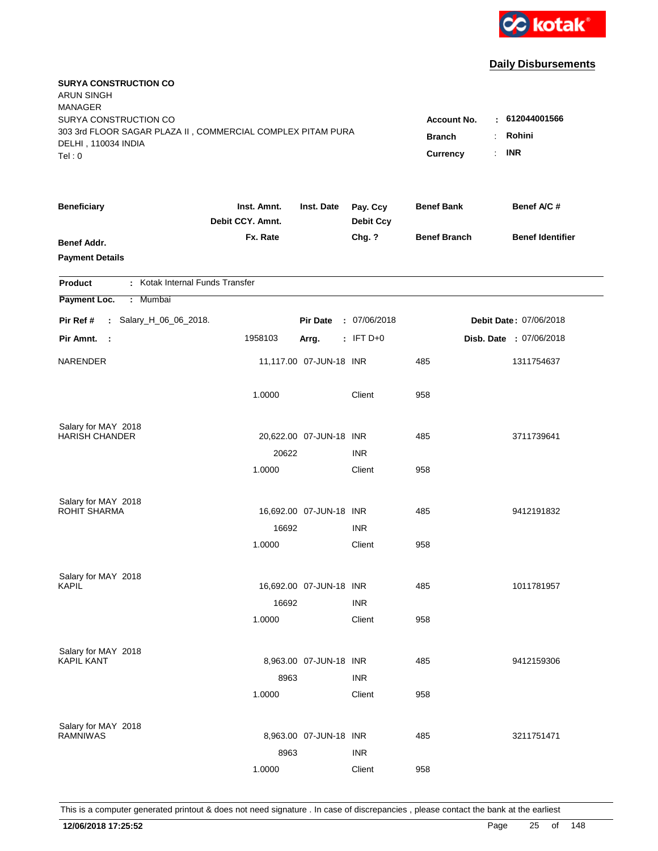

| <b>SURYA CONSTRUCTION CO</b><br><b>ARUN SINGH</b><br><b>MANAGER</b>                                         |                                     |                          |                              |                     |                         |
|-------------------------------------------------------------------------------------------------------------|-------------------------------------|--------------------------|------------------------------|---------------------|-------------------------|
| SURYA CONSTRUCTION CO<br>303 3rd FLOOR SAGAR PLAZA II, COMMERCIAL COMPLEX PITAM PURA<br>DELHI, 110034 INDIA | <b>Account No.</b><br><b>Branch</b> | : 612044001566<br>Rohini |                              |                     |                         |
| Tel: 0                                                                                                      |                                     |                          |                              | <b>Currency</b>     | <b>INR</b><br>÷.        |
| <b>Beneficiary</b>                                                                                          | Inst. Amnt.<br>Debit CCY. Amnt.     | Inst. Date               | Pay. Ccy<br><b>Debit Ccy</b> | <b>Benef Bank</b>   | Benef A/C #             |
| <b>Benef Addr.</b><br><b>Payment Details</b>                                                                | Fx. Rate                            |                          | Chg. ?                       | <b>Benef Branch</b> | <b>Benef Identifier</b> |
| : Kotak Internal Funds Transfer<br><b>Product</b>                                                           |                                     |                          |                              |                     |                         |
| Payment Loc.<br>: Mumbai                                                                                    |                                     |                          |                              |                     |                         |
| : Salary_H_06_06_2018.<br>Pir Ref #                                                                         |                                     | <b>Pir Date</b>          | : 07/06/2018                 |                     | Debit Date: 07/06/2018  |
| Pir Amnt.<br>- 1                                                                                            | 1958103                             | Arrg.                    | $:$ IFT D+0                  |                     | Disb. Date : 07/06/2018 |
| NARENDER                                                                                                    |                                     | 11,117.00 07-JUN-18 INR  |                              | 485                 | 1311754637              |
|                                                                                                             | 1.0000                              |                          | Client                       | 958                 |                         |
| Salary for MAY 2018                                                                                         |                                     |                          |                              |                     |                         |
| <b>HARISH CHANDER</b>                                                                                       |                                     | 20,622.00 07-JUN-18 INR  | <b>INR</b>                   | 485                 | 3711739641              |
|                                                                                                             | 20622<br>1.0000                     |                          | Client                       | 958                 |                         |
|                                                                                                             |                                     |                          |                              |                     |                         |
| Salary for MAY 2018                                                                                         |                                     |                          |                              |                     |                         |
| <b>ROHIT SHARMA</b>                                                                                         |                                     | 16,692.00 07-JUN-18 INR  |                              | 485                 | 9412191832              |
|                                                                                                             | 16692                               |                          | <b>INR</b>                   |                     |                         |
|                                                                                                             | 1.0000                              |                          | Client                       | 958                 |                         |
| Salary for MAY 2018                                                                                         |                                     |                          |                              |                     |                         |
| <b>KAPIL</b>                                                                                                |                                     | 16,692.00 07-JUN-18 INR  |                              | 485                 | 1011781957              |
|                                                                                                             | 16692                               |                          | <b>INR</b>                   |                     |                         |
|                                                                                                             | 1.0000                              |                          | Client                       | 958                 |                         |
| Salary for MAY 2018                                                                                         |                                     |                          |                              |                     |                         |
| <b>KAPIL KANT</b>                                                                                           |                                     | 8,963.00 07-JUN-18 INR   |                              | 485                 | 9412159306              |
|                                                                                                             | 8963                                |                          | <b>INR</b>                   |                     |                         |
|                                                                                                             | 1.0000                              |                          | Client                       | 958                 |                         |
|                                                                                                             |                                     |                          |                              |                     |                         |
| Salary for MAY 2018<br><b>RAMNIWAS</b>                                                                      |                                     | 8,963.00 07-JUN-18 INR   |                              | 485                 | 3211751471              |
|                                                                                                             | 8963                                |                          | <b>INR</b>                   |                     |                         |
|                                                                                                             | 1.0000                              |                          | Client                       | 958                 |                         |
|                                                                                                             |                                     |                          |                              |                     |                         |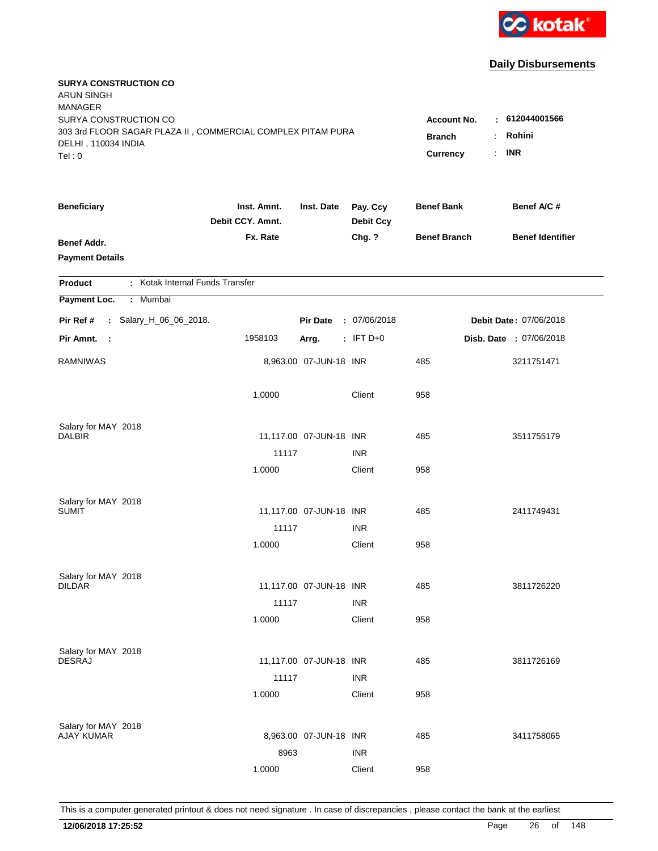

| <b>SURYA CONSTRUCTION CO</b><br><b>ARUN SINGH</b><br><b>MANAGER</b><br>SURYA CONSTRUCTION CO |                                 |                            |                              | Account No.         | $\pm 612044001566$            |
|----------------------------------------------------------------------------------------------|---------------------------------|----------------------------|------------------------------|---------------------|-------------------------------|
| 303 3rd FLOOR SAGAR PLAZA II, COMMERCIAL COMPLEX PITAM PURA<br>DELHI, 110034 INDIA<br>Tel: 0 | <b>Branch</b><br>Currency       | Rohini<br><b>INR</b><br>÷. |                              |                     |                               |
| <b>Beneficiary</b>                                                                           | Inst. Amnt.<br>Debit CCY. Amnt. | Inst. Date                 | Pay. Ccy<br><b>Debit Ccy</b> | <b>Benef Bank</b>   | Benef A/C #                   |
| <b>Benef Addr.</b><br><b>Payment Details</b>                                                 | Fx. Rate                        |                            | Chg. ?                       | <b>Benef Branch</b> | <b>Benef Identifier</b>       |
| : Kotak Internal Funds Transfer<br>Product                                                   |                                 |                            |                              |                     |                               |
| Payment Loc.<br>Mumbai<br>÷.                                                                 |                                 |                            |                              |                     |                               |
| : Salary_H_06_06_2018.<br>Pir Ref #                                                          |                                 | <b>Pir Date</b>            | : 07/06/2018                 |                     | <b>Debit Date: 07/06/2018</b> |
| Pir Amnt.<br>- 1                                                                             | 1958103                         | Arrg.                      | $:$ IFT D+0                  |                     | Disb. Date : 07/06/2018       |
| <b>RAMNIWAS</b>                                                                              |                                 | 8,963.00 07-JUN-18 INR     |                              | 485                 | 3211751471                    |
|                                                                                              | 1.0000                          |                            | Client                       | 958                 |                               |
| Salary for MAY 2018                                                                          |                                 |                            |                              |                     |                               |
| <b>DALBIR</b>                                                                                |                                 | 11,117.00 07-JUN-18 INR    |                              | 485                 | 3511755179                    |
|                                                                                              | 11117                           |                            | <b>INR</b>                   |                     |                               |
|                                                                                              | 1.0000                          |                            | Client                       | 958                 |                               |
| Salary for MAY 2018                                                                          |                                 |                            |                              |                     |                               |
| <b>SUMIT</b>                                                                                 |                                 | 11,117.00 07-JUN-18 INR    |                              | 485                 | 2411749431                    |
|                                                                                              | 11117                           |                            | <b>INR</b>                   |                     |                               |
|                                                                                              | 1.0000                          |                            | Client                       | 958                 |                               |
| Salary for MAY 2018                                                                          |                                 |                            |                              |                     |                               |
| <b>DILDAR</b>                                                                                |                                 | 11,117.00 07-JUN-18 INR    |                              | 485                 | 3811726220                    |
|                                                                                              | 11117                           |                            | <b>INR</b>                   |                     |                               |
|                                                                                              | 1.0000                          |                            | Client                       | 958                 |                               |
| Salary for MAY 2018                                                                          |                                 |                            |                              |                     |                               |
| <b>DESRAJ</b>                                                                                |                                 | 11,117.00 07-JUN-18 INR    |                              | 485                 | 3811726169                    |
|                                                                                              | 11117                           |                            | <b>INR</b>                   |                     |                               |
|                                                                                              | 1.0000                          |                            | Client                       | 958                 |                               |
| Salary for MAY 2018                                                                          |                                 |                            |                              |                     |                               |
| <b>AJAY KUMAR</b>                                                                            |                                 | 8,963.00 07-JUN-18 INR     |                              | 485                 | 3411758065                    |
|                                                                                              | 8963                            |                            | <b>INR</b>                   |                     |                               |
|                                                                                              | 1.0000                          |                            | Client                       | 958                 |                               |
|                                                                                              |                                 |                            |                              |                     |                               |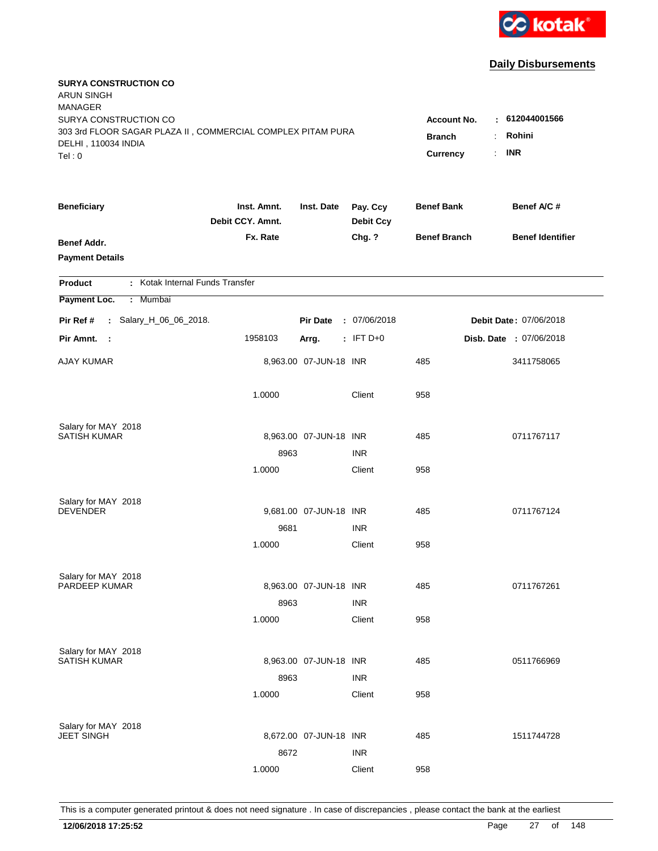

| <b>SURYA CONSTRUCTION CO</b><br><b>ARUN SINGH</b><br><b>MANAGER</b><br>SURYA CONSTRUCTION CO |                                 |                        |                              | <b>Account No.</b>              | : 612044001566          |
|----------------------------------------------------------------------------------------------|---------------------------------|------------------------|------------------------------|---------------------------------|-------------------------|
| 303 3rd FLOOR SAGAR PLAZA II, COMMERCIAL COMPLEX PITAM PURA<br>DELHI, 110034 INDIA<br>Tel: 0 |                                 |                        | <b>Branch</b><br>Currency    | Rohini<br>÷<br><b>INR</b><br>÷. |                         |
| <b>Beneficiary</b>                                                                           | Inst. Amnt.<br>Debit CCY. Amnt. | Inst. Date             | Pay. Ccy<br><b>Debit Ccy</b> | <b>Benef Bank</b>               | Benef A/C #             |
| <b>Benef Addr.</b><br><b>Payment Details</b>                                                 | Fx. Rate                        |                        | Chg. ?                       | <b>Benef Branch</b>             | <b>Benef Identifier</b> |
| : Kotak Internal Funds Transfer<br>Product                                                   |                                 |                        |                              |                                 |                         |
| Payment Loc.<br>Mumbai<br>÷.                                                                 |                                 |                        |                              |                                 |                         |
| : Salary_H_06_06_2018.<br>Pir Ref #                                                          |                                 | <b>Pir Date</b>        | : 07/06/2018                 |                                 | Debit Date: 07/06/2018  |
| Pir Amnt.<br>$\sim$ 1                                                                        | 1958103                         | Arrg.                  | $:$ IFT D+0                  |                                 | Disb. Date : 07/06/2018 |
| AJAY KUMAR                                                                                   |                                 | 8,963.00 07-JUN-18 INR |                              | 485                             | 3411758065              |
|                                                                                              | 1.0000                          |                        | Client                       | 958                             |                         |
| Salary for MAY 2018<br><b>SATISH KUMAR</b>                                                   |                                 |                        |                              |                                 |                         |
|                                                                                              | 8963                            | 8,963.00 07-JUN-18 INR | <b>INR</b>                   | 485                             | 0711767117              |
|                                                                                              | 1.0000                          |                        | Client                       | 958                             |                         |
| Salary for MAY 2018                                                                          |                                 |                        |                              |                                 |                         |
| <b>DEVENDER</b>                                                                              |                                 | 9,681.00 07-JUN-18 INR |                              | 485                             | 0711767124              |
|                                                                                              | 9681                            |                        | <b>INR</b>                   |                                 |                         |
|                                                                                              | 1.0000                          |                        | Client                       | 958                             |                         |
| Salary for MAY 2018                                                                          |                                 |                        |                              |                                 |                         |
| <b>PARDEEP KUMAR</b>                                                                         |                                 | 8,963.00 07-JUN-18 INR |                              | 485                             | 0711767261              |
|                                                                                              | 8963<br>1.0000                  |                        | <b>INR</b><br>Client         | 958                             |                         |
|                                                                                              |                                 |                        |                              |                                 |                         |
| Salary for MAY 2018<br><b>SATISH KUMAR</b>                                                   |                                 |                        |                              |                                 |                         |
|                                                                                              | 8963                            | 8,963.00 07-JUN-18 INR | <b>INR</b>                   | 485                             | 0511766969              |
|                                                                                              | 1.0000                          |                        | Client                       | 958                             |                         |
|                                                                                              |                                 |                        |                              |                                 |                         |
| Salary for MAY 2018<br><b>JEET SINGH</b>                                                     |                                 | 8,672.00 07-JUN-18 INR |                              | 485                             | 1511744728              |
|                                                                                              | 8672                            |                        | <b>INR</b>                   |                                 |                         |
|                                                                                              | 1.0000                          |                        | Client                       | 958                             |                         |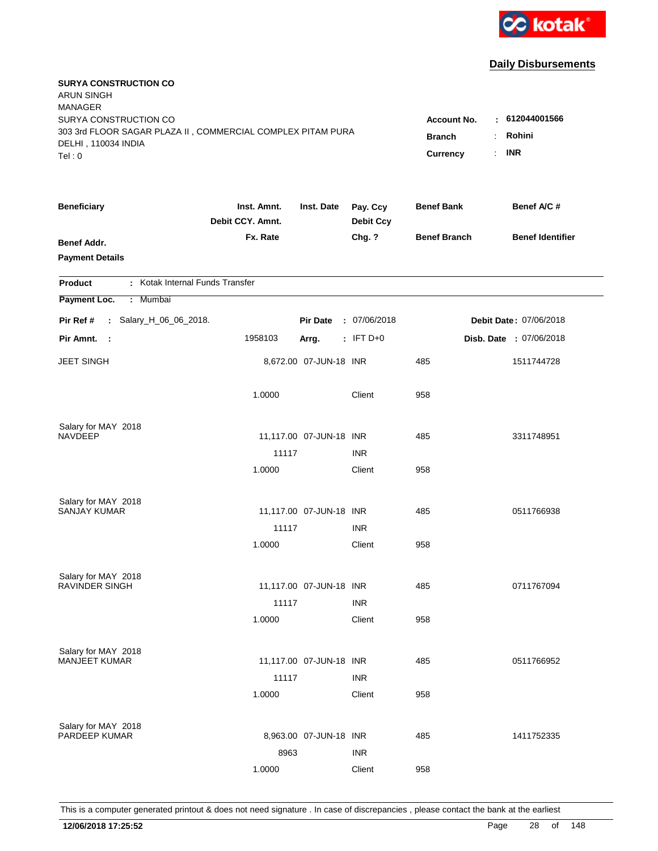

| <b>SURYA CONSTRUCTION CO</b><br><b>ARUN SINGH</b><br><b>MANAGER</b>                                         |                                 |                         |                              |                                     |                          |
|-------------------------------------------------------------------------------------------------------------|---------------------------------|-------------------------|------------------------------|-------------------------------------|--------------------------|
| SURYA CONSTRUCTION CO<br>303 3rd FLOOR SAGAR PLAZA II, COMMERCIAL COMPLEX PITAM PURA<br>DELHI, 110034 INDIA |                                 |                         |                              | <b>Account No.</b><br><b>Branch</b> | : 612044001566<br>Rohini |
| Tel: 0                                                                                                      |                                 |                         |                              | <b>Currency</b>                     | <b>INR</b><br>÷.         |
| <b>Beneficiary</b>                                                                                          | Inst. Amnt.<br>Debit CCY. Amnt. | Inst. Date              | Pay. Ccy<br><b>Debit Ccy</b> | <b>Benef Bank</b>                   | Benef A/C #              |
| <b>Benef Addr.</b><br><b>Payment Details</b>                                                                | Fx. Rate                        |                         | Chg. ?                       | <b>Benef Branch</b>                 | <b>Benef Identifier</b>  |
| : Kotak Internal Funds Transfer<br><b>Product</b>                                                           |                                 |                         |                              |                                     |                          |
| Payment Loc.<br>: Mumbai                                                                                    |                                 |                         |                              |                                     |                          |
| : Salary_H_06_06_2018.<br>Pir Ref #                                                                         |                                 | <b>Pir Date</b>         | : 07/06/2018                 |                                     | Debit Date: 07/06/2018   |
| Pir Amnt.<br>- 1                                                                                            | 1958103                         | Arrg.                   | $:$ IFT D+0                  |                                     | Disb. Date : 07/06/2018  |
| <b>JEET SINGH</b>                                                                                           |                                 | 8,672.00 07-JUN-18 INR  |                              | 485                                 | 1511744728               |
|                                                                                                             | 1.0000                          |                         | Client                       | 958                                 |                          |
| Salary for MAY 2018                                                                                         |                                 |                         |                              |                                     |                          |
| <b>NAVDEEP</b>                                                                                              |                                 | 11,117.00 07-JUN-18 INR |                              | 485                                 | 3311748951               |
|                                                                                                             | 11117<br>1.0000                 |                         | <b>INR</b><br>Client         | 958                                 |                          |
|                                                                                                             |                                 |                         |                              |                                     |                          |
| Salary for MAY 2018                                                                                         |                                 |                         |                              |                                     |                          |
| <b>SANJAY KUMAR</b>                                                                                         |                                 | 11,117.00 07-JUN-18 INR |                              | 485                                 | 0511766938               |
|                                                                                                             | 11117                           |                         | <b>INR</b>                   |                                     |                          |
|                                                                                                             | 1.0000                          |                         | Client                       | 958                                 |                          |
| Salary for MAY 2018                                                                                         |                                 |                         |                              |                                     |                          |
| RAVINDER SINGH                                                                                              |                                 | 11,117.00 07-JUN-18 INR |                              | 485                                 | 0711767094               |
|                                                                                                             | 11117                           |                         | <b>INR</b>                   |                                     |                          |
|                                                                                                             | 1.0000                          |                         | Client                       | 958                                 |                          |
| Salary for MAY 2018                                                                                         |                                 |                         |                              |                                     |                          |
| <b>MANJEET KUMAR</b>                                                                                        |                                 | 11,117.00 07-JUN-18 INR |                              | 485                                 | 0511766952               |
|                                                                                                             | 11117                           |                         | <b>INR</b>                   |                                     |                          |
|                                                                                                             | 1.0000                          |                         | Client                       | 958                                 |                          |
|                                                                                                             |                                 |                         |                              |                                     |                          |
| Salary for MAY 2018<br>PARDEEP KUMAR                                                                        |                                 | 8,963.00 07-JUN-18 INR  |                              | 485                                 | 1411752335               |
|                                                                                                             | 8963                            |                         | <b>INR</b>                   |                                     |                          |
|                                                                                                             | 1.0000                          |                         | Client                       | 958                                 |                          |
|                                                                                                             |                                 |                         |                              |                                     |                          |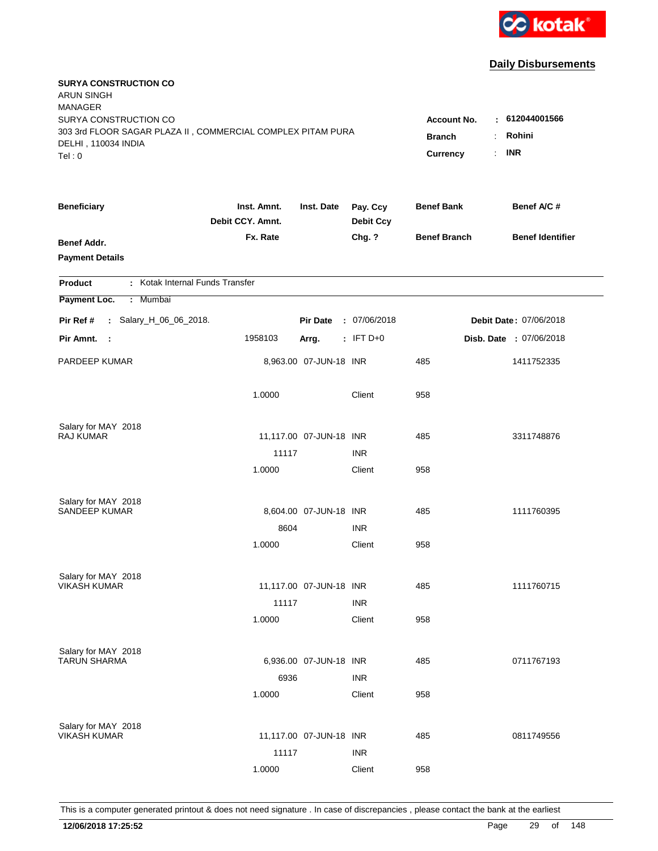

| <b>SURYA CONSTRUCTION CO</b><br>ARUN SINGH<br><b>MANAGER</b>                                                |                                     |                               |                              |                     |                         |
|-------------------------------------------------------------------------------------------------------------|-------------------------------------|-------------------------------|------------------------------|---------------------|-------------------------|
| SURYA CONSTRUCTION CO<br>303 3rd FLOOR SAGAR PLAZA II, COMMERCIAL COMPLEX PITAM PURA<br>DELHI, 110034 INDIA | <b>Account No.</b><br><b>Branch</b> | : 612044001566<br>Rohini<br>÷ |                              |                     |                         |
| Tel: 0                                                                                                      |                                     |                               |                              | Currency            | <b>INR</b><br>÷.        |
| <b>Beneficiary</b>                                                                                          | Inst. Amnt.<br>Debit CCY. Amnt.     | Inst. Date                    | Pay. Ccy<br><b>Debit Ccy</b> | <b>Benef Bank</b>   | Benef A/C #             |
| <b>Benef Addr.</b><br><b>Payment Details</b>                                                                | Fx. Rate                            |                               | Chg. ?                       | <b>Benef Branch</b> | <b>Benef Identifier</b> |
| : Kotak Internal Funds Transfer<br>Product                                                                  |                                     |                               |                              |                     |                         |
| Payment Loc.<br>: Mumbai                                                                                    |                                     |                               |                              |                     |                         |
| : Salary_H_06_06_2018.<br>Pir Ref #                                                                         |                                     | <b>Pir Date</b>               | : 07/06/2018                 |                     | Debit Date: 07/06/2018  |
| Pir Amnt.<br>$\sim$ :                                                                                       | 1958103                             | Arrg.                         | $:$ IFT D+0                  |                     | Disb. Date : 07/06/2018 |
| PARDEEP KUMAR                                                                                               |                                     | 8,963.00 07-JUN-18 INR        |                              | 485                 | 1411752335              |
|                                                                                                             | 1.0000                              |                               | Client                       | 958                 |                         |
| Salary for MAY 2018                                                                                         |                                     |                               |                              |                     |                         |
| <b>RAJ KUMAR</b>                                                                                            |                                     | 11,117.00 07-JUN-18 INR       |                              | 485                 | 3311748876              |
|                                                                                                             | 11117<br>1.0000                     |                               | <b>INR</b><br>Client         | 958                 |                         |
|                                                                                                             |                                     |                               |                              |                     |                         |
| Salary for MAY 2018                                                                                         |                                     |                               |                              |                     |                         |
| <b>SANDEEP KUMAR</b>                                                                                        |                                     | 8,604.00 07-JUN-18 INR        |                              | 485                 | 1111760395              |
|                                                                                                             | 8604                                |                               | <b>INR</b>                   |                     |                         |
|                                                                                                             | 1.0000                              |                               | Client                       | 958                 |                         |
| Salary for MAY 2018                                                                                         |                                     |                               |                              |                     |                         |
| <b>VIKASH KUMAR</b>                                                                                         |                                     | 11,117.00 07-JUN-18 INR       |                              | 485                 | 1111760715              |
|                                                                                                             | 11117                               |                               | <b>INR</b>                   |                     |                         |
|                                                                                                             | 1.0000                              |                               | Client                       | 958                 |                         |
| Salary for MAY 2018                                                                                         |                                     |                               |                              |                     |                         |
| <b>TARUN SHARMA</b>                                                                                         |                                     | 6,936.00 07-JUN-18 INR        |                              | 485                 | 0711767193              |
|                                                                                                             | 6936                                |                               | <b>INR</b>                   |                     |                         |
|                                                                                                             | 1.0000                              |                               | Client                       | 958                 |                         |
|                                                                                                             |                                     |                               |                              |                     |                         |
| Salary for MAY 2018<br><b>VIKASH KUMAR</b>                                                                  |                                     | 11,117.00 07-JUN-18 INR       |                              | 485                 | 0811749556              |
|                                                                                                             | 11117                               |                               | <b>INR</b>                   |                     |                         |
|                                                                                                             | 1.0000                              |                               | Client                       | 958                 |                         |
|                                                                                                             |                                     |                               |                              |                     |                         |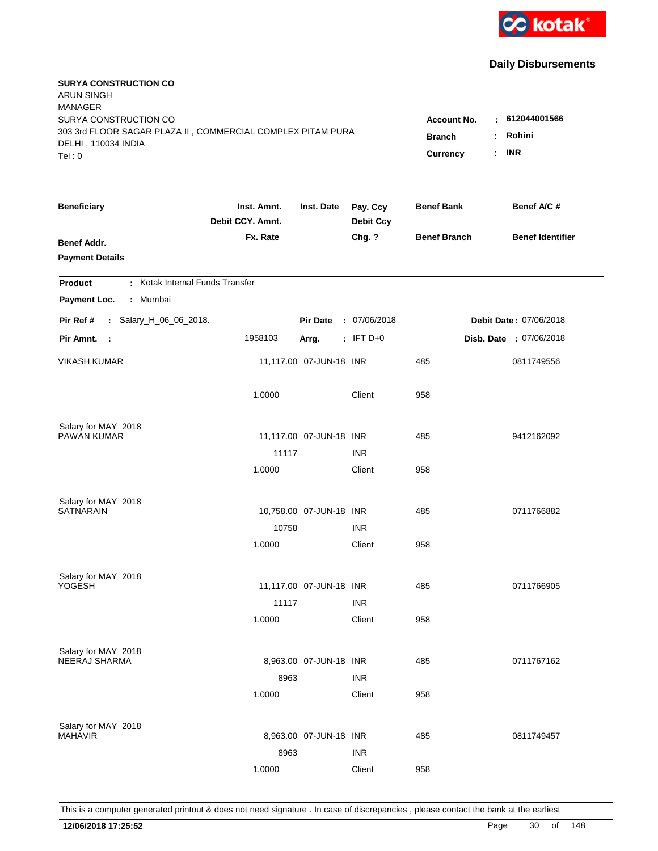

| <b>SURYA CONSTRUCTION CO</b><br><b>ARUN SINGH</b><br><b>MANAGER</b>                |                                 |                         |                              |                     |                               |
|------------------------------------------------------------------------------------|---------------------------------|-------------------------|------------------------------|---------------------|-------------------------------|
| SURYA CONSTRUCTION CO                                                              |                                 |                         |                              | Account No.         | : 612044001566                |
| 303 3rd FLOOR SAGAR PLAZA II, COMMERCIAL COMPLEX PITAM PURA<br>DELHI, 110034 INDIA | <b>Branch</b>                   | Rohini                  |                              |                     |                               |
| Tel: 0                                                                             |                                 |                         |                              | Currency            | <b>INR</b><br>÷.              |
| <b>Beneficiary</b>                                                                 | Inst. Amnt.<br>Debit CCY. Amnt. | Inst. Date              | Pay. Ccy<br><b>Debit Ccy</b> | <b>Benef Bank</b>   | Benef A/C #                   |
| <b>Benef Addr.</b>                                                                 | Fx. Rate                        |                         | Chg. ?                       | <b>Benef Branch</b> | <b>Benef Identifier</b>       |
| <b>Payment Details</b>                                                             |                                 |                         |                              |                     |                               |
| : Kotak Internal Funds Transfer<br>Product                                         |                                 |                         |                              |                     |                               |
| Payment Loc.<br>Mumbai<br>÷.                                                       |                                 |                         |                              |                     |                               |
| : Salary_H_06_06_2018.<br>Pir Ref #                                                |                                 | <b>Pir Date</b>         | : 07/06/2018                 |                     | <b>Debit Date: 07/06/2018</b> |
| Pir Amnt.<br>$\sim$ :                                                              | 1958103                         | Arrg.                   | $:$ IFT D+0                  |                     | Disb. Date : 07/06/2018       |
| <b>VIKASH KUMAR</b>                                                                |                                 | 11,117.00 07-JUN-18 INR |                              | 485                 | 0811749556                    |
|                                                                                    | 1.0000                          |                         | Client                       | 958                 |                               |
| Salary for MAY 2018                                                                |                                 |                         |                              |                     |                               |
| PAWAN KUMAR                                                                        |                                 | 11,117.00 07-JUN-18 INR |                              | 485                 | 9412162092                    |
|                                                                                    | 11117                           |                         | <b>INR</b>                   |                     |                               |
|                                                                                    | 1.0000                          |                         | Client                       | 958                 |                               |
| Salary for MAY 2018                                                                |                                 |                         |                              |                     |                               |
| <b>SATNARAIN</b>                                                                   |                                 | 10,758.00 07-JUN-18 INR |                              | 485                 | 0711766882                    |
|                                                                                    | 10758                           |                         | <b>INR</b>                   |                     |                               |
|                                                                                    | 1.0000                          |                         | Client                       | 958                 |                               |
| Salary for MAY 2018                                                                |                                 |                         |                              |                     |                               |
| YOGESH                                                                             |                                 | 11,117.00 07-JUN-18 INR |                              | 485                 | 0711766905                    |
|                                                                                    | 11117                           |                         | <b>INR</b>                   |                     |                               |
|                                                                                    | 1.0000                          |                         | Client                       | 958                 |                               |
| Salary for MAY 2018                                                                |                                 |                         |                              |                     |                               |
| NEERAJ SHARMA                                                                      |                                 | 8,963.00 07-JUN-18 INR  |                              | 485                 | 0711767162                    |
|                                                                                    | 8963                            |                         | <b>INR</b>                   |                     |                               |
|                                                                                    | 1.0000                          |                         | Client                       | 958                 |                               |
| Salary for MAY 2018                                                                |                                 |                         |                              |                     |                               |
| <b>MAHAVIR</b>                                                                     |                                 | 8,963.00 07-JUN-18 INR  |                              | 485                 | 0811749457                    |
|                                                                                    | 8963                            |                         | <b>INR</b>                   |                     |                               |
|                                                                                    | 1.0000                          |                         | Client                       | 958                 |                               |
|                                                                                    |                                 |                         |                              |                     |                               |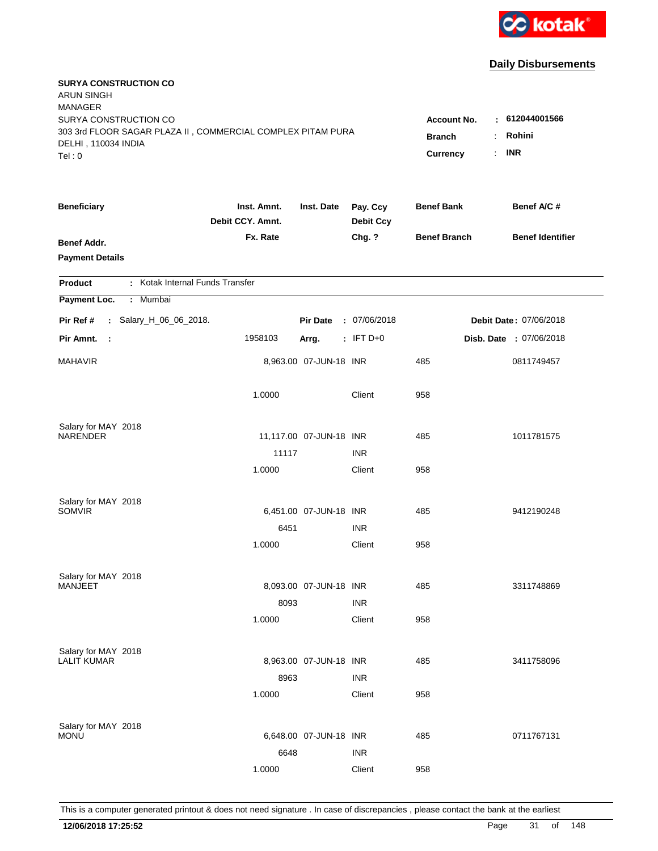

| <b>SURYA CONSTRUCTION CO</b><br><b>ARUN SINGH</b><br><b>MANAGER</b> |                                 |                         |                              |                     |                         |
|---------------------------------------------------------------------|---------------------------------|-------------------------|------------------------------|---------------------|-------------------------|
| SURYA CONSTRUCTION CO                                               |                                 |                         |                              | <b>Account No.</b>  | : 612044001566          |
| 303 3rd FLOOR SAGAR PLAZA II, COMMERCIAL COMPLEX PITAM PURA         | <b>Branch</b>                   | Rohini<br>÷             |                              |                     |                         |
| DELHI, 110034 INDIA<br>Tel: 0                                       |                                 |                         |                              | Currency            | <b>INR</b><br>÷.        |
|                                                                     |                                 |                         |                              |                     |                         |
| <b>Beneficiary</b>                                                  | Inst. Amnt.<br>Debit CCY. Amnt. | Inst. Date              | Pay. Ccy<br><b>Debit Ccy</b> | <b>Benef Bank</b>   | Benef A/C #             |
| Benef Addr.                                                         | Fx. Rate                        |                         | Chg. ?                       | <b>Benef Branch</b> | <b>Benef Identifier</b> |
| <b>Payment Details</b>                                              |                                 |                         |                              |                     |                         |
|                                                                     |                                 |                         |                              |                     |                         |
| : Kotak Internal Funds Transfer<br><b>Product</b>                   |                                 |                         |                              |                     |                         |
| Payment Loc.<br>: Mumbai                                            |                                 |                         |                              |                     |                         |
| Pir Ref #<br>: Salary_H_06_06_2018.                                 |                                 | <b>Pir Date</b>         | : 07/06/2018                 |                     | Debit Date: 07/06/2018  |
| Pir Amnt.<br>- 1                                                    | 1958103                         | Arrg.                   | $:$ IFT D+0                  |                     | Disb. Date : 07/06/2018 |
| <b>MAHAVIR</b>                                                      |                                 | 8,963.00 07-JUN-18 INR  |                              | 485                 | 0811749457              |
|                                                                     | 1.0000                          |                         | Client                       | 958                 |                         |
| Salary for MAY 2018                                                 |                                 |                         |                              |                     |                         |
| <b>NARENDER</b>                                                     |                                 | 11,117.00 07-JUN-18 INR |                              | 485                 | 1011781575              |
|                                                                     | 11117                           |                         | <b>INR</b>                   |                     |                         |
|                                                                     | 1.0000                          |                         | Client                       | 958                 |                         |
|                                                                     |                                 |                         |                              |                     |                         |
| Salary for MAY 2018<br><b>SOMVIR</b>                                |                                 | 6,451.00 07-JUN-18 INR  |                              | 485                 | 9412190248              |
|                                                                     | 6451                            |                         | <b>INR</b>                   |                     |                         |
|                                                                     | 1.0000                          |                         | Client                       | 958                 |                         |
|                                                                     |                                 |                         |                              |                     |                         |
| Salary for MAY 2018<br><b>MANJEET</b>                               |                                 | 8,093.00 07-JUN-18 INR  |                              |                     |                         |
|                                                                     |                                 |                         |                              | 485                 | 3311748869              |
|                                                                     | 8093                            |                         | <b>INR</b>                   |                     |                         |
|                                                                     | 1.0000                          |                         | Client                       | 958                 |                         |
| Salary for MAY 2018                                                 |                                 |                         |                              |                     |                         |
| <b>LALIT KUMAR</b>                                                  |                                 | 8,963.00 07-JUN-18 INR  |                              | 485                 | 3411758096              |
|                                                                     | 8963                            |                         | <b>INR</b>                   |                     |                         |
|                                                                     | 1.0000                          |                         | Client                       | 958                 |                         |
|                                                                     |                                 |                         |                              |                     |                         |
| Salary for MAY 2018<br><b>MONU</b>                                  |                                 | 6,648.00 07-JUN-18 INR  |                              | 485                 | 0711767131              |
|                                                                     | 6648                            |                         | <b>INR</b>                   |                     |                         |
|                                                                     | 1.0000                          |                         | Client                       | 958                 |                         |
|                                                                     |                                 |                         |                              |                     |                         |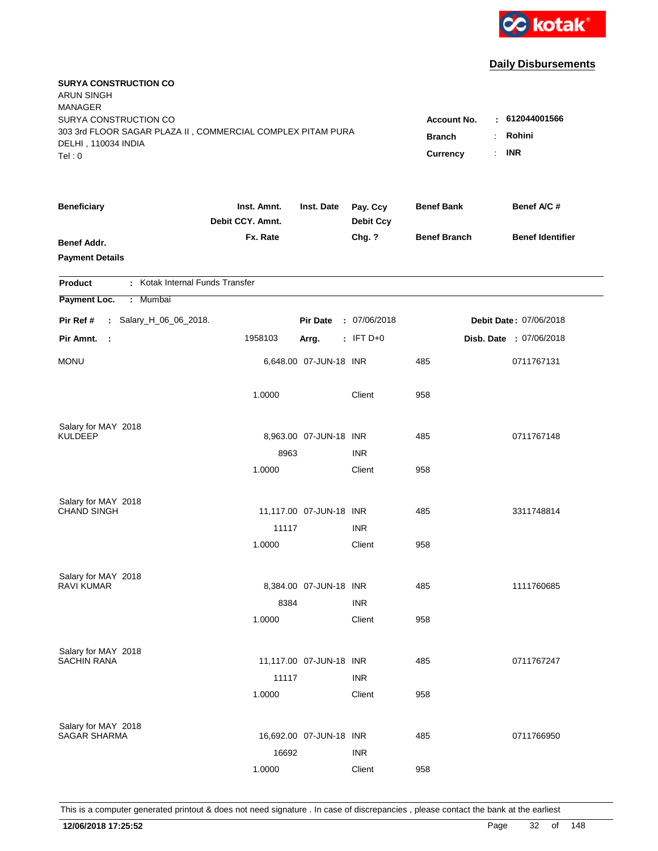

| <b>SURYA CONSTRUCTION CO</b><br><b>ARUN SINGH</b><br><b>MANAGER</b>                  |                                 |                         |                              |                                     |                                |
|--------------------------------------------------------------------------------------|---------------------------------|-------------------------|------------------------------|-------------------------------------|--------------------------------|
| SURYA CONSTRUCTION CO<br>303 3rd FLOOR SAGAR PLAZA II, COMMERCIAL COMPLEX PITAM PURA |                                 |                         |                              | <b>Account No.</b><br><b>Branch</b> | $-612044001566$<br>Rohini<br>÷ |
| DELHI, 110034 INDIA<br>Tel: 0                                                        |                                 |                         |                              | <b>Currency</b>                     | <b>INR</b><br>÷.               |
|                                                                                      |                                 |                         |                              |                                     |                                |
| <b>Beneficiary</b>                                                                   | Inst. Amnt.<br>Debit CCY. Amnt. | Inst. Date              | Pay. Ccy<br><b>Debit Ccy</b> | <b>Benef Bank</b>                   | Benef A/C #                    |
| <b>Benef Addr.</b>                                                                   | Fx. Rate                        |                         | Chg. ?                       | <b>Benef Branch</b>                 | <b>Benef Identifier</b>        |
| <b>Payment Details</b>                                                               |                                 |                         |                              |                                     |                                |
| : Kotak Internal Funds Transfer<br><b>Product</b>                                    |                                 |                         |                              |                                     |                                |
| Payment Loc.<br>: Mumbai                                                             |                                 |                         |                              |                                     |                                |
| Pir Ref #<br>: Salary_H_06_06_2018.                                                  |                                 | <b>Pir Date</b>         | : 07/06/2018                 |                                     | Debit Date: 07/06/2018         |
| Pir Amnt.<br>$\mathbb{R}^2$                                                          | 1958103                         | Arrg.                   | $:$ IFT D+0                  |                                     | Disb. Date : 07/06/2018        |
| <b>MONU</b>                                                                          |                                 | 6,648.00 07-JUN-18 INR  |                              | 485                                 | 0711767131                     |
|                                                                                      | 1.0000                          |                         | Client                       | 958                                 |                                |
| Salary for MAY 2018                                                                  |                                 |                         |                              |                                     |                                |
| <b>KULDEEP</b>                                                                       | 8963                            | 8,963.00 07-JUN-18 INR  | <b>INR</b>                   | 485                                 | 0711767148                     |
|                                                                                      | 1.0000                          |                         | Client                       | 958                                 |                                |
|                                                                                      |                                 |                         |                              |                                     |                                |
| Salary for MAY 2018                                                                  |                                 |                         |                              |                                     |                                |
| <b>CHAND SINGH</b>                                                                   |                                 | 11,117.00 07-JUN-18 INR |                              | 485                                 | 3311748814                     |
|                                                                                      | 11117                           |                         | <b>INR</b>                   |                                     |                                |
|                                                                                      | 1.0000                          |                         | Client                       | 958                                 |                                |
| Salary for MAY 2018                                                                  |                                 |                         |                              |                                     |                                |
| <b>RAVI KUMAR</b>                                                                    |                                 | 8,384.00 07-JUN-18 INR  |                              | 485                                 | 1111760685                     |
|                                                                                      | 8384                            |                         | <b>INR</b>                   |                                     |                                |
|                                                                                      | 1.0000                          |                         | Client                       | 958                                 |                                |
| Salary for MAY 2018                                                                  |                                 |                         |                              |                                     |                                |
| <b>SACHIN RANA</b>                                                                   |                                 | 11,117.00 07-JUN-18 INR |                              | 485                                 | 0711767247                     |
|                                                                                      | 11117                           |                         | <b>INR</b>                   |                                     |                                |
|                                                                                      | 1.0000                          |                         | Client                       | 958                                 |                                |
| Salary for MAY 2018                                                                  |                                 |                         |                              |                                     |                                |
| <b>SAGAR SHARMA</b>                                                                  |                                 | 16,692.00 07-JUN-18 INR |                              | 485                                 | 0711766950                     |
|                                                                                      | 16692                           |                         | <b>INR</b>                   |                                     |                                |
|                                                                                      | 1.0000                          |                         | Client                       | 958                                 |                                |
|                                                                                      |                                 |                         |                              |                                     |                                |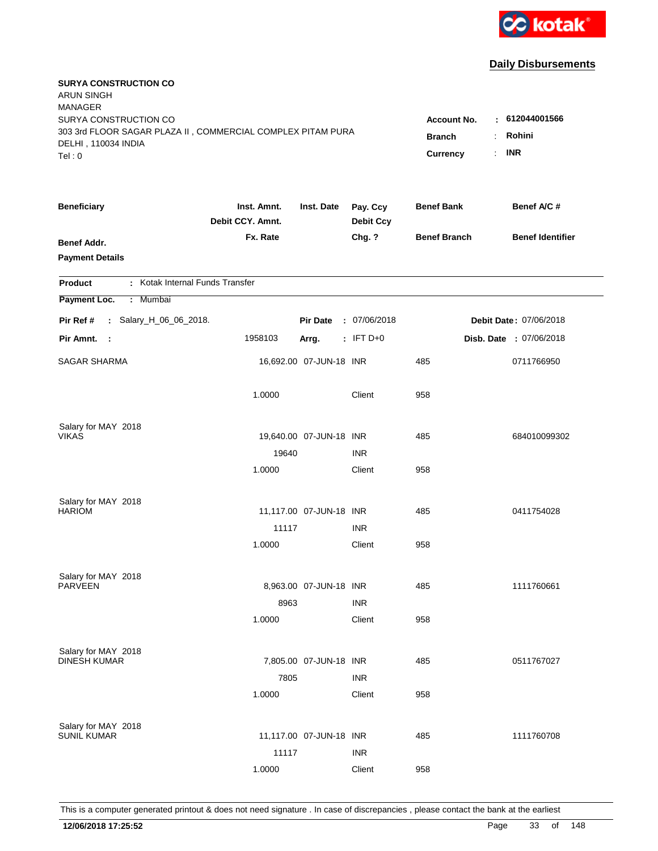

| <b>SURYA CONSTRUCTION CO</b><br><b>ARUN SINGH</b><br><b>MANAGER</b>                  |                                 |                         |                              |                                          |                                |  |
|--------------------------------------------------------------------------------------|---------------------------------|-------------------------|------------------------------|------------------------------------------|--------------------------------|--|
| SURYA CONSTRUCTION CO<br>303 3rd FLOOR SAGAR PLAZA II, COMMERCIAL COMPLEX PITAM PURA |                                 |                         |                              | <b>Account No.</b><br><b>Branch</b><br>÷ | : 612044001566<br>Rohini       |  |
| DELHI, 110034 INDIA<br>Tel: 0                                                        |                                 |                         |                              | Currency<br>÷.                           | <b>INR</b>                     |  |
| <b>Beneficiary</b>                                                                   | Inst. Amnt.<br>Debit CCY. Amnt. | Inst. Date              | Pay. Ccy<br><b>Debit Ccy</b> | <b>Benef Bank</b>                        | Benef A/C #                    |  |
| Benef Addr.<br><b>Payment Details</b>                                                | Fx. Rate                        |                         | Chg. ?                       | <b>Benef Branch</b>                      | <b>Benef Identifier</b>        |  |
| : Kotak Internal Funds Transfer<br><b>Product</b>                                    |                                 |                         |                              |                                          |                                |  |
| Payment Loc.<br>Mumbai<br>÷.                                                         |                                 |                         |                              |                                          |                                |  |
| Pir Ref #<br>: Salary_H_06_06_2018.                                                  |                                 | <b>Pir Date</b>         | : 07/06/2018                 |                                          | Debit Date: 07/06/2018         |  |
| Pir Amnt. :                                                                          | 1958103                         | Arrg.                   | $:$ IFT D+0                  |                                          | <b>Disb. Date : 07/06/2018</b> |  |
| <b>SAGAR SHARMA</b>                                                                  |                                 | 16,692.00 07-JUN-18 INR |                              | 485                                      | 0711766950                     |  |
|                                                                                      | 1.0000                          |                         | Client                       | 958                                      |                                |  |
| Salary for MAY 2018                                                                  |                                 |                         |                              |                                          |                                |  |
| <b>VIKAS</b>                                                                         |                                 | 19,640.00 07-JUN-18 INR |                              | 485                                      | 684010099302                   |  |
|                                                                                      | 19640                           |                         | <b>INR</b>                   |                                          |                                |  |
|                                                                                      | 1.0000                          |                         | Client                       | 958                                      |                                |  |
| Salary for MAY 2018                                                                  |                                 |                         |                              |                                          |                                |  |
| <b>HARIOM</b>                                                                        |                                 | 11,117.00 07-JUN-18 INR |                              | 485                                      | 0411754028                     |  |
|                                                                                      | 11117                           |                         | <b>INR</b>                   |                                          |                                |  |
|                                                                                      | 1.0000                          |                         | Client                       | 958                                      |                                |  |
| Salary for MAY 2018                                                                  |                                 |                         |                              |                                          |                                |  |
| <b>PARVEEN</b>                                                                       |                                 | 8,963.00 07-JUN-18 INR  |                              | 485                                      | 1111760661                     |  |
|                                                                                      | 8963                            |                         | <b>INR</b>                   |                                          |                                |  |
|                                                                                      | 1.0000                          |                         | Client                       | 958                                      |                                |  |
| Salary for MAY 2018                                                                  |                                 |                         |                              |                                          |                                |  |
| <b>DINESH KUMAR</b>                                                                  |                                 | 7,805.00 07-JUN-18 INR  |                              | 485                                      | 0511767027                     |  |
|                                                                                      | 7805                            |                         | <b>INR</b>                   |                                          |                                |  |
|                                                                                      | 1.0000                          |                         | Client                       | 958                                      |                                |  |
| Salary for MAY 2018                                                                  |                                 |                         |                              |                                          |                                |  |
| <b>SUNIL KUMAR</b>                                                                   |                                 | 11,117.00 07-JUN-18 INR |                              | 485                                      | 1111760708                     |  |
|                                                                                      | 11117                           |                         | <b>INR</b>                   |                                          |                                |  |
|                                                                                      | 1.0000                          |                         | Client                       | 958                                      |                                |  |
|                                                                                      |                                 |                         |                              |                                          |                                |  |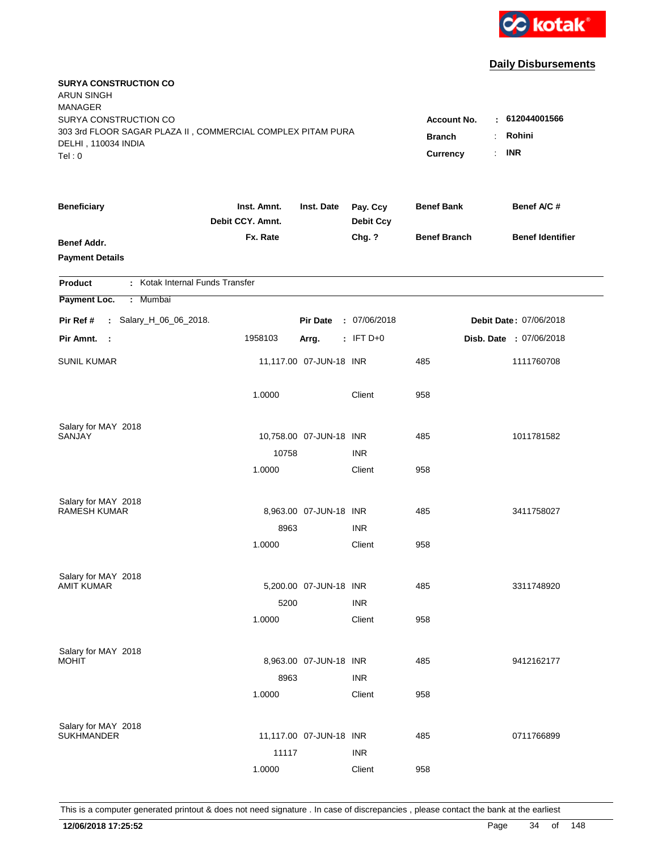

| <b>SURYA CONSTRUCTION CO</b><br>ARUN SINGH<br><b>MANAGER</b><br>SURYA CONSTRUCTION CO        |                                 |                                 |                              | <b>Account No.</b>  | : 612044001566          |
|----------------------------------------------------------------------------------------------|---------------------------------|---------------------------------|------------------------------|---------------------|-------------------------|
| 303 3rd FLOOR SAGAR PLAZA II, COMMERCIAL COMPLEX PITAM PURA<br>DELHI, 110034 INDIA<br>Tel: 0 | <b>Branch</b><br>Currency       | Rohini<br>÷<br><b>INR</b><br>÷. |                              |                     |                         |
| <b>Beneficiary</b>                                                                           | Inst. Amnt.<br>Debit CCY. Amnt. | Inst. Date                      | Pay. Ccy<br><b>Debit Ccy</b> | <b>Benef Bank</b>   | Benef A/C #             |
| <b>Benef Addr.</b><br><b>Payment Details</b>                                                 | Fx. Rate                        |                                 | Chg. ?                       | <b>Benef Branch</b> | <b>Benef Identifier</b> |
| : Kotak Internal Funds Transfer<br>Product                                                   |                                 |                                 |                              |                     |                         |
| Payment Loc.<br>: Mumbai                                                                     |                                 |                                 |                              |                     |                         |
| : Salary_H_06_06_2018.<br>Pir Ref #                                                          |                                 | <b>Pir Date</b>                 | : 07/06/2018                 |                     | Debit Date: 07/06/2018  |
| Pir Amnt. :                                                                                  | 1958103                         | Arrg.                           | $:$ IFT D+0                  |                     | Disb. Date : 07/06/2018 |
| <b>SUNIL KUMAR</b>                                                                           |                                 | 11,117.00 07-JUN-18 INR         |                              | 485                 | 1111760708              |
|                                                                                              | 1.0000                          |                                 | Client                       | 958                 |                         |
| Salary for MAY 2018                                                                          |                                 |                                 |                              |                     |                         |
| SANJAY                                                                                       | 10758                           | 10,758.00 07-JUN-18 INR         | <b>INR</b>                   | 485                 | 1011781582              |
|                                                                                              | 1.0000                          |                                 | Client                       | 958                 |                         |
|                                                                                              |                                 |                                 |                              |                     |                         |
| Salary for MAY 2018<br><b>RAMESH KUMAR</b>                                                   |                                 | 8,963.00 07-JUN-18 INR          |                              | 485                 | 3411758027              |
|                                                                                              | 8963                            |                                 | <b>INR</b>                   |                     |                         |
|                                                                                              | 1.0000                          |                                 | Client                       | 958                 |                         |
| Salary for MAY 2018                                                                          |                                 |                                 |                              |                     |                         |
| <b>AMIT KUMAR</b>                                                                            |                                 | 5,200.00 07-JUN-18 INR          |                              | 485                 | 3311748920              |
|                                                                                              | 5200                            |                                 | <b>INR</b>                   |                     |                         |
|                                                                                              | 1.0000                          |                                 | Client                       | 958                 |                         |
| Salary for MAY 2018                                                                          |                                 |                                 |                              |                     |                         |
| <b>MOHIT</b>                                                                                 |                                 | 8,963.00 07-JUN-18 INR          | <b>INR</b>                   | 485                 | 9412162177              |
|                                                                                              | 8963<br>1.0000                  |                                 | Client                       | 958                 |                         |
|                                                                                              |                                 |                                 |                              |                     |                         |
| Salary for MAY 2018<br><b>SUKHMANDER</b>                                                     |                                 | 11,117.00 07-JUN-18 INR         |                              | 485                 | 0711766899              |
|                                                                                              | 11117                           |                                 | <b>INR</b>                   |                     |                         |
|                                                                                              | 1.0000                          |                                 | Client                       | 958                 |                         |
|                                                                                              |                                 |                                 |                              |                     |                         |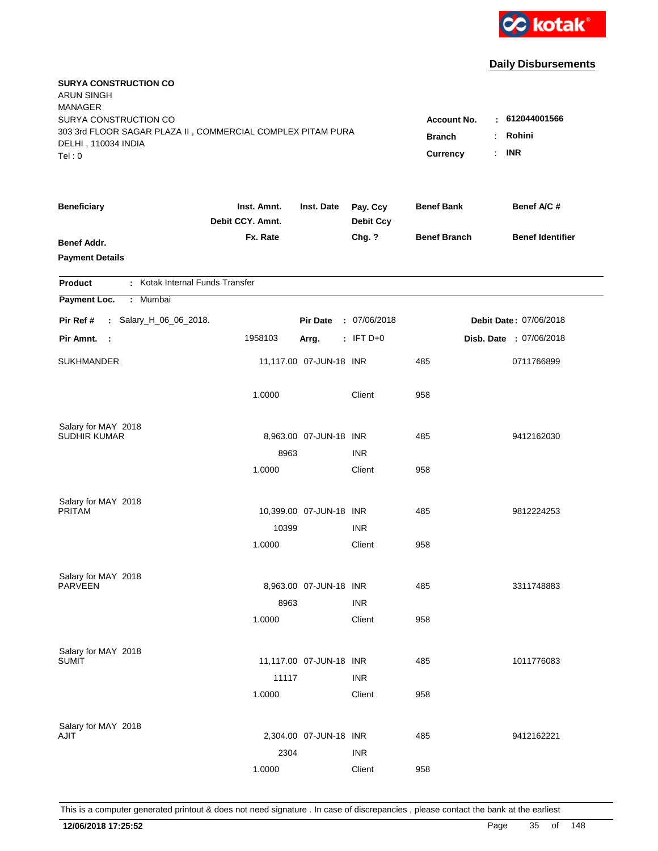

| <b>SURYA CONSTRUCTION CO</b><br><b>ARUN SINGH</b><br><b>MANAGER</b>                                                   |                                                        |                                                    |                              |                     |                         |
|-----------------------------------------------------------------------------------------------------------------------|--------------------------------------------------------|----------------------------------------------------|------------------------------|---------------------|-------------------------|
| SURYA CONSTRUCTION CO<br>303 3rd FLOOR SAGAR PLAZA II, COMMERCIAL COMPLEX PITAM PURA<br>DELHI, 110034 INDIA<br>Tel: 0 | <b>Account No.</b><br><b>Branch</b><br><b>Currency</b> | $-612044001566$<br>Rohini<br>÷<br><b>INR</b><br>÷. |                              |                     |                         |
| <b>Beneficiary</b>                                                                                                    | Inst. Amnt.<br>Debit CCY. Amnt.                        | Inst. Date                                         | Pay. Ccy<br><b>Debit Ccy</b> | <b>Benef Bank</b>   | Benef A/C #             |
| Benef Addr.<br><b>Payment Details</b>                                                                                 | Fx. Rate                                               |                                                    | Chg. ?                       | <b>Benef Branch</b> | <b>Benef Identifier</b> |
| : Kotak Internal Funds Transfer<br><b>Product</b>                                                                     |                                                        |                                                    |                              |                     |                         |
| Payment Loc.<br>Mumbai<br>÷.                                                                                          |                                                        |                                                    |                              |                     |                         |
| : Salary_H_06_06_2018.<br>Pir Ref #                                                                                   |                                                        | <b>Pir Date</b>                                    | : 07/06/2018                 |                     | Debit Date: 07/06/2018  |
| Pir Amnt.<br>$\sim$ 1                                                                                                 | 1958103                                                | Arrg.                                              | $:$ IFT D+0                  |                     | Disb. Date : 07/06/2018 |
| <b>SUKHMANDER</b>                                                                                                     |                                                        | 11,117.00 07-JUN-18 INR                            |                              | 485                 | 0711766899              |
|                                                                                                                       | 1.0000                                                 |                                                    | Client                       | 958                 |                         |
| Salary for MAY 2018                                                                                                   |                                                        |                                                    |                              |                     |                         |
| <b>SUDHIR KUMAR</b>                                                                                                   |                                                        | 8,963.00 07-JUN-18 INR                             |                              | 485                 | 9412162030              |
|                                                                                                                       | 8963                                                   |                                                    | <b>INR</b>                   |                     |                         |
|                                                                                                                       | 1.0000                                                 |                                                    | Client                       | 958                 |                         |
| Salary for MAY 2018                                                                                                   |                                                        |                                                    |                              |                     |                         |
| <b>PRITAM</b>                                                                                                         |                                                        | 10,399.00 07-JUN-18 INR                            |                              | 485                 | 9812224253              |
|                                                                                                                       | 10399                                                  |                                                    | <b>INR</b>                   |                     |                         |
|                                                                                                                       | 1.0000                                                 |                                                    | Client                       | 958                 |                         |
| Salary for MAY 2018                                                                                                   |                                                        |                                                    |                              |                     |                         |
| <b>PARVEEN</b>                                                                                                        |                                                        | 8,963.00 07-JUN-18 INR                             |                              | 485                 | 3311748883              |
|                                                                                                                       | 8963                                                   |                                                    | <b>INR</b>                   |                     |                         |
|                                                                                                                       | 1.0000                                                 |                                                    | Client                       | 958                 |                         |
| Salary for MAY 2018                                                                                                   |                                                        |                                                    |                              |                     |                         |
| <b>SUMIT</b>                                                                                                          |                                                        | 11,117.00 07-JUN-18 INR                            |                              | 485                 | 1011776083              |
|                                                                                                                       | 11117                                                  |                                                    | <b>INR</b>                   |                     |                         |
|                                                                                                                       | 1.0000                                                 |                                                    | Client                       | 958                 |                         |
| Salary for MAY 2018                                                                                                   |                                                        |                                                    |                              |                     |                         |
| AJIT                                                                                                                  |                                                        | 2,304.00 07-JUN-18 INR                             |                              | 485                 | 9412162221              |
|                                                                                                                       | 2304                                                   |                                                    | <b>INR</b>                   |                     |                         |
|                                                                                                                       | 1.0000                                                 |                                                    | Client                       | 958                 |                         |
|                                                                                                                       |                                                        |                                                    |                              |                     |                         |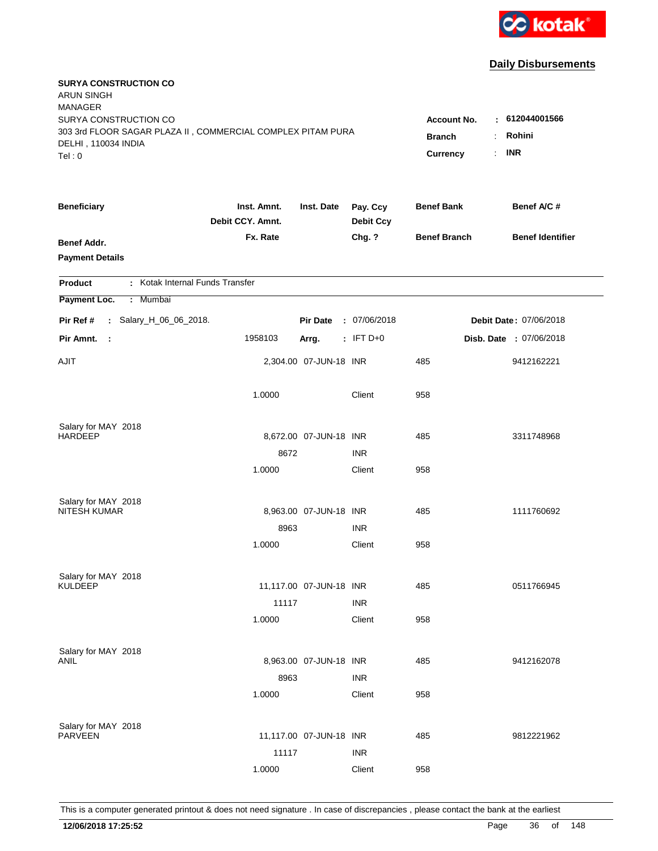

| <b>SURYA CONSTRUCTION CO</b><br><b>ARUN SINGH</b><br><b>MANAGER</b>                |                                 |                         |                              |                     |                         |
|------------------------------------------------------------------------------------|---------------------------------|-------------------------|------------------------------|---------------------|-------------------------|
| SURYA CONSTRUCTION CO                                                              |                                 |                         |                              | <b>Account No.</b>  | $-612044001566$         |
| 303 3rd FLOOR SAGAR PLAZA II, COMMERCIAL COMPLEX PITAM PURA<br>DELHI, 110034 INDIA | <b>Branch</b>                   | Rohini<br>÷.            |                              |                     |                         |
| Tel: 0                                                                             |                                 |                         |                              | Currency            | <b>INR</b><br>÷.        |
| <b>Beneficiary</b>                                                                 | Inst. Amnt.<br>Debit CCY. Amnt. | Inst. Date              | Pay. Ccy<br><b>Debit Ccy</b> | <b>Benef Bank</b>   | Benef A/C #             |
| <b>Benef Addr.</b>                                                                 | Fx. Rate                        |                         | Chg. ?                       | <b>Benef Branch</b> | <b>Benef Identifier</b> |
| <b>Payment Details</b>                                                             |                                 |                         |                              |                     |                         |
| : Kotak Internal Funds Transfer<br><b>Product</b>                                  |                                 |                         |                              |                     |                         |
| Payment Loc.<br>Mumbai<br>÷.                                                       |                                 |                         |                              |                     |                         |
| : Salary_H_06_06_2018.<br>Pir Ref #                                                |                                 | <b>Pir Date</b>         | : 07/06/2018                 |                     | Debit Date: 07/06/2018  |
| Pir Amnt.<br>$\sim$ 1                                                              | 1958103                         | Arrg.                   | $:$ IFT D+0                  |                     | Disb. Date : 07/06/2018 |
| <b>AJIT</b>                                                                        |                                 | 2,304.00 07-JUN-18 INR  |                              | 485                 | 9412162221              |
|                                                                                    | 1.0000                          |                         | Client                       | 958                 |                         |
| Salary for MAY 2018                                                                |                                 |                         |                              |                     |                         |
| <b>HARDEEP</b>                                                                     |                                 | 8,672.00 07-JUN-18 INR  |                              | 485                 | 3311748968              |
|                                                                                    | 8672                            |                         | <b>INR</b>                   |                     |                         |
|                                                                                    | 1.0000                          |                         | Client                       | 958                 |                         |
| Salary for MAY 2018                                                                |                                 |                         |                              |                     |                         |
| <b>NITESH KUMAR</b>                                                                |                                 | 8,963.00 07-JUN-18 INR  |                              | 485                 | 1111760692              |
|                                                                                    | 8963                            |                         | <b>INR</b>                   |                     |                         |
|                                                                                    | 1.0000                          |                         | Client                       | 958                 |                         |
| Salary for MAY 2018                                                                |                                 |                         |                              |                     |                         |
| <b>KULDEEP</b>                                                                     |                                 | 11,117.00 07-JUN-18 INR |                              | 485                 | 0511766945              |
|                                                                                    | 11117                           |                         | <b>INR</b>                   |                     |                         |
|                                                                                    | 1.0000                          |                         | Client                       | 958                 |                         |
| Salary for MAY 2018                                                                |                                 |                         |                              |                     |                         |
| <b>ANIL</b>                                                                        |                                 | 8,963.00 07-JUN-18 INR  |                              | 485                 | 9412162078              |
|                                                                                    | 8963                            |                         | <b>INR</b>                   |                     |                         |
|                                                                                    | 1.0000                          |                         | Client                       | 958                 |                         |
|                                                                                    |                                 |                         |                              |                     |                         |
| Salary for MAY 2018<br><b>PARVEEN</b>                                              |                                 | 11,117.00 07-JUN-18 INR |                              | 485                 | 9812221962              |
|                                                                                    | 11117                           |                         | <b>INR</b>                   |                     |                         |
|                                                                                    | 1.0000                          |                         | Client                       | 958                 |                         |
|                                                                                    |                                 |                         |                              |                     |                         |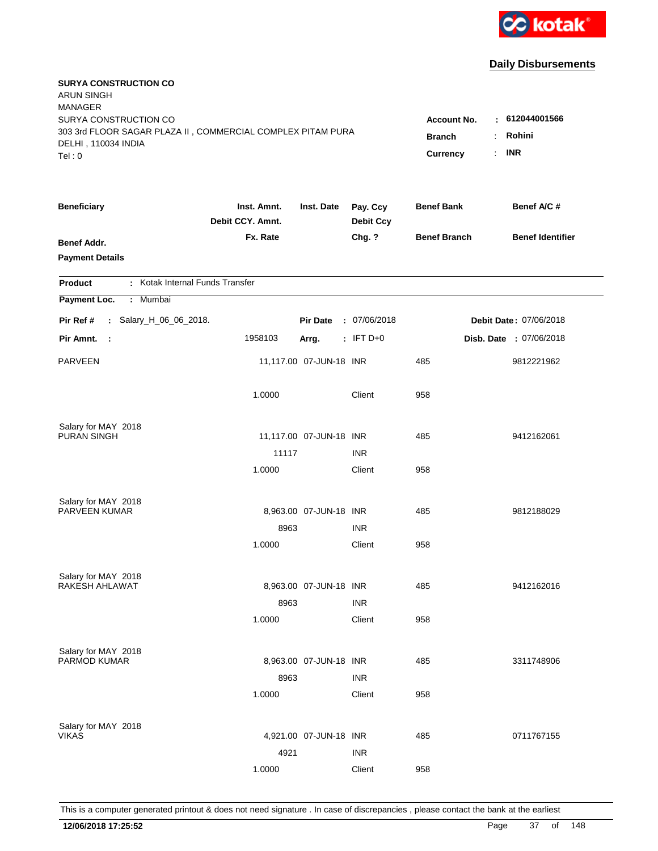

| <b>SURYA CONSTRUCTION CO</b><br><b>ARUN SINGH</b><br><b>MANAGER</b> |                                 |                         |                              |                     |                         |
|---------------------------------------------------------------------|---------------------------------|-------------------------|------------------------------|---------------------|-------------------------|
| SURYA CONSTRUCTION CO                                               |                                 |                         |                              | <b>Account No.</b>  | $-612044001566$         |
| 303 3rd FLOOR SAGAR PLAZA II, COMMERCIAL COMPLEX PITAM PURA         | <b>Branch</b>                   | Rohini<br>÷             |                              |                     |                         |
| DELHI, 110034 INDIA<br>Tel: 0                                       |                                 |                         |                              | Currency            | <b>INR</b><br>÷.        |
|                                                                     |                                 |                         |                              |                     |                         |
| <b>Beneficiary</b>                                                  | Inst. Amnt.<br>Debit CCY. Amnt. | Inst. Date              | Pay. Ccy<br><b>Debit Ccy</b> | <b>Benef Bank</b>   | Benef A/C #             |
| Benef Addr.                                                         | Fx. Rate                        |                         | Chg. ?                       | <b>Benef Branch</b> | <b>Benef Identifier</b> |
| <b>Payment Details</b>                                              |                                 |                         |                              |                     |                         |
| : Kotak Internal Funds Transfer<br><b>Product</b>                   |                                 |                         |                              |                     |                         |
| Payment Loc.<br>: Mumbai                                            |                                 |                         |                              |                     |                         |
| : Salary_H_06_06_2018.<br>Pir Ref #                                 |                                 | <b>Pir Date</b>         | : 07/06/2018                 |                     | Debit Date: 07/06/2018  |
| Pir Amnt.<br>- 1                                                    | 1958103                         | Arrg.                   | $:$ IFT D+0                  |                     | Disb. Date : 07/06/2018 |
| <b>PARVEEN</b>                                                      |                                 | 11,117.00 07-JUN-18 INR |                              | 485                 | 9812221962              |
|                                                                     | 1.0000                          |                         | Client                       | 958                 |                         |
| Salary for MAY 2018                                                 |                                 |                         |                              |                     |                         |
| <b>PURAN SINGH</b>                                                  |                                 | 11,117.00 07-JUN-18 INR |                              | 485                 | 9412162061              |
|                                                                     | 11117                           |                         | <b>INR</b>                   |                     |                         |
|                                                                     | 1.0000                          |                         | Client                       | 958                 |                         |
| Salary for MAY 2018                                                 |                                 |                         |                              |                     |                         |
| PARVEEN KUMAR                                                       |                                 | 8,963.00 07-JUN-18 INR  |                              | 485                 | 9812188029              |
|                                                                     | 8963                            |                         | <b>INR</b>                   |                     |                         |
|                                                                     | 1.0000                          |                         | Client                       | 958                 |                         |
| Salary for MAY 2018                                                 |                                 |                         |                              |                     |                         |
| RAKESH AHLAWAT                                                      |                                 | 8,963.00 07-JUN-18 INR  |                              | 485                 | 9412162016              |
|                                                                     | 8963                            |                         | <b>INR</b>                   |                     |                         |
|                                                                     | 1.0000                          |                         | Client                       | 958                 |                         |
| Salary for MAY 2018                                                 |                                 |                         |                              |                     |                         |
| PARMOD KUMAR                                                        |                                 | 8,963.00 07-JUN-18 INR  |                              | 485                 | 3311748906              |
|                                                                     | 8963                            |                         | <b>INR</b>                   |                     |                         |
|                                                                     | 1.0000                          |                         | Client                       | 958                 |                         |
| Salary for MAY 2018                                                 |                                 |                         |                              |                     |                         |
| <b>VIKAS</b>                                                        |                                 | 4,921.00 07-JUN-18 INR  |                              | 485                 | 0711767155              |
|                                                                     | 4921                            |                         | <b>INR</b>                   |                     |                         |
|                                                                     | 1.0000                          |                         | Client                       | 958                 |                         |
|                                                                     |                                 |                         |                              |                     |                         |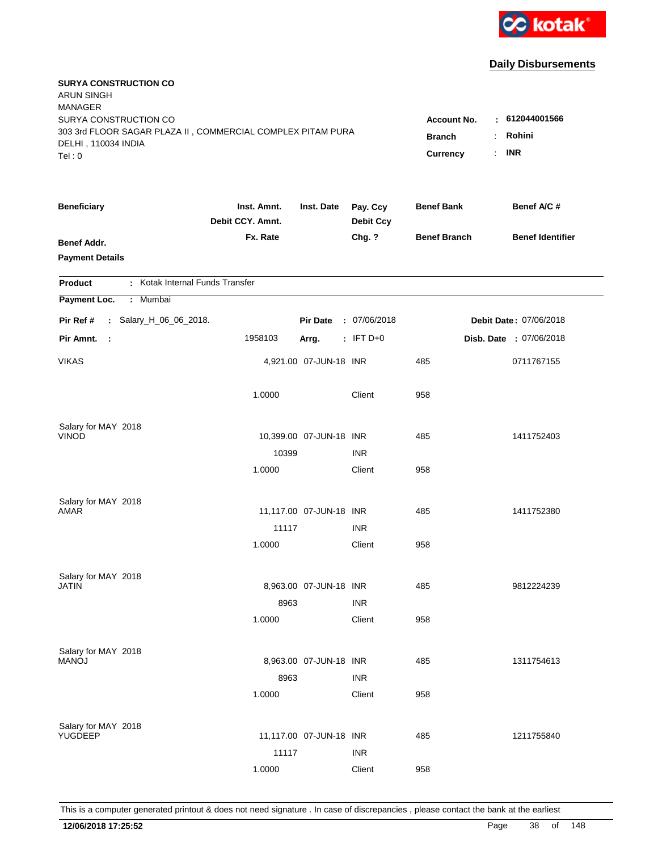

| <b>SURYA CONSTRUCTION CO</b><br><b>ARUN SINGH</b><br><b>MANAGER</b><br>SURYA CONSTRUCTION CO<br>303 3rd FLOOR SAGAR PLAZA II, COMMERCIAL COMPLEX PITAM PURA<br>DELHI, 110034 INDIA |                                 |                         |                              | <b>Account No.</b><br><b>Branch</b> | : 612044001566<br>Rohini<br>÷ |
|------------------------------------------------------------------------------------------------------------------------------------------------------------------------------------|---------------------------------|-------------------------|------------------------------|-------------------------------------|-------------------------------|
| Tel: 0                                                                                                                                                                             |                                 |                         |                              | Currency                            | <b>INR</b><br>÷.              |
| <b>Beneficiary</b>                                                                                                                                                                 | Inst. Amnt.<br>Debit CCY. Amnt. | Inst. Date              | Pay. Ccy<br><b>Debit Ccy</b> | <b>Benef Bank</b>                   | Benef A/C #                   |
| <b>Benef Addr.</b><br><b>Payment Details</b>                                                                                                                                       | Fx. Rate                        |                         | Chg. ?                       | <b>Benef Branch</b>                 | <b>Benef Identifier</b>       |
| : Kotak Internal Funds Transfer<br>Product                                                                                                                                         |                                 |                         |                              |                                     |                               |
| Payment Loc.<br>: Mumbai                                                                                                                                                           |                                 |                         |                              |                                     |                               |
| : Salary_H_06_06_2018.<br>Pir Ref #                                                                                                                                                |                                 | <b>Pir Date</b>         | : 07/06/2018                 |                                     | Debit Date: 07/06/2018        |
| Pir Amnt.<br>$\sim$ 1                                                                                                                                                              | 1958103                         | Arrg.                   | $:$ IFT D+0                  |                                     | Disb. Date : 07/06/2018       |
| <b>VIKAS</b>                                                                                                                                                                       |                                 | 4,921.00 07-JUN-18 INR  |                              | 485                                 | 0711767155                    |
|                                                                                                                                                                                    | 1.0000                          |                         | Client                       | 958                                 |                               |
| Salary for MAY 2018                                                                                                                                                                |                                 |                         |                              |                                     |                               |
| <b>VINOD</b>                                                                                                                                                                       |                                 | 10,399.00 07-JUN-18 INR |                              | 485                                 | 1411752403                    |
|                                                                                                                                                                                    | 10399<br>1.0000                 |                         | <b>INR</b>                   | 958                                 |                               |
|                                                                                                                                                                                    |                                 |                         | Client                       |                                     |                               |
| Salary for MAY 2018                                                                                                                                                                |                                 |                         |                              |                                     |                               |
| AMAR                                                                                                                                                                               |                                 | 11,117.00 07-JUN-18 INR |                              | 485                                 | 1411752380                    |
|                                                                                                                                                                                    | 11117                           |                         | <b>INR</b>                   |                                     |                               |
|                                                                                                                                                                                    | 1.0000                          |                         | Client                       | 958                                 |                               |
| Salary for MAY 2018                                                                                                                                                                |                                 |                         |                              |                                     |                               |
| <b>JATIN</b>                                                                                                                                                                       |                                 | 8,963.00 07-JUN-18 INR  |                              | 485                                 | 9812224239                    |
|                                                                                                                                                                                    | 8963                            |                         | <b>INR</b>                   |                                     |                               |
|                                                                                                                                                                                    | 1.0000                          |                         | Client                       | 958                                 |                               |
|                                                                                                                                                                                    |                                 |                         |                              |                                     |                               |
| Salary for MAY 2018<br><b>MANOJ</b>                                                                                                                                                |                                 | 8,963.00 07-JUN-18 INR  |                              | 485                                 | 1311754613                    |
|                                                                                                                                                                                    | 8963                            |                         | <b>INR</b>                   |                                     |                               |
|                                                                                                                                                                                    | 1.0000                          |                         | Client                       | 958                                 |                               |
|                                                                                                                                                                                    |                                 |                         |                              |                                     |                               |
| Salary for MAY 2018<br>YUGDEEP                                                                                                                                                     |                                 | 11,117.00 07-JUN-18 INR |                              | 485                                 | 1211755840                    |
|                                                                                                                                                                                    | 11117                           |                         | <b>INR</b>                   |                                     |                               |
|                                                                                                                                                                                    | 1.0000                          |                         | Client                       | 958                                 |                               |
|                                                                                                                                                                                    |                                 |                         |                              |                                     |                               |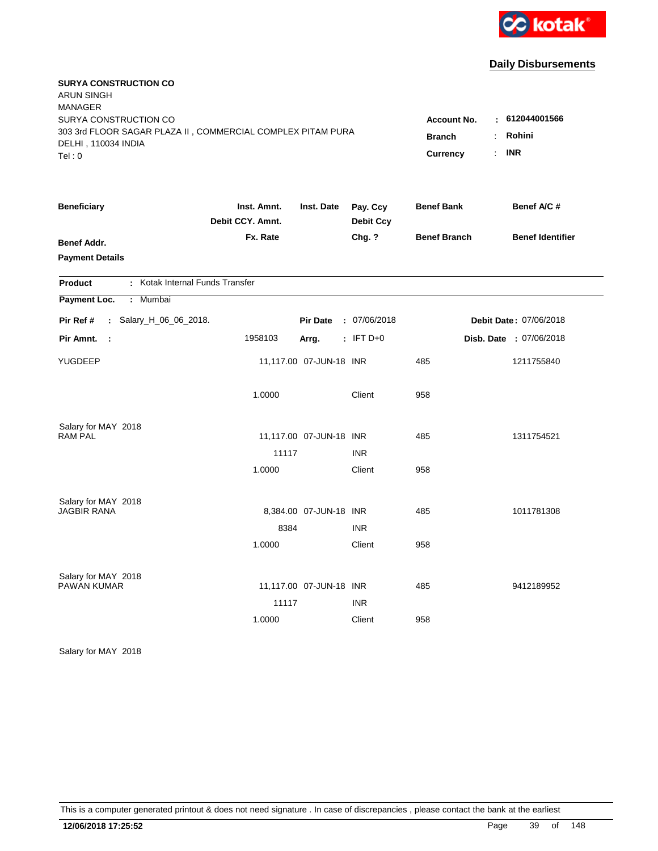

| <b>SURYA CONSTRUCTION CO</b><br><b>ARUN SINGH</b><br><b>MANAGER</b>                |                                 |                         |                              |                     |                         |
|------------------------------------------------------------------------------------|---------------------------------|-------------------------|------------------------------|---------------------|-------------------------|
| SURYA CONSTRUCTION CO                                                              |                                 |                         |                              | <b>Account No.</b>  | : 612044001566          |
| 303 3rd FLOOR SAGAR PLAZA II, COMMERCIAL COMPLEX PITAM PURA<br>DELHI, 110034 INDIA |                                 |                         |                              | <b>Branch</b>       | Rohini<br>÷             |
| Tel:0                                                                              |                                 |                         |                              | <b>Currency</b>     | <b>INR</b><br>÷         |
| <b>Beneficiary</b>                                                                 | Inst. Amnt.<br>Debit CCY. Amnt. | Inst. Date              | Pay. Ccy<br><b>Debit Ccy</b> | <b>Benef Bank</b>   | Benef A/C #             |
| Benef Addr.                                                                        | Fx. Rate                        |                         | Chg. ?                       | <b>Benef Branch</b> | <b>Benef Identifier</b> |
| <b>Payment Details</b>                                                             |                                 |                         |                              |                     |                         |
| : Kotak Internal Funds Transfer<br><b>Product</b>                                  |                                 |                         |                              |                     |                         |
| : Mumbai<br>Payment Loc.                                                           |                                 |                         |                              |                     |                         |
| : Salary_H_06_06_2018.<br>Pir Ref #                                                |                                 | <b>Pir Date</b>         | : 07/06/2018                 |                     | Debit Date: 07/06/2018  |
| Pir Amnt.<br>- 1                                                                   | 1958103                         | Arrg.                   | $:$ IFT D+0                  |                     | Disb. Date: 07/06/2018  |
| YUGDEEP                                                                            |                                 | 11,117.00 07-JUN-18 INR |                              | 485                 | 1211755840              |
|                                                                                    | 1.0000                          |                         | Client                       | 958                 |                         |
| Salary for MAY 2018                                                                |                                 |                         |                              |                     |                         |
| <b>RAM PAL</b>                                                                     |                                 | 11,117.00 07-JUN-18 INR |                              | 485                 | 1311754521              |
|                                                                                    | 11117                           |                         | <b>INR</b>                   |                     |                         |
|                                                                                    | 1.0000                          |                         | Client                       | 958                 |                         |
| Salary for MAY 2018                                                                |                                 |                         |                              |                     |                         |
| <b>JAGBIR RANA</b>                                                                 |                                 | 8,384.00 07-JUN-18 INR  |                              | 485                 | 1011781308              |
|                                                                                    | 8384                            |                         | <b>INR</b>                   |                     |                         |
|                                                                                    | 1.0000                          |                         | Client                       | 958                 |                         |
| Salary for MAY 2018                                                                |                                 |                         |                              |                     |                         |
| <b>PAWAN KUMAR</b>                                                                 |                                 | 11,117.00 07-JUN-18 INR |                              | 485                 | 9412189952              |
|                                                                                    | 11117                           |                         | <b>INR</b>                   |                     |                         |
|                                                                                    | 1.0000                          |                         | Client                       | 958                 |                         |
|                                                                                    |                                 |                         |                              |                     |                         |

Salary for MAY 2018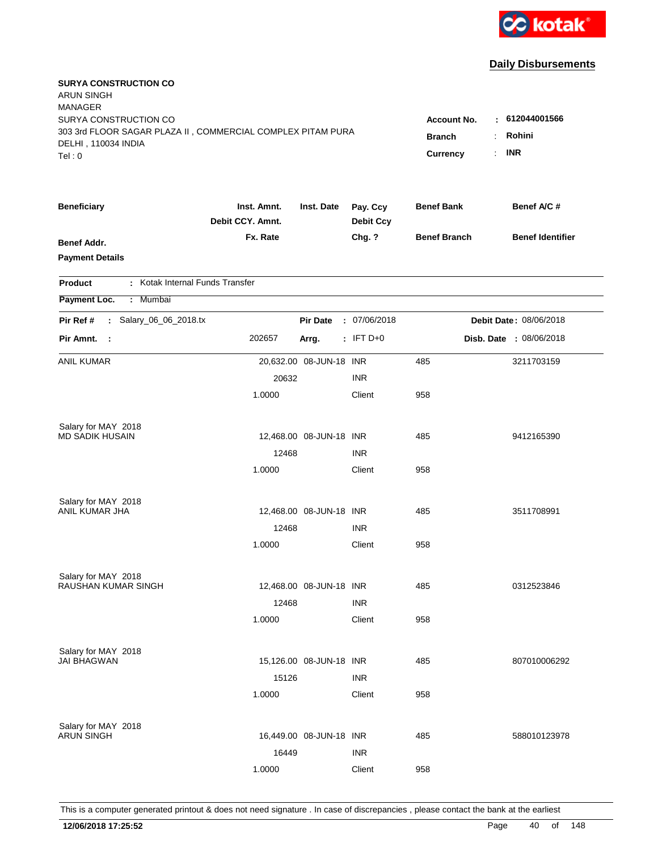

| <b>SURYA CONSTRUCTION CO</b><br><b>ARUN SINGH</b><br><b>MANAGER</b><br>SURYA CONSTRUCTION CO<br>303 3rd FLOOR SAGAR PLAZA II, COMMERCIAL COMPLEX PITAM PURA<br>DELHI, 110034 INDIA<br>Tel:0 | Account No.<br><b>Branch</b><br><b>Currency</b> | : 612044001566<br>Rohini<br><b>INR</b><br>$\mathcal{L}_{\mathcal{A}}$ |                              |                     |                         |
|---------------------------------------------------------------------------------------------------------------------------------------------------------------------------------------------|-------------------------------------------------|-----------------------------------------------------------------------|------------------------------|---------------------|-------------------------|
| <b>Beneficiary</b>                                                                                                                                                                          | Inst. Amnt.<br>Debit CCY, Amnt.                 | Inst. Date                                                            | Pay. Ccy<br><b>Debit Ccy</b> | <b>Benef Bank</b>   | Benef A/C #             |
| Benef Addr.<br><b>Payment Details</b>                                                                                                                                                       | Fx. Rate                                        |                                                                       | Chg. ?                       | <b>Benef Branch</b> | <b>Benef Identifier</b> |
| : Kotak Internal Funds Transfer<br><b>Product</b>                                                                                                                                           |                                                 |                                                                       |                              |                     |                         |
| Payment Loc.<br>: Mumbai                                                                                                                                                                    |                                                 |                                                                       |                              |                     |                         |
| Salary_06_06_2018.tx<br>Pir Ref #<br>$\mathcal{L}$                                                                                                                                          |                                                 | <b>Pir Date</b>                                                       | : 07/06/2018                 |                     | Debit Date: 08/06/2018  |
| Pir Amnt. :                                                                                                                                                                                 | 202657                                          | Arrg.                                                                 | $:$ IFT D+0                  |                     | Disb. Date : 08/06/2018 |
| ANIL KUMAR                                                                                                                                                                                  |                                                 | 20,632.00 08-JUN-18 INR                                               |                              | 485                 | 3211703159              |
|                                                                                                                                                                                             | 20632                                           |                                                                       | <b>INR</b>                   |                     |                         |
|                                                                                                                                                                                             | 1.0000                                          |                                                                       | Client                       | 958                 |                         |
| Salary for MAY 2018                                                                                                                                                                         |                                                 |                                                                       |                              |                     |                         |
| <b>MD SADIK HUSAIN</b>                                                                                                                                                                      |                                                 | 12,468.00 08-JUN-18 INR                                               |                              | 485                 | 9412165390              |
|                                                                                                                                                                                             | 12468                                           |                                                                       | <b>INR</b>                   |                     |                         |
|                                                                                                                                                                                             | 1.0000                                          |                                                                       | Client                       | 958                 |                         |
| Salary for MAY 2018                                                                                                                                                                         |                                                 |                                                                       |                              |                     |                         |
| ANIL KUMAR JHA                                                                                                                                                                              |                                                 | 12,468.00 08-JUN-18 INR                                               |                              | 485                 | 3511708991              |
|                                                                                                                                                                                             | 12468                                           |                                                                       | <b>INR</b>                   |                     |                         |
|                                                                                                                                                                                             | 1.0000                                          |                                                                       | Client                       | 958                 |                         |
| Salary for MAY 2018                                                                                                                                                                         |                                                 |                                                                       |                              |                     |                         |
| RAUSHAN KUMAR SINGH                                                                                                                                                                         |                                                 | 12,468.00 08-JUN-18 INR                                               |                              | 485                 | 0312523846              |
|                                                                                                                                                                                             | 12468                                           |                                                                       | <b>INR</b>                   |                     |                         |
|                                                                                                                                                                                             | 1.0000                                          |                                                                       | Client                       | 958                 |                         |
| Salary for MAY 2018<br><b>JAI BHAGWAN</b>                                                                                                                                                   |                                                 |                                                                       |                              |                     |                         |
|                                                                                                                                                                                             |                                                 | 15,126.00 08-JUN-18 INR                                               |                              | 485                 | 807010006292            |
|                                                                                                                                                                                             | 15126                                           |                                                                       | <b>INR</b>                   |                     |                         |
|                                                                                                                                                                                             | 1.0000                                          |                                                                       | Client                       | 958                 |                         |
| Salary for MAY 2018                                                                                                                                                                         |                                                 |                                                                       |                              |                     |                         |
| <b>ARUN SINGH</b>                                                                                                                                                                           |                                                 | 16,449.00 08-JUN-18 INR                                               |                              | 485                 | 588010123978            |
|                                                                                                                                                                                             | 16449                                           |                                                                       | <b>INR</b>                   |                     |                         |
|                                                                                                                                                                                             | 1.0000                                          |                                                                       | Client                       | 958                 |                         |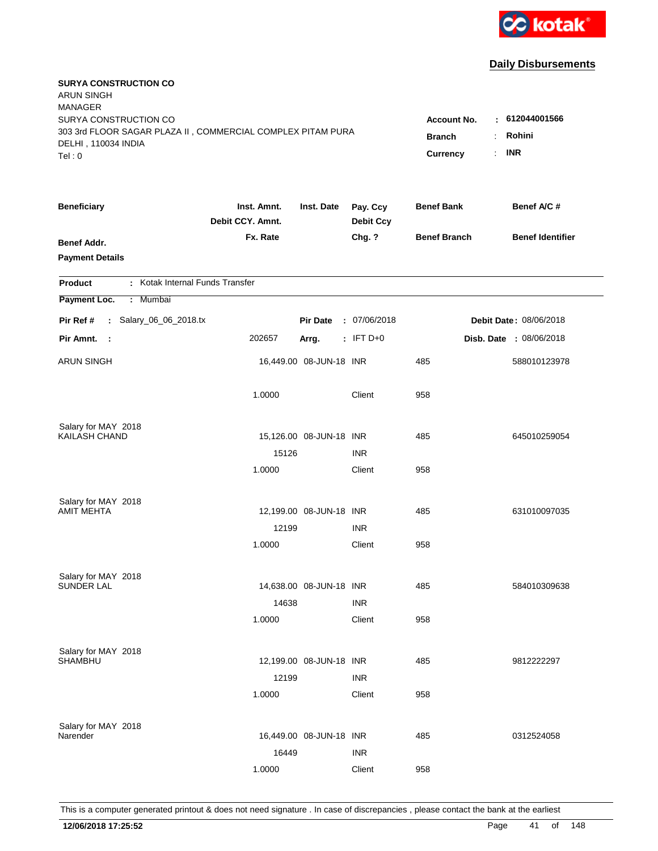

| <b>SURYA CONSTRUCTION CO</b><br><b>ARUN SINGH</b><br><b>MANAGER</b><br>SURYA CONSTRUCTION CO<br>303 3rd FLOOR SAGAR PLAZA II, COMMERCIAL COMPLEX PITAM PURA |                                       |                         |                              | Account No.         | $\pm 612044001566$      |
|-------------------------------------------------------------------------------------------------------------------------------------------------------------|---------------------------------------|-------------------------|------------------------------|---------------------|-------------------------|
| DELHI, 110034 INDIA<br>Tel: 0                                                                                                                               | <b>Branch</b><br>÷.<br>Currency<br>÷. | Rohini<br><b>INR</b>    |                              |                     |                         |
| <b>Beneficiary</b>                                                                                                                                          | Inst. Amnt.<br>Debit CCY. Amnt.       | Inst. Date              | Pay. Ccy<br><b>Debit Ccy</b> | <b>Benef Bank</b>   | Benef A/C #             |
| Benef Addr.<br><b>Payment Details</b>                                                                                                                       | Fx. Rate                              |                         | Chg. ?                       | <b>Benef Branch</b> | <b>Benef Identifier</b> |
| : Kotak Internal Funds Transfer<br><b>Product</b>                                                                                                           |                                       |                         |                              |                     |                         |
| Payment Loc.<br>Mumbai<br>÷.                                                                                                                                |                                       |                         |                              |                     |                         |
| : Salary_06_06_2018.tx<br>Pir Ref #                                                                                                                         |                                       | <b>Pir Date</b>         | : 07/06/2018                 |                     | Debit Date: 08/06/2018  |
| Pir Amnt. :                                                                                                                                                 | 202657                                | Arrg.                   | : IFT $D+0$                  |                     | Disb. Date : 08/06/2018 |
| <b>ARUN SINGH</b>                                                                                                                                           |                                       | 16,449.00 08-JUN-18 INR |                              | 485                 | 588010123978            |
|                                                                                                                                                             | 1.0000                                |                         | Client                       | 958                 |                         |
| Salary for MAY 2018<br>KAILASH CHAND                                                                                                                        |                                       | 15,126.00 08-JUN-18 INR |                              | 485                 | 645010259054            |
|                                                                                                                                                             | 15126                                 |                         | <b>INR</b>                   |                     |                         |
|                                                                                                                                                             | 1.0000                                |                         | Client                       | 958                 |                         |
| Salary for MAY 2018                                                                                                                                         |                                       |                         |                              |                     |                         |
| <b>AMIT MEHTA</b>                                                                                                                                           |                                       | 12,199.00 08-JUN-18 INR |                              | 485                 | 631010097035            |
|                                                                                                                                                             | 12199                                 |                         | <b>INR</b>                   |                     |                         |
|                                                                                                                                                             | 1.0000                                |                         | Client                       | 958                 |                         |
| Salary for MAY 2018                                                                                                                                         |                                       |                         |                              |                     |                         |
| <b>SUNDER LAL</b>                                                                                                                                           |                                       | 14,638.00 08-JUN-18 INR |                              | 485                 | 584010309638            |
|                                                                                                                                                             | 14638                                 |                         | <b>INR</b>                   |                     |                         |
|                                                                                                                                                             | 1.0000                                |                         | Client                       | 958                 |                         |
| Salary for MAY 2018<br><b>SHAMBHU</b>                                                                                                                       |                                       | 12,199.00 08-JUN-18 INR |                              | 485                 | 9812222297              |
|                                                                                                                                                             | 12199                                 |                         | <b>INR</b>                   |                     |                         |
|                                                                                                                                                             | 1.0000                                |                         | Client                       | 958                 |                         |
| Salary for MAY 2018                                                                                                                                         |                                       |                         |                              |                     |                         |
| Narender                                                                                                                                                    |                                       | 16,449.00 08-JUN-18 INR |                              | 485                 | 0312524058              |
|                                                                                                                                                             | 16449                                 |                         | <b>INR</b>                   |                     |                         |
|                                                                                                                                                             | 1.0000                                |                         | Client                       | 958                 |                         |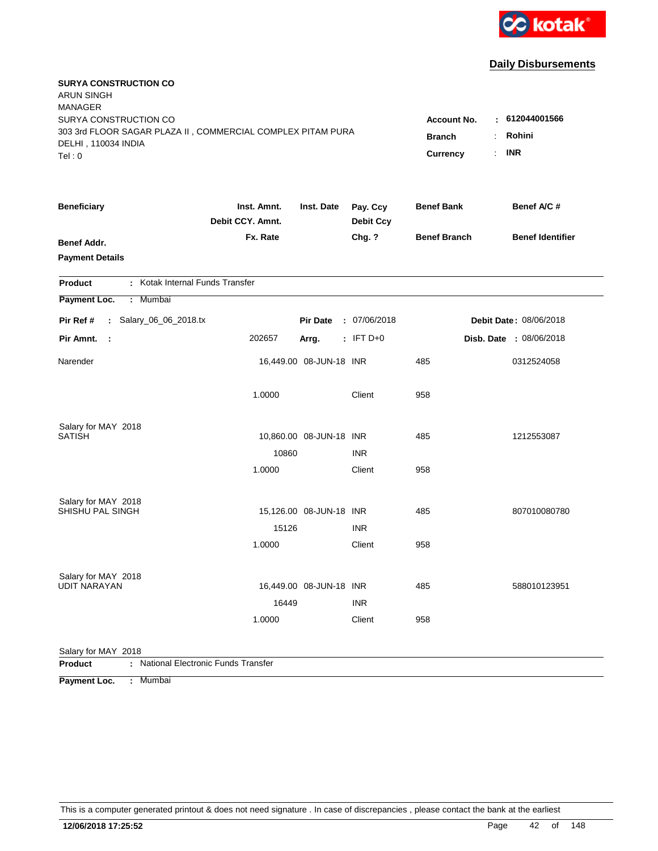

| <b>SURYA CONSTRUCTION CO</b><br><b>ARUN SINGH</b>                                  |                    |                         |                  |                     |                               |
|------------------------------------------------------------------------------------|--------------------|-------------------------|------------------|---------------------|-------------------------------|
| <b>MANAGER</b>                                                                     |                    |                         |                  |                     |                               |
| SURYA CONSTRUCTION CO                                                              | <b>Account No.</b> | 612044001566<br>÷.      |                  |                     |                               |
| 303 3rd FLOOR SAGAR PLAZA II, COMMERCIAL COMPLEX PITAM PURA<br>DELHI, 110034 INDIA |                    |                         |                  | <b>Branch</b>       | Rohini                        |
| Tel: 0                                                                             |                    |                         |                  | <b>Currency</b>     | <b>INR</b><br>÷.              |
| <b>Beneficiary</b>                                                                 | Inst. Amnt.        | Inst. Date              | Pay. Ccy         | <b>Benef Bank</b>   | Benef A/C #                   |
|                                                                                    | Debit CCY. Amnt.   |                         | <b>Debit Ccy</b> |                     |                               |
| <b>Benef Addr.</b>                                                                 | Fx. Rate           |                         | Chg. ?           | <b>Benef Branch</b> | <b>Benef Identifier</b>       |
| <b>Payment Details</b>                                                             |                    |                         |                  |                     |                               |
|                                                                                    |                    |                         |                  |                     |                               |
| : Kotak Internal Funds Transfer<br>Product<br>Mumbai<br>÷.                         |                    |                         |                  |                     |                               |
| Payment Loc.                                                                       |                    |                         |                  |                     |                               |
| : Salary_06_06_2018.tx<br>Pir Ref #                                                |                    | <b>Pir Date</b>         | : 07/06/2018     |                     | <b>Debit Date: 08/06/2018</b> |
| Pir Amnt.<br>$\sim$                                                                | 202657             | Arrg.                   | $:$ IFT D+0      |                     | Disb. Date : 08/06/2018       |
| Narender                                                                           |                    | 16,449.00 08-JUN-18 INR |                  | 485                 | 0312524058                    |
|                                                                                    | 1.0000             |                         | Client           | 958                 |                               |
| Salary for MAY 2018<br><b>SATISH</b>                                               |                    | 10,860.00 08-JUN-18 INR |                  | 485                 | 1212553087                    |
|                                                                                    | 10860              |                         | <b>INR</b>       |                     |                               |
|                                                                                    | 1.0000             |                         | Client           | 958                 |                               |
|                                                                                    |                    |                         |                  |                     |                               |
| Salary for MAY 2018                                                                |                    |                         |                  |                     |                               |
| SHISHU PAL SINGH                                                                   |                    | 15,126.00 08-JUN-18 INR |                  | 485                 | 807010080780                  |
|                                                                                    | 15126              |                         | <b>INR</b>       |                     |                               |
|                                                                                    | 1.0000             |                         | Client           | 958                 |                               |
| Salary for MAY 2018                                                                |                    |                         |                  |                     |                               |
| <b>UDIT NARAYAN</b>                                                                |                    | 16,449.00 08-JUN-18 INR |                  | 485                 | 588010123951                  |
|                                                                                    | 16449              |                         | <b>INR</b>       |                     |                               |
|                                                                                    | 1.0000             |                         | Client           | 958                 |                               |
|                                                                                    |                    |                         |                  |                     |                               |
| Salary for MAY 2018<br>: National Electronic Funds Transfer<br><b>Product</b>      |                    |                         |                  |                     |                               |

**Payment Loc. : Mumbai**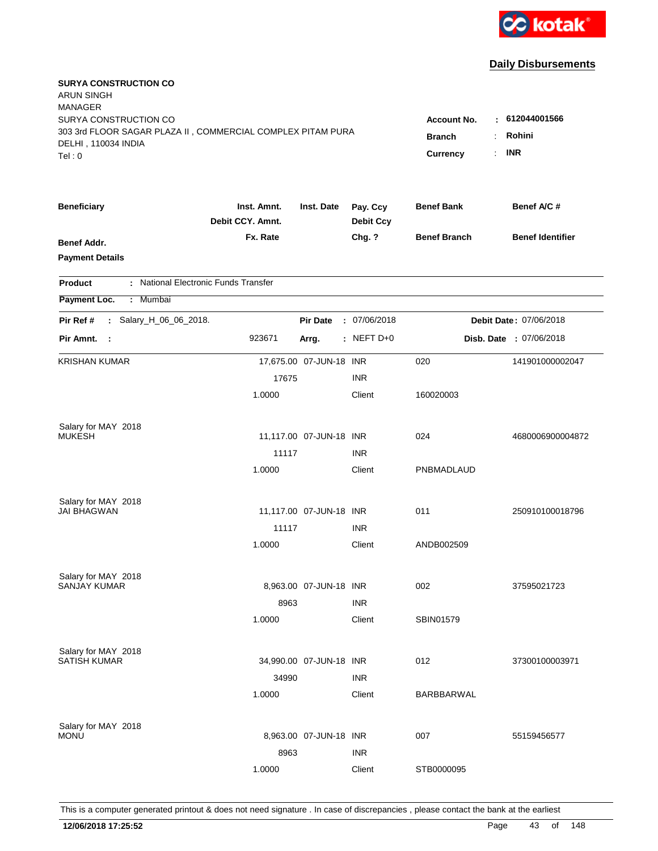

| <b>SURYA CONSTRUCTION CO</b><br><b>ARUN SINGH</b><br><b>MANAGER</b> |                                 |                         |                              |                     |                                |
|---------------------------------------------------------------------|---------------------------------|-------------------------|------------------------------|---------------------|--------------------------------|
| SURYA CONSTRUCTION CO                                               |                                 |                         |                              | <b>Account No.</b>  | : 612044001566                 |
| 303 3rd FLOOR SAGAR PLAZA II, COMMERCIAL COMPLEX PITAM PURA         | <b>Branch</b>                   | Rohini                  |                              |                     |                                |
| DELHI, 110034 INDIA<br>Tel: 0                                       |                                 |                         |                              | Currency            | <b>INR</b>                     |
|                                                                     |                                 |                         |                              |                     |                                |
| <b>Beneficiary</b>                                                  | Inst. Amnt.<br>Debit CCY. Amnt. | Inst. Date              | Pay. Ccy<br><b>Debit Ccy</b> | <b>Benef Bank</b>   | Benef A/C #                    |
| Benef Addr.                                                         | Fx. Rate                        |                         | Chg. ?                       | <b>Benef Branch</b> | <b>Benef Identifier</b>        |
| <b>Payment Details</b>                                              |                                 |                         |                              |                     |                                |
| : National Electronic Funds Transfer<br><b>Product</b>              |                                 |                         |                              |                     |                                |
| Payment Loc.<br>: Mumbai                                            |                                 |                         |                              |                     |                                |
| : Salary_H_06_06_2018.<br>Pir Ref #                                 |                                 | <b>Pir Date</b>         | : 07/06/2018                 |                     | Debit Date: 07/06/2018         |
| Pir Amnt.<br>$\sim$ 1                                               | 923671                          | Arrg.                   | $:$ NEFT D+0                 |                     | <b>Disb. Date : 07/06/2018</b> |
| <b>KRISHAN KUMAR</b>                                                |                                 | 17,675.00 07-JUN-18 INR |                              | 020                 | 141901000002047                |
|                                                                     | 17675                           |                         | <b>INR</b>                   |                     |                                |
|                                                                     | 1.0000                          |                         | Client                       | 160020003           |                                |
| Salary for MAY 2018                                                 |                                 |                         |                              |                     |                                |
| <b>MUKESH</b>                                                       |                                 | 11,117.00 07-JUN-18 INR |                              | 024                 | 4680006900004872               |
|                                                                     | 11117                           |                         | <b>INR</b>                   |                     |                                |
|                                                                     | 1.0000                          |                         | Client                       | PNBMADLAUD          |                                |
| Salary for MAY 2018                                                 |                                 |                         |                              |                     |                                |
| <b>JAI BHAGWAN</b>                                                  |                                 | 11,117.00 07-JUN-18 INR |                              | 011                 | 250910100018796                |
|                                                                     | 11117                           |                         | <b>INR</b>                   |                     |                                |
|                                                                     | 1.0000                          |                         | Client                       | ANDB002509          |                                |
| Salary for MAY 2018<br><b>SANJAY KUMAR</b>                          |                                 |                         |                              |                     |                                |
|                                                                     |                                 | 8,963.00 07-JUN-18 INR  |                              | 002                 | 37595021723                    |
|                                                                     | 8963                            |                         | <b>INR</b>                   |                     |                                |
|                                                                     | 1.0000                          |                         | Client                       | SBIN01579           |                                |
| Salary for MAY 2018<br><b>SATISH KUMAR</b>                          |                                 | 34,990.00 07-JUN-18 INR |                              |                     |                                |
|                                                                     |                                 |                         |                              | 012                 | 37300100003971                 |
|                                                                     | 34990                           |                         | <b>INR</b>                   |                     |                                |
|                                                                     | 1.0000                          |                         | Client                       | BARBBARWAL          |                                |
| Salary for MAY 2018                                                 |                                 |                         |                              |                     |                                |
| <b>MONU</b>                                                         |                                 | 8,963.00 07-JUN-18 INR  |                              | 007                 | 55159456577                    |
|                                                                     | 8963                            |                         | <b>INR</b>                   |                     |                                |
|                                                                     | 1.0000                          |                         | Client                       | STB0000095          |                                |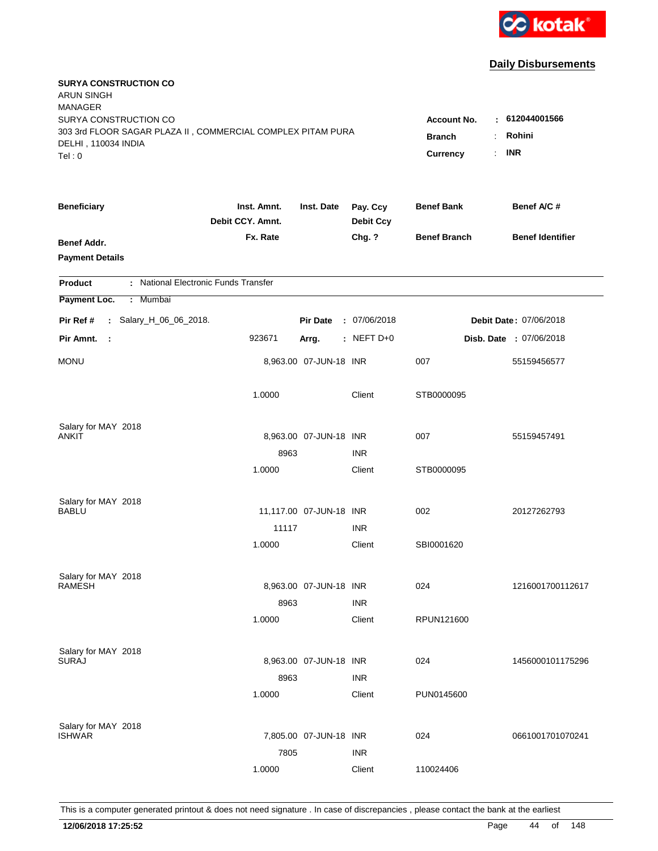

| <b>SURYA CONSTRUCTION CO</b><br><b>ARUN SINGH</b>                                  |                                 |                         |                              |                          |                         |
|------------------------------------------------------------------------------------|---------------------------------|-------------------------|------------------------------|--------------------------|-------------------------|
| <b>MANAGER</b>                                                                     |                                 |                         |                              |                          |                         |
| SURYA CONSTRUCTION CO                                                              |                                 |                         |                              | <b>Account No.</b><br>к. | 612044001566            |
| 303 3rd FLOOR SAGAR PLAZA II, COMMERCIAL COMPLEX PITAM PURA<br>DELHI, 110034 INDIA | <b>Branch</b>                   | Rohini                  |                              |                          |                         |
| Tel: 0                                                                             |                                 |                         |                              | Currency<br>÷.           | <b>INR</b>              |
|                                                                                    |                                 |                         |                              |                          |                         |
| <b>Beneficiary</b>                                                                 | Inst. Amnt.<br>Debit CCY. Amnt. | Inst. Date              | Pay. Ccy<br><b>Debit Ccy</b> | <b>Benef Bank</b>        | Benef A/C #             |
| Benef Addr.                                                                        | Fx. Rate                        |                         | Chg. ?                       | <b>Benef Branch</b>      | <b>Benef Identifier</b> |
| <b>Payment Details</b>                                                             |                                 |                         |                              |                          |                         |
| : National Electronic Funds Transfer<br><b>Product</b>                             |                                 |                         |                              |                          |                         |
| Payment Loc.<br>: Mumbai                                                           |                                 |                         |                              |                          |                         |
| Pir Ref #<br>: Salary_H_06_06_2018.                                                |                                 | <b>Pir Date</b>         | : 07/06/2018                 |                          | Debit Date: 07/06/2018  |
| Pir Amnt.<br>$\mathbb{R}^2$                                                        | 923671                          | Arrg.                   | : NEFT D+0                   |                          | Disb. Date: 07/06/2018  |
| <b>MONU</b>                                                                        |                                 | 8,963.00 07-JUN-18 INR  |                              | 007                      | 55159456577             |
|                                                                                    | 1.0000                          |                         | Client                       | STB0000095               |                         |
| Salary for MAY 2018                                                                |                                 |                         |                              |                          |                         |
| <b>ANKIT</b>                                                                       |                                 | 8,963.00 07-JUN-18 INR  |                              | 007                      | 55159457491             |
|                                                                                    | 8963                            |                         | <b>INR</b>                   |                          |                         |
|                                                                                    | 1.0000                          |                         | Client                       | STB0000095               |                         |
| Salary for MAY 2018                                                                |                                 |                         |                              |                          |                         |
| BABLU                                                                              |                                 | 11,117.00 07-JUN-18 INR |                              | 002                      | 20127262793             |
|                                                                                    | 11117                           |                         | <b>INR</b>                   |                          |                         |
|                                                                                    | 1.0000                          |                         | Client                       | SBI0001620               |                         |
| Salary for MAY 2018                                                                |                                 |                         |                              |                          |                         |
| <b>RAMESH</b>                                                                      |                                 | 8,963.00 07-JUN-18 INR  |                              | 024                      | 1216001700112617        |
|                                                                                    | 8963                            |                         | <b>INR</b>                   |                          |                         |
|                                                                                    | 1.0000                          |                         | Client                       | RPUN121600               |                         |
| Salary for MAY 2018                                                                |                                 |                         |                              |                          |                         |
| <b>SURAJ</b>                                                                       |                                 | 8,963.00 07-JUN-18 INR  |                              | 024                      | 1456000101175296        |
|                                                                                    | 8963                            |                         | <b>INR</b>                   |                          |                         |
|                                                                                    | 1.0000                          |                         | Client                       | PUN0145600               |                         |
| Salary for MAY 2018                                                                |                                 |                         |                              |                          |                         |
| <b>ISHWAR</b>                                                                      |                                 | 7,805.00 07-JUN-18 INR  |                              | 024                      | 0661001701070241        |
|                                                                                    | 7805                            |                         | <b>INR</b>                   |                          |                         |
|                                                                                    | 1.0000                          |                         | Client                       | 110024406                |                         |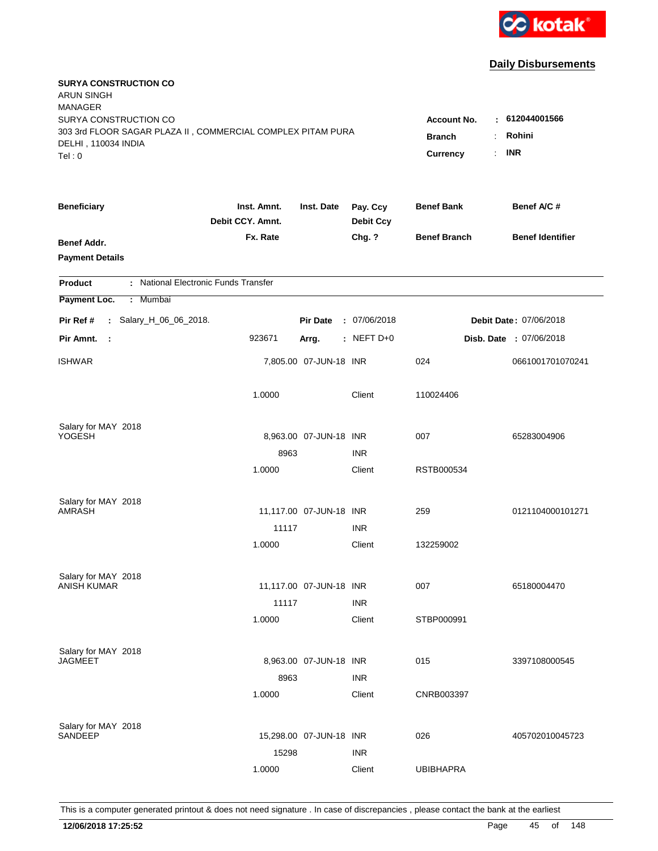

| <b>SURYA CONSTRUCTION CO</b><br><b>ARUN SINGH</b>                                            |                                                 |                                 |                              |                     |                                |
|----------------------------------------------------------------------------------------------|-------------------------------------------------|---------------------------------|------------------------------|---------------------|--------------------------------|
| <b>MANAGER</b><br>SURYA CONSTRUCTION CO                                                      |                                                 |                                 |                              |                     | $-612044001566$                |
| 303 3rd FLOOR SAGAR PLAZA II, COMMERCIAL COMPLEX PITAM PURA<br>DELHI, 110034 INDIA<br>Tel: 0 | <b>Account No.</b><br><b>Branch</b><br>Currency | Rohini<br>÷<br><b>INR</b><br>÷. |                              |                     |                                |
| <b>Beneficiary</b>                                                                           | Inst. Amnt.<br>Debit CCY. Amnt.                 | Inst. Date                      | Pay. Ccy<br><b>Debit Ccy</b> | <b>Benef Bank</b>   | Benef A/C #                    |
| Benef Addr.<br><b>Payment Details</b>                                                        | Fx. Rate                                        |                                 | Chg. ?                       | <b>Benef Branch</b> | <b>Benef Identifier</b>        |
| : National Electronic Funds Transfer<br><b>Product</b>                                       |                                                 |                                 |                              |                     |                                |
| Payment Loc.<br>: Mumbai                                                                     |                                                 |                                 |                              |                     |                                |
| Pir Ref #<br>: Salary_H_06_06_2018.                                                          |                                                 | <b>Pir Date</b>                 | : 07/06/2018                 |                     | Debit Date: 07/06/2018         |
| Pir Amnt.<br>$\mathbf{r}$                                                                    | 923671                                          | Arrg.                           | $:$ NEFT D+0                 |                     | <b>Disb. Date : 07/06/2018</b> |
| <b>ISHWAR</b>                                                                                |                                                 | 7,805.00 07-JUN-18 INR          |                              | 024                 | 0661001701070241               |
|                                                                                              | 1.0000                                          |                                 | Client                       | 110024406           |                                |
| Salary for MAY 2018                                                                          |                                                 |                                 |                              |                     |                                |
| YOGESH                                                                                       |                                                 | 8,963.00 07-JUN-18 INR          |                              | 007                 | 65283004906                    |
|                                                                                              | 8963                                            |                                 | <b>INR</b>                   |                     |                                |
|                                                                                              | 1.0000                                          |                                 | Client                       | RSTB000534          |                                |
| Salary for MAY 2018                                                                          |                                                 |                                 |                              |                     |                                |
| AMRASH                                                                                       |                                                 | 11,117.00 07-JUN-18 INR         |                              | 259                 | 0121104000101271               |
|                                                                                              | 11117                                           |                                 | <b>INR</b>                   |                     |                                |
|                                                                                              | 1.0000                                          |                                 | Client                       | 132259002           |                                |
| Salary for MAY 2018                                                                          |                                                 |                                 |                              |                     |                                |
| <b>ANISH KUMAR</b>                                                                           |                                                 | 11,117.00 07-JUN-18 INR         |                              | 007                 | 65180004470                    |
|                                                                                              | 11117                                           |                                 | <b>INR</b>                   |                     |                                |
|                                                                                              | 1.0000                                          |                                 | Client                       | STBP000991          |                                |
| Salary for MAY 2018                                                                          |                                                 |                                 |                              |                     |                                |
| <b>JAGMEET</b>                                                                               |                                                 | 8,963.00 07-JUN-18 INR          |                              | 015                 | 3397108000545                  |
|                                                                                              | 8963                                            |                                 | <b>INR</b>                   |                     |                                |
|                                                                                              | 1.0000                                          |                                 | Client                       | CNRB003397          |                                |
| Salary for MAY 2018                                                                          |                                                 |                                 |                              |                     |                                |
| <b>SANDEEP</b>                                                                               |                                                 | 15,298.00 07-JUN-18 INR         |                              | 026                 | 405702010045723                |
|                                                                                              | 15298                                           |                                 | <b>INR</b>                   |                     |                                |
|                                                                                              | 1.0000                                          |                                 | Client                       | <b>UBIBHAPRA</b>    |                                |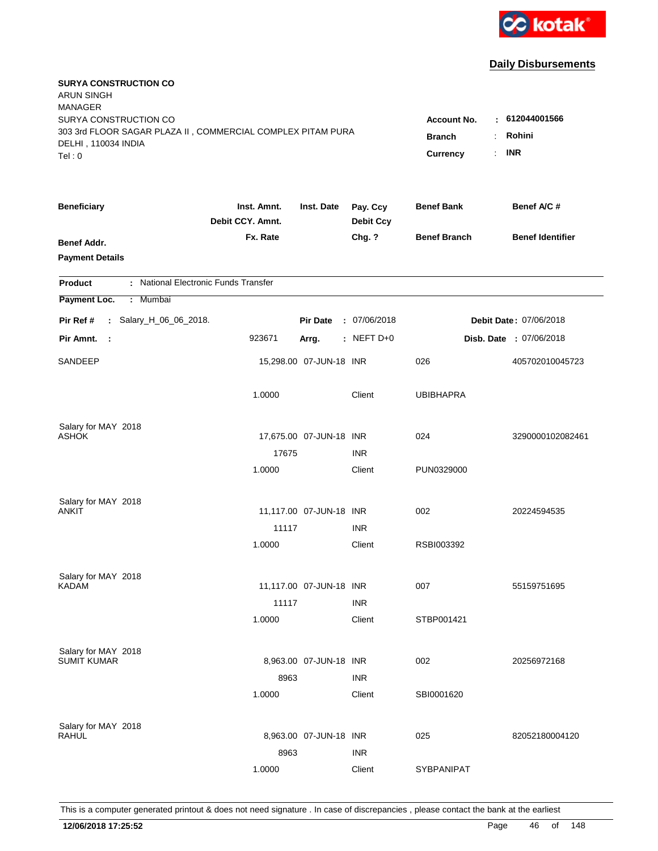

| <b>SURYA CONSTRUCTION CO</b><br><b>ARUN SINGH</b><br><b>MANAGER</b>                          |                                                              |                         |                      |                     |                         |
|----------------------------------------------------------------------------------------------|--------------------------------------------------------------|-------------------------|----------------------|---------------------|-------------------------|
| SURYA CONSTRUCTION CO                                                                        |                                                              |                         |                      | <b>Account No.</b>  | : 612044001566          |
| 303 3rd FLOOR SAGAR PLAZA II, COMMERCIAL COMPLEX PITAM PURA<br>DELHI, 110034 INDIA<br>Tel: 0 | Rohini<br><b>Branch</b><br>÷<br><b>INR</b><br>Currency<br>÷. |                         |                      |                     |                         |
| <b>Beneficiary</b>                                                                           | Inst. Amnt.                                                  | Inst. Date              | Pay. Ccy             | <b>Benef Bank</b>   | Benef A/C #             |
|                                                                                              | Debit CCY. Amnt.                                             |                         | <b>Debit Ccy</b>     |                     |                         |
| Benef Addr.<br><b>Payment Details</b>                                                        | Fx. Rate                                                     |                         | Chg. ?               | <b>Benef Branch</b> | <b>Benef Identifier</b> |
| : National Electronic Funds Transfer<br><b>Product</b>                                       |                                                              |                         |                      |                     |                         |
| Payment Loc.<br>: Mumbai                                                                     |                                                              |                         |                      |                     |                         |
| Pir Ref #<br>: Salary_H_06_06_2018.                                                          |                                                              | <b>Pir Date</b>         | : 07/06/2018         |                     | Debit Date: 07/06/2018  |
| Pir Amnt.<br>- 1                                                                             | 923671                                                       | Arrg.                   | : NEFT $D+0$         |                     | Disb. Date : 07/06/2018 |
| SANDEEP                                                                                      |                                                              | 15,298.00 07-JUN-18 INR |                      | 026                 | 405702010045723         |
|                                                                                              | 1.0000                                                       |                         | Client               | <b>UBIBHAPRA</b>    |                         |
| Salary for MAY 2018                                                                          |                                                              |                         |                      |                     |                         |
| <b>ASHOK</b>                                                                                 |                                                              | 17,675.00 07-JUN-18 INR |                      | 024                 | 3290000102082461        |
|                                                                                              | 17675                                                        |                         | <b>INR</b>           |                     |                         |
|                                                                                              | 1.0000                                                       |                         | Client               | PUN0329000          |                         |
| Salary for MAY 2018                                                                          |                                                              |                         |                      |                     |                         |
| ANKIT                                                                                        |                                                              | 11,117.00 07-JUN-18 INR | <b>INR</b>           | 002                 | 20224594535             |
|                                                                                              | 11117<br>1.0000                                              |                         | Client               | RSBI003392          |                         |
|                                                                                              |                                                              |                         |                      |                     |                         |
| Salary for MAY 2018                                                                          |                                                              |                         |                      |                     |                         |
| <b>KADAM</b>                                                                                 |                                                              | 11,117.00 07-JUN-18 INR |                      | 007                 | 55159751695             |
|                                                                                              | 11117                                                        |                         | <b>INR</b><br>Client |                     |                         |
|                                                                                              | 1.0000                                                       |                         |                      | STBP001421          |                         |
| Salary for MAY 2018<br><b>SUMIT KUMAR</b>                                                    |                                                              |                         |                      |                     |                         |
|                                                                                              |                                                              | 8,963.00 07-JUN-18 INR  |                      | 002                 | 20256972168             |
|                                                                                              | 8963                                                         |                         | <b>INR</b><br>Client |                     |                         |
|                                                                                              | 1.0000                                                       |                         |                      | SBI0001620          |                         |
| Salary for MAY 2018                                                                          |                                                              |                         |                      |                     |                         |
| <b>RAHUL</b>                                                                                 |                                                              | 8,963.00 07-JUN-18 INR  |                      | 025                 | 82052180004120          |
|                                                                                              | 8963                                                         |                         | <b>INR</b>           |                     |                         |
|                                                                                              | 1.0000                                                       |                         | Client               | <b>SYBPANIPAT</b>   |                         |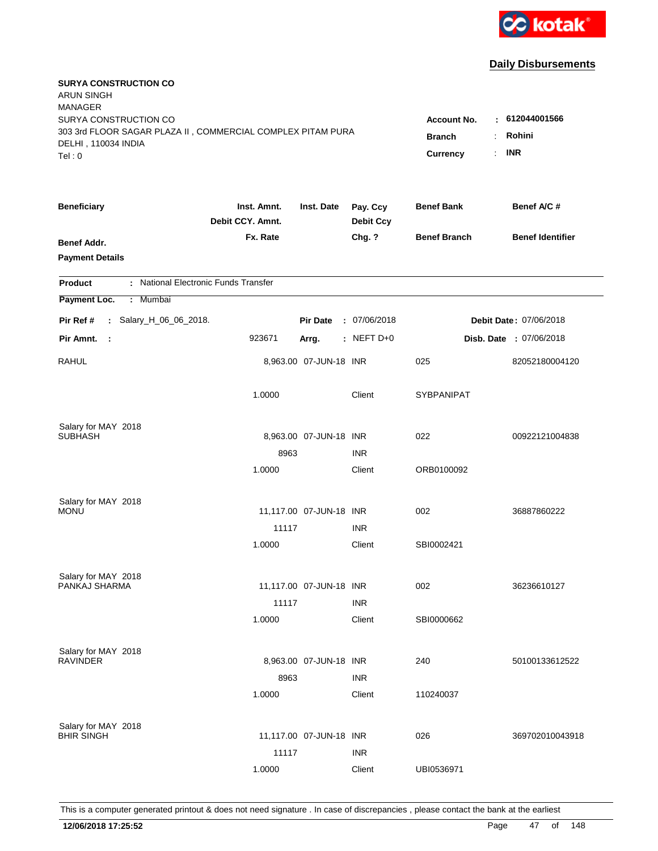

| <b>SURYA CONSTRUCTION CO</b><br><b>ARUN SINGH</b><br><b>MANAGER</b> |                                 |                         |                              |                       |                                |
|---------------------------------------------------------------------|---------------------------------|-------------------------|------------------------------|-----------------------|--------------------------------|
| SURYA CONSTRUCTION CO                                               |                                 |                         |                              | <b>Account No.</b>    | $\pm 612044001566$             |
| 303 3rd FLOOR SAGAR PLAZA II, COMMERCIAL COMPLEX PITAM PURA         | <b>Branch</b><br>÷              | Rohini                  |                              |                       |                                |
| DELHI, 110034 INDIA                                                 |                                 |                         |                              |                       |                                |
| Tel: 0                                                              |                                 |                         |                              | <b>Currency</b><br>÷. | <b>INR</b>                     |
| <b>Beneficiary</b>                                                  | Inst. Amnt.<br>Debit CCY. Amnt. | Inst. Date              | Pay. Ccy<br><b>Debit Ccy</b> | <b>Benef Bank</b>     | Benef A/C #                    |
| Benef Addr.                                                         | Fx. Rate                        |                         | Chg. ?                       | <b>Benef Branch</b>   | <b>Benef Identifier</b>        |
| <b>Payment Details</b>                                              |                                 |                         |                              |                       |                                |
| : National Electronic Funds Transfer<br><b>Product</b>              |                                 |                         |                              |                       |                                |
| Payment Loc.<br>Mumbai<br>÷.                                        |                                 |                         |                              |                       |                                |
| Pir Ref #<br>: Salary_H_06_06_2018.                                 |                                 | <b>Pir Date</b>         | : 07/06/2018                 |                       | Debit Date: 07/06/2018         |
| Pir Amnt.<br>$\mathbb{R}^2$                                         | 923671                          | Arrg.                   | $:$ NEFT D+0                 |                       | <b>Disb. Date : 07/06/2018</b> |
| <b>RAHUL</b>                                                        |                                 | 8,963.00 07-JUN-18 INR  |                              | 025                   | 82052180004120                 |
|                                                                     | 1.0000                          |                         | Client                       | <b>SYBPANIPAT</b>     |                                |
| Salary for MAY 2018                                                 |                                 |                         |                              |                       |                                |
| <b>SUBHASH</b>                                                      |                                 | 8,963.00 07-JUN-18 INR  |                              | 022                   | 00922121004838                 |
|                                                                     | 8963                            |                         | <b>INR</b>                   |                       |                                |
|                                                                     | 1.0000                          |                         | Client                       | ORB0100092            |                                |
| Salary for MAY 2018                                                 |                                 |                         |                              |                       |                                |
| <b>MONU</b>                                                         |                                 | 11,117.00 07-JUN-18 INR |                              | 002                   | 36887860222                    |
|                                                                     | 11117                           |                         | <b>INR</b>                   |                       |                                |
|                                                                     | 1.0000                          |                         | Client                       | SBI0002421            |                                |
| Salary for MAY 2018                                                 |                                 |                         |                              |                       |                                |
| PANKAJ SHARMA                                                       |                                 | 11,117.00 07-JUN-18 INR |                              | 002                   | 36236610127                    |
|                                                                     | 11117                           |                         | <b>INR</b>                   |                       |                                |
|                                                                     | 1.0000                          |                         | Client                       | SBI0000662            |                                |
| Salary for MAY 2018                                                 |                                 |                         |                              |                       |                                |
| <b>RAVINDER</b>                                                     |                                 | 8,963.00 07-JUN-18 INR  |                              | 240                   | 50100133612522                 |
|                                                                     | 8963                            |                         | <b>INR</b>                   |                       |                                |
|                                                                     | 1.0000                          |                         | Client                       | 110240037             |                                |
| Salary for MAY 2018                                                 |                                 |                         |                              |                       |                                |
| <b>BHIR SINGH</b>                                                   |                                 | 11,117.00 07-JUN-18 INR |                              | 026                   | 369702010043918                |
|                                                                     | 11117                           |                         | <b>INR</b>                   |                       |                                |
|                                                                     | 1.0000                          |                         | Client                       | UBI0536971            |                                |
|                                                                     |                                 |                         |                              |                       |                                |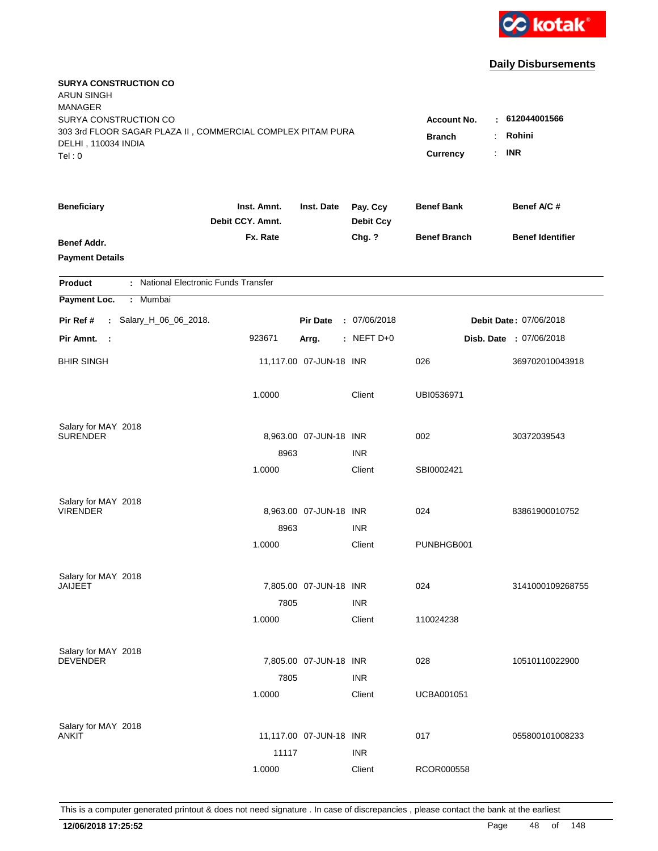

| <b>SURYA CONSTRUCTION CO</b><br><b>ARUN SINGH</b>                                            |                                                            |                         |                              |                     |                                |
|----------------------------------------------------------------------------------------------|------------------------------------------------------------|-------------------------|------------------------------|---------------------|--------------------------------|
| <b>MANAGER</b><br>SURYA CONSTRUCTION CO                                                      |                                                            |                         |                              |                     | $-612044001566$                |
| 303 3rd FLOOR SAGAR PLAZA II, COMMERCIAL COMPLEX PITAM PURA<br>DELHI, 110034 INDIA<br>Tel: 0 | <b>Account No.</b><br><b>Branch</b><br>÷<br>Currency<br>÷. | Rohini<br><b>INR</b>    |                              |                     |                                |
| <b>Beneficiary</b>                                                                           | Inst. Amnt.<br>Debit CCY. Amnt.                            | Inst. Date              | Pay. Ccy<br><b>Debit Ccy</b> | <b>Benef Bank</b>   | Benef A/C #                    |
| Benef Addr.<br><b>Payment Details</b>                                                        | Fx. Rate                                                   |                         | Chg. ?                       | <b>Benef Branch</b> | <b>Benef Identifier</b>        |
| <b>Product</b>                                                                               | : National Electronic Funds Transfer                       |                         |                              |                     |                                |
| Payment Loc.<br>: Mumbai                                                                     |                                                            |                         |                              |                     |                                |
| Pir Ref #<br>: Salary_H_06_06_2018.                                                          |                                                            | <b>Pir Date</b>         | : 07/06/2018                 |                     | Debit Date: 07/06/2018         |
| Pir Amnt. :                                                                                  | 923671                                                     | Arrg.                   | $:$ NEFT D+0                 |                     | <b>Disb. Date : 07/06/2018</b> |
| <b>BHIR SINGH</b>                                                                            |                                                            | 11,117.00 07-JUN-18 INR |                              | 026                 | 369702010043918                |
|                                                                                              | 1.0000                                                     |                         | Client                       | UBI0536971          |                                |
| Salary for MAY 2018                                                                          |                                                            |                         |                              |                     |                                |
| <b>SURENDER</b>                                                                              |                                                            | 8,963.00 07-JUN-18 INR  |                              | 002                 | 30372039543                    |
|                                                                                              | 8963                                                       |                         | <b>INR</b>                   |                     |                                |
|                                                                                              | 1.0000                                                     |                         | Client                       | SBI0002421          |                                |
| Salary for MAY 2018                                                                          |                                                            |                         |                              |                     |                                |
| <b>VIRENDER</b>                                                                              |                                                            | 8,963.00 07-JUN-18 INR  |                              | 024                 | 83861900010752                 |
|                                                                                              | 8963                                                       |                         | <b>INR</b>                   |                     |                                |
|                                                                                              | 1.0000                                                     |                         | Client                       | PUNBHGB001          |                                |
| Salary for MAY 2018                                                                          |                                                            |                         |                              |                     |                                |
| <b>JAIJEET</b>                                                                               |                                                            | 7,805.00 07-JUN-18 INR  |                              | 024                 | 3141000109268755               |
|                                                                                              | 7805                                                       |                         | <b>INR</b>                   |                     |                                |
|                                                                                              | 1.0000                                                     |                         | Client                       | 110024238           |                                |
| Salary for MAY 2018                                                                          |                                                            |                         |                              |                     |                                |
| <b>DEVENDER</b>                                                                              |                                                            | 7,805.00 07-JUN-18 INR  |                              | 028                 | 10510110022900                 |
|                                                                                              | 7805                                                       |                         | <b>INR</b>                   |                     |                                |
|                                                                                              | 1.0000                                                     |                         | Client                       | <b>UCBA001051</b>   |                                |
| Salary for MAY 2018                                                                          |                                                            |                         |                              |                     |                                |
| ANKIT                                                                                        |                                                            | 11,117.00 07-JUN-18 INR |                              | 017                 | 055800101008233                |
|                                                                                              | 11117                                                      |                         | <b>INR</b>                   |                     |                                |
|                                                                                              | 1.0000                                                     |                         | Client                       | RCOR000558          |                                |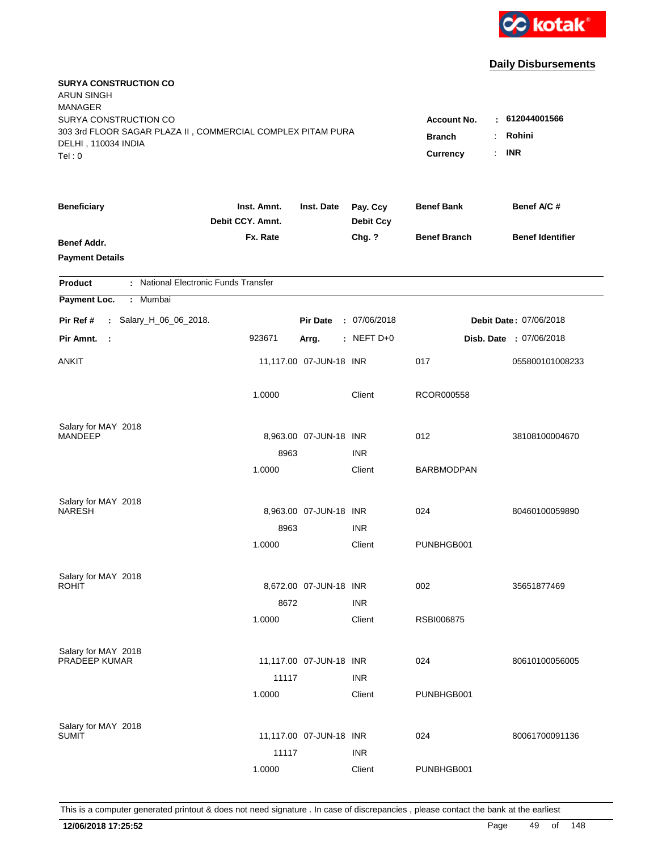

| <b>SURYA CONSTRUCTION CO</b><br><b>ARUN SINGH</b>                                  |                                 |                         |                              |                     |                         |
|------------------------------------------------------------------------------------|---------------------------------|-------------------------|------------------------------|---------------------|-------------------------|
| <b>MANAGER</b>                                                                     |                                 |                         |                              |                     |                         |
| SURYA CONSTRUCTION CO                                                              |                                 |                         |                              | <b>Account No.</b>  | : 612044001566          |
| 303 3rd FLOOR SAGAR PLAZA II, COMMERCIAL COMPLEX PITAM PURA<br>DELHI, 110034 INDIA | <b>Branch</b>                   | Rohini                  |                              |                     |                         |
| Tel:0                                                                              |                                 |                         |                              | ÷.<br>Currency      | <b>INR</b>              |
|                                                                                    |                                 |                         |                              |                     |                         |
| <b>Beneficiary</b>                                                                 | Inst. Amnt.<br>Debit CCY. Amnt. | Inst. Date              | Pay. Ccy<br><b>Debit Ccy</b> | <b>Benef Bank</b>   | Benef A/C #             |
| Benef Addr.                                                                        | Fx. Rate                        |                         | Chg. ?                       | <b>Benef Branch</b> | <b>Benef Identifier</b> |
| <b>Payment Details</b>                                                             |                                 |                         |                              |                     |                         |
| : National Electronic Funds Transfer<br><b>Product</b>                             |                                 |                         |                              |                     |                         |
| Payment Loc.<br>: Mumbai                                                           |                                 |                         |                              |                     |                         |
| Pir Ref #<br>: Salary_H_06_06_2018.                                                |                                 | <b>Pir Date</b>         | : 07/06/2018                 |                     | Debit Date: 07/06/2018  |
| Pir Amnt.<br>- 1                                                                   | 923671                          | Arrg.                   | $:$ NEFT D+0                 |                     | Disb. Date : 07/06/2018 |
| ANKIT                                                                              |                                 | 11,117.00 07-JUN-18 INR |                              | 017                 | 055800101008233         |
|                                                                                    | 1.0000                          |                         | Client                       | RCOR000558          |                         |
| Salary for MAY 2018                                                                |                                 |                         |                              |                     |                         |
| <b>MANDEEP</b>                                                                     |                                 | 8,963.00 07-JUN-18 INR  |                              | 012                 | 38108100004670          |
|                                                                                    | 8963                            |                         | <b>INR</b>                   |                     |                         |
|                                                                                    | 1.0000                          |                         | Client                       | <b>BARBMODPAN</b>   |                         |
| Salary for MAY 2018                                                                |                                 |                         |                              |                     |                         |
| <b>NARESH</b>                                                                      |                                 | 8,963.00 07-JUN-18 INR  |                              | 024                 | 80460100059890          |
|                                                                                    | 8963                            |                         | <b>INR</b>                   |                     |                         |
|                                                                                    | 1.0000                          |                         | Client                       | PUNBHGB001          |                         |
| Salary for MAY 2018                                                                |                                 |                         |                              |                     |                         |
| <b>ROHIT</b>                                                                       |                                 | 8,672.00 07-JUN-18 INR  |                              | 002                 | 35651877469             |
|                                                                                    | 8672                            |                         | <b>INR</b>                   |                     |                         |
|                                                                                    | 1.0000                          |                         | Client                       | RSBI006875          |                         |
| Salary for MAY 2018                                                                |                                 |                         |                              |                     |                         |
| PRADEEP KUMAR                                                                      |                                 | 11,117.00 07-JUN-18 INR |                              | 024                 | 80610100056005          |
|                                                                                    | 11117                           |                         | <b>INR</b>                   |                     |                         |
|                                                                                    | 1.0000                          |                         | Client                       | PUNBHGB001          |                         |
| Salary for MAY 2018                                                                |                                 |                         |                              |                     |                         |
| SUMIT                                                                              |                                 | 11,117.00 07-JUN-18 INR |                              | 024                 | 80061700091136          |
|                                                                                    | 11117                           |                         | <b>INR</b>                   |                     |                         |
|                                                                                    | 1.0000                          |                         | Client                       | PUNBHGB001          |                         |
|                                                                                    |                                 |                         |                              |                     |                         |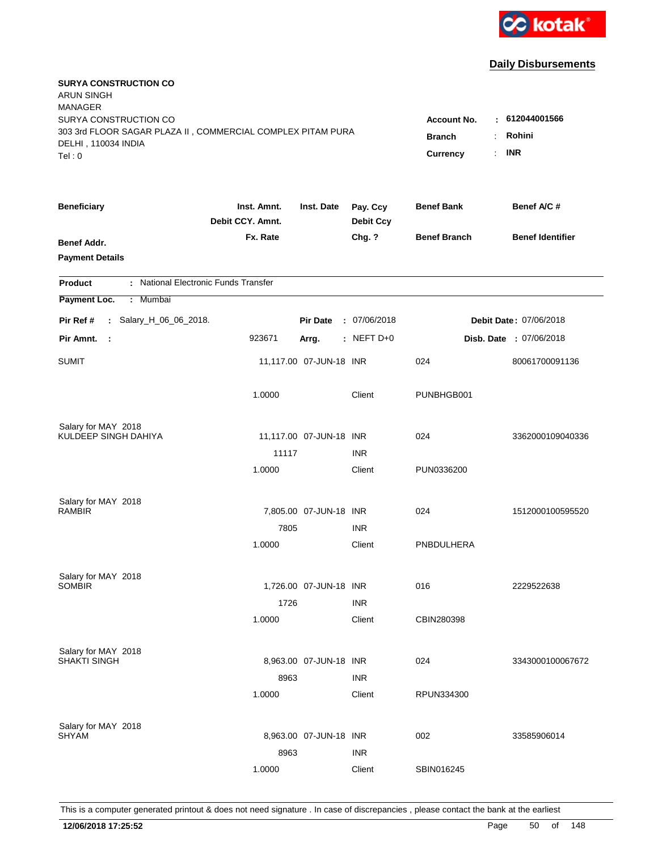

| <b>SURYA CONSTRUCTION CO</b><br>ARUN SINGH<br><b>MANAGER</b>                                                |                                 |                                           |                              |                     |                                |
|-------------------------------------------------------------------------------------------------------------|---------------------------------|-------------------------------------------|------------------------------|---------------------|--------------------------------|
| SURYA CONSTRUCTION CO<br>303 3rd FLOOR SAGAR PLAZA II, COMMERCIAL COMPLEX PITAM PURA<br>DELHI, 110034 INDIA |                                 | <b>Account No.</b><br><b>Branch</b><br>÷. | $-612044001566$<br>Rohini    |                     |                                |
| Tel: 0                                                                                                      |                                 |                                           |                              | Currency            | <b>INR</b><br>÷.               |
| <b>Beneficiary</b>                                                                                          | Inst. Amnt.<br>Debit CCY. Amnt. | Inst. Date                                | Pay. Ccy<br><b>Debit Ccy</b> | <b>Benef Bank</b>   | Benef A/C #                    |
| Benef Addr.<br><b>Payment Details</b>                                                                       | Fx. Rate                        |                                           | Chg. ?                       | <b>Benef Branch</b> | <b>Benef Identifier</b>        |
| : National Electronic Funds Transfer<br><b>Product</b>                                                      |                                 |                                           |                              |                     |                                |
| Payment Loc.<br>Mumbai<br>÷.                                                                                |                                 |                                           |                              |                     |                                |
| : Salary_H_06_06_2018.<br>Pir Ref #                                                                         |                                 | <b>Pir Date</b>                           | : 07/06/2018                 |                     | Debit Date: 07/06/2018         |
| Pir Amnt.<br>$\mathbf{L}$                                                                                   | 923671                          | Arrg.                                     | : NEFT $D+0$                 |                     | <b>Disb. Date : 07/06/2018</b> |
| <b>SUMIT</b>                                                                                                |                                 | 11,117.00 07-JUN-18 INR                   |                              | 024                 | 80061700091136                 |
|                                                                                                             | 1.0000                          |                                           | Client                       | PUNBHGB001          |                                |
| Salary for MAY 2018                                                                                         |                                 |                                           |                              |                     |                                |
| KULDEEP SINGH DAHIYA                                                                                        |                                 | 11,117.00 07-JUN-18 INR                   |                              | 024                 | 3362000109040336               |
|                                                                                                             | 11117<br>1.0000                 |                                           | <b>INR</b><br>Client         | PUN0336200          |                                |
|                                                                                                             |                                 |                                           |                              |                     |                                |
| Salary for MAY 2018                                                                                         |                                 |                                           |                              |                     |                                |
| <b>RAMBIR</b>                                                                                               |                                 | 7,805.00 07-JUN-18 INR                    |                              | 024                 | 1512000100595520               |
|                                                                                                             | 7805                            |                                           | <b>INR</b>                   |                     |                                |
|                                                                                                             | 1.0000                          |                                           | Client                       | PNBDULHERA          |                                |
| Salary for MAY 2018                                                                                         |                                 |                                           |                              |                     |                                |
| <b>SOMBIR</b>                                                                                               |                                 | 1,726.00 07-JUN-18 INR                    |                              | 016                 | 2229522638                     |
|                                                                                                             | 1726                            |                                           | <b>INR</b>                   |                     |                                |
|                                                                                                             | 1.0000                          |                                           | Client                       | CBIN280398          |                                |
| Salary for MAY 2018                                                                                         |                                 |                                           |                              |                     |                                |
| SHAKTI SINGH                                                                                                |                                 | 8,963.00 07-JUN-18 INR                    |                              | 024                 | 3343000100067672               |
|                                                                                                             | 8963                            |                                           | <b>INR</b>                   |                     |                                |
|                                                                                                             | 1.0000                          |                                           | Client                       | RPUN334300          |                                |
|                                                                                                             |                                 |                                           |                              |                     |                                |
| Salary for MAY 2018<br><b>SHYAM</b>                                                                         |                                 | 8,963.00 07-JUN-18 INR                    |                              | 002                 | 33585906014                    |
|                                                                                                             | 8963                            |                                           | <b>INR</b>                   |                     |                                |
|                                                                                                             | 1.0000                          |                                           | Client                       | SBIN016245          |                                |
|                                                                                                             |                                 |                                           |                              |                     |                                |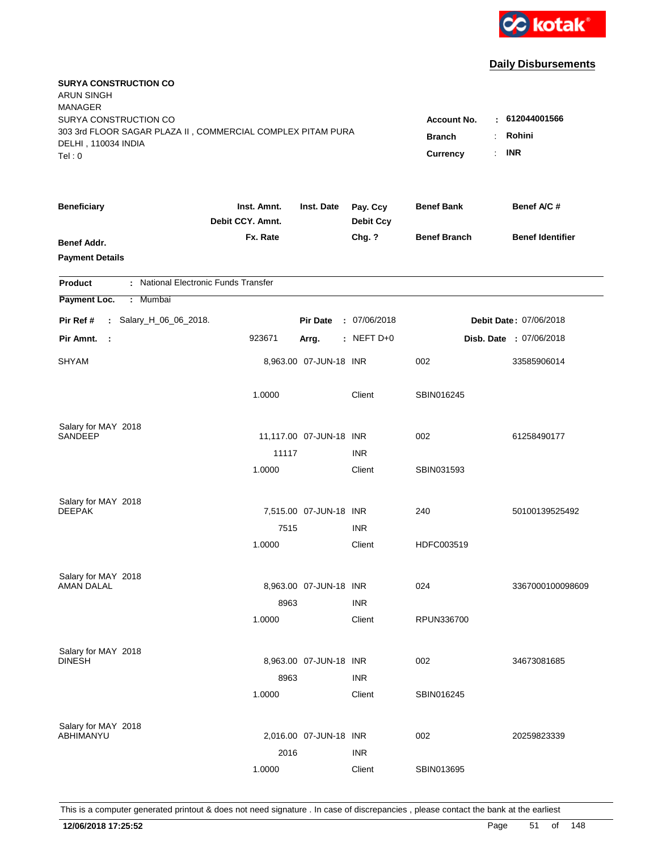

| <b>SURYA CONSTRUCTION CO</b><br><b>ARUN SINGH</b><br><b>MANAGER</b><br>SURYA CONSTRUCTION CO |                                 |                         |                              | <b>Account No.</b>  | $-612044001566$                |
|----------------------------------------------------------------------------------------------|---------------------------------|-------------------------|------------------------------|---------------------|--------------------------------|
| 303 3rd FLOOR SAGAR PLAZA II, COMMERCIAL COMPLEX PITAM PURA<br>DELHI, 110034 INDIA<br>Tel: 0 | <b>Branch</b><br>Currency<br>÷. | Rohini<br><b>INR</b>    |                              |                     |                                |
| <b>Beneficiary</b>                                                                           | Inst. Amnt.<br>Debit CCY. Amnt. | Inst. Date              | Pay. Ccy<br><b>Debit Ccy</b> | <b>Benef Bank</b>   | Benef A/C #                    |
| Benef Addr.<br><b>Payment Details</b>                                                        | Fx. Rate                        |                         | Chg. ?                       | <b>Benef Branch</b> | <b>Benef Identifier</b>        |
| : National Electronic Funds Transfer<br><b>Product</b>                                       |                                 |                         |                              |                     |                                |
| Payment Loc.<br>: Mumbai                                                                     |                                 |                         |                              |                     |                                |
| Pir Ref #<br>: Salary_H_06_06_2018.                                                          |                                 | <b>Pir Date</b>         | : 07/06/2018                 |                     | Debit Date: 07/06/2018         |
| Pir Amnt.<br>$\mathbb{R}^2$                                                                  | 923671                          | Arrg.                   | : NEFT $D+0$                 |                     | <b>Disb. Date : 07/06/2018</b> |
| <b>SHYAM</b>                                                                                 |                                 | 8,963.00 07-JUN-18 INR  |                              | 002                 | 33585906014                    |
|                                                                                              | 1.0000                          |                         | Client                       | SBIN016245          |                                |
| Salary for MAY 2018<br>SANDEEP                                                               |                                 | 11,117.00 07-JUN-18 INR |                              | 002                 | 61258490177                    |
|                                                                                              | 11117                           |                         | <b>INR</b>                   |                     |                                |
|                                                                                              | 1.0000                          |                         | Client                       | SBIN031593          |                                |
| Salary for MAY 2018<br><b>DEEPAK</b>                                                         |                                 | 7,515.00 07-JUN-18 INR  |                              | 240                 | 50100139525492                 |
|                                                                                              | 7515                            |                         | <b>INR</b>                   |                     |                                |
|                                                                                              | 1.0000                          |                         | Client                       | HDFC003519          |                                |
| Salary for MAY 2018<br><b>AMAN DALAL</b>                                                     |                                 | 8,963.00 07-JUN-18 INR  |                              | 024                 | 3367000100098609               |
|                                                                                              | 8963                            |                         | <b>INR</b>                   |                     |                                |
|                                                                                              | 1.0000                          |                         | Client                       | RPUN336700          |                                |
| Salary for MAY 2018<br><b>DINESH</b>                                                         |                                 |                         |                              |                     |                                |
|                                                                                              | 8963                            | 8,963.00 07-JUN-18 INR  | <b>INR</b>                   | 002                 | 34673081685                    |
|                                                                                              | 1.0000                          |                         | Client                       | SBIN016245          |                                |
| Salary for MAY 2018                                                                          |                                 |                         |                              |                     |                                |
| ABHIMANYU                                                                                    |                                 | 2,016.00 07-JUN-18 INR  |                              | 002                 | 20259823339                    |
|                                                                                              | 2016                            |                         | <b>INR</b>                   |                     |                                |
|                                                                                              | 1.0000                          |                         | Client                       | SBIN013695          |                                |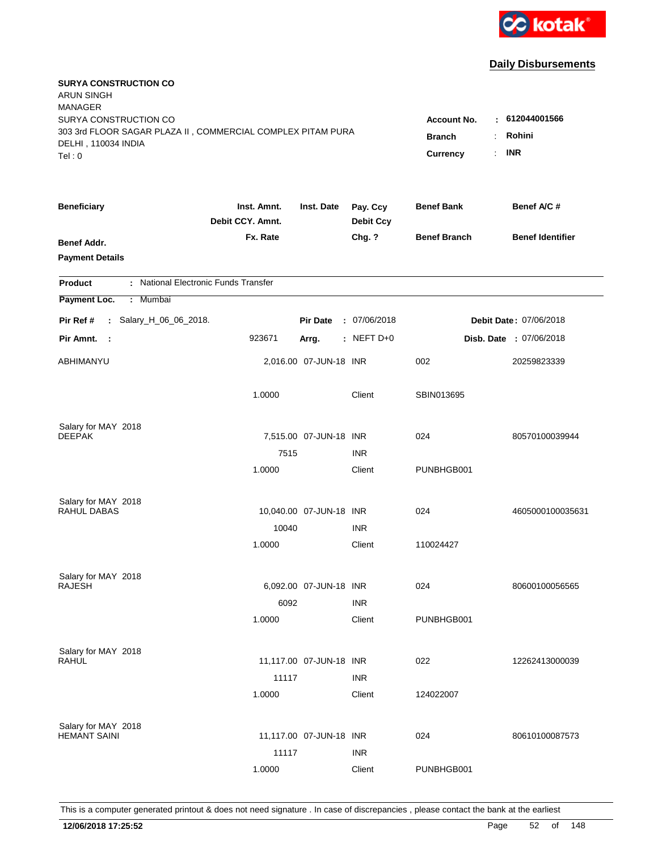

| <b>SURYA CONSTRUCTION CO</b><br><b>ARUN SINGH</b><br><b>MANAGER</b>                                                   |                                                            |                                        |                              |                     |                                |
|-----------------------------------------------------------------------------------------------------------------------|------------------------------------------------------------|----------------------------------------|------------------------------|---------------------|--------------------------------|
| SURYA CONSTRUCTION CO<br>303 3rd FLOOR SAGAR PLAZA II, COMMERCIAL COMPLEX PITAM PURA<br>DELHI, 110034 INDIA<br>Tel: 0 | <b>Account No.</b><br><b>Branch</b><br>÷<br>Currency<br>÷. | : 612044001566<br>Rohini<br><b>INR</b> |                              |                     |                                |
| <b>Beneficiary</b>                                                                                                    | Inst. Amnt.<br>Debit CCY. Amnt.                            | Inst. Date                             | Pay. Ccy<br><b>Debit Ccy</b> | <b>Benef Bank</b>   | Benef A/C #                    |
| Benef Addr.<br><b>Payment Details</b>                                                                                 | Fx. Rate                                                   |                                        | Chg. ?                       | <b>Benef Branch</b> | <b>Benef Identifier</b>        |
| : National Electronic Funds Transfer<br><b>Product</b>                                                                |                                                            |                                        |                              |                     |                                |
| Payment Loc.<br>Mumbai<br>÷.                                                                                          |                                                            |                                        |                              |                     |                                |
| Pir Ref #<br>: Salary_H_06_06_2018.                                                                                   |                                                            | <b>Pir Date</b>                        | : 07/06/2018                 |                     | <b>Debit Date: 07/06/2018</b>  |
| Pir Amnt. :                                                                                                           | 923671                                                     | Arrg.                                  | : NEFT $D+0$                 |                     | <b>Disb. Date : 07/06/2018</b> |
| ABHIMANYU                                                                                                             |                                                            | 2,016.00 07-JUN-18 INR                 |                              | 002                 | 20259823339                    |
|                                                                                                                       | 1.0000                                                     |                                        | Client                       | SBIN013695          |                                |
| Salary for MAY 2018                                                                                                   |                                                            |                                        |                              |                     |                                |
| <b>DEEPAK</b>                                                                                                         |                                                            | 7,515.00 07-JUN-18 INR                 |                              | 024                 | 80570100039944                 |
|                                                                                                                       | 7515                                                       |                                        | <b>INR</b>                   |                     |                                |
|                                                                                                                       | 1.0000                                                     |                                        | Client                       | PUNBHGB001          |                                |
| Salary for MAY 2018                                                                                                   |                                                            |                                        |                              |                     |                                |
| RAHUL DABAS                                                                                                           |                                                            | 10,040.00 07-JUN-18 INR                |                              | 024                 | 4605000100035631               |
|                                                                                                                       | 10040                                                      |                                        | <b>INR</b>                   |                     |                                |
|                                                                                                                       | 1.0000                                                     |                                        | Client                       | 110024427           |                                |
| Salary for MAY 2018                                                                                                   |                                                            |                                        |                              |                     |                                |
| <b>RAJESH</b>                                                                                                         |                                                            | 6,092.00 07-JUN-18 INR                 |                              | 024                 | 80600100056565                 |
|                                                                                                                       | 6092                                                       |                                        | <b>INR</b>                   |                     |                                |
|                                                                                                                       | 1.0000                                                     |                                        | Client                       | PUNBHGB001          |                                |
|                                                                                                                       |                                                            |                                        |                              |                     |                                |
| Salary for MAY 2018<br>RAHUL                                                                                          |                                                            | 11,117.00 07-JUN-18 INR                |                              | 022                 | 12262413000039                 |
|                                                                                                                       | 11117                                                      |                                        | <b>INR</b>                   |                     |                                |
|                                                                                                                       | 1.0000                                                     |                                        | Client                       | 124022007           |                                |
|                                                                                                                       |                                                            |                                        |                              |                     |                                |
| Salary for MAY 2018<br><b>HEMANT SAINI</b>                                                                            |                                                            | 11,117.00 07-JUN-18 INR                |                              | 024                 | 80610100087573                 |
|                                                                                                                       | 11117                                                      |                                        | <b>INR</b>                   |                     |                                |
|                                                                                                                       | 1.0000                                                     |                                        | Client                       | PUNBHGB001          |                                |
|                                                                                                                       |                                                            |                                        |                              |                     |                                |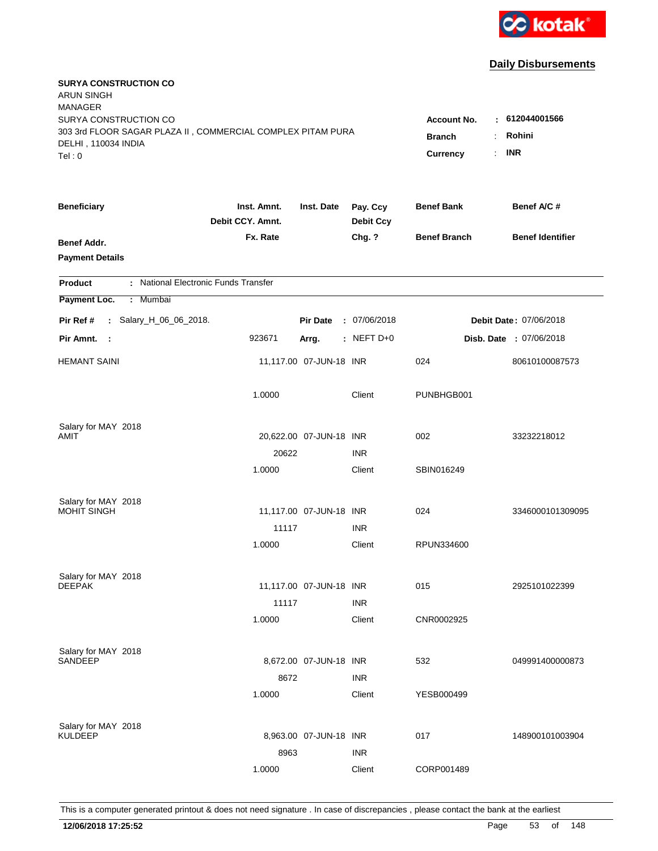

| <b>SURYA CONSTRUCTION CO</b><br><b>ARUN SINGH</b>                                            |                                                          |                         |                              |                     |                                |
|----------------------------------------------------------------------------------------------|----------------------------------------------------------|-------------------------|------------------------------|---------------------|--------------------------------|
| <b>MANAGER</b><br>SURYA CONSTRUCTION CO                                                      |                                                          |                         |                              | Account No.<br>÷    | 612044001566                   |
| 303 3rd FLOOR SAGAR PLAZA II, COMMERCIAL COMPLEX PITAM PURA<br>DELHI, 110034 INDIA<br>Tel: 0 | Rohini<br><b>Branch</b><br><b>INR</b><br><b>Currency</b> |                         |                              |                     |                                |
| <b>Beneficiary</b>                                                                           | Inst. Amnt.<br>Debit CCY. Amnt.                          | Inst. Date              | Pay. Ccy<br><b>Debit Ccy</b> | <b>Benef Bank</b>   | Benef A/C #                    |
| Benef Addr.<br><b>Payment Details</b>                                                        | Fx. Rate                                                 |                         | Chg. ?                       | <b>Benef Branch</b> | <b>Benef Identifier</b>        |
| <b>Product</b>                                                                               | : National Electronic Funds Transfer                     |                         |                              |                     |                                |
| Payment Loc.<br>: Mumbai                                                                     |                                                          |                         |                              |                     |                                |
| Pir Ref #<br>: Salary_H_06_06_2018.                                                          |                                                          | <b>Pir Date</b>         | : 07/06/2018                 |                     | Debit Date: 07/06/2018         |
| Pir Amnt. :                                                                                  | 923671                                                   | Arrg.                   | $:$ NEFT D+0                 |                     | <b>Disb. Date : 07/06/2018</b> |
| <b>HEMANT SAINI</b>                                                                          |                                                          | 11,117.00 07-JUN-18 INR |                              | 024                 | 80610100087573                 |
|                                                                                              | 1.0000                                                   |                         | Client                       | PUNBHGB001          |                                |
| Salary for MAY 2018                                                                          |                                                          |                         |                              |                     |                                |
| AMIT                                                                                         |                                                          | 20,622.00 07-JUN-18 INR |                              | 002                 | 33232218012                    |
|                                                                                              | 20622                                                    |                         | <b>INR</b>                   |                     |                                |
|                                                                                              | 1.0000                                                   |                         | Client                       | SBIN016249          |                                |
| Salary for MAY 2018                                                                          |                                                          |                         |                              |                     |                                |
| <b>MOHIT SINGH</b>                                                                           |                                                          | 11,117.00 07-JUN-18 INR |                              | 024                 | 3346000101309095               |
|                                                                                              | 11117                                                    |                         | <b>INR</b>                   |                     |                                |
|                                                                                              | 1.0000                                                   |                         | Client                       | RPUN334600          |                                |
| Salary for MAY 2018                                                                          |                                                          |                         |                              |                     |                                |
| <b>DEEPAK</b>                                                                                |                                                          | 11,117.00 07-JUN-18 INR |                              | 015                 | 2925101022399                  |
|                                                                                              | 11117                                                    |                         | <b>INR</b>                   |                     |                                |
|                                                                                              | 1.0000                                                   |                         | Client                       | CNR0002925          |                                |
| Salary for MAY 2018                                                                          |                                                          |                         |                              |                     |                                |
| SANDEEP                                                                                      |                                                          | 8,672.00 07-JUN-18 INR  |                              | 532                 | 049991400000873                |
|                                                                                              | 8672                                                     |                         | <b>INR</b>                   |                     |                                |
|                                                                                              | 1.0000                                                   |                         | Client                       | YESB000499          |                                |
| Salary for MAY 2018                                                                          |                                                          |                         |                              |                     |                                |
| <b>KULDEEP</b>                                                                               |                                                          | 8,963.00 07-JUN-18 INR  |                              | 017                 | 148900101003904                |
|                                                                                              | 8963                                                     |                         | <b>INR</b>                   |                     |                                |
|                                                                                              | 1.0000                                                   |                         | Client                       | CORP001489          |                                |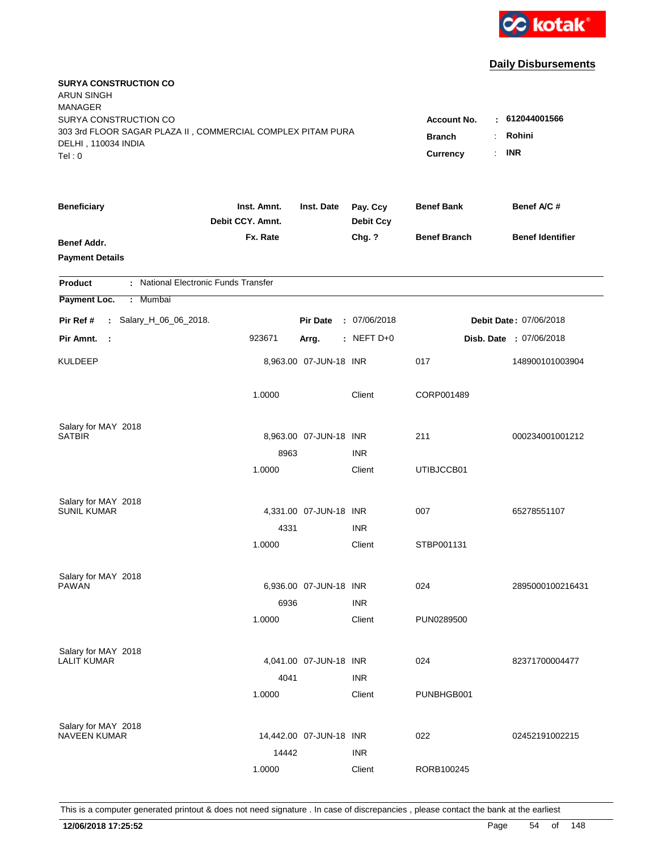

| <b>SURYA CONSTRUCTION CO</b><br><b>ARUN SINGH</b><br><b>MANAGER</b>                                                   |                                                 |                                                    |                              |                     |                                |
|-----------------------------------------------------------------------------------------------------------------------|-------------------------------------------------|----------------------------------------------------|------------------------------|---------------------|--------------------------------|
| SURYA CONSTRUCTION CO<br>303 3rd FLOOR SAGAR PLAZA II, COMMERCIAL COMPLEX PITAM PURA<br>DELHI, 110034 INDIA<br>Tel: 0 | <b>Account No.</b><br><b>Branch</b><br>Currency | $-612044001566$<br>Rohini<br>÷<br><b>INR</b><br>÷. |                              |                     |                                |
| <b>Beneficiary</b>                                                                                                    | Inst. Amnt.<br>Debit CCY. Amnt.                 | Inst. Date                                         | Pay. Ccy<br><b>Debit Ccy</b> | <b>Benef Bank</b>   | Benef A/C #                    |
| Benef Addr.<br><b>Payment Details</b>                                                                                 | Fx. Rate                                        |                                                    | Chg. ?                       | <b>Benef Branch</b> | <b>Benef Identifier</b>        |
| : National Electronic Funds Transfer<br><b>Product</b>                                                                |                                                 |                                                    |                              |                     |                                |
| Payment Loc.<br>: Mumbai                                                                                              |                                                 |                                                    |                              |                     |                                |
| Pir Ref #<br>: Salary_H_06_06_2018.                                                                                   |                                                 | <b>Pir Date</b>                                    | : 07/06/2018                 |                     | Debit Date: 07/06/2018         |
| Pir Amnt.<br>$\sim$ 1                                                                                                 | 923671                                          | Arrg.                                              | $:$ NEFT D+0                 |                     | <b>Disb. Date : 07/06/2018</b> |
| <b>KULDEEP</b>                                                                                                        |                                                 | 8,963.00 07-JUN-18 INR                             |                              | 017                 | 148900101003904                |
|                                                                                                                       | 1.0000                                          |                                                    | Client                       | CORP001489          |                                |
| Salary for MAY 2018                                                                                                   |                                                 |                                                    |                              |                     |                                |
| <b>SATBIR</b>                                                                                                         |                                                 | 8,963.00 07-JUN-18 INR                             |                              | 211                 | 000234001001212                |
|                                                                                                                       | 8963                                            |                                                    | <b>INR</b>                   |                     |                                |
|                                                                                                                       | 1.0000                                          |                                                    | Client                       | UTIBJCCB01          |                                |
| Salary for MAY 2018                                                                                                   |                                                 |                                                    |                              |                     |                                |
| <b>SUNIL KUMAR</b>                                                                                                    |                                                 | 4,331.00 07-JUN-18 INR                             |                              | 007                 | 65278551107                    |
|                                                                                                                       | 4331                                            |                                                    | <b>INR</b>                   |                     |                                |
|                                                                                                                       | 1.0000                                          |                                                    | Client                       | STBP001131          |                                |
| Salary for MAY 2018                                                                                                   |                                                 |                                                    |                              |                     |                                |
| <b>PAWAN</b>                                                                                                          |                                                 | 6,936.00 07-JUN-18 INR                             |                              | 024                 | 2895000100216431               |
|                                                                                                                       | 6936                                            |                                                    | <b>INR</b>                   |                     |                                |
|                                                                                                                       | 1.0000                                          |                                                    | Client                       | PUN0289500          |                                |
| Salary for MAY 2018                                                                                                   |                                                 |                                                    |                              |                     |                                |
| <b>LALIT KUMAR</b>                                                                                                    |                                                 | 4,041.00 07-JUN-18 INR                             |                              | 024                 | 82371700004477                 |
|                                                                                                                       | 4041                                            |                                                    | <b>INR</b>                   |                     |                                |
|                                                                                                                       | 1.0000                                          |                                                    | Client                       | PUNBHGB001          |                                |
| Salary for MAY 2018                                                                                                   |                                                 |                                                    |                              |                     |                                |
| <b>NAVEEN KUMAR</b>                                                                                                   |                                                 | 14,442.00 07-JUN-18 INR                            |                              | 022                 | 02452191002215                 |
|                                                                                                                       | 14442                                           |                                                    | <b>INR</b>                   |                     |                                |
|                                                                                                                       | 1.0000                                          |                                                    | Client                       | RORB100245          |                                |
|                                                                                                                       |                                                 |                                                    |                              |                     |                                |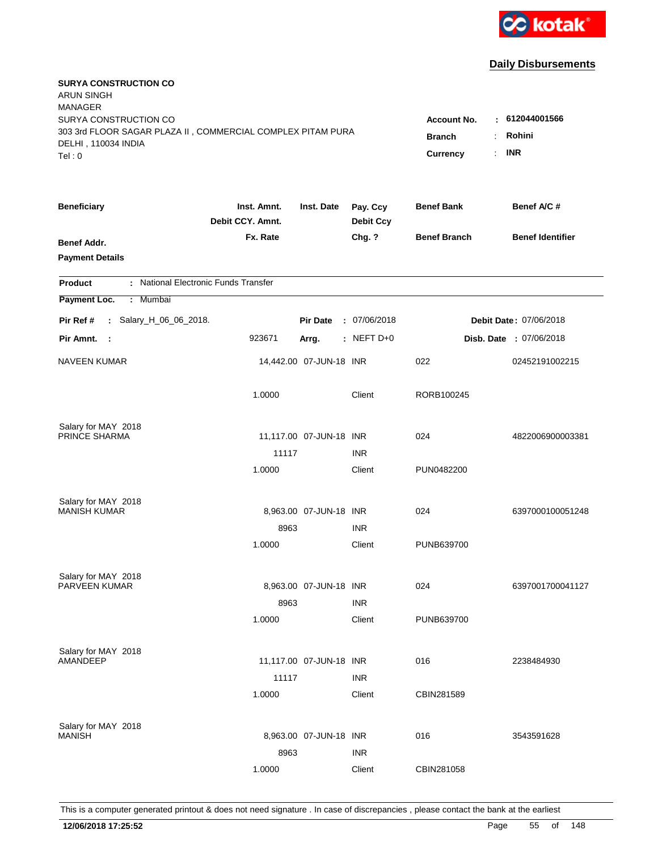

| <b>SURYA CONSTRUCTION CO</b><br><b>ARUN SINGH</b><br><b>MANAGER</b>                                                   |                                                                      |                                         |                              |                     |                                |
|-----------------------------------------------------------------------------------------------------------------------|----------------------------------------------------------------------|-----------------------------------------|------------------------------|---------------------|--------------------------------|
| SURYA CONSTRUCTION CO<br>303 3rd FLOOR SAGAR PLAZA II, COMMERCIAL COMPLEX PITAM PURA<br>DELHI, 110034 INDIA<br>Tel: 0 | <b>Account No.</b><br><b>Branch</b><br>÷<br>Currency<br>$\mathbf{r}$ | $-612044001566$<br>Rohini<br><b>INR</b> |                              |                     |                                |
| <b>Beneficiary</b>                                                                                                    | Inst. Amnt.<br>Debit CCY. Amnt.                                      | Inst. Date                              | Pay. Ccy<br><b>Debit Ccy</b> | <b>Benef Bank</b>   | Benef A/C #                    |
| Benef Addr.<br><b>Payment Details</b>                                                                                 | Fx. Rate                                                             |                                         | Chg. ?                       | <b>Benef Branch</b> | <b>Benef Identifier</b>        |
| : National Electronic Funds Transfer<br><b>Product</b>                                                                |                                                                      |                                         |                              |                     |                                |
| Payment Loc.<br>Mumbai<br>÷.                                                                                          |                                                                      |                                         |                              |                     |                                |
| Pir Ref #<br>: Salary_H_06_06_2018.                                                                                   |                                                                      | <b>Pir Date</b>                         | : 07/06/2018                 |                     | <b>Debit Date: 07/06/2018</b>  |
| Pir Amnt.<br>$\sim$ 1                                                                                                 | 923671                                                               | Arrg.                                   | : NEFT $D+0$                 |                     | <b>Disb. Date : 07/06/2018</b> |
| <b>NAVEEN KUMAR</b>                                                                                                   |                                                                      | 14,442.00 07-JUN-18 INR                 |                              | 022                 | 02452191002215                 |
|                                                                                                                       | 1.0000                                                               |                                         | Client                       | RORB100245          |                                |
| Salary for MAY 2018                                                                                                   |                                                                      |                                         |                              |                     |                                |
| PRINCE SHARMA                                                                                                         | 11117                                                                | 11,117.00 07-JUN-18 INR                 | <b>INR</b>                   | 024                 | 4822006900003381               |
|                                                                                                                       | 1.0000                                                               |                                         | Client                       | PUN0482200          |                                |
| Salary for MAY 2018                                                                                                   |                                                                      |                                         |                              |                     |                                |
| <b>MANISH KUMAR</b>                                                                                                   |                                                                      | 8,963.00 07-JUN-18 INR                  |                              | 024                 | 6397000100051248               |
|                                                                                                                       | 8963                                                                 |                                         | <b>INR</b>                   |                     |                                |
|                                                                                                                       | 1.0000                                                               |                                         | Client                       | PUNB639700          |                                |
| Salary for MAY 2018                                                                                                   |                                                                      |                                         |                              |                     |                                |
| PARVEEN KUMAR                                                                                                         |                                                                      | 8,963.00 07-JUN-18 INR                  |                              | 024                 | 6397001700041127               |
|                                                                                                                       | 8963                                                                 |                                         | <b>INR</b>                   |                     |                                |
|                                                                                                                       | 1.0000                                                               |                                         | Client                       | PUNB639700          |                                |
| Salary for MAY 2018<br>AMANDEEP                                                                                       |                                                                      | 11,117.00 07-JUN-18 INR                 |                              | 016                 | 2238484930                     |
|                                                                                                                       | 11117                                                                |                                         | <b>INR</b>                   |                     |                                |
|                                                                                                                       | 1.0000                                                               |                                         | Client                       | CBIN281589          |                                |
|                                                                                                                       |                                                                      |                                         |                              |                     |                                |
| Salary for MAY 2018<br><b>MANISH</b>                                                                                  |                                                                      | 8,963.00 07-JUN-18 INR                  |                              | 016                 | 3543591628                     |
|                                                                                                                       | 8963                                                                 |                                         | <b>INR</b>                   |                     |                                |
|                                                                                                                       | 1.0000                                                               |                                         | Client                       | CBIN281058          |                                |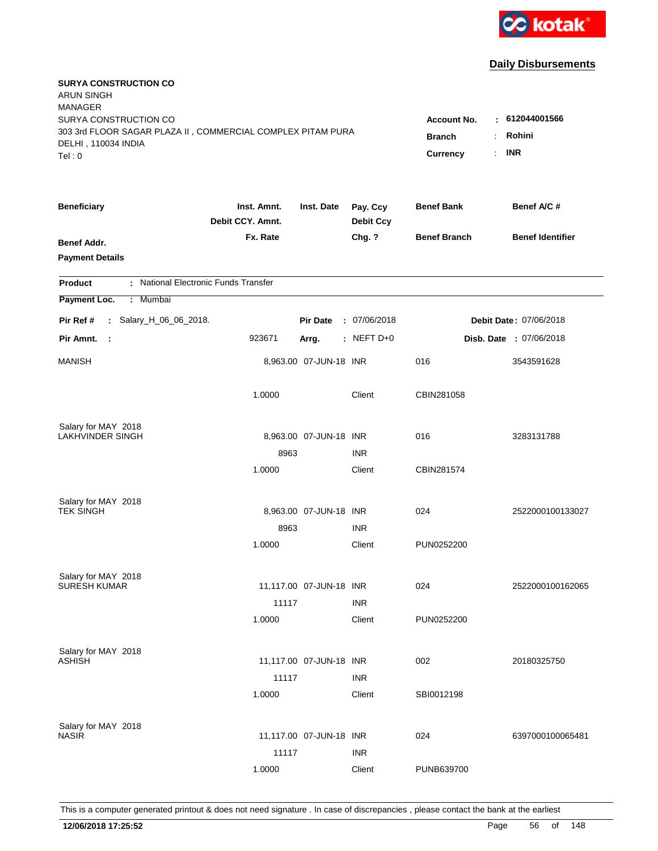

| <b>SURYA CONSTRUCTION CO</b><br><b>ARUN SINGH</b>           |                                 |                         |                              |                         |                                |
|-------------------------------------------------------------|---------------------------------|-------------------------|------------------------------|-------------------------|--------------------------------|
| <b>MANAGER</b>                                              |                                 |                         |                              |                         |                                |
| SURYA CONSTRUCTION CO                                       |                                 |                         |                              | <b>Account No.</b><br>٠ | 612044001566                   |
| 303 3rd FLOOR SAGAR PLAZA II, COMMERCIAL COMPLEX PITAM PURA | <b>Branch</b>                   | Rohini                  |                              |                         |                                |
| DELHI, 110034 INDIA<br>Tel: 0                               |                                 |                         |                              | Currency<br>÷.          | <b>INR</b>                     |
|                                                             |                                 |                         |                              |                         |                                |
| <b>Beneficiary</b>                                          | Inst. Amnt.<br>Debit CCY. Amnt. | Inst. Date              | Pay. Ccy<br><b>Debit Ccy</b> | <b>Benef Bank</b>       | Benef A/C#                     |
| Benef Addr.                                                 | Fx. Rate                        |                         | Chg. ?                       | <b>Benef Branch</b>     | <b>Benef Identifier</b>        |
| <b>Payment Details</b>                                      |                                 |                         |                              |                         |                                |
| : National Electronic Funds Transfer<br><b>Product</b>      |                                 |                         |                              |                         |                                |
| Payment Loc.<br>: Mumbai                                    |                                 |                         |                              |                         |                                |
| Pir Ref #<br>: Salary_H_06_06_2018.                         |                                 | <b>Pir Date</b>         | : 07/06/2018                 |                         | Debit Date: 07/06/2018         |
| Pir Amnt.<br>- 1                                            | 923671                          | Arrg.                   | $:$ NEFT D+0                 |                         | <b>Disb. Date : 07/06/2018</b> |
| <b>MANISH</b>                                               |                                 | 8,963.00 07-JUN-18 INR  |                              | 016                     | 3543591628                     |
|                                                             | 1.0000                          |                         | Client                       | CBIN281058              |                                |
| Salary for MAY 2018                                         |                                 |                         |                              |                         |                                |
| LAKHVINDER SINGH                                            |                                 | 8,963.00 07-JUN-18 INR  |                              | 016                     | 3283131788                     |
|                                                             | 8963                            |                         | <b>INR</b>                   |                         |                                |
|                                                             | 1.0000                          |                         | Client                       | CBIN281574              |                                |
| Salary for MAY 2018<br><b>TEK SINGH</b>                     |                                 |                         |                              |                         |                                |
|                                                             |                                 | 8,963.00 07-JUN-18 INR  |                              | 024                     | 2522000100133027               |
|                                                             | 8963                            |                         | <b>INR</b>                   |                         |                                |
|                                                             | 1.0000                          |                         | Client                       | PUN0252200              |                                |
| Salary for MAY 2018<br><b>SURESH KUMAR</b>                  |                                 | 11,117.00 07-JUN-18 INR |                              | 024                     | 2522000100162065               |
|                                                             |                                 |                         |                              |                         |                                |
|                                                             | 11117                           |                         | <b>INR</b>                   |                         |                                |
|                                                             | 1.0000                          |                         | Client                       | PUN0252200              |                                |
| Salary for MAY 2018                                         |                                 |                         |                              |                         |                                |
| <b>ASHISH</b>                                               |                                 | 11,117.00 07-JUN-18 INR |                              | 002                     | 20180325750                    |
|                                                             | 11117                           |                         | <b>INR</b>                   |                         |                                |
|                                                             | 1.0000                          |                         | Client                       | SBI0012198              |                                |
| Salary for MAY 2018                                         |                                 |                         |                              |                         |                                |
| <b>NASIR</b>                                                |                                 | 11,117.00 07-JUN-18 INR |                              | 024                     | 6397000100065481               |
|                                                             | 11117                           |                         | <b>INR</b>                   |                         |                                |
|                                                             | 1.0000                          |                         | Client                       | PUNB639700              |                                |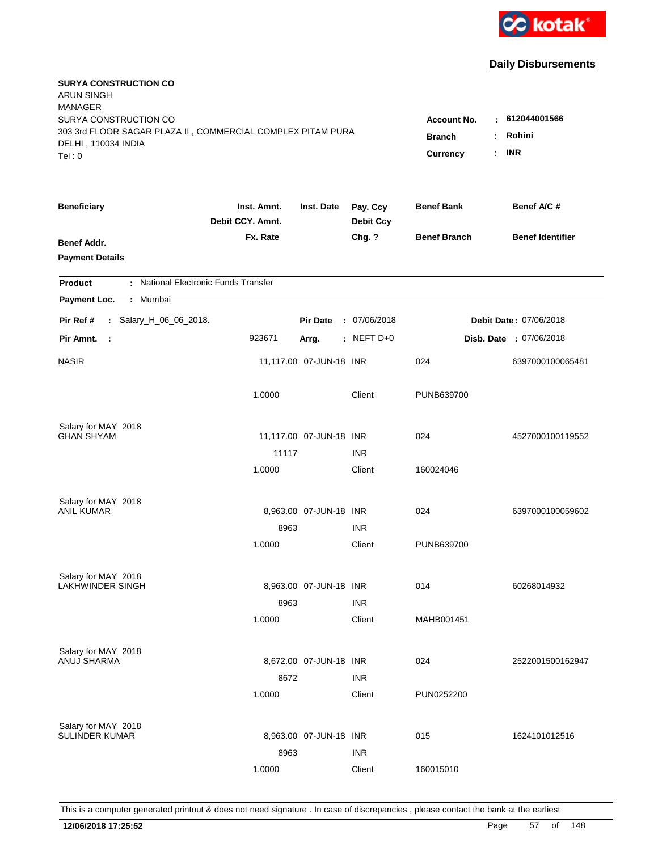

| <b>SURYA CONSTRUCTION CO</b><br><b>ARUN SINGH</b><br><b>MANAGER</b> |                                 |                         |                              |                     |                                |
|---------------------------------------------------------------------|---------------------------------|-------------------------|------------------------------|---------------------|--------------------------------|
| SURYA CONSTRUCTION CO                                               |                                 |                         |                              | <b>Account No.</b>  | : 612044001566                 |
| 303 3rd FLOOR SAGAR PLAZA II, COMMERCIAL COMPLEX PITAM PURA         |                                 | <b>Branch</b><br>÷      | Rohini                       |                     |                                |
| DELHI, 110034 INDIA                                                 |                                 |                         |                              | Currency<br>÷.      | <b>INR</b>                     |
| Tel: 0                                                              |                                 |                         |                              |                     |                                |
| <b>Beneficiary</b>                                                  | Inst. Amnt.<br>Debit CCY. Amnt. | Inst. Date              | Pay. Ccy<br><b>Debit Ccy</b> | <b>Benef Bank</b>   | Benef A/C #                    |
| Benef Addr.                                                         | Fx. Rate                        |                         | Chg. ?                       | <b>Benef Branch</b> | <b>Benef Identifier</b>        |
| <b>Payment Details</b>                                              |                                 |                         |                              |                     |                                |
| : National Electronic Funds Transfer<br><b>Product</b>              |                                 |                         |                              |                     |                                |
| Payment Loc.<br>Mumbai<br>÷.                                        |                                 |                         |                              |                     |                                |
| Pir Ref #<br>: Salary_H_06_06_2018.                                 |                                 | <b>Pir Date</b>         | : 07/06/2018                 |                     | Debit Date: 07/06/2018         |
| Pir Amnt.<br>- 1                                                    | 923671                          | Arrg.                   | : NEFT D+0                   |                     | <b>Disb. Date : 07/06/2018</b> |
| <b>NASIR</b>                                                        |                                 | 11,117.00 07-JUN-18 INR |                              | 024                 | 6397000100065481               |
|                                                                     | 1.0000                          |                         | Client                       | PUNB639700          |                                |
| Salary for MAY 2018                                                 |                                 |                         |                              |                     |                                |
| <b>GHAN SHYAM</b>                                                   |                                 | 11,117.00 07-JUN-18 INR |                              | 024                 | 4527000100119552               |
|                                                                     | 11117                           |                         | <b>INR</b>                   |                     |                                |
|                                                                     | 1.0000                          |                         | Client                       | 160024046           |                                |
| Salary for MAY 2018                                                 |                                 |                         |                              |                     |                                |
| ANIL KUMAR                                                          |                                 | 8,963.00 07-JUN-18 INR  |                              | 024                 | 6397000100059602               |
|                                                                     | 8963                            |                         | <b>INR</b>                   |                     |                                |
|                                                                     | 1.0000                          |                         | Client                       | PUNB639700          |                                |
| Salary for MAY 2018                                                 |                                 |                         |                              |                     |                                |
| <b>LAKHWINDER SINGH</b>                                             |                                 | 8,963.00 07-JUN-18 INR  |                              | 014                 | 60268014932                    |
|                                                                     | 8963                            |                         | <b>INR</b>                   |                     |                                |
|                                                                     | 1.0000                          |                         | Client                       | MAHB001451          |                                |
| Salary for MAY 2018                                                 |                                 |                         |                              |                     |                                |
| ANUJ SHARMA                                                         |                                 | 8,672.00 07-JUN-18 INR  |                              | 024                 | 2522001500162947               |
|                                                                     | 8672                            |                         | <b>INR</b>                   |                     |                                |
|                                                                     | 1.0000                          |                         | Client                       | PUN0252200          |                                |
| Salary for MAY 2018                                                 |                                 |                         |                              |                     |                                |
| <b>SULINDER KUMAR</b>                                               |                                 | 8,963.00 07-JUN-18 INR  |                              | 015                 | 1624101012516                  |
|                                                                     | 8963                            |                         | <b>INR</b>                   |                     |                                |
|                                                                     | 1.0000                          |                         | Client                       | 160015010           |                                |
|                                                                     |                                 |                         |                              |                     |                                |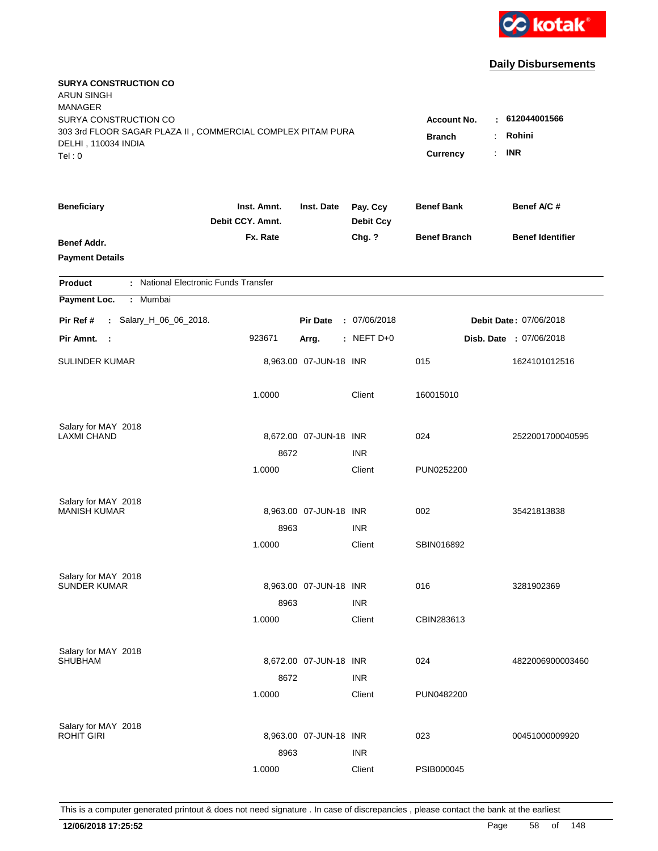

| <b>SURYA CONSTRUCTION CO</b><br><b>ARUN SINGH</b><br><b>MANAGER</b><br>SURYA CONSTRUCTION CO |                                             |                        |                              | <b>Account No.</b>  | $-612044001566$         |
|----------------------------------------------------------------------------------------------|---------------------------------------------|------------------------|------------------------------|---------------------|-------------------------|
| 303 3rd FLOOR SAGAR PLAZA II, COMMERCIAL COMPLEX PITAM PURA<br>DELHI, 110034 INDIA<br>Tel: 0 | <b>Branch</b><br>÷<br><b>Currency</b><br>÷. | Rohini<br><b>INR</b>   |                              |                     |                         |
| <b>Beneficiary</b>                                                                           | Inst. Amnt.<br>Debit CCY. Amnt.             | Inst. Date             | Pay. Ccy<br><b>Debit Ccy</b> | <b>Benef Bank</b>   | Benef A/C #             |
| Benef Addr.<br><b>Payment Details</b>                                                        | Fx. Rate                                    |                        | Chg. ?                       | <b>Benef Branch</b> | <b>Benef Identifier</b> |
| : National Electronic Funds Transfer<br><b>Product</b>                                       |                                             |                        |                              |                     |                         |
| Payment Loc.<br>Mumbai<br>÷                                                                  |                                             |                        |                              |                     |                         |
| : Salary_H_06_06_2018.<br>Pir Ref #                                                          |                                             | <b>Pir Date</b>        | : 07/06/2018                 |                     | Debit Date: 07/06/2018  |
| Pir Amnt.<br>$\sim$ :                                                                        | 923671                                      | Arrg.                  | : NEFT D+0                   |                     | Disb. Date : 07/06/2018 |
| <b>SULINDER KUMAR</b>                                                                        |                                             | 8,963.00 07-JUN-18 INR |                              | 015                 | 1624101012516           |
|                                                                                              | 1.0000                                      |                        | Client                       | 160015010           |                         |
| Salary for MAY 2018<br><b>LAXMI CHAND</b>                                                    |                                             | 8,672.00 07-JUN-18 INR |                              | 024                 |                         |
|                                                                                              | 8672                                        |                        | <b>INR</b>                   |                     | 2522001700040595        |
|                                                                                              | 1.0000                                      |                        | Client                       | PUN0252200          |                         |
| Salary for MAY 2018                                                                          |                                             |                        |                              |                     |                         |
| <b>MANISH KUMAR</b>                                                                          |                                             | 8,963.00 07-JUN-18 INR |                              | 002                 | 35421813838             |
|                                                                                              | 8963                                        |                        | <b>INR</b>                   |                     |                         |
|                                                                                              | 1.0000                                      |                        | Client                       | SBIN016892          |                         |
| Salary for MAY 2018                                                                          |                                             |                        |                              |                     |                         |
| <b>SUNDER KUMAR</b>                                                                          |                                             | 8,963.00 07-JUN-18 INR |                              | 016                 | 3281902369              |
|                                                                                              | 8963                                        |                        | <b>INR</b>                   |                     |                         |
|                                                                                              | 1.0000                                      |                        | Client                       | CBIN283613          |                         |
| Salary for MAY 2018                                                                          |                                             |                        |                              |                     |                         |
| <b>SHUBHAM</b>                                                                               |                                             | 8,672.00 07-JUN-18 INR |                              | 024                 | 4822006900003460        |
|                                                                                              | 8672                                        |                        | <b>INR</b>                   |                     |                         |
|                                                                                              | 1.0000                                      |                        | Client                       | PUN0482200          |                         |
| Salary for MAY 2018                                                                          |                                             |                        |                              |                     |                         |
| <b>ROHIT GIRI</b>                                                                            |                                             | 8,963.00 07-JUN-18 INR |                              | 023                 | 00451000009920          |
|                                                                                              | 8963                                        |                        | <b>INR</b>                   |                     |                         |
|                                                                                              | 1.0000                                      |                        | Client                       | PSIB000045          |                         |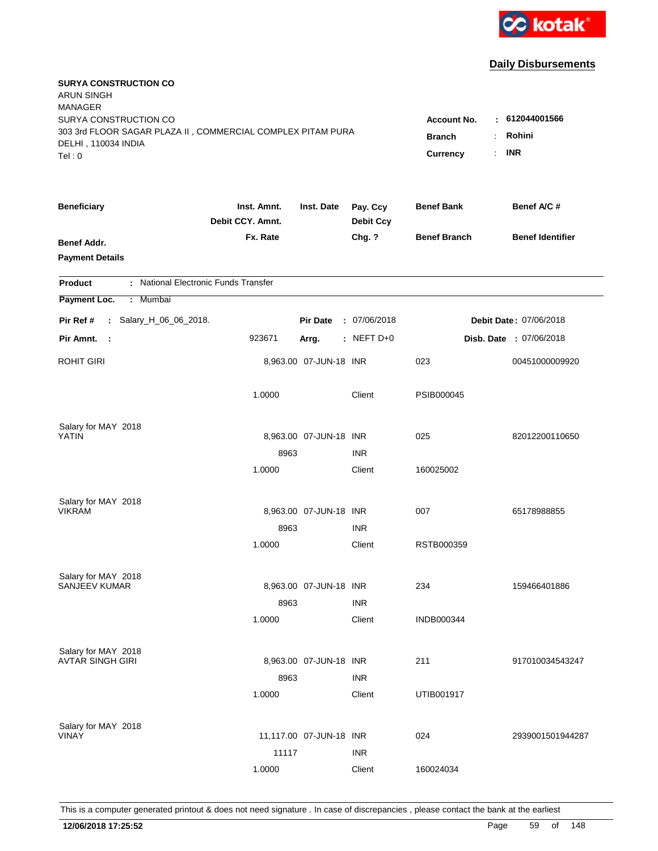

| <b>SURYA CONSTRUCTION CO</b><br><b>ARUN SINGH</b><br><b>MANAGER</b><br>SURYA CONSTRUCTION CO<br>303 3rd FLOOR SAGAR PLAZA II, COMMERCIAL COMPLEX PITAM PURA<br>DELHI, 110034 INDIA<br>Tel: 0 |                                 |                         |                              | <b>Account No.</b><br><b>Branch</b><br>Currency<br>÷. | $-612044001566$<br>Rohini<br><b>INR</b> |
|----------------------------------------------------------------------------------------------------------------------------------------------------------------------------------------------|---------------------------------|-------------------------|------------------------------|-------------------------------------------------------|-----------------------------------------|
|                                                                                                                                                                                              |                                 |                         |                              |                                                       |                                         |
| <b>Beneficiary</b>                                                                                                                                                                           | Inst. Amnt.<br>Debit CCY. Amnt. | Inst. Date              | Pay. Ccy<br><b>Debit Ccy</b> | <b>Benef Bank</b>                                     | Benef A/C #                             |
| Benef Addr.<br><b>Payment Details</b>                                                                                                                                                        | Fx. Rate                        |                         | Chg. ?                       | <b>Benef Branch</b>                                   | <b>Benef Identifier</b>                 |
| : National Electronic Funds Transfer<br><b>Product</b>                                                                                                                                       |                                 |                         |                              |                                                       |                                         |
| Payment Loc.<br>: Mumbai                                                                                                                                                                     |                                 |                         |                              |                                                       |                                         |
| Pir Ref #<br>: Salary_H_06_06_2018.                                                                                                                                                          |                                 | <b>Pir Date</b>         | : 07/06/2018                 |                                                       | Debit Date: 07/06/2018                  |
| Pir Amnt.<br>$\sim$ :                                                                                                                                                                        | 923671                          | Arrg.                   | : NEFT $D+0$                 |                                                       | <b>Disb. Date : 07/06/2018</b>          |
| <b>ROHIT GIRI</b>                                                                                                                                                                            |                                 | 8,963.00 07-JUN-18 INR  |                              | 023                                                   | 00451000009920                          |
|                                                                                                                                                                                              | 1.0000                          |                         | Client                       | PSIB000045                                            |                                         |
| Salary for MAY 2018<br><b>YATIN</b>                                                                                                                                                          |                                 | 8,963.00 07-JUN-18 INR  |                              | 025                                                   | 82012200110650                          |
|                                                                                                                                                                                              | 8963<br>1.0000                  |                         | <b>INR</b><br>Client         | 160025002                                             |                                         |
| Salary for MAY 2018<br><b>VIKRAM</b>                                                                                                                                                         | 8963                            | 8,963.00 07-JUN-18 INR  | <b>INR</b>                   | 007                                                   | 65178988855                             |
|                                                                                                                                                                                              | 1.0000                          |                         | Client                       | RSTB000359                                            |                                         |
| Salary for MAY 2018<br><b>SANJEEV KUMAR</b>                                                                                                                                                  | 8963                            | 8,963.00 07-JUN-18 INR  | <b>INR</b>                   | 234                                                   | 159466401886                            |
|                                                                                                                                                                                              | 1.0000                          |                         | Client                       | <b>INDB000344</b>                                     |                                         |
| Salary for MAY 2018<br><b>AVTAR SINGH GIRI</b>                                                                                                                                               | 8963                            | 8,963.00 07-JUN-18 INR  | <b>INR</b>                   | 211                                                   | 917010034543247                         |
|                                                                                                                                                                                              | 1.0000                          |                         | Client                       | UTIB001917                                            |                                         |
| Salary for MAY 2018<br><b>VINAY</b>                                                                                                                                                          | 11117                           | 11,117.00 07-JUN-18 INR | <b>INR</b>                   | 024                                                   | 2939001501944287                        |
|                                                                                                                                                                                              | 1.0000                          |                         | Client                       | 160024034                                             |                                         |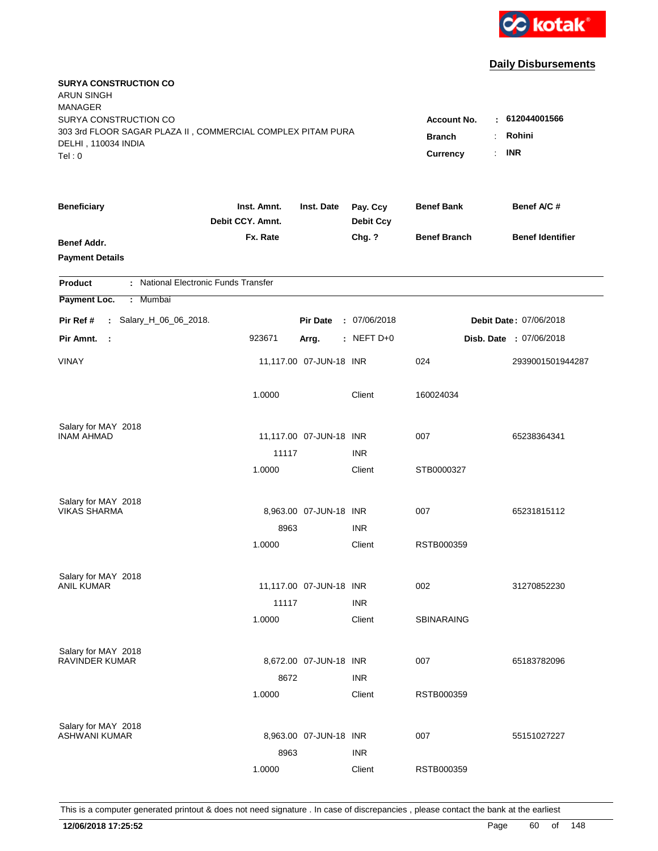

| <b>SURYA CONSTRUCTION CO</b><br><b>ARUN SINGH</b><br><b>MANAGER</b>                          |                                                    |                            |                              |                     |                               |
|----------------------------------------------------------------------------------------------|----------------------------------------------------|----------------------------|------------------------------|---------------------|-------------------------------|
| SURYA CONSTRUCTION CO                                                                        |                                                    |                            |                              | <b>Account No.</b>  | $-612044001566$               |
| 303 3rd FLOOR SAGAR PLAZA II, COMMERCIAL COMPLEX PITAM PURA<br>DELHI, 110034 INDIA<br>Tel: 0 | <b>Branch</b><br>$\ddot{\cdot}$<br><b>Currency</b> | Rohini<br><b>INR</b><br>÷. |                              |                     |                               |
| <b>Beneficiary</b>                                                                           | Inst. Amnt.<br>Debit CCY. Amnt.                    | Inst. Date                 | Pay. Ccy<br><b>Debit Ccy</b> | <b>Benef Bank</b>   | Benef A/C#                    |
| Benef Addr.<br><b>Payment Details</b>                                                        | Fx. Rate                                           |                            | Chg. ?                       | <b>Benef Branch</b> | <b>Benef Identifier</b>       |
| : National Electronic Funds Transfer<br><b>Product</b>                                       |                                                    |                            |                              |                     |                               |
| Payment Loc.<br>: Mumbai                                                                     |                                                    |                            |                              |                     |                               |
| Pir Ref #<br>: Salary_H_06_06_2018.                                                          |                                                    | <b>Pir Date</b>            | : 07/06/2018                 |                     | <b>Debit Date: 07/06/2018</b> |
| Pir Amnt. :                                                                                  | 923671                                             | Arrg.                      | $:$ NEFT D+0                 |                     | Disb. Date: 07/06/2018        |
| <b>VINAY</b>                                                                                 |                                                    | 11,117.00 07-JUN-18 INR    |                              | 024                 | 2939001501944287              |
|                                                                                              | 1.0000                                             |                            | Client                       | 160024034           |                               |
| Salary for MAY 2018                                                                          |                                                    |                            |                              |                     |                               |
| <b>INAM AHMAD</b>                                                                            |                                                    | 11,117.00 07-JUN-18 INR    |                              | 007                 | 65238364341                   |
|                                                                                              | 11117                                              |                            | <b>INR</b>                   |                     |                               |
|                                                                                              | 1.0000                                             |                            | Client                       | STB0000327          |                               |
| Salary for MAY 2018                                                                          |                                                    |                            |                              |                     |                               |
| <b>VIKAS SHARMA</b>                                                                          |                                                    | 8,963.00 07-JUN-18 INR     |                              | 007                 | 65231815112                   |
|                                                                                              | 8963                                               |                            | <b>INR</b>                   |                     |                               |
|                                                                                              | 1.0000                                             |                            | Client                       | RSTB000359          |                               |
| Salary for MAY 2018                                                                          |                                                    |                            |                              |                     |                               |
| <b>ANIL KUMAR</b>                                                                            |                                                    | 11,117.00 07-JUN-18 INR    |                              | 002                 | 31270852230                   |
|                                                                                              | 11117                                              |                            | <b>INR</b>                   |                     |                               |
|                                                                                              | 1.0000                                             |                            | Client                       | <b>SBINARAING</b>   |                               |
| Salary for MAY 2018                                                                          |                                                    |                            |                              |                     |                               |
| RAVINDER KUMAR                                                                               |                                                    | 8,672.00 07-JUN-18 INR     |                              | 007                 | 65183782096                   |
|                                                                                              | 8672                                               |                            | <b>INR</b>                   |                     |                               |
|                                                                                              | 1.0000                                             |                            | Client                       | RSTB000359          |                               |
| Salary for MAY 2018                                                                          |                                                    |                            |                              |                     |                               |
| ASHWANI KUMAR                                                                                |                                                    | 8,963.00 07-JUN-18 INR     |                              | 007                 | 55151027227                   |
|                                                                                              | 8963                                               |                            | <b>INR</b>                   |                     |                               |
|                                                                                              | 1.0000                                             |                            | Client                       | RSTB000359          |                               |
|                                                                                              |                                                    |                            |                              |                     |                               |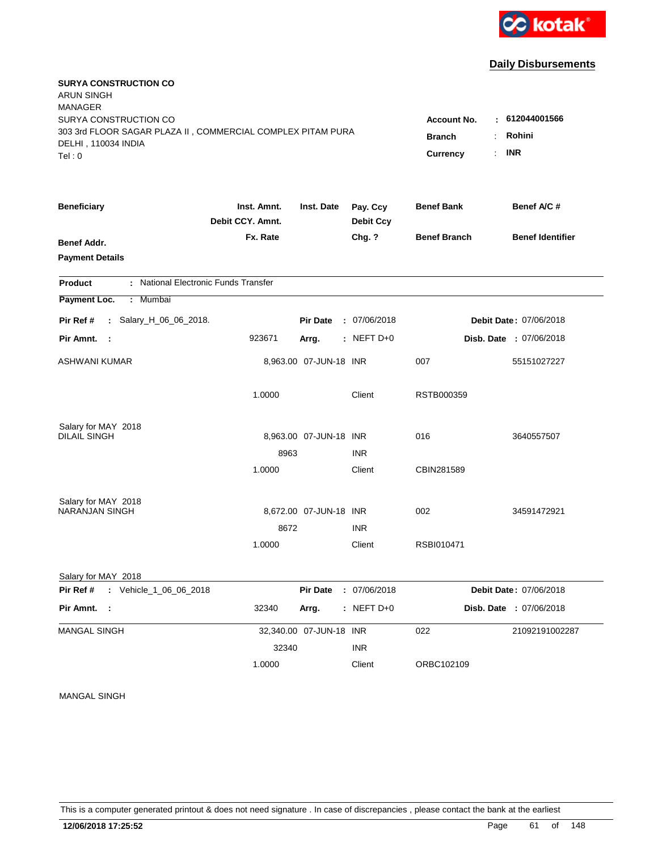

| <b>SURYA CONSTRUCTION CO</b><br><b>ARUN SINGH</b><br><b>MANAGER</b><br>SURYA CONSTRUCTION CO<br>303 3rd FLOOR SAGAR PLAZA II, COMMERCIAL COMPLEX PITAM PURA<br>DELHI, 110034 INDIA<br>Tel:0 |                                 | <b>Account No.</b><br><b>Branch</b><br>Currency | : 612044001566<br>Rohini<br><b>INR</b><br>÷. |                     |                         |
|---------------------------------------------------------------------------------------------------------------------------------------------------------------------------------------------|---------------------------------|-------------------------------------------------|----------------------------------------------|---------------------|-------------------------|
|                                                                                                                                                                                             |                                 |                                                 |                                              |                     |                         |
| <b>Beneficiary</b>                                                                                                                                                                          | Inst. Amnt.<br>Debit CCY, Amnt. | Inst. Date                                      | Pay. Ccy<br><b>Debit Ccy</b>                 | <b>Benef Bank</b>   | Benef A/C #             |
| <b>Benef Addr.</b><br><b>Payment Details</b>                                                                                                                                                | Fx. Rate                        |                                                 | Chg. ?                                       | <b>Benef Branch</b> | <b>Benef Identifier</b> |
| : National Electronic Funds Transfer<br><b>Product</b>                                                                                                                                      |                                 |                                                 |                                              |                     |                         |
| Payment Loc.<br>: Mumbai                                                                                                                                                                    |                                 |                                                 |                                              |                     |                         |
| : Salary_H_06_06_2018.<br>Pir Ref #                                                                                                                                                         |                                 | <b>Pir Date</b>                                 | : 07/06/2018                                 |                     | Debit Date: 07/06/2018  |
| Pir Amnt.<br>$\sim$ 1                                                                                                                                                                       | 923671                          | Arrg.                                           | $:$ NEFT D+0                                 |                     | Disb. Date : 07/06/2018 |
| <b>ASHWANI KUMAR</b>                                                                                                                                                                        |                                 | 8,963.00 07-JUN-18 INR                          |                                              | 007                 | 55151027227             |
|                                                                                                                                                                                             | 1.0000                          |                                                 | Client                                       | RSTB000359          |                         |
| Salary for MAY 2018                                                                                                                                                                         |                                 |                                                 |                                              |                     |                         |
| DILAIL SINGH                                                                                                                                                                                |                                 | 8,963.00 07-JUN-18 INR                          |                                              | 016                 | 3640557507              |
|                                                                                                                                                                                             | 8963<br>1.0000                  |                                                 | <b>INR</b><br>Client                         | CBIN281589          |                         |
|                                                                                                                                                                                             |                                 |                                                 |                                              |                     |                         |
| Salary for MAY 2018                                                                                                                                                                         |                                 |                                                 |                                              |                     |                         |
| <b>NARANJAN SINGH</b>                                                                                                                                                                       |                                 | 8,672.00 07-JUN-18 INR                          |                                              | 002                 | 34591472921             |
|                                                                                                                                                                                             | 8672<br>1.0000                  |                                                 | <b>INR</b><br>Client                         | RSBI010471          |                         |
| Salary for MAY 2018                                                                                                                                                                         |                                 |                                                 |                                              |                     |                         |
| : Vehicle_1_06_06_2018<br>Pir Ref #                                                                                                                                                         |                                 | <b>Pir Date</b>                                 | : 07/06/2018                                 |                     | Debit Date: 07/06/2018  |
| Pir Amnt. :                                                                                                                                                                                 | 32340                           | Arrg.                                           | $:$ NEFT D+0                                 |                     | Disb. Date : 07/06/2018 |
| <b>MANGAL SINGH</b>                                                                                                                                                                         |                                 | 32,340.00 07-JUN-18 INR                         |                                              | 022                 | 21092191002287          |
|                                                                                                                                                                                             | 32340                           |                                                 | <b>INR</b>                                   |                     |                         |
|                                                                                                                                                                                             | 1.0000                          |                                                 | Client                                       | ORBC102109          |                         |

MANGAL SINGH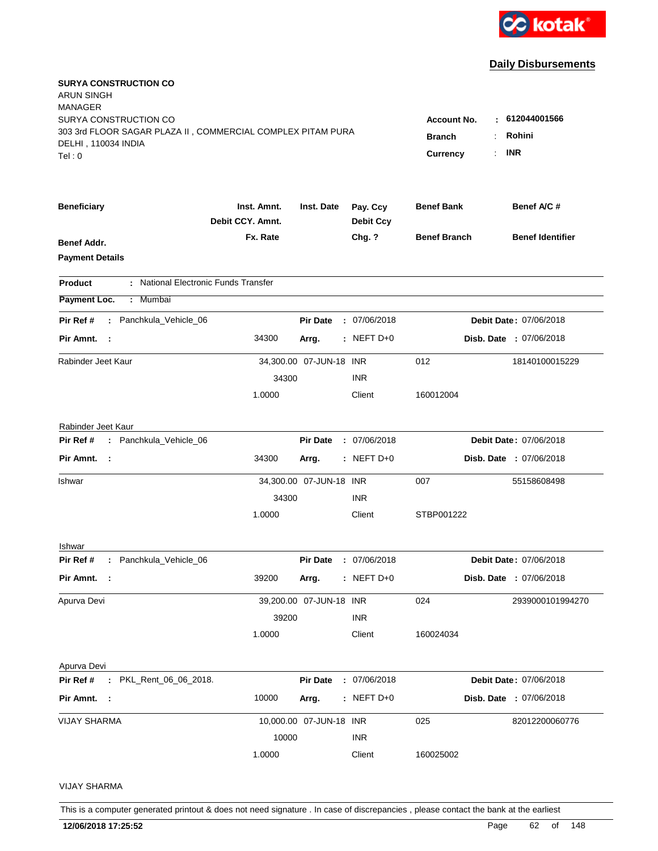

| <b>SURYA CONSTRUCTION CO</b><br>ARUN SINGH<br>MANAGER<br>SURYA CONSTRUCTION CO              |                                 |                         |                              | <b>Account No.</b>               | : 612044001566          |
|---------------------------------------------------------------------------------------------|---------------------------------|-------------------------|------------------------------|----------------------------------|-------------------------|
| 303 3rd FLOOR SAGAR PLAZA II, COMMERCIAL COMPLEX PITAM PURA<br>DELHI, 110034 INDIA<br>Tel:0 |                                 |                         |                              | <b>Branch</b><br><b>Currency</b> | Rohini<br><b>INR</b>    |
| <b>Beneficiary</b>                                                                          | Inst. Amnt.<br>Debit CCY. Amnt. | Inst. Date              | Pay. Ccy<br><b>Debit Ccy</b> | <b>Benef Bank</b>                | Benef A/C #             |
| <b>Benef Addr.</b><br><b>Payment Details</b>                                                | Fx. Rate                        |                         | Chg. ?                       | <b>Benef Branch</b>              | <b>Benef Identifier</b> |
| : National Electronic Funds Transfer<br>Product                                             |                                 |                         |                              |                                  |                         |
| Payment Loc.<br>Mumbai<br>÷.                                                                |                                 |                         |                              |                                  |                         |
| : Panchkula_Vehicle_06<br>Pir Ref #                                                         |                                 | <b>Pir Date</b>         | : 07/06/2018                 |                                  | Debit Date: 07/06/2018  |
| Pir Amnt.<br>- 1                                                                            | 34300                           | Arrg.                   | $:$ NEFT D+0                 |                                  | Disb. Date: 07/06/2018  |
| Rabinder Jeet Kaur                                                                          |                                 | 34,300.00 07-JUN-18 INR |                              | 012                              | 18140100015229          |
|                                                                                             | 34300                           |                         | <b>INR</b>                   |                                  |                         |
|                                                                                             | 1.0000                          |                         | Client                       | 160012004                        |                         |
| Rabinder Jeet Kaur                                                                          |                                 |                         |                              |                                  |                         |
| : Panchkula_Vehicle_06<br>Pir Ref #                                                         |                                 | <b>Pir Date</b>         | : 07/06/2018                 |                                  | Debit Date: 07/06/2018  |
| Pir Amnt. :                                                                                 | 34300                           | Arrg.                   | $:$ NEFT D+0                 |                                  | Disb. Date : 07/06/2018 |
| Ishwar                                                                                      |                                 | 34,300.00 07-JUN-18 INR |                              | 007                              | 55158608498             |
|                                                                                             | 34300                           |                         | <b>INR</b>                   |                                  |                         |
|                                                                                             | 1.0000                          |                         | Client                       | STBP001222                       |                         |
| Ishwar                                                                                      |                                 |                         |                              |                                  |                         |
| : Panchkula_Vehicle_06<br>Pir Ref #                                                         |                                 | <b>Pir Date</b>         | : 07/06/2018                 |                                  | Debit Date: 07/06/2018  |
| Pir Amnt. :                                                                                 | 39200                           | Arrg.                   | $:$ NEFT D+0                 |                                  | Disb. Date : 07/06/2018 |
| Apurva Devi                                                                                 |                                 | 39,200.00 07-JUN-18 INR |                              | 024                              | 2939000101994270        |
|                                                                                             | 39200                           |                         | <b>INR</b>                   |                                  |                         |
|                                                                                             | 1.0000                          |                         | Client                       | 160024034                        |                         |
| Apurva Devi                                                                                 |                                 |                         |                              |                                  |                         |
| : PKL_Rent_06_06_2018.<br>Pir Ref #                                                         |                                 | <b>Pir Date</b>         | : 07/06/2018                 |                                  | Debit Date: 07/06/2018  |
| Pir Amnt. :                                                                                 | 10000                           | Arrg.                   | $:$ NEFT D+0                 |                                  | Disb. Date : 07/06/2018 |
| <b>VIJAY SHARMA</b>                                                                         |                                 | 10,000.00 07-JUN-18 INR |                              | 025                              | 82012200060776          |
|                                                                                             | 10000                           |                         | <b>INR</b>                   |                                  |                         |
|                                                                                             | 1.0000                          |                         | Client                       | 160025002                        |                         |
| <b>VIJAY SHARMA</b>                                                                         |                                 |                         |                              |                                  |                         |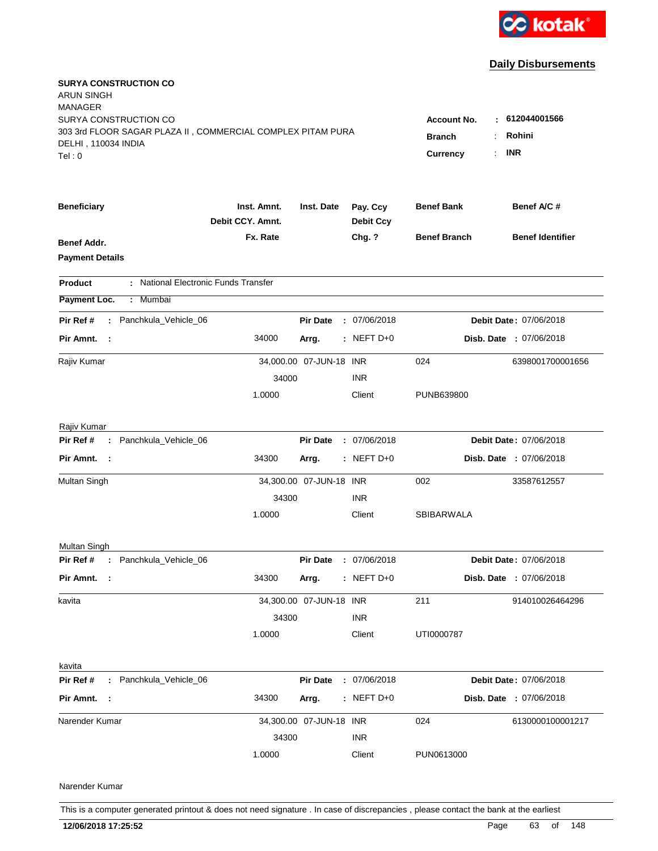

| <b>SURYA CONSTRUCTION CO</b><br><b>ARUN SINGH</b><br><b>MANAGER</b>                  |                                 |                         |                              |                                     |                                |
|--------------------------------------------------------------------------------------|---------------------------------|-------------------------|------------------------------|-------------------------------------|--------------------------------|
| SURYA CONSTRUCTION CO<br>303 3rd FLOOR SAGAR PLAZA II, COMMERCIAL COMPLEX PITAM PURA |                                 |                         |                              | <b>Account No.</b><br><b>Branch</b> | : 612044001566<br>Rohini       |
| DELHI, 110034 INDIA<br>Tel:0                                                         |                                 |                         |                              | <b>Currency</b>                     | <b>INR</b>                     |
|                                                                                      |                                 |                         |                              |                                     |                                |
| <b>Beneficiary</b>                                                                   | Inst. Amnt.<br>Debit CCY. Amnt. | Inst. Date              | Pay. Ccy<br><b>Debit Ccy</b> | <b>Benef Bank</b>                   | Benef A/C #                    |
| Benef Addr.                                                                          | Fx. Rate                        |                         | Chg. ?                       | <b>Benef Branch</b>                 | <b>Benef Identifier</b>        |
| <b>Payment Details</b>                                                               |                                 |                         |                              |                                     |                                |
| : National Electronic Funds Transfer<br><b>Product</b>                               |                                 |                         |                              |                                     |                                |
| Payment Loc.<br>: Mumbai                                                             |                                 |                         |                              |                                     |                                |
| : Panchkula_Vehicle_06<br>Pir Ref #                                                  |                                 | <b>Pir Date</b>         | : 07/06/2018                 |                                     | Debit Date: 07/06/2018         |
| Pir Amnt. :                                                                          | 34000                           | Arrg.                   | $:$ NEFT D+0                 |                                     | Disb. Date : 07/06/2018        |
| Rajiv Kumar                                                                          |                                 | 34,000.00 07-JUN-18 INR |                              | 024                                 | 6398001700001656               |
|                                                                                      | 34000                           |                         | <b>INR</b>                   |                                     |                                |
|                                                                                      | 1.0000                          |                         | Client                       | PUNB639800                          |                                |
| Rajiv Kumar                                                                          |                                 |                         |                              |                                     |                                |
| : Panchkula_Vehicle_06<br>Pir Ref #                                                  |                                 | <b>Pir Date</b>         | : 07/06/2018                 |                                     | Debit Date: 07/06/2018         |
| Pir Amnt. :                                                                          | 34300                           | Arrg.                   | $:$ NEFT D+0                 |                                     | Disb. Date : 07/06/2018        |
| Multan Singh                                                                         |                                 | 34,300.00 07-JUN-18 INR |                              | 002                                 | 33587612557                    |
|                                                                                      | 34300                           |                         | <b>INR</b>                   |                                     |                                |
|                                                                                      | 1.0000                          |                         | Client                       | SBIBARWALA                          |                                |
| Multan Singh                                                                         |                                 |                         |                              |                                     |                                |
| : Panchkula_Vehicle_06<br>Pir Ref #                                                  |                                 | <b>Pir Date</b>         | : 07/06/2018                 |                                     | Debit Date: 07/06/2018         |
| Pir Amnt. :                                                                          | 34300                           | Arrg.                   | $:$ NEFT D+0                 |                                     | <b>Disb. Date : 07/06/2018</b> |
| kavita                                                                               |                                 | 34,300.00 07-JUN-18 INR |                              | 211                                 | 914010026464296                |
|                                                                                      | 34300                           |                         | <b>INR</b>                   |                                     |                                |
|                                                                                      | 1.0000                          |                         | Client                       | UTI0000787                          |                                |
| kavita                                                                               |                                 |                         |                              |                                     |                                |
| Pir Ref #<br>: Panchkula_Vehicle_06                                                  |                                 | <b>Pir Date</b>         | : 07/06/2018                 |                                     | Debit Date: 07/06/2018         |
| Pir Amnt. :                                                                          | 34300                           | Arrg.                   | $:$ NEFT D+0                 |                                     | Disb. Date : 07/06/2018        |
| Narender Kumar                                                                       |                                 | 34,300.00 07-JUN-18 INR |                              | 024                                 | 6130000100001217               |
|                                                                                      | 34300                           |                         | <b>INR</b>                   |                                     |                                |
|                                                                                      | 1.0000                          |                         | Client                       | PUN0613000                          |                                |
| Narender Kumar                                                                       |                                 |                         |                              |                                     |                                |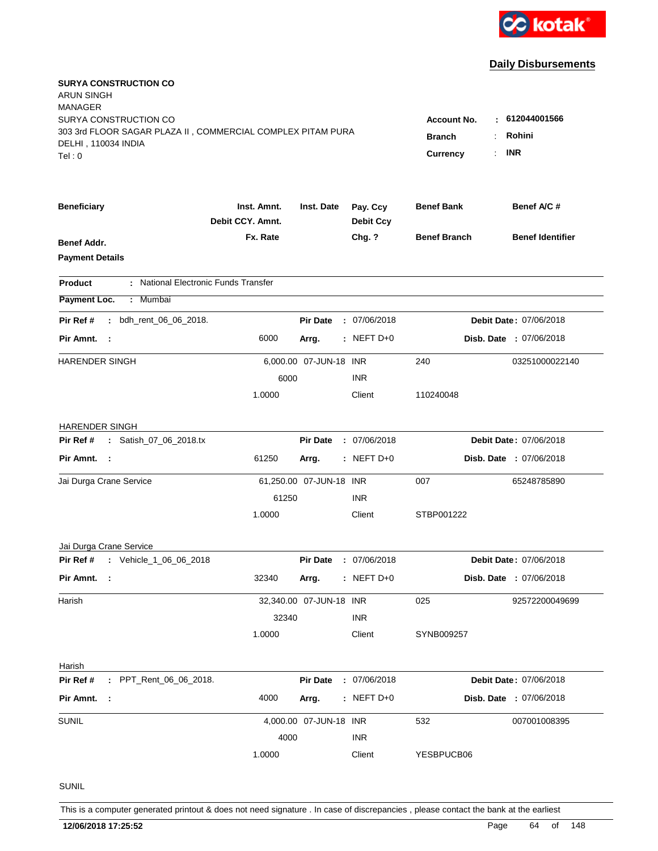

| <b>SURYA CONSTRUCTION CO</b><br>ARUN SINGH<br>MANAGER                                                                |                                 |                         |                                                            |                                      |                                |
|----------------------------------------------------------------------------------------------------------------------|---------------------------------|-------------------------|------------------------------------------------------------|--------------------------------------|--------------------------------|
| SURYA CONSTRUCTION CO<br>303 3rd FLOOR SAGAR PLAZA II, COMMERCIAL COMPLEX PITAM PURA<br>DELHI, 110034 INDIA<br>Tel:0 |                                 |                         | <b>Account No.</b><br>٠.<br><b>Branch</b><br>Currency<br>÷ | 612044001566<br>Rohini<br><b>INR</b> |                                |
|                                                                                                                      |                                 |                         |                                                            |                                      |                                |
| <b>Beneficiary</b>                                                                                                   | Inst. Amnt.<br>Debit CCY. Amnt. | Inst. Date              | Pay. Ccy<br><b>Debit Ccy</b>                               | <b>Benef Bank</b>                    | Benef A/C #                    |
| <b>Benef Addr.</b><br><b>Payment Details</b>                                                                         | Fx. Rate                        |                         | Chg. ?                                                     | <b>Benef Branch</b>                  | <b>Benef Identifier</b>        |
| : National Electronic Funds Transfer<br><b>Product</b>                                                               |                                 |                         |                                                            |                                      |                                |
| Payment Loc.<br>Mumbai<br>÷.                                                                                         |                                 |                         |                                                            |                                      |                                |
| Pir Ref #<br>bdh_rent_06_06_2018.<br>÷.                                                                              |                                 | <b>Pir Date</b>         | : 07/06/2018                                               |                                      | Debit Date: 07/06/2018         |
| Pir Amnt.<br>- 1                                                                                                     | 6000                            | Arrg.                   | $:$ NEFT D+0                                               |                                      | <b>Disb. Date : 07/06/2018</b> |
| <b>HARENDER SINGH</b>                                                                                                |                                 | 6,000.00 07-JUN-18 INR  |                                                            | 240                                  | 03251000022140                 |
|                                                                                                                      | 6000                            |                         | <b>INR</b>                                                 |                                      |                                |
|                                                                                                                      | 1.0000                          |                         | Client                                                     | 110240048                            |                                |
| <b>HARENDER SINGH</b>                                                                                                |                                 |                         |                                                            |                                      |                                |
| : Satish_07_06_2018.tx<br>Pir Ref #                                                                                  |                                 | <b>Pir Date</b>         | : 07/06/2018                                               |                                      | Debit Date: 07/06/2018         |
| Pir Amnt. :                                                                                                          | 61250                           | Arrg.                   | $:$ NEFT D+0                                               |                                      | Disb. Date : 07/06/2018        |
| Jai Durga Crane Service                                                                                              |                                 | 61,250.00 07-JUN-18 INR |                                                            | 007                                  | 65248785890                    |
|                                                                                                                      | 61250                           |                         | <b>INR</b>                                                 |                                      |                                |
|                                                                                                                      | 1.0000                          |                         | Client                                                     | STBP001222                           |                                |
| Jai Durga Crane Service                                                                                              |                                 |                         |                                                            |                                      |                                |
| : Vehicle_1_06_06_2018<br>Pir Ref #                                                                                  |                                 | <b>Pir Date</b>         | : 07/06/2018                                               |                                      | Debit Date: 07/06/2018         |
| Pir Amnt.<br>- 1                                                                                                     | 32340                           | Arrg.                   | $:$ NEFT D+0                                               |                                      | <b>Disb. Date : 07/06/2018</b> |
| Harish                                                                                                               |                                 | 32,340.00 07-JUN-18 INR |                                                            | 025                                  | 92572200049699                 |
|                                                                                                                      | 32340                           |                         | <b>INR</b>                                                 |                                      |                                |
|                                                                                                                      | 1.0000                          |                         | Client                                                     | SYNB009257                           |                                |
| Harish                                                                                                               |                                 |                         |                                                            |                                      |                                |
| Pir Ref #<br>: PPT_Rent_06_06_2018.                                                                                  |                                 | <b>Pir Date</b>         | : 07/06/2018                                               |                                      | Debit Date: 07/06/2018         |
| Pir Amnt. :                                                                                                          | 4000                            | Arrg.                   | $:$ NEFT D+0                                               |                                      | Disb. Date : 07/06/2018        |
| <b>SUNIL</b>                                                                                                         |                                 | 4,000.00 07-JUN-18 INR  |                                                            | 532                                  | 007001008395                   |
|                                                                                                                      | 4000                            |                         | <b>INR</b>                                                 |                                      |                                |
|                                                                                                                      | 1.0000                          |                         | Client                                                     | YESBPUCB06                           |                                |
| SUNIL                                                                                                                |                                 |                         |                                                            |                                      |                                |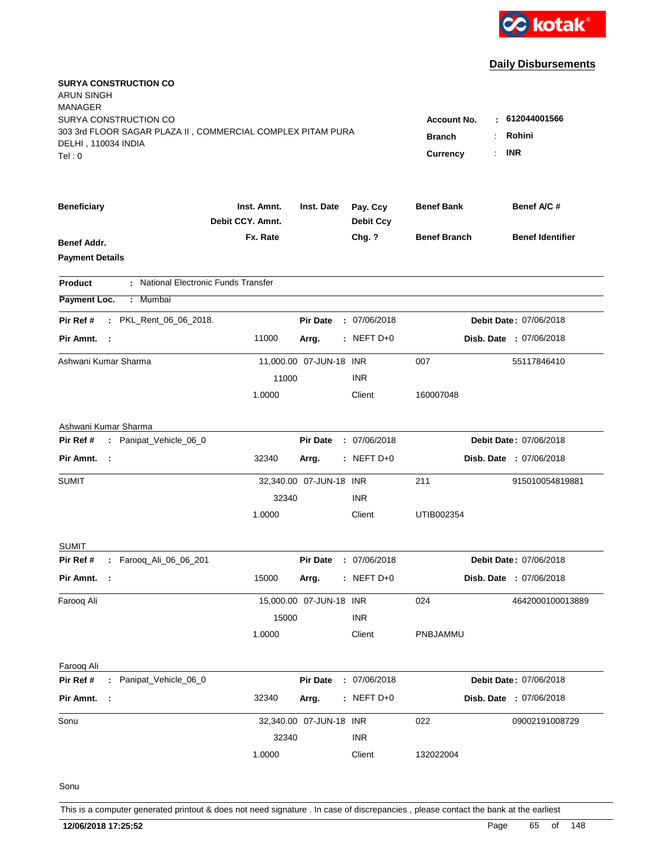

| <b>SURYA CONSTRUCTION CO</b><br>ARUN SINGH<br>MANAGER<br>SURYA CONSTRUCTION CO<br>303 3rd FLOOR SAGAR PLAZA II, COMMERCIAL COMPLEX PITAM PURA<br>DELHI, 110034 INDIA<br>Tel:0 | <b>Account No.</b><br><b>Branch</b><br>Currency | : 612044001566<br>Rohini<br><b>INR</b> |                              |                     |                                |
|-------------------------------------------------------------------------------------------------------------------------------------------------------------------------------|-------------------------------------------------|----------------------------------------|------------------------------|---------------------|--------------------------------|
| <b>Beneficiary</b>                                                                                                                                                            | Inst. Amnt.<br>Debit CCY. Amnt.                 | Inst. Date                             | Pay. Ccy<br><b>Debit Ccy</b> | <b>Benef Bank</b>   | Benef A/C #                    |
| <b>Benef Addr.</b><br><b>Payment Details</b>                                                                                                                                  | Fx. Rate                                        |                                        | Chg. ?                       | <b>Benef Branch</b> | <b>Benef Identifier</b>        |
| : National Electronic Funds Transfer<br><b>Product</b>                                                                                                                        |                                                 |                                        |                              |                     |                                |
| Payment Loc.<br>Mumbai<br>$\mathbb{Z}^{\mathbb{Z}}$                                                                                                                           |                                                 |                                        |                              |                     |                                |
| : PKL_Rent_06_06_2018.<br>Pir Ref #                                                                                                                                           |                                                 | <b>Pir Date</b>                        | : 07/06/2018                 |                     | Debit Date: 07/06/2018         |
| Pir Amnt. :                                                                                                                                                                   | 11000                                           | Arrg.                                  | $:$ NEFT D+0                 |                     | <b>Disb. Date : 07/06/2018</b> |
| Ashwani Kumar Sharma                                                                                                                                                          |                                                 | 11,000.00 07-JUN-18 INR                |                              | 007                 | 55117846410                    |
|                                                                                                                                                                               | 11000                                           |                                        | <b>INR</b>                   |                     |                                |
|                                                                                                                                                                               | 1.0000                                          |                                        | Client                       | 160007048           |                                |
| Ashwani Kumar Sharma                                                                                                                                                          |                                                 |                                        |                              |                     |                                |
| : Panipat_Vehicle_06_0<br>Pir Ref #                                                                                                                                           |                                                 | <b>Pir Date</b>                        | : 07/06/2018                 |                     | Debit Date: 07/06/2018         |
| Pir Amnt. :                                                                                                                                                                   | 32340                                           | Arrg.                                  | $:$ NEFT D+0                 |                     | Disb. Date : 07/06/2018        |
| <b>SUMIT</b>                                                                                                                                                                  |                                                 | 32,340.00 07-JUN-18 INR                |                              | 211                 | 915010054819881                |
|                                                                                                                                                                               | 32340                                           |                                        | <b>INR</b>                   |                     |                                |
|                                                                                                                                                                               | 1.0000                                          |                                        | Client                       | UTIB002354          |                                |
| SUMIT                                                                                                                                                                         |                                                 |                                        |                              |                     |                                |
| : Farooq_Ali_06_06_201<br>Pir Ref #                                                                                                                                           |                                                 | <b>Pir Date</b>                        | : 07/06/2018                 |                     | Debit Date: 07/06/2018         |
| Pir Amnt.                                                                                                                                                                     | 15000                                           | Arrg.                                  | $:$ NEFT D+0                 |                     | Disb. Date : 07/06/2018        |
| Farooq Ali                                                                                                                                                                    |                                                 | 15,000.00 07-JUN-18 INR                |                              | 024                 | 4642000100013889               |
|                                                                                                                                                                               | 15000                                           |                                        | <b>INR</b>                   |                     |                                |
|                                                                                                                                                                               | 1.0000                                          |                                        | Client                       | PNBJAMMU            |                                |
| Faroog Ali                                                                                                                                                                    |                                                 |                                        |                              |                     |                                |
| : Panipat_Vehicle_06_0<br>Pir Ref #                                                                                                                                           |                                                 | <b>Pir Date</b>                        | : 07/06/2018                 |                     | Debit Date: 07/06/2018         |
| Pir Amnt. :                                                                                                                                                                   | 32340                                           | Arrg.                                  | $:$ NEFT D+0                 |                     | Disb. Date : 07/06/2018        |
| Sonu                                                                                                                                                                          |                                                 | 32,340.00 07-JUN-18 INR                |                              | 022                 | 09002191008729                 |
|                                                                                                                                                                               | 32340                                           |                                        | <b>INR</b>                   |                     |                                |
|                                                                                                                                                                               | 1.0000                                          |                                        | Client                       | 132022004           |                                |
| Sonu                                                                                                                                                                          |                                                 |                                        |                              |                     |                                |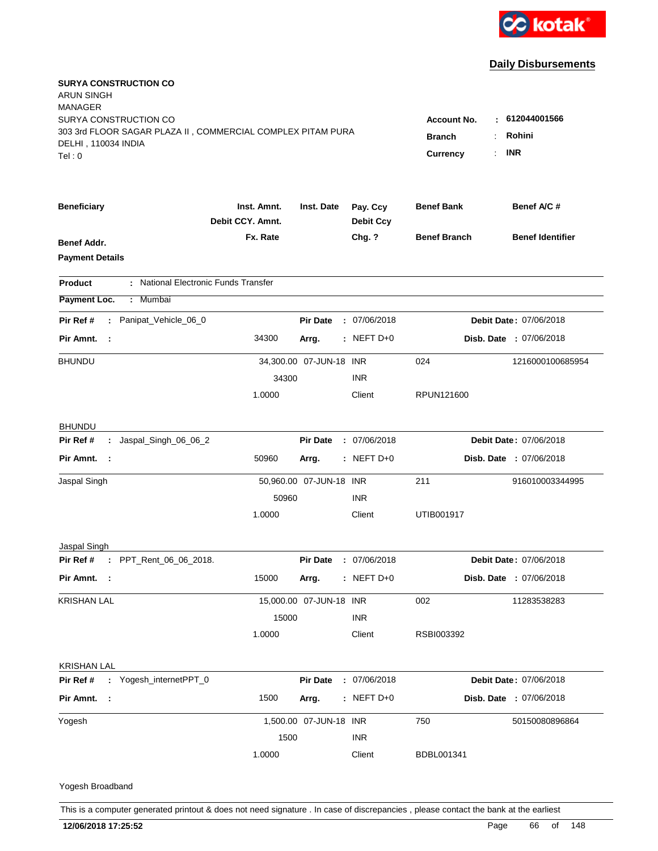

| <b>SURYA CONSTRUCTION CO</b><br>ARUN SINGH<br><b>MANAGER</b><br>SURYA CONSTRUCTION CO       |                                 |                         |                              | <b>Account No.</b><br>н.         | 612044001566            |
|---------------------------------------------------------------------------------------------|---------------------------------|-------------------------|------------------------------|----------------------------------|-------------------------|
| 303 3rd FLOOR SAGAR PLAZA II, COMMERCIAL COMPLEX PITAM PURA<br>DELHI, 110034 INDIA<br>Tel:0 |                                 |                         |                              | <b>Branch</b><br><b>Currency</b> | Rohini<br><b>INR</b>    |
| <b>Beneficiary</b>                                                                          | Inst. Amnt.<br>Debit CCY. Amnt. | Inst. Date              | Pay. Ccy<br><b>Debit Ccy</b> | <b>Benef Bank</b>                | Benef A/C #             |
| Benef Addr.<br><b>Payment Details</b>                                                       | Fx. Rate                        |                         | Chg. ?                       | <b>Benef Branch</b>              | <b>Benef Identifier</b> |
| : National Electronic Funds Transfer<br><b>Product</b>                                      |                                 |                         |                              |                                  |                         |
| Payment Loc.<br>: Mumbai                                                                    |                                 |                         |                              |                                  |                         |
| : Panipat_Vehicle_06_0<br>Pir Ref #                                                         |                                 | <b>Pir Date</b>         | : 07/06/2018                 |                                  | Debit Date: 07/06/2018  |
| Pir Amnt. :                                                                                 | 34300                           | Arrg.                   | $:$ NEFT D+0                 |                                  | Disb. Date : 07/06/2018 |
| <b>BHUNDU</b>                                                                               | 34300                           | 34,300.00 07-JUN-18 INR | <b>INR</b>                   | 024                              | 1216000100685954        |
|                                                                                             | 1.0000                          |                         | Client                       | RPUN121600                       |                         |
| <b>BHUNDU</b>                                                                               |                                 |                         |                              |                                  |                         |
| Pir Ref #<br>: Jaspal_Singh_06_06_2                                                         |                                 | <b>Pir Date</b>         | : 07/06/2018                 |                                  | Debit Date: 07/06/2018  |
| Pir Amnt. :                                                                                 | 50960                           | Arrg.                   | $:$ NEFT D+0                 |                                  | Disb. Date : 07/06/2018 |
| Jaspal Singh                                                                                |                                 | 50,960.00 07-JUN-18 INR |                              | 211                              | 916010003344995         |
|                                                                                             | 50960<br>1.0000                 |                         | <b>INR</b><br>Client         | UTIB001917                       |                         |
| Jaspal Singh                                                                                |                                 |                         |                              |                                  |                         |
| Pir Ref # : PPT_Rent_06_06_2018.                                                            |                                 | <b>Pir Date</b>         | : 07/06/2018                 |                                  | Debit Date: 07/06/2018  |
| Pir Amnt. :                                                                                 | 15000                           | Arrg.                   | $:$ NEFT D+0                 |                                  | Disb. Date : 07/06/2018 |
| <b>KRISHAN LAL</b>                                                                          |                                 | 15,000.00 07-JUN-18 INR |                              | 002                              | 11283538283             |
|                                                                                             | 15000                           |                         | <b>INR</b>                   |                                  |                         |
|                                                                                             | 1.0000                          |                         | Client                       | RSBI003392                       |                         |
| <b>KRISHAN LAL</b>                                                                          |                                 |                         |                              |                                  |                         |
| Pir Ref #<br>: Yogesh_internetPPT_0                                                         |                                 | <b>Pir Date</b>         | : 07/06/2018                 |                                  | Debit Date: 07/06/2018  |
| Pir Amnt. :                                                                                 | 1500                            | Arrg.                   | $:$ NEFT D+0                 |                                  | Disb. Date : 07/06/2018 |
| Yogesh                                                                                      |                                 | 1,500.00 07-JUN-18 INR  |                              | 750                              | 50150080896864          |
|                                                                                             | 1500                            |                         | <b>INR</b>                   |                                  |                         |
|                                                                                             | 1.0000                          |                         | Client                       | BDBL001341                       |                         |
| Yogesh Broadband                                                                            |                                 |                         |                              |                                  |                         |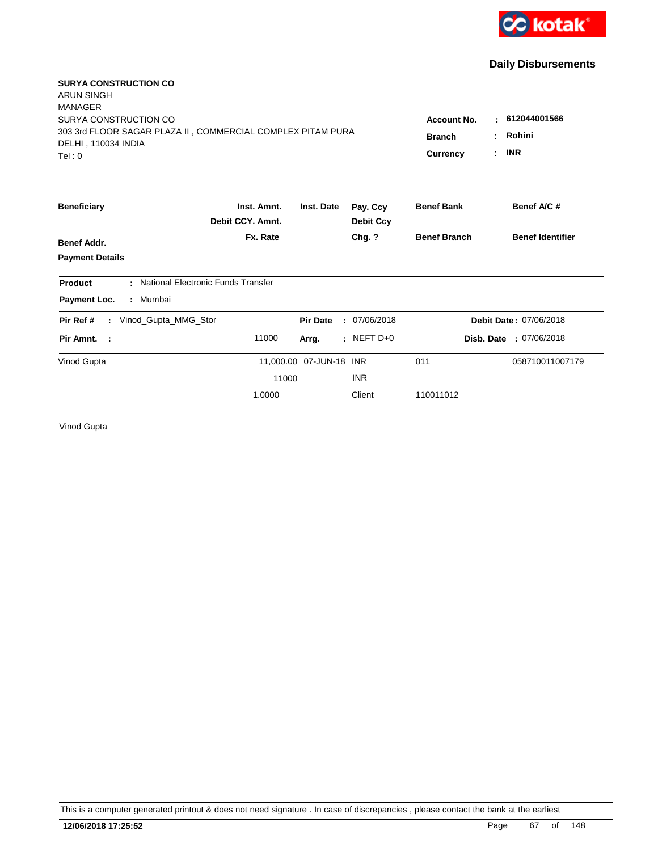

| <b>SURYA CONSTRUCTION CO</b>                                     |                                      |                         |                              |                     |                         |
|------------------------------------------------------------------|--------------------------------------|-------------------------|------------------------------|---------------------|-------------------------|
| <b>ARUN SINGH</b><br><b>MANAGER</b>                              |                                      |                         |                              |                     |                         |
| SURYA CONSTRUCTION CO                                            | <b>Account No.</b>                   | : 612044001566          |                              |                     |                         |
| 303 3rd FLOOR SAGAR PLAZA II, COMMERCIAL COMPLEX PITAM PURA      | <b>Branch</b>                        | Rohini                  |                              |                     |                         |
| DELHI, 110034 INDIA                                              |                                      |                         |                              |                     |                         |
| Tel: 0                                                           |                                      |                         |                              | <b>Currency</b>     | <b>INR</b>              |
| <b>Beneficiary</b>                                               | Inst. Amnt.<br>Debit CCY, Amnt.      | Inst. Date              | Pay. Ccy<br><b>Debit Ccy</b> | <b>Benef Bank</b>   | Benef A/C #             |
|                                                                  | Fx. Rate                             |                         | Chg. ?                       | <b>Benef Branch</b> | <b>Benef Identifier</b> |
| <b>Benef Addr.</b>                                               |                                      |                         |                              |                     |                         |
| <b>Payment Details</b>                                           |                                      |                         |                              |                     |                         |
| Product                                                          | : National Electronic Funds Transfer |                         |                              |                     |                         |
| : Mumbai<br>Payment Loc.                                         |                                      |                         |                              |                     |                         |
| Vinod_Gupta_MMG_Stor<br>Pir Ref #<br>$\mathcal{L}^{\mathcal{L}}$ |                                      | <b>Pir Date</b>         | : 07/06/2018                 |                     | Debit Date: 07/06/2018  |
| Pir Amnt. :                                                      | 11000                                | Arrg.                   | $:$ NEFT D+0                 |                     | Disb. Date: 07/06/2018  |
| Vinod Gupta                                                      |                                      | 11,000.00 07-JUN-18 INR |                              | 011                 | 058710011007179         |
|                                                                  | 11000                                |                         | <b>INR</b>                   |                     |                         |
|                                                                  | 1.0000                               |                         | Client                       | 110011012           |                         |
|                                                                  |                                      |                         |                              |                     |                         |

Vinod Gupta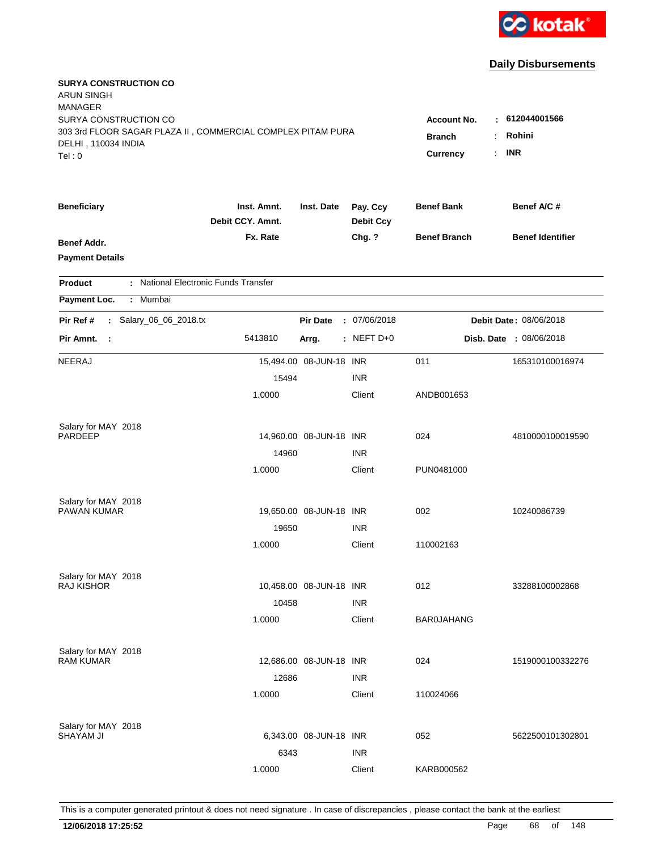

| <b>SURYA CONSTRUCTION CO</b><br><b>ARUN SINGH</b><br><b>MANAGER</b><br>SURYA CONSTRUCTION CO<br>303 3rd FLOOR SAGAR PLAZA II, COMMERCIAL COMPLEX PITAM PURA<br>DELHI, 110034 INDIA<br>Tel:0 | <b>Account No.</b><br><b>Branch</b><br>Currency | : 612044001566<br>Rohini<br><b>INR</b> |                              |                     |                         |
|---------------------------------------------------------------------------------------------------------------------------------------------------------------------------------------------|-------------------------------------------------|----------------------------------------|------------------------------|---------------------|-------------------------|
| <b>Beneficiary</b>                                                                                                                                                                          | Inst. Amnt.<br>Debit CCY, Amnt.                 | Inst. Date                             | Pay. Ccy<br><b>Debit Ccy</b> | <b>Benef Bank</b>   | Benef A/C #             |
| <b>Benef Addr.</b><br><b>Payment Details</b>                                                                                                                                                | Fx. Rate                                        |                                        | Chg. ?                       | <b>Benef Branch</b> | <b>Benef Identifier</b> |
| : National Electronic Funds Transfer<br><b>Product</b>                                                                                                                                      |                                                 |                                        |                              |                     |                         |
| Payment Loc.<br>: Mumbai                                                                                                                                                                    |                                                 |                                        |                              |                     |                         |
| : Salary_06_06_2018.tx<br>Pir Ref #                                                                                                                                                         |                                                 | <b>Pir Date</b>                        | : 07/06/2018                 |                     | Debit Date: 08/06/2018  |
| Pir Amnt. :                                                                                                                                                                                 | 5413810                                         | Arrg.                                  | $:$ NEFT D+0                 |                     | Disb. Date : 08/06/2018 |
| <b>NEERAJ</b>                                                                                                                                                                               |                                                 | 15,494.00 08-JUN-18 INR                |                              | 011                 | 165310100016974         |
|                                                                                                                                                                                             | 15494                                           |                                        | <b>INR</b>                   |                     |                         |
|                                                                                                                                                                                             | 1.0000                                          |                                        | Client                       | ANDB001653          |                         |
| Salary for MAY 2018                                                                                                                                                                         |                                                 |                                        |                              |                     |                         |
| PARDEEP                                                                                                                                                                                     |                                                 | 14,960.00 08-JUN-18 INR                |                              | 024                 | 4810000100019590        |
|                                                                                                                                                                                             | 14960                                           |                                        | <b>INR</b>                   |                     |                         |
|                                                                                                                                                                                             | 1.0000                                          |                                        | Client                       | PUN0481000          |                         |
| Salary for MAY 2018                                                                                                                                                                         |                                                 |                                        |                              |                     |                         |
| PAWAN KUMAR                                                                                                                                                                                 |                                                 | 19,650.00 08-JUN-18 INR                |                              | 002                 | 10240086739             |
|                                                                                                                                                                                             | 19650                                           |                                        | <b>INR</b>                   |                     |                         |
|                                                                                                                                                                                             | 1.0000                                          |                                        | Client                       | 110002163           |                         |
| Salary for MAY 2018                                                                                                                                                                         |                                                 |                                        |                              |                     |                         |
| <b>RAJ KISHOR</b>                                                                                                                                                                           |                                                 | 10,458.00 08-JUN-18 INR                |                              | 012                 | 33288100002868          |
|                                                                                                                                                                                             | 10458                                           |                                        | <b>INR</b>                   |                     |                         |
|                                                                                                                                                                                             | 1.0000                                          |                                        | Client                       | <b>BAR0JAHANG</b>   |                         |
| Salary for MAY 2018                                                                                                                                                                         |                                                 |                                        |                              |                     |                         |
| <b>RAM KUMAR</b>                                                                                                                                                                            |                                                 | 12,686.00 08-JUN-18 INR                |                              | 024                 | 1519000100332276        |
|                                                                                                                                                                                             | 12686                                           |                                        | <b>INR</b>                   |                     |                         |
|                                                                                                                                                                                             | 1.0000                                          |                                        | Client                       | 110024066           |                         |
| Salary for MAY 2018                                                                                                                                                                         |                                                 |                                        |                              |                     |                         |
| <b>SHAYAM JI</b>                                                                                                                                                                            |                                                 | 6,343.00 08-JUN-18 INR                 |                              | 052                 | 5622500101302801        |
|                                                                                                                                                                                             | 6343                                            |                                        | <b>INR</b>                   |                     |                         |
|                                                                                                                                                                                             | 1.0000                                          |                                        | Client                       | KARB000562          |                         |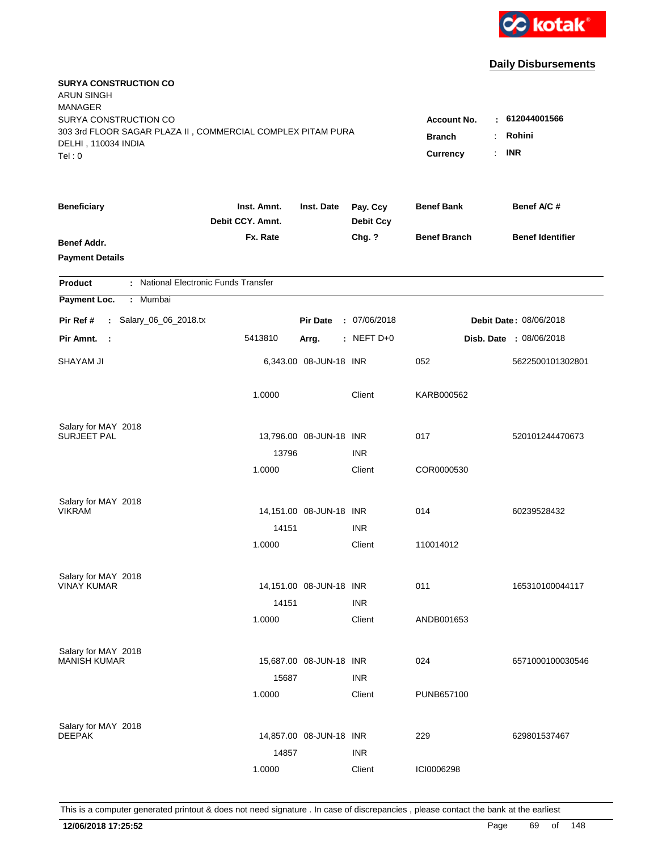

| <b>SURYA CONSTRUCTION CO</b><br><b>ARUN SINGH</b><br><b>MANAGER</b>                                                   |                                                                      |                                      |                              |                     |                         |
|-----------------------------------------------------------------------------------------------------------------------|----------------------------------------------------------------------|--------------------------------------|------------------------------|---------------------|-------------------------|
| SURYA CONSTRUCTION CO<br>303 3rd FLOOR SAGAR PLAZA II, COMMERCIAL COMPLEX PITAM PURA<br>DELHI, 110034 INDIA<br>Tel: 0 | <b>Account No.</b><br>$\sim$<br><b>Branch</b><br>÷<br>Currency<br>÷. | 612044001566<br>Rohini<br><b>INR</b> |                              |                     |                         |
| <b>Beneficiary</b>                                                                                                    | Inst. Amnt.<br>Debit CCY. Amnt.                                      | Inst. Date                           | Pay. Ccy<br><b>Debit Ccy</b> | <b>Benef Bank</b>   | Benef A/C #             |
| Benef Addr.<br><b>Payment Details</b>                                                                                 | Fx. Rate                                                             |                                      | Chg. ?                       | <b>Benef Branch</b> | <b>Benef Identifier</b> |
| : National Electronic Funds Transfer<br><b>Product</b>                                                                |                                                                      |                                      |                              |                     |                         |
| Payment Loc.<br>: Mumbai                                                                                              |                                                                      |                                      |                              |                     |                         |
| : Salary_06_06_2018.tx<br>Pir Ref #                                                                                   |                                                                      | <b>Pir Date</b>                      | : 07/06/2018                 |                     | Debit Date: 08/06/2018  |
| Pir Amnt. :                                                                                                           | 5413810                                                              | Arrg.                                | $:$ NEFT D+0                 |                     | Disb. Date : 08/06/2018 |
| <b>SHAYAM JI</b>                                                                                                      |                                                                      | 6,343.00 08-JUN-18 INR               |                              | 052                 | 5622500101302801        |
|                                                                                                                       | 1.0000                                                               |                                      | Client                       | KARB000562          |                         |
| Salary for MAY 2018                                                                                                   |                                                                      |                                      |                              |                     |                         |
| <b>SURJEET PAL</b>                                                                                                    |                                                                      | 13,796.00 08-JUN-18 INR              |                              | 017                 | 520101244470673         |
|                                                                                                                       | 13796<br>1.0000                                                      |                                      | <b>INR</b><br>Client         | COR0000530          |                         |
|                                                                                                                       |                                                                      |                                      |                              |                     |                         |
| Salary for MAY 2018<br><b>VIKRAM</b>                                                                                  |                                                                      |                                      |                              |                     |                         |
|                                                                                                                       |                                                                      | 14,151.00 08-JUN-18 INR              |                              | 014                 | 60239528432             |
|                                                                                                                       | 14151<br>1.0000                                                      |                                      | <b>INR</b><br>Client         | 110014012           |                         |
|                                                                                                                       |                                                                      |                                      |                              |                     |                         |
| Salary for MAY 2018                                                                                                   |                                                                      |                                      |                              |                     |                         |
| <b>VINAY KUMAR</b>                                                                                                    |                                                                      | 14,151.00 08-JUN-18 INR              |                              | 011                 | 165310100044117         |
|                                                                                                                       | 14151                                                                |                                      | <b>INR</b>                   |                     |                         |
|                                                                                                                       | 1.0000                                                               |                                      | Client                       | ANDB001653          |                         |
| Salary for MAY 2018                                                                                                   |                                                                      |                                      |                              |                     |                         |
| <b>MANISH KUMAR</b>                                                                                                   |                                                                      | 15,687.00 08-JUN-18 INR              |                              | 024                 | 6571000100030546        |
|                                                                                                                       | 15687                                                                |                                      | <b>INR</b>                   |                     |                         |
|                                                                                                                       | 1.0000                                                               |                                      | Client                       | PUNB657100          |                         |
| Salary for MAY 2018                                                                                                   |                                                                      |                                      |                              |                     |                         |
| <b>DEEPAK</b>                                                                                                         |                                                                      | 14,857.00 08-JUN-18 INR              |                              | 229                 | 629801537467            |
|                                                                                                                       | 14857                                                                |                                      | <b>INR</b>                   |                     |                         |
|                                                                                                                       | 1.0000                                                               |                                      | Client                       | ICI0006298          |                         |
|                                                                                                                       |                                                                      |                                      |                              |                     |                         |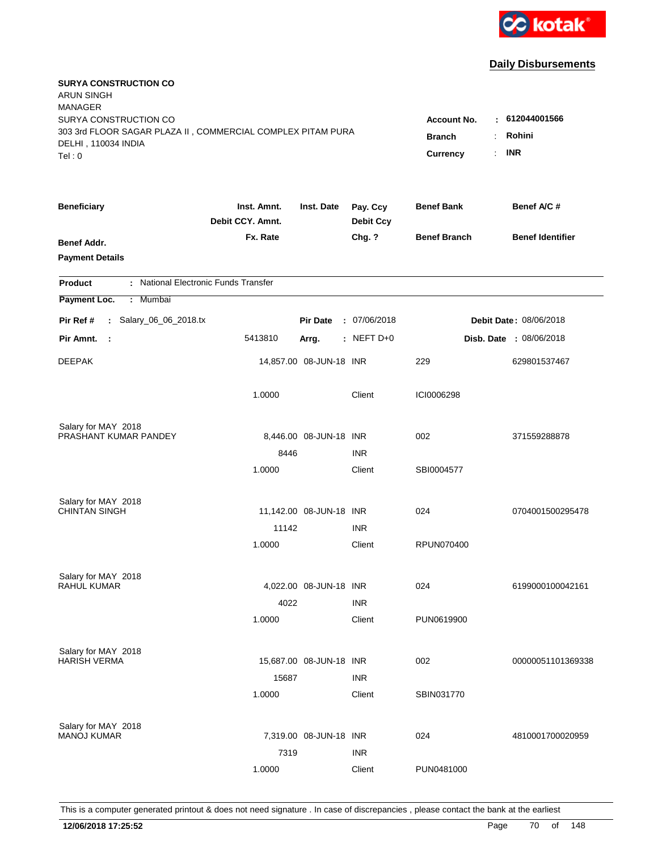

| <b>SURYA CONSTRUCTION CO</b><br><b>ARUN SINGH</b><br><b>MANAGER</b><br>SURYA CONSTRUCTION CO |                                 |                         |                              | <b>Account No.</b>  | 612044001566                   |
|----------------------------------------------------------------------------------------------|---------------------------------|-------------------------|------------------------------|---------------------|--------------------------------|
| 303 3rd FLOOR SAGAR PLAZA II, COMMERCIAL COMPLEX PITAM PURA<br>DELHI, 110034 INDIA<br>Tel: 0 | <b>Branch</b><br>Currency<br>÷. | Rohini<br><b>INR</b>    |                              |                     |                                |
| <b>Beneficiary</b>                                                                           | Inst. Amnt.<br>Debit CCY. Amnt. | Inst. Date              | Pay. Ccy<br><b>Debit Ccy</b> | <b>Benef Bank</b>   | Benef A/C #                    |
| Benef Addr.<br><b>Payment Details</b>                                                        | Fx. Rate                        |                         | Chg. ?                       | <b>Benef Branch</b> | <b>Benef Identifier</b>        |
| : National Electronic Funds Transfer<br><b>Product</b>                                       |                                 |                         |                              |                     |                                |
| Payment Loc.<br>Mumbai<br>÷.                                                                 |                                 |                         |                              |                     |                                |
| : Salary_06_06_2018.tx<br>Pir Ref #                                                          |                                 | <b>Pir Date</b>         | : 07/06/2018                 |                     | Debit Date: 08/06/2018         |
| Pir Amnt.<br>$\mathbb{R}^2$                                                                  | 5413810                         | Arrg.                   | : NEFT D+0                   |                     | <b>Disb. Date : 08/06/2018</b> |
| <b>DEEPAK</b>                                                                                |                                 | 14,857.00 08-JUN-18 INR |                              | 229                 | 629801537467                   |
|                                                                                              | 1.0000                          |                         | Client                       | ICI0006298          |                                |
| Salary for MAY 2018<br>PRASHANT KUMAR PANDEY                                                 |                                 | 8,446.00 08-JUN-18 INR  |                              | 002                 |                                |
|                                                                                              | 8446                            |                         | <b>INR</b>                   |                     | 371559288878                   |
|                                                                                              | 1.0000                          |                         | Client                       | SBI0004577          |                                |
| Salary for MAY 2018                                                                          |                                 |                         |                              |                     |                                |
| <b>CHINTAN SINGH</b>                                                                         |                                 | 11,142.00 08-JUN-18 INR |                              | 024                 | 0704001500295478               |
|                                                                                              | 11142                           |                         | <b>INR</b>                   |                     |                                |
|                                                                                              | 1.0000                          |                         | Client                       | <b>RPUN070400</b>   |                                |
| Salary for MAY 2018                                                                          |                                 |                         |                              |                     |                                |
| <b>RAHUL KUMAR</b>                                                                           |                                 | 4,022.00 08-JUN-18 INR  |                              | 024                 | 6199000100042161               |
|                                                                                              | 4022                            |                         | <b>INR</b>                   |                     |                                |
|                                                                                              | 1.0000                          |                         | Client                       | PUN0619900          |                                |
| Salary for MAY 2018                                                                          |                                 |                         |                              |                     |                                |
| <b>HARISH VERMA</b>                                                                          |                                 | 15,687.00 08-JUN-18 INR |                              | 002                 | 00000051101369338              |
|                                                                                              | 15687<br>1.0000                 |                         | <b>INR</b><br>Client         | SBIN031770          |                                |
|                                                                                              |                                 |                         |                              |                     |                                |
| Salary for MAY 2018<br><b>MANOJ KUMAR</b>                                                    |                                 | 7,319.00 08-JUN-18 INR  |                              | 024                 | 4810001700020959               |
|                                                                                              | 7319                            |                         | <b>INR</b>                   |                     |                                |
|                                                                                              | 1.0000                          |                         | Client                       | PUN0481000          |                                |
|                                                                                              |                                 |                         |                              |                     |                                |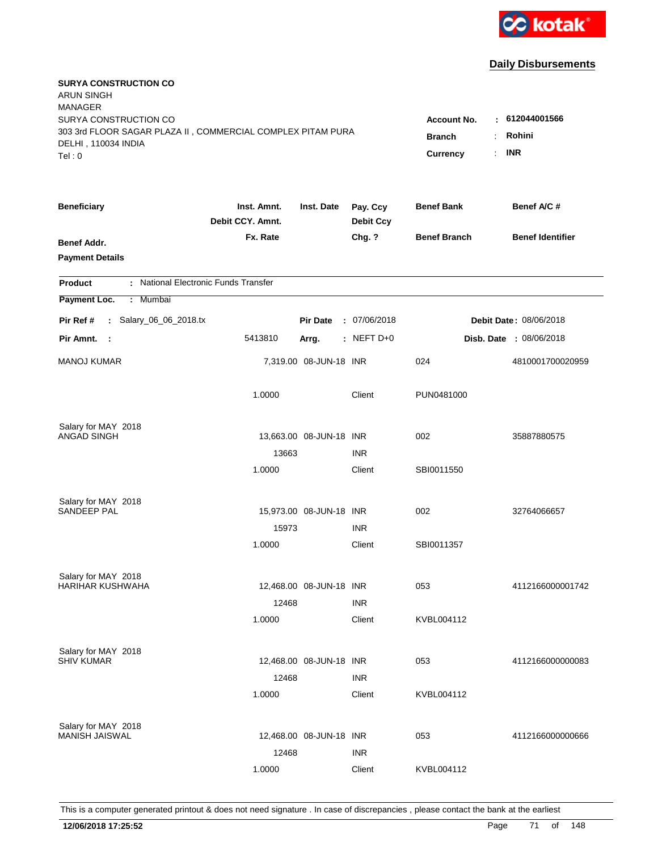

| <b>SURYA CONSTRUCTION CO</b><br><b>ARUN SINGH</b><br><b>MANAGER</b><br>SURYA CONSTRUCTION CO<br>303 3rd FLOOR SAGAR PLAZA II, COMMERCIAL COMPLEX PITAM PURA<br>DELHI, 110034 INDIA<br>Tel: 0 | Account No.<br><b>Branch</b><br>Currency | : 612044001566<br>Rohini<br>÷<br><b>INR</b><br>÷. |                              |                     |                                |
|----------------------------------------------------------------------------------------------------------------------------------------------------------------------------------------------|------------------------------------------|---------------------------------------------------|------------------------------|---------------------|--------------------------------|
| <b>Beneficiary</b>                                                                                                                                                                           | Inst. Amnt.<br>Debit CCY. Amnt.          | Inst. Date                                        | Pay. Ccy<br><b>Debit Ccy</b> | <b>Benef Bank</b>   | Benef A/C #                    |
| Benef Addr.<br><b>Payment Details</b>                                                                                                                                                        | Fx. Rate                                 |                                                   | Chg. ?                       | <b>Benef Branch</b> | <b>Benef Identifier</b>        |
| : National Electronic Funds Transfer<br><b>Product</b>                                                                                                                                       |                                          |                                                   |                              |                     |                                |
| Mumbai<br>Payment Loc.<br>÷.                                                                                                                                                                 |                                          |                                                   |                              |                     |                                |
| : Salary_06_06_2018.tx<br>Pir Ref #                                                                                                                                                          |                                          | <b>Pir Date</b>                                   | : 07/06/2018                 |                     | Debit Date: 08/06/2018         |
| Pir Amnt. :                                                                                                                                                                                  | 5413810                                  | Arrg.                                             | : NEFT $D+0$                 |                     | <b>Disb. Date : 08/06/2018</b> |
| <b>MANOJ KUMAR</b>                                                                                                                                                                           |                                          | 7,319.00 08-JUN-18 INR                            |                              | 024                 | 4810001700020959               |
|                                                                                                                                                                                              | 1.0000                                   |                                                   | Client                       | PUN0481000          |                                |
| Salary for MAY 2018                                                                                                                                                                          |                                          |                                                   |                              |                     |                                |
| ANGAD SINGH                                                                                                                                                                                  | 13663                                    | 13,663.00 08-JUN-18 INR                           | <b>INR</b>                   | 002                 | 35887880575                    |
|                                                                                                                                                                                              | 1.0000                                   |                                                   | Client                       | SBI0011550          |                                |
| Salary for MAY 2018                                                                                                                                                                          |                                          |                                                   |                              |                     |                                |
| <b>SANDEEP PAL</b>                                                                                                                                                                           |                                          | 15,973.00 08-JUN-18 INR                           |                              | 002                 | 32764066657                    |
|                                                                                                                                                                                              | 15973                                    |                                                   | <b>INR</b>                   |                     |                                |
|                                                                                                                                                                                              | 1.0000                                   |                                                   | Client                       | SBI0011357          |                                |
| Salary for MAY 2018<br><b>HARIHAR KUSHWAHA</b>                                                                                                                                               |                                          |                                                   |                              | 053                 |                                |
|                                                                                                                                                                                              | 12468                                    | 12,468.00 08-JUN-18 INR                           | <b>INR</b>                   |                     | 4112166000001742               |
|                                                                                                                                                                                              | 1.0000                                   |                                                   | Client                       | KVBL004112          |                                |
|                                                                                                                                                                                              |                                          |                                                   |                              |                     |                                |
| Salary for MAY 2018<br><b>SHIV KUMAR</b>                                                                                                                                                     |                                          | 12,468.00 08-JUN-18 INR                           |                              | 053                 | 4112166000000083               |
|                                                                                                                                                                                              | 12468                                    |                                                   | <b>INR</b>                   |                     |                                |
|                                                                                                                                                                                              | 1.0000                                   |                                                   | Client                       | KVBL004112          |                                |
| Salary for MAY 2018                                                                                                                                                                          |                                          |                                                   |                              |                     |                                |
| MANISH JAISWAL                                                                                                                                                                               |                                          | 12,468.00 08-JUN-18 INR                           |                              | 053                 | 4112166000000666               |
|                                                                                                                                                                                              | 12468                                    |                                                   | <b>INR</b>                   |                     |                                |
|                                                                                                                                                                                              | 1.0000                                   |                                                   | Client                       | KVBL004112          |                                |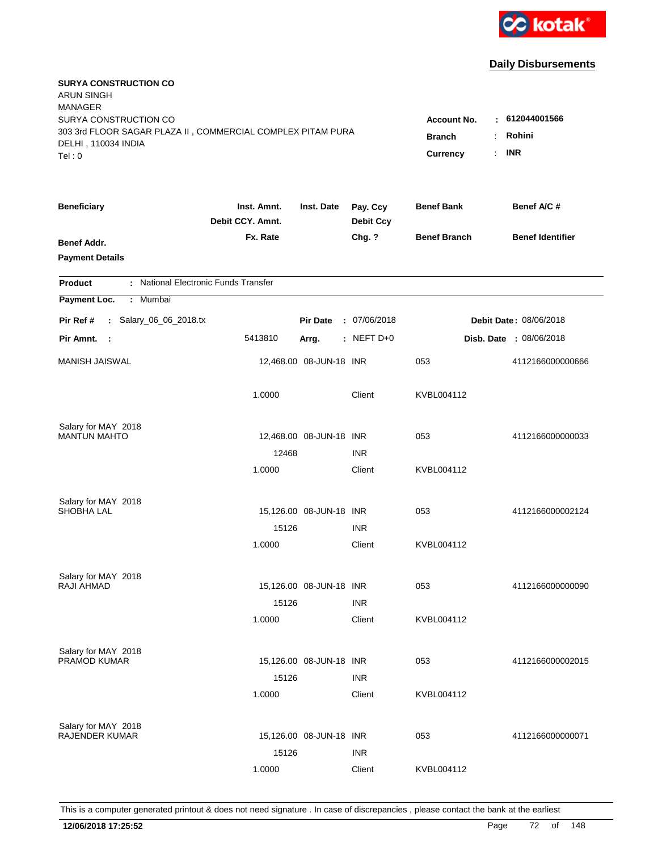

| <b>SURYA CONSTRUCTION CO</b><br><b>ARUN SINGH</b><br><b>MANAGER</b><br>SURYA CONSTRUCTION CO<br>303 3rd FLOOR SAGAR PLAZA II, COMMERCIAL COMPLEX PITAM PURA<br>DELHI, 110034 INDIA<br>Tel: 0 | <b>Account No.</b><br><b>Branch</b><br>$\ddot{\phantom{a}}$<br><b>Currency</b> | : 612044001566<br>Rohini<br><b>INR</b><br>÷. |                              |                     |                         |
|----------------------------------------------------------------------------------------------------------------------------------------------------------------------------------------------|--------------------------------------------------------------------------------|----------------------------------------------|------------------------------|---------------------|-------------------------|
|                                                                                                                                                                                              |                                                                                |                                              |                              |                     |                         |
| <b>Beneficiary</b>                                                                                                                                                                           | Inst. Amnt.<br>Debit CCY. Amnt.                                                | Inst. Date                                   | Pay. Ccy<br><b>Debit Ccy</b> | <b>Benef Bank</b>   | Benef A/C #             |
| <b>Benef Addr.</b><br><b>Payment Details</b>                                                                                                                                                 | Fx. Rate                                                                       |                                              | Chg. ?                       | <b>Benef Branch</b> | <b>Benef Identifier</b> |
| : National Electronic Funds Transfer<br><b>Product</b>                                                                                                                                       |                                                                                |                                              |                              |                     |                         |
| Payment Loc.<br>Mumbai<br>÷.                                                                                                                                                                 |                                                                                |                                              |                              |                     |                         |
| : Salary_06_06_2018.tx<br>Pir Ref #                                                                                                                                                          |                                                                                | <b>Pir Date</b>                              | : 07/06/2018                 |                     | Debit Date: 08/06/2018  |
| Pir Amnt.<br>- 1                                                                                                                                                                             | 5413810                                                                        | Arrg.                                        | $:$ NEFT D+0                 |                     | Disb. Date : 08/06/2018 |
| <b>MANISH JAISWAL</b>                                                                                                                                                                        |                                                                                | 12,468.00 08-JUN-18 INR                      |                              | 053                 | 4112166000000666        |
|                                                                                                                                                                                              | 1.0000                                                                         |                                              | Client                       | KVBL004112          |                         |
| Salary for MAY 2018                                                                                                                                                                          |                                                                                |                                              |                              |                     |                         |
| <b>MANTUN MAHTO</b>                                                                                                                                                                          |                                                                                | 12,468.00 08-JUN-18 INR                      |                              | 053                 | 4112166000000033        |
|                                                                                                                                                                                              | 12468<br>1.0000                                                                |                                              | <b>INR</b><br>Client         | KVBL004112          |                         |
|                                                                                                                                                                                              |                                                                                |                                              |                              |                     |                         |
| Salary for MAY 2018                                                                                                                                                                          |                                                                                |                                              |                              |                     |                         |
| SHOBHA LAL                                                                                                                                                                                   |                                                                                | 15,126.00 08-JUN-18 INR                      |                              | 053                 | 4112166000002124        |
|                                                                                                                                                                                              | 15126                                                                          |                                              | <b>INR</b>                   |                     |                         |
|                                                                                                                                                                                              | 1.0000                                                                         |                                              | Client                       | KVBL004112          |                         |
| Salary for MAY 2018                                                                                                                                                                          |                                                                                |                                              |                              |                     |                         |
| RAJI AHMAD                                                                                                                                                                                   |                                                                                | 15,126.00 08-JUN-18 INR                      |                              | 053                 | 4112166000000090        |
|                                                                                                                                                                                              | 15126                                                                          |                                              | <b>INR</b>                   |                     |                         |
|                                                                                                                                                                                              | 1.0000                                                                         |                                              | Client                       | KVBL004112          |                         |
| Salary for MAY 2018                                                                                                                                                                          |                                                                                |                                              |                              |                     |                         |
| PRAMOD KUMAR                                                                                                                                                                                 |                                                                                | 15,126.00 08-JUN-18 INR                      |                              | 053                 | 4112166000002015        |
|                                                                                                                                                                                              | 15126                                                                          |                                              | <b>INR</b>                   |                     |                         |
|                                                                                                                                                                                              | 1.0000                                                                         |                                              | Client                       | KVBL004112          |                         |
|                                                                                                                                                                                              |                                                                                |                                              |                              |                     |                         |
| Salary for MAY 2018<br><b>RAJENDER KUMAR</b>                                                                                                                                                 |                                                                                | 15,126.00 08-JUN-18 INR                      |                              | 053                 | 4112166000000071        |
|                                                                                                                                                                                              | 15126                                                                          |                                              | <b>INR</b>                   |                     |                         |
|                                                                                                                                                                                              | 1.0000                                                                         |                                              | Client                       | KVBL004112          |                         |
|                                                                                                                                                                                              |                                                                                |                                              |                              |                     |                         |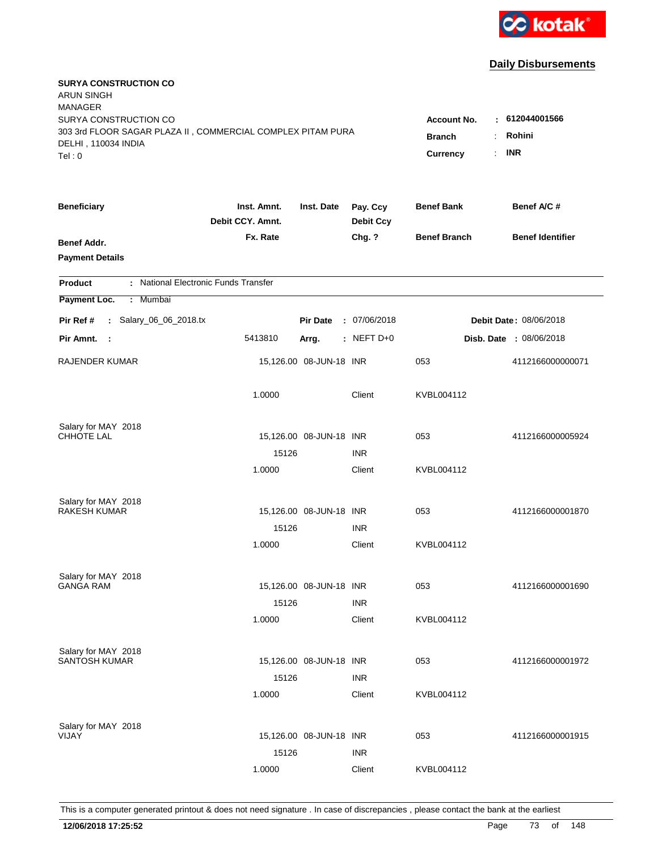

| <b>SURYA CONSTRUCTION CO</b><br><b>ARUN SINGH</b><br><b>MANAGER</b><br>SURYA CONSTRUCTION CO |                                 |                         |                              | <b>Account No.</b>        | : 612044001566                  |
|----------------------------------------------------------------------------------------------|---------------------------------|-------------------------|------------------------------|---------------------------|---------------------------------|
| 303 3rd FLOOR SAGAR PLAZA II, COMMERCIAL COMPLEX PITAM PURA<br>DELHI, 110034 INDIA<br>Tel: 0 |                                 |                         |                              | <b>Branch</b><br>Currency | Rohini<br><b>INR</b><br>$\cdot$ |
| <b>Beneficiary</b>                                                                           | Inst. Amnt.<br>Debit CCY. Amnt. | Inst. Date              | Pay. Ccy<br><b>Debit Ccy</b> | <b>Benef Bank</b>         | Benef A/C #                     |
| <b>Benef Addr.</b><br><b>Payment Details</b>                                                 | Fx. Rate                        |                         | Chg. ?                       | <b>Benef Branch</b>       | <b>Benef Identifier</b>         |
| : National Electronic Funds Transfer<br><b>Product</b>                                       |                                 |                         |                              |                           |                                 |
| Payment Loc.<br>: Mumbai                                                                     |                                 |                         |                              |                           |                                 |
| : Salary_06_06_2018.tx<br>Pir Ref #                                                          |                                 | <b>Pir Date</b>         | : 07/06/2018                 |                           | Debit Date: 08/06/2018          |
| Pir Amnt.<br>- 1                                                                             | 5413810                         | Arrg.                   | $:$ NEFT D+0                 |                           | Disb. Date : 08/06/2018         |
| <b>RAJENDER KUMAR</b>                                                                        |                                 | 15,126.00 08-JUN-18 INR |                              | 053                       | 4112166000000071                |
|                                                                                              | 1.0000                          |                         | Client                       | KVBL004112                |                                 |
| Salary for MAY 2018                                                                          |                                 |                         |                              |                           |                                 |
| <b>CHHOTE LAL</b>                                                                            | 15126                           | 15,126.00 08-JUN-18 INR | <b>INR</b>                   | 053                       | 4112166000005924                |
|                                                                                              | 1.0000                          |                         | Client                       | KVBL004112                |                                 |
| Salary for MAY 2018                                                                          |                                 |                         |                              |                           |                                 |
| <b>RAKESH KUMAR</b>                                                                          |                                 | 15,126.00 08-JUN-18 INR |                              | 053                       | 4112166000001870                |
|                                                                                              | 15126                           |                         | <b>INR</b>                   |                           |                                 |
|                                                                                              | 1.0000                          |                         | Client                       | KVBL004112                |                                 |
| Salary for MAY 2018                                                                          |                                 |                         |                              |                           |                                 |
| <b>GANGA RAM</b>                                                                             |                                 | 15,126.00 08-JUN-18 INR |                              | 053                       | 4112166000001690                |
|                                                                                              | 15126                           |                         | <b>INR</b>                   |                           |                                 |
|                                                                                              | 1.0000                          |                         | Client                       | KVBL004112                |                                 |
| Salary for MAY 2018<br><b>SANTOSH KUMAR</b>                                                  |                                 | 15,126.00 08-JUN-18 INR |                              | 053                       | 4112166000001972                |
|                                                                                              | 15126                           |                         | <b>INR</b>                   |                           |                                 |
|                                                                                              | 1.0000                          |                         | Client                       | KVBL004112                |                                 |
| Salary for MAY 2018                                                                          |                                 |                         |                              |                           |                                 |
| VIJAY                                                                                        |                                 | 15,126.00 08-JUN-18 INR |                              | 053                       | 4112166000001915                |
|                                                                                              | 15126                           |                         | <b>INR</b>                   |                           |                                 |
|                                                                                              | 1.0000                          |                         | Client                       | KVBL004112                |                                 |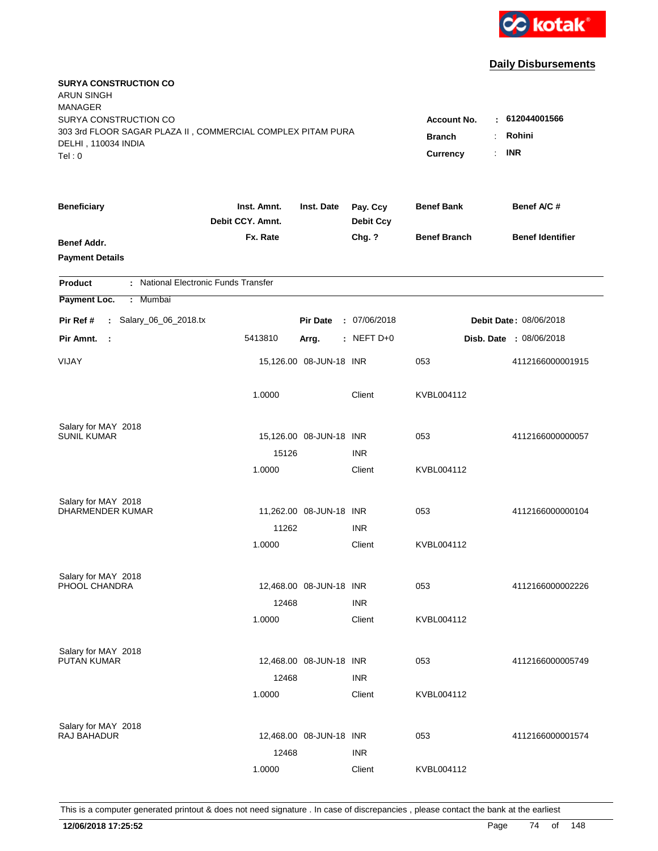

| <b>SURYA CONSTRUCTION CO</b><br><b>ARUN SINGH</b><br><b>MANAGER</b><br>SURYA CONSTRUCTION CO<br>303 3rd FLOOR SAGAR PLAZA II, COMMERCIAL COMPLEX PITAM PURA<br>DELHI, 110034 INDIA<br>Tel: 0 | <b>Account No.</b><br><b>Branch</b><br>Currency | $-612044001566$<br>Rohini<br>÷<br><b>INR</b><br>$\mathbf{r}$ |                              |                     |                                |
|----------------------------------------------------------------------------------------------------------------------------------------------------------------------------------------------|-------------------------------------------------|--------------------------------------------------------------|------------------------------|---------------------|--------------------------------|
| <b>Beneficiary</b>                                                                                                                                                                           | Inst. Amnt.<br>Debit CCY. Amnt.                 | Inst. Date                                                   | Pay. Ccy<br><b>Debit Ccy</b> | <b>Benef Bank</b>   | Benef A/C #                    |
| Benef Addr.<br><b>Payment Details</b>                                                                                                                                                        | Fx. Rate                                        |                                                              | Chg. ?                       | <b>Benef Branch</b> | <b>Benef Identifier</b>        |
| : National Electronic Funds Transfer<br><b>Product</b>                                                                                                                                       |                                                 |                                                              |                              |                     |                                |
| Payment Loc.<br>Mumbai<br>÷.                                                                                                                                                                 |                                                 |                                                              |                              |                     |                                |
| : Salary_06_06_2018.tx<br>Pir Ref #                                                                                                                                                          |                                                 | <b>Pir Date</b>                                              | : 07/06/2018                 |                     | <b>Debit Date: 08/06/2018</b>  |
| Pir Amnt.<br>- 1                                                                                                                                                                             | 5413810                                         | Arrg.                                                        | $:$ NEFT D+0                 |                     | <b>Disb. Date : 08/06/2018</b> |
| VIJAY                                                                                                                                                                                        |                                                 | 15,126.00 08-JUN-18 INR                                      |                              | 053                 | 4112166000001915               |
|                                                                                                                                                                                              | 1.0000                                          |                                                              | Client                       | KVBL004112          |                                |
| Salary for MAY 2018                                                                                                                                                                          |                                                 |                                                              |                              |                     |                                |
| <b>SUNIL KUMAR</b>                                                                                                                                                                           |                                                 | 15,126.00 08-JUN-18 INR                                      |                              | 053                 | 4112166000000057               |
|                                                                                                                                                                                              | 15126<br>1.0000                                 |                                                              | <b>INR</b><br>Client         | KVBL004112          |                                |
|                                                                                                                                                                                              |                                                 |                                                              |                              |                     |                                |
| Salary for MAY 2018<br>DHARMENDER KUMAR                                                                                                                                                      |                                                 | 11,262.00 08-JUN-18 INR                                      |                              | 053                 | 4112166000000104               |
|                                                                                                                                                                                              | 11262                                           |                                                              | <b>INR</b>                   |                     |                                |
|                                                                                                                                                                                              | 1.0000                                          |                                                              | Client                       | KVBL004112          |                                |
|                                                                                                                                                                                              |                                                 |                                                              |                              |                     |                                |
| Salary for MAY 2018<br>PHOOL CHANDRA                                                                                                                                                         |                                                 | 12,468.00 08-JUN-18 INR                                      |                              | 053                 | 4112166000002226               |
|                                                                                                                                                                                              | 12468                                           |                                                              | <b>INR</b>                   |                     |                                |
|                                                                                                                                                                                              | 1.0000                                          |                                                              | Client                       | KVBL004112          |                                |
| Salary for MAY 2018                                                                                                                                                                          |                                                 |                                                              |                              |                     |                                |
| <b>PUTAN KUMAR</b>                                                                                                                                                                           |                                                 | 12,468.00 08-JUN-18 INR                                      |                              | 053                 | 4112166000005749               |
|                                                                                                                                                                                              | 12468                                           |                                                              | <b>INR</b>                   |                     |                                |
|                                                                                                                                                                                              | 1.0000                                          |                                                              | Client                       | KVBL004112          |                                |
| Salary for MAY 2018                                                                                                                                                                          |                                                 |                                                              |                              |                     |                                |
| RAJ BAHADUR                                                                                                                                                                                  |                                                 | 12,468.00 08-JUN-18 INR                                      |                              | 053                 | 4112166000001574               |
|                                                                                                                                                                                              | 12468                                           |                                                              | <b>INR</b>                   |                     |                                |
|                                                                                                                                                                                              | 1.0000                                          |                                                              | Client                       | KVBL004112          |                                |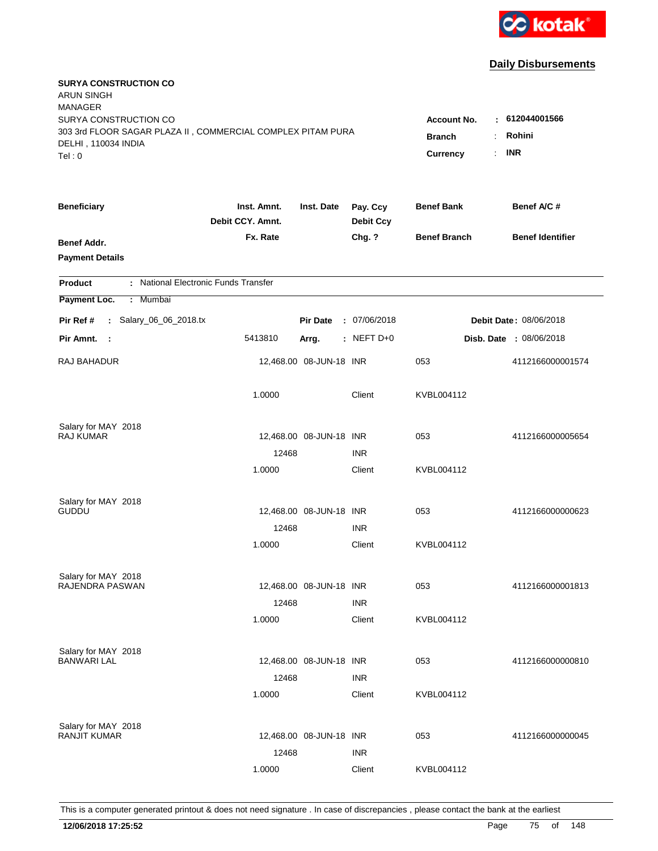

| <b>SURYA CONSTRUCTION CO</b><br><b>ARUN SINGH</b><br><b>MANAGER</b>                                                   |                                                 |                                 |                              |                     | $-612044001566$         |
|-----------------------------------------------------------------------------------------------------------------------|-------------------------------------------------|---------------------------------|------------------------------|---------------------|-------------------------|
| SURYA CONSTRUCTION CO<br>303 3rd FLOOR SAGAR PLAZA II, COMMERCIAL COMPLEX PITAM PURA<br>DELHI, 110034 INDIA<br>Tel: 0 | <b>Account No.</b><br><b>Branch</b><br>Currency | Rohini<br>÷<br><b>INR</b><br>÷. |                              |                     |                         |
| <b>Beneficiary</b>                                                                                                    | Inst. Amnt.<br>Debit CCY. Amnt.                 | Inst. Date                      | Pay. Ccy<br><b>Debit Ccy</b> | <b>Benef Bank</b>   | Benef A/C#              |
| Benef Addr.<br><b>Payment Details</b>                                                                                 | Fx. Rate                                        |                                 | Chg. ?                       | <b>Benef Branch</b> | <b>Benef Identifier</b> |
| : National Electronic Funds Transfer<br><b>Product</b>                                                                |                                                 |                                 |                              |                     |                         |
| Payment Loc.<br>: Mumbai                                                                                              |                                                 |                                 |                              |                     |                         |
| : Salary_06_06_2018.tx<br>Pir Ref #                                                                                   |                                                 | <b>Pir Date</b>                 | : 07/06/2018                 |                     | Debit Date: 08/06/2018  |
| Pir Amnt. :                                                                                                           | 5413810                                         | Arrg.                           | $:$ NEFT D+0                 |                     | Disb. Date : 08/06/2018 |
| RAJ BAHADUR                                                                                                           |                                                 | 12,468.00 08-JUN-18 INR         |                              | 053                 | 4112166000001574        |
|                                                                                                                       | 1.0000                                          |                                 | Client                       | KVBL004112          |                         |
| Salary for MAY 2018                                                                                                   |                                                 |                                 |                              |                     |                         |
| <b>RAJ KUMAR</b>                                                                                                      | 12468                                           | 12,468.00 08-JUN-18 INR         | <b>INR</b>                   | 053                 | 4112166000005654        |
|                                                                                                                       | 1.0000                                          |                                 | Client                       | KVBL004112          |                         |
| Salary for MAY 2018<br><b>GUDDU</b>                                                                                   |                                                 |                                 |                              | 053                 | 4112166000000623        |
|                                                                                                                       | 12468                                           | 12,468.00 08-JUN-18 INR         | <b>INR</b>                   |                     |                         |
|                                                                                                                       | 1.0000                                          |                                 | Client                       | KVBL004112          |                         |
| Salary for MAY 2018                                                                                                   |                                                 |                                 |                              |                     |                         |
| RAJENDRA PASWAN                                                                                                       |                                                 | 12,468.00 08-JUN-18 INR         |                              | 053                 | 4112166000001813        |
|                                                                                                                       | 12468                                           |                                 | <b>INR</b>                   |                     |                         |
|                                                                                                                       | 1.0000                                          |                                 | Client                       | KVBL004112          |                         |
| Salary for MAY 2018                                                                                                   |                                                 |                                 |                              |                     |                         |
| <b>BANWARI LAL</b>                                                                                                    |                                                 | 12,468.00 08-JUN-18 INR         |                              | 053                 | 4112166000000810        |
|                                                                                                                       | 12468                                           |                                 | <b>INR</b>                   |                     |                         |
|                                                                                                                       | 1.0000                                          |                                 | Client                       | KVBL004112          |                         |
| Salary for MAY 2018                                                                                                   |                                                 |                                 |                              |                     |                         |
| <b>RANJIT KUMAR</b>                                                                                                   |                                                 | 12,468.00 08-JUN-18 INR         |                              | 053                 | 4112166000000045        |
|                                                                                                                       | 12468                                           |                                 | <b>INR</b>                   |                     |                         |
|                                                                                                                       | 1.0000                                          |                                 | Client                       | KVBL004112          |                         |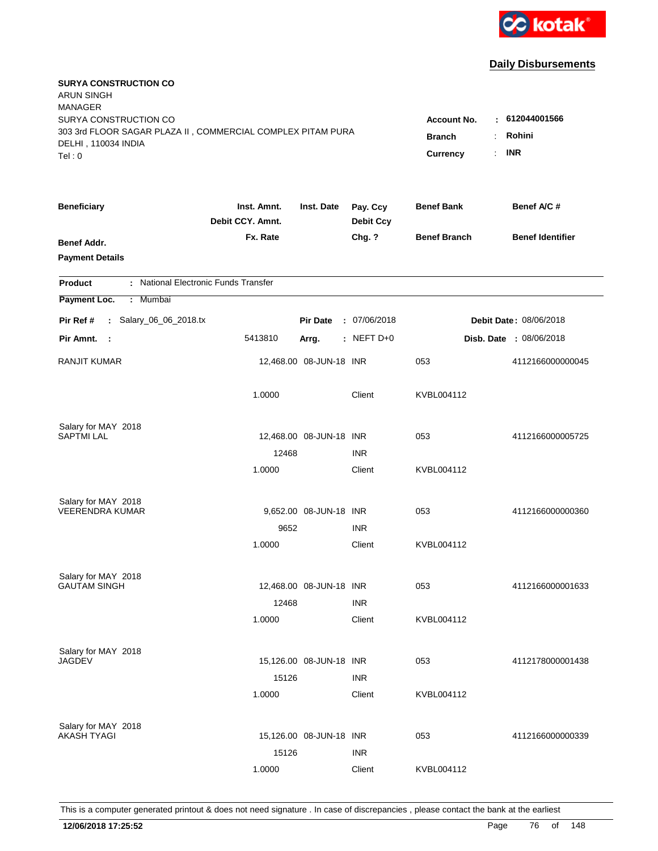

| <b>SURYA CONSTRUCTION CO</b><br><b>ARUN SINGH</b><br><b>MANAGER</b><br>SURYA CONSTRUCTION CO |                                                                                                                           |                         |                              |                     |                         |
|----------------------------------------------------------------------------------------------|---------------------------------------------------------------------------------------------------------------------------|-------------------------|------------------------------|---------------------|-------------------------|
| 303 3rd FLOOR SAGAR PLAZA II, COMMERCIAL COMPLEX PITAM PURA<br>DELHI, 110034 INDIA<br>Tel: 0 | $-612044001566$<br><b>Account No.</b><br>Rohini<br><b>Branch</b><br>$\ddot{\cdot}$<br><b>INR</b><br><b>Currency</b><br>÷. |                         |                              |                     |                         |
| <b>Beneficiary</b>                                                                           | Inst. Amnt.<br>Debit CCY. Amnt.                                                                                           | Inst. Date              | Pay. Ccy<br><b>Debit Ccy</b> | <b>Benef Bank</b>   | Benef A/C #             |
| Benef Addr.<br><b>Payment Details</b>                                                        | Fx. Rate                                                                                                                  |                         | Chg. ?                       | <b>Benef Branch</b> | <b>Benef Identifier</b> |
| : National Electronic Funds Transfer<br><b>Product</b>                                       |                                                                                                                           |                         |                              |                     |                         |
| Payment Loc.<br>Mumbai<br>$\mathbb{C}^{\times}$                                              |                                                                                                                           |                         |                              |                     |                         |
| : Salary_06_06_2018.tx<br>Pir Ref #                                                          |                                                                                                                           | <b>Pir Date</b>         | : 07/06/2018                 |                     | Debit Date: 08/06/2018  |
| Pir Amnt.<br>- 1                                                                             | 5413810                                                                                                                   | Arrg.                   | : NEFT $D+0$                 |                     | Disb. Date : 08/06/2018 |
| <b>RANJIT KUMAR</b>                                                                          |                                                                                                                           | 12,468.00 08-JUN-18 INR |                              | 053                 | 4112166000000045        |
|                                                                                              | 1.0000                                                                                                                    |                         | Client                       | KVBL004112          |                         |
| Salary for MAY 2018                                                                          |                                                                                                                           |                         |                              |                     |                         |
| <b>SAPTMI LAL</b>                                                                            | 12468                                                                                                                     | 12,468.00 08-JUN-18 INR | <b>INR</b>                   | 053                 | 4112166000005725        |
|                                                                                              | 1.0000                                                                                                                    |                         | Client                       | KVBL004112          |                         |
| Salary for MAY 2018                                                                          |                                                                                                                           |                         |                              |                     |                         |
| <b>VEERENDRA KUMAR</b>                                                                       |                                                                                                                           | 9,652.00 08-JUN-18 INR  |                              | 053                 | 4112166000000360        |
|                                                                                              | 9652                                                                                                                      |                         | <b>INR</b>                   |                     |                         |
|                                                                                              | 1.0000                                                                                                                    |                         | Client                       | KVBL004112          |                         |
| Salary for MAY 2018                                                                          |                                                                                                                           |                         |                              |                     |                         |
| <b>GAUTAM SINGH</b>                                                                          |                                                                                                                           | 12,468.00 08-JUN-18 INR |                              | 053                 | 4112166000001633        |
|                                                                                              | 12468                                                                                                                     |                         | <b>INR</b>                   |                     |                         |
|                                                                                              | 1.0000                                                                                                                    |                         | Client                       | KVBL004112          |                         |
| Salary for MAY 2018                                                                          |                                                                                                                           |                         |                              |                     |                         |
| JAGDEV                                                                                       |                                                                                                                           | 15,126.00 08-JUN-18 INR |                              | 053                 | 4112178000001438        |
|                                                                                              | 15126<br>1.0000                                                                                                           |                         | <b>INR</b><br>Client         | KVBL004112          |                         |
|                                                                                              |                                                                                                                           |                         |                              |                     |                         |
| Salary for MAY 2018<br><b>AKASH TYAGI</b>                                                    |                                                                                                                           | 15,126.00 08-JUN-18 INR |                              | 053                 | 4112166000000339        |
|                                                                                              | 15126                                                                                                                     |                         | <b>INR</b>                   |                     |                         |
|                                                                                              | 1.0000                                                                                                                    |                         | Client                       | KVBL004112          |                         |
|                                                                                              |                                                                                                                           |                         |                              |                     |                         |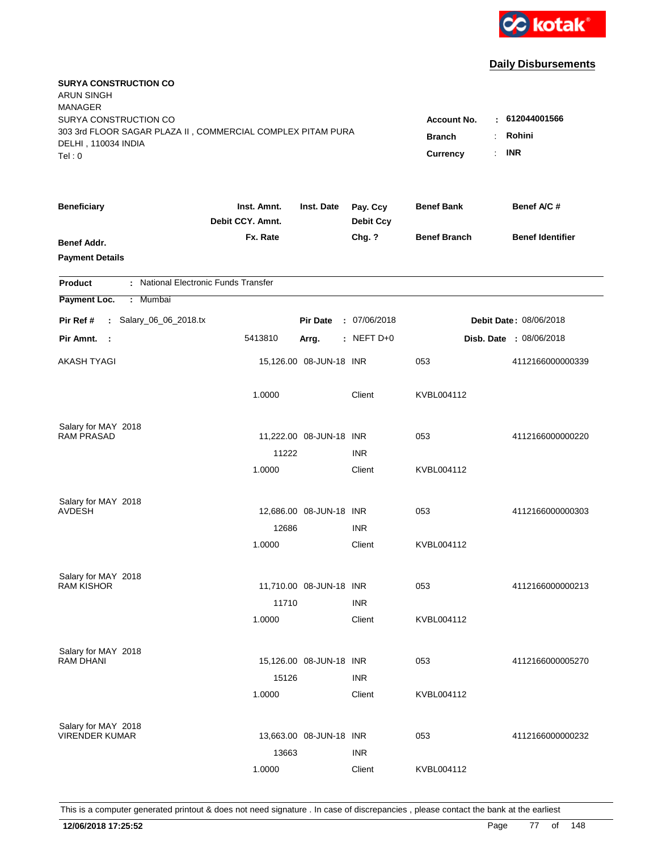

| <b>SURYA CONSTRUCTION CO</b><br><b>ARUN SINGH</b><br><b>MANAGER</b><br>SURYA CONSTRUCTION CO<br>303 3rd FLOOR SAGAR PLAZA II, COMMERCIAL COMPLEX PITAM PURA<br>DELHI, 110034 INDIA<br>Tel: 0 | <b>Account No.</b><br><b>Branch</b><br><b>Currency</b> | : 612044001566<br>Rohini<br>÷<br><b>INR</b><br>÷. |                              |                     |                                |
|----------------------------------------------------------------------------------------------------------------------------------------------------------------------------------------------|--------------------------------------------------------|---------------------------------------------------|------------------------------|---------------------|--------------------------------|
| <b>Beneficiary</b>                                                                                                                                                                           | Inst. Amnt.<br>Debit CCY. Amnt.                        | Inst. Date                                        | Pay. Ccy<br><b>Debit Ccy</b> | <b>Benef Bank</b>   | Benef A/C #                    |
| Benef Addr.<br><b>Payment Details</b>                                                                                                                                                        | Fx. Rate                                               |                                                   | Chg. ?                       | <b>Benef Branch</b> | <b>Benef Identifier</b>        |
| : National Electronic Funds Transfer<br><b>Product</b>                                                                                                                                       |                                                        |                                                   |                              |                     |                                |
| Payment Loc.<br>Mumbai<br>÷.                                                                                                                                                                 |                                                        |                                                   |                              |                     |                                |
| : Salary_06_06_2018.tx<br>Pir Ref #                                                                                                                                                          |                                                        | <b>Pir Date</b>                                   | : 07/06/2018                 |                     | Debit Date: 08/06/2018         |
| Pir Amnt.<br>$\sim$ :                                                                                                                                                                        | 5413810                                                | Arrg.                                             | : NEFT D+0                   |                     | <b>Disb. Date : 08/06/2018</b> |
| AKASH TYAGI                                                                                                                                                                                  |                                                        | 15,126.00 08-JUN-18 INR                           |                              | 053                 | 4112166000000339               |
|                                                                                                                                                                                              | 1.0000                                                 |                                                   | Client                       | KVBL004112          |                                |
| Salary for MAY 2018<br><b>RAM PRASAD</b>                                                                                                                                                     |                                                        | 11,222.00 08-JUN-18 INR                           |                              | 053                 | 4112166000000220               |
|                                                                                                                                                                                              | 11222                                                  |                                                   | <b>INR</b>                   |                     |                                |
|                                                                                                                                                                                              | 1.0000                                                 |                                                   | Client                       | KVBL004112          |                                |
| Salary for MAY 2018<br><b>AVDESH</b>                                                                                                                                                         |                                                        | 12,686.00 08-JUN-18 INR                           |                              | 053                 | 4112166000000303               |
|                                                                                                                                                                                              | 12686                                                  |                                                   | <b>INR</b>                   |                     |                                |
|                                                                                                                                                                                              | 1.0000                                                 |                                                   | Client                       | KVBL004112          |                                |
| Salary for MAY 2018                                                                                                                                                                          |                                                        |                                                   |                              |                     |                                |
| <b>RAM KISHOR</b>                                                                                                                                                                            |                                                        | 11,710.00 08-JUN-18 INR                           |                              | 053                 | 4112166000000213               |
|                                                                                                                                                                                              | 11710<br>1.0000                                        |                                                   | <b>INR</b><br>Client         | KVBL004112          |                                |
|                                                                                                                                                                                              |                                                        |                                                   |                              |                     |                                |
| Salary for MAY 2018<br><b>RAM DHANI</b>                                                                                                                                                      |                                                        | 15,126.00 08-JUN-18 INR                           |                              | 053                 | 4112166000005270               |
|                                                                                                                                                                                              | 15126                                                  |                                                   | <b>INR</b>                   |                     |                                |
|                                                                                                                                                                                              | 1.0000                                                 |                                                   | Client                       | KVBL004112          |                                |
| Salary for MAY 2018                                                                                                                                                                          |                                                        |                                                   |                              |                     |                                |
| <b>VIRENDER KUMAR</b>                                                                                                                                                                        |                                                        | 13,663.00 08-JUN-18 INR                           |                              | 053                 | 4112166000000232               |
|                                                                                                                                                                                              | 13663                                                  |                                                   | <b>INR</b>                   |                     |                                |
|                                                                                                                                                                                              | 1.0000                                                 |                                                   | Client                       | KVBL004112          |                                |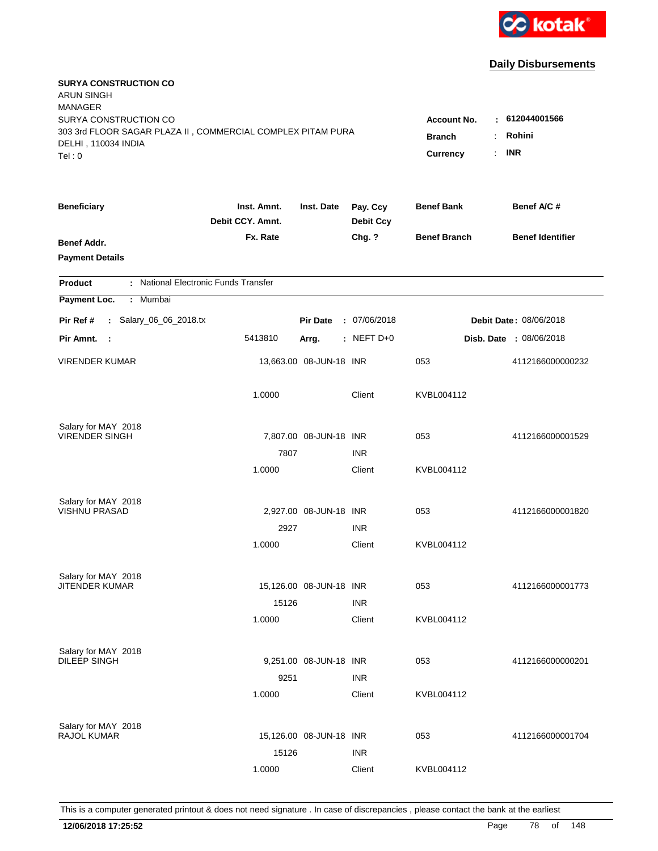

| <b>SURYA CONSTRUCTION CO</b><br><b>ARUN SINGH</b><br><b>MANAGER</b><br>SURYA CONSTRUCTION CO<br>303 3rd FLOOR SAGAR PLAZA II, COMMERCIAL COMPLEX PITAM PURA<br>DELHI, 110034 INDIA<br>Tel: 0 | <b>Account No.</b><br><b>Branch</b><br>÷<br>$\cdot$<br>Currency | : 612044001566<br>Rohini<br><b>INR</b> |                              |                     |                                |
|----------------------------------------------------------------------------------------------------------------------------------------------------------------------------------------------|-----------------------------------------------------------------|----------------------------------------|------------------------------|---------------------|--------------------------------|
| <b>Beneficiary</b>                                                                                                                                                                           | Inst. Amnt.<br>Debit CCY. Amnt.                                 | Inst. Date                             | Pay. Ccy<br><b>Debit Ccy</b> | <b>Benef Bank</b>   | Benef A/C #                    |
| Benef Addr.<br><b>Payment Details</b>                                                                                                                                                        | Fx. Rate                                                        |                                        | Chg. ?                       | <b>Benef Branch</b> | <b>Benef Identifier</b>        |
| : National Electronic Funds Transfer<br><b>Product</b>                                                                                                                                       |                                                                 |                                        |                              |                     |                                |
| Mumbai<br>Payment Loc.<br>÷                                                                                                                                                                  |                                                                 |                                        |                              |                     |                                |
| : Salary_06_06_2018.tx<br>Pir Ref #                                                                                                                                                          |                                                                 | <b>Pir Date</b>                        | : 07/06/2018                 |                     | Debit Date: 08/06/2018         |
| Pir Amnt.<br>$\sim$ 1                                                                                                                                                                        | 5413810                                                         | Arrg.                                  | : NEFT D+0                   |                     | <b>Disb. Date : 08/06/2018</b> |
| <b>VIRENDER KUMAR</b>                                                                                                                                                                        |                                                                 | 13,663.00 08-JUN-18 INR                |                              | 053                 | 4112166000000232               |
|                                                                                                                                                                                              | 1.0000                                                          |                                        | Client                       | KVBL004112          |                                |
| Salary for MAY 2018                                                                                                                                                                          |                                                                 |                                        |                              |                     |                                |
| <b>VIRENDER SINGH</b>                                                                                                                                                                        | 7807                                                            | 7,807.00 08-JUN-18 INR                 | <b>INR</b>                   | 053                 | 4112166000001529               |
|                                                                                                                                                                                              | 1.0000                                                          |                                        | Client                       | KVBL004112          |                                |
| Salary for MAY 2018                                                                                                                                                                          |                                                                 |                                        |                              |                     |                                |
| <b>VISHNU PRASAD</b>                                                                                                                                                                         |                                                                 | 2,927.00 08-JUN-18 INR                 |                              | 053                 | 4112166000001820               |
|                                                                                                                                                                                              | 2927                                                            |                                        | <b>INR</b>                   |                     |                                |
|                                                                                                                                                                                              | 1.0000                                                          |                                        | Client                       | KVBL004112          |                                |
| Salary for MAY 2018                                                                                                                                                                          |                                                                 |                                        |                              |                     |                                |
| <b>JITENDER KUMAR</b>                                                                                                                                                                        |                                                                 | 15,126.00 08-JUN-18 INR                |                              | 053                 | 4112166000001773               |
|                                                                                                                                                                                              | 15126                                                           |                                        | <b>INR</b>                   |                     |                                |
|                                                                                                                                                                                              | 1.0000                                                          |                                        | Client                       | KVBL004112          |                                |
| Salary for MAY 2018<br><b>DILEEP SINGH</b>                                                                                                                                                   |                                                                 | 9,251.00 08-JUN-18 INR                 |                              | 053                 | 4112166000000201               |
|                                                                                                                                                                                              | 9251                                                            |                                        | <b>INR</b>                   |                     |                                |
|                                                                                                                                                                                              | 1.0000                                                          |                                        | Client                       | KVBL004112          |                                |
|                                                                                                                                                                                              |                                                                 |                                        |                              |                     |                                |
| Salary for MAY 2018<br>RAJOL KUMAR                                                                                                                                                           |                                                                 | 15,126.00 08-JUN-18 INR                |                              | 053                 | 4112166000001704               |
|                                                                                                                                                                                              | 15126                                                           |                                        | <b>INR</b>                   |                     |                                |
|                                                                                                                                                                                              | 1.0000                                                          |                                        | Client                       | KVBL004112          |                                |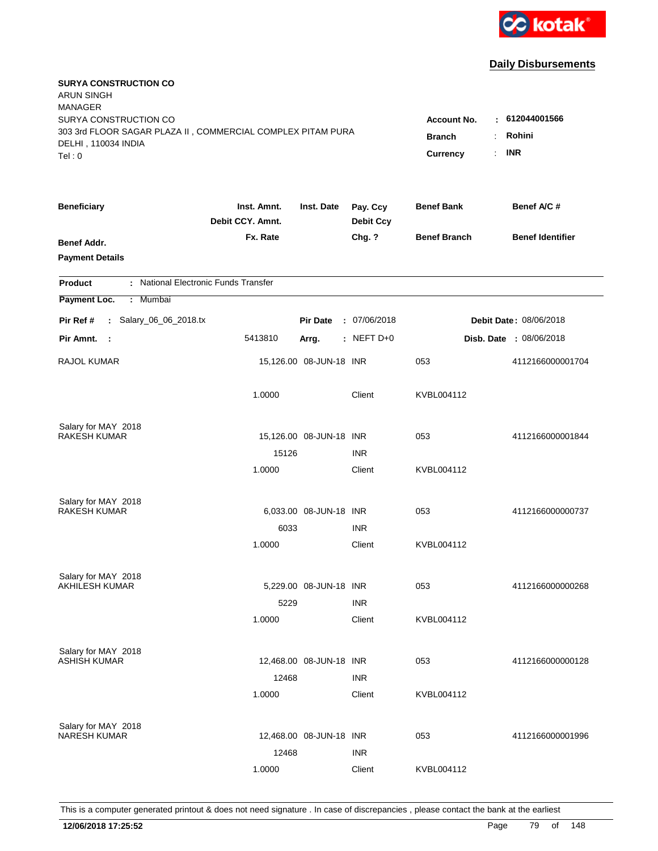

| <b>SURYA CONSTRUCTION CO</b><br><b>ARUN SINGH</b><br><b>MANAGER</b><br>SURYA CONSTRUCTION CO<br>303 3rd FLOOR SAGAR PLAZA II, COMMERCIAL COMPLEX PITAM PURA<br>DELHI, 110034 INDIA<br>Tel: 0 | <b>Account No.</b><br><b>Branch</b><br>$\ddot{\cdot}$<br><b>Currency</b> | $-612044001566$<br>Rohini<br><b>INR</b><br>÷. |                              |                     |                         |
|----------------------------------------------------------------------------------------------------------------------------------------------------------------------------------------------|--------------------------------------------------------------------------|-----------------------------------------------|------------------------------|---------------------|-------------------------|
| <b>Beneficiary</b>                                                                                                                                                                           | Inst. Amnt.<br>Debit CCY. Amnt.                                          | Inst. Date                                    | Pay. Ccy<br><b>Debit Ccy</b> | <b>Benef Bank</b>   | Benef A/C #             |
| Benef Addr.<br><b>Payment Details</b>                                                                                                                                                        | Fx. Rate                                                                 |                                               | Chg. ?                       | <b>Benef Branch</b> | <b>Benef Identifier</b> |
| : National Electronic Funds Transfer<br><b>Product</b>                                                                                                                                       |                                                                          |                                               |                              |                     |                         |
| Payment Loc.<br>Mumbai<br>$\mathbb{C}^{\times}$                                                                                                                                              |                                                                          |                                               |                              |                     |                         |
| : Salary_06_06_2018.tx<br>Pir Ref #                                                                                                                                                          |                                                                          | <b>Pir Date</b>                               | : 07/06/2018                 |                     | Debit Date: 08/06/2018  |
| Pir Amnt.<br>- 1                                                                                                                                                                             | 5413810                                                                  | Arrg.                                         | $:$ NEFT D+0                 |                     | Disb. Date : 08/06/2018 |
| RAJOL KUMAR                                                                                                                                                                                  |                                                                          | 15,126.00 08-JUN-18 INR                       |                              | 053                 | 4112166000001704        |
|                                                                                                                                                                                              | 1.0000                                                                   |                                               | Client                       | KVBL004112          |                         |
| Salary for MAY 2018                                                                                                                                                                          |                                                                          |                                               |                              |                     |                         |
| <b>RAKESH KUMAR</b>                                                                                                                                                                          |                                                                          | 15,126.00 08-JUN-18 INR                       |                              | 053                 | 4112166000001844        |
|                                                                                                                                                                                              | 15126<br>1.0000                                                          |                                               | <b>INR</b><br>Client         | KVBL004112          |                         |
|                                                                                                                                                                                              |                                                                          |                                               |                              |                     |                         |
| Salary for MAY 2018                                                                                                                                                                          |                                                                          |                                               |                              |                     |                         |
| <b>RAKESH KUMAR</b>                                                                                                                                                                          |                                                                          | 6,033.00 08-JUN-18 INR                        |                              | 053                 | 4112166000000737        |
|                                                                                                                                                                                              | 6033                                                                     |                                               | <b>INR</b>                   |                     |                         |
|                                                                                                                                                                                              | 1.0000                                                                   |                                               | Client                       | KVBL004112          |                         |
| Salary for MAY 2018                                                                                                                                                                          |                                                                          |                                               |                              |                     |                         |
| <b>AKHILESH KUMAR</b>                                                                                                                                                                        |                                                                          | 5,229.00 08-JUN-18 INR                        |                              | 053                 | 4112166000000268        |
|                                                                                                                                                                                              | 5229                                                                     |                                               | <b>INR</b>                   |                     |                         |
|                                                                                                                                                                                              | 1.0000                                                                   |                                               | Client                       | KVBL004112          |                         |
| Salary for MAY 2018                                                                                                                                                                          |                                                                          |                                               |                              |                     |                         |
| <b>ASHISH KUMAR</b>                                                                                                                                                                          |                                                                          | 12,468.00 08-JUN-18 INR                       |                              | 053                 | 4112166000000128        |
|                                                                                                                                                                                              | 12468                                                                    |                                               | <b>INR</b>                   |                     |                         |
|                                                                                                                                                                                              | 1.0000                                                                   |                                               | Client                       | KVBL004112          |                         |
|                                                                                                                                                                                              |                                                                          |                                               |                              |                     |                         |
| Salary for MAY 2018<br><b>NARESH KUMAR</b>                                                                                                                                                   |                                                                          | 12,468.00 08-JUN-18 INR                       |                              | 053                 | 4112166000001996        |
|                                                                                                                                                                                              | 12468                                                                    |                                               | <b>INR</b>                   |                     |                         |
|                                                                                                                                                                                              | 1.0000                                                                   |                                               | Client                       | KVBL004112          |                         |
|                                                                                                                                                                                              |                                                                          |                                               |                              |                     |                         |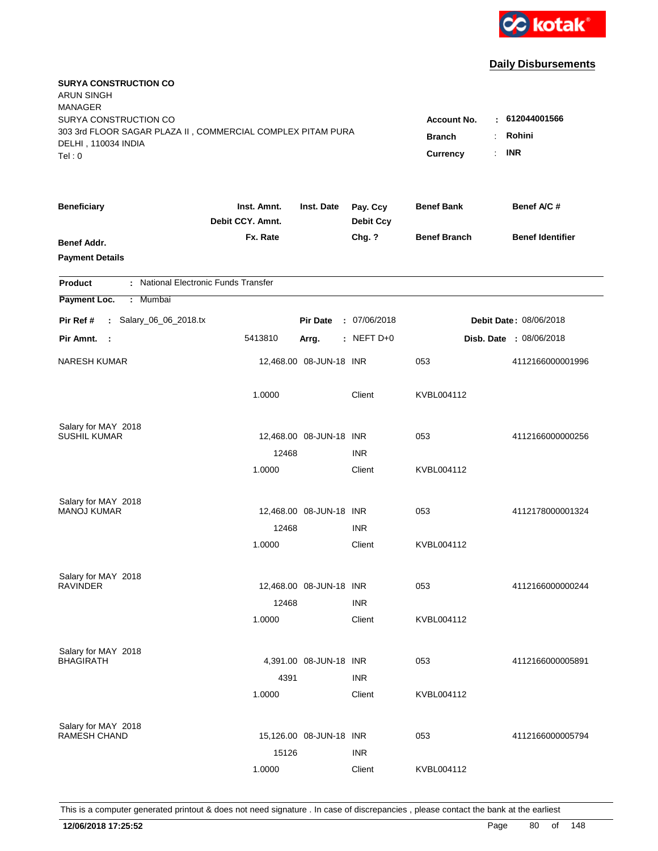

| <b>SURYA CONSTRUCTION CO</b><br><b>ARUN SINGH</b><br><b>MANAGER</b><br>SURYA CONSTRUCTION CO |                                                                                        |                         |                              | <b>Account No.</b>  | : 612044001566                 |
|----------------------------------------------------------------------------------------------|----------------------------------------------------------------------------------------|-------------------------|------------------------------|---------------------|--------------------------------|
| 303 3rd FLOOR SAGAR PLAZA II, COMMERCIAL COMPLEX PITAM PURA<br>DELHI, 110034 INDIA<br>Tel:0  | Rohini<br><b>Branch</b><br>$\ddot{\phantom{a}}$<br><b>INR</b><br>÷.<br><b>Currency</b> |                         |                              |                     |                                |
| <b>Beneficiary</b>                                                                           | Inst. Amnt.<br>Debit CCY. Amnt.                                                        | Inst. Date              | Pay. Ccy<br><b>Debit Ccy</b> | <b>Benef Bank</b>   | Benef A/C #                    |
| Benef Addr.<br><b>Payment Details</b>                                                        | Fx. Rate                                                                               |                         | Chg. ?                       | <b>Benef Branch</b> | <b>Benef Identifier</b>        |
| : National Electronic Funds Transfer<br><b>Product</b>                                       |                                                                                        |                         |                              |                     |                                |
| Payment Loc.<br>: Mumbai                                                                     |                                                                                        |                         |                              |                     |                                |
| : Salary_06_06_2018.tx<br>Pir Ref #                                                          |                                                                                        | <b>Pir Date</b>         | : 07/06/2018                 |                     | Debit Date: 08/06/2018         |
| Pir Amnt.<br>$\sim$ 1                                                                        | 5413810                                                                                | Arrg.                   | $:$ NEFT D+0                 |                     | <b>Disb. Date : 08/06/2018</b> |
| <b>NARESH KUMAR</b>                                                                          |                                                                                        | 12,468.00 08-JUN-18 INR |                              | 053                 | 4112166000001996               |
|                                                                                              | 1.0000                                                                                 |                         | Client                       | KVBL004112          |                                |
| Salary for MAY 2018                                                                          |                                                                                        |                         |                              |                     |                                |
| SUSHIL KUMAR                                                                                 | 12468                                                                                  | 12,468.00 08-JUN-18 INR | <b>INR</b>                   | 053                 | 4112166000000256               |
|                                                                                              | 1.0000                                                                                 |                         | Client                       | KVBL004112          |                                |
| Salary for MAY 2018                                                                          |                                                                                        |                         |                              |                     |                                |
| <b>MANOJ KUMAR</b>                                                                           |                                                                                        | 12,468.00 08-JUN-18 INR |                              | 053                 | 4112178000001324               |
|                                                                                              | 12468                                                                                  |                         | <b>INR</b>                   |                     |                                |
|                                                                                              | 1.0000                                                                                 |                         | Client                       | KVBL004112          |                                |
| Salary for MAY 2018                                                                          |                                                                                        |                         |                              |                     |                                |
| <b>RAVINDER</b>                                                                              |                                                                                        | 12,468.00 08-JUN-18 INR |                              | 053                 | 4112166000000244               |
|                                                                                              | 12468                                                                                  |                         | <b>INR</b>                   |                     |                                |
|                                                                                              | 1.0000                                                                                 |                         | Client                       | KVBL004112          |                                |
| Salary for MAY 2018                                                                          |                                                                                        |                         |                              |                     |                                |
| <b>BHAGIRATH</b>                                                                             |                                                                                        | 4,391.00 08-JUN-18 INR  |                              | 053                 | 4112166000005891               |
|                                                                                              | 4391<br>1.0000                                                                         |                         | <b>INR</b><br>Client         | KVBL004112          |                                |
|                                                                                              |                                                                                        |                         |                              |                     |                                |
| Salary for MAY 2018<br><b>RAMESH CHAND</b>                                                   |                                                                                        | 15,126.00 08-JUN-18 INR |                              | 053                 | 4112166000005794               |
|                                                                                              | 15126                                                                                  |                         | <b>INR</b>                   |                     |                                |
|                                                                                              | 1.0000                                                                                 |                         | Client                       | KVBL004112          |                                |
|                                                                                              |                                                                                        |                         |                              |                     |                                |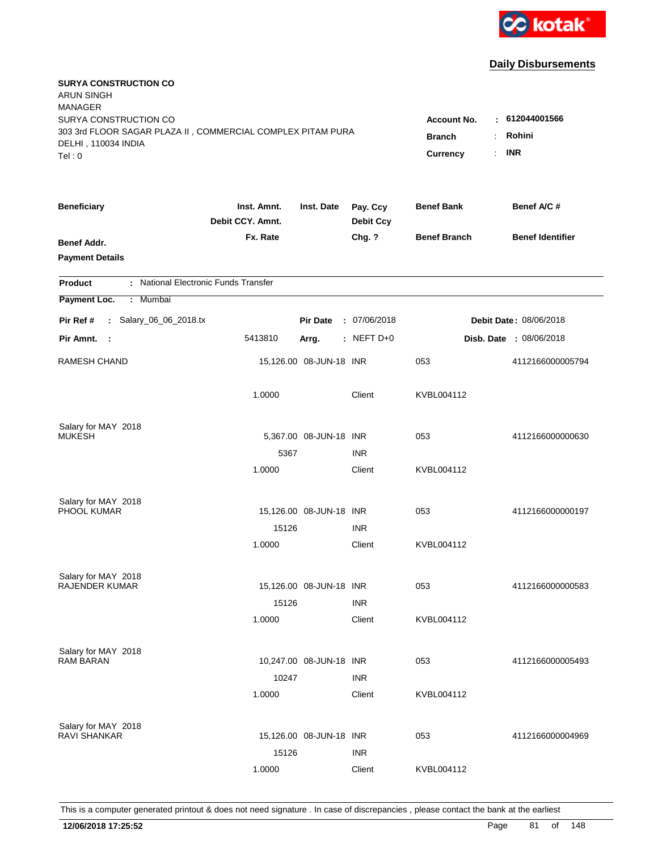

| <b>SURYA CONSTRUCTION CO</b><br><b>ARUN SINGH</b><br><b>MANAGER</b><br>SURYA CONSTRUCTION CO |                                                                                                                          |                         |                              |                     |                         |
|----------------------------------------------------------------------------------------------|--------------------------------------------------------------------------------------------------------------------------|-------------------------|------------------------------|---------------------|-------------------------|
| 303 3rd FLOOR SAGAR PLAZA II, COMMERCIAL COMPLEX PITAM PURA<br>DELHI, 110034 INDIA<br>Tel: 0 | : 612044001566<br><b>Account No.</b><br>Rohini<br><b>Branch</b><br>$\ddot{\cdot}$<br><b>INR</b><br>÷.<br><b>Currency</b> |                         |                              |                     |                         |
| <b>Beneficiary</b>                                                                           | Inst. Amnt.<br>Debit CCY. Amnt.                                                                                          | Inst. Date              | Pay. Ccy<br><b>Debit Ccy</b> | <b>Benef Bank</b>   | Benef A/C #             |
| <b>Benef Addr.</b><br><b>Payment Details</b>                                                 | Fx. Rate                                                                                                                 |                         | Chg. ?                       | <b>Benef Branch</b> | <b>Benef Identifier</b> |
| : National Electronic Funds Transfer<br><b>Product</b>                                       |                                                                                                                          |                         |                              |                     |                         |
| Payment Loc.<br>Mumbai<br>$\mathbb{C}^{\times}$                                              |                                                                                                                          |                         |                              |                     |                         |
| : Salary_06_06_2018.tx<br>Pir Ref #                                                          |                                                                                                                          | <b>Pir Date</b>         | : 07/06/2018                 |                     | Debit Date: 08/06/2018  |
| Pir Amnt.<br>- 1                                                                             | 5413810                                                                                                                  | Arrg.                   | $:$ NEFT D+0                 |                     | Disb. Date : 08/06/2018 |
| <b>RAMESH CHAND</b>                                                                          |                                                                                                                          | 15,126.00 08-JUN-18 INR |                              | 053                 | 4112166000005794        |
|                                                                                              | 1.0000                                                                                                                   |                         | Client                       | KVBL004112          |                         |
| Salary for MAY 2018                                                                          |                                                                                                                          |                         |                              |                     |                         |
| <b>MUKESH</b>                                                                                |                                                                                                                          | 5,367.00 08-JUN-18 INR  |                              | 053                 | 4112166000000630        |
|                                                                                              | 5367<br>1.0000                                                                                                           |                         | <b>INR</b><br>Client         | KVBL004112          |                         |
|                                                                                              |                                                                                                                          |                         |                              |                     |                         |
| Salary for MAY 2018                                                                          |                                                                                                                          |                         |                              |                     |                         |
| PHOOL KUMAR                                                                                  |                                                                                                                          | 15,126.00 08-JUN-18 INR |                              | 053                 | 4112166000000197        |
|                                                                                              | 15126                                                                                                                    |                         | <b>INR</b>                   |                     |                         |
|                                                                                              | 1.0000                                                                                                                   |                         | Client                       | KVBL004112          |                         |
| Salary for MAY 2018                                                                          |                                                                                                                          |                         |                              |                     |                         |
| <b>RAJENDER KUMAR</b>                                                                        |                                                                                                                          | 15,126.00 08-JUN-18 INR |                              | 053                 | 4112166000000583        |
|                                                                                              | 15126                                                                                                                    |                         | <b>INR</b>                   |                     |                         |
|                                                                                              | 1.0000                                                                                                                   |                         | Client                       | KVBL004112          |                         |
| Salary for MAY 2018                                                                          |                                                                                                                          |                         |                              |                     |                         |
| <b>RAM BARAN</b>                                                                             |                                                                                                                          | 10,247.00 08-JUN-18 INR |                              | 053                 | 4112166000005493        |
|                                                                                              | 10247                                                                                                                    |                         | <b>INR</b>                   |                     |                         |
|                                                                                              | 1.0000                                                                                                                   |                         | Client                       | KVBL004112          |                         |
| Salary for MAY 2018                                                                          |                                                                                                                          |                         |                              |                     |                         |
| <b>RAVI SHANKAR</b>                                                                          |                                                                                                                          | 15,126.00 08-JUN-18 INR |                              | 053                 | 4112166000004969        |
|                                                                                              | 15126                                                                                                                    |                         | <b>INR</b>                   |                     |                         |
|                                                                                              | 1.0000                                                                                                                   |                         | Client                       | KVBL004112          |                         |
|                                                                                              |                                                                                                                          |                         |                              |                     |                         |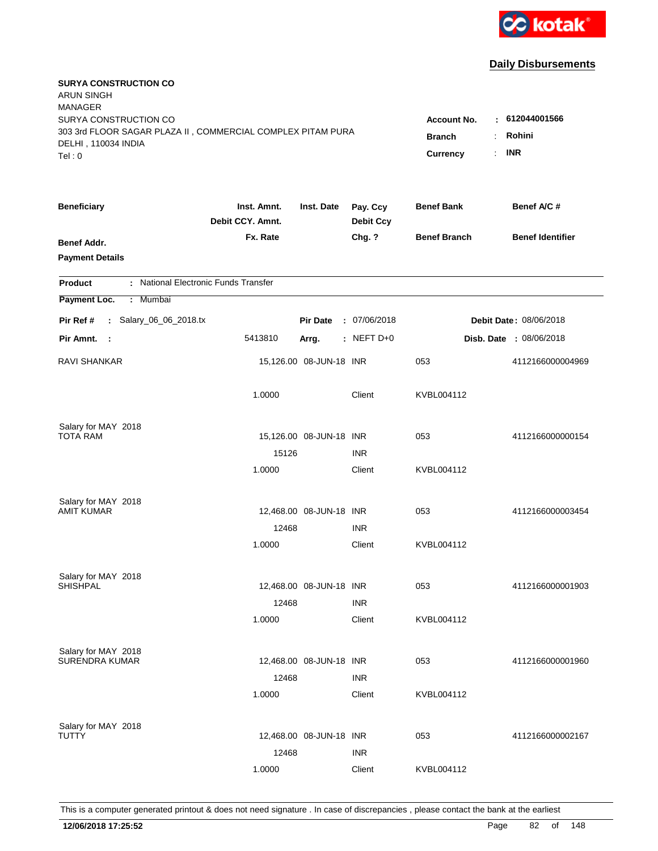

| <b>SURYA CONSTRUCTION CO</b><br><b>ARUN SINGH</b><br><b>MANAGER</b>                                                   |                                                                                                                                |                         |                              |                     |                         |
|-----------------------------------------------------------------------------------------------------------------------|--------------------------------------------------------------------------------------------------------------------------------|-------------------------|------------------------------|---------------------|-------------------------|
| SURYA CONSTRUCTION CO<br>303 3rd FLOOR SAGAR PLAZA II, COMMERCIAL COMPLEX PITAM PURA<br>DELHI, 110034 INDIA<br>Tel: 0 | : 612044001566<br><b>Account No.</b><br>Rohini<br><b>Branch</b><br>$\ddot{\phantom{a}}$<br><b>INR</b><br>÷.<br><b>Currency</b> |                         |                              |                     |                         |
| <b>Beneficiary</b>                                                                                                    | Inst. Amnt.<br>Debit CCY. Amnt.                                                                                                | Inst. Date              | Pay. Ccy<br><b>Debit Ccy</b> | <b>Benef Bank</b>   | Benef A/C #             |
| <b>Benef Addr.</b><br><b>Payment Details</b>                                                                          | Fx. Rate                                                                                                                       |                         | Chg. ?                       | <b>Benef Branch</b> | <b>Benef Identifier</b> |
| : National Electronic Funds Transfer<br><b>Product</b>                                                                |                                                                                                                                |                         |                              |                     |                         |
| Payment Loc.<br>Mumbai<br>$\mathbb{C}^{\times}$                                                                       |                                                                                                                                |                         |                              |                     |                         |
| : Salary_06_06_2018.tx<br>Pir Ref #                                                                                   |                                                                                                                                | <b>Pir Date</b>         | : 07/06/2018                 |                     | Debit Date: 08/06/2018  |
| Pir Amnt.<br>- 1                                                                                                      | 5413810                                                                                                                        | Arrg.                   | $:$ NEFT D+0                 |                     | Disb. Date : 08/06/2018 |
| <b>RAVI SHANKAR</b>                                                                                                   |                                                                                                                                | 15,126.00 08-JUN-18 INR |                              | 053                 | 4112166000004969        |
|                                                                                                                       | 1.0000                                                                                                                         |                         | Client                       | KVBL004112          |                         |
| Salary for MAY 2018                                                                                                   |                                                                                                                                |                         |                              |                     |                         |
| <b>TOTA RAM</b>                                                                                                       |                                                                                                                                | 15,126.00 08-JUN-18 INR |                              | 053                 | 4112166000000154        |
|                                                                                                                       | 15126                                                                                                                          |                         | <b>INR</b>                   |                     |                         |
|                                                                                                                       | 1.0000                                                                                                                         |                         | Client                       | KVBL004112          |                         |
| Salary for MAY 2018                                                                                                   |                                                                                                                                |                         |                              |                     |                         |
| <b>AMIT KUMAR</b>                                                                                                     |                                                                                                                                | 12,468.00 08-JUN-18 INR |                              | 053                 | 4112166000003454        |
|                                                                                                                       | 12468                                                                                                                          |                         | <b>INR</b>                   |                     |                         |
|                                                                                                                       | 1.0000                                                                                                                         |                         | Client                       | KVBL004112          |                         |
| Salary for MAY 2018                                                                                                   |                                                                                                                                |                         |                              |                     |                         |
| <b>SHISHPAL</b>                                                                                                       |                                                                                                                                | 12,468.00 08-JUN-18 INR |                              | 053                 | 4112166000001903        |
|                                                                                                                       | 12468                                                                                                                          |                         | <b>INR</b>                   |                     |                         |
|                                                                                                                       | 1.0000                                                                                                                         |                         | Client                       | KVBL004112          |                         |
| Salary for MAY 2018                                                                                                   |                                                                                                                                |                         |                              |                     |                         |
| <b>SURENDRA KUMAR</b>                                                                                                 |                                                                                                                                | 12,468.00 08-JUN-18 INR |                              | 053                 | 4112166000001960        |
|                                                                                                                       | 12468                                                                                                                          |                         | <b>INR</b>                   |                     |                         |
|                                                                                                                       | 1.0000                                                                                                                         |                         | Client                       | KVBL004112          |                         |
| Salary for MAY 2018                                                                                                   |                                                                                                                                |                         |                              |                     |                         |
| TUTTY                                                                                                                 |                                                                                                                                | 12,468.00 08-JUN-18 INR |                              | 053                 | 4112166000002167        |
|                                                                                                                       | 12468                                                                                                                          |                         | <b>INR</b>                   |                     |                         |
|                                                                                                                       | 1.0000                                                                                                                         |                         | Client                       | KVBL004112          |                         |
|                                                                                                                       |                                                                                                                                |                         |                              |                     |                         |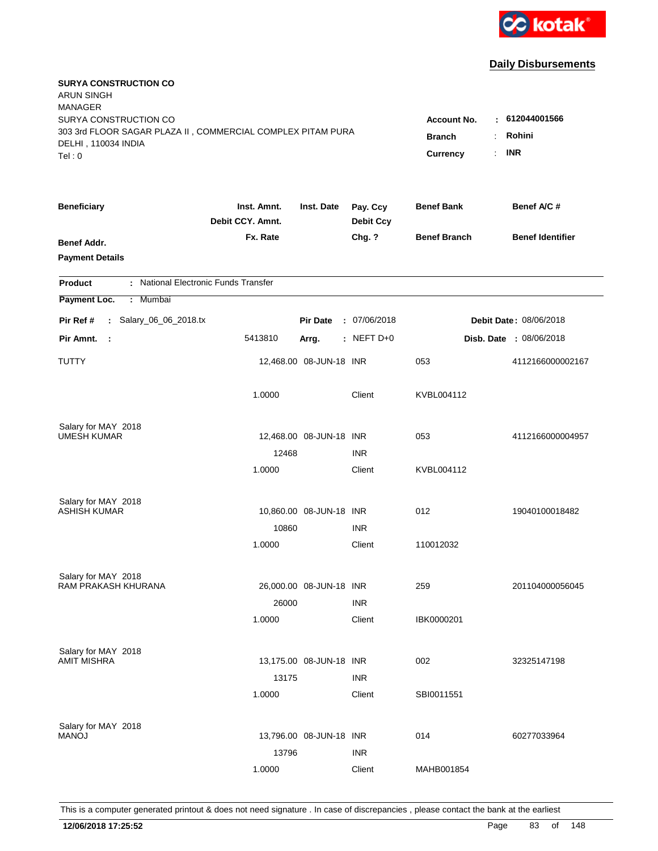

| <b>SURYA CONSTRUCTION CO</b><br><b>ARUN SINGH</b>                                  |                                       |                         |                              |                       |                         |
|------------------------------------------------------------------------------------|---------------------------------------|-------------------------|------------------------------|-----------------------|-------------------------|
| <b>MANAGER</b>                                                                     |                                       |                         |                              |                       |                         |
| SURYA CONSTRUCTION CO                                                              |                                       |                         |                              | <b>Account No.</b>    | $-612044001566$         |
| 303 3rd FLOOR SAGAR PLAZA II, COMMERCIAL COMPLEX PITAM PURA<br>DELHI, 110034 INDIA | <b>Branch</b><br>$\ddot{\phantom{a}}$ | Rohini                  |                              |                       |                         |
| Tel: 0                                                                             |                                       |                         |                              | <b>Currency</b><br>÷. | <b>INR</b>              |
|                                                                                    |                                       |                         |                              |                       |                         |
| <b>Beneficiary</b>                                                                 | Inst. Amnt.<br>Debit CCY. Amnt.       | Inst. Date              | Pay. Ccy<br><b>Debit Ccy</b> | <b>Benef Bank</b>     | Benef A/C#              |
| Benef Addr.                                                                        | Fx. Rate                              |                         | Chg. ?                       | <b>Benef Branch</b>   | <b>Benef Identifier</b> |
| <b>Payment Details</b>                                                             |                                       |                         |                              |                       |                         |
| : National Electronic Funds Transfer<br><b>Product</b>                             |                                       |                         |                              |                       |                         |
| Payment Loc.<br>: Mumbai                                                           |                                       |                         |                              |                       |                         |
| : Salary_06_06_2018.tx<br>Pir Ref #                                                |                                       | <b>Pir Date</b>         | : 07/06/2018                 |                       | Debit Date: 08/06/2018  |
| Pir Amnt.<br>$\sim$ :                                                              | 5413810                               | Arrg.                   | : NEFT D+0                   |                       | Disb. Date : 08/06/2018 |
| TUTTY                                                                              |                                       | 12,468.00 08-JUN-18 INR |                              | 053                   | 4112166000002167        |
|                                                                                    | 1.0000                                |                         | Client                       | KVBL004112            |                         |
| Salary for MAY 2018                                                                |                                       |                         |                              |                       |                         |
| <b>UMESH KUMAR</b>                                                                 |                                       | 12,468.00 08-JUN-18 INR |                              | 053                   | 4112166000004957        |
|                                                                                    | 12468                                 |                         | <b>INR</b>                   |                       |                         |
|                                                                                    | 1.0000                                |                         | Client                       | KVBL004112            |                         |
| Salary for MAY 2018                                                                |                                       |                         |                              |                       |                         |
| <b>ASHISH KUMAR</b>                                                                |                                       | 10,860.00 08-JUN-18 INR |                              | 012                   | 19040100018482          |
|                                                                                    | 10860                                 |                         | <b>INR</b>                   |                       |                         |
|                                                                                    | 1.0000                                |                         | Client                       | 110012032             |                         |
| Salary for MAY 2018                                                                |                                       |                         |                              |                       |                         |
| RAM PRAKASH KHURANA                                                                |                                       | 26,000.00 08-JUN-18 INR |                              | 259                   | 201104000056045         |
|                                                                                    | 26000                                 |                         | <b>INR</b>                   |                       |                         |
|                                                                                    | 1.0000                                |                         | Client                       | IBK0000201            |                         |
| Salary for MAY 2018                                                                |                                       |                         |                              |                       |                         |
| <b>AMIT MISHRA</b>                                                                 |                                       | 13,175.00 08-JUN-18 INR |                              | 002                   | 32325147198             |
|                                                                                    | 13175                                 |                         | <b>INR</b>                   |                       |                         |
|                                                                                    | 1.0000                                |                         | Client                       | SBI0011551            |                         |
| Salary for MAY 2018                                                                |                                       |                         |                              |                       |                         |
| <b>MANOJ</b>                                                                       |                                       | 13,796.00 08-JUN-18 INR |                              | 014                   | 60277033964             |
|                                                                                    | 13796                                 |                         | <b>INR</b>                   |                       |                         |
|                                                                                    | 1.0000                                |                         | Client                       | MAHB001854            |                         |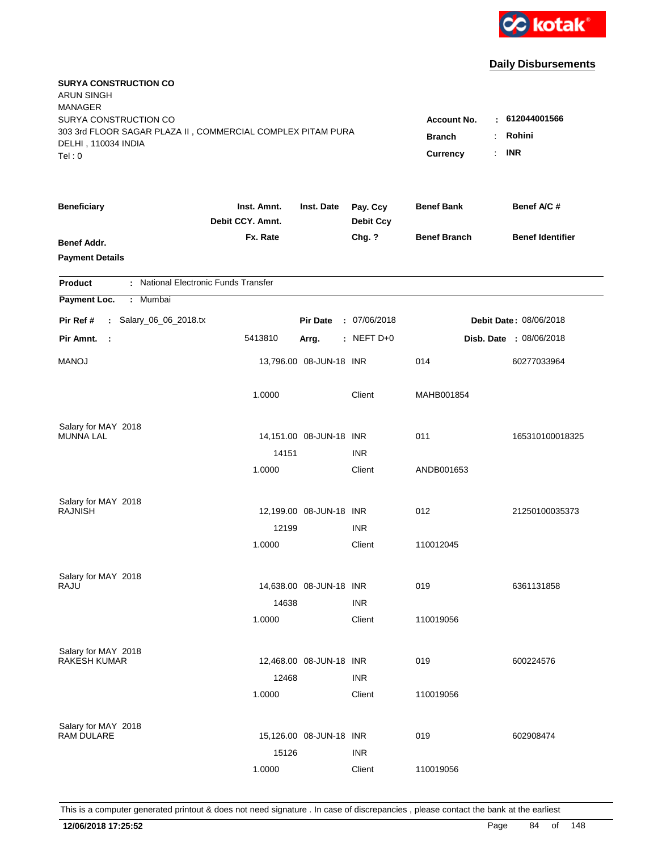

| <b>SURYA CONSTRUCTION CO</b><br>ARUN SINGH                                                   |                                 |                                                    |                              |                     |                         |
|----------------------------------------------------------------------------------------------|---------------------------------|----------------------------------------------------|------------------------------|---------------------|-------------------------|
| <b>MANAGER</b><br>SURYA CONSTRUCTION CO                                                      |                                 |                                                    |                              | <b>Account No.</b>  | : 612044001566          |
| 303 3rd FLOOR SAGAR PLAZA II, COMMERCIAL COMPLEX PITAM PURA<br>DELHI, 110034 INDIA<br>Tel: 0 | <b>Branch</b><br>Currency       | Rohini<br>$\ddot{\phantom{a}}$<br><b>INR</b><br>÷. |                              |                     |                         |
| <b>Beneficiary</b>                                                                           | Inst. Amnt.<br>Debit CCY. Amnt. | Inst. Date                                         | Pay. Ccy<br><b>Debit Ccy</b> | <b>Benef Bank</b>   | Benef A/C #             |
| Benef Addr.<br><b>Payment Details</b>                                                        | Fx. Rate                        |                                                    | Chg. ?                       | <b>Benef Branch</b> | <b>Benef Identifier</b> |
| : National Electronic Funds Transfer<br><b>Product</b>                                       |                                 |                                                    |                              |                     |                         |
| Payment Loc.<br>: Mumbai                                                                     |                                 |                                                    |                              |                     |                         |
| Salary_06_06_2018.tx<br>Pir Ref #<br>$\mathbf{L}$                                            |                                 | <b>Pir Date</b>                                    | : 07/06/2018                 |                     | Debit Date: 08/06/2018  |
| Pir Amnt.<br>$\mathbb{R}^2$                                                                  | 5413810                         | Arrg.                                              | : NEFT $D+0$                 |                     | Disb. Date : 08/06/2018 |
| <b>MANOJ</b>                                                                                 |                                 | 13,796.00 08-JUN-18 INR                            |                              | 014                 | 60277033964             |
|                                                                                              | 1.0000                          |                                                    | Client                       | MAHB001854          |                         |
| Salary for MAY 2018                                                                          |                                 |                                                    |                              |                     |                         |
| <b>MUNNA LAL</b>                                                                             |                                 | 14,151.00 08-JUN-18 INR                            |                              | 011                 | 165310100018325         |
|                                                                                              | 14151                           |                                                    | <b>INR</b>                   |                     |                         |
|                                                                                              | 1.0000                          |                                                    | Client                       | ANDB001653          |                         |
| Salary for MAY 2018                                                                          |                                 |                                                    |                              |                     |                         |
| <b>RAJNISH</b>                                                                               |                                 | 12,199.00 08-JUN-18 INR                            |                              | 012                 | 21250100035373          |
|                                                                                              | 12199                           |                                                    | <b>INR</b>                   |                     |                         |
|                                                                                              | 1.0000                          |                                                    | Client                       | 110012045           |                         |
| Salary for MAY 2018                                                                          |                                 |                                                    |                              |                     |                         |
| RAJU                                                                                         |                                 | 14,638.00 08-JUN-18 INR                            |                              | 019                 | 6361131858              |
|                                                                                              | 14638                           |                                                    | <b>INR</b>                   |                     |                         |
|                                                                                              | 1.0000                          |                                                    | Client                       | 110019056           |                         |
| Salary for MAY 2018                                                                          |                                 |                                                    |                              |                     |                         |
| <b>RAKESH KUMAR</b>                                                                          |                                 | 12,468.00 08-JUN-18 INR                            |                              | 019                 | 600224576               |
|                                                                                              | 12468                           |                                                    | <b>INR</b>                   |                     |                         |
|                                                                                              | 1.0000                          |                                                    | Client                       | 110019056           |                         |
| Salary for MAY 2018                                                                          |                                 |                                                    |                              |                     |                         |
| RAM DULARE                                                                                   |                                 | 15,126.00 08-JUN-18 INR                            |                              | 019                 | 602908474               |
|                                                                                              | 15126                           |                                                    | <b>INR</b>                   |                     |                         |
|                                                                                              | 1.0000                          |                                                    | Client                       | 110019056           |                         |
|                                                                                              |                                 |                                                    |                              |                     |                         |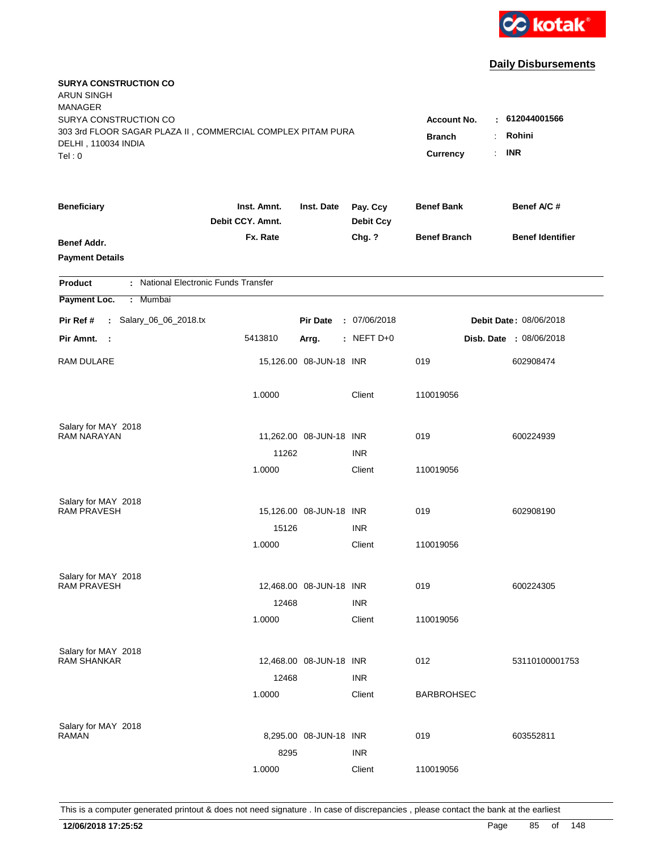

| <b>SURYA CONSTRUCTION CO</b><br><b>ARUN SINGH</b><br><b>MANAGER</b><br>SURYA CONSTRUCTION CO<br>303 3rd FLOOR SAGAR PLAZA II, COMMERCIAL COMPLEX PITAM PURA<br>DELHI, 110034 INDIA<br>Tel: 0 | <b>Account No.</b><br><b>Branch</b><br>Currency | $-612044001566$<br>Rohini<br><b>INR</b><br>÷. |                              |                     |                                |
|----------------------------------------------------------------------------------------------------------------------------------------------------------------------------------------------|-------------------------------------------------|-----------------------------------------------|------------------------------|---------------------|--------------------------------|
| <b>Beneficiary</b>                                                                                                                                                                           | Inst. Amnt.<br>Debit CCY. Amnt.                 | Inst. Date                                    | Pay. Ccy<br><b>Debit Ccy</b> | <b>Benef Bank</b>   | Benef A/C #                    |
| Benef Addr.<br><b>Payment Details</b>                                                                                                                                                        | Fx. Rate                                        |                                               | Chg. ?                       | <b>Benef Branch</b> | <b>Benef Identifier</b>        |
| : National Electronic Funds Transfer<br><b>Product</b>                                                                                                                                       |                                                 |                                               |                              |                     |                                |
| Payment Loc.<br>Mumbai<br>÷.                                                                                                                                                                 |                                                 |                                               |                              |                     |                                |
| : Salary_06_06_2018.tx<br>Pir Ref #                                                                                                                                                          |                                                 | <b>Pir Date</b>                               | : 07/06/2018                 |                     | <b>Debit Date: 08/06/2018</b>  |
| Pir Amnt. :                                                                                                                                                                                  | 5413810                                         | Arrg.                                         | $:$ NEFT D+0                 |                     | <b>Disb. Date : 08/06/2018</b> |
| RAM DULARE                                                                                                                                                                                   |                                                 | 15,126.00 08-JUN-18 INR                       |                              | 019                 | 602908474                      |
|                                                                                                                                                                                              | 1.0000                                          |                                               | Client                       | 110019056           |                                |
| Salary for MAY 2018<br><b>RAM NARAYAN</b>                                                                                                                                                    |                                                 |                                               |                              | 019                 |                                |
|                                                                                                                                                                                              | 11262                                           | 11,262.00 08-JUN-18 INR                       | <b>INR</b>                   |                     | 600224939                      |
|                                                                                                                                                                                              | 1.0000                                          |                                               | Client                       | 110019056           |                                |
| Salary for MAY 2018                                                                                                                                                                          |                                                 |                                               |                              |                     |                                |
| <b>RAM PRAVESH</b>                                                                                                                                                                           |                                                 | 15,126.00 08-JUN-18 INR                       |                              | 019                 | 602908190                      |
|                                                                                                                                                                                              | 15126                                           |                                               | <b>INR</b>                   |                     |                                |
|                                                                                                                                                                                              | 1.0000                                          |                                               | Client                       | 110019056           |                                |
| Salary for MAY 2018                                                                                                                                                                          |                                                 |                                               |                              |                     |                                |
| <b>RAM PRAVESH</b>                                                                                                                                                                           |                                                 | 12,468.00 08-JUN-18 INR                       |                              | 019                 | 600224305                      |
|                                                                                                                                                                                              | 12468                                           |                                               | <b>INR</b>                   |                     |                                |
|                                                                                                                                                                                              | 1.0000                                          |                                               | Client                       | 110019056           |                                |
| Salary for MAY 2018                                                                                                                                                                          |                                                 |                                               |                              |                     |                                |
| <b>RAM SHANKAR</b>                                                                                                                                                                           |                                                 | 12,468.00 08-JUN-18 INR                       |                              | 012                 | 53110100001753                 |
|                                                                                                                                                                                              | 12468<br>1.0000                                 |                                               | <b>INR</b><br>Client         | <b>BARBROHSEC</b>   |                                |
|                                                                                                                                                                                              |                                                 |                                               |                              |                     |                                |
| Salary for MAY 2018<br><b>RAMAN</b>                                                                                                                                                          |                                                 | 8,295.00 08-JUN-18 INR                        |                              | 019                 | 603552811                      |
|                                                                                                                                                                                              | 8295                                            |                                               | <b>INR</b>                   |                     |                                |
|                                                                                                                                                                                              | 1.0000                                          |                                               | Client                       | 110019056           |                                |
|                                                                                                                                                                                              |                                                 |                                               |                              |                     |                                |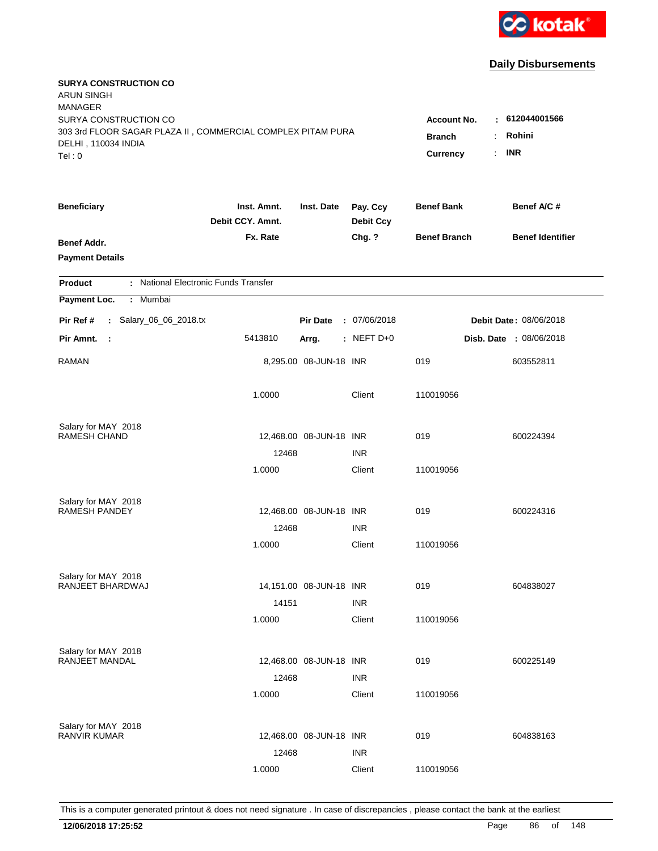

| <b>SURYA CONSTRUCTION CO</b><br><b>ARUN SINGH</b><br><b>MANAGER</b>                          |                                 |                         |                              |                           |                            |
|----------------------------------------------------------------------------------------------|---------------------------------|-------------------------|------------------------------|---------------------------|----------------------------|
| SURYA CONSTRUCTION CO                                                                        |                                 |                         |                              | <b>Account No.</b>        | 612044001566               |
| 303 3rd FLOOR SAGAR PLAZA II, COMMERCIAL COMPLEX PITAM PURA<br>DELHI, 110034 INDIA<br>Tel: 0 |                                 |                         |                              | <b>Branch</b><br>Currency | Rohini<br><b>INR</b><br>÷. |
| <b>Beneficiary</b>                                                                           | Inst. Amnt.<br>Debit CCY. Amnt. | Inst. Date              | Pay. Ccy<br><b>Debit Ccy</b> | <b>Benef Bank</b>         | Benef A/C #                |
| Benef Addr.<br><b>Payment Details</b>                                                        | Fx. Rate                        |                         | Chg. ?                       | <b>Benef Branch</b>       | <b>Benef Identifier</b>    |
| : National Electronic Funds Transfer<br><b>Product</b>                                       |                                 |                         |                              |                           |                            |
| Payment Loc.<br>: Mumbai                                                                     |                                 |                         |                              |                           |                            |
| : Salary_06_06_2018.tx<br>Pir Ref #                                                          |                                 | <b>Pir Date</b>         | : 07/06/2018                 |                           | Debit Date: 08/06/2018     |
| Pir Amnt.<br>- 1                                                                             | 5413810                         | Arrg.                   | : NEFT $D+0$                 |                           | Disb. Date : 08/06/2018    |
| <b>RAMAN</b>                                                                                 |                                 | 8,295.00 08-JUN-18 INR  |                              | 019                       | 603552811                  |
|                                                                                              | 1.0000                          |                         | Client                       | 110019056                 |                            |
| Salary for MAY 2018                                                                          |                                 |                         |                              |                           |                            |
| <b>RAMESH CHAND</b>                                                                          |                                 | 12,468.00 08-JUN-18 INR |                              | 019                       | 600224394                  |
|                                                                                              | 12468                           |                         | <b>INR</b>                   |                           |                            |
|                                                                                              | 1.0000                          |                         | Client                       | 110019056                 |                            |
| Salary for MAY 2018                                                                          |                                 |                         |                              |                           |                            |
| <b>RAMESH PANDEY</b>                                                                         |                                 | 12,468.00 08-JUN-18 INR |                              | 019                       | 600224316                  |
|                                                                                              | 12468                           |                         | <b>INR</b>                   |                           |                            |
|                                                                                              | 1.0000                          |                         | Client                       | 110019056                 |                            |
| Salary for MAY 2018                                                                          |                                 |                         |                              |                           |                            |
| RANJEET BHARDWAJ                                                                             |                                 | 14,151.00 08-JUN-18 INR |                              | 019                       | 604838027                  |
|                                                                                              | 14151                           |                         | <b>INR</b>                   |                           |                            |
|                                                                                              | 1.0000                          |                         | Client                       | 110019056                 |                            |
| Salary for MAY 2018                                                                          |                                 |                         |                              |                           |                            |
| RANJEET MANDAL                                                                               |                                 | 12,468.00 08-JUN-18 INR |                              | 019                       | 600225149                  |
|                                                                                              | 12468                           |                         | <b>INR</b>                   |                           |                            |
|                                                                                              | 1.0000                          |                         | Client                       | 110019056                 |                            |
| Salary for MAY 2018                                                                          |                                 |                         |                              |                           |                            |
| <b>RANVIR KUMAR</b>                                                                          |                                 | 12,468.00 08-JUN-18 INR |                              | 019                       | 604838163                  |
|                                                                                              | 12468                           |                         | <b>INR</b>                   |                           |                            |
|                                                                                              | 1.0000                          |                         | Client                       | 110019056                 |                            |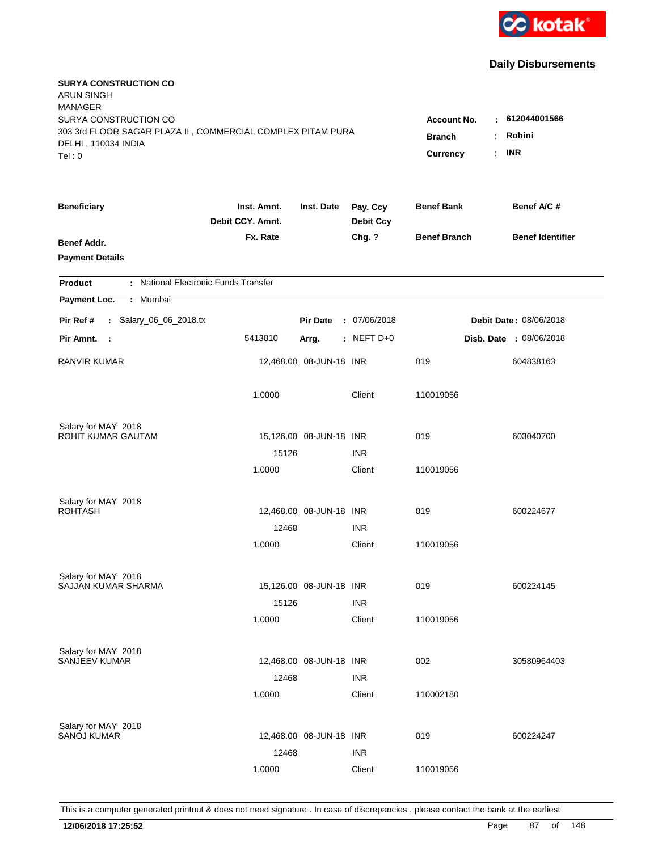

| <b>SURYA CONSTRUCTION CO</b><br><b>ARUN SINGH</b><br><b>MANAGER</b><br>SURYA CONSTRUCTION CO |                                 |                         |                              | <b>Account No.</b>        | 612044001566                                 |
|----------------------------------------------------------------------------------------------|---------------------------------|-------------------------|------------------------------|---------------------------|----------------------------------------------|
| 303 3rd FLOOR SAGAR PLAZA II, COMMERCIAL COMPLEX PITAM PURA<br>DELHI, 110034 INDIA<br>Tel: 0 |                                 |                         |                              | <b>Branch</b><br>Currency | Rohini<br><b>INR</b><br>$\ddot{\phantom{a}}$ |
| <b>Beneficiary</b>                                                                           | Inst. Amnt.<br>Debit CCY. Amnt. | Inst. Date              | Pay. Ccy<br><b>Debit Ccy</b> | <b>Benef Bank</b>         | Benef A/C #                                  |
| Benef Addr.<br><b>Payment Details</b>                                                        | Fx. Rate                        |                         | Chg. ?                       | <b>Benef Branch</b>       | <b>Benef Identifier</b>                      |
| : National Electronic Funds Transfer<br><b>Product</b>                                       |                                 |                         |                              |                           |                                              |
| Payment Loc.<br>: Mumbai                                                                     |                                 |                         |                              |                           |                                              |
| : Salary_06_06_2018.tx<br>Pir Ref #                                                          |                                 | <b>Pir Date</b>         | : 07/06/2018                 |                           | Debit Date: 08/06/2018                       |
| Pir Amnt. :                                                                                  | 5413810                         | Arrg.                   | $:$ NEFT D+0                 |                           | Disb. Date : 08/06/2018                      |
| <b>RANVIR KUMAR</b>                                                                          |                                 | 12,468.00 08-JUN-18 INR |                              | 019                       | 604838163                                    |
|                                                                                              | 1.0000                          |                         | Client                       | 110019056                 |                                              |
| Salary for MAY 2018<br>ROHIT KUMAR GAUTAM                                                    |                                 |                         |                              |                           |                                              |
|                                                                                              | 15126                           | 15,126.00 08-JUN-18 INR | <b>INR</b>                   | 019                       | 603040700                                    |
|                                                                                              | 1.0000                          |                         | Client                       | 110019056                 |                                              |
| Salary for MAY 2018<br><b>ROHTASH</b>                                                        |                                 | 12,468.00 08-JUN-18 INR |                              | 019                       | 600224677                                    |
|                                                                                              | 12468                           |                         | <b>INR</b>                   |                           |                                              |
|                                                                                              | 1.0000                          |                         | Client                       | 110019056                 |                                              |
| Salary for MAY 2018<br>SAJJAN KUMAR SHARMA                                                   |                                 | 15,126.00 08-JUN-18 INR |                              | 019                       | 600224145                                    |
|                                                                                              | 15126                           |                         | <b>INR</b>                   |                           |                                              |
|                                                                                              | 1.0000                          |                         | Client                       | 110019056                 |                                              |
| Salary for MAY 2018<br><b>SANJEEV KUMAR</b>                                                  | 12468                           | 12,468.00 08-JUN-18 INR | <b>INR</b>                   | 002                       | 30580964403                                  |
|                                                                                              | 1.0000                          |                         | Client                       | 110002180                 |                                              |
| Salary for MAY 2018<br><b>SANOJ KUMAR</b>                                                    | 12468                           | 12,468.00 08-JUN-18 INR | <b>INR</b>                   | 019                       | 600224247                                    |
|                                                                                              | 1.0000                          |                         | Client                       | 110019056                 |                                              |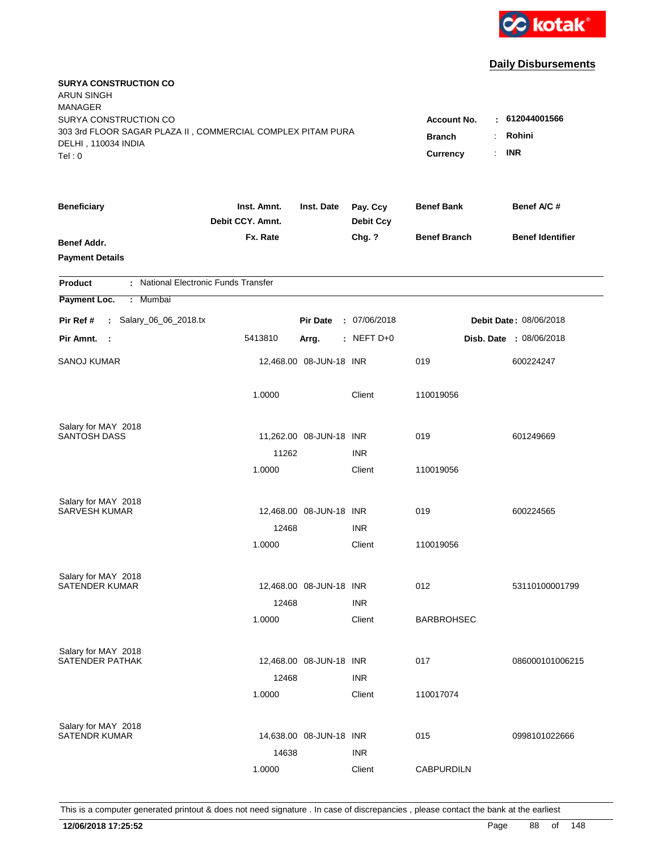

| <b>SURYA CONSTRUCTION CO</b><br><b>ARUN SINGH</b><br><b>MANAGER</b><br>SURYA CONSTRUCTION CO<br>303 3rd FLOOR SAGAR PLAZA II, COMMERCIAL COMPLEX PITAM PURA<br>DELHI, 110034 INDIA<br>Tel: 0 | <b>Account No.</b><br>٠<br><b>Branch</b><br>Currency<br>÷. | 612044001566<br>Rohini<br><b>INR</b> |                              |                     |                                |
|----------------------------------------------------------------------------------------------------------------------------------------------------------------------------------------------|------------------------------------------------------------|--------------------------------------|------------------------------|---------------------|--------------------------------|
| <b>Beneficiary</b>                                                                                                                                                                           | Inst. Amnt.<br>Debit CCY. Amnt.                            | Inst. Date                           | Pay. Ccy<br><b>Debit Ccy</b> | <b>Benef Bank</b>   | Benef A/C #                    |
| Benef Addr.<br><b>Payment Details</b>                                                                                                                                                        | Fx. Rate                                                   |                                      | Chg. ?                       | <b>Benef Branch</b> | <b>Benef Identifier</b>        |
| : National Electronic Funds Transfer<br><b>Product</b>                                                                                                                                       |                                                            |                                      |                              |                     |                                |
| Payment Loc.<br>: Mumbai                                                                                                                                                                     |                                                            |                                      |                              |                     |                                |
| : Salary_06_06_2018.tx<br>Pir Ref #                                                                                                                                                          |                                                            | <b>Pir Date</b>                      | : 07/06/2018                 |                     | Debit Date: 08/06/2018         |
| Pir Amnt. :                                                                                                                                                                                  | 5413810                                                    | Arrg.                                | $:$ NEFT D+0                 |                     | <b>Disb. Date : 08/06/2018</b> |
| <b>SANOJ KUMAR</b>                                                                                                                                                                           |                                                            | 12,468.00 08-JUN-18 INR              |                              | 019                 | 600224247                      |
|                                                                                                                                                                                              | 1.0000                                                     |                                      | Client                       | 110019056           |                                |
| Salary for MAY 2018<br><b>SANTOSH DASS</b>                                                                                                                                                   |                                                            | 11,262.00 08-JUN-18 INR              |                              | 019                 | 601249669                      |
|                                                                                                                                                                                              | 11262                                                      |                                      | <b>INR</b>                   |                     |                                |
|                                                                                                                                                                                              | 1.0000                                                     |                                      | Client                       | 110019056           |                                |
| Salary for MAY 2018                                                                                                                                                                          |                                                            |                                      |                              |                     |                                |
| <b>SARVESH KUMAR</b>                                                                                                                                                                         |                                                            | 12,468.00 08-JUN-18 INR              |                              | 019                 | 600224565                      |
|                                                                                                                                                                                              | 12468                                                      |                                      | <b>INR</b>                   |                     |                                |
|                                                                                                                                                                                              | 1.0000                                                     |                                      | Client                       | 110019056           |                                |
| Salary for MAY 2018                                                                                                                                                                          |                                                            |                                      |                              |                     |                                |
| <b>SATENDER KUMAR</b>                                                                                                                                                                        |                                                            | 12,468.00 08-JUN-18 INR              |                              | 012                 | 53110100001799                 |
|                                                                                                                                                                                              | 12468                                                      |                                      | <b>INR</b>                   |                     |                                |
|                                                                                                                                                                                              | 1.0000                                                     |                                      | Client                       | <b>BARBROHSEC</b>   |                                |
| Salary for MAY 2018                                                                                                                                                                          |                                                            |                                      |                              |                     |                                |
| SATENDER PATHAK                                                                                                                                                                              |                                                            | 12,468.00 08-JUN-18 INR              |                              | 017                 | 086000101006215                |
|                                                                                                                                                                                              | 12468                                                      |                                      | <b>INR</b>                   |                     |                                |
|                                                                                                                                                                                              | 1.0000                                                     |                                      | Client                       | 110017074           |                                |
| Salary for MAY 2018                                                                                                                                                                          |                                                            |                                      |                              |                     |                                |
| <b>SATENDR KUMAR</b>                                                                                                                                                                         |                                                            | 14,638.00 08-JUN-18 INR              |                              | 015                 | 0998101022666                  |
|                                                                                                                                                                                              | 14638                                                      |                                      | <b>INR</b>                   |                     |                                |
|                                                                                                                                                                                              | 1.0000                                                     |                                      | Client                       | <b>CABPURDILN</b>   |                                |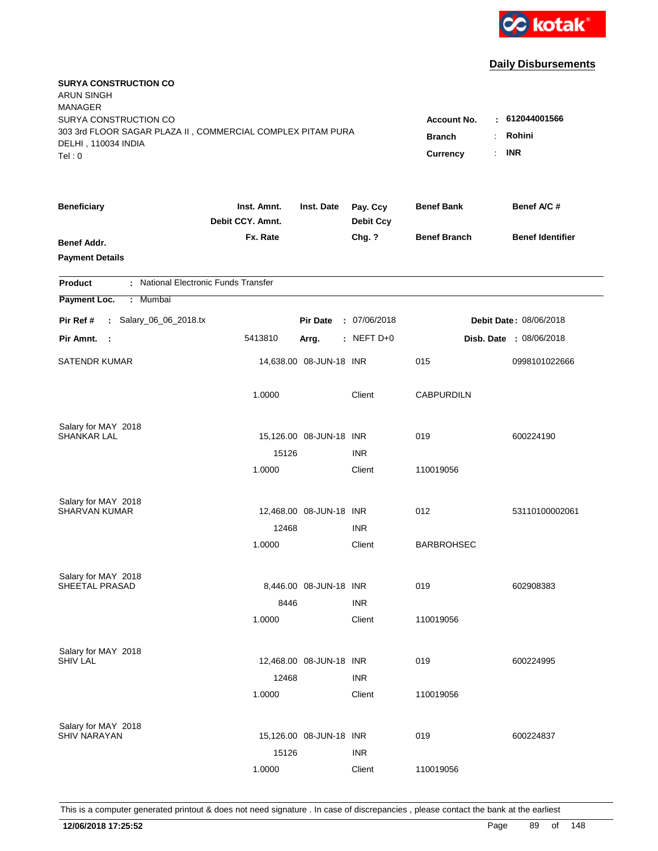

| <b>SURYA CONSTRUCTION CO</b><br><b>ARUN SINGH</b><br><b>MANAGER</b>                                                   |                                                                        |                                        |                              |                     |                         |
|-----------------------------------------------------------------------------------------------------------------------|------------------------------------------------------------------------|----------------------------------------|------------------------------|---------------------|-------------------------|
| SURYA CONSTRUCTION CO<br>303 3rd FLOOR SAGAR PLAZA II, COMMERCIAL COMPLEX PITAM PURA<br>DELHI, 110034 INDIA<br>Tel: 0 | <b>Account No.</b><br><b>Branch</b><br>$\mathbf{r}$<br><b>Currency</b> | : 612044001566<br>Rohini<br><b>INR</b> |                              |                     |                         |
| <b>Beneficiary</b>                                                                                                    | Inst. Amnt.<br>Debit CCY. Amnt.                                        | Inst. Date                             | Pay. Ccy<br><b>Debit Ccy</b> | <b>Benef Bank</b>   | Benef A/C #             |
| Benef Addr.<br><b>Payment Details</b>                                                                                 | Fx. Rate                                                               |                                        | Chg. ?                       | <b>Benef Branch</b> | <b>Benef Identifier</b> |
| : National Electronic Funds Transfer<br><b>Product</b>                                                                |                                                                        |                                        |                              |                     |                         |
| Payment Loc.<br>: Mumbai                                                                                              |                                                                        |                                        |                              |                     |                         |
| : Salary_06_06_2018.tx<br>Pir Ref #                                                                                   |                                                                        | <b>Pir Date</b>                        | : 07/06/2018                 |                     | Debit Date: 08/06/2018  |
| Pir Amnt.<br>- 1                                                                                                      | 5413810                                                                | Arrg.                                  | : NEFT $D+0$                 |                     | Disb. Date : 08/06/2018 |
| <b>SATENDR KUMAR</b>                                                                                                  |                                                                        | 14,638.00 08-JUN-18 INR                |                              | 015                 | 0998101022666           |
|                                                                                                                       | 1.0000                                                                 |                                        | Client                       | <b>CABPURDILN</b>   |                         |
| Salary for MAY 2018                                                                                                   |                                                                        |                                        |                              |                     |                         |
| <b>SHANKAR LAL</b>                                                                                                    |                                                                        | 15,126.00 08-JUN-18 INR                |                              | 019                 | 600224190               |
|                                                                                                                       | 15126<br>1.0000                                                        |                                        | <b>INR</b><br>Client         | 110019056           |                         |
|                                                                                                                       |                                                                        |                                        |                              |                     |                         |
| Salary for MAY 2018                                                                                                   |                                                                        |                                        |                              |                     |                         |
| <b>SHARVAN KUMAR</b>                                                                                                  | 12468                                                                  | 12,468.00 08-JUN-18 INR                | <b>INR</b>                   | 012                 | 53110100002061          |
|                                                                                                                       | 1.0000                                                                 |                                        | Client                       | <b>BARBROHSEC</b>   |                         |
|                                                                                                                       |                                                                        |                                        |                              |                     |                         |
| Salary for MAY 2018                                                                                                   |                                                                        |                                        |                              |                     |                         |
| SHEETAL PRASAD                                                                                                        | 8446                                                                   | 8,446.00 08-JUN-18 INR                 | <b>INR</b>                   | 019                 | 602908383               |
|                                                                                                                       | 1.0000                                                                 |                                        | Client                       | 110019056           |                         |
|                                                                                                                       |                                                                        |                                        |                              |                     |                         |
| Salary for MAY 2018<br><b>SHIV LAL</b>                                                                                |                                                                        | 12,468.00 08-JUN-18 INR                |                              | 019                 | 600224995               |
|                                                                                                                       | 12468                                                                  |                                        | <b>INR</b>                   |                     |                         |
|                                                                                                                       | 1.0000                                                                 |                                        | Client                       | 110019056           |                         |
|                                                                                                                       |                                                                        |                                        |                              |                     |                         |
| Salary for MAY 2018<br><b>SHIV NARAYAN</b>                                                                            |                                                                        | 15,126.00 08-JUN-18 INR                |                              | 019                 | 600224837               |
|                                                                                                                       | 15126                                                                  |                                        | <b>INR</b>                   |                     |                         |
|                                                                                                                       | 1.0000                                                                 |                                        | Client                       | 110019056           |                         |
|                                                                                                                       |                                                                        |                                        |                              |                     |                         |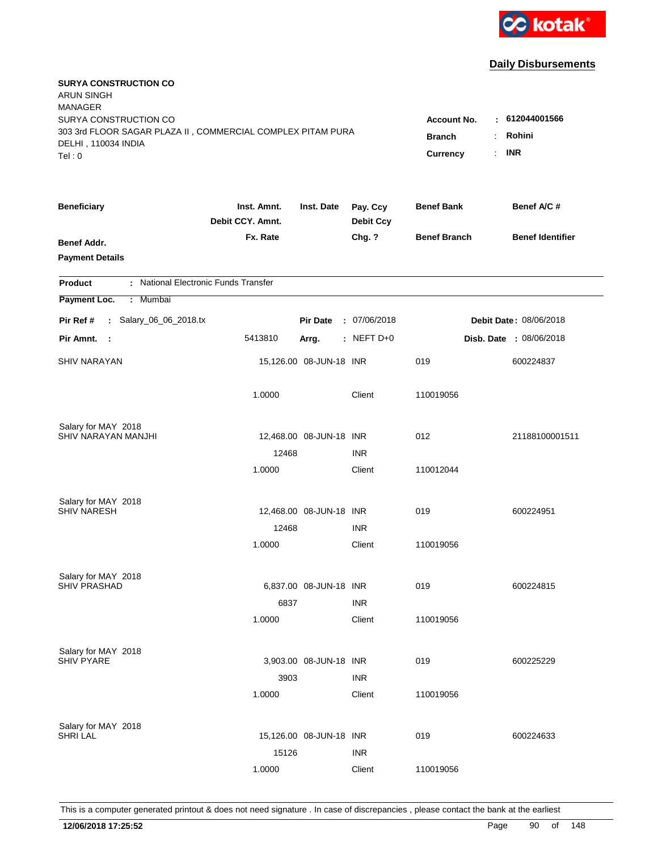

| <b>SURYA CONSTRUCTION CO</b><br><b>ARUN SINGH</b><br><b>MANAGER</b>                |                                 |                         |                              |                     |                         |
|------------------------------------------------------------------------------------|---------------------------------|-------------------------|------------------------------|---------------------|-------------------------|
| SURYA CONSTRUCTION CO                                                              |                                 |                         |                              | <b>Account No.</b>  | : 612044001566          |
| 303 3rd FLOOR SAGAR PLAZA II, COMMERCIAL COMPLEX PITAM PURA<br>DELHI, 110034 INDIA | <b>Branch</b>                   | Rohini                  |                              |                     |                         |
| Tel: 0                                                                             |                                 |                         |                              | Currency            | <b>INR</b><br>÷.        |
| <b>Beneficiary</b>                                                                 | Inst. Amnt.<br>Debit CCY. Amnt. | Inst. Date              | Pay. Ccy<br><b>Debit Ccy</b> | <b>Benef Bank</b>   | Benef A/C #             |
| Benef Addr.                                                                        | Fx. Rate                        |                         | Chg. ?                       | <b>Benef Branch</b> | <b>Benef Identifier</b> |
| <b>Payment Details</b>                                                             |                                 |                         |                              |                     |                         |
| : National Electronic Funds Transfer<br><b>Product</b>                             |                                 |                         |                              |                     |                         |
| Payment Loc.<br>: Mumbai                                                           |                                 |                         |                              |                     |                         |
| : Salary_06_06_2018.tx<br>Pir Ref #                                                |                                 | <b>Pir Date</b>         | : 07/06/2018                 |                     | Debit Date: 08/06/2018  |
| Pir Amnt.<br>- 1                                                                   | 5413810                         | Arrg.                   | $:$ NEFT D+0                 |                     | Disb. Date : 08/06/2018 |
| <b>SHIV NARAYAN</b>                                                                |                                 | 15,126.00 08-JUN-18 INR |                              | 019                 | 600224837               |
|                                                                                    | 1.0000                          |                         | Client                       | 110019056           |                         |
| Salary for MAY 2018                                                                |                                 |                         |                              |                     |                         |
| SHIV NARAYAN MANJHI                                                                |                                 | 12,468.00 08-JUN-18 INR |                              | 012                 | 21188100001511          |
|                                                                                    | 12468                           |                         | <b>INR</b>                   |                     |                         |
|                                                                                    | 1.0000                          |                         | Client                       | 110012044           |                         |
| Salary for MAY 2018                                                                |                                 |                         |                              |                     |                         |
| <b>SHIV NARESH</b>                                                                 |                                 | 12,468.00 08-JUN-18 INR |                              | 019                 | 600224951               |
|                                                                                    | 12468                           |                         | <b>INR</b>                   |                     |                         |
|                                                                                    | 1.0000                          |                         | Client                       | 110019056           |                         |
| Salary for MAY 2018                                                                |                                 |                         |                              |                     |                         |
| <b>SHIV PRASHAD</b>                                                                |                                 | 6,837.00 08-JUN-18 INR  |                              | 019                 | 600224815               |
|                                                                                    | 6837                            |                         | <b>INR</b>                   |                     |                         |
|                                                                                    | 1.0000                          |                         | Client                       | 110019056           |                         |
| Salary for MAY 2018                                                                |                                 |                         |                              |                     |                         |
| <b>SHIV PYARE</b>                                                                  |                                 | 3,903.00 08-JUN-18 INR  |                              | 019                 | 600225229               |
|                                                                                    | 3903                            |                         | <b>INR</b>                   |                     |                         |
|                                                                                    | 1.0000                          |                         | Client                       | 110019056           |                         |
| Salary for MAY 2018                                                                |                                 |                         |                              |                     |                         |
| <b>SHRI LAL</b>                                                                    |                                 | 15,126.00 08-JUN-18 INR |                              | 019                 | 600224633               |
|                                                                                    | 15126                           |                         | <b>INR</b>                   |                     |                         |
|                                                                                    | 1.0000                          |                         | Client                       | 110019056           |                         |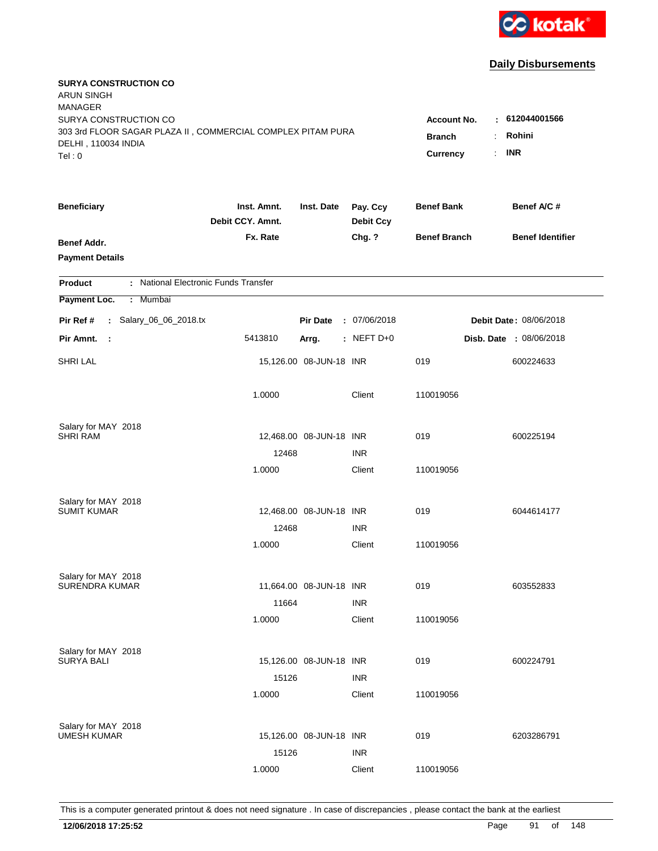

| <b>SURYA CONSTRUCTION CO</b><br><b>ARUN SINGH</b><br><b>MANAGER</b>                                                   |                                                 |                                                     |                              |                     |                         |
|-----------------------------------------------------------------------------------------------------------------------|-------------------------------------------------|-----------------------------------------------------|------------------------------|---------------------|-------------------------|
| SURYA CONSTRUCTION CO<br>303 3rd FLOOR SAGAR PLAZA II, COMMERCIAL COMPLEX PITAM PURA<br>DELHI, 110034 INDIA<br>Tel: 0 | <b>Account No.</b><br><b>Branch</b><br>Currency | $-612044001566$<br>Rohini<br>÷.<br><b>INR</b><br>÷. |                              |                     |                         |
|                                                                                                                       |                                                 |                                                     |                              |                     |                         |
| <b>Beneficiary</b>                                                                                                    | Inst. Amnt.<br>Debit CCY. Amnt.                 | Inst. Date                                          | Pay. Ccy<br><b>Debit Ccy</b> | <b>Benef Bank</b>   | Benef A/C #             |
| Benef Addr.<br><b>Payment Details</b>                                                                                 | Fx. Rate                                        |                                                     | Chg. ?                       | <b>Benef Branch</b> | <b>Benef Identifier</b> |
| : National Electronic Funds Transfer<br><b>Product</b>                                                                |                                                 |                                                     |                              |                     |                         |
| Payment Loc.<br>: Mumbai                                                                                              |                                                 |                                                     |                              |                     |                         |
| : Salary_06_06_2018.tx<br>Pir Ref #                                                                                   |                                                 | <b>Pir Date</b>                                     | : 07/06/2018                 |                     | Debit Date: 08/06/2018  |
| Pir Amnt.<br>$\mathbf{r}$                                                                                             | 5413810                                         | Arrg.                                               | $:$ NEFT D+0                 |                     | Disb. Date : 08/06/2018 |
| <b>SHRILAL</b>                                                                                                        |                                                 | 15,126.00 08-JUN-18 INR                             |                              | 019                 | 600224633               |
|                                                                                                                       | 1.0000                                          |                                                     | Client                       | 110019056           |                         |
| Salary for MAY 2018                                                                                                   |                                                 |                                                     |                              |                     |                         |
| <b>SHRI RAM</b>                                                                                                       |                                                 | 12,468.00 08-JUN-18 INR                             |                              | 019                 | 600225194               |
|                                                                                                                       | 12468<br>1.0000                                 |                                                     | <b>INR</b><br>Client         | 110019056           |                         |
|                                                                                                                       |                                                 |                                                     |                              |                     |                         |
| Salary for MAY 2018                                                                                                   |                                                 |                                                     |                              |                     |                         |
| <b>SUMIT KUMAR</b>                                                                                                    | 12468                                           | 12,468.00 08-JUN-18 INR                             | <b>INR</b>                   | 019                 | 6044614177              |
|                                                                                                                       | 1.0000                                          |                                                     | Client                       | 110019056           |                         |
|                                                                                                                       |                                                 |                                                     |                              |                     |                         |
| Salary for MAY 2018                                                                                                   |                                                 |                                                     |                              |                     |                         |
| <b>SURENDRA KUMAR</b>                                                                                                 | 11664                                           | 11,664.00 08-JUN-18 INR                             | <b>INR</b>                   | 019                 | 603552833               |
|                                                                                                                       | 1.0000                                          |                                                     | Client                       | 110019056           |                         |
|                                                                                                                       |                                                 |                                                     |                              |                     |                         |
| Salary for MAY 2018                                                                                                   |                                                 |                                                     |                              |                     |                         |
| <b>SURYA BALI</b>                                                                                                     | 15126                                           | 15,126.00 08-JUN-18 INR                             | <b>INR</b>                   | 019                 | 600224791               |
|                                                                                                                       | 1.0000                                          |                                                     | Client                       | 110019056           |                         |
|                                                                                                                       |                                                 |                                                     |                              |                     |                         |
| Salary for MAY 2018<br><b>UMESH KUMAR</b>                                                                             |                                                 | 15,126.00 08-JUN-18 INR                             |                              | 019                 | 6203286791              |
|                                                                                                                       | 15126                                           |                                                     | <b>INR</b>                   |                     |                         |
|                                                                                                                       | 1.0000                                          |                                                     | Client                       | 110019056           |                         |
|                                                                                                                       |                                                 |                                                     |                              |                     |                         |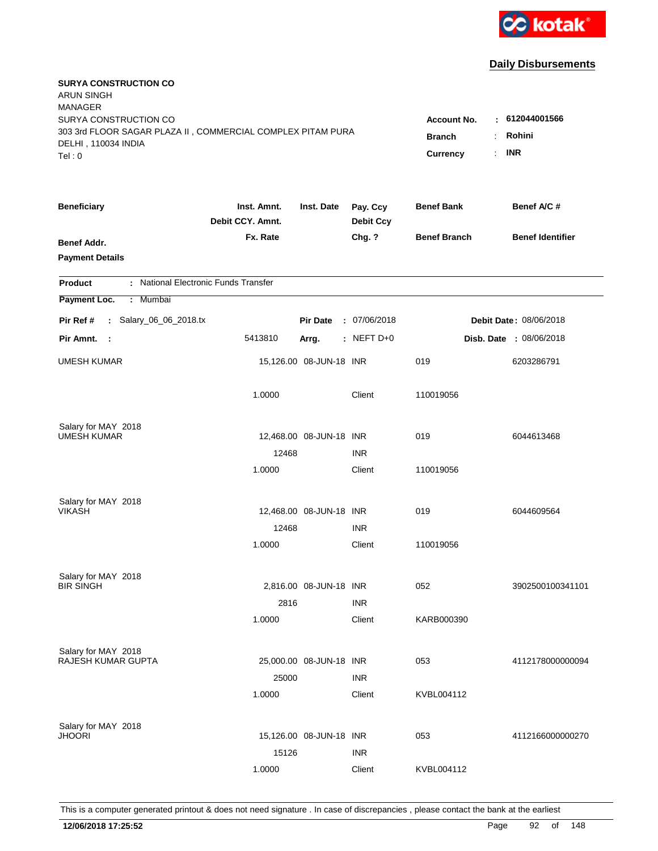

| <b>SURYA CONSTRUCTION CO</b><br><b>ARUN SINGH</b><br><b>MANAGER</b><br>SURYA CONSTRUCTION CO<br>303 3rd FLOOR SAGAR PLAZA II, COMMERCIAL COMPLEX PITAM PURA<br>DELHI, 110034 INDIA<br>Tel: 0 | <b>Account No.</b><br><b>Branch</b><br>Currency<br>÷. | : 612044001566<br>Rohini<br><b>INR</b> |                              |                     |                                |
|----------------------------------------------------------------------------------------------------------------------------------------------------------------------------------------------|-------------------------------------------------------|----------------------------------------|------------------------------|---------------------|--------------------------------|
| <b>Beneficiary</b>                                                                                                                                                                           | Inst. Amnt.<br>Debit CCY. Amnt.                       | Inst. Date                             | Pay. Ccy<br><b>Debit Ccy</b> | <b>Benef Bank</b>   | Benef A/C #                    |
| Benef Addr.<br><b>Payment Details</b>                                                                                                                                                        | Fx. Rate                                              |                                        | Chg. ?                       | <b>Benef Branch</b> | <b>Benef Identifier</b>        |
| : National Electronic Funds Transfer<br><b>Product</b>                                                                                                                                       |                                                       |                                        |                              |                     |                                |
| Payment Loc.<br>Mumbai<br>÷.                                                                                                                                                                 |                                                       |                                        |                              |                     |                                |
| : Salary_06_06_2018.tx<br>Pir Ref #                                                                                                                                                          |                                                       | <b>Pir Date</b>                        | : 07/06/2018                 |                     | Debit Date: 08/06/2018         |
| Pir Amnt. :                                                                                                                                                                                  | 5413810                                               | Arrg.                                  | : NEFT D+0                   |                     | <b>Disb. Date : 08/06/2018</b> |
| <b>UMESH KUMAR</b>                                                                                                                                                                           |                                                       | 15,126.00 08-JUN-18 INR                |                              | 019                 | 6203286791                     |
|                                                                                                                                                                                              | 1.0000                                                |                                        | Client                       | 110019056           |                                |
| Salary for MAY 2018                                                                                                                                                                          |                                                       |                                        |                              |                     |                                |
| <b>UMESH KUMAR</b>                                                                                                                                                                           |                                                       | 12,468.00 08-JUN-18 INR                |                              | 019                 | 6044613468                     |
|                                                                                                                                                                                              | 12468<br>1.0000                                       |                                        | <b>INR</b><br>Client         | 110019056           |                                |
| Salary for MAY 2018<br><b>VIKASH</b>                                                                                                                                                         |                                                       | 12,468.00 08-JUN-18 INR                |                              | 019                 | 6044609564                     |
|                                                                                                                                                                                              | 12468                                                 |                                        | <b>INR</b>                   |                     |                                |
|                                                                                                                                                                                              | 1.0000                                                |                                        | Client                       | 110019056           |                                |
| Salary for MAY 2018                                                                                                                                                                          |                                                       |                                        |                              |                     |                                |
| <b>BIR SINGH</b>                                                                                                                                                                             |                                                       | 2,816.00 08-JUN-18 INR                 |                              | 052                 | 3902500100341101               |
|                                                                                                                                                                                              | 2816                                                  |                                        | <b>INR</b>                   |                     |                                |
|                                                                                                                                                                                              | 1.0000                                                |                                        | Client                       | KARB000390          |                                |
| Salary for MAY 2018<br><b>RAJESH KUMAR GUPTA</b>                                                                                                                                             |                                                       |                                        |                              |                     |                                |
|                                                                                                                                                                                              | 25000                                                 | 25,000.00 08-JUN-18 INR                | <b>INR</b>                   | 053                 | 4112178000000094               |
|                                                                                                                                                                                              | 1.0000                                                |                                        | Client                       | KVBL004112          |                                |
| Salary for MAY 2018                                                                                                                                                                          |                                                       |                                        |                              |                     |                                |
| <b>JHOORI</b>                                                                                                                                                                                |                                                       | 15,126.00 08-JUN-18 INR                |                              | 053                 | 4112166000000270               |
|                                                                                                                                                                                              | 15126                                                 |                                        | <b>INR</b>                   |                     |                                |
|                                                                                                                                                                                              | 1.0000                                                |                                        | Client                       | KVBL004112          |                                |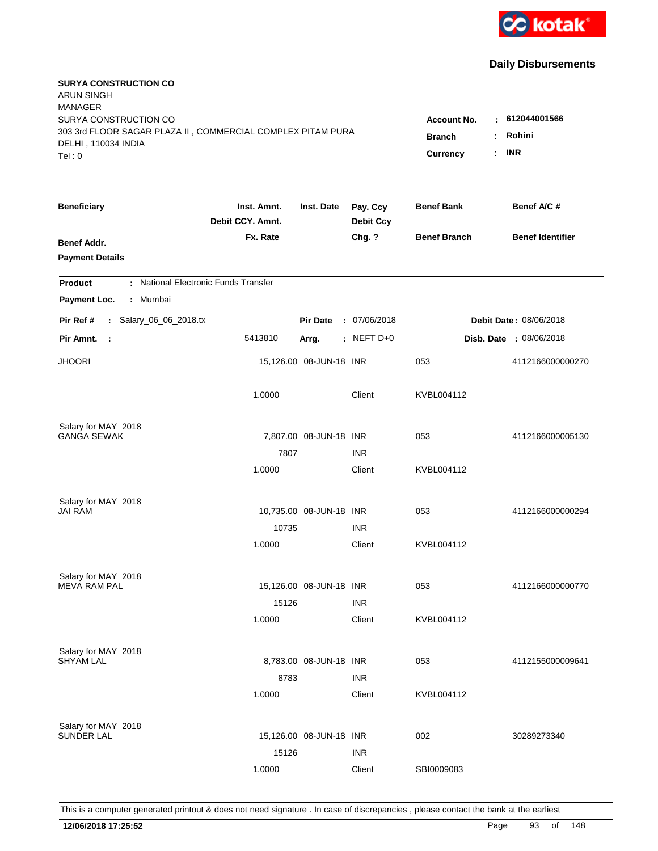

| <b>SURYA CONSTRUCTION CO</b><br><b>ARUN SINGH</b><br><b>MANAGER</b><br>SURYA CONSTRUCTION CO |                                 |                                      |                              | <b>Account No.</b><br>٠ | 612044001566            |
|----------------------------------------------------------------------------------------------|---------------------------------|--------------------------------------|------------------------------|-------------------------|-------------------------|
| 303 3rd FLOOR SAGAR PLAZA II, COMMERCIAL COMPLEX PITAM PURA<br>DELHI, 110034 INDIA<br>Tel: 0 |                                 | <b>Branch</b><br>÷<br>Currency<br>÷. | Rohini<br><b>INR</b>         |                         |                         |
| <b>Beneficiary</b>                                                                           | Inst. Amnt.<br>Debit CCY. Amnt. | Inst. Date                           | Pay. Ccy<br><b>Debit Ccy</b> | <b>Benef Bank</b>       | Benef A/C #             |
| Benef Addr.<br><b>Payment Details</b>                                                        | Fx. Rate                        |                                      | Chg. ?                       | <b>Benef Branch</b>     | <b>Benef Identifier</b> |
| : National Electronic Funds Transfer<br><b>Product</b>                                       |                                 |                                      |                              |                         |                         |
| Payment Loc.<br>: Mumbai                                                                     |                                 |                                      |                              |                         |                         |
| : Salary_06_06_2018.tx<br>Pir Ref #                                                          |                                 | <b>Pir Date</b>                      | : 07/06/2018                 |                         | Debit Date: 08/06/2018  |
| Pir Amnt.<br>- 1                                                                             | 5413810                         | Arrg.                                | $:$ NEFT D+0                 |                         | Disb. Date : 08/06/2018 |
| <b>JHOORI</b>                                                                                |                                 | 15,126.00 08-JUN-18 INR              |                              | 053                     | 4112166000000270        |
|                                                                                              | 1.0000                          |                                      | Client                       | KVBL004112              |                         |
| Salary for MAY 2018                                                                          |                                 |                                      |                              |                         |                         |
| <b>GANGA SEWAK</b>                                                                           |                                 | 7,807.00 08-JUN-18 INR               |                              | 053                     | 4112166000005130        |
|                                                                                              | 7807<br>1.0000                  |                                      | <b>INR</b><br>Client         | KVBL004112              |                         |
| Salary for MAY 2018                                                                          |                                 |                                      |                              |                         |                         |
| JAI RAM                                                                                      |                                 | 10,735.00 08-JUN-18 INR              | <b>INR</b>                   | 053                     | 4112166000000294        |
|                                                                                              | 10735<br>1.0000                 |                                      | Client                       | KVBL004112              |                         |
|                                                                                              |                                 |                                      |                              |                         |                         |
| Salary for MAY 2018<br><b>MEVA RAM PAL</b>                                                   |                                 | 15,126.00 08-JUN-18 INR              |                              | 053                     | 4112166000000770        |
|                                                                                              | 15126                           |                                      | <b>INR</b>                   |                         |                         |
|                                                                                              | 1.0000                          |                                      | Client                       | KVBL004112              |                         |
| Salary for MAY 2018                                                                          |                                 |                                      |                              |                         |                         |
| <b>SHYAM LAL</b>                                                                             |                                 | 8,783.00 08-JUN-18 INR               |                              | 053                     | 4112155000009641        |
|                                                                                              | 8783                            |                                      | <b>INR</b>                   |                         |                         |
|                                                                                              | 1.0000                          |                                      | Client                       | KVBL004112              |                         |
| Salary for MAY 2018                                                                          |                                 |                                      |                              |                         |                         |
| <b>SUNDER LAL</b>                                                                            |                                 | 15,126.00 08-JUN-18 INR              |                              | 002                     | 30289273340             |
|                                                                                              | 15126                           |                                      | <b>INR</b>                   |                         |                         |
|                                                                                              | 1.0000                          |                                      | Client                       | SBI0009083              |                         |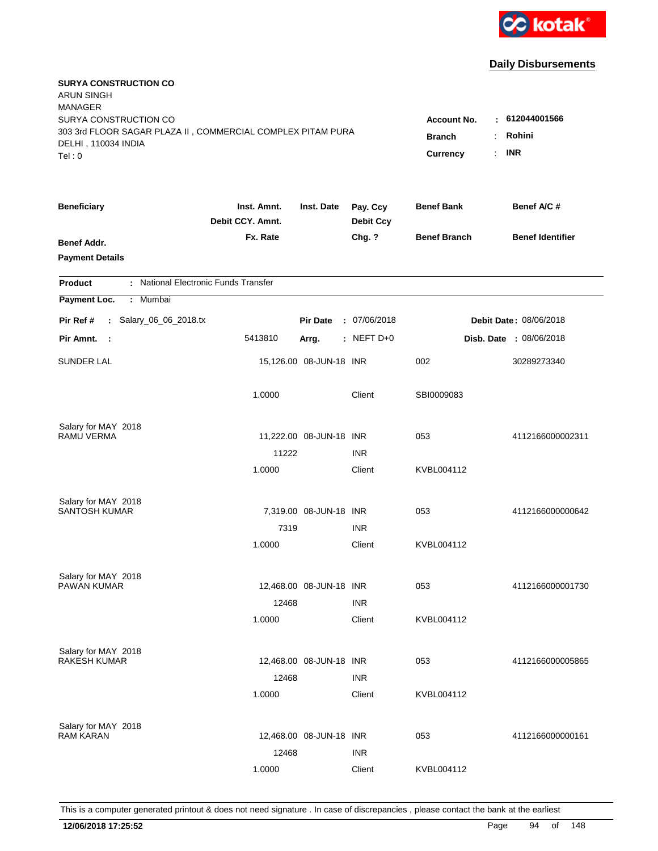

| <b>SURYA CONSTRUCTION CO</b><br><b>ARUN SINGH</b><br><b>MANAGER</b><br>SURYA CONSTRUCTION CO<br>303 3rd FLOOR SAGAR PLAZA II, COMMERCIAL COMPLEX PITAM PURA<br>DELHI, 110034 INDIA<br>Tel: 0 | Account No.<br><b>Branch</b><br><b>Currency</b> | : 612044001566<br>Rohini<br>÷.<br><b>INR</b><br>÷. |                              |                     |                                |
|----------------------------------------------------------------------------------------------------------------------------------------------------------------------------------------------|-------------------------------------------------|----------------------------------------------------|------------------------------|---------------------|--------------------------------|
| <b>Beneficiary</b>                                                                                                                                                                           | Inst. Amnt.<br>Debit CCY. Amnt.                 | Inst. Date                                         | Pay. Ccy<br><b>Debit Ccy</b> | <b>Benef Bank</b>   | Benef A/C#                     |
| Benef Addr.<br><b>Payment Details</b>                                                                                                                                                        | Fx. Rate                                        |                                                    | Chg. ?                       | <b>Benef Branch</b> | <b>Benef Identifier</b>        |
| : National Electronic Funds Transfer<br><b>Product</b>                                                                                                                                       |                                                 |                                                    |                              |                     |                                |
| Payment Loc.<br>Mumbai<br>÷.                                                                                                                                                                 |                                                 |                                                    |                              |                     |                                |
| : Salary_06_06_2018.tx<br>Pir Ref #                                                                                                                                                          |                                                 | <b>Pir Date</b>                                    | : 07/06/2018                 |                     | <b>Debit Date: 08/06/2018</b>  |
| Pir Amnt. :                                                                                                                                                                                  | 5413810                                         | Arrg.                                              | $:$ NEFT D+0                 |                     | <b>Disb. Date : 08/06/2018</b> |
| <b>SUNDER LAL</b>                                                                                                                                                                            |                                                 | 15,126.00 08-JUN-18 INR                            |                              | 002                 | 30289273340                    |
|                                                                                                                                                                                              | 1.0000                                          |                                                    | Client                       | SBI0009083          |                                |
| Salary for MAY 2018<br><b>RAMU VERMA</b>                                                                                                                                                     |                                                 |                                                    |                              | 053                 |                                |
|                                                                                                                                                                                              | 11222                                           | 11,222.00 08-JUN-18 INR                            | <b>INR</b>                   |                     | 4112166000002311               |
|                                                                                                                                                                                              | 1.0000                                          |                                                    | Client                       | KVBL004112          |                                |
| Salary for MAY 2018                                                                                                                                                                          |                                                 |                                                    |                              |                     |                                |
| <b>SANTOSH KUMAR</b>                                                                                                                                                                         |                                                 | 7,319.00 08-JUN-18 INR                             |                              | 053                 | 4112166000000642               |
|                                                                                                                                                                                              | 7319                                            |                                                    | <b>INR</b>                   |                     |                                |
|                                                                                                                                                                                              | 1.0000                                          |                                                    | Client                       | KVBL004112          |                                |
| Salary for MAY 2018                                                                                                                                                                          |                                                 |                                                    |                              |                     |                                |
| PAWAN KUMAR                                                                                                                                                                                  |                                                 | 12,468.00 08-JUN-18 INR                            |                              | 053                 | 4112166000001730               |
|                                                                                                                                                                                              | 12468                                           |                                                    | <b>INR</b>                   |                     |                                |
|                                                                                                                                                                                              | 1.0000                                          |                                                    | Client                       | KVBL004112          |                                |
| Salary for MAY 2018                                                                                                                                                                          |                                                 |                                                    |                              |                     |                                |
| <b>RAKESH KUMAR</b>                                                                                                                                                                          |                                                 | 12,468.00 08-JUN-18 INR                            |                              | 053                 | 4112166000005865               |
|                                                                                                                                                                                              | 12468<br>1.0000                                 |                                                    | <b>INR</b><br>Client         | KVBL004112          |                                |
|                                                                                                                                                                                              |                                                 |                                                    |                              |                     |                                |
| Salary for MAY 2018<br><b>RAM KARAN</b>                                                                                                                                                      |                                                 | 12,468.00 08-JUN-18 INR                            |                              | 053                 | 4112166000000161               |
|                                                                                                                                                                                              | 12468                                           |                                                    | <b>INR</b>                   |                     |                                |
|                                                                                                                                                                                              | 1.0000                                          |                                                    | Client                       | KVBL004112          |                                |
|                                                                                                                                                                                              |                                                 |                                                    |                              |                     |                                |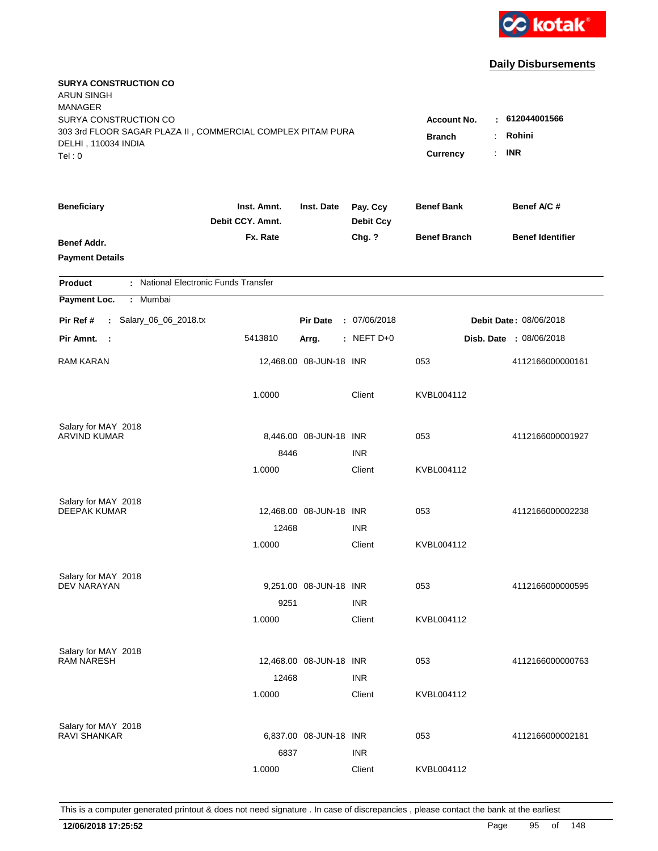

| <b>SURYA CONSTRUCTION CO</b><br><b>ARUN SINGH</b><br><b>MANAGER</b> |                                 |                         |                              |                                 |                         |
|---------------------------------------------------------------------|---------------------------------|-------------------------|------------------------------|---------------------------------|-------------------------|
| SURYA CONSTRUCTION CO                                               |                                 |                         |                              | <b>Account No.</b>              | $-612044001566$         |
| 303 3rd FLOOR SAGAR PLAZA II, COMMERCIAL COMPLEX PITAM PURA         |                                 |                         |                              | <b>Branch</b><br>$\ddot{\cdot}$ | Rohini                  |
| DELHI, 110034 INDIA                                                 |                                 |                         |                              | <b>Currency</b><br>÷.           | <b>INR</b>              |
| Tel: 0                                                              |                                 |                         |                              |                                 |                         |
| <b>Beneficiary</b>                                                  | Inst. Amnt.<br>Debit CCY. Amnt. | Inst. Date              | Pay. Ccy<br><b>Debit Ccy</b> | <b>Benef Bank</b>               | Benef A/C #             |
| Benef Addr.                                                         | Fx. Rate                        |                         | Chg. ?                       | <b>Benef Branch</b>             | <b>Benef Identifier</b> |
| <b>Payment Details</b>                                              |                                 |                         |                              |                                 |                         |
| : National Electronic Funds Transfer<br><b>Product</b>              |                                 |                         |                              |                                 |                         |
| Payment Loc.<br>Mumbai<br>$\mathbb{C}^{\times}$                     |                                 |                         |                              |                                 |                         |
| : Salary_06_06_2018.tx<br>Pir Ref #                                 |                                 | <b>Pir Date</b>         | : 07/06/2018                 |                                 | Debit Date: 08/06/2018  |
| Pir Amnt.<br>- 1                                                    | 5413810                         | Arrg.                   | $:$ NEFT D+0                 |                                 | Disb. Date : 08/06/2018 |
| RAM KARAN                                                           |                                 | 12,468.00 08-JUN-18 INR |                              | 053                             | 4112166000000161        |
|                                                                     | 1.0000                          |                         | Client                       | KVBL004112                      |                         |
| Salary for MAY 2018                                                 |                                 |                         |                              |                                 |                         |
| <b>ARVIND KUMAR</b>                                                 |                                 | 8,446.00 08-JUN-18 INR  |                              | 053                             | 4112166000001927        |
|                                                                     | 8446                            |                         | <b>INR</b>                   |                                 |                         |
|                                                                     | 1.0000                          |                         | Client                       | KVBL004112                      |                         |
| Salary for MAY 2018                                                 |                                 |                         |                              |                                 |                         |
| <b>DEEPAK KUMAR</b>                                                 |                                 | 12,468.00 08-JUN-18 INR |                              | 053                             | 4112166000002238        |
|                                                                     | 12468                           |                         | <b>INR</b>                   |                                 |                         |
|                                                                     | 1.0000                          |                         | Client                       | KVBL004112                      |                         |
| Salary for MAY 2018                                                 |                                 |                         |                              |                                 |                         |
| <b>DEV NARAYAN</b>                                                  |                                 | 9,251.00 08-JUN-18 INR  |                              | 053                             | 4112166000000595        |
|                                                                     | 9251                            |                         | <b>INR</b>                   |                                 |                         |
|                                                                     | 1.0000                          |                         | Client                       | KVBL004112                      |                         |
|                                                                     |                                 |                         |                              |                                 |                         |
| Salary for MAY 2018<br><b>RAM NARESH</b>                            |                                 | 12,468.00 08-JUN-18 INR |                              | 053                             | 4112166000000763        |
|                                                                     | 12468                           |                         | <b>INR</b>                   |                                 |                         |
|                                                                     | 1.0000                          |                         | Client                       | KVBL004112                      |                         |
|                                                                     |                                 |                         |                              |                                 |                         |
| Salary for MAY 2018<br><b>RAVI SHANKAR</b>                          |                                 | 6,837.00 08-JUN-18 INR  |                              | 053                             | 4112166000002181        |
|                                                                     | 6837                            |                         | <b>INR</b>                   |                                 |                         |
|                                                                     |                                 |                         |                              |                                 |                         |
|                                                                     | 1.0000                          |                         | Client                       | KVBL004112                      |                         |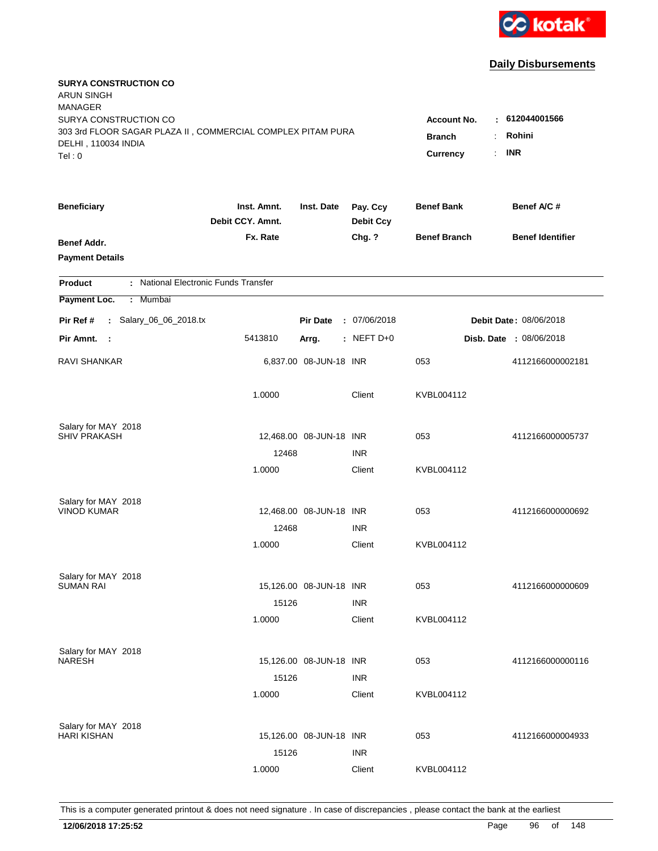

| <b>SURYA CONSTRUCTION CO</b><br><b>ARUN SINGH</b><br><b>MANAGER</b><br>SURYA CONSTRUCTION CO |                                 |                                 |                              | Account No.         | : 612044001566          |
|----------------------------------------------------------------------------------------------|---------------------------------|---------------------------------|------------------------------|---------------------|-------------------------|
| 303 3rd FLOOR SAGAR PLAZA II, COMMERCIAL COMPLEX PITAM PURA<br>DELHI, 110034 INDIA<br>Tel: 0 | <b>Branch</b><br>Currency       | Rohini<br><b>INR</b><br>$\cdot$ |                              |                     |                         |
| <b>Beneficiary</b>                                                                           | Inst. Amnt.<br>Debit CCY. Amnt. | Inst. Date                      | Pay. Ccy<br><b>Debit Ccy</b> | <b>Benef Bank</b>   | Benef A/C #             |
| <b>Benef Addr.</b><br><b>Payment Details</b>                                                 | Fx. Rate                        |                                 | Chg. ?                       | <b>Benef Branch</b> | <b>Benef Identifier</b> |
| : National Electronic Funds Transfer<br><b>Product</b>                                       |                                 |                                 |                              |                     |                         |
| Payment Loc.<br>: Mumbai                                                                     |                                 |                                 |                              |                     |                         |
| : Salary_06_06_2018.tx<br>Pir Ref #                                                          |                                 | <b>Pir Date</b>                 | : 07/06/2018                 |                     | Debit Date: 08/06/2018  |
| Pir Amnt.<br>- 1                                                                             | 5413810                         | Arrg.                           | $:$ NEFT D+0                 |                     | Disb. Date : 08/06/2018 |
| <b>RAVI SHANKAR</b>                                                                          |                                 | 6,837.00 08-JUN-18 INR          |                              | 053                 | 4112166000002181        |
|                                                                                              | 1.0000                          |                                 | Client                       | KVBL004112          |                         |
| Salary for MAY 2018                                                                          |                                 |                                 |                              |                     |                         |
| <b>SHIV PRAKASH</b>                                                                          | 12468                           | 12,468.00 08-JUN-18 INR         | <b>INR</b>                   | 053                 | 4112166000005737        |
|                                                                                              | 1.0000                          |                                 | Client                       | KVBL004112          |                         |
| Salary for MAY 2018                                                                          |                                 |                                 |                              |                     |                         |
| <b>VINOD KUMAR</b>                                                                           |                                 | 12,468.00 08-JUN-18 INR         |                              | 053                 | 4112166000000692        |
|                                                                                              | 12468                           |                                 | <b>INR</b>                   |                     |                         |
|                                                                                              | 1.0000                          |                                 | Client                       | KVBL004112          |                         |
| Salary for MAY 2018                                                                          |                                 |                                 |                              |                     |                         |
| <b>SUMAN RAI</b>                                                                             |                                 | 15,126.00 08-JUN-18 INR         |                              | 053                 | 4112166000000609        |
|                                                                                              | 15126                           |                                 | <b>INR</b>                   |                     |                         |
|                                                                                              | 1.0000                          |                                 | Client                       | KVBL004112          |                         |
| Salary for MAY 2018<br><b>NARESH</b>                                                         |                                 | 15,126.00 08-JUN-18 INR         |                              | 053                 | 4112166000000116        |
|                                                                                              | 15126                           |                                 | <b>INR</b>                   |                     |                         |
|                                                                                              | 1.0000                          |                                 | Client                       | KVBL004112          |                         |
|                                                                                              |                                 |                                 |                              |                     |                         |
| Salary for MAY 2018<br><b>HARI KISHAN</b>                                                    |                                 | 15,126.00 08-JUN-18 INR         |                              | 053                 | 4112166000004933        |
|                                                                                              | 15126                           |                                 | <b>INR</b>                   |                     |                         |
|                                                                                              | 1.0000                          |                                 | Client                       | KVBL004112          |                         |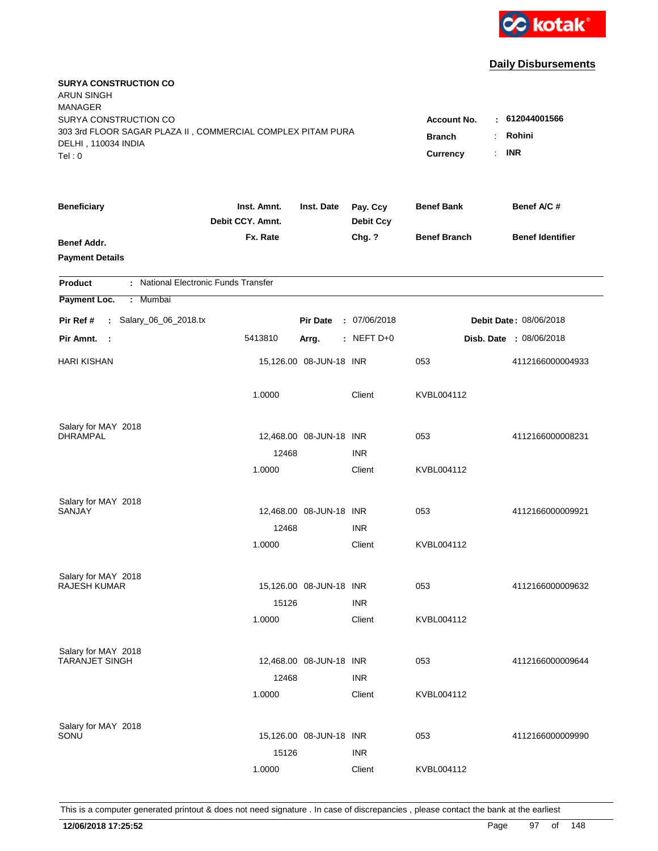

| <b>SURYA CONSTRUCTION CO</b><br><b>ARUN SINGH</b><br><b>MANAGER</b><br>SURYA CONSTRUCTION CO |                                 |                         |                                                    | <b>Account No.</b>         | $-612044001566$         |
|----------------------------------------------------------------------------------------------|---------------------------------|-------------------------|----------------------------------------------------|----------------------------|-------------------------|
| 303 3rd FLOOR SAGAR PLAZA II, COMMERCIAL COMPLEX PITAM PURA<br>DELHI, 110034 INDIA<br>Tel: 0 |                                 |                         | <b>Branch</b><br>$\ddot{\cdot}$<br><b>Currency</b> | Rohini<br><b>INR</b><br>÷. |                         |
| <b>Beneficiary</b>                                                                           | Inst. Amnt.<br>Debit CCY. Amnt. | Inst. Date              | Pay. Ccy<br><b>Debit Ccy</b>                       | <b>Benef Bank</b>          | Benef A/C #             |
| Benef Addr.<br><b>Payment Details</b>                                                        | Fx. Rate                        |                         | Chg. ?                                             | <b>Benef Branch</b>        | <b>Benef Identifier</b> |
| : National Electronic Funds Transfer<br><b>Product</b>                                       |                                 |                         |                                                    |                            |                         |
| Payment Loc.<br>Mumbai<br>$\mathbb{C}^{\times}$                                              |                                 |                         |                                                    |                            |                         |
| : Salary_06_06_2018.tx<br>Pir Ref #                                                          |                                 | <b>Pir Date</b>         | : 07/06/2018                                       |                            | Debit Date: 08/06/2018  |
| Pir Amnt.<br>- 1                                                                             | 5413810                         | Arrg.                   | : NEFT $D+0$                                       |                            | Disb. Date : 08/06/2018 |
| <b>HARI KISHAN</b>                                                                           |                                 | 15,126.00 08-JUN-18 INR |                                                    | 053                        | 4112166000004933        |
|                                                                                              | 1.0000                          |                         | Client                                             | KVBL004112                 |                         |
| Salary for MAY 2018<br><b>DHRAMPAL</b>                                                       |                                 | 12,468.00 08-JUN-18 INR |                                                    | 053                        | 4112166000008231        |
|                                                                                              | 12468                           |                         | <b>INR</b>                                         |                            |                         |
|                                                                                              | 1.0000                          |                         | Client                                             | KVBL004112                 |                         |
| Salary for MAY 2018<br>SANJAY                                                                |                                 | 12,468.00 08-JUN-18 INR |                                                    | 053                        | 4112166000009921        |
|                                                                                              | 12468                           |                         | <b>INR</b>                                         |                            |                         |
|                                                                                              | 1.0000                          |                         | Client                                             | KVBL004112                 |                         |
| Salary for MAY 2018                                                                          |                                 |                         |                                                    |                            |                         |
| <b>RAJESH KUMAR</b>                                                                          |                                 | 15,126.00 08-JUN-18 INR |                                                    | 053                        | 4112166000009632        |
|                                                                                              | 15126                           |                         | <b>INR</b>                                         |                            |                         |
|                                                                                              | 1.0000                          |                         | Client                                             | KVBL004112                 |                         |
| Salary for MAY 2018                                                                          |                                 |                         |                                                    |                            |                         |
| <b>TARANJET SINGH</b>                                                                        |                                 | 12,468.00 08-JUN-18 INR |                                                    | 053                        | 4112166000009644        |
|                                                                                              | 12468<br>1.0000                 |                         | <b>INR</b><br>Client                               | KVBL004112                 |                         |
|                                                                                              |                                 |                         |                                                    |                            |                         |
| Salary for MAY 2018<br>SONU                                                                  |                                 | 15,126.00 08-JUN-18 INR |                                                    | 053                        | 4112166000009990        |
|                                                                                              | 15126                           |                         | <b>INR</b>                                         |                            |                         |
|                                                                                              | 1.0000                          |                         | Client                                             | KVBL004112                 |                         |
|                                                                                              |                                 |                         |                                                    |                            |                         |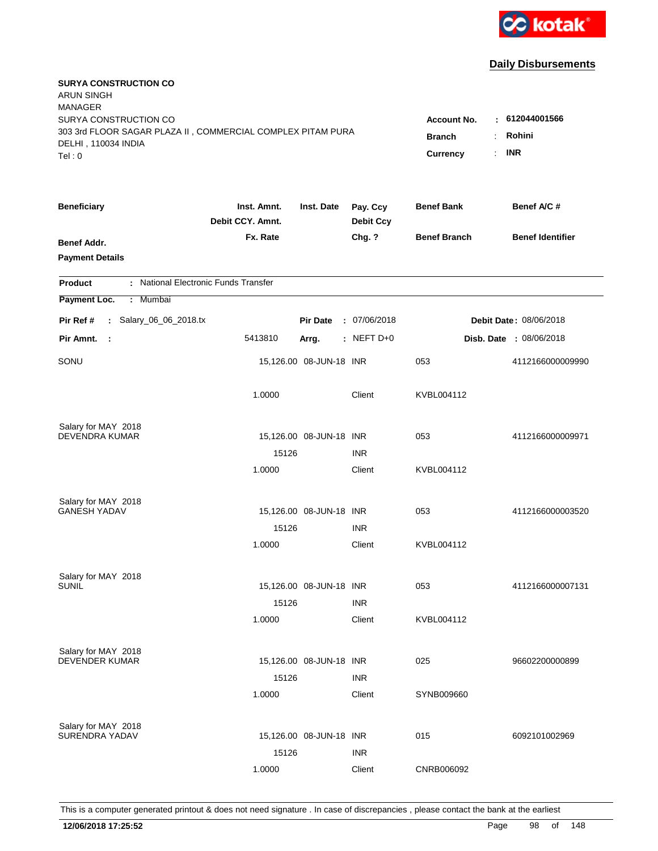

| <b>SURYA CONSTRUCTION CO</b><br><b>ARUN SINGH</b><br><b>MANAGER</b><br>SURYA CONSTRUCTION CO |                                 |                         |                              | <b>Account No.</b><br>٠              | 612044001566            |
|----------------------------------------------------------------------------------------------|---------------------------------|-------------------------|------------------------------|--------------------------------------|-------------------------|
| 303 3rd FLOOR SAGAR PLAZA II, COMMERCIAL COMPLEX PITAM PURA<br>DELHI, 110034 INDIA<br>Tel: 0 |                                 |                         |                              | <b>Branch</b><br>÷<br>Currency<br>÷. | Rohini<br><b>INR</b>    |
| <b>Beneficiary</b>                                                                           | Inst. Amnt.<br>Debit CCY. Amnt. | Inst. Date              | Pay. Ccy<br><b>Debit Ccy</b> | <b>Benef Bank</b>                    | Benef A/C#              |
| Benef Addr.<br><b>Payment Details</b>                                                        | Fx. Rate                        |                         | Chg. ?                       | <b>Benef Branch</b>                  | <b>Benef Identifier</b> |
| : National Electronic Funds Transfer<br><b>Product</b>                                       |                                 |                         |                              |                                      |                         |
| Payment Loc.<br>: Mumbai                                                                     |                                 |                         |                              |                                      |                         |
| : Salary_06_06_2018.tx<br>Pir Ref #                                                          |                                 | <b>Pir Date</b>         | : 07/06/2018                 |                                      | Debit Date: 08/06/2018  |
| Pir Amnt.<br>- 1                                                                             | 5413810                         | Arrg.                   | $:$ NEFT D+0                 |                                      | Disb. Date : 08/06/2018 |
| SONU                                                                                         |                                 | 15,126.00 08-JUN-18 INR |                              | 053                                  | 4112166000009990        |
|                                                                                              | 1.0000                          |                         | Client                       | KVBL004112                           |                         |
| Salary for MAY 2018<br><b>DEVENDRA KUMAR</b>                                                 |                                 |                         |                              |                                      |                         |
|                                                                                              | 15126                           | 15,126.00 08-JUN-18 INR | <b>INR</b>                   | 053                                  | 4112166000009971        |
|                                                                                              | 1.0000                          |                         | Client                       | KVBL004112                           |                         |
| Salary for MAY 2018                                                                          |                                 |                         |                              |                                      |                         |
| <b>GANESH YADAV</b>                                                                          | 15126                           | 15,126.00 08-JUN-18 INR | <b>INR</b>                   | 053                                  | 4112166000003520        |
|                                                                                              | 1.0000                          |                         | Client                       | KVBL004112                           |                         |
| Salary for MAY 2018                                                                          |                                 |                         |                              |                                      |                         |
| <b>SUNIL</b>                                                                                 |                                 | 15,126.00 08-JUN-18 INR |                              | 053                                  | 4112166000007131        |
|                                                                                              | 15126                           |                         | <b>INR</b>                   |                                      |                         |
|                                                                                              | 1.0000                          |                         | Client                       | KVBL004112                           |                         |
| Salary for MAY 2018                                                                          |                                 |                         |                              |                                      |                         |
| <b>DEVENDER KUMAR</b>                                                                        |                                 | 15,126.00 08-JUN-18 INR |                              | 025                                  | 96602200000899          |
|                                                                                              | 15126                           |                         | <b>INR</b>                   |                                      |                         |
|                                                                                              | 1.0000                          |                         | Client                       | SYNB009660                           |                         |
| Salary for MAY 2018                                                                          |                                 |                         |                              |                                      |                         |
| SURENDRA YADAV                                                                               |                                 | 15,126.00 08-JUN-18 INR |                              | 015                                  | 6092101002969           |
|                                                                                              | 15126                           |                         | <b>INR</b>                   |                                      |                         |
|                                                                                              | 1.0000                          |                         | Client                       | CNRB006092                           |                         |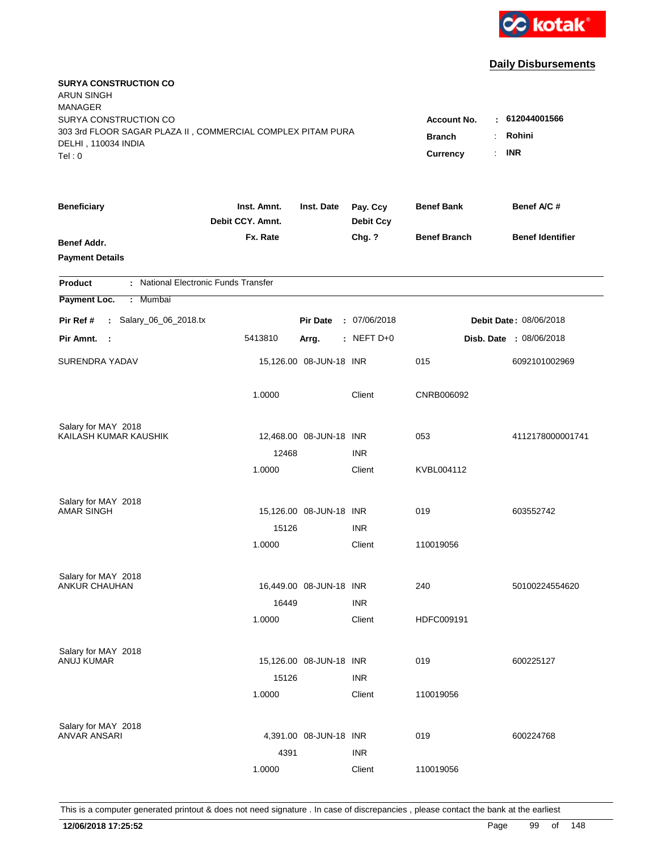

| <b>SURYA CONSTRUCTION CO</b><br><b>ARUN SINGH</b>                                            |                                 |                                 |                              |                     |                         |
|----------------------------------------------------------------------------------------------|---------------------------------|---------------------------------|------------------------------|---------------------|-------------------------|
| <b>MANAGER</b><br>SURYA CONSTRUCTION CO                                                      |                                 |                                 |                              | <b>Account No.</b>  | : 612044001566          |
| 303 3rd FLOOR SAGAR PLAZA II, COMMERCIAL COMPLEX PITAM PURA<br>DELHI, 110034 INDIA<br>Tel: 0 |                                 | <b>Branch</b><br>÷.<br>Currency | Rohini<br><b>INR</b>         |                     |                         |
|                                                                                              |                                 |                                 |                              |                     |                         |
| <b>Beneficiary</b>                                                                           | Inst. Amnt.<br>Debit CCY. Amnt. | Inst. Date                      | Pay. Ccy<br><b>Debit Ccy</b> | <b>Benef Bank</b>   | Benef A/C #             |
| Benef Addr.<br><b>Payment Details</b>                                                        | Fx. Rate                        |                                 | Chg. ?                       | <b>Benef Branch</b> | <b>Benef Identifier</b> |
| : National Electronic Funds Transfer<br><b>Product</b>                                       |                                 |                                 |                              |                     |                         |
| Payment Loc.<br>: Mumbai                                                                     |                                 |                                 |                              |                     |                         |
| : Salary_06_06_2018.tx<br>Pir Ref #                                                          |                                 | <b>Pir Date</b>                 | : 07/06/2018                 |                     | Debit Date: 08/06/2018  |
| Pir Amnt.<br>- 1                                                                             | 5413810                         | Arrg.                           | $:$ NEFT D+0                 |                     | Disb. Date : 08/06/2018 |
| <b>SURENDRA YADAV</b>                                                                        |                                 | 15,126.00 08-JUN-18 INR         |                              | 015                 | 6092101002969           |
|                                                                                              | 1.0000                          |                                 | Client                       | CNRB006092          |                         |
| Salary for MAY 2018                                                                          |                                 |                                 |                              |                     |                         |
| KAILASH KUMAR KAUSHIK                                                                        |                                 | 12,468.00 08-JUN-18 INR         |                              | 053                 | 4112178000001741        |
|                                                                                              | 12468<br>1.0000                 |                                 | <b>INR</b><br>Client         | KVBL004112          |                         |
|                                                                                              |                                 |                                 |                              |                     |                         |
| Salary for MAY 2018                                                                          |                                 |                                 |                              |                     |                         |
| <b>AMAR SINGH</b>                                                                            |                                 | 15,126.00 08-JUN-18 INR         |                              | 019                 | 603552742               |
|                                                                                              | 15126                           |                                 | <b>INR</b>                   |                     |                         |
|                                                                                              | 1.0000                          |                                 | Client                       | 110019056           |                         |
| Salary for MAY 2018                                                                          |                                 |                                 |                              |                     |                         |
| <b>ANKUR CHAUHAN</b>                                                                         |                                 | 16,449.00 08-JUN-18 INR         |                              | 240                 | 50100224554620          |
|                                                                                              | 16449                           |                                 | <b>INR</b>                   |                     |                         |
|                                                                                              | 1.0000                          |                                 | Client                       | HDFC009191          |                         |
| Salary for MAY 2018                                                                          |                                 |                                 |                              |                     |                         |
| ANUJ KUMAR                                                                                   |                                 | 15,126.00 08-JUN-18 INR         |                              | 019                 | 600225127               |
|                                                                                              | 15126                           |                                 | <b>INR</b>                   |                     |                         |
|                                                                                              | 1.0000                          |                                 | Client                       | 110019056           |                         |
| Salary for MAY 2018                                                                          |                                 |                                 |                              |                     |                         |
| ANVAR ANSARI                                                                                 |                                 | 4,391.00 08-JUN-18 INR          |                              | 019                 | 600224768               |
|                                                                                              | 4391                            |                                 | <b>INR</b>                   |                     |                         |
|                                                                                              | 1.0000                          |                                 | Client                       | 110019056           |                         |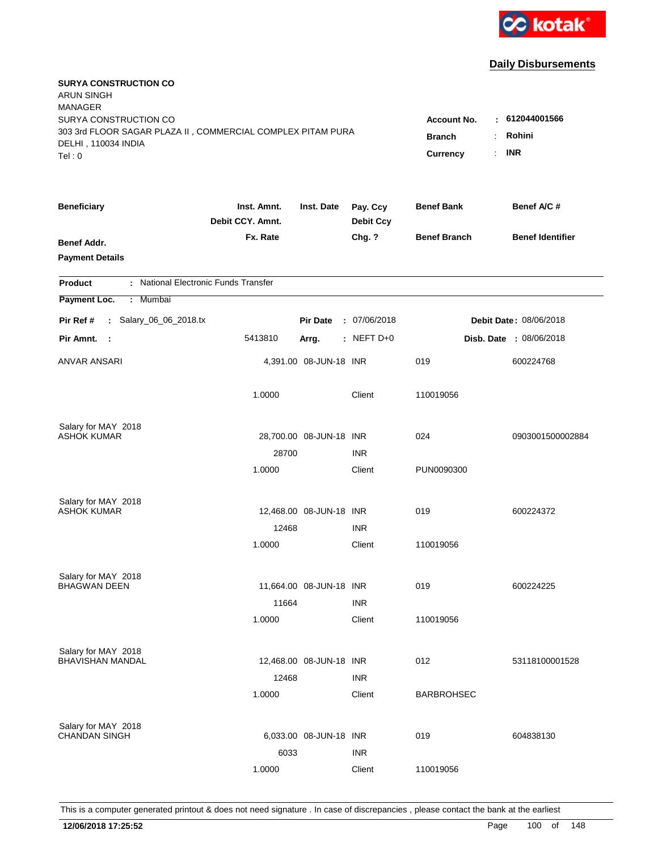

| <b>SURYA CONSTRUCTION CO</b><br><b>ARUN SINGH</b><br><b>MANAGER</b>                                                   |                                                 |                                                    |                              |                     |                         |
|-----------------------------------------------------------------------------------------------------------------------|-------------------------------------------------|----------------------------------------------------|------------------------------|---------------------|-------------------------|
| SURYA CONSTRUCTION CO<br>303 3rd FLOOR SAGAR PLAZA II, COMMERCIAL COMPLEX PITAM PURA<br>DELHI, 110034 INDIA<br>Tel: 0 | <b>Account No.</b><br><b>Branch</b><br>Currency | $-612044001566$<br>Rohini<br>÷<br><b>INR</b><br>÷. |                              |                     |                         |
| <b>Beneficiary</b>                                                                                                    | Inst. Amnt.<br>Debit CCY. Amnt.                 | Inst. Date                                         | Pay. Ccy<br><b>Debit Ccy</b> | <b>Benef Bank</b>   | Benef A/C #             |
| Benef Addr.<br><b>Payment Details</b>                                                                                 | Fx. Rate                                        |                                                    | Chg. ?                       | <b>Benef Branch</b> | <b>Benef Identifier</b> |
| : National Electronic Funds Transfer<br><b>Product</b>                                                                |                                                 |                                                    |                              |                     |                         |
| Payment Loc.<br>: Mumbai                                                                                              |                                                 |                                                    |                              |                     |                         |
| : Salary_06_06_2018.tx<br>Pir Ref #                                                                                   |                                                 | <b>Pir Date</b>                                    | : 07/06/2018                 |                     | Debit Date: 08/06/2018  |
| Pir Amnt. :                                                                                                           | 5413810                                         | Arrg.                                              | $:$ NEFT D+0                 |                     | Disb. Date : 08/06/2018 |
| ANVAR ANSARI                                                                                                          |                                                 | 4,391.00 08-JUN-18 INR                             |                              | 019                 | 600224768               |
|                                                                                                                       | 1.0000                                          |                                                    | Client                       | 110019056           |                         |
| Salary for MAY 2018                                                                                                   |                                                 |                                                    |                              |                     |                         |
| <b>ASHOK KUMAR</b>                                                                                                    |                                                 | 28,700.00 08-JUN-18 INR                            |                              | 024                 | 0903001500002884        |
|                                                                                                                       | 28700                                           |                                                    | <b>INR</b>                   |                     |                         |
|                                                                                                                       | 1.0000                                          |                                                    | Client                       | PUN0090300          |                         |
| Salary for MAY 2018                                                                                                   |                                                 |                                                    |                              |                     |                         |
| <b>ASHOK KUMAR</b>                                                                                                    |                                                 | 12,468.00 08-JUN-18 INR                            |                              | 019                 | 600224372               |
|                                                                                                                       | 12468                                           |                                                    | <b>INR</b>                   |                     |                         |
|                                                                                                                       | 1.0000                                          |                                                    | Client                       | 110019056           |                         |
| Salary for MAY 2018                                                                                                   |                                                 |                                                    |                              |                     |                         |
| <b>BHAGWAN DEEN</b>                                                                                                   |                                                 | 11,664.00 08-JUN-18 INR                            |                              | 019                 | 600224225               |
|                                                                                                                       | 11664                                           |                                                    | <b>INR</b>                   |                     |                         |
|                                                                                                                       | 1.0000                                          |                                                    | Client                       | 110019056           |                         |
| Salary for MAY 2018                                                                                                   |                                                 |                                                    |                              |                     |                         |
| <b>BHAVISHAN MANDAL</b>                                                                                               |                                                 | 12,468.00 08-JUN-18 INR                            |                              | 012                 | 53118100001528          |
|                                                                                                                       | 12468                                           |                                                    | <b>INR</b>                   |                     |                         |
|                                                                                                                       | 1.0000                                          |                                                    | Client                       | <b>BARBROHSEC</b>   |                         |
| Salary for MAY 2018                                                                                                   |                                                 |                                                    |                              |                     |                         |
| <b>CHANDAN SINGH</b>                                                                                                  |                                                 | 6,033.00 08-JUN-18 INR                             |                              | 019                 | 604838130               |
|                                                                                                                       | 6033                                            |                                                    | <b>INR</b>                   |                     |                         |
|                                                                                                                       | 1.0000                                          |                                                    | Client                       | 110019056           |                         |
|                                                                                                                       |                                                 |                                                    |                              |                     |                         |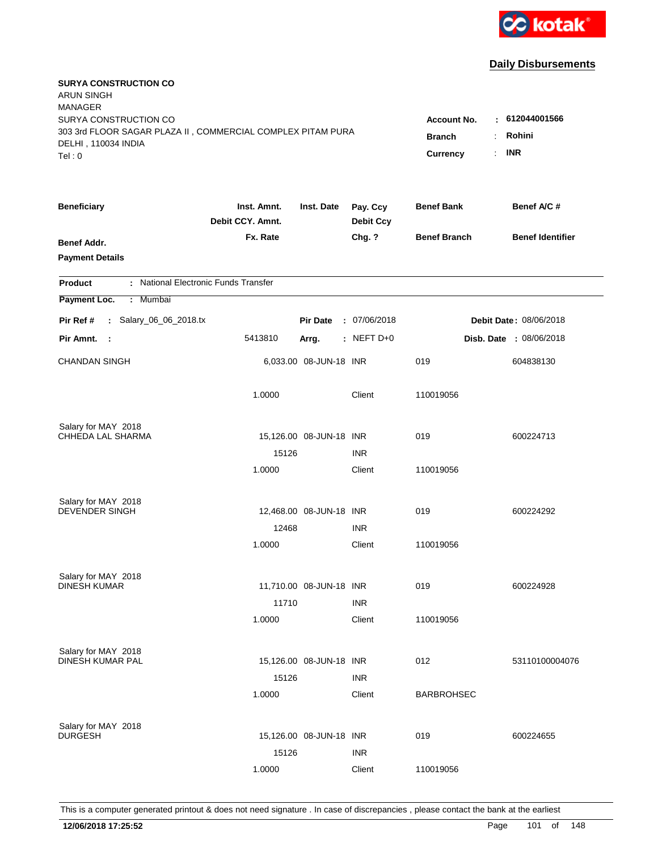

| <b>SURYA CONSTRUCTION CO</b><br><b>ARUN SINGH</b>                                    |                                 |                         |                              |                         |                               |
|--------------------------------------------------------------------------------------|---------------------------------|-------------------------|------------------------------|-------------------------|-------------------------------|
| <b>MANAGER</b>                                                                       |                                 |                         |                              |                         |                               |
| SURYA CONSTRUCTION CO<br>303 3rd FLOOR SAGAR PLAZA II, COMMERCIAL COMPLEX PITAM PURA |                                 |                         |                              | <b>Account No.</b><br>٠ | 612044001566                  |
| DELHI, 110034 INDIA                                                                  |                                 |                         |                              | <b>Branch</b>           | Rohini                        |
| Tel: 0                                                                               |                                 |                         |                              | Currency<br>÷.          | <b>INR</b>                    |
| <b>Beneficiary</b>                                                                   | Inst. Amnt.<br>Debit CCY. Amnt. | Inst. Date              | Pay. Ccy<br><b>Debit Ccy</b> | <b>Benef Bank</b>       | Benef A/C #                   |
| Benef Addr.                                                                          | Fx. Rate                        |                         | Chg. ?                       | <b>Benef Branch</b>     | <b>Benef Identifier</b>       |
| <b>Payment Details</b>                                                               |                                 |                         |                              |                         |                               |
| : National Electronic Funds Transfer<br><b>Product</b>                               |                                 |                         |                              |                         |                               |
| Payment Loc.<br>: Mumbai                                                             |                                 |                         |                              |                         |                               |
| : Salary_06_06_2018.tx<br>Pir Ref #                                                  |                                 | <b>Pir Date</b>         | : 07/06/2018                 |                         | <b>Debit Date: 08/06/2018</b> |
| Pir Amnt. :                                                                          | 5413810                         | Arrg.                   | $:$ NEFT D+0                 |                         | Disb. Date : 08/06/2018       |
| <b>CHANDAN SINGH</b>                                                                 |                                 | 6,033.00 08-JUN-18 INR  |                              | 019                     | 604838130                     |
|                                                                                      | 1.0000                          |                         | Client                       | 110019056               |                               |
| Salary for MAY 2018                                                                  |                                 |                         |                              |                         |                               |
| CHHEDA LAL SHARMA                                                                    |                                 | 15,126.00 08-JUN-18 INR |                              | 019                     | 600224713                     |
|                                                                                      | 15126                           |                         | <b>INR</b>                   |                         |                               |
|                                                                                      | 1.0000                          |                         | Client                       | 110019056               |                               |
| Salary for MAY 2018                                                                  |                                 |                         |                              |                         |                               |
| <b>DEVENDER SINGH</b>                                                                |                                 | 12,468.00 08-JUN-18 INR |                              | 019                     | 600224292                     |
|                                                                                      | 12468                           |                         | <b>INR</b>                   |                         |                               |
|                                                                                      | 1.0000                          |                         | Client                       | 110019056               |                               |
| Salary for MAY 2018                                                                  |                                 |                         |                              |                         |                               |
| <b>DINESH KUMAR</b>                                                                  |                                 | 11,710.00 08-JUN-18 INR |                              | 019                     | 600224928                     |
|                                                                                      | 11710                           |                         | <b>INR</b>                   |                         |                               |
|                                                                                      | 1.0000                          |                         | Client                       | 110019056               |                               |
| Salary for MAY 2018<br>DINESH KUMAR PAL                                              |                                 |                         |                              |                         |                               |
|                                                                                      |                                 | 15,126.00 08-JUN-18 INR |                              | 012                     | 53110100004076                |
|                                                                                      | 15126                           |                         | <b>INR</b>                   |                         |                               |
|                                                                                      | 1.0000                          |                         | Client                       | <b>BARBROHSEC</b>       |                               |
| Salary for MAY 2018                                                                  |                                 |                         |                              |                         |                               |
| <b>DURGESH</b>                                                                       |                                 | 15,126.00 08-JUN-18 INR |                              | 019                     | 600224655                     |
|                                                                                      | 15126                           |                         | <b>INR</b>                   |                         |                               |
|                                                                                      | 1.0000                          |                         | Client                       | 110019056               |                               |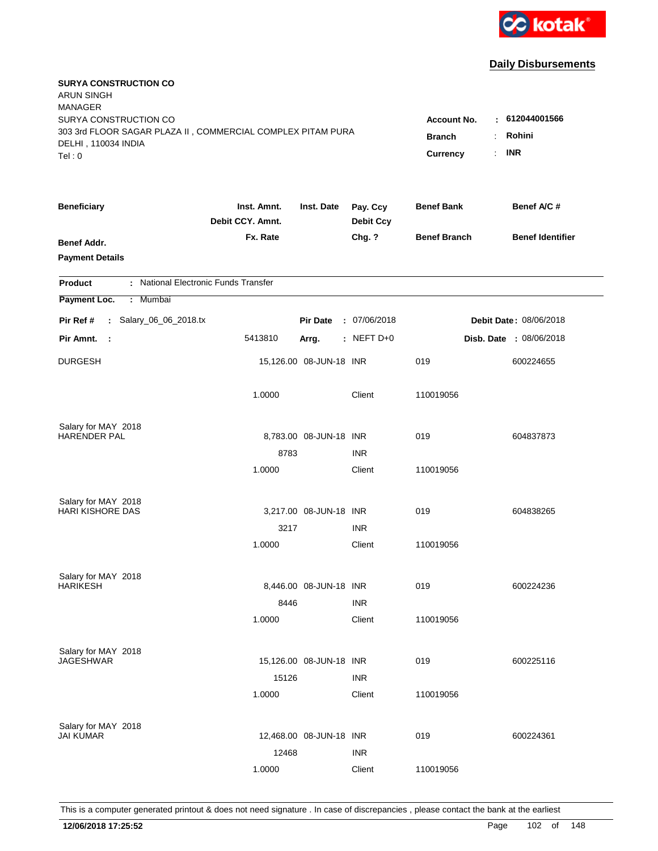

| <b>SURYA CONSTRUCTION CO</b><br><b>ARUN SINGH</b><br><b>MANAGER</b>                  |                                 |                         |                              |                                     |                                |
|--------------------------------------------------------------------------------------|---------------------------------|-------------------------|------------------------------|-------------------------------------|--------------------------------|
| SURYA CONSTRUCTION CO<br>303 3rd FLOOR SAGAR PLAZA II, COMMERCIAL COMPLEX PITAM PURA |                                 |                         |                              | <b>Account No.</b><br><b>Branch</b> | $-612044001566$<br>Rohini<br>÷ |
| DELHI, 110034 INDIA<br>Tel: 0                                                        |                                 |                         |                              | Currency                            | <b>INR</b><br>÷.               |
| <b>Beneficiary</b>                                                                   | Inst. Amnt.<br>Debit CCY. Amnt. | Inst. Date              | Pay. Ccy<br><b>Debit Ccy</b> | <b>Benef Bank</b>                   | Benef A/C #                    |
| Benef Addr.<br><b>Payment Details</b>                                                | Fx. Rate                        |                         | Chg. ?                       | <b>Benef Branch</b>                 | <b>Benef Identifier</b>        |
| : National Electronic Funds Transfer<br><b>Product</b>                               |                                 |                         |                              |                                     |                                |
| Payment Loc.<br><b>Mumbai</b><br>÷.                                                  |                                 |                         |                              |                                     |                                |
| : Salary_06_06_2018.tx<br>Pir Ref #                                                  |                                 | <b>Pir Date</b>         | : 07/06/2018                 |                                     | <b>Debit Date: 08/06/2018</b>  |
| Pir Amnt.<br>$\sim$ 1                                                                | 5413810                         | Arrg.                   | $:$ NEFT D+0                 |                                     | <b>Disb. Date : 08/06/2018</b> |
| <b>DURGESH</b>                                                                       |                                 | 15,126.00 08-JUN-18 INR |                              | 019                                 | 600224655                      |
|                                                                                      | 1.0000                          |                         | Client                       | 110019056                           |                                |
| Salary for MAY 2018                                                                  |                                 |                         |                              |                                     |                                |
| HARENDER PAL                                                                         |                                 | 8,783.00 08-JUN-18 INR  |                              | 019                                 | 604837873                      |
|                                                                                      | 8783                            |                         | <b>INR</b>                   |                                     |                                |
|                                                                                      | 1.0000                          |                         | Client                       | 110019056                           |                                |
| Salary for MAY 2018                                                                  |                                 |                         |                              |                                     |                                |
| <b>HARI KISHORE DAS</b>                                                              |                                 | 3,217.00 08-JUN-18 INR  |                              | 019                                 | 604838265                      |
|                                                                                      | 3217                            |                         | <b>INR</b>                   |                                     |                                |
|                                                                                      | 1.0000                          |                         | Client                       | 110019056                           |                                |
| Salary for MAY 2018                                                                  |                                 |                         |                              |                                     |                                |
| <b>HARIKESH</b>                                                                      |                                 | 8,446.00 08-JUN-18 INR  |                              | 019                                 | 600224236                      |
|                                                                                      | 8446                            |                         | <b>INR</b>                   |                                     |                                |
|                                                                                      | 1.0000                          |                         | Client                       | 110019056                           |                                |
| Salary for MAY 2018                                                                  |                                 |                         |                              |                                     |                                |
| JAGESHWAR                                                                            |                                 | 15,126.00 08-JUN-18 INR |                              | 019                                 | 600225116                      |
|                                                                                      | 15126                           |                         | <b>INR</b>                   |                                     |                                |
|                                                                                      | 1.0000                          |                         | Client                       | 110019056                           |                                |
| Salary for MAY 2018                                                                  |                                 |                         |                              |                                     |                                |
| <b>JAI KUMAR</b>                                                                     |                                 | 12,468.00 08-JUN-18 INR |                              | 019                                 | 600224361                      |
|                                                                                      | 12468                           |                         | <b>INR</b>                   |                                     |                                |
|                                                                                      | 1.0000                          |                         | Client                       | 110019056                           |                                |
|                                                                                      |                                 |                         |                              |                                     |                                |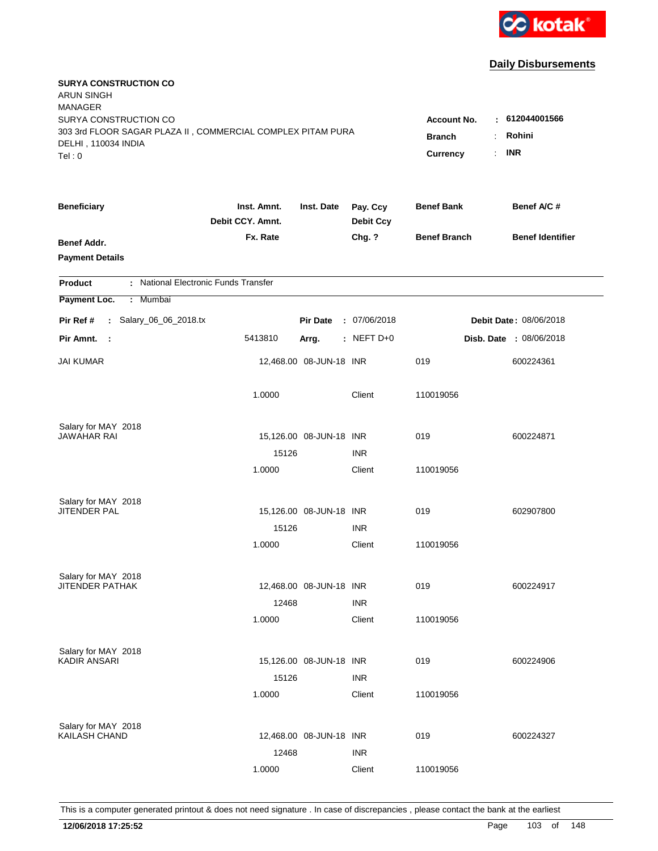

| <b>SURYA CONSTRUCTION CO</b><br><b>ARUN SINGH</b><br><b>MANAGER</b><br>SURYA CONSTRUCTION CO |                                 |                         |                              | <b>Account No.</b>        | $-612044001566$                 |
|----------------------------------------------------------------------------------------------|---------------------------------|-------------------------|------------------------------|---------------------------|---------------------------------|
| 303 3rd FLOOR SAGAR PLAZA II, COMMERCIAL COMPLEX PITAM PURA<br>DELHI, 110034 INDIA<br>Tel: 0 |                                 |                         |                              | <b>Branch</b><br>Currency | Rohini<br>÷<br><b>INR</b><br>÷. |
| <b>Beneficiary</b>                                                                           | Inst. Amnt.<br>Debit CCY. Amnt. | Inst. Date              | Pay. Ccy<br><b>Debit Ccy</b> | <b>Benef Bank</b>         | Benef A/C #                     |
| Benef Addr.<br><b>Payment Details</b>                                                        | Fx. Rate                        |                         | Chg. ?                       | <b>Benef Branch</b>       | <b>Benef Identifier</b>         |
| : National Electronic Funds Transfer<br><b>Product</b>                                       |                                 |                         |                              |                           |                                 |
| Payment Loc.<br>: Mumbai                                                                     |                                 |                         |                              |                           |                                 |
| : Salary_06_06_2018.tx<br>Pir Ref #                                                          |                                 | <b>Pir Date</b>         | : 07/06/2018                 |                           | Debit Date: 08/06/2018          |
| Pir Amnt. :                                                                                  | 5413810                         | Arrg.                   | $:$ NEFT D+0                 |                           | Disb. Date : 08/06/2018         |
| JAI KUMAR                                                                                    |                                 | 12,468.00 08-JUN-18 INR |                              | 019                       | 600224361                       |
|                                                                                              | 1.0000                          |                         | Client                       | 110019056                 |                                 |
| Salary for MAY 2018                                                                          |                                 |                         |                              |                           |                                 |
| JAWAHAR RAI                                                                                  |                                 | 15,126.00 08-JUN-18 INR |                              | 019                       | 600224871                       |
|                                                                                              | 15126<br>1.0000                 |                         | <b>INR</b><br>Client         | 110019056                 |                                 |
| Salary for MAY 2018                                                                          |                                 |                         |                              |                           |                                 |
| JITENDER PAL                                                                                 |                                 | 15,126.00 08-JUN-18 INR |                              | 019                       | 602907800                       |
|                                                                                              | 15126                           |                         | <b>INR</b>                   |                           |                                 |
|                                                                                              | 1.0000                          |                         | Client                       | 110019056                 |                                 |
| Salary for MAY 2018                                                                          |                                 |                         |                              |                           |                                 |
| <b>JITENDER PATHAK</b>                                                                       |                                 | 12,468.00 08-JUN-18 INR |                              | 019                       | 600224917                       |
|                                                                                              | 12468<br>1.0000                 |                         | <b>INR</b><br>Client         | 110019056                 |                                 |
|                                                                                              |                                 |                         |                              |                           |                                 |
| Salary for MAY 2018                                                                          |                                 |                         |                              |                           |                                 |
| KADIR ANSARI                                                                                 | 15126                           | 15,126.00 08-JUN-18 INR | <b>INR</b>                   | 019                       | 600224906                       |
|                                                                                              | 1.0000                          |                         | Client                       | 110019056                 |                                 |
|                                                                                              |                                 |                         |                              |                           |                                 |
| Salary for MAY 2018<br>KAILASH CHAND                                                         |                                 | 12,468.00 08-JUN-18 INR |                              | 019                       | 600224327                       |
|                                                                                              | 12468                           |                         | <b>INR</b>                   |                           |                                 |
|                                                                                              | 1.0000                          |                         | Client                       | 110019056                 |                                 |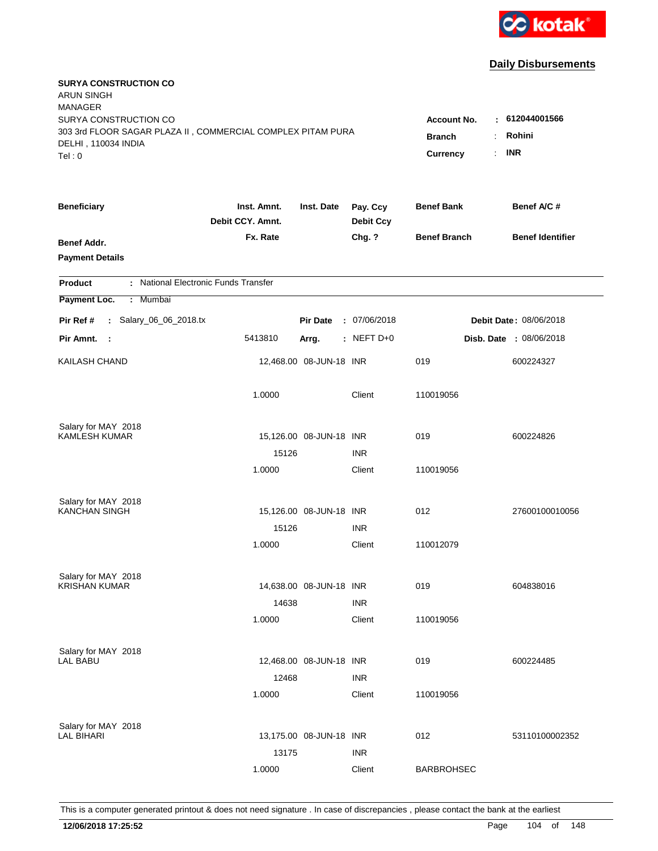

| <b>SURYA CONSTRUCTION CO</b><br><b>ARUN SINGH</b>                                            |                                 |                         |                              |                           |                         |
|----------------------------------------------------------------------------------------------|---------------------------------|-------------------------|------------------------------|---------------------------|-------------------------|
| <b>MANAGER</b><br>SURYA CONSTRUCTION CO                                                      |                                 |                         |                              | <b>Account No.</b><br>÷   | 612044001566            |
| 303 3rd FLOOR SAGAR PLAZA II, COMMERCIAL COMPLEX PITAM PURA<br>DELHI, 110034 INDIA<br>Tel: 0 |                                 |                         |                              | <b>Branch</b><br>Currency | Rohini<br><b>INR</b>    |
| <b>Beneficiary</b>                                                                           | Inst. Amnt.<br>Debit CCY. Amnt. | Inst. Date              | Pay. Ccy<br><b>Debit Ccy</b> | <b>Benef Bank</b>         | Benef A/C #             |
| Benef Addr.<br><b>Payment Details</b>                                                        | Fx. Rate                        |                         | Chg. ?                       | <b>Benef Branch</b>       | <b>Benef Identifier</b> |
| : National Electronic Funds Transfer<br><b>Product</b>                                       |                                 |                         |                              |                           |                         |
| Payment Loc.<br>: Mumbai                                                                     |                                 |                         |                              |                           |                         |
| : Salary_06_06_2018.tx<br>Pir Ref #                                                          |                                 | <b>Pir Date</b>         | : 07/06/2018                 |                           | Debit Date: 08/06/2018  |
| Pir Amnt. :                                                                                  | 5413810                         | Arrg.                   | $:$ NEFT D+0                 |                           | Disb. Date : 08/06/2018 |
| <b>KAILASH CHAND</b>                                                                         |                                 | 12,468.00 08-JUN-18 INR |                              | 019                       | 600224327               |
|                                                                                              | 1.0000                          |                         | Client                       | 110019056                 |                         |
| Salary for MAY 2018                                                                          |                                 |                         |                              |                           |                         |
| KAMLESH KUMAR                                                                                |                                 | 15,126.00 08-JUN-18 INR |                              | 019                       | 600224826               |
|                                                                                              | 15126                           |                         | <b>INR</b>                   |                           |                         |
|                                                                                              | 1.0000                          |                         | Client                       | 110019056                 |                         |
| Salary for MAY 2018                                                                          |                                 |                         |                              |                           |                         |
| <b>KANCHAN SINGH</b>                                                                         |                                 | 15,126.00 08-JUN-18 INR |                              | 012                       | 27600100010056          |
|                                                                                              | 15126                           |                         | <b>INR</b>                   |                           |                         |
|                                                                                              | 1.0000                          |                         | Client                       | 110012079                 |                         |
| Salary for MAY 2018                                                                          |                                 |                         |                              |                           |                         |
| <b>KRISHAN KUMAR</b>                                                                         |                                 | 14,638.00 08-JUN-18 INR |                              | 019                       | 604838016               |
|                                                                                              | 14638                           |                         | <b>INR</b>                   |                           |                         |
|                                                                                              | 1.0000                          |                         | Client                       | 110019056                 |                         |
| Salary for MAY 2018                                                                          |                                 |                         |                              |                           |                         |
| <b>LAL BABU</b>                                                                              |                                 | 12,468.00 08-JUN-18 INR |                              | 019                       | 600224485               |
|                                                                                              | 12468                           |                         | <b>INR</b>                   |                           |                         |
|                                                                                              | 1.0000                          |                         | Client                       | 110019056                 |                         |
| Salary for MAY 2018                                                                          |                                 |                         |                              |                           |                         |
| LAL BIHARI                                                                                   |                                 | 13,175.00 08-JUN-18 INR |                              | 012                       | 53110100002352          |
|                                                                                              | 13175                           |                         | <b>INR</b>                   |                           |                         |
|                                                                                              | 1.0000                          |                         | Client                       | <b>BARBROHSEC</b>         |                         |
|                                                                                              |                                 |                         |                              |                           |                         |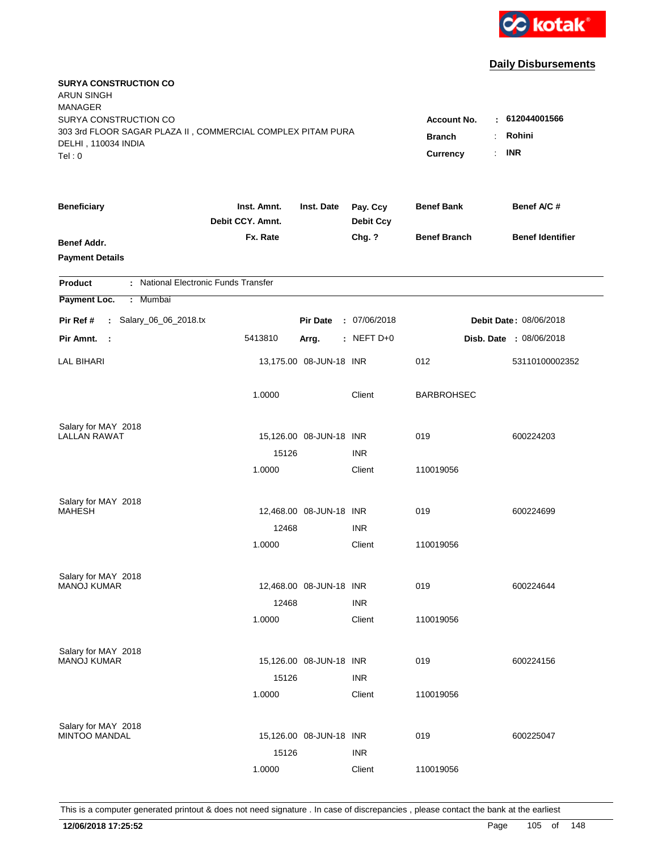

| <b>SURYA CONSTRUCTION CO</b><br><b>ARUN SINGH</b><br><b>MANAGER</b>                         |                                 |                            |                              |                     |                         |
|---------------------------------------------------------------------------------------------|---------------------------------|----------------------------|------------------------------|---------------------|-------------------------|
| SURYA CONSTRUCTION CO                                                                       |                                 |                            |                              | <b>Account No.</b>  | : 612044001566          |
| 303 3rd FLOOR SAGAR PLAZA II, COMMERCIAL COMPLEX PITAM PURA<br>DELHI, 110034 INDIA<br>Tel:0 | <b>Branch</b><br>Currency       | Rohini<br><b>INR</b><br>÷. |                              |                     |                         |
|                                                                                             |                                 |                            |                              |                     |                         |
| <b>Beneficiary</b>                                                                          | Inst. Amnt.<br>Debit CCY. Amnt. | Inst. Date                 | Pay. Ccy<br><b>Debit Ccy</b> | <b>Benef Bank</b>   | Benef A/C #             |
| Benef Addr.                                                                                 | Fx. Rate                        |                            | Chg. ?                       | <b>Benef Branch</b> | <b>Benef Identifier</b> |
| <b>Payment Details</b>                                                                      |                                 |                            |                              |                     |                         |
| : National Electronic Funds Transfer<br><b>Product</b>                                      |                                 |                            |                              |                     |                         |
| Payment Loc.<br>: Mumbai                                                                    |                                 |                            |                              |                     |                         |
| : Salary_06_06_2018.tx<br>Pir Ref #                                                         |                                 | <b>Pir Date</b>            | : 07/06/2018                 |                     | Debit Date: 08/06/2018  |
| Pir Amnt.<br>- 1                                                                            | 5413810                         | Arrg.                      | $:$ NEFT D+0                 |                     | Disb. Date : 08/06/2018 |
| <b>LAL BIHARI</b>                                                                           |                                 | 13,175.00 08-JUN-18 INR    |                              | 012                 | 53110100002352          |
|                                                                                             | 1.0000                          |                            | Client                       | <b>BARBROHSEC</b>   |                         |
| Salary for MAY 2018                                                                         |                                 |                            |                              |                     |                         |
| <b>LALLAN RAWAT</b>                                                                         |                                 | 15,126.00 08-JUN-18 INR    |                              | 019                 | 600224203               |
|                                                                                             | 15126                           |                            | <b>INR</b>                   |                     |                         |
|                                                                                             | 1.0000                          |                            | Client                       | 110019056           |                         |
| Salary for MAY 2018                                                                         |                                 |                            |                              |                     |                         |
| <b>MAHESH</b>                                                                               |                                 | 12,468.00 08-JUN-18 INR    |                              | 019                 | 600224699               |
|                                                                                             | 12468                           |                            | <b>INR</b>                   |                     |                         |
|                                                                                             | 1.0000                          |                            | Client                       | 110019056           |                         |
| Salary for MAY 2018                                                                         |                                 |                            |                              |                     |                         |
| <b>MANOJ KUMAR</b>                                                                          |                                 | 12,468.00 08-JUN-18 INR    |                              | 019                 | 600224644               |
|                                                                                             | 12468                           |                            | <b>INR</b>                   |                     |                         |
|                                                                                             | 1.0000                          |                            | Client                       | 110019056           |                         |
| Salary for MAY 2018                                                                         |                                 |                            |                              |                     |                         |
| <b>MANOJ KUMAR</b>                                                                          |                                 | 15,126.00 08-JUN-18 INR    |                              | 019                 | 600224156               |
|                                                                                             | 15126                           |                            | <b>INR</b>                   |                     |                         |
|                                                                                             | 1.0000                          |                            | Client                       | 110019056           |                         |
| Salary for MAY 2018                                                                         |                                 |                            |                              |                     |                         |
| <b>MINTOO MANDAL</b>                                                                        |                                 | 15,126.00 08-JUN-18 INR    |                              | 019                 | 600225047               |
|                                                                                             | 15126                           |                            | <b>INR</b>                   |                     |                         |
|                                                                                             | 1.0000                          |                            | Client                       | 110019056           |                         |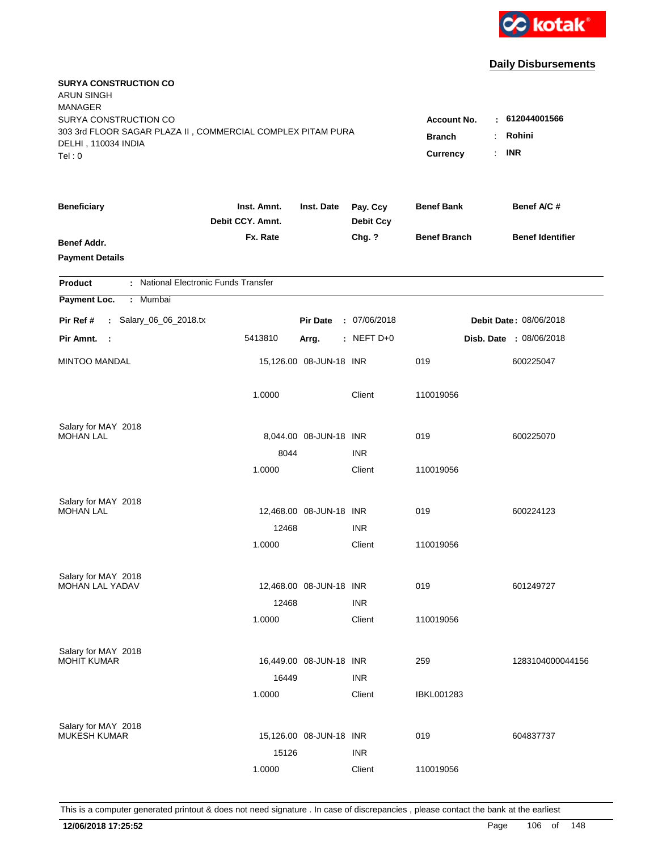

| <b>SURYA CONSTRUCTION CO</b><br><b>ARUN SINGH</b><br><b>MANAGER</b><br>SURYA CONSTRUCTION CO<br>303 3rd FLOOR SAGAR PLAZA II, COMMERCIAL COMPLEX PITAM PURA<br>DELHI, 110034 INDIA<br>Tel: 0 | <b>Account No.</b><br>÷.<br><b>Branch</b><br>$\mathbb{R}^{\mathbb{Z}}$<br>Currency | 612044001566<br>Rohini<br><b>INR</b> |                              |                     |                                |
|----------------------------------------------------------------------------------------------------------------------------------------------------------------------------------------------|------------------------------------------------------------------------------------|--------------------------------------|------------------------------|---------------------|--------------------------------|
| <b>Beneficiary</b>                                                                                                                                                                           | Inst. Amnt.<br>Debit CCY. Amnt.                                                    | Inst. Date                           | Pay. Ccy<br><b>Debit Ccy</b> | <b>Benef Bank</b>   | Benef A/C#                     |
| Benef Addr.<br><b>Payment Details</b>                                                                                                                                                        | Fx. Rate                                                                           |                                      | Chg. ?                       | <b>Benef Branch</b> | <b>Benef Identifier</b>        |
| : National Electronic Funds Transfer<br><b>Product</b>                                                                                                                                       |                                                                                    |                                      |                              |                     |                                |
| Payment Loc.<br>: Mumbai                                                                                                                                                                     |                                                                                    |                                      |                              |                     |                                |
| : Salary_06_06_2018.tx<br>Pir Ref #                                                                                                                                                          |                                                                                    | <b>Pir Date</b>                      | : 07/06/2018                 |                     | Debit Date: 08/06/2018         |
| Pir Amnt.<br>$\sim$ 1                                                                                                                                                                        | 5413810                                                                            | Arrg.                                | : NEFT $D+0$                 |                     | <b>Disb. Date : 08/06/2018</b> |
| <b>MINTOO MANDAL</b>                                                                                                                                                                         |                                                                                    | 15,126.00 08-JUN-18 INR              |                              | 019                 | 600225047                      |
|                                                                                                                                                                                              | 1.0000                                                                             |                                      | Client                       | 110019056           |                                |
| Salary for MAY 2018                                                                                                                                                                          |                                                                                    |                                      |                              |                     |                                |
| <b>MOHAN LAL</b>                                                                                                                                                                             |                                                                                    | 8,044.00 08-JUN-18 INR               |                              | 019                 | 600225070                      |
|                                                                                                                                                                                              | 8044<br>1.0000                                                                     |                                      | <b>INR</b><br>Client         | 110019056           |                                |
|                                                                                                                                                                                              |                                                                                    |                                      |                              |                     |                                |
| Salary for MAY 2018                                                                                                                                                                          |                                                                                    |                                      |                              |                     |                                |
| <b>MOHAN LAL</b>                                                                                                                                                                             |                                                                                    | 12,468.00 08-JUN-18 INR              |                              | 019                 | 600224123                      |
|                                                                                                                                                                                              | 12468                                                                              |                                      | <b>INR</b>                   |                     |                                |
|                                                                                                                                                                                              | 1.0000                                                                             |                                      | Client                       | 110019056           |                                |
| Salary for MAY 2018                                                                                                                                                                          |                                                                                    |                                      |                              |                     |                                |
| <b>MOHAN LAL YADAV</b>                                                                                                                                                                       |                                                                                    | 12,468.00 08-JUN-18 INR              |                              | 019                 | 601249727                      |
|                                                                                                                                                                                              | 12468                                                                              |                                      | <b>INR</b>                   |                     |                                |
|                                                                                                                                                                                              | 1.0000                                                                             |                                      | Client                       | 110019056           |                                |
| Salary for MAY 2018                                                                                                                                                                          |                                                                                    |                                      |                              |                     |                                |
| <b>MOHIT KUMAR</b>                                                                                                                                                                           |                                                                                    | 16,449.00 08-JUN-18 INR              |                              | 259                 | 1283104000044156               |
|                                                                                                                                                                                              | 16449                                                                              |                                      | <b>INR</b>                   |                     |                                |
|                                                                                                                                                                                              | 1.0000                                                                             |                                      | Client                       | <b>IBKL001283</b>   |                                |
|                                                                                                                                                                                              |                                                                                    |                                      |                              |                     |                                |
| Salary for MAY 2018<br><b>MUKESH KUMAR</b>                                                                                                                                                   |                                                                                    | 15,126.00 08-JUN-18 INR              |                              | 019                 | 604837737                      |
|                                                                                                                                                                                              | 15126                                                                              |                                      | <b>INR</b>                   |                     |                                |
|                                                                                                                                                                                              | 1.0000                                                                             |                                      | Client                       | 110019056           |                                |
|                                                                                                                                                                                              |                                                                                    |                                      |                              |                     |                                |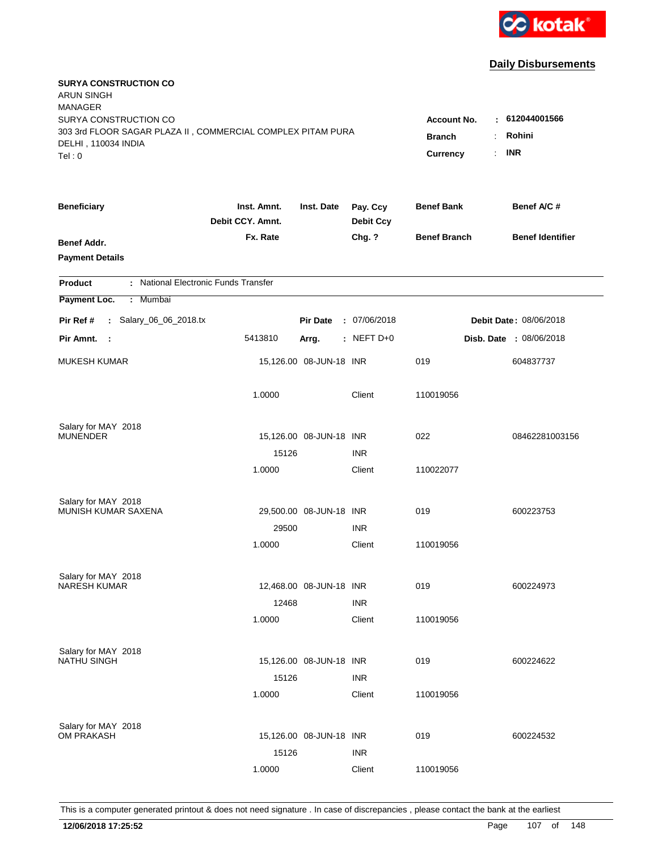

| <b>SURYA CONSTRUCTION CO</b><br><b>ARUN SINGH</b><br><b>MANAGER</b>                  |                                 |                         |                              |                           |                                  |
|--------------------------------------------------------------------------------------|---------------------------------|-------------------------|------------------------------|---------------------------|----------------------------------|
| SURYA CONSTRUCTION CO<br>303 3rd FLOOR SAGAR PLAZA II, COMMERCIAL COMPLEX PITAM PURA |                                 |                         |                              | <b>Account No.</b>        | $-612044001566$                  |
| DELHI, 110034 INDIA<br>Tel: 0                                                        |                                 |                         |                              | <b>Branch</b><br>Currency | Rohini<br>÷.<br><b>INR</b><br>÷. |
| <b>Beneficiary</b>                                                                   | Inst. Amnt.<br>Debit CCY. Amnt. | Inst. Date              | Pay. Ccy<br><b>Debit Ccy</b> | <b>Benef Bank</b>         | Benef A/C #                      |
| Benef Addr.<br><b>Payment Details</b>                                                | Fx. Rate                        |                         | Chg. ?                       | <b>Benef Branch</b>       | <b>Benef Identifier</b>          |
| : National Electronic Funds Transfer<br><b>Product</b>                               |                                 |                         |                              |                           |                                  |
| Payment Loc.<br>: Mumbai                                                             |                                 |                         |                              |                           |                                  |
| : Salary_06_06_2018.tx<br>Pir Ref #                                                  |                                 | <b>Pir Date</b>         | : 07/06/2018                 |                           | Debit Date: 08/06/2018           |
| Pir Amnt. :                                                                          | 5413810                         | Arrg.                   | : NEFT $D+0$                 |                           | Disb. Date : 08/06/2018          |
| <b>MUKESH KUMAR</b>                                                                  |                                 | 15,126.00 08-JUN-18 INR |                              | 019                       | 604837737                        |
|                                                                                      | 1.0000                          |                         | Client                       | 110019056                 |                                  |
| Salary for MAY 2018                                                                  |                                 |                         |                              |                           |                                  |
| <b>MUNENDER</b>                                                                      |                                 | 15,126.00 08-JUN-18 INR |                              | 022                       | 08462281003156                   |
|                                                                                      | 15126                           |                         | <b>INR</b>                   |                           |                                  |
|                                                                                      | 1.0000                          |                         | Client                       | 110022077                 |                                  |
| Salary for MAY 2018                                                                  |                                 |                         |                              |                           |                                  |
| MUNISH KUMAR SAXENA                                                                  |                                 | 29,500.00 08-JUN-18 INR |                              | 019                       | 600223753                        |
|                                                                                      | 29500                           |                         | <b>INR</b>                   |                           |                                  |
|                                                                                      | 1.0000                          |                         | Client                       | 110019056                 |                                  |
| Salary for MAY 2018                                                                  |                                 |                         |                              |                           |                                  |
| <b>NARESH KUMAR</b>                                                                  |                                 | 12,468.00 08-JUN-18 INR |                              | 019                       | 600224973                        |
|                                                                                      | 12468                           |                         | <b>INR</b>                   |                           |                                  |
|                                                                                      | 1.0000                          |                         | Client                       | 110019056                 |                                  |
| Salary for MAY 2018                                                                  |                                 |                         |                              |                           |                                  |
| <b>NATHU SINGH</b>                                                                   |                                 | 15,126.00 08-JUN-18 INR |                              | 019                       | 600224622                        |
|                                                                                      | 15126                           |                         | <b>INR</b>                   |                           |                                  |
|                                                                                      | 1.0000                          |                         | Client                       | 110019056                 |                                  |
| Salary for MAY 2018                                                                  |                                 |                         |                              |                           |                                  |
| OM PRAKASH                                                                           |                                 | 15,126.00 08-JUN-18 INR |                              | 019                       | 600224532                        |
|                                                                                      | 15126                           |                         | <b>INR</b>                   |                           |                                  |
|                                                                                      | 1.0000                          |                         | Client                       | 110019056                 |                                  |
|                                                                                      |                                 |                         |                              |                           |                                  |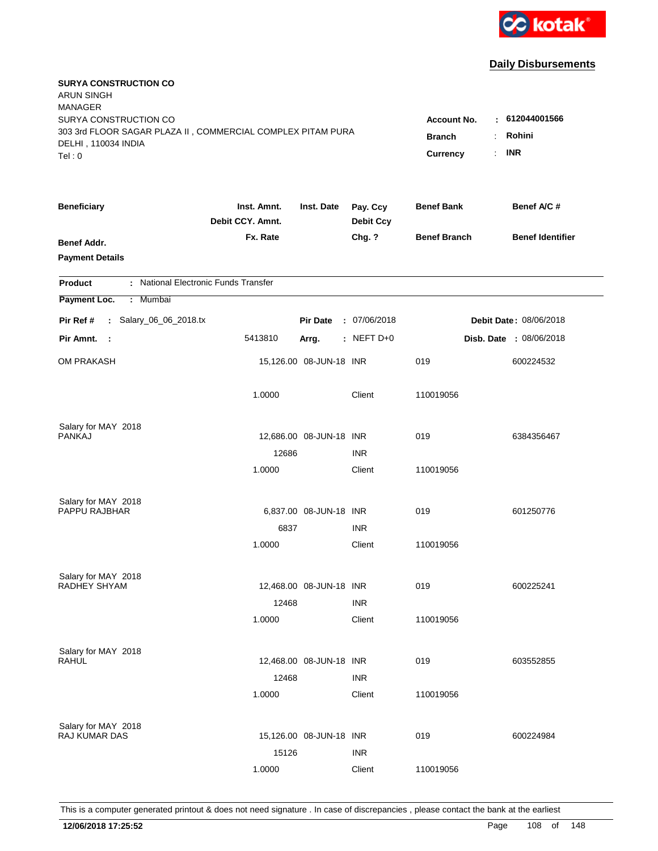

| <b>SURYA CONSTRUCTION CO</b><br><b>ARUN SINGH</b><br><b>MANAGER</b> |                                 |                         |                              |                     |                         |
|---------------------------------------------------------------------|---------------------------------|-------------------------|------------------------------|---------------------|-------------------------|
| SURYA CONSTRUCTION CO                                               |                                 |                         |                              | <b>Account No.</b>  | $-612044001566$         |
| 303 3rd FLOOR SAGAR PLAZA II, COMMERCIAL COMPLEX PITAM PURA         |                                 | <b>Branch</b>           | Rohini<br>÷                  |                     |                         |
| DELHI, 110034 INDIA                                                 |                                 |                         |                              | Currency            | <b>INR</b><br>÷.        |
| Tel: 0                                                              |                                 |                         |                              |                     |                         |
| <b>Beneficiary</b>                                                  | Inst. Amnt.<br>Debit CCY. Amnt. | Inst. Date              | Pay. Ccy<br><b>Debit Ccy</b> | <b>Benef Bank</b>   | Benef A/C #             |
| Benef Addr.                                                         | Fx. Rate                        |                         | Chg. ?                       | <b>Benef Branch</b> | <b>Benef Identifier</b> |
| <b>Payment Details</b>                                              |                                 |                         |                              |                     |                         |
| : National Electronic Funds Transfer<br><b>Product</b>              |                                 |                         |                              |                     |                         |
| Payment Loc.<br>: Mumbai                                            |                                 |                         |                              |                     |                         |
| : Salary_06_06_2018.tx<br>Pir Ref #                                 |                                 | <b>Pir Date</b>         | : 07/06/2018                 |                     | Debit Date: 08/06/2018  |
| Pir Amnt. :                                                         | 5413810                         | Arrg.                   | $:$ NEFT D+0                 |                     | Disb. Date : 08/06/2018 |
| <b>OM PRAKASH</b>                                                   |                                 | 15,126.00 08-JUN-18 INR |                              | 019                 | 600224532               |
|                                                                     | 1.0000                          |                         | Client                       | 110019056           |                         |
| Salary for MAY 2018                                                 |                                 |                         |                              |                     |                         |
| <b>PANKAJ</b>                                                       |                                 | 12,686.00 08-JUN-18 INR |                              | 019                 | 6384356467              |
|                                                                     | 12686                           |                         | <b>INR</b>                   |                     |                         |
|                                                                     | 1.0000                          |                         | Client                       | 110019056           |                         |
| Salary for MAY 2018                                                 |                                 |                         |                              |                     |                         |
| PAPPU RAJBHAR                                                       |                                 | 6,837.00 08-JUN-18 INR  |                              | 019                 | 601250776               |
|                                                                     | 6837                            |                         | <b>INR</b>                   |                     |                         |
|                                                                     | 1.0000                          |                         | Client                       | 110019056           |                         |
| Salary for MAY 2018                                                 |                                 |                         |                              |                     |                         |
| RADHEY SHYAM                                                        |                                 | 12,468.00 08-JUN-18 INR |                              | 019                 | 600225241               |
|                                                                     | 12468                           |                         | <b>INR</b>                   |                     |                         |
|                                                                     | 1.0000                          |                         | Client                       | 110019056           |                         |
| Salary for MAY 2018                                                 |                                 |                         |                              |                     |                         |
| RAHUL                                                               |                                 | 12,468.00 08-JUN-18 INR |                              | 019                 | 603552855               |
|                                                                     | 12468                           |                         | <b>INR</b>                   |                     |                         |
|                                                                     | 1.0000                          |                         | Client                       | 110019056           |                         |
| Salary for MAY 2018                                                 |                                 |                         |                              |                     |                         |
| RAJ KUMAR DAS                                                       |                                 | 15,126.00 08-JUN-18 INR |                              | 019                 | 600224984               |
|                                                                     | 15126                           |                         | <b>INR</b>                   |                     |                         |
|                                                                     | 1.0000                          |                         | Client                       | 110019056           |                         |
|                                                                     |                                 |                         |                              |                     |                         |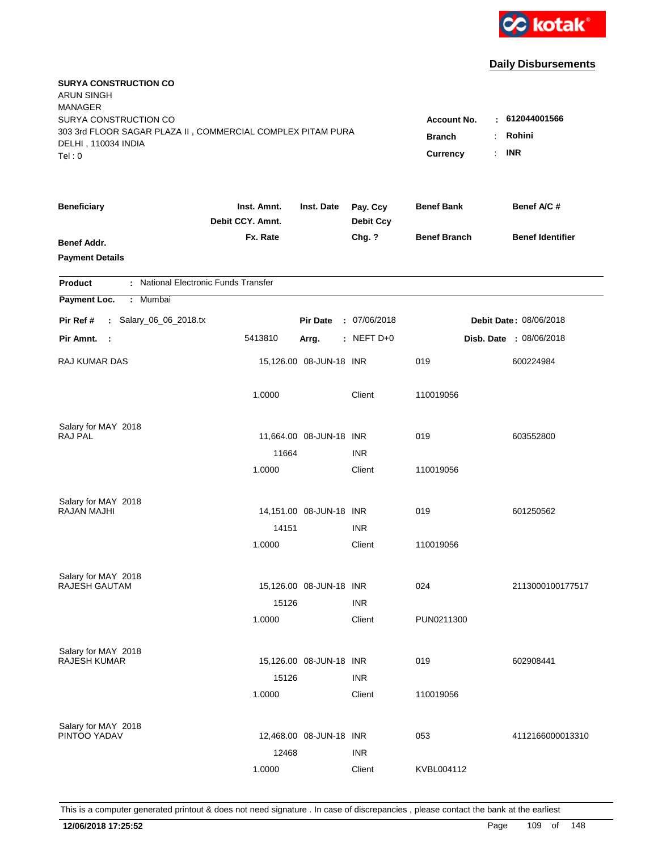

| <b>SURYA CONSTRUCTION CO</b><br><b>ARUN SINGH</b><br><b>MANAGER</b>                |                                 |                         |                              |                           |                         |
|------------------------------------------------------------------------------------|---------------------------------|-------------------------|------------------------------|---------------------------|-------------------------|
| SURYA CONSTRUCTION CO                                                              |                                 |                         |                              | <b>Account No.</b><br>٠.  | 612044001566            |
| 303 3rd FLOOR SAGAR PLAZA II, COMMERCIAL COMPLEX PITAM PURA<br>DELHI, 110034 INDIA |                                 |                         |                              | <b>Branch</b>             | Rohini                  |
| Tel: 0                                                                             |                                 |                         |                              | <b>Currency</b><br>$\sim$ | <b>INR</b>              |
| <b>Beneficiary</b>                                                                 | Inst. Amnt.<br>Debit CCY. Amnt. | Inst. Date              | Pay. Ccy<br><b>Debit Ccy</b> | <b>Benef Bank</b>         | Benef A/C #             |
| <b>Benef Addr.</b><br><b>Payment Details</b>                                       | Fx. Rate                        |                         | Chg. ?                       | <b>Benef Branch</b>       | <b>Benef Identifier</b> |
| : National Electronic Funds Transfer<br><b>Product</b>                             |                                 |                         |                              |                           |                         |
| : Mumbai<br>Payment Loc.                                                           |                                 |                         |                              |                           |                         |
| : Salary_06_06_2018.tx<br>Pir Ref #                                                |                                 | <b>Pir Date</b>         | : 07/06/2018                 |                           | Debit Date: 08/06/2018  |
| Pir Amnt.<br>$\sim$ 1                                                              | 5413810                         | Arrg.                   | : NEFT D+0                   |                           | Disb. Date : 08/06/2018 |
|                                                                                    |                                 |                         |                              |                           |                         |
| RAJ KUMAR DAS                                                                      |                                 | 15,126.00 08-JUN-18 INR |                              | 019                       | 600224984               |
|                                                                                    | 1.0000                          |                         | Client                       | 110019056                 |                         |
| Salary for MAY 2018                                                                |                                 |                         |                              |                           |                         |
| RAJ PAL                                                                            |                                 | 11,664.00 08-JUN-18 INR |                              | 019                       | 603552800               |
|                                                                                    | 11664                           |                         | <b>INR</b>                   |                           |                         |
|                                                                                    | 1.0000                          |                         | Client                       | 110019056                 |                         |
| Salary for MAY 2018                                                                |                                 |                         |                              |                           |                         |
| RAJAN MAJHI                                                                        |                                 | 14,151.00 08-JUN-18 INR |                              | 019                       | 601250562               |
|                                                                                    | 14151                           |                         | <b>INR</b>                   |                           |                         |
|                                                                                    | 1.0000                          |                         | Client                       | 110019056                 |                         |
|                                                                                    |                                 |                         |                              |                           |                         |
| Salary for MAY 2018<br>RAJESH GAUTAM                                               |                                 | 15,126.00 08-JUN-18 INR |                              | 024                       | 2113000100177517        |
|                                                                                    | 15126                           |                         | <b>INR</b>                   |                           |                         |
|                                                                                    | 1.0000                          |                         | Client                       | PUN0211300                |                         |
|                                                                                    |                                 |                         |                              |                           |                         |
| Salary for MAY 2018<br><b>RAJESH KUMAR</b>                                         |                                 | 15,126.00 08-JUN-18 INR |                              | 019                       | 602908441               |
|                                                                                    | 15126                           |                         | <b>INR</b>                   |                           |                         |
|                                                                                    | 1.0000                          |                         | Client                       | 110019056                 |                         |
|                                                                                    |                                 |                         |                              |                           |                         |
| Salary for MAY 2018<br>PINTOO YADAV                                                |                                 | 12,468.00 08-JUN-18 INR |                              | 053                       | 4112166000013310        |
|                                                                                    | 12468                           |                         | <b>INR</b>                   |                           |                         |
|                                                                                    | 1.0000                          |                         | Client                       | KVBL004112                |                         |
|                                                                                    |                                 |                         |                              |                           |                         |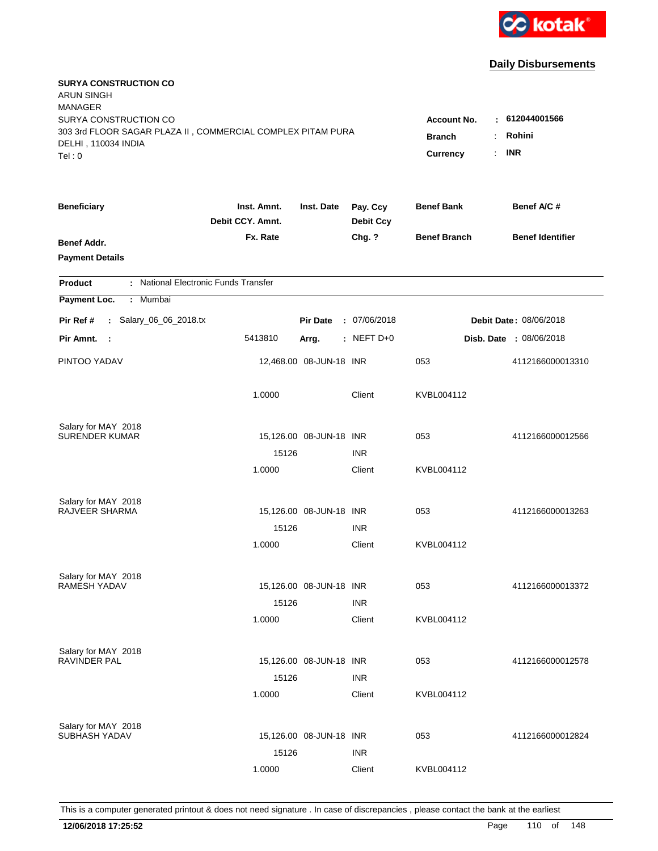

| <b>SURYA CONSTRUCTION CO</b><br><b>ARUN SINGH</b><br><b>MANAGER</b><br>SURYA CONSTRUCTION CO<br>303 3rd FLOOR SAGAR PLAZA II, COMMERCIAL COMPLEX PITAM PURA<br>DELHI, 110034 INDIA<br>Tel: 0 | <b>Account No.</b><br><b>Branch</b><br>Currency | : 612044001566<br>Rohini<br>÷<br><b>INR</b><br>$\mathbf{r}$ |                              |                     |                                |
|----------------------------------------------------------------------------------------------------------------------------------------------------------------------------------------------|-------------------------------------------------|-------------------------------------------------------------|------------------------------|---------------------|--------------------------------|
| <b>Beneficiary</b>                                                                                                                                                                           | Inst. Amnt.<br>Debit CCY. Amnt.                 | Inst. Date                                                  | Pay. Ccy<br><b>Debit Ccy</b> | <b>Benef Bank</b>   | Benef A/C #                    |
| Benef Addr.<br><b>Payment Details</b>                                                                                                                                                        | Fx. Rate                                        |                                                             | Chg. ?                       | <b>Benef Branch</b> | <b>Benef Identifier</b>        |
| : National Electronic Funds Transfer<br><b>Product</b>                                                                                                                                       |                                                 |                                                             |                              |                     |                                |
| Payment Loc.<br>Mumbai<br>÷.                                                                                                                                                                 |                                                 |                                                             |                              |                     |                                |
| : Salary_06_06_2018.tx<br>Pir Ref #                                                                                                                                                          |                                                 | <b>Pir Date</b>                                             | : 07/06/2018                 |                     | Debit Date: 08/06/2018         |
| Pir Amnt. :                                                                                                                                                                                  | 5413810                                         | Arrg.                                                       | $:$ NEFT D+0                 |                     | <b>Disb. Date : 08/06/2018</b> |
| PINTOO YADAV                                                                                                                                                                                 |                                                 | 12,468.00 08-JUN-18 INR                                     |                              | 053                 | 4112166000013310               |
|                                                                                                                                                                                              | 1.0000                                          |                                                             | Client                       | KVBL004112          |                                |
| Salary for MAY 2018                                                                                                                                                                          |                                                 |                                                             |                              |                     |                                |
| <b>SURENDER KUMAR</b>                                                                                                                                                                        | 15126                                           | 15,126.00 08-JUN-18 INR                                     | <b>INR</b>                   | 053                 | 4112166000012566               |
|                                                                                                                                                                                              | 1.0000                                          |                                                             | Client                       | KVBL004112          |                                |
| Salary for MAY 2018                                                                                                                                                                          |                                                 |                                                             |                              |                     |                                |
| <b>RAJVEER SHARMA</b>                                                                                                                                                                        |                                                 | 15,126.00 08-JUN-18 INR                                     |                              | 053                 | 4112166000013263               |
|                                                                                                                                                                                              | 15126                                           |                                                             | <b>INR</b>                   |                     |                                |
|                                                                                                                                                                                              | 1.0000                                          |                                                             | Client                       | KVBL004112          |                                |
| Salary for MAY 2018                                                                                                                                                                          |                                                 |                                                             |                              |                     |                                |
| <b>RAMESH YADAV</b>                                                                                                                                                                          |                                                 | 15,126.00 08-JUN-18 INR                                     |                              | 053                 | 4112166000013372               |
|                                                                                                                                                                                              | 15126                                           |                                                             | <b>INR</b>                   |                     |                                |
|                                                                                                                                                                                              | 1.0000                                          |                                                             | Client                       | KVBL004112          |                                |
| Salary for MAY 2018<br><b>RAVINDER PAL</b>                                                                                                                                                   |                                                 | 15,126.00 08-JUN-18 INR                                     |                              | 053                 | 4112166000012578               |
|                                                                                                                                                                                              | 15126                                           |                                                             | <b>INR</b>                   |                     |                                |
|                                                                                                                                                                                              | 1.0000                                          |                                                             | Client                       | KVBL004112          |                                |
| Salary for MAY 2018                                                                                                                                                                          |                                                 |                                                             |                              |                     |                                |
| <b>SUBHASH YADAV</b>                                                                                                                                                                         |                                                 | 15,126.00 08-JUN-18 INR                                     |                              | 053                 | 4112166000012824               |
|                                                                                                                                                                                              | 15126                                           |                                                             | <b>INR</b>                   |                     |                                |
|                                                                                                                                                                                              | 1.0000                                          |                                                             | Client                       | KVBL004112          |                                |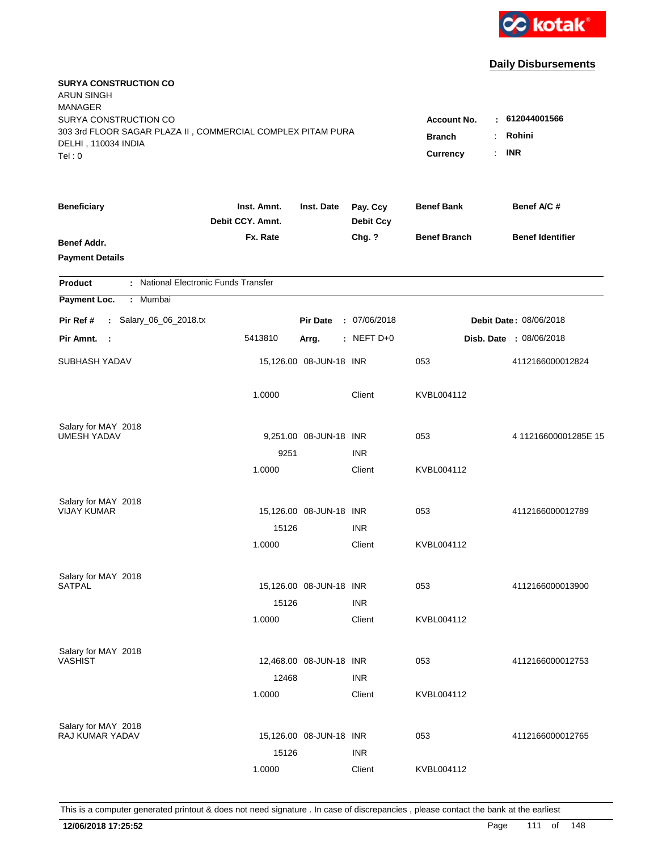

| <b>SURYA CONSTRUCTION CO</b><br><b>ARUN SINGH</b><br><b>MANAGER</b><br>SURYA CONSTRUCTION CO<br>303 3rd FLOOR SAGAR PLAZA II, COMMERCIAL COMPLEX PITAM PURA<br>DELHI, 110034 INDIA<br>Tel:0 | Account No.<br><b>Branch</b><br>Currency | : 612044001566<br>Rohini<br>$\cdot$ INR |                              |                     |                                |
|---------------------------------------------------------------------------------------------------------------------------------------------------------------------------------------------|------------------------------------------|-----------------------------------------|------------------------------|---------------------|--------------------------------|
| <b>Beneficiary</b>                                                                                                                                                                          | Inst. Amnt.<br>Debit CCY. Amnt.          | Inst. Date                              | Pay. Ccy<br><b>Debit Ccy</b> | <b>Benef Bank</b>   | Benef A/C #                    |
| Benef Addr.<br><b>Payment Details</b>                                                                                                                                                       | Fx. Rate                                 |                                         | Chg. ?                       | <b>Benef Branch</b> | <b>Benef Identifier</b>        |
| : National Electronic Funds Transfer<br>Product                                                                                                                                             |                                          |                                         |                              |                     |                                |
| Payment Loc.<br>: Mumbai                                                                                                                                                                    |                                          |                                         |                              |                     |                                |
| : Salary_06_06_2018.tx<br>Pir Ref #                                                                                                                                                         |                                          | <b>Pir Date</b>                         | : 07/06/2018                 |                     | <b>Debit Date: 08/06/2018</b>  |
| Pir Amnt.<br>$\mathbf{L}$                                                                                                                                                                   | 5413810                                  | Arrg.                                   | : NEFT $D+0$                 |                     | <b>Disb. Date : 08/06/2018</b> |
| SUBHASH YADAV                                                                                                                                                                               |                                          | 15,126.00 08-JUN-18 INR                 |                              | 053                 | 4112166000012824               |
|                                                                                                                                                                                             | 1.0000                                   |                                         | Client                       | KVBL004112          |                                |
| Salary for MAY 2018                                                                                                                                                                         |                                          |                                         |                              |                     |                                |
| <b>UMESH YADAV</b>                                                                                                                                                                          |                                          | 9,251.00 08-JUN-18 INR                  |                              | 053                 | 411216600001285E 15            |
|                                                                                                                                                                                             | 9251<br>1.0000                           |                                         | <b>INR</b><br>Client         | KVBL004112          |                                |
| Salary for MAY 2018                                                                                                                                                                         |                                          |                                         |                              |                     |                                |
| <b>VIJAY KUMAR</b>                                                                                                                                                                          |                                          | 15,126.00 08-JUN-18 INR                 |                              | 053                 | 4112166000012789               |
|                                                                                                                                                                                             | 15126                                    |                                         | <b>INR</b>                   |                     |                                |
|                                                                                                                                                                                             | 1.0000                                   |                                         | Client                       | KVBL004112          |                                |
| Salary for MAY 2018                                                                                                                                                                         |                                          |                                         |                              |                     |                                |
| <b>SATPAL</b>                                                                                                                                                                               |                                          | 15,126.00 08-JUN-18 INR                 |                              | 053                 | 4112166000013900               |
|                                                                                                                                                                                             | 15126                                    |                                         | <b>INR</b>                   |                     |                                |
|                                                                                                                                                                                             | 1.0000                                   |                                         | Client                       | KVBL004112          |                                |
| Salary for MAY 2018                                                                                                                                                                         |                                          |                                         |                              |                     |                                |
| <b>VASHIST</b>                                                                                                                                                                              |                                          | 12,468.00 08-JUN-18 INR                 |                              | 053                 | 4112166000012753               |
|                                                                                                                                                                                             | 12468                                    |                                         | <b>INR</b>                   |                     |                                |
|                                                                                                                                                                                             | 1.0000                                   |                                         | Client                       | KVBL004112          |                                |
| Salary for MAY 2018                                                                                                                                                                         |                                          |                                         |                              |                     |                                |
| RAJ KUMAR YADAV                                                                                                                                                                             |                                          | 15,126.00 08-JUN-18 INR                 |                              | 053                 | 4112166000012765               |
|                                                                                                                                                                                             | 15126                                    |                                         | <b>INR</b>                   |                     |                                |
|                                                                                                                                                                                             | 1.0000                                   |                                         | Client                       | KVBL004112          |                                |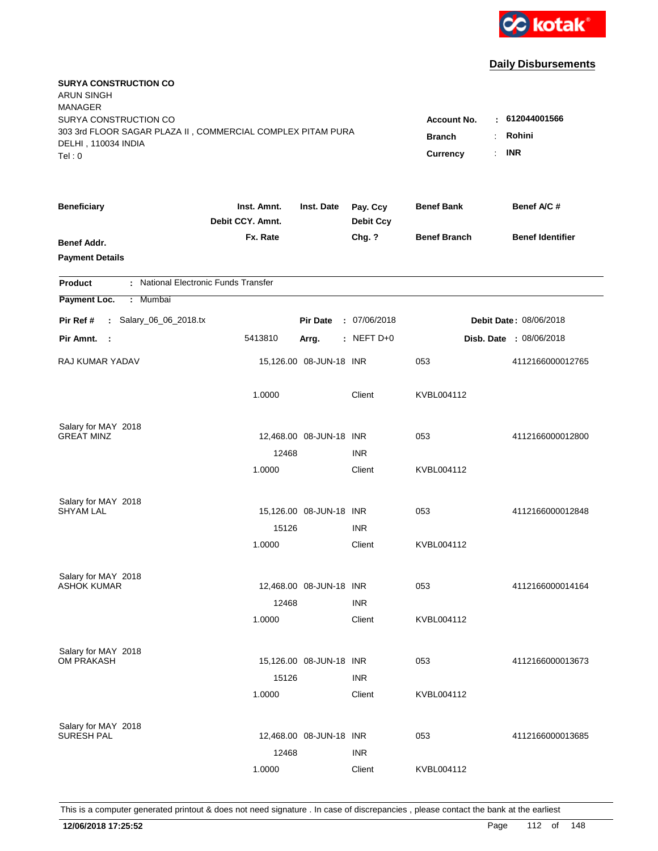

| <b>SURYA CONSTRUCTION CO</b><br><b>ARUN SINGH</b><br><b>MANAGER</b><br>SURYA CONSTRUCTION CO |                                                    |                            |                              | <b>Account No.</b>  | $-612044001566$         |
|----------------------------------------------------------------------------------------------|----------------------------------------------------|----------------------------|------------------------------|---------------------|-------------------------|
| 303 3rd FLOOR SAGAR PLAZA II, COMMERCIAL COMPLEX PITAM PURA<br>DELHI, 110034 INDIA<br>Tel: 0 | <b>Branch</b><br>$\ddot{\cdot}$<br><b>Currency</b> | Rohini<br><b>INR</b><br>÷. |                              |                     |                         |
| <b>Beneficiary</b>                                                                           | Inst. Amnt.<br>Debit CCY. Amnt.                    | Inst. Date                 | Pay. Ccy<br><b>Debit Ccy</b> | <b>Benef Bank</b>   | Benef A/C #             |
| Benef Addr.<br><b>Payment Details</b>                                                        | Fx. Rate                                           |                            | Chg. ?                       | <b>Benef Branch</b> | <b>Benef Identifier</b> |
| : National Electronic Funds Transfer<br><b>Product</b>                                       |                                                    |                            |                              |                     |                         |
| Payment Loc.<br>Mumbai<br>÷.                                                                 |                                                    |                            |                              |                     |                         |
| : Salary_06_06_2018.tx<br>Pir Ref #                                                          |                                                    | <b>Pir Date</b>            | : 07/06/2018                 |                     | Debit Date: 08/06/2018  |
| Pir Amnt.<br>- 1                                                                             | 5413810                                            | Arrg.                      | : NEFT $D+0$                 |                     | Disb. Date : 08/06/2018 |
| RAJ KUMAR YADAV                                                                              |                                                    | 15,126.00 08-JUN-18 INR    |                              | 053                 | 4112166000012765        |
|                                                                                              | 1.0000                                             |                            | Client                       | KVBL004112          |                         |
| Salary for MAY 2018<br><b>GREAT MINZ</b>                                                     |                                                    | 12,468.00 08-JUN-18 INR    |                              | 053                 | 4112166000012800        |
|                                                                                              | 12468                                              |                            | <b>INR</b>                   |                     |                         |
|                                                                                              | 1.0000                                             |                            | Client                       | KVBL004112          |                         |
| Salary for MAY 2018                                                                          |                                                    |                            |                              |                     |                         |
| <b>SHYAM LAL</b>                                                                             |                                                    | 15,126.00 08-JUN-18 INR    |                              | 053                 | 4112166000012848        |
|                                                                                              | 15126                                              |                            | <b>INR</b>                   |                     |                         |
|                                                                                              | 1.0000                                             |                            | Client                       | KVBL004112          |                         |
| Salary for MAY 2018                                                                          |                                                    |                            |                              |                     |                         |
| <b>ASHOK KUMAR</b>                                                                           |                                                    | 12,468.00 08-JUN-18 INR    |                              | 053                 | 4112166000014164        |
|                                                                                              | 12468                                              |                            | <b>INR</b>                   |                     |                         |
|                                                                                              | 1.0000                                             |                            | Client                       | KVBL004112          |                         |
| Salary for MAY 2018                                                                          |                                                    |                            |                              |                     |                         |
| <b>OM PRAKASH</b>                                                                            | 15126                                              | 15,126.00 08-JUN-18 INR    | <b>INR</b>                   | 053                 | 4112166000013673        |
|                                                                                              | 1.0000                                             |                            | Client                       | KVBL004112          |                         |
|                                                                                              |                                                    |                            |                              |                     |                         |
| Salary for MAY 2018                                                                          |                                                    |                            |                              |                     |                         |
| <b>SURESH PAL</b>                                                                            |                                                    | 12,468.00 08-JUN-18 INR    |                              | 053                 | 4112166000013685        |
|                                                                                              | 12468                                              |                            | <b>INR</b>                   |                     |                         |
|                                                                                              | 1.0000                                             |                            | Client                       | KVBL004112          |                         |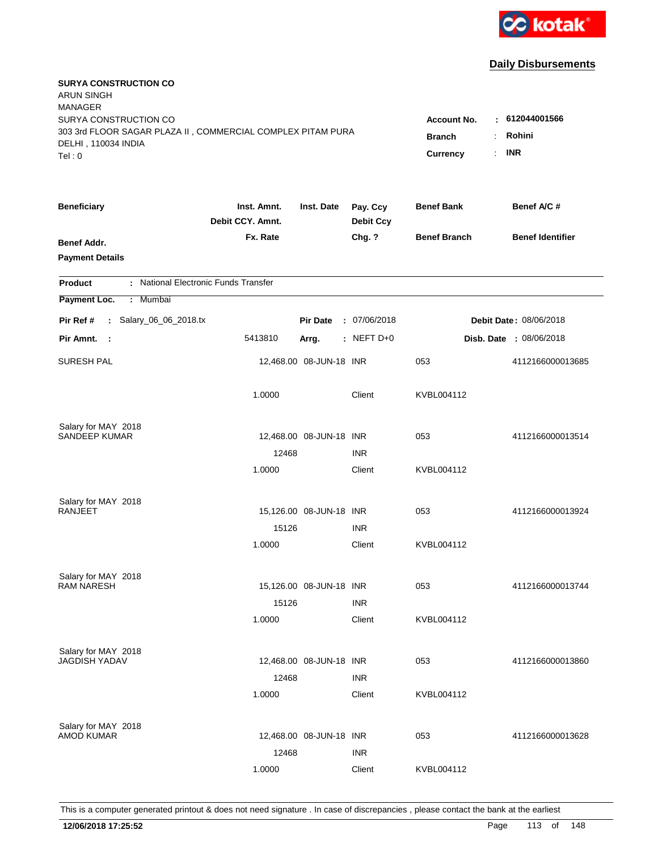

| <b>SURYA CONSTRUCTION CO</b><br><b>ARUN SINGH</b><br><b>MANAGER</b><br>SURYA CONSTRUCTION CO<br>303 3rd FLOOR SAGAR PLAZA II, COMMERCIAL COMPLEX PITAM PURA<br>DELHI, 110034 INDIA |                                 |                         |                              | <b>Account No.</b><br><b>Branch</b><br>$\ddot{\cdot}$ | $-612044001566$<br>Rohini |
|------------------------------------------------------------------------------------------------------------------------------------------------------------------------------------|---------------------------------|-------------------------|------------------------------|-------------------------------------------------------|---------------------------|
| Tel: 0                                                                                                                                                                             |                                 |                         |                              | <b>Currency</b>                                       | <b>INR</b><br>÷.          |
| <b>Beneficiary</b>                                                                                                                                                                 | Inst. Amnt.<br>Debit CCY. Amnt. | Inst. Date              | Pay. Ccy<br><b>Debit Ccy</b> | <b>Benef Bank</b>                                     | Benef A/C #               |
| Benef Addr.<br><b>Payment Details</b>                                                                                                                                              | Fx. Rate                        |                         | Chg. ?                       | <b>Benef Branch</b>                                   | <b>Benef Identifier</b>   |
| : National Electronic Funds Transfer<br><b>Product</b>                                                                                                                             |                                 |                         |                              |                                                       |                           |
| Payment Loc.<br>Mumbai<br>÷.                                                                                                                                                       |                                 |                         |                              |                                                       |                           |
| : Salary_06_06_2018.tx<br>Pir Ref #                                                                                                                                                |                                 | <b>Pir Date</b>         | : 07/06/2018                 |                                                       | Debit Date: 08/06/2018    |
| Pir Amnt.<br>- 1                                                                                                                                                                   | 5413810                         | Arrg.                   | $:$ NEFT D+0                 |                                                       | Disb. Date : 08/06/2018   |
| <b>SURESH PAL</b>                                                                                                                                                                  |                                 | 12,468.00 08-JUN-18 INR |                              | 053                                                   | 4112166000013685          |
|                                                                                                                                                                                    | 1.0000                          |                         | Client                       | KVBL004112                                            |                           |
| Salary for MAY 2018                                                                                                                                                                |                                 |                         |                              |                                                       |                           |
| <b>SANDEEP KUMAR</b>                                                                                                                                                               | 12468                           | 12,468.00 08-JUN-18 INR | <b>INR</b>                   | 053                                                   | 4112166000013514          |
|                                                                                                                                                                                    | 1.0000                          |                         | Client                       | KVBL004112                                            |                           |
| Salary for MAY 2018<br>RANJEET                                                                                                                                                     |                                 | 15,126.00 08-JUN-18 INR |                              | 053                                                   | 4112166000013924          |
|                                                                                                                                                                                    | 15126                           |                         | <b>INR</b>                   |                                                       |                           |
|                                                                                                                                                                                    | 1.0000                          |                         | Client                       | KVBL004112                                            |                           |
| Salary for MAY 2018                                                                                                                                                                |                                 |                         |                              |                                                       |                           |
| <b>RAM NARESH</b>                                                                                                                                                                  |                                 | 15,126.00 08-JUN-18 INR |                              | 053                                                   | 4112166000013744          |
|                                                                                                                                                                                    | 15126                           |                         | <b>INR</b>                   |                                                       |                           |
|                                                                                                                                                                                    | 1.0000                          |                         | Client                       | KVBL004112                                            |                           |
| Salary for MAY 2018                                                                                                                                                                |                                 |                         |                              |                                                       |                           |
| <b>JAGDISH YADAV</b>                                                                                                                                                               |                                 | 12,468.00 08-JUN-18 INR |                              | 053                                                   | 4112166000013860          |
|                                                                                                                                                                                    | 12468<br>1.0000                 |                         | <b>INR</b><br>Client         | KVBL004112                                            |                           |
|                                                                                                                                                                                    |                                 |                         |                              |                                                       |                           |
| Salary for MAY 2018<br><b>AMOD KUMAR</b>                                                                                                                                           |                                 | 12,468.00 08-JUN-18 INR |                              | 053                                                   | 4112166000013628          |
|                                                                                                                                                                                    | 12468                           |                         | <b>INR</b>                   |                                                       |                           |
|                                                                                                                                                                                    | 1.0000                          |                         | Client                       | KVBL004112                                            |                           |
|                                                                                                                                                                                    |                                 |                         |                              |                                                       |                           |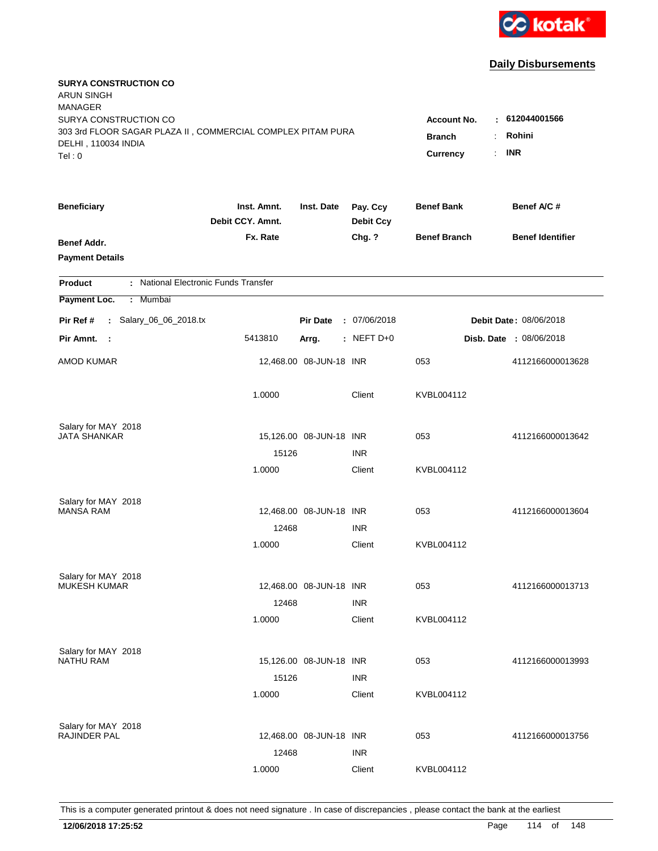

| <b>SURYA CONSTRUCTION CO</b><br><b>ARUN SINGH</b><br><b>MANAGER</b><br>SURYA CONSTRUCTION CO |                                                                          |                            |                              |                     | 612044001566<br>÷              |
|----------------------------------------------------------------------------------------------|--------------------------------------------------------------------------|----------------------------|------------------------------|---------------------|--------------------------------|
| 303 3rd FLOOR SAGAR PLAZA II, COMMERCIAL COMPLEX PITAM PURA<br>DELHI, 110034 INDIA<br>Tel: 0 | <b>Account No.</b><br><b>Branch</b><br>$\ddot{\cdot}$<br><b>Currency</b> | Rohini<br><b>INR</b><br>÷. |                              |                     |                                |
| <b>Beneficiary</b>                                                                           | Inst. Amnt.<br>Debit CCY. Amnt.                                          | Inst. Date                 | Pay. Ccy<br><b>Debit Ccy</b> | <b>Benef Bank</b>   | Benef A/C #                    |
| Benef Addr.<br><b>Payment Details</b>                                                        | Fx. Rate                                                                 |                            | Chg. ?                       | <b>Benef Branch</b> | <b>Benef Identifier</b>        |
| : National Electronic Funds Transfer<br><b>Product</b>                                       |                                                                          |                            |                              |                     |                                |
| Payment Loc.<br>Mumbai<br>$\mathbb{C}^{\times}$                                              |                                                                          |                            |                              |                     |                                |
| : Salary_06_06_2018.tx<br>Pir Ref #                                                          |                                                                          | <b>Pir Date</b>            | : 07/06/2018                 |                     | <b>Debit Date: 08/06/2018</b>  |
| Pir Amnt.<br>- 1                                                                             | 5413810                                                                  | Arrg.                      | $:$ NEFT D+0                 |                     | <b>Disb. Date : 08/06/2018</b> |
| <b>AMOD KUMAR</b>                                                                            |                                                                          | 12,468.00 08-JUN-18 INR    |                              | 053                 | 4112166000013628               |
|                                                                                              | 1.0000                                                                   |                            | Client                       | KVBL004112          |                                |
| Salary for MAY 2018                                                                          |                                                                          |                            |                              |                     |                                |
| JATA SHANKAR                                                                                 | 15126                                                                    | 15,126.00 08-JUN-18 INR    | <b>INR</b>                   | 053                 | 4112166000013642               |
|                                                                                              | 1.0000                                                                   |                            | Client                       | KVBL004112          |                                |
| Salary for MAY 2018                                                                          |                                                                          |                            |                              |                     |                                |
| <b>MANSA RAM</b>                                                                             |                                                                          | 12,468.00 08-JUN-18 INR    |                              | 053                 | 4112166000013604               |
|                                                                                              | 12468                                                                    |                            | <b>INR</b>                   |                     |                                |
|                                                                                              | 1.0000                                                                   |                            | Client                       | KVBL004112          |                                |
| Salary for MAY 2018                                                                          |                                                                          |                            |                              |                     |                                |
| <b>MUKESH KUMAR</b>                                                                          |                                                                          | 12,468.00 08-JUN-18 INR    |                              | 053                 | 4112166000013713               |
|                                                                                              | 12468                                                                    |                            | <b>INR</b>                   |                     |                                |
|                                                                                              | 1.0000                                                                   |                            | Client                       | KVBL004112          |                                |
| Salary for MAY 2018<br><b>NATHU RAM</b>                                                      |                                                                          | 15,126.00 08-JUN-18 INR    |                              | 053                 | 4112166000013993               |
|                                                                                              | 15126                                                                    |                            | <b>INR</b>                   |                     |                                |
|                                                                                              | 1.0000                                                                   |                            | Client                       | KVBL004112          |                                |
| Salary for MAY 2018                                                                          |                                                                          |                            |                              |                     |                                |
| RAJINDER PAL                                                                                 |                                                                          | 12,468.00 08-JUN-18 INR    |                              | 053                 | 4112166000013756               |
|                                                                                              | 12468                                                                    |                            | <b>INR</b>                   |                     |                                |
|                                                                                              | 1.0000                                                                   |                            | Client                       | KVBL004112          |                                |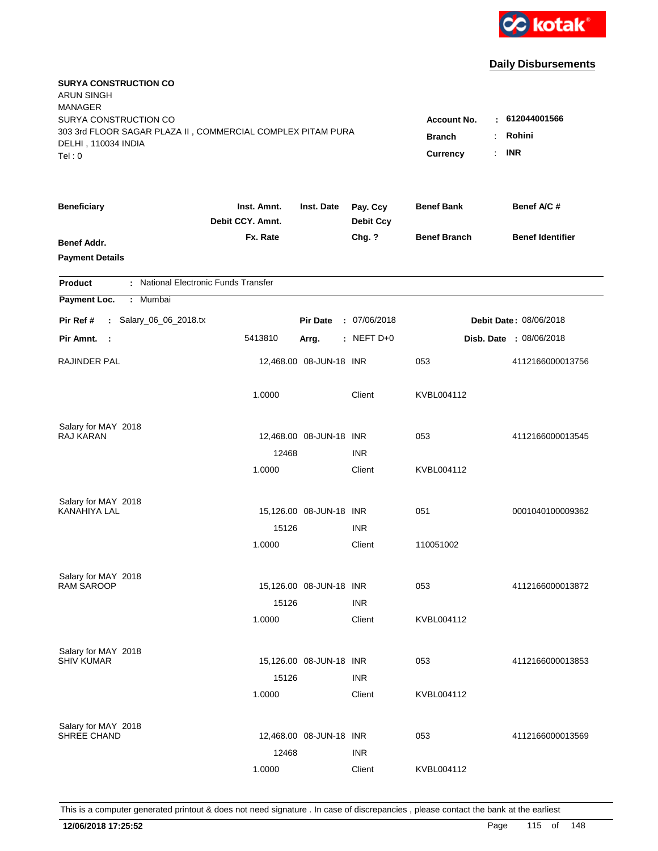

| <b>SURYA CONSTRUCTION CO</b><br><b>ARUN SINGH</b><br><b>MANAGER</b><br>SURYA CONSTRUCTION CO<br>303 3rd FLOOR SAGAR PLAZA II, COMMERCIAL COMPLEX PITAM PURA<br>DELHI, 110034 INDIA<br>Tel: 0 | <b>Account No.</b><br><b>Branch</b><br>÷<br><b>Currency</b> | : 612044001566<br>Rohini<br><b>INR</b><br>$\mathbb{R}^{\mathbb{Z}}$ |                              |                     |                                |
|----------------------------------------------------------------------------------------------------------------------------------------------------------------------------------------------|-------------------------------------------------------------|---------------------------------------------------------------------|------------------------------|---------------------|--------------------------------|
| <b>Beneficiary</b>                                                                                                                                                                           | Inst. Amnt.<br>Debit CCY. Amnt.                             | Inst. Date                                                          | Pay. Ccy<br><b>Debit Ccy</b> | <b>Benef Bank</b>   | Benef A/C #                    |
| Benef Addr.<br><b>Payment Details</b>                                                                                                                                                        | Fx. Rate                                                    |                                                                     | Chg. ?                       | <b>Benef Branch</b> | <b>Benef Identifier</b>        |
| : National Electronic Funds Transfer<br><b>Product</b>                                                                                                                                       |                                                             |                                                                     |                              |                     |                                |
| Payment Loc.<br>Mumbai<br>÷.                                                                                                                                                                 |                                                             |                                                                     |                              |                     |                                |
| : Salary_06_06_2018.tx<br>Pir Ref #                                                                                                                                                          |                                                             | <b>Pir Date</b>                                                     | : 07/06/2018                 |                     | Debit Date: 08/06/2018         |
| Pir Amnt.<br>$\sim$ :                                                                                                                                                                        | 5413810                                                     | Arrg.                                                               | : NEFT D+0                   |                     | <b>Disb. Date : 08/06/2018</b> |
| RAJINDER PAL                                                                                                                                                                                 |                                                             | 12,468.00 08-JUN-18 INR                                             |                              | 053                 | 4112166000013756               |
|                                                                                                                                                                                              | 1.0000                                                      |                                                                     | Client                       | KVBL004112          |                                |
| Salary for MAY 2018<br>RAJ KARAN                                                                                                                                                             |                                                             |                                                                     |                              |                     |                                |
|                                                                                                                                                                                              | 12468                                                       | 12,468.00 08-JUN-18 INR                                             | <b>INR</b>                   | 053                 | 4112166000013545               |
|                                                                                                                                                                                              | 1.0000                                                      |                                                                     | Client                       | KVBL004112          |                                |
| Salary for MAY 2018                                                                                                                                                                          |                                                             |                                                                     |                              |                     |                                |
| <b>KANAHIYA LAL</b>                                                                                                                                                                          |                                                             | 15,126.00 08-JUN-18 INR                                             |                              | 051                 | 0001040100009362               |
|                                                                                                                                                                                              | 15126                                                       |                                                                     | <b>INR</b>                   |                     |                                |
|                                                                                                                                                                                              | 1.0000                                                      |                                                                     | Client                       | 110051002           |                                |
| Salary for MAY 2018                                                                                                                                                                          |                                                             |                                                                     |                              |                     |                                |
| <b>RAM SAROOP</b>                                                                                                                                                                            |                                                             | 15,126.00 08-JUN-18 INR                                             |                              | 053                 | 4112166000013872               |
|                                                                                                                                                                                              | 15126                                                       |                                                                     | <b>INR</b>                   |                     |                                |
|                                                                                                                                                                                              | 1.0000                                                      |                                                                     | Client                       | KVBL004112          |                                |
| Salary for MAY 2018<br><b>SHIV KUMAR</b>                                                                                                                                                     |                                                             | 15,126.00 08-JUN-18 INR                                             |                              | 053                 | 4112166000013853               |
|                                                                                                                                                                                              | 15126                                                       |                                                                     | <b>INR</b>                   |                     |                                |
|                                                                                                                                                                                              | 1.0000                                                      |                                                                     | Client                       | KVBL004112          |                                |
|                                                                                                                                                                                              |                                                             |                                                                     |                              |                     |                                |
| Salary for MAY 2018<br>SHREE CHAND                                                                                                                                                           |                                                             | 12,468.00 08-JUN-18 INR                                             |                              | 053                 | 4112166000013569               |
|                                                                                                                                                                                              | 12468                                                       |                                                                     | <b>INR</b>                   |                     |                                |
|                                                                                                                                                                                              | 1.0000                                                      |                                                                     | Client                       | KVBL004112          |                                |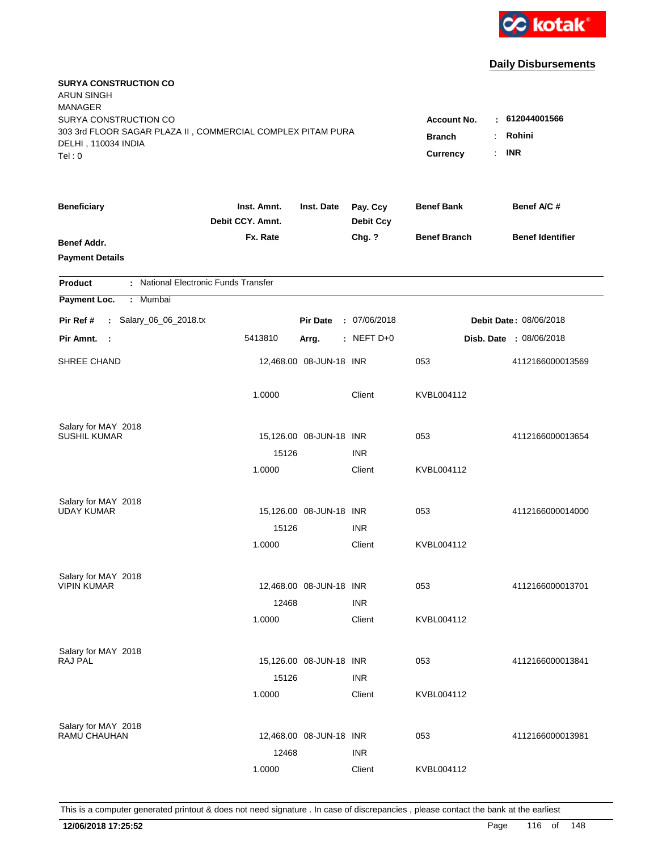

| <b>SURYA CONSTRUCTION CO</b><br><b>ARUN SINGH</b><br><b>MANAGER</b><br>SURYA CONSTRUCTION CO |                                                          |                         |                              | <b>Account No.</b>  | $-612044001566$         |
|----------------------------------------------------------------------------------------------|----------------------------------------------------------|-------------------------|------------------------------|---------------------|-------------------------|
| 303 3rd FLOOR SAGAR PLAZA II, COMMERCIAL COMPLEX PITAM PURA<br>DELHI, 110034 INDIA<br>Tel: 0 | <b>Branch</b><br>$\ddot{\cdot}$<br><b>Currency</b><br>÷. | Rohini<br><b>INR</b>    |                              |                     |                         |
| <b>Beneficiary</b>                                                                           | Inst. Amnt.<br>Debit CCY. Amnt.                          | Inst. Date              | Pay. Ccy<br><b>Debit Ccy</b> | <b>Benef Bank</b>   | Benef A/C#              |
| Benef Addr.<br><b>Payment Details</b>                                                        | Fx. Rate                                                 |                         | Chg. ?                       | <b>Benef Branch</b> | <b>Benef Identifier</b> |
| : National Electronic Funds Transfer<br><b>Product</b>                                       |                                                          |                         |                              |                     |                         |
| Payment Loc.<br>: Mumbai                                                                     |                                                          |                         |                              |                     |                         |
| : Salary_06_06_2018.tx<br>Pir Ref #                                                          |                                                          | <b>Pir Date</b>         | : 07/06/2018                 |                     | Debit Date: 08/06/2018  |
| Pir Amnt. :                                                                                  | 5413810                                                  | Arrg.                   | : NEFT D+0                   |                     | Disb. Date : 08/06/2018 |
| SHREE CHAND                                                                                  |                                                          | 12,468.00 08-JUN-18 INR |                              | 053                 | 4112166000013569        |
|                                                                                              | 1.0000                                                   |                         | Client                       | KVBL004112          |                         |
| Salary for MAY 2018                                                                          |                                                          |                         |                              |                     |                         |
| <b>SUSHIL KUMAR</b>                                                                          | 15126                                                    | 15,126.00 08-JUN-18 INR | <b>INR</b>                   | 053                 | 4112166000013654        |
|                                                                                              | 1.0000                                                   |                         | Client                       | KVBL004112          |                         |
| Salary for MAY 2018                                                                          |                                                          |                         |                              |                     |                         |
| <b>UDAY KUMAR</b>                                                                            |                                                          | 15,126.00 08-JUN-18 INR |                              | 053                 | 4112166000014000        |
|                                                                                              | 15126                                                    |                         | <b>INR</b>                   |                     |                         |
|                                                                                              | 1.0000                                                   |                         | Client                       | KVBL004112          |                         |
| Salary for MAY 2018                                                                          |                                                          |                         |                              |                     |                         |
| <b>VIPIN KUMAR</b>                                                                           |                                                          | 12,468.00 08-JUN-18 INR |                              | 053                 | 4112166000013701        |
|                                                                                              | 12468                                                    |                         | <b>INR</b>                   |                     |                         |
|                                                                                              | 1.0000                                                   |                         | Client                       | KVBL004112          |                         |
| Salary for MAY 2018<br>RAJ PAL                                                               |                                                          | 15,126.00 08-JUN-18 INR |                              | 053                 | 4112166000013841        |
|                                                                                              | 15126                                                    |                         | <b>INR</b>                   |                     |                         |
|                                                                                              | 1.0000                                                   |                         | Client                       | KVBL004112          |                         |
|                                                                                              |                                                          |                         |                              |                     |                         |
| Salary for MAY 2018<br>RAMU CHAUHAN                                                          |                                                          | 12,468.00 08-JUN-18 INR |                              | 053                 | 4112166000013981        |
|                                                                                              | 12468                                                    |                         | <b>INR</b>                   |                     |                         |
|                                                                                              | 1.0000                                                   |                         | Client                       | KVBL004112          |                         |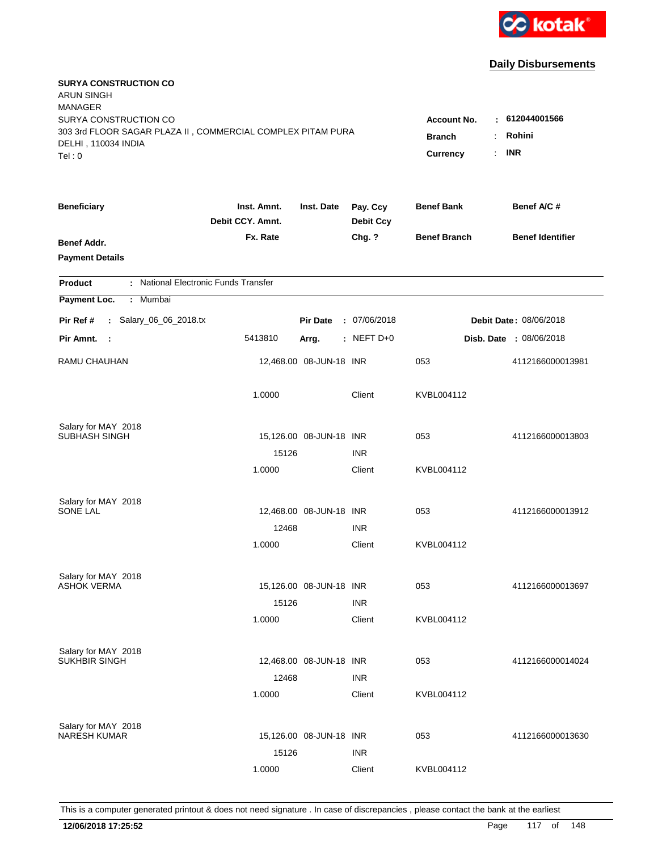

| <b>SURYA CONSTRUCTION CO</b><br><b>ARUN SINGH</b><br><b>MANAGER</b><br>SURYA CONSTRUCTION CO<br>303 3rd FLOOR SAGAR PLAZA II, COMMERCIAL COMPLEX PITAM PURA |                                 |                                  |                              | <b>Account No.</b><br>$\ddot{\cdot}$ | $-612044001566$<br>Rohini |
|-------------------------------------------------------------------------------------------------------------------------------------------------------------|---------------------------------|----------------------------------|------------------------------|--------------------------------------|---------------------------|
| DELHI, 110034 INDIA<br>Tel: 0                                                                                                                               |                                 | <b>Branch</b><br><b>Currency</b> | <b>INR</b><br>÷.             |                                      |                           |
| <b>Beneficiary</b>                                                                                                                                          | Inst. Amnt.<br>Debit CCY. Amnt. | Inst. Date                       | Pay. Ccy<br><b>Debit Ccy</b> | <b>Benef Bank</b>                    | Benef A/C #               |
| Benef Addr.<br><b>Payment Details</b>                                                                                                                       | Fx. Rate                        |                                  | Chg. ?                       | <b>Benef Branch</b>                  | <b>Benef Identifier</b>   |
| : National Electronic Funds Transfer<br><b>Product</b>                                                                                                      |                                 |                                  |                              |                                      |                           |
| Payment Loc.<br>Mumbai<br>$\mathbb{C}^{\times}$                                                                                                             |                                 |                                  |                              |                                      |                           |
| : Salary_06_06_2018.tx<br>Pir Ref #                                                                                                                         |                                 | <b>Pir Date</b>                  | : 07/06/2018                 |                                      | Debit Date: 08/06/2018    |
| Pir Amnt.<br>- 1                                                                                                                                            | 5413810                         | Arrg.                            | : NEFT $D+0$                 |                                      | Disb. Date : 08/06/2018   |
| <b>RAMU CHAUHAN</b>                                                                                                                                         |                                 | 12,468.00 08-JUN-18 INR          |                              | 053                                  | 4112166000013981          |
|                                                                                                                                                             | 1.0000                          |                                  | Client                       | KVBL004112                           |                           |
| Salary for MAY 2018                                                                                                                                         |                                 |                                  |                              |                                      |                           |
| SUBHASH SINGH                                                                                                                                               | 15126                           | 15,126.00 08-JUN-18 INR          | <b>INR</b>                   | 053                                  | 4112166000013803          |
|                                                                                                                                                             | 1.0000                          |                                  | Client                       | KVBL004112                           |                           |
|                                                                                                                                                             |                                 |                                  |                              |                                      |                           |
| Salary for MAY 2018<br>SONE LAL                                                                                                                             |                                 | 12,468.00 08-JUN-18 INR          |                              | 053                                  | 4112166000013912          |
|                                                                                                                                                             | 12468                           |                                  | <b>INR</b>                   |                                      |                           |
|                                                                                                                                                             | 1.0000                          |                                  | Client                       | KVBL004112                           |                           |
| Salary for MAY 2018                                                                                                                                         |                                 |                                  |                              |                                      |                           |
| <b>ASHOK VERMA</b>                                                                                                                                          |                                 | 15,126.00 08-JUN-18 INR          |                              | 053                                  | 4112166000013697          |
|                                                                                                                                                             | 15126                           |                                  | <b>INR</b>                   |                                      |                           |
|                                                                                                                                                             | 1.0000                          |                                  | Client                       | KVBL004112                           |                           |
| Salary for MAY 2018<br>SUKHBIR SINGH                                                                                                                        |                                 | 12,468.00 08-JUN-18 INR          |                              | 053                                  | 4112166000014024          |
|                                                                                                                                                             | 12468                           |                                  | <b>INR</b>                   |                                      |                           |
|                                                                                                                                                             | 1.0000                          |                                  | Client                       | KVBL004112                           |                           |
| Salary for MAY 2018                                                                                                                                         |                                 |                                  |                              |                                      |                           |
| <b>NARESH KUMAR</b>                                                                                                                                         |                                 | 15,126.00 08-JUN-18 INR          |                              | 053                                  | 4112166000013630          |
|                                                                                                                                                             | 15126                           |                                  | <b>INR</b>                   |                                      |                           |
|                                                                                                                                                             | 1.0000                          |                                  | Client                       | KVBL004112                           |                           |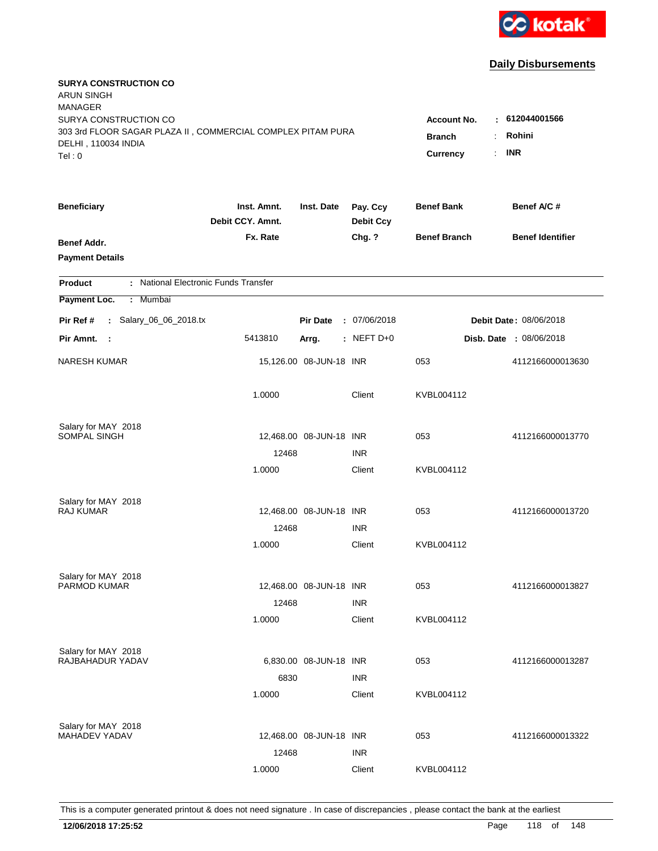

| <b>SURYA CONSTRUCTION CO</b><br><b>ARUN SINGH</b><br><b>MANAGER</b><br>SURYA CONSTRUCTION CO<br>303 3rd FLOOR SAGAR PLAZA II, COMMERCIAL COMPLEX PITAM PURA<br>DELHI, 110034 INDIA<br>Tel: 0 | <b>Account No.</b><br><b>Branch</b><br>$\ddot{\cdot}$<br><b>Currency</b> | $-612044001566$<br>Rohini<br><b>INR</b><br>÷. |                              |                     |                         |
|----------------------------------------------------------------------------------------------------------------------------------------------------------------------------------------------|--------------------------------------------------------------------------|-----------------------------------------------|------------------------------|---------------------|-------------------------|
| <b>Beneficiary</b>                                                                                                                                                                           | Inst. Amnt.<br>Debit CCY. Amnt.                                          | Inst. Date                                    | Pay. Ccy<br><b>Debit Ccy</b> | <b>Benef Bank</b>   | Benef A/C #             |
| Benef Addr.<br><b>Payment Details</b>                                                                                                                                                        | Fx. Rate                                                                 |                                               | Chg. ?                       | <b>Benef Branch</b> | <b>Benef Identifier</b> |
| : National Electronic Funds Transfer<br><b>Product</b>                                                                                                                                       |                                                                          |                                               |                              |                     |                         |
| Payment Loc.<br>Mumbai<br>÷.                                                                                                                                                                 |                                                                          |                                               |                              |                     |                         |
| : Salary_06_06_2018.tx<br>Pir Ref #                                                                                                                                                          |                                                                          | <b>Pir Date</b>                               | : 07/06/2018                 |                     | Debit Date: 08/06/2018  |
| Pir Amnt.<br>- 1                                                                                                                                                                             | 5413810                                                                  | Arrg.                                         | $:$ NEFT D+0                 |                     | Disb. Date : 08/06/2018 |
| <b>NARESH KUMAR</b>                                                                                                                                                                          |                                                                          | 15,126.00 08-JUN-18 INR                       |                              | 053                 | 4112166000013630        |
|                                                                                                                                                                                              | 1.0000                                                                   |                                               | Client                       | KVBL004112          |                         |
| Salary for MAY 2018                                                                                                                                                                          |                                                                          |                                               |                              |                     |                         |
| SOMPAL SINGH                                                                                                                                                                                 | 12468                                                                    | 12,468.00 08-JUN-18 INR                       | <b>INR</b>                   | 053                 | 4112166000013770        |
|                                                                                                                                                                                              | 1.0000                                                                   |                                               | Client                       | KVBL004112          |                         |
| Salary for MAY 2018                                                                                                                                                                          |                                                                          |                                               |                              |                     |                         |
| <b>RAJ KUMAR</b>                                                                                                                                                                             | 12468                                                                    | 12,468.00 08-JUN-18 INR                       |                              | 053                 | 4112166000013720        |
|                                                                                                                                                                                              | 1.0000                                                                   |                                               | <b>INR</b><br>Client         | KVBL004112          |                         |
|                                                                                                                                                                                              |                                                                          |                                               |                              |                     |                         |
| Salary for MAY 2018<br>PARMOD KUMAR                                                                                                                                                          |                                                                          | 12,468.00 08-JUN-18 INR                       |                              | 053                 | 4112166000013827        |
|                                                                                                                                                                                              | 12468                                                                    |                                               | <b>INR</b>                   |                     |                         |
|                                                                                                                                                                                              | 1.0000                                                                   |                                               | Client                       | KVBL004112          |                         |
| Salary for MAY 2018                                                                                                                                                                          |                                                                          |                                               |                              |                     |                         |
| RAJBAHADUR YADAV                                                                                                                                                                             |                                                                          | 6,830.00 08-JUN-18 INR                        |                              | 053                 | 4112166000013287        |
|                                                                                                                                                                                              | 6830                                                                     |                                               | <b>INR</b>                   |                     |                         |
|                                                                                                                                                                                              | 1.0000                                                                   |                                               | Client                       | KVBL004112          |                         |
| Salary for MAY 2018                                                                                                                                                                          |                                                                          |                                               |                              |                     |                         |
| <b>MAHADEV YADAV</b>                                                                                                                                                                         |                                                                          | 12,468.00 08-JUN-18 INR                       |                              | 053                 | 4112166000013322        |
|                                                                                                                                                                                              | 12468                                                                    |                                               | <b>INR</b>                   |                     |                         |
|                                                                                                                                                                                              | 1.0000                                                                   |                                               | Client                       | KVBL004112          |                         |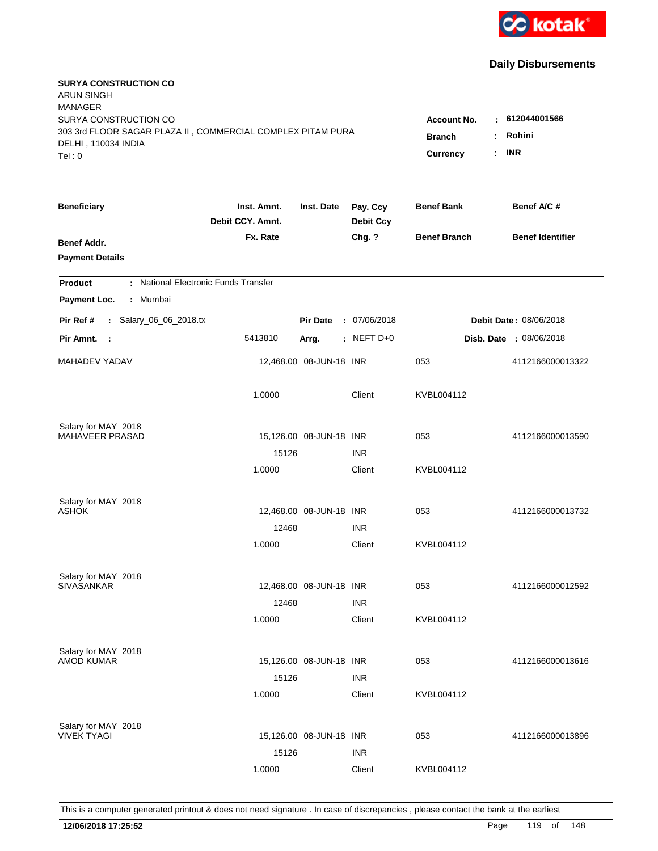

| <b>SURYA CONSTRUCTION CO</b><br><b>ARUN SINGH</b><br><b>MANAGER</b><br>SURYA CONSTRUCTION CO<br>303 3rd FLOOR SAGAR PLAZA II, COMMERCIAL COMPLEX PITAM PURA |                                 |                                                    |                              | <b>Account No.</b>  | $-612044001566$<br>Rohini |
|-------------------------------------------------------------------------------------------------------------------------------------------------------------|---------------------------------|----------------------------------------------------|------------------------------|---------------------|---------------------------|
| DELHI, 110034 INDIA<br>Tel: 0                                                                                                                               |                                 | <b>Branch</b><br>$\ddot{\cdot}$<br><b>Currency</b> | <b>INR</b><br>÷.             |                     |                           |
| <b>Beneficiary</b>                                                                                                                                          | Inst. Amnt.<br>Debit CCY. Amnt. | Inst. Date                                         | Pay. Ccy<br><b>Debit Ccy</b> | <b>Benef Bank</b>   | Benef A/C #               |
| Benef Addr.<br><b>Payment Details</b>                                                                                                                       | Fx. Rate                        |                                                    | Chg. ?                       | <b>Benef Branch</b> | <b>Benef Identifier</b>   |
| : National Electronic Funds Transfer<br><b>Product</b>                                                                                                      |                                 |                                                    |                              |                     |                           |
| Payment Loc.<br>Mumbai<br>÷.                                                                                                                                |                                 |                                                    |                              |                     |                           |
| : Salary_06_06_2018.tx<br>Pir Ref #                                                                                                                         |                                 | <b>Pir Date</b>                                    | : 07/06/2018                 |                     | Debit Date: 08/06/2018    |
| Pir Amnt.<br>- 1                                                                                                                                            | 5413810                         | Arrg.                                              | $:$ NEFT D+0                 |                     | Disb. Date : 08/06/2018   |
| MAHADEV YADAV                                                                                                                                               |                                 | 12,468.00 08-JUN-18 INR                            |                              | 053                 | 4112166000013322          |
|                                                                                                                                                             | 1.0000                          |                                                    | Client                       | KVBL004112          |                           |
| Salary for MAY 2018                                                                                                                                         |                                 |                                                    |                              |                     |                           |
| MAHAVEER PRASAD                                                                                                                                             | 15126                           | 15,126.00 08-JUN-18 INR                            | <b>INR</b>                   | 053                 | 4112166000013590          |
|                                                                                                                                                             | 1.0000                          |                                                    | Client                       | KVBL004112          |                           |
| Salary for MAY 2018                                                                                                                                         |                                 |                                                    |                              |                     |                           |
| <b>ASHOK</b>                                                                                                                                                |                                 | 12,468.00 08-JUN-18 INR                            |                              | 053                 | 4112166000013732          |
|                                                                                                                                                             | 12468                           |                                                    | <b>INR</b>                   |                     |                           |
|                                                                                                                                                             | 1.0000                          |                                                    | Client                       | KVBL004112          |                           |
| Salary for MAY 2018                                                                                                                                         |                                 |                                                    |                              |                     |                           |
| <b>SIVASANKAR</b>                                                                                                                                           |                                 | 12,468.00 08-JUN-18 INR                            |                              | 053                 | 4112166000012592          |
|                                                                                                                                                             | 12468                           |                                                    | <b>INR</b>                   | KVBL004112          |                           |
|                                                                                                                                                             | 1.0000                          |                                                    | Client                       |                     |                           |
| Salary for MAY 2018<br><b>AMOD KUMAR</b>                                                                                                                    |                                 | 15,126.00 08-JUN-18 INR                            |                              | 053                 | 4112166000013616          |
|                                                                                                                                                             | 15126                           |                                                    | <b>INR</b>                   |                     |                           |
|                                                                                                                                                             | 1.0000                          |                                                    | Client                       | KVBL004112          |                           |
| Salary for MAY 2018                                                                                                                                         |                                 |                                                    |                              |                     |                           |
| <b>VIVEK TYAGI</b>                                                                                                                                          |                                 | 15,126.00 08-JUN-18 INR                            |                              | 053                 | 4112166000013896          |
|                                                                                                                                                             | 15126                           |                                                    | <b>INR</b>                   |                     |                           |
|                                                                                                                                                             | 1.0000                          |                                                    | Client                       | KVBL004112          |                           |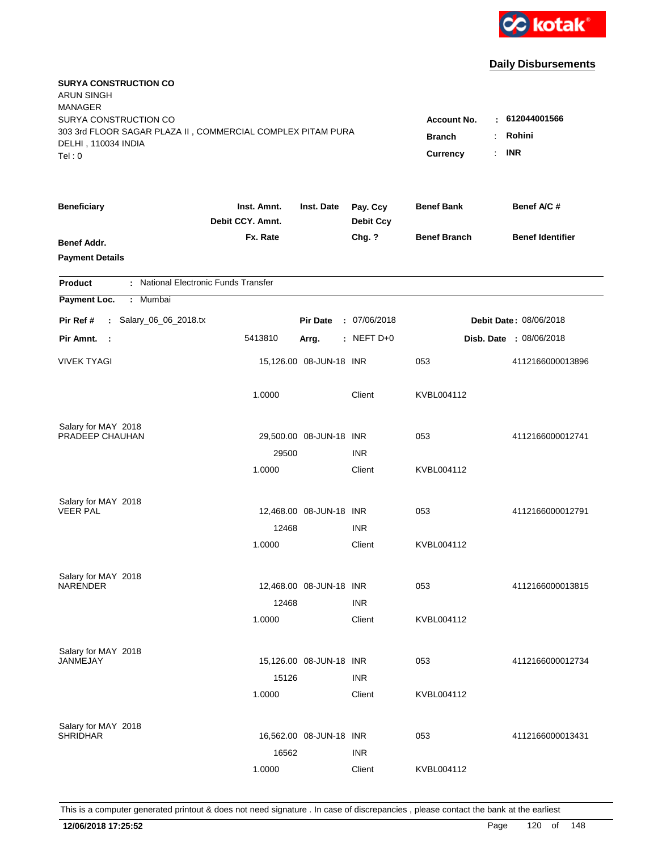

| <b>SURYA CONSTRUCTION CO</b><br><b>ARUN SINGH</b><br><b>MANAGER</b><br>SURYA CONSTRUCTION CO<br>303 3rd FLOOR SAGAR PLAZA II, COMMERCIAL COMPLEX PITAM PURA<br>DELHI, 110034 INDIA<br>Tel: 0 | <b>Account No.</b><br><b>Branch</b><br>÷<br><b>Currency</b> | : 612044001566<br>Rohini<br><b>INR</b><br>$\mathbb{R}^{\mathbb{Z}}$ |                              |                     |                                |
|----------------------------------------------------------------------------------------------------------------------------------------------------------------------------------------------|-------------------------------------------------------------|---------------------------------------------------------------------|------------------------------|---------------------|--------------------------------|
| <b>Beneficiary</b>                                                                                                                                                                           | Inst. Amnt.<br>Debit CCY. Amnt.                             | Inst. Date                                                          | Pay. Ccy<br><b>Debit Ccy</b> | <b>Benef Bank</b>   | Benef A/C #                    |
| Benef Addr.<br><b>Payment Details</b>                                                                                                                                                        | Fx. Rate                                                    |                                                                     | Chg. ?                       | <b>Benef Branch</b> | <b>Benef Identifier</b>        |
| : National Electronic Funds Transfer<br><b>Product</b>                                                                                                                                       |                                                             |                                                                     |                              |                     |                                |
| Payment Loc.<br>Mumbai<br>÷.                                                                                                                                                                 |                                                             |                                                                     |                              |                     |                                |
| : Salary_06_06_2018.tx<br>Pir Ref #                                                                                                                                                          |                                                             | <b>Pir Date</b>                                                     | : 07/06/2018                 |                     | Debit Date: 08/06/2018         |
| Pir Amnt.<br>$\sim$ 1                                                                                                                                                                        | 5413810                                                     | Arrg.                                                               | : NEFT D+0                   |                     | <b>Disb. Date : 08/06/2018</b> |
| <b>VIVEK TYAGI</b>                                                                                                                                                                           |                                                             | 15,126.00 08-JUN-18 INR                                             |                              | 053                 | 4112166000013896               |
|                                                                                                                                                                                              | 1.0000                                                      |                                                                     | Client                       | KVBL004112          |                                |
| Salary for MAY 2018<br>PRADEEP CHAUHAN                                                                                                                                                       | 29500                                                       | 29,500.00 08-JUN-18 INR                                             | <b>INR</b>                   | 053                 | 4112166000012741               |
|                                                                                                                                                                                              | 1.0000                                                      |                                                                     | Client                       | KVBL004112          |                                |
| Salary for MAY 2018<br><b>VEER PAL</b>                                                                                                                                                       | 12468                                                       | 12,468.00 08-JUN-18 INR                                             | <b>INR</b>                   | 053                 | 4112166000012791               |
|                                                                                                                                                                                              | 1.0000                                                      |                                                                     | Client                       | KVBL004112          |                                |
| Salary for MAY 2018<br><b>NARENDER</b>                                                                                                                                                       | 12468                                                       | 12,468.00 08-JUN-18 INR                                             | <b>INR</b>                   | 053                 | 4112166000013815               |
|                                                                                                                                                                                              | 1.0000                                                      |                                                                     | Client                       | KVBL004112          |                                |
| Salary for MAY 2018<br>JANMEJAY                                                                                                                                                              | 15126                                                       | 15,126.00 08-JUN-18 INR                                             | <b>INR</b>                   | 053                 | 4112166000012734               |
|                                                                                                                                                                                              | 1.0000                                                      |                                                                     | Client                       | KVBL004112          |                                |
| Salary for MAY 2018<br><b>SHRIDHAR</b>                                                                                                                                                       | 16562                                                       | 16,562.00 08-JUN-18 INR                                             | <b>INR</b>                   | 053                 | 4112166000013431               |
|                                                                                                                                                                                              | 1.0000                                                      |                                                                     | Client                       | KVBL004112          |                                |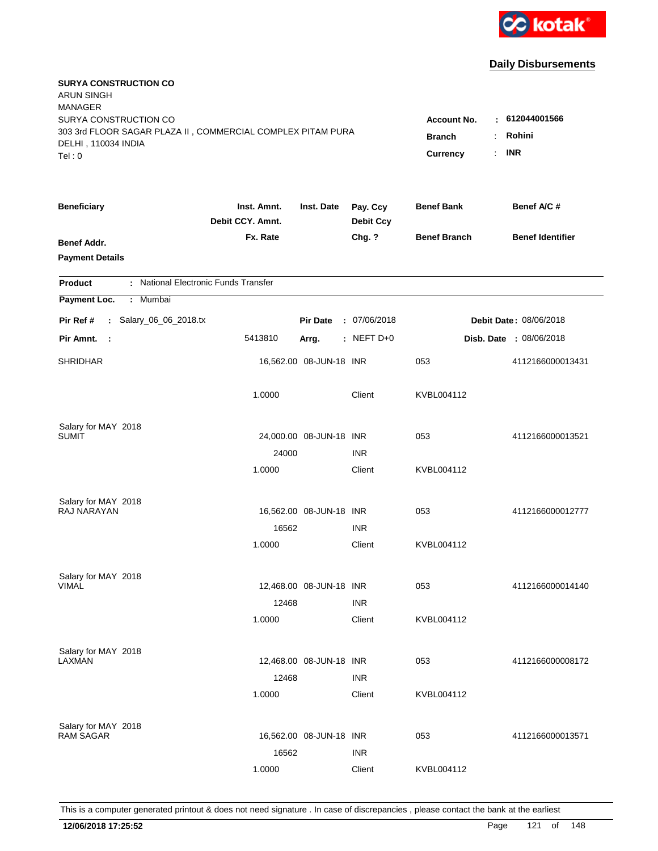

| <b>SURYA CONSTRUCTION CO</b><br><b>ARUN SINGH</b><br><b>MANAGER</b><br>SURYA CONSTRUCTION CO |                                 |                                  |                              | <b>Account No.</b>  | $-612044001566$         |
|----------------------------------------------------------------------------------------------|---------------------------------|----------------------------------|------------------------------|---------------------|-------------------------|
| 303 3rd FLOOR SAGAR PLAZA II, COMMERCIAL COMPLEX PITAM PURA<br>DELHI, 110034 INDIA<br>Tel: 0 | <b>Branch</b><br>Currency       | Rohini<br>÷.<br><b>INR</b><br>÷. |                              |                     |                         |
| <b>Beneficiary</b>                                                                           | Inst. Amnt.<br>Debit CCY. Amnt. | Inst. Date                       | Pay. Ccy<br><b>Debit Ccy</b> | <b>Benef Bank</b>   | Benef A/C #             |
| Benef Addr.<br><b>Payment Details</b>                                                        | Fx. Rate                        |                                  | Chg. ?                       | <b>Benef Branch</b> | <b>Benef Identifier</b> |
| : National Electronic Funds Transfer<br><b>Product</b>                                       |                                 |                                  |                              |                     |                         |
| Payment Loc.<br>: Mumbai                                                                     |                                 |                                  |                              |                     |                         |
| : Salary_06_06_2018.tx<br>Pir Ref #                                                          |                                 | <b>Pir Date</b>                  | : 07/06/2018                 |                     | Debit Date: 08/06/2018  |
| Pir Amnt. :                                                                                  | 5413810                         | Arrg.                            | $:$ NEFT D+0                 |                     | Disb. Date : 08/06/2018 |
| <b>SHRIDHAR</b>                                                                              |                                 | 16,562.00 08-JUN-18 INR          |                              | 053                 | 4112166000013431        |
|                                                                                              | 1.0000                          |                                  | Client                       | KVBL004112          |                         |
| Salary for MAY 2018<br><b>SUMIT</b>                                                          |                                 | 24,000.00 08-JUN-18 INR          |                              |                     |                         |
|                                                                                              | 24000                           |                                  | <b>INR</b>                   | 053                 | 4112166000013521        |
|                                                                                              | 1.0000                          |                                  | Client                       | KVBL004112          |                         |
| Salary for MAY 2018                                                                          |                                 |                                  |                              |                     |                         |
| RAJ NARAYAN                                                                                  |                                 | 16,562.00 08-JUN-18 INR          |                              | 053                 | 4112166000012777        |
|                                                                                              | 16562                           |                                  | <b>INR</b>                   |                     |                         |
|                                                                                              | 1.0000                          |                                  | Client                       | KVBL004112          |                         |
| Salary for MAY 2018                                                                          |                                 |                                  |                              |                     |                         |
| <b>VIMAL</b>                                                                                 |                                 | 12,468.00 08-JUN-18 INR          |                              | 053                 | 4112166000014140        |
|                                                                                              | 12468                           |                                  | <b>INR</b>                   |                     |                         |
|                                                                                              | 1.0000                          |                                  | Client                       | KVBL004112          |                         |
| Salary for MAY 2018                                                                          |                                 |                                  |                              |                     |                         |
| LAXMAN                                                                                       |                                 | 12,468.00 08-JUN-18 INR          |                              | 053                 | 4112166000008172        |
|                                                                                              | 12468                           |                                  | <b>INR</b>                   |                     |                         |
|                                                                                              | 1.0000                          |                                  | Client                       | KVBL004112          |                         |
| Salary for MAY 2018                                                                          |                                 |                                  |                              |                     |                         |
| <b>RAM SAGAR</b>                                                                             |                                 | 16,562.00 08-JUN-18 INR          |                              | 053                 | 4112166000013571        |
|                                                                                              | 16562                           |                                  | <b>INR</b>                   |                     |                         |
|                                                                                              | 1.0000                          |                                  | Client                       | KVBL004112          |                         |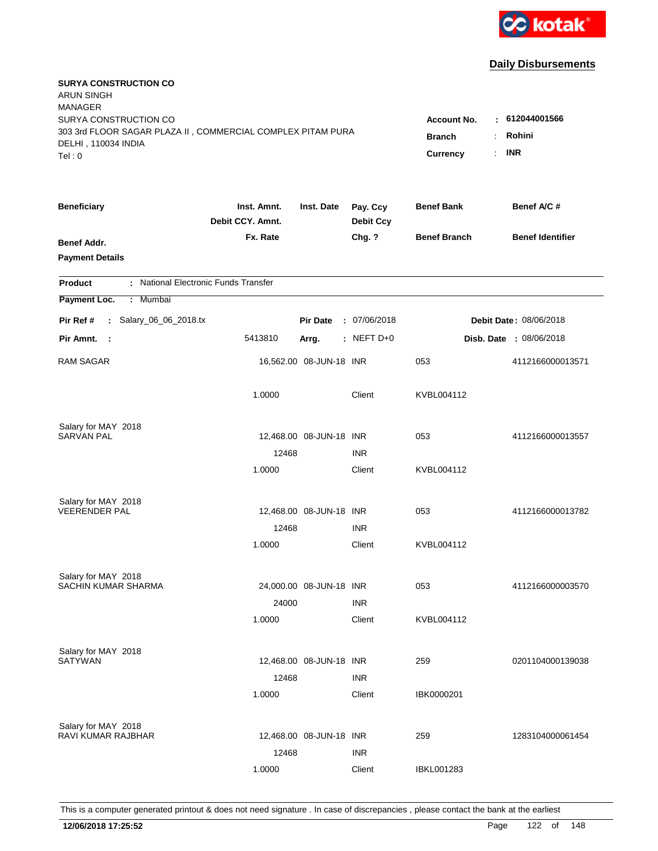

| <b>SURYA CONSTRUCTION CO</b><br><b>ARUN SINGH</b><br><b>MANAGER</b>                                                   |                                                 |                                                     |                              |                     |                               |
|-----------------------------------------------------------------------------------------------------------------------|-------------------------------------------------|-----------------------------------------------------|------------------------------|---------------------|-------------------------------|
| SURYA CONSTRUCTION CO<br>303 3rd FLOOR SAGAR PLAZA II, COMMERCIAL COMPLEX PITAM PURA<br>DELHI, 110034 INDIA<br>Tel: 0 | <b>Account No.</b><br><b>Branch</b><br>Currency | $-612044001566$<br>Rohini<br>÷.<br><b>INR</b><br>÷. |                              |                     |                               |
| <b>Beneficiary</b>                                                                                                    | Inst. Amnt.<br>Debit CCY. Amnt.                 | Inst. Date                                          | Pay. Ccy<br><b>Debit Ccy</b> | <b>Benef Bank</b>   | Benef A/C#                    |
| Benef Addr.<br><b>Payment Details</b>                                                                                 | Fx. Rate                                        |                                                     | Chg. ?                       | <b>Benef Branch</b> | <b>Benef Identifier</b>       |
| : National Electronic Funds Transfer<br><b>Product</b>                                                                |                                                 |                                                     |                              |                     |                               |
| Payment Loc.<br>: Mumbai                                                                                              |                                                 |                                                     |                              |                     |                               |
| : Salary_06_06_2018.tx<br>Pir Ref #                                                                                   |                                                 | <b>Pir Date</b>                                     | : 07/06/2018                 |                     | <b>Debit Date: 08/06/2018</b> |
| Pir Amnt. :                                                                                                           | 5413810                                         | Arrg.                                               | $:$ NEFT D+0                 |                     | Disb. Date : 08/06/2018       |
| <b>RAM SAGAR</b>                                                                                                      |                                                 | 16,562.00 08-JUN-18 INR                             |                              | 053                 | 4112166000013571              |
|                                                                                                                       | 1.0000                                          |                                                     | Client                       | KVBL004112          |                               |
| Salary for MAY 2018                                                                                                   |                                                 |                                                     |                              |                     |                               |
| <b>SARVAN PAL</b>                                                                                                     |                                                 | 12,468.00 08-JUN-18 INR                             |                              | 053                 | 4112166000013557              |
|                                                                                                                       | 12468                                           |                                                     | <b>INR</b>                   |                     |                               |
|                                                                                                                       | 1.0000                                          |                                                     | Client                       | KVBL004112          |                               |
| Salary for MAY 2018                                                                                                   |                                                 |                                                     |                              |                     |                               |
| <b>VEERENDER PAL</b>                                                                                                  |                                                 | 12,468.00 08-JUN-18 INR                             |                              | 053                 | 4112166000013782              |
|                                                                                                                       | 12468                                           |                                                     | <b>INR</b>                   |                     |                               |
|                                                                                                                       | 1.0000                                          |                                                     | Client                       | KVBL004112          |                               |
| Salary for MAY 2018                                                                                                   |                                                 |                                                     |                              |                     |                               |
| SACHIN KUMAR SHARMA                                                                                                   |                                                 | 24,000.00 08-JUN-18 INR                             |                              | 053                 | 4112166000003570              |
|                                                                                                                       | 24000                                           |                                                     | <b>INR</b>                   |                     |                               |
|                                                                                                                       | 1.0000                                          |                                                     | Client                       | KVBL004112          |                               |
| Salary for MAY 2018                                                                                                   |                                                 |                                                     |                              |                     |                               |
| <b>SATYWAN</b>                                                                                                        |                                                 | 12,468.00 08-JUN-18 INR                             |                              | 259                 | 0201104000139038              |
|                                                                                                                       | 12468                                           |                                                     | <b>INR</b>                   |                     |                               |
|                                                                                                                       | 1.0000                                          |                                                     | Client                       | IBK0000201          |                               |
| Salary for MAY 2018                                                                                                   |                                                 |                                                     |                              |                     |                               |
| RAVI KUMAR RAJBHAR                                                                                                    |                                                 | 12,468.00 08-JUN-18 INR                             |                              | 259                 | 1283104000061454              |
|                                                                                                                       | 12468                                           |                                                     | <b>INR</b>                   |                     |                               |
|                                                                                                                       | 1.0000                                          |                                                     | Client                       | <b>IBKL001283</b>   |                               |
|                                                                                                                       |                                                 |                                                     |                              |                     |                               |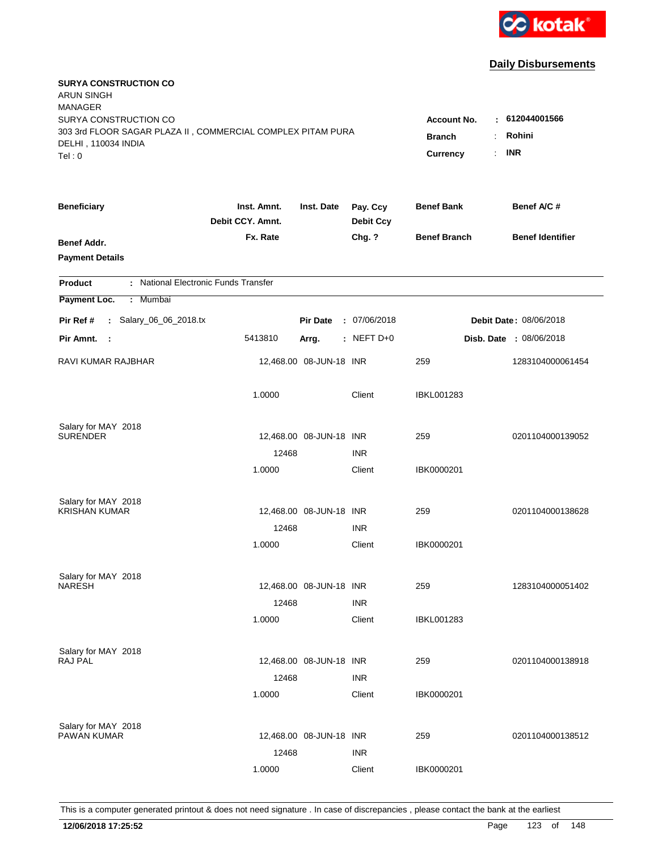

| <b>SURYA CONSTRUCTION CO</b><br><b>ARUN SINGH</b><br><b>MANAGER</b><br>SURYA CONSTRUCTION CO<br>303 3rd FLOOR SAGAR PLAZA II, COMMERCIAL COMPLEX PITAM PURA<br>DELHI, 110034 INDIA<br>Tel: 0 | <b>Account No.</b><br><b>Branch</b><br>$\ddot{\cdot}$<br><b>Currency</b> | $-612044001566$<br>Rohini<br><b>INR</b><br>÷. |                              |                     |                                |
|----------------------------------------------------------------------------------------------------------------------------------------------------------------------------------------------|--------------------------------------------------------------------------|-----------------------------------------------|------------------------------|---------------------|--------------------------------|
| <b>Beneficiary</b>                                                                                                                                                                           | Inst. Amnt.<br>Debit CCY. Amnt.                                          | Inst. Date                                    | Pay. Ccy<br><b>Debit Ccy</b> | <b>Benef Bank</b>   | Benef A/C #                    |
| Benef Addr.<br><b>Payment Details</b>                                                                                                                                                        | Fx. Rate                                                                 |                                               | Chg. ?                       | <b>Benef Branch</b> | <b>Benef Identifier</b>        |
| : National Electronic Funds Transfer<br><b>Product</b>                                                                                                                                       |                                                                          |                                               |                              |                     |                                |
| Payment Loc.<br>Mumbai<br>÷.                                                                                                                                                                 |                                                                          |                                               |                              |                     |                                |
| : Salary_06_06_2018.tx<br>Pir Ref #                                                                                                                                                          |                                                                          | <b>Pir Date</b>                               | : 07/06/2018                 |                     | Debit Date: 08/06/2018         |
| Pir Amnt.<br>- 1                                                                                                                                                                             | 5413810                                                                  | Arrg.                                         | $:$ NEFT D+0                 |                     | <b>Disb. Date : 08/06/2018</b> |
| RAVI KUMAR RAJBHAR                                                                                                                                                                           |                                                                          | 12,468.00 08-JUN-18 INR                       |                              | 259                 | 1283104000061454               |
|                                                                                                                                                                                              | 1.0000                                                                   |                                               | Client                       | <b>IBKL001283</b>   |                                |
| Salary for MAY 2018<br><b>SURENDER</b>                                                                                                                                                       |                                                                          | 12,468.00 08-JUN-18 INR                       |                              | 259                 | 0201104000139052               |
|                                                                                                                                                                                              | 12468                                                                    |                                               | <b>INR</b>                   |                     |                                |
|                                                                                                                                                                                              | 1.0000                                                                   |                                               | Client                       | IBK0000201          |                                |
| Salary for MAY 2018                                                                                                                                                                          |                                                                          |                                               |                              |                     |                                |
| <b>KRISHAN KUMAR</b>                                                                                                                                                                         |                                                                          | 12,468.00 08-JUN-18 INR                       |                              | 259                 | 0201104000138628               |
|                                                                                                                                                                                              | 12468                                                                    |                                               | <b>INR</b>                   |                     |                                |
|                                                                                                                                                                                              | 1.0000                                                                   |                                               | Client                       | IBK0000201          |                                |
| Salary for MAY 2018                                                                                                                                                                          |                                                                          |                                               |                              |                     |                                |
| <b>NARESH</b>                                                                                                                                                                                |                                                                          | 12,468.00 08-JUN-18 INR                       |                              | 259                 | 1283104000051402               |
|                                                                                                                                                                                              | 12468                                                                    |                                               | <b>INR</b>                   |                     |                                |
|                                                                                                                                                                                              | 1.0000                                                                   |                                               | Client                       | <b>IBKL001283</b>   |                                |
| Salary for MAY 2018                                                                                                                                                                          |                                                                          |                                               |                              |                     |                                |
| RAJ PAL                                                                                                                                                                                      |                                                                          | 12,468.00 08-JUN-18 INR                       |                              | 259                 | 0201104000138918               |
|                                                                                                                                                                                              | 12468<br>1.0000                                                          |                                               | <b>INR</b><br>Client         | IBK0000201          |                                |
|                                                                                                                                                                                              |                                                                          |                                               |                              |                     |                                |
| Salary for MAY 2018                                                                                                                                                                          |                                                                          |                                               |                              |                     |                                |
| PAWAN KUMAR                                                                                                                                                                                  |                                                                          | 12,468.00 08-JUN-18 INR                       |                              | 259                 | 0201104000138512               |
|                                                                                                                                                                                              | 12468                                                                    |                                               | <b>INR</b>                   |                     |                                |
|                                                                                                                                                                                              | 1.0000                                                                   |                                               | Client                       | IBK0000201          |                                |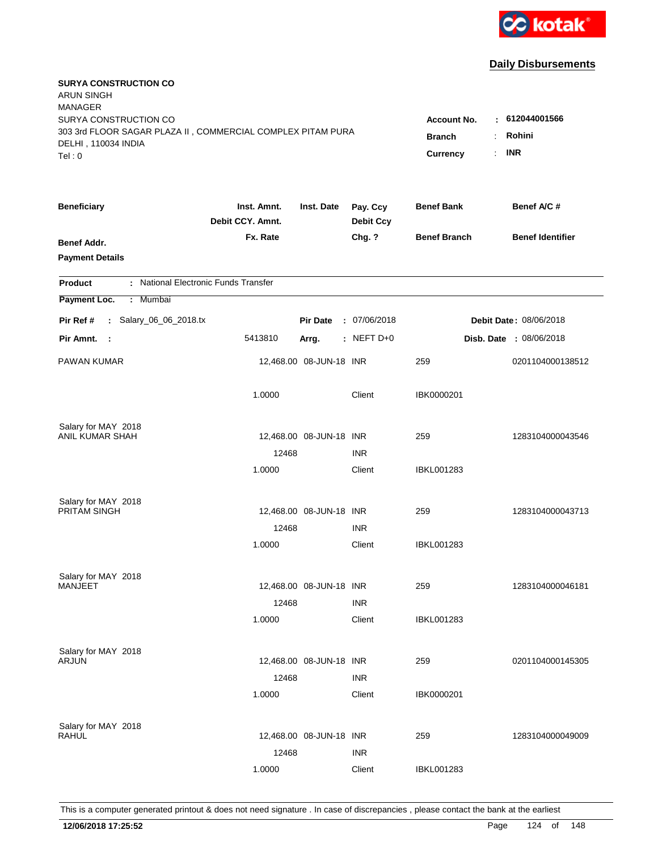

| <b>SURYA CONSTRUCTION CO</b><br><b>ARUN SINGH</b><br><b>MANAGER</b>                                                   |                                                 |                                                     |                              |                     |                         |
|-----------------------------------------------------------------------------------------------------------------------|-------------------------------------------------|-----------------------------------------------------|------------------------------|---------------------|-------------------------|
| SURYA CONSTRUCTION CO<br>303 3rd FLOOR SAGAR PLAZA II, COMMERCIAL COMPLEX PITAM PURA<br>DELHI, 110034 INDIA<br>Tel: 0 | <b>Account No.</b><br><b>Branch</b><br>Currency | $-612044001566$<br>Rohini<br>÷.<br><b>INR</b><br>÷. |                              |                     |                         |
| <b>Beneficiary</b>                                                                                                    | Inst. Amnt.<br>Debit CCY. Amnt.                 | Inst. Date                                          | Pay. Ccy<br><b>Debit Ccy</b> | <b>Benef Bank</b>   | Benef A/C#              |
| Benef Addr.<br><b>Payment Details</b>                                                                                 | Fx. Rate                                        |                                                     | Chg. ?                       | <b>Benef Branch</b> | <b>Benef Identifier</b> |
| : National Electronic Funds Transfer<br><b>Product</b>                                                                |                                                 |                                                     |                              |                     |                         |
| Payment Loc.<br>: Mumbai                                                                                              |                                                 |                                                     |                              |                     |                         |
| : Salary_06_06_2018.tx<br>Pir Ref #                                                                                   |                                                 | <b>Pir Date</b>                                     | : 07/06/2018                 |                     | Debit Date: 08/06/2018  |
| Pir Amnt. :                                                                                                           | 5413810                                         | Arrg.                                               | $:$ NEFT D+0                 |                     | Disb. Date : 08/06/2018 |
| PAWAN KUMAR                                                                                                           |                                                 | 12,468.00 08-JUN-18 INR                             |                              | 259                 | 0201104000138512        |
|                                                                                                                       | 1.0000                                          |                                                     | Client                       | IBK0000201          |                         |
| Salary for MAY 2018                                                                                                   |                                                 |                                                     |                              |                     |                         |
| ANIL KUMAR SHAH                                                                                                       |                                                 | 12,468.00 08-JUN-18 INR                             |                              | 259                 | 1283104000043546        |
|                                                                                                                       | 12468<br>1.0000                                 |                                                     | <b>INR</b><br>Client         | IBKL001283          |                         |
|                                                                                                                       |                                                 |                                                     |                              |                     |                         |
| Salary for MAY 2018                                                                                                   |                                                 |                                                     |                              |                     |                         |
| PRITAM SINGH                                                                                                          |                                                 | 12,468.00 08-JUN-18 INR                             |                              | 259                 | 1283104000043713        |
|                                                                                                                       | 12468                                           |                                                     | <b>INR</b>                   |                     |                         |
|                                                                                                                       | 1.0000                                          |                                                     | Client                       | IBKL001283          |                         |
| Salary for MAY 2018                                                                                                   |                                                 |                                                     |                              |                     |                         |
| <b>MANJEET</b>                                                                                                        |                                                 | 12,468.00 08-JUN-18 INR                             |                              | 259                 | 1283104000046181        |
|                                                                                                                       | 12468                                           |                                                     | <b>INR</b>                   |                     |                         |
|                                                                                                                       | 1.0000                                          |                                                     | Client                       | <b>IBKL001283</b>   |                         |
| Salary for MAY 2018                                                                                                   |                                                 |                                                     |                              |                     |                         |
| <b>ARJUN</b>                                                                                                          |                                                 | 12,468.00 08-JUN-18 INR                             |                              | 259                 | 0201104000145305        |
|                                                                                                                       | 12468                                           |                                                     | <b>INR</b>                   |                     |                         |
|                                                                                                                       | 1.0000                                          |                                                     | Client                       | IBK0000201          |                         |
|                                                                                                                       |                                                 |                                                     |                              |                     |                         |
| Salary for MAY 2018<br><b>RAHUL</b>                                                                                   |                                                 | 12,468.00 08-JUN-18 INR                             |                              | 259                 | 1283104000049009        |
|                                                                                                                       | 12468                                           |                                                     | <b>INR</b>                   |                     |                         |
|                                                                                                                       | 1.0000                                          |                                                     | Client                       | <b>IBKL001283</b>   |                         |
|                                                                                                                       |                                                 |                                                     |                              |                     |                         |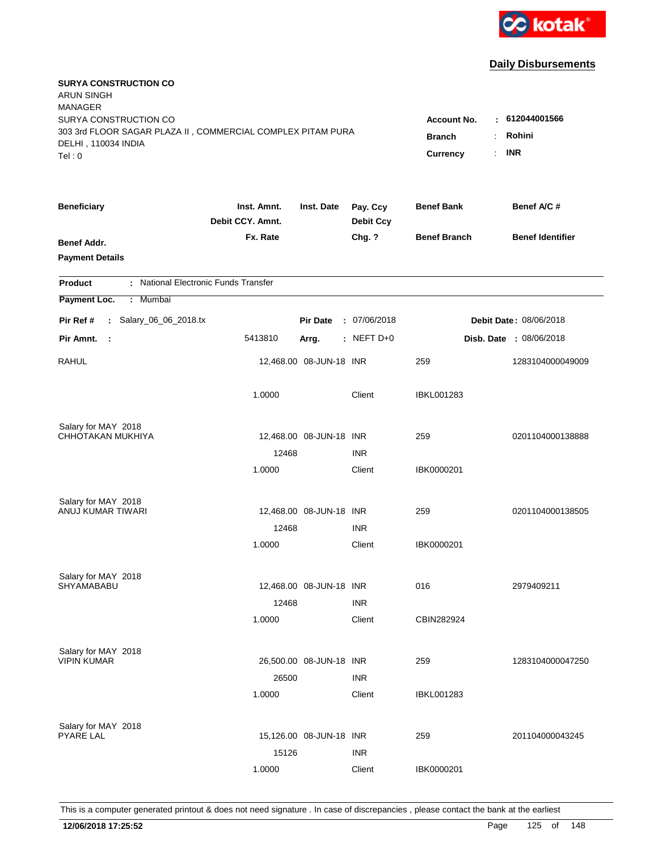

| <b>SURYA CONSTRUCTION CO</b><br><b>ARUN SINGH</b><br><b>MANAGER</b> |                                 |                         |                              |                     |                                |
|---------------------------------------------------------------------|---------------------------------|-------------------------|------------------------------|---------------------|--------------------------------|
| SURYA CONSTRUCTION CO                                               |                                 |                         |                              | <b>Account No.</b>  | : 612044001566                 |
| 303 3rd FLOOR SAGAR PLAZA II, COMMERCIAL COMPLEX PITAM PURA         | <b>Branch</b><br>÷              | Rohini                  |                              |                     |                                |
| DELHI, 110034 INDIA                                                 |                                 |                         |                              | Currency<br>÷.      | <b>INR</b>                     |
| Tel: 0                                                              |                                 |                         |                              |                     |                                |
| <b>Beneficiary</b>                                                  | Inst. Amnt.<br>Debit CCY. Amnt. | Inst. Date              | Pay. Ccy<br><b>Debit Ccy</b> | <b>Benef Bank</b>   | Benef A/C #                    |
| Benef Addr.                                                         | Fx. Rate                        |                         | Chg. ?                       | <b>Benef Branch</b> | <b>Benef Identifier</b>        |
| <b>Payment Details</b>                                              |                                 |                         |                              |                     |                                |
| : National Electronic Funds Transfer<br><b>Product</b>              |                                 |                         |                              |                     |                                |
| Payment Loc.<br>Mumbai<br>÷.                                        |                                 |                         |                              |                     |                                |
| : Salary_06_06_2018.tx<br>Pir Ref #                                 |                                 | <b>Pir Date</b>         | : 07/06/2018                 |                     | Debit Date: 08/06/2018         |
| Pir Amnt.<br>- 1                                                    | 5413810                         | Arrg.                   | : NEFT D+0                   |                     | <b>Disb. Date : 08/06/2018</b> |
| <b>RAHUL</b>                                                        |                                 | 12,468.00 08-JUN-18 INR |                              | 259                 | 1283104000049009               |
|                                                                     | 1.0000                          |                         | Client                       | <b>IBKL001283</b>   |                                |
| Salary for MAY 2018                                                 |                                 |                         |                              |                     |                                |
| CHHOTAKAN MUKHIYA                                                   |                                 | 12,468.00 08-JUN-18 INR |                              | 259                 | 0201104000138888               |
|                                                                     | 12468                           |                         | <b>INR</b>                   |                     |                                |
|                                                                     | 1.0000                          |                         | Client                       | IBK0000201          |                                |
| Salary for MAY 2018                                                 |                                 |                         |                              |                     |                                |
| ANUJ KUMAR TIWARI                                                   |                                 | 12,468.00 08-JUN-18 INR |                              | 259                 | 0201104000138505               |
|                                                                     | 12468                           |                         | <b>INR</b>                   |                     |                                |
|                                                                     | 1.0000                          |                         | Client                       | IBK0000201          |                                |
| Salary for MAY 2018                                                 |                                 |                         |                              |                     |                                |
| SHYAMABABU                                                          |                                 | 12,468.00 08-JUN-18 INR |                              | 016                 | 2979409211                     |
|                                                                     | 12468                           |                         | <b>INR</b>                   |                     |                                |
|                                                                     | 1.0000                          |                         | Client                       | CBIN282924          |                                |
| Salary for MAY 2018                                                 |                                 |                         |                              |                     |                                |
| <b>VIPIN KUMAR</b>                                                  |                                 | 26,500.00 08-JUN-18 INR |                              | 259                 | 1283104000047250               |
|                                                                     | 26500                           |                         | <b>INR</b>                   |                     |                                |
|                                                                     | 1.0000                          |                         | Client                       | <b>IBKL001283</b>   |                                |
| Salary for MAY 2018                                                 |                                 |                         |                              |                     |                                |
| <b>PYARE LAL</b>                                                    |                                 | 15,126.00 08-JUN-18 INR |                              | 259                 | 201104000043245                |
|                                                                     | 15126                           |                         | <b>INR</b>                   |                     |                                |
|                                                                     | 1.0000                          |                         | Client                       | IBK0000201          |                                |
|                                                                     |                                 |                         |                              |                     |                                |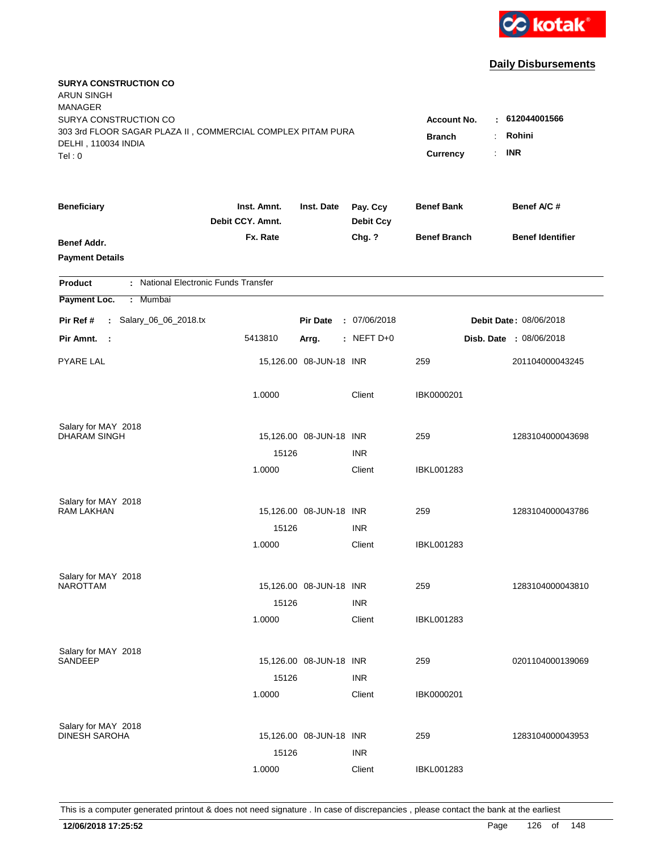

| <b>SURYA CONSTRUCTION CO</b><br><b>ARUN SINGH</b><br><b>MANAGER</b><br>SURYA CONSTRUCTION CO |                                 |                                  |                              | <b>Account No.</b>  | $-612044001566$         |
|----------------------------------------------------------------------------------------------|---------------------------------|----------------------------------|------------------------------|---------------------|-------------------------|
| 303 3rd FLOOR SAGAR PLAZA II, COMMERCIAL COMPLEX PITAM PURA<br>DELHI, 110034 INDIA<br>Tel: 0 | <b>Branch</b><br>Currency       | Rohini<br>÷.<br><b>INR</b><br>÷. |                              |                     |                         |
| <b>Beneficiary</b>                                                                           | Inst. Amnt.<br>Debit CCY. Amnt. | Inst. Date                       | Pay. Ccy<br><b>Debit Ccy</b> | <b>Benef Bank</b>   | Benef A/C#              |
| Benef Addr.<br><b>Payment Details</b>                                                        | Fx. Rate                        |                                  | Chg. ?                       | <b>Benef Branch</b> | <b>Benef Identifier</b> |
| : National Electronic Funds Transfer<br><b>Product</b>                                       |                                 |                                  |                              |                     |                         |
| Payment Loc.<br>: Mumbai                                                                     |                                 |                                  |                              |                     |                         |
| : Salary_06_06_2018.tx<br>Pir Ref #                                                          |                                 | <b>Pir Date</b>                  | : 07/06/2018                 |                     | Debit Date: 08/06/2018  |
| Pir Amnt. :                                                                                  | 5413810                         | Arrg.                            | $:$ NEFT D+0                 |                     | Disb. Date : 08/06/2018 |
| PYARE LAL                                                                                    |                                 | 15,126.00 08-JUN-18 INR          |                              | 259                 | 201104000043245         |
|                                                                                              | 1.0000                          |                                  | Client                       | IBK0000201          |                         |
| Salary for MAY 2018                                                                          |                                 |                                  |                              |                     |                         |
| <b>DHARAM SINGH</b>                                                                          | 15126                           | 15,126.00 08-JUN-18 INR          | <b>INR</b>                   | 259                 | 1283104000043698        |
|                                                                                              | 1.0000                          |                                  | Client                       | IBKL001283          |                         |
| Salary for MAY 2018                                                                          |                                 |                                  |                              |                     |                         |
| <b>RAM LAKHAN</b>                                                                            |                                 | 15,126.00 08-JUN-18 INR          |                              | 259                 | 1283104000043786        |
|                                                                                              | 15126                           |                                  | <b>INR</b>                   |                     |                         |
|                                                                                              | 1.0000                          |                                  | Client                       | IBKL001283          |                         |
| Salary for MAY 2018                                                                          |                                 |                                  |                              |                     |                         |
| <b>NAROTTAM</b>                                                                              |                                 | 15,126.00 08-JUN-18 INR          |                              | 259                 | 1283104000043810        |
|                                                                                              | 15126                           |                                  | <b>INR</b>                   |                     |                         |
|                                                                                              | 1.0000                          |                                  | Client                       | <b>IBKL001283</b>   |                         |
| Salary for MAY 2018<br>SANDEEP                                                               |                                 |                                  |                              |                     |                         |
|                                                                                              |                                 | 15,126.00 08-JUN-18 INR          |                              | 259                 | 0201104000139069        |
|                                                                                              | 15126<br>1.0000                 |                                  | <b>INR</b><br>Client         | IBK0000201          |                         |
|                                                                                              |                                 |                                  |                              |                     |                         |
| Salary for MAY 2018<br><b>DINESH SAROHA</b>                                                  |                                 | 15,126.00 08-JUN-18 INR          |                              | 259                 | 1283104000043953        |
|                                                                                              | 15126                           |                                  | <b>INR</b>                   |                     |                         |
|                                                                                              | 1.0000                          |                                  | Client                       | <b>IBKL001283</b>   |                         |
|                                                                                              |                                 |                                  |                              |                     |                         |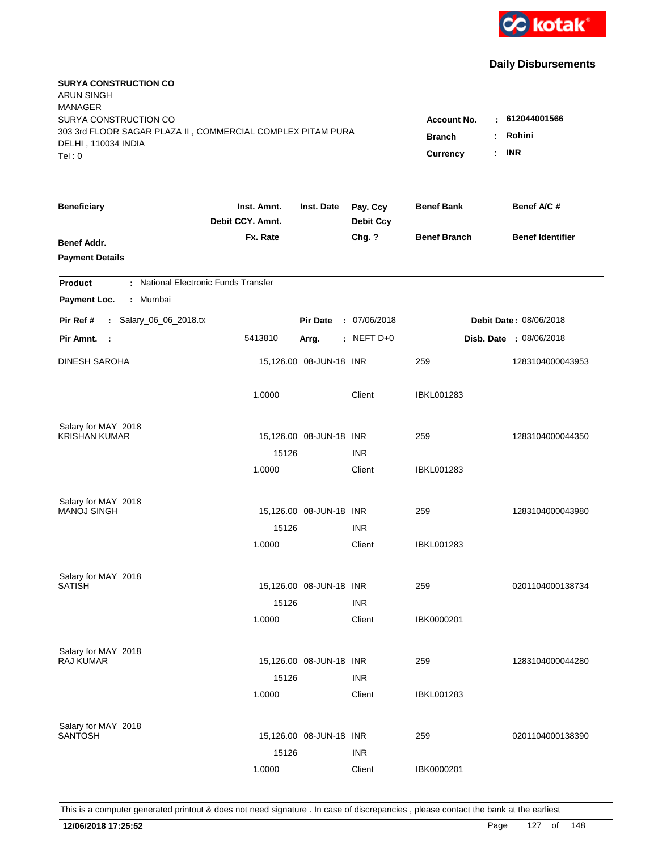

| <b>SURYA CONSTRUCTION CO</b><br><b>ARUN SINGH</b><br><b>MANAGER</b><br>SURYA CONSTRUCTION CO<br>303 3rd FLOOR SAGAR PLAZA II, COMMERCIAL COMPLEX PITAM PURA<br>DELHI, 110034 INDIA<br>Tel: 0 | <b>Account No.</b><br><b>Branch</b><br>$\ddot{\cdot}$<br><b>Currency</b><br>÷. | $-612044001566$<br>Rohini<br><b>INR</b> |                              |                     |                                |
|----------------------------------------------------------------------------------------------------------------------------------------------------------------------------------------------|--------------------------------------------------------------------------------|-----------------------------------------|------------------------------|---------------------|--------------------------------|
| <b>Beneficiary</b>                                                                                                                                                                           | Inst. Amnt.<br>Debit CCY. Amnt.                                                | Inst. Date                              | Pay. Ccy<br><b>Debit Ccy</b> | <b>Benef Bank</b>   | Benef A/C #                    |
| Benef Addr.<br><b>Payment Details</b>                                                                                                                                                        | Fx. Rate                                                                       |                                         | Chg. ?                       | <b>Benef Branch</b> | <b>Benef Identifier</b>        |
| : National Electronic Funds Transfer<br><b>Product</b>                                                                                                                                       |                                                                                |                                         |                              |                     |                                |
| Payment Loc.<br>Mumbai<br>$\mathbb{C}^{\times}$                                                                                                                                              |                                                                                |                                         |                              |                     |                                |
| : Salary_06_06_2018.tx<br>Pir Ref #                                                                                                                                                          |                                                                                | <b>Pir Date</b>                         | : 07/06/2018                 |                     | Debit Date: 08/06/2018         |
| Pir Amnt.<br>- 1                                                                                                                                                                             | 5413810                                                                        | Arrg.                                   | : NEFT $D+0$                 |                     | <b>Disb. Date : 08/06/2018</b> |
| <b>DINESH SAROHA</b>                                                                                                                                                                         |                                                                                | 15,126.00 08-JUN-18 INR                 |                              | 259                 | 1283104000043953               |
|                                                                                                                                                                                              | 1.0000                                                                         |                                         | Client                       | <b>IBKL001283</b>   |                                |
| Salary for MAY 2018                                                                                                                                                                          |                                                                                |                                         |                              |                     |                                |
| <b>KRISHAN KUMAR</b>                                                                                                                                                                         | 15126                                                                          | 15,126.00 08-JUN-18 INR                 | <b>INR</b>                   | 259                 | 1283104000044350               |
|                                                                                                                                                                                              | 1.0000                                                                         |                                         | Client                       | IBKL001283          |                                |
|                                                                                                                                                                                              |                                                                                |                                         |                              |                     |                                |
| Salary for MAY 2018<br><b>MANOJ SINGH</b>                                                                                                                                                    |                                                                                | 15,126.00 08-JUN-18 INR                 |                              | 259                 | 1283104000043980               |
|                                                                                                                                                                                              | 15126                                                                          |                                         | <b>INR</b>                   |                     |                                |
|                                                                                                                                                                                              | 1.0000                                                                         |                                         | Client                       | <b>IBKL001283</b>   |                                |
|                                                                                                                                                                                              |                                                                                |                                         |                              |                     |                                |
| Salary for MAY 2018<br><b>SATISH</b>                                                                                                                                                         |                                                                                | 15,126.00 08-JUN-18 INR                 |                              | 259                 | 0201104000138734               |
|                                                                                                                                                                                              | 15126                                                                          |                                         | <b>INR</b>                   |                     |                                |
|                                                                                                                                                                                              | 1.0000                                                                         |                                         | Client                       | IBK0000201          |                                |
|                                                                                                                                                                                              |                                                                                |                                         |                              |                     |                                |
| Salary for MAY 2018<br>RAJ KUMAR                                                                                                                                                             |                                                                                | 15,126.00 08-JUN-18 INR                 |                              | 259                 | 1283104000044280               |
|                                                                                                                                                                                              | 15126                                                                          |                                         | <b>INR</b>                   |                     |                                |
|                                                                                                                                                                                              | 1.0000                                                                         |                                         | Client                       | <b>IBKL001283</b>   |                                |
|                                                                                                                                                                                              |                                                                                |                                         |                              |                     |                                |
| Salary for MAY 2018<br><b>SANTOSH</b>                                                                                                                                                        |                                                                                | 15,126.00 08-JUN-18 INR                 |                              | 259                 | 0201104000138390               |
|                                                                                                                                                                                              | 15126                                                                          |                                         | <b>INR</b>                   |                     |                                |
|                                                                                                                                                                                              | 1.0000                                                                         |                                         | Client                       | IBK0000201          |                                |
|                                                                                                                                                                                              |                                                                                |                                         |                              |                     |                                |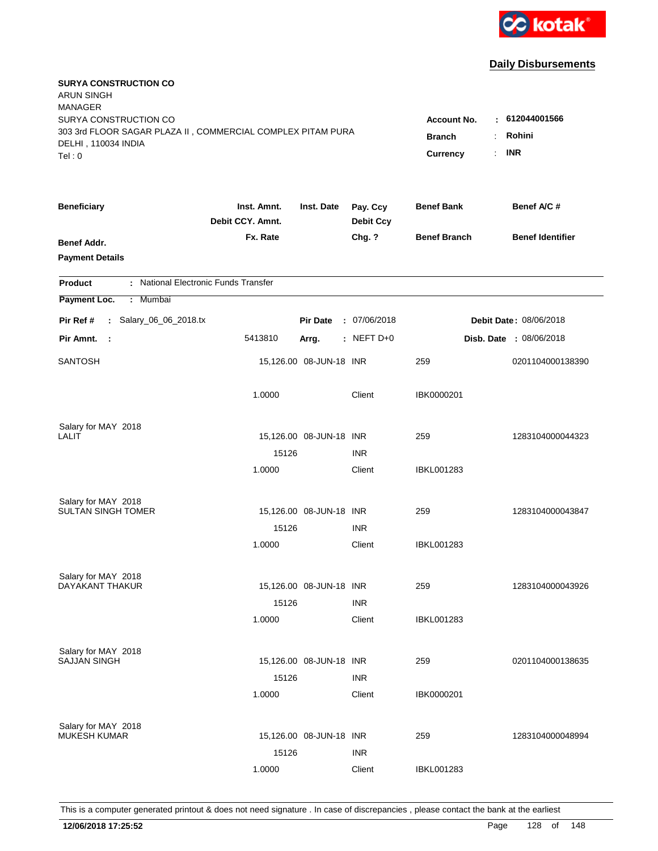

| <b>SURYA CONSTRUCTION CO</b><br><b>ARUN SINGH</b><br><b>MANAGER</b>                                                   |                                                                                          |                                        |                      |                     |                                |
|-----------------------------------------------------------------------------------------------------------------------|------------------------------------------------------------------------------------------|----------------------------------------|----------------------|---------------------|--------------------------------|
| SURYA CONSTRUCTION CO<br>303 3rd FLOOR SAGAR PLAZA II, COMMERCIAL COMPLEX PITAM PURA<br>DELHI, 110034 INDIA<br>Tel: 0 | <b>Account No.</b><br><b>Branch</b><br>÷<br>$\mathbb{R}^{\mathbb{Z}}$<br><b>Currency</b> | : 612044001566<br>Rohini<br><b>INR</b> |                      |                     |                                |
| <b>Beneficiary</b>                                                                                                    | Inst. Amnt.                                                                              | Inst. Date                             | Pay. Ccy             | <b>Benef Bank</b>   | Benef A/C #                    |
|                                                                                                                       | Debit CCY. Amnt.                                                                         |                                        | <b>Debit Ccy</b>     |                     |                                |
| Benef Addr.<br><b>Payment Details</b>                                                                                 | Fx. Rate                                                                                 |                                        | Chg. ?               | <b>Benef Branch</b> | <b>Benef Identifier</b>        |
| : National Electronic Funds Transfer<br><b>Product</b>                                                                |                                                                                          |                                        |                      |                     |                                |
| Payment Loc.<br>Mumbai<br>÷                                                                                           |                                                                                          |                                        |                      |                     |                                |
| : Salary_06_06_2018.tx<br>Pir Ref #                                                                                   |                                                                                          | <b>Pir Date</b>                        | : 07/06/2018         |                     | Debit Date: 08/06/2018         |
| Pir Amnt.<br>$\sim$ 1                                                                                                 | 5413810                                                                                  | Arrg.                                  | : NEFT D+0           |                     | <b>Disb. Date : 08/06/2018</b> |
| <b>SANTOSH</b>                                                                                                        |                                                                                          | 15,126.00 08-JUN-18 INR                |                      | 259                 | 0201104000138390               |
|                                                                                                                       | 1.0000                                                                                   |                                        | Client               | IBK0000201          |                                |
| Salary for MAY 2018                                                                                                   |                                                                                          |                                        |                      |                     |                                |
| LALIT                                                                                                                 | 15126                                                                                    | 15,126.00 08-JUN-18 INR                | <b>INR</b>           | 259                 | 1283104000044323               |
|                                                                                                                       | 1.0000                                                                                   |                                        | Client               | IBKL001283          |                                |
| Salary for MAY 2018<br><b>SULTAN SINGH TOMER</b>                                                                      |                                                                                          |                                        |                      | 259                 | 1283104000043847               |
|                                                                                                                       | 15126                                                                                    | 15,126.00 08-JUN-18 INR                | <b>INR</b>           |                     |                                |
|                                                                                                                       | 1.0000                                                                                   |                                        | Client               | IBKL001283          |                                |
| Salary for MAY 2018                                                                                                   |                                                                                          |                                        |                      |                     |                                |
| DAYAKANT THAKUR                                                                                                       |                                                                                          | 15,126.00 08-JUN-18 INR                |                      | 259                 | 1283104000043926               |
|                                                                                                                       | 15126                                                                                    |                                        | <b>INR</b>           |                     |                                |
|                                                                                                                       | 1.0000                                                                                   |                                        | Client               | IBKL001283          |                                |
| Salary for MAY 2018                                                                                                   |                                                                                          |                                        |                      |                     |                                |
| <b>SAJJAN SINGH</b>                                                                                                   |                                                                                          | 15,126.00 08-JUN-18 INR                |                      | 259                 | 0201104000138635               |
|                                                                                                                       | 15126<br>1.0000                                                                          |                                        | <b>INR</b><br>Client | IBK0000201          |                                |
|                                                                                                                       |                                                                                          |                                        |                      |                     |                                |
| Salary for MAY 2018<br><b>MUKESH KUMAR</b>                                                                            |                                                                                          | 15,126.00 08-JUN-18 INR                |                      | 259                 | 1283104000048994               |
|                                                                                                                       | 15126                                                                                    |                                        | <b>INR</b>           |                     |                                |
|                                                                                                                       | 1.0000                                                                                   |                                        | Client               | <b>IBKL001283</b>   |                                |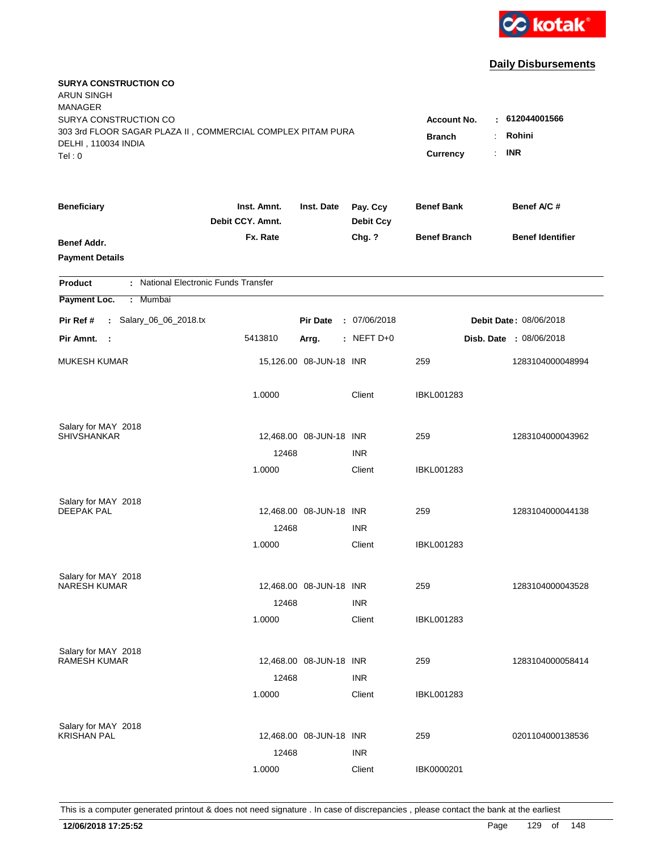

| <b>SURYA CONSTRUCTION CO</b><br><b>ARUN SINGH</b><br><b>MANAGER</b><br>SURYA CONSTRUCTION CO<br>303 3rd FLOOR SAGAR PLAZA II, COMMERCIAL COMPLEX PITAM PURA |                                 |                         |                              | <b>Account No.</b><br><b>Branch</b><br>$\ddot{\cdot}$ | $-612044001566$<br>Rohini      |
|-------------------------------------------------------------------------------------------------------------------------------------------------------------|---------------------------------|-------------------------|------------------------------|-------------------------------------------------------|--------------------------------|
| DELHI, 110034 INDIA<br>Tel: 0                                                                                                                               |                                 |                         |                              | <b>Currency</b><br>÷.                                 | <b>INR</b>                     |
| <b>Beneficiary</b>                                                                                                                                          | Inst. Amnt.<br>Debit CCY. Amnt. | Inst. Date              | Pay. Ccy<br><b>Debit Ccy</b> | <b>Benef Bank</b>                                     | Benef A/C #                    |
| Benef Addr.<br><b>Payment Details</b>                                                                                                                       | Fx. Rate                        |                         | Chg. ?                       | <b>Benef Branch</b>                                   | <b>Benef Identifier</b>        |
| : National Electronic Funds Transfer<br><b>Product</b>                                                                                                      |                                 |                         |                              |                                                       |                                |
| Payment Loc.<br>Mumbai<br>$\mathbb{C}^{\times}$                                                                                                             |                                 |                         |                              |                                                       |                                |
| : Salary_06_06_2018.tx<br>Pir Ref #                                                                                                                         |                                 | <b>Pir Date</b>         | : 07/06/2018                 |                                                       | Debit Date: 08/06/2018         |
| Pir Amnt.<br>- 1                                                                                                                                            | 5413810                         | Arrg.                   | $:$ NEFT D+0                 |                                                       | <b>Disb. Date : 08/06/2018</b> |
| <b>MUKESH KUMAR</b>                                                                                                                                         |                                 | 15,126.00 08-JUN-18 INR |                              | 259                                                   | 1283104000048994               |
|                                                                                                                                                             | 1.0000                          |                         | Client                       | <b>IBKL001283</b>                                     |                                |
| Salary for MAY 2018                                                                                                                                         |                                 |                         |                              |                                                       |                                |
| <b>SHIVSHANKAR</b>                                                                                                                                          | 12468                           | 12,468.00 08-JUN-18 INR | <b>INR</b>                   | 259                                                   | 1283104000043962               |
|                                                                                                                                                             | 1.0000                          |                         | Client                       | IBKL001283                                            |                                |
| Salary for MAY 2018                                                                                                                                         |                                 |                         |                              |                                                       |                                |
| <b>DEEPAK PAL</b>                                                                                                                                           |                                 | 12,468.00 08-JUN-18 INR |                              | 259                                                   | 1283104000044138               |
|                                                                                                                                                             | 12468                           |                         | <b>INR</b>                   |                                                       |                                |
|                                                                                                                                                             | 1.0000                          |                         | Client                       | <b>IBKL001283</b>                                     |                                |
| Salary for MAY 2018                                                                                                                                         |                                 |                         |                              |                                                       |                                |
| NARESH KUMAR                                                                                                                                                |                                 | 12,468.00 08-JUN-18 INR |                              | 259                                                   | 1283104000043528               |
|                                                                                                                                                             | 12468                           |                         | <b>INR</b>                   |                                                       |                                |
|                                                                                                                                                             | 1.0000                          |                         | Client                       | IBKL001283                                            |                                |
| Salary for MAY 2018                                                                                                                                         |                                 |                         |                              |                                                       |                                |
| RAMESH KUMAR                                                                                                                                                |                                 | 12,468.00 08-JUN-18 INR | <b>INR</b>                   | 259                                                   | 1283104000058414               |
|                                                                                                                                                             | 12468<br>1.0000                 |                         | Client                       | <b>IBKL001283</b>                                     |                                |
|                                                                                                                                                             |                                 |                         |                              |                                                       |                                |
| Salary for MAY 2018<br><b>KRISHAN PAL</b>                                                                                                                   |                                 | 12,468.00 08-JUN-18 INR |                              | 259                                                   | 0201104000138536               |
|                                                                                                                                                             | 12468                           |                         | <b>INR</b>                   |                                                       |                                |
|                                                                                                                                                             | 1.0000                          |                         | Client                       | IBK0000201                                            |                                |
|                                                                                                                                                             |                                 |                         |                              |                                                       |                                |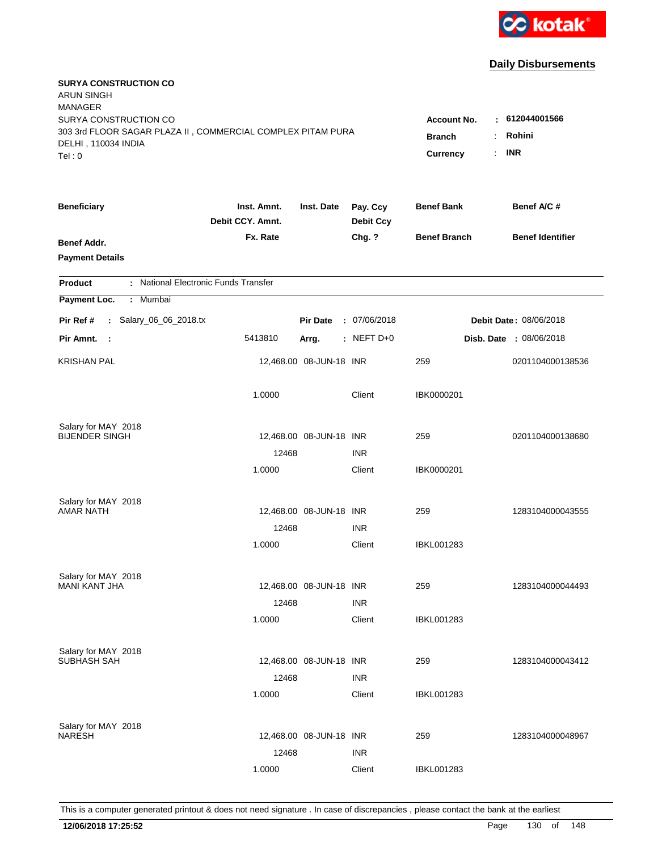

| <b>SURYA CONSTRUCTION CO</b><br><b>ARUN SINGH</b><br><b>MANAGER</b><br>SURYA CONSTRUCTION CO<br>303 3rd FLOOR SAGAR PLAZA II, COMMERCIAL COMPLEX PITAM PURA<br>DELHI, 110034 INDIA<br>Tel: 0 | <b>Account No.</b><br><b>Branch</b><br><b>Currency</b> | : 612044001566<br>Rohini<br>÷<br><b>INR</b><br>÷. |                              |                     |                                |
|----------------------------------------------------------------------------------------------------------------------------------------------------------------------------------------------|--------------------------------------------------------|---------------------------------------------------|------------------------------|---------------------|--------------------------------|
| <b>Beneficiary</b>                                                                                                                                                                           | Inst. Amnt.<br>Debit CCY. Amnt.                        | Inst. Date                                        | Pay. Ccy<br><b>Debit Ccy</b> | <b>Benef Bank</b>   | Benef A/C #                    |
| Benef Addr.<br><b>Payment Details</b>                                                                                                                                                        | Fx. Rate                                               |                                                   | Chg. ?                       | <b>Benef Branch</b> | <b>Benef Identifier</b>        |
| : National Electronic Funds Transfer<br><b>Product</b>                                                                                                                                       |                                                        |                                                   |                              |                     |                                |
| Payment Loc.<br>Mumbai<br>÷.                                                                                                                                                                 |                                                        |                                                   |                              |                     |                                |
| : Salary_06_06_2018.tx<br>Pir Ref #                                                                                                                                                          |                                                        | <b>Pir Date</b>                                   | : 07/06/2018                 |                     | Debit Date: 08/06/2018         |
| Pir Amnt.<br>$\sim$ :                                                                                                                                                                        | 5413810                                                | Arrg.                                             | : NEFT D+0                   |                     | <b>Disb. Date : 08/06/2018</b> |
| <b>KRISHAN PAL</b>                                                                                                                                                                           |                                                        | 12,468.00 08-JUN-18 INR                           |                              | 259                 | 0201104000138536               |
|                                                                                                                                                                                              | 1.0000                                                 |                                                   | Client                       | IBK0000201          |                                |
| Salary for MAY 2018<br><b>BIJENDER SINGH</b>                                                                                                                                                 |                                                        |                                                   |                              |                     |                                |
|                                                                                                                                                                                              | 12468                                                  | 12,468.00 08-JUN-18 INR                           | <b>INR</b>                   | 259                 | 0201104000138680               |
|                                                                                                                                                                                              | 1.0000                                                 |                                                   | Client                       | IBK0000201          |                                |
| Salary for MAY 2018                                                                                                                                                                          |                                                        |                                                   |                              |                     |                                |
| <b>AMAR NATH</b>                                                                                                                                                                             |                                                        | 12,468.00 08-JUN-18 INR                           |                              | 259                 | 1283104000043555               |
|                                                                                                                                                                                              | 12468                                                  |                                                   | <b>INR</b>                   |                     |                                |
|                                                                                                                                                                                              | 1.0000                                                 |                                                   | Client                       | IBKL001283          |                                |
| Salary for MAY 2018                                                                                                                                                                          |                                                        |                                                   |                              |                     |                                |
| <b>MANI KANT JHA</b>                                                                                                                                                                         |                                                        | 12,468.00 08-JUN-18 INR                           |                              | 259                 | 1283104000044493               |
|                                                                                                                                                                                              | 12468                                                  |                                                   | <b>INR</b>                   |                     |                                |
|                                                                                                                                                                                              | 1.0000                                                 |                                                   | Client                       | IBKL001283          |                                |
| Salary for MAY 2018<br>SUBHASH SAH                                                                                                                                                           |                                                        | 12,468.00 08-JUN-18 INR                           |                              | 259                 | 1283104000043412               |
|                                                                                                                                                                                              | 12468                                                  |                                                   | <b>INR</b>                   |                     |                                |
|                                                                                                                                                                                              | 1.0000                                                 |                                                   | Client                       | <b>IBKL001283</b>   |                                |
|                                                                                                                                                                                              |                                                        |                                                   |                              |                     |                                |
| Salary for MAY 2018<br><b>NARESH</b>                                                                                                                                                         |                                                        | 12,468.00 08-JUN-18 INR                           |                              | 259                 | 1283104000048967               |
|                                                                                                                                                                                              | 12468                                                  |                                                   | <b>INR</b>                   |                     |                                |
|                                                                                                                                                                                              | 1.0000                                                 |                                                   | Client                       | <b>IBKL001283</b>   |                                |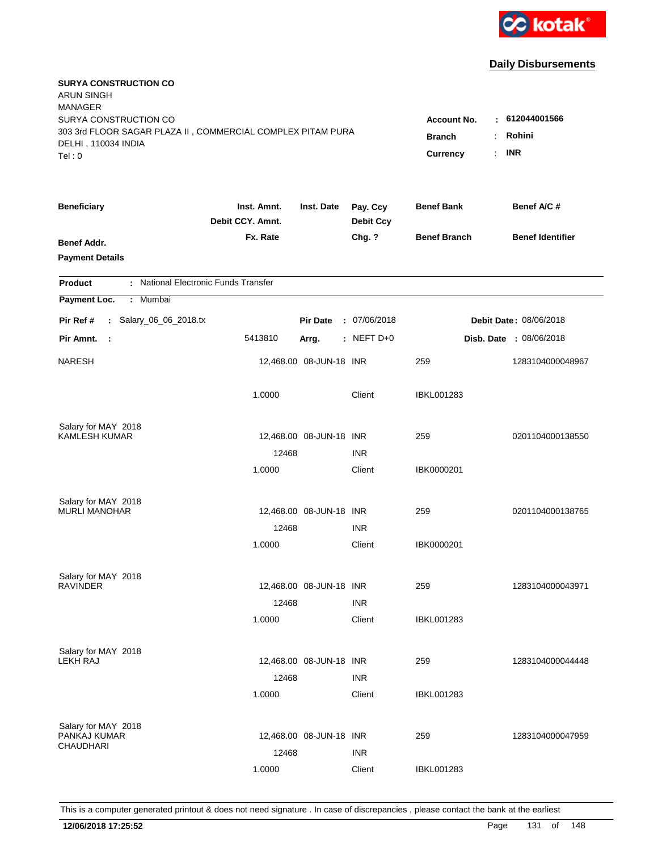

| <b>SURYA CONSTRUCTION CO</b><br><b>ARUN SINGH</b><br><b>MANAGER</b><br>SURYA CONSTRUCTION CO |                                 |                                  |                              | <b>Account No.</b>  | $-612044001566$               |
|----------------------------------------------------------------------------------------------|---------------------------------|----------------------------------|------------------------------|---------------------|-------------------------------|
| 303 3rd FLOOR SAGAR PLAZA II, COMMERCIAL COMPLEX PITAM PURA<br>DELHI, 110034 INDIA<br>Tel: 0 | <b>Branch</b><br>Currency       | Rohini<br>÷.<br><b>INR</b><br>÷. |                              |                     |                               |
| <b>Beneficiary</b>                                                                           | Inst. Amnt.<br>Debit CCY. Amnt. | Inst. Date                       | Pay. Ccy<br><b>Debit Ccy</b> | <b>Benef Bank</b>   | Benef A/C#                    |
| Benef Addr.<br><b>Payment Details</b>                                                        | Fx. Rate                        |                                  | Chg. ?                       | <b>Benef Branch</b> | <b>Benef Identifier</b>       |
| : National Electronic Funds Transfer<br><b>Product</b>                                       |                                 |                                  |                              |                     |                               |
| Payment Loc.<br>: Mumbai                                                                     |                                 |                                  |                              |                     |                               |
| : Salary_06_06_2018.tx<br>Pir Ref #                                                          |                                 | <b>Pir Date</b>                  | : 07/06/2018                 |                     | <b>Debit Date: 08/06/2018</b> |
| Pir Amnt.<br>- 1                                                                             | 5413810                         | Arrg.                            | $:$ NEFT D+0                 |                     | Disb. Date : 08/06/2018       |
| <b>NARESH</b>                                                                                |                                 | 12,468.00 08-JUN-18 INR          |                              | 259                 | 1283104000048967              |
|                                                                                              | 1.0000                          |                                  | Client                       | IBKL001283          |                               |
| Salary for MAY 2018                                                                          |                                 |                                  |                              |                     |                               |
| <b>KAMLESH KUMAR</b>                                                                         | 12468                           | 12,468.00 08-JUN-18 INR          |                              | 259                 | 0201104000138550              |
|                                                                                              | 1.0000                          |                                  | <b>INR</b><br>Client         | IBK0000201          |                               |
| Salary for MAY 2018                                                                          |                                 |                                  |                              |                     |                               |
| <b>MURLI MANOHAR</b>                                                                         |                                 | 12,468.00 08-JUN-18 INR          |                              | 259                 | 0201104000138765              |
|                                                                                              | 12468                           |                                  | <b>INR</b>                   |                     |                               |
|                                                                                              | 1.0000                          |                                  | Client                       | IBK0000201          |                               |
| Salary for MAY 2018                                                                          |                                 |                                  |                              |                     |                               |
| <b>RAVINDER</b>                                                                              |                                 | 12,468.00 08-JUN-18 INR          |                              | 259                 | 1283104000043971              |
|                                                                                              | 12468                           |                                  | <b>INR</b>                   |                     |                               |
|                                                                                              | 1.0000                          |                                  | Client                       | <b>IBKL001283</b>   |                               |
| Salary for MAY 2018                                                                          |                                 |                                  |                              |                     |                               |
| <b>LEKH RAJ</b>                                                                              |                                 | 12,468.00 08-JUN-18 INR          |                              | 259                 | 1283104000044448              |
|                                                                                              | 12468                           |                                  | <b>INR</b>                   |                     |                               |
|                                                                                              | 1.0000                          |                                  | Client                       | <b>IBKL001283</b>   |                               |
| Salary for MAY 2018                                                                          |                                 |                                  |                              |                     |                               |
| PANKAJ KUMAR<br>CHAUDHARI                                                                    |                                 | 12,468.00 08-JUN-18 INR          |                              | 259                 | 1283104000047959              |
|                                                                                              | 12468                           |                                  | <b>INR</b>                   |                     |                               |
|                                                                                              | 1.0000                          |                                  | Client                       | <b>IBKL001283</b>   |                               |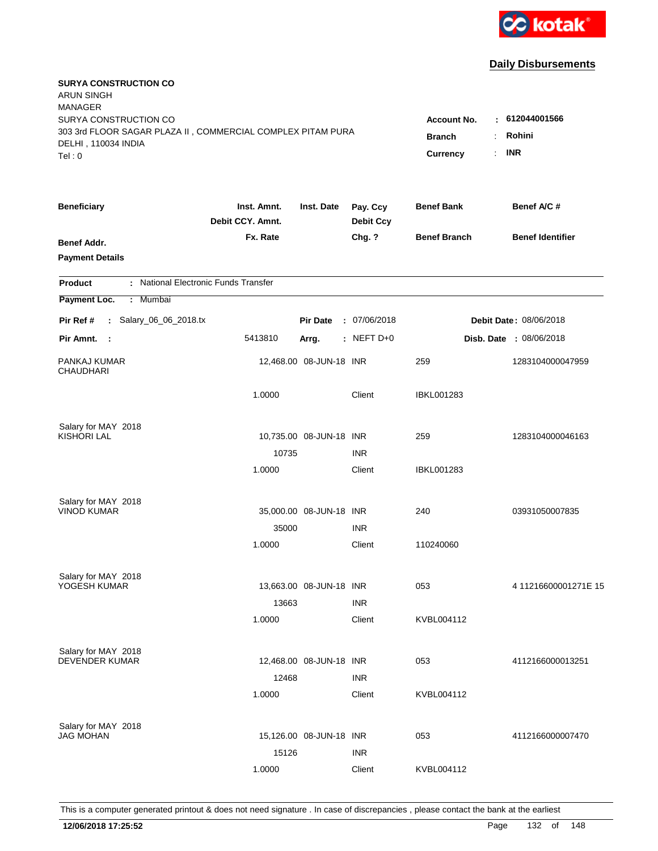

| <b>SURYA CONSTRUCTION CO</b><br><b>ARUN SINGH</b><br><b>MANAGER</b><br>SURYA CONSTRUCTION CO<br>303 3rd FLOOR SAGAR PLAZA II, COMMERCIAL COMPLEX PITAM PURA<br>DELHI, 110034 INDIA<br>Tel: 0 | <b>Account No.</b><br><b>Branch</b><br>Currency<br>$\mathbb{R}^{\mathbb{Z}}$ | 612044001566<br>Rohini<br><b>INR</b> |                              |                     |                                |
|----------------------------------------------------------------------------------------------------------------------------------------------------------------------------------------------|------------------------------------------------------------------------------|--------------------------------------|------------------------------|---------------------|--------------------------------|
| <b>Beneficiary</b>                                                                                                                                                                           | Inst. Amnt.<br>Debit CCY. Amnt.                                              | Inst. Date                           | Pay. Ccy<br><b>Debit Ccy</b> | <b>Benef Bank</b>   | Benef A/C #                    |
| Benef Addr.<br><b>Payment Details</b>                                                                                                                                                        | Fx. Rate                                                                     |                                      | Chg. ?                       | <b>Benef Branch</b> | <b>Benef Identifier</b>        |
| : National Electronic Funds Transfer<br><b>Product</b>                                                                                                                                       |                                                                              |                                      |                              |                     |                                |
| Mumbai<br>Payment Loc.<br>÷.                                                                                                                                                                 |                                                                              |                                      |                              |                     |                                |
| : Salary_06_06_2018.tx<br>Pir Ref #                                                                                                                                                          |                                                                              | <b>Pir Date</b>                      | : 07/06/2018                 |                     | Debit Date: 08/06/2018         |
| Pir Amnt. :                                                                                                                                                                                  | 5413810                                                                      | Arrg.                                | : NEFT $D+0$                 |                     | <b>Disb. Date : 08/06/2018</b> |
| PANKAJ KUMAR<br><b>CHAUDHARI</b>                                                                                                                                                             |                                                                              | 12,468.00 08-JUN-18 INR              |                              | 259                 | 1283104000047959               |
|                                                                                                                                                                                              | 1.0000                                                                       |                                      | Client                       | <b>IBKL001283</b>   |                                |
| Salary for MAY 2018<br><b>KISHORI LAL</b>                                                                                                                                                    | 10735                                                                        | 10,735.00 08-JUN-18 INR              | <b>INR</b>                   | 259                 | 1283104000046163               |
|                                                                                                                                                                                              | 1.0000                                                                       |                                      | Client                       | <b>IBKL001283</b>   |                                |
| Salary for MAY 2018<br><b>VINOD KUMAR</b>                                                                                                                                                    | 35000                                                                        | 35,000.00 08-JUN-18 INR              | <b>INR</b>                   | 240                 | 03931050007835                 |
|                                                                                                                                                                                              | 1.0000                                                                       |                                      | Client                       | 110240060           |                                |
| Salary for MAY 2018<br>YOGESH KUMAR                                                                                                                                                          | 13663                                                                        | 13,663.00 08-JUN-18 INR              | <b>INR</b>                   | 053                 | 411216600001271E15             |
|                                                                                                                                                                                              | 1.0000                                                                       |                                      | Client                       | KVBL004112          |                                |
| Salary for MAY 2018<br><b>DEVENDER KUMAR</b>                                                                                                                                                 | 12468                                                                        | 12,468.00 08-JUN-18 INR              | <b>INR</b>                   | 053                 | 4112166000013251               |
|                                                                                                                                                                                              | 1.0000                                                                       |                                      | Client                       | KVBL004112          |                                |
| Salary for MAY 2018<br><b>JAG MOHAN</b>                                                                                                                                                      | 15126                                                                        | 15,126.00 08-JUN-18 INR              | <b>INR</b>                   | 053                 | 4112166000007470               |
|                                                                                                                                                                                              | 1.0000                                                                       |                                      | Client                       | KVBL004112          |                                |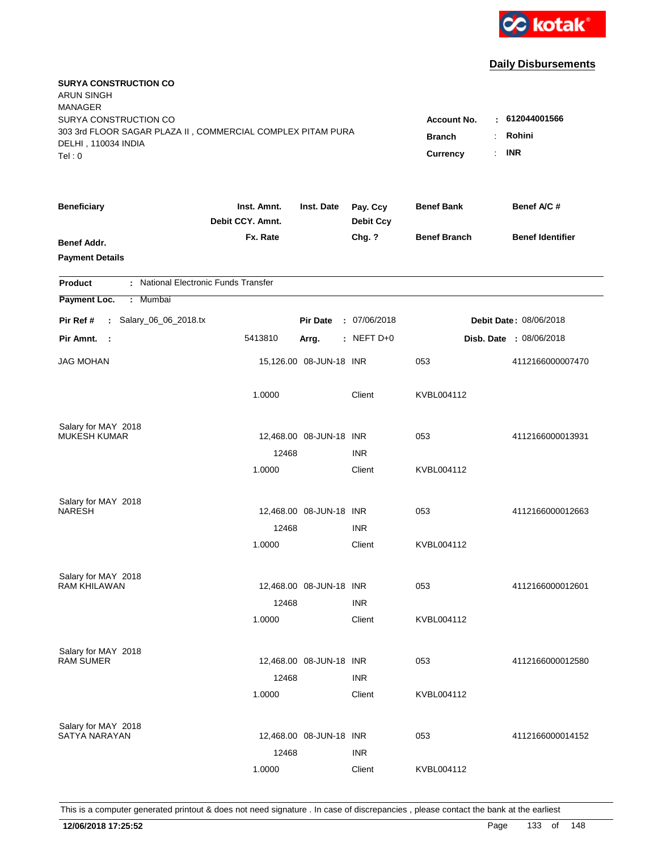

| <b>SURYA CONSTRUCTION CO</b><br><b>ARUN SINGH</b><br><b>MANAGER</b><br>SURYA CONSTRUCTION CO<br>303 3rd FLOOR SAGAR PLAZA II, COMMERCIAL COMPLEX PITAM PURA<br>DELHI, 110034 INDIA<br>Tel: 0 | Account No.<br><b>Branch</b><br>Currency | : 612044001566<br>Rohini<br>÷.<br><b>INR</b><br>÷. |                              |                     |                                |
|----------------------------------------------------------------------------------------------------------------------------------------------------------------------------------------------|------------------------------------------|----------------------------------------------------|------------------------------|---------------------|--------------------------------|
| <b>Beneficiary</b>                                                                                                                                                                           | Inst. Amnt.<br>Debit CCY. Amnt.          | Inst. Date                                         | Pay. Ccy<br><b>Debit Ccy</b> | <b>Benef Bank</b>   | Benef A/C #                    |
| Benef Addr.<br><b>Payment Details</b>                                                                                                                                                        | Fx. Rate                                 |                                                    | Chg. ?                       | <b>Benef Branch</b> | <b>Benef Identifier</b>        |
| : National Electronic Funds Transfer<br><b>Product</b>                                                                                                                                       |                                          |                                                    |                              |                     |                                |
| Payment Loc.<br>Mumbai<br>÷.                                                                                                                                                                 |                                          |                                                    |                              |                     |                                |
| : Salary_06_06_2018.tx<br>Pir Ref #                                                                                                                                                          |                                          | <b>Pir Date</b>                                    | : 07/06/2018                 |                     | Debit Date: 08/06/2018         |
| Pir Amnt. :                                                                                                                                                                                  | 5413810                                  | Arrg.                                              | $:$ NEFT D+0                 |                     | <b>Disb. Date : 08/06/2018</b> |
| <b>JAG MOHAN</b>                                                                                                                                                                             |                                          | 15,126.00 08-JUN-18 INR                            |                              | 053                 | 4112166000007470               |
|                                                                                                                                                                                              | 1.0000                                   |                                                    | Client                       | KVBL004112          |                                |
| Salary for MAY 2018                                                                                                                                                                          |                                          |                                                    |                              |                     |                                |
| <b>MUKESH KUMAR</b>                                                                                                                                                                          | 12468                                    | 12,468.00 08-JUN-18 INR                            | <b>INR</b>                   | 053                 | 4112166000013931               |
|                                                                                                                                                                                              | 1.0000                                   |                                                    | Client                       | KVBL004112          |                                |
| Salary for MAY 2018<br><b>NARESH</b>                                                                                                                                                         |                                          | 12,468.00 08-JUN-18 INR                            |                              | 053                 | 4112166000012663               |
|                                                                                                                                                                                              | 12468                                    |                                                    | <b>INR</b>                   |                     |                                |
|                                                                                                                                                                                              | 1.0000                                   |                                                    | Client                       | KVBL004112          |                                |
| Salary for MAY 2018                                                                                                                                                                          |                                          |                                                    |                              |                     |                                |
| <b>RAM KHILAWAN</b>                                                                                                                                                                          |                                          | 12,468.00 08-JUN-18 INR                            |                              | 053                 | 4112166000012601               |
|                                                                                                                                                                                              | 12468                                    |                                                    | <b>INR</b>                   |                     |                                |
|                                                                                                                                                                                              | 1.0000                                   |                                                    | Client                       | KVBL004112          |                                |
| Salary for MAY 2018                                                                                                                                                                          |                                          |                                                    |                              |                     |                                |
| <b>RAM SUMER</b>                                                                                                                                                                             |                                          | 12,468.00 08-JUN-18 INR                            |                              | 053                 | 4112166000012580               |
|                                                                                                                                                                                              | 12468<br>1.0000                          |                                                    | <b>INR</b><br>Client         | KVBL004112          |                                |
|                                                                                                                                                                                              |                                          |                                                    |                              |                     |                                |
| Salary for MAY 2018                                                                                                                                                                          |                                          |                                                    |                              |                     |                                |
| <b>SATYA NARAYAN</b>                                                                                                                                                                         |                                          | 12,468.00 08-JUN-18 INR                            |                              | 053                 | 4112166000014152               |
|                                                                                                                                                                                              | 12468                                    |                                                    | <b>INR</b>                   |                     |                                |
|                                                                                                                                                                                              | 1.0000                                   |                                                    | Client                       | KVBL004112          |                                |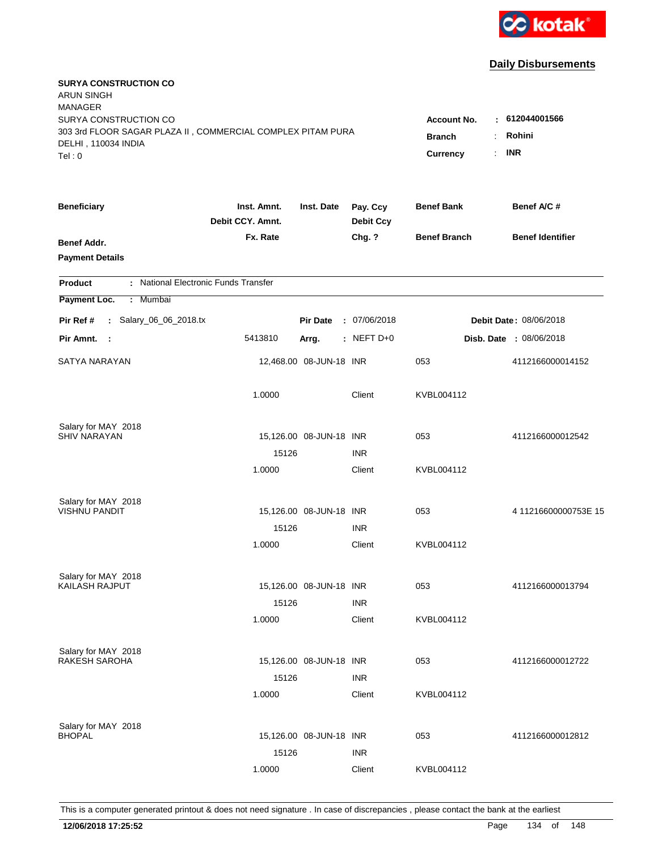

| <b>SURYA CONSTRUCTION CO</b><br><b>ARUN SINGH</b><br><b>MANAGER</b><br>SURYA CONSTRUCTION CO<br>303 3rd FLOOR SAGAR PLAZA II, COMMERCIAL COMPLEX PITAM PURA<br>DELHI, 110034 INDIA<br>Tel: 0 | <b>Account No.</b><br><b>Branch</b><br>Currency | <b>INR</b><br>$\mathbb{R}^{\mathbb{Z}}$ | 612044001566<br>Rohini       |                     |  |                         |
|----------------------------------------------------------------------------------------------------------------------------------------------------------------------------------------------|-------------------------------------------------|-----------------------------------------|------------------------------|---------------------|--|-------------------------|
| <b>Beneficiary</b>                                                                                                                                                                           | Inst. Amnt.<br>Debit CCY. Amnt.                 | Inst. Date                              | Pay. Ccy<br><b>Debit Ccy</b> | <b>Benef Bank</b>   |  | Benef A/C #             |
| Benef Addr.<br><b>Payment Details</b>                                                                                                                                                        | Fx. Rate                                        |                                         | Chg. ?                       | <b>Benef Branch</b> |  | <b>Benef Identifier</b> |
| : National Electronic Funds Transfer<br><b>Product</b>                                                                                                                                       |                                                 |                                         |                              |                     |  |                         |
| Mumbai<br>Payment Loc.<br>÷.                                                                                                                                                                 |                                                 |                                         |                              |                     |  |                         |
| : Salary_06_06_2018.tx<br>Pir Ref #                                                                                                                                                          |                                                 | <b>Pir Date</b>                         | : 07/06/2018                 |                     |  | Debit Date: 08/06/2018  |
| Pir Amnt. :                                                                                                                                                                                  | 5413810                                         | Arrg.                                   | $:$ NEFT D+0                 |                     |  | Disb. Date: 08/06/2018  |
| SATYA NARAYAN                                                                                                                                                                                |                                                 | 12,468.00 08-JUN-18 INR                 |                              | 053                 |  | 4112166000014152        |
|                                                                                                                                                                                              | 1.0000                                          |                                         | Client                       | KVBL004112          |  |                         |
| Salary for MAY 2018                                                                                                                                                                          |                                                 |                                         |                              |                     |  |                         |
| <b>SHIV NARAYAN</b>                                                                                                                                                                          |                                                 | 15,126.00 08-JUN-18 INR                 |                              | 053                 |  | 4112166000012542        |
|                                                                                                                                                                                              | 15126                                           |                                         | <b>INR</b>                   |                     |  |                         |
|                                                                                                                                                                                              | 1.0000                                          |                                         | Client                       | KVBL004112          |  |                         |
| Salary for MAY 2018                                                                                                                                                                          |                                                 |                                         |                              |                     |  |                         |
| <b>VISHNU PANDIT</b>                                                                                                                                                                         |                                                 | 15,126.00 08-JUN-18 INR                 |                              | 053                 |  | 411216600000753E15      |
|                                                                                                                                                                                              | 15126                                           |                                         | <b>INR</b>                   |                     |  |                         |
|                                                                                                                                                                                              | 1.0000                                          |                                         | Client                       | KVBL004112          |  |                         |
| Salary for MAY 2018                                                                                                                                                                          |                                                 |                                         |                              |                     |  |                         |
| KAILASH RAJPUT                                                                                                                                                                               |                                                 | 15,126.00 08-JUN-18 INR                 |                              | 053                 |  | 4112166000013794        |
|                                                                                                                                                                                              | 15126                                           |                                         | <b>INR</b>                   |                     |  |                         |
|                                                                                                                                                                                              | 1.0000                                          |                                         | Client                       | KVBL004112          |  |                         |
| Salary for MAY 2018                                                                                                                                                                          |                                                 |                                         |                              |                     |  |                         |
| RAKESH SAROHA                                                                                                                                                                                |                                                 | 15,126.00 08-JUN-18 INR                 |                              | 053                 |  | 4112166000012722        |
|                                                                                                                                                                                              | 15126                                           |                                         | <b>INR</b>                   |                     |  |                         |
|                                                                                                                                                                                              | 1.0000                                          |                                         | Client                       | KVBL004112          |  |                         |
| Salary for MAY 2018                                                                                                                                                                          |                                                 |                                         |                              |                     |  |                         |
| <b>BHOPAL</b>                                                                                                                                                                                |                                                 | 15,126.00 08-JUN-18 INR                 |                              | 053                 |  | 4112166000012812        |
|                                                                                                                                                                                              | 15126                                           |                                         | <b>INR</b>                   |                     |  |                         |
|                                                                                                                                                                                              | 1.0000                                          |                                         | Client                       | KVBL004112          |  |                         |
|                                                                                                                                                                                              |                                                 |                                         |                              |                     |  |                         |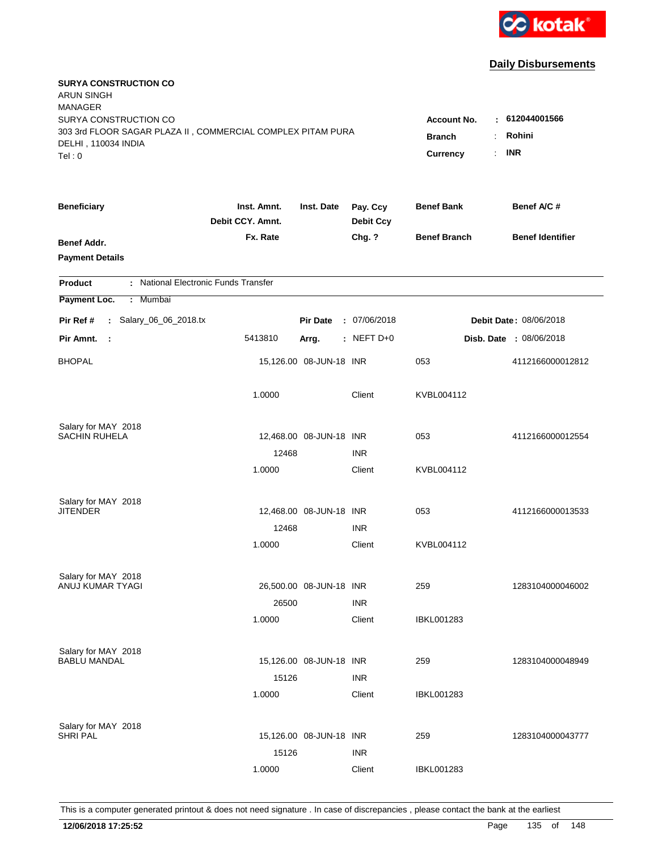

| <b>SURYA CONSTRUCTION CO</b><br><b>ARUN SINGH</b><br><b>MANAGER</b><br>SURYA CONSTRUCTION CO |                                 |                                                     |                              | <b>Account No.</b>  |                         |
|----------------------------------------------------------------------------------------------|---------------------------------|-----------------------------------------------------|------------------------------|---------------------|-------------------------|
| 303 3rd FLOOR SAGAR PLAZA II, COMMERCIAL COMPLEX PITAM PURA<br>DELHI, 110034 INDIA<br>Tel: 0 | <b>Branch</b><br>Currency       | $-612044001566$<br>Rohini<br>÷.<br><b>INR</b><br>÷. |                              |                     |                         |
| <b>Beneficiary</b>                                                                           | Inst. Amnt.<br>Debit CCY. Amnt. | Inst. Date                                          | Pay. Ccy<br><b>Debit Ccy</b> | <b>Benef Bank</b>   | Benef A/C#              |
| Benef Addr.<br><b>Payment Details</b>                                                        | Fx. Rate                        |                                                     | Chg. ?                       | <b>Benef Branch</b> | <b>Benef Identifier</b> |
| : National Electronic Funds Transfer<br><b>Product</b>                                       |                                 |                                                     |                              |                     |                         |
| Payment Loc.<br>: Mumbai                                                                     |                                 |                                                     |                              |                     |                         |
| : Salary_06_06_2018.tx<br>Pir Ref #                                                          |                                 | <b>Pir Date</b>                                     | : 07/06/2018                 |                     | Debit Date: 08/06/2018  |
| Pir Amnt.<br>- 1                                                                             | 5413810                         | Arrg.                                               | $:$ NEFT D+0                 |                     | Disb. Date : 08/06/2018 |
| <b>BHOPAL</b>                                                                                |                                 | 15,126.00 08-JUN-18 INR                             |                              | 053                 | 4112166000012812        |
|                                                                                              | 1.0000                          |                                                     | Client                       | KVBL004112          |                         |
| Salary for MAY 2018                                                                          |                                 |                                                     |                              |                     |                         |
| <b>SACHIN RUHELA</b>                                                                         |                                 | 12,468.00 08-JUN-18 INR                             |                              | 053                 | 4112166000012554        |
|                                                                                              | 12468<br>1.0000                 |                                                     | <b>INR</b><br>Client         | KVBL004112          |                         |
|                                                                                              |                                 |                                                     |                              |                     |                         |
| Salary for MAY 2018                                                                          |                                 |                                                     |                              |                     |                         |
| JITENDER                                                                                     |                                 | 12,468.00 08-JUN-18 INR                             |                              | 053                 | 4112166000013533        |
|                                                                                              | 12468<br>1.0000                 |                                                     | <b>INR</b><br>Client         | KVBL004112          |                         |
|                                                                                              |                                 |                                                     |                              |                     |                         |
| Salary for MAY 2018                                                                          |                                 |                                                     |                              |                     |                         |
| ANUJ KUMAR TYAGI                                                                             |                                 | 26,500.00 08-JUN-18 INR                             |                              | 259                 | 1283104000046002        |
|                                                                                              | 26500                           |                                                     | <b>INR</b>                   |                     |                         |
|                                                                                              | 1.0000                          |                                                     | Client                       | <b>IBKL001283</b>   |                         |
| Salary for MAY 2018                                                                          |                                 |                                                     |                              |                     |                         |
| <b>BABLU MANDAL</b>                                                                          |                                 | 15,126.00 08-JUN-18 INR                             |                              | 259                 | 1283104000048949        |
|                                                                                              | 15126                           |                                                     | <b>INR</b>                   |                     |                         |
|                                                                                              | 1.0000                          |                                                     | Client                       | <b>IBKL001283</b>   |                         |
| Salary for MAY 2018                                                                          |                                 |                                                     |                              |                     |                         |
| <b>SHRI PAL</b>                                                                              |                                 | 15,126.00 08-JUN-18 INR                             |                              | 259                 | 1283104000043777        |
|                                                                                              | 15126                           |                                                     | <b>INR</b>                   |                     |                         |
|                                                                                              | 1.0000                          |                                                     | Client                       | <b>IBKL001283</b>   |                         |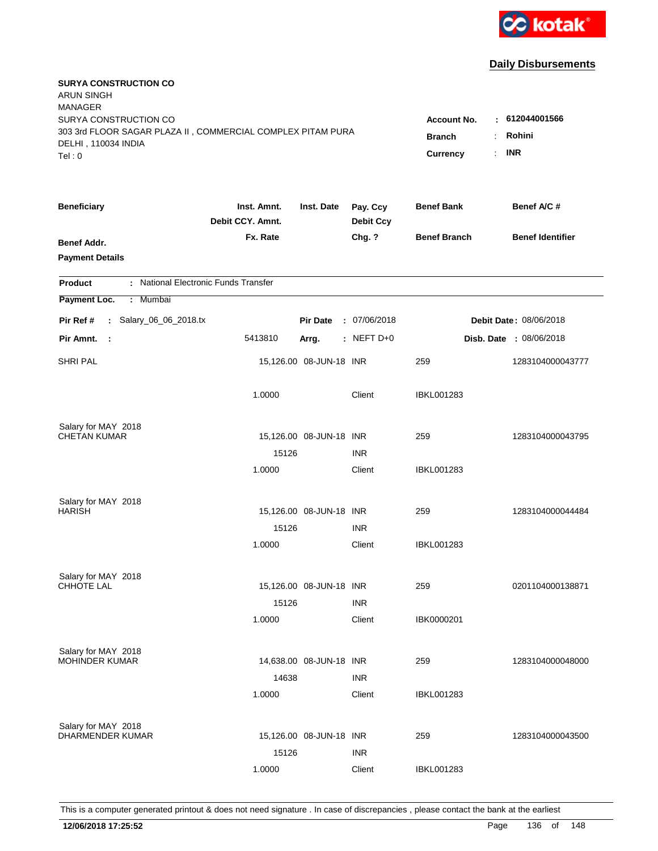

| <b>SURYA CONSTRUCTION CO</b><br><b>ARUN SINGH</b><br><b>MANAGER</b><br>SURYA CONSTRUCTION CO |                                 |                           |                                 | <b>Account No.</b>  | $-612044001566$                |
|----------------------------------------------------------------------------------------------|---------------------------------|---------------------------|---------------------------------|---------------------|--------------------------------|
| 303 3rd FLOOR SAGAR PLAZA II, COMMERCIAL COMPLEX PITAM PURA<br>DELHI, 110034 INDIA<br>Tel: 0 |                                 | <b>Branch</b><br>Currency | Rohini<br>÷<br><b>INR</b><br>÷. |                     |                                |
| <b>Beneficiary</b>                                                                           | Inst. Amnt.<br>Debit CCY. Amnt. | Inst. Date                | Pay. Ccy<br><b>Debit Ccy</b>    | <b>Benef Bank</b>   | Benef A/C#                     |
| Benef Addr.<br><b>Payment Details</b>                                                        | Fx. Rate                        |                           | Chg. ?                          | <b>Benef Branch</b> | <b>Benef Identifier</b>        |
| : National Electronic Funds Transfer<br><b>Product</b>                                       |                                 |                           |                                 |                     |                                |
| Payment Loc.<br>: Mumbai                                                                     |                                 |                           |                                 |                     |                                |
| : Salary_06_06_2018.tx<br>Pir Ref #                                                          |                                 | <b>Pir Date</b>           | : 07/06/2018                    |                     | Debit Date: 08/06/2018         |
| Pir Amnt.<br>- 1                                                                             | 5413810                         | Arrg.                     | $:$ NEFT D+0                    |                     | <b>Disb. Date : 08/06/2018</b> |
| <b>SHRI PAL</b>                                                                              |                                 | 15,126.00 08-JUN-18 INR   |                                 | 259                 | 1283104000043777               |
|                                                                                              | 1.0000                          |                           | Client                          | IBKL001283          |                                |
| Salary for MAY 2018                                                                          |                                 |                           |                                 |                     |                                |
| <b>CHETAN KUMAR</b>                                                                          |                                 | 15,126.00 08-JUN-18 INR   |                                 | 259                 | 1283104000043795               |
|                                                                                              | 15126<br>1.0000                 |                           | <b>INR</b><br>Client            | IBKL001283          |                                |
| Salary for MAY 2018<br><b>HARISH</b>                                                         |                                 | 15,126.00 08-JUN-18 INR   |                                 | 259                 | 1283104000044484               |
|                                                                                              | 15126                           |                           | <b>INR</b>                      |                     |                                |
|                                                                                              | 1.0000                          |                           | Client                          | IBKL001283          |                                |
| Salary for MAY 2018                                                                          |                                 |                           |                                 |                     |                                |
| <b>CHHOTE LAL</b>                                                                            |                                 | 15,126.00 08-JUN-18 INR   |                                 | 259                 | 0201104000138871               |
|                                                                                              | 15126                           |                           | <b>INR</b>                      |                     |                                |
|                                                                                              | 1.0000                          |                           | Client                          | IBK0000201          |                                |
| Salary for MAY 2018                                                                          |                                 |                           |                                 |                     |                                |
| <b>MOHINDER KUMAR</b>                                                                        |                                 | 14,638.00 08-JUN-18 INR   |                                 | 259                 | 1283104000048000               |
|                                                                                              | 14638                           |                           | <b>INR</b>                      |                     |                                |
|                                                                                              | 1.0000                          |                           | Client                          | <b>IBKL001283</b>   |                                |
| Salary for MAY 2018                                                                          |                                 |                           |                                 |                     |                                |
| DHARMENDER KUMAR                                                                             |                                 | 15,126.00 08-JUN-18 INR   |                                 | 259                 | 1283104000043500               |
|                                                                                              | 15126                           |                           | <b>INR</b>                      |                     |                                |
|                                                                                              | 1.0000                          |                           | Client                          | <b>IBKL001283</b>   |                                |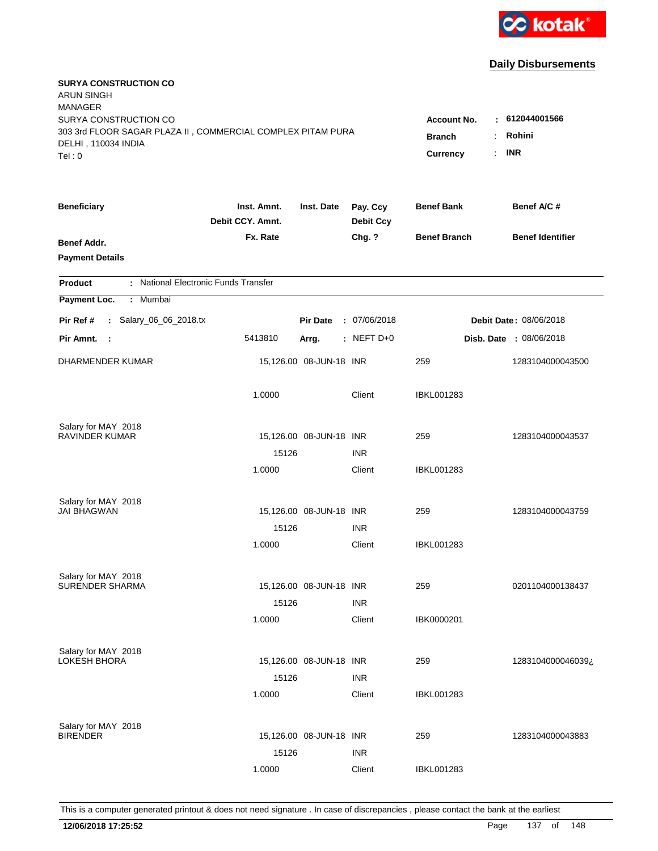

| <b>SURYA CONSTRUCTION CO</b><br><b>ARUN SINGH</b><br><b>MANAGER</b><br>SURYA CONSTRUCTION CO<br>303 3rd FLOOR SAGAR PLAZA II, COMMERCIAL COMPLEX PITAM PURA<br>DELHI, 110034 INDIA |                                 |                         |                              | <b>Account No.</b><br><b>Branch</b><br>$\ddot{\phantom{a}}$ | : 612044001566<br>Rohini       |
|------------------------------------------------------------------------------------------------------------------------------------------------------------------------------------|---------------------------------|-------------------------|------------------------------|-------------------------------------------------------------|--------------------------------|
| Tel: 0                                                                                                                                                                             |                                 |                         |                              | Currency<br>$\cdot$                                         | <b>INR</b>                     |
| <b>Beneficiary</b>                                                                                                                                                                 | Inst. Amnt.<br>Debit CCY. Amnt. | Inst. Date              | Pay. Ccy<br><b>Debit Ccy</b> | <b>Benef Bank</b>                                           | Benef A/C #                    |
| <b>Benef Addr.</b><br><b>Payment Details</b>                                                                                                                                       | Fx. Rate                        |                         | Chg. ?                       | <b>Benef Branch</b>                                         | <b>Benef Identifier</b>        |
| : National Electronic Funds Transfer<br><b>Product</b>                                                                                                                             |                                 |                         |                              |                                                             |                                |
| Payment Loc.<br>Mumbai<br>÷                                                                                                                                                        |                                 |                         |                              |                                                             |                                |
| : Salary_06_06_2018.tx<br>Pir Ref #                                                                                                                                                |                                 | <b>Pir Date</b>         | : 07/06/2018                 |                                                             | <b>Debit Date: 08/06/2018</b>  |
| Pir Amnt.<br>$\sim$ :                                                                                                                                                              | 5413810                         | Arrg.                   | : NEFT D+0                   |                                                             | <b>Disb. Date : 08/06/2018</b> |
| DHARMENDER KUMAR                                                                                                                                                                   |                                 | 15,126.00 08-JUN-18 INR |                              | 259                                                         | 1283104000043500               |
|                                                                                                                                                                                    | 1.0000                          |                         | Client                       | <b>IBKL001283</b>                                           |                                |
| Salary for MAY 2018                                                                                                                                                                |                                 |                         |                              |                                                             |                                |
| <b>RAVINDER KUMAR</b>                                                                                                                                                              |                                 | 15,126.00 08-JUN-18 INR |                              | 259                                                         | 1283104000043537               |
|                                                                                                                                                                                    | 15126<br>1.0000                 |                         | <b>INR</b><br>Client         | <b>IBKL001283</b>                                           |                                |
|                                                                                                                                                                                    |                                 |                         |                              |                                                             |                                |
| Salary for MAY 2018                                                                                                                                                                |                                 |                         |                              |                                                             |                                |
| <b>JAI BHAGWAN</b>                                                                                                                                                                 |                                 | 15,126.00 08-JUN-18 INR |                              | 259                                                         | 1283104000043759               |
|                                                                                                                                                                                    | 15126                           |                         | <b>INR</b>                   |                                                             |                                |
|                                                                                                                                                                                    | 1.0000                          |                         | Client                       | IBKL001283                                                  |                                |
| Salary for MAY 2018                                                                                                                                                                |                                 |                         |                              |                                                             |                                |
| <b>SURENDER SHARMA</b>                                                                                                                                                             |                                 | 15,126.00 08-JUN-18 INR |                              | 259                                                         | 0201104000138437               |
|                                                                                                                                                                                    | 15126                           |                         | <b>INR</b>                   |                                                             |                                |
|                                                                                                                                                                                    | 1.0000                          |                         | Client                       | IBK0000201                                                  |                                |
| Salary for MAY 2018                                                                                                                                                                |                                 |                         |                              |                                                             |                                |
| <b>LOKESH BHORA</b>                                                                                                                                                                |                                 | 15,126.00 08-JUN-18 INR |                              | 259                                                         | 1283104000046039¿              |
|                                                                                                                                                                                    | 15126                           |                         | <b>INR</b>                   |                                                             |                                |
|                                                                                                                                                                                    | 1.0000                          |                         | Client                       | <b>IBKL001283</b>                                           |                                |
|                                                                                                                                                                                    |                                 |                         |                              |                                                             |                                |
| Salary for MAY 2018<br><b>BIRENDER</b>                                                                                                                                             |                                 | 15,126.00 08-JUN-18 INR |                              | 259                                                         | 1283104000043883               |
|                                                                                                                                                                                    | 15126                           |                         | <b>INR</b>                   |                                                             |                                |
|                                                                                                                                                                                    | 1.0000                          |                         | Client                       | <b>IBKL001283</b>                                           |                                |
|                                                                                                                                                                                    |                                 |                         |                              |                                                             |                                |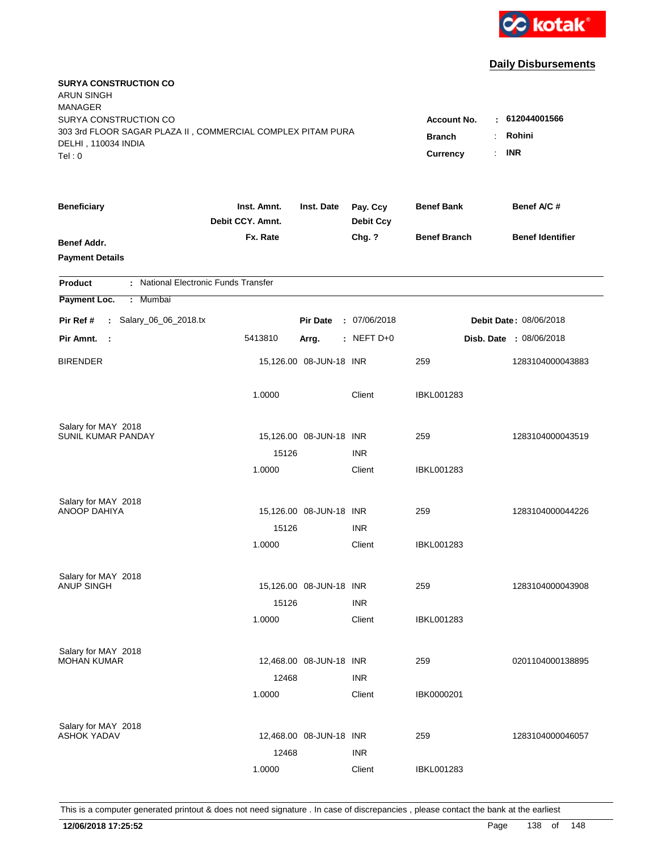

| <b>SURYA CONSTRUCTION CO</b><br><b>ARUN SINGH</b><br><b>MANAGER</b><br>SURYA CONSTRUCTION CO<br>303 3rd FLOOR SAGAR PLAZA II, COMMERCIAL COMPLEX PITAM PURA<br>DELHI, 110034 INDIA<br>Tel: 0 | <b>Account No.</b><br><b>Branch</b><br><b>Currency</b> | : 612044001566<br>Rohini<br>÷<br><b>INR</b><br>$\mathbb{R}^{\mathbb{Z}}$ |                              |                     |                                |
|----------------------------------------------------------------------------------------------------------------------------------------------------------------------------------------------|--------------------------------------------------------|--------------------------------------------------------------------------|------------------------------|---------------------|--------------------------------|
| <b>Beneficiary</b>                                                                                                                                                                           | Inst. Amnt.<br>Debit CCY. Amnt.                        | Inst. Date                                                               | Pay. Ccy<br><b>Debit Ccy</b> | <b>Benef Bank</b>   | Benef A/C #                    |
| Benef Addr.<br><b>Payment Details</b>                                                                                                                                                        | Fx. Rate                                               |                                                                          | Chg. ?                       | <b>Benef Branch</b> | <b>Benef Identifier</b>        |
| : National Electronic Funds Transfer<br><b>Product</b>                                                                                                                                       |                                                        |                                                                          |                              |                     |                                |
| Payment Loc.<br>Mumbai<br>÷                                                                                                                                                                  |                                                        |                                                                          |                              |                     |                                |
| : Salary_06_06_2018.tx<br>Pir Ref #                                                                                                                                                          |                                                        | <b>Pir Date</b>                                                          | : 07/06/2018                 |                     | Debit Date: 08/06/2018         |
| Pir Amnt.<br>$\sim$ 1                                                                                                                                                                        | 5413810                                                | Arrg.                                                                    | : NEFT D+0                   |                     | <b>Disb. Date : 08/06/2018</b> |
| <b>BIRENDER</b>                                                                                                                                                                              |                                                        | 15,126.00 08-JUN-18 INR                                                  |                              | 259                 | 1283104000043883               |
|                                                                                                                                                                                              | 1.0000                                                 |                                                                          | Client                       | <b>IBKL001283</b>   |                                |
| Salary for MAY 2018<br>SUNIL KUMAR PANDAY                                                                                                                                                    |                                                        | 15,126.00 08-JUN-18 INR                                                  |                              | 259                 | 1283104000043519               |
|                                                                                                                                                                                              | 15126                                                  |                                                                          | <b>INR</b>                   |                     |                                |
|                                                                                                                                                                                              | 1.0000                                                 |                                                                          | Client                       | <b>IBKL001283</b>   |                                |
| Salary for MAY 2018                                                                                                                                                                          |                                                        |                                                                          |                              |                     |                                |
| <b>ANOOP DAHIYA</b>                                                                                                                                                                          |                                                        | 15,126.00 08-JUN-18 INR                                                  |                              | 259                 | 1283104000044226               |
|                                                                                                                                                                                              | 15126                                                  |                                                                          | <b>INR</b>                   |                     |                                |
|                                                                                                                                                                                              | 1.0000                                                 |                                                                          | Client                       | <b>IBKL001283</b>   |                                |
| Salary for MAY 2018                                                                                                                                                                          |                                                        |                                                                          |                              |                     |                                |
| <b>ANUP SINGH</b>                                                                                                                                                                            |                                                        | 15,126.00 08-JUN-18 INR                                                  |                              | 259                 | 1283104000043908               |
|                                                                                                                                                                                              | 15126                                                  |                                                                          | <b>INR</b>                   |                     |                                |
|                                                                                                                                                                                              | 1.0000                                                 |                                                                          | Client                       | <b>IBKL001283</b>   |                                |
| Salary for MAY 2018<br><b>MOHAN KUMAR</b>                                                                                                                                                    |                                                        | 12,468.00 08-JUN-18 INR                                                  |                              | 259                 | 0201104000138895               |
|                                                                                                                                                                                              | 12468                                                  |                                                                          | <b>INR</b>                   |                     |                                |
|                                                                                                                                                                                              | 1.0000                                                 |                                                                          | Client                       | IBK0000201          |                                |
|                                                                                                                                                                                              |                                                        |                                                                          |                              |                     |                                |
| Salary for MAY 2018<br><b>ASHOK YADAV</b>                                                                                                                                                    |                                                        | 12,468.00 08-JUN-18 INR                                                  |                              | 259                 | 1283104000046057               |
|                                                                                                                                                                                              | 12468                                                  |                                                                          | <b>INR</b>                   |                     |                                |
|                                                                                                                                                                                              | 1.0000                                                 |                                                                          | Client                       | <b>IBKL001283</b>   |                                |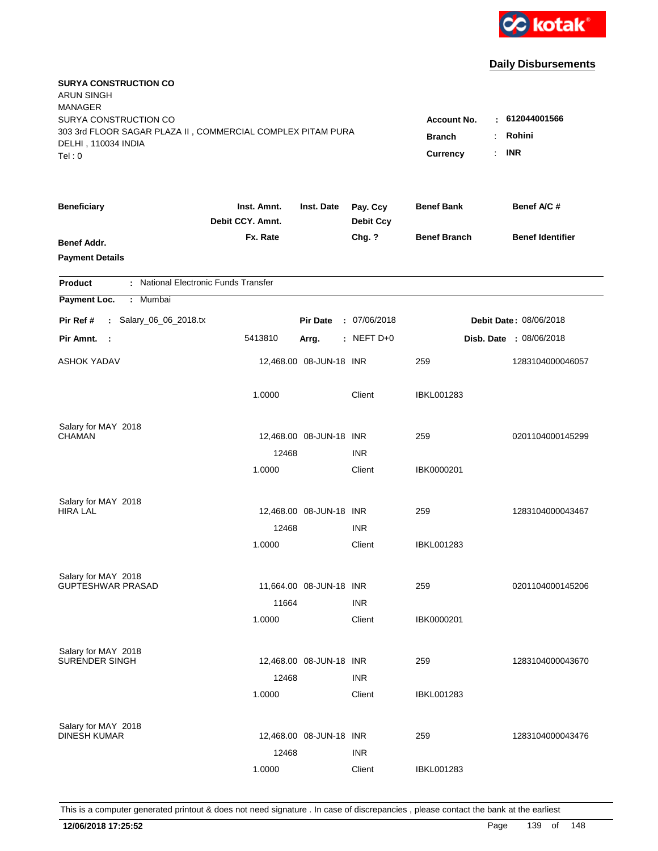

| <b>SURYA CONSTRUCTION CO</b><br><b>ARUN SINGH</b><br><b>MANAGER</b><br>SURYA CONSTRUCTION CO<br>303 3rd FLOOR SAGAR PLAZA II, COMMERCIAL COMPLEX PITAM PURA<br>DELHI, 110034 INDIA<br>Tel: 0 | Account No.<br><b>Branch</b><br>÷.<br>Currency<br>÷. | : 612044001566<br>Rohini<br><b>INR</b> |                              |                          |                                |
|----------------------------------------------------------------------------------------------------------------------------------------------------------------------------------------------|------------------------------------------------------|----------------------------------------|------------------------------|--------------------------|--------------------------------|
| <b>Beneficiary</b>                                                                                                                                                                           | Inst. Amnt.<br>Debit CCY. Amnt.                      | Inst. Date                             | Pay. Ccy<br><b>Debit Ccy</b> | <b>Benef Bank</b>        | Benef A/C #                    |
| Benef Addr.<br><b>Payment Details</b>                                                                                                                                                        | Fx. Rate                                             |                                        | Chg. ?                       | <b>Benef Branch</b>      | <b>Benef Identifier</b>        |
| : National Electronic Funds Transfer<br><b>Product</b>                                                                                                                                       |                                                      |                                        |                              |                          |                                |
| Payment Loc.<br>Mumbai<br>÷.                                                                                                                                                                 |                                                      |                                        |                              |                          |                                |
| : Salary_06_06_2018.tx<br>Pir Ref #                                                                                                                                                          |                                                      | <b>Pir Date</b>                        | : 07/06/2018                 |                          | Debit Date: 08/06/2018         |
| Pir Amnt. :                                                                                                                                                                                  | 5413810                                              | Arrg.                                  | $:$ NEFT D+0                 |                          | <b>Disb. Date : 08/06/2018</b> |
| <b>ASHOK YADAV</b>                                                                                                                                                                           |                                                      | 12,468.00 08-JUN-18 INR                |                              | 259                      | 1283104000046057               |
|                                                                                                                                                                                              | 1.0000                                               |                                        | Client                       | <b>IBKL001283</b>        |                                |
| Salary for MAY 2018                                                                                                                                                                          |                                                      |                                        |                              |                          |                                |
| <b>CHAMAN</b>                                                                                                                                                                                |                                                      | 12,468.00 08-JUN-18 INR                |                              | 259                      | 0201104000145299               |
|                                                                                                                                                                                              | 12468<br>1.0000                                      |                                        | <b>INR</b><br>Client         | IBK0000201               |                                |
| Salary for MAY 2018<br><b>HIRA LAL</b>                                                                                                                                                       | 12468                                                | 12,468.00 08-JUN-18 INR                | <b>INR</b>                   | 259                      | 1283104000043467               |
|                                                                                                                                                                                              | 1.0000                                               |                                        | Client                       | IBKL001283               |                                |
| Salary for MAY 2018<br><b>GUPTESHWAR PRASAD</b>                                                                                                                                              | 11664                                                | 11,664.00 08-JUN-18 INR                | <b>INR</b>                   | 259                      | 0201104000145206               |
|                                                                                                                                                                                              | 1.0000                                               |                                        | Client                       | IBK0000201               |                                |
| Salary for MAY 2018<br>SURENDER SINGH                                                                                                                                                        | 12468<br>1.0000                                      | 12,468.00 08-JUN-18 INR                | <b>INR</b><br>Client         | 259<br><b>IBKL001283</b> | 1283104000043670               |
| Salary for MAY 2018<br><b>DINESH KUMAR</b>                                                                                                                                                   | 12468<br>1.0000                                      | 12,468.00 08-JUN-18 INR                | <b>INR</b><br>Client         | 259<br>IBKL001283        | 1283104000043476               |
|                                                                                                                                                                                              |                                                      |                                        |                              |                          |                                |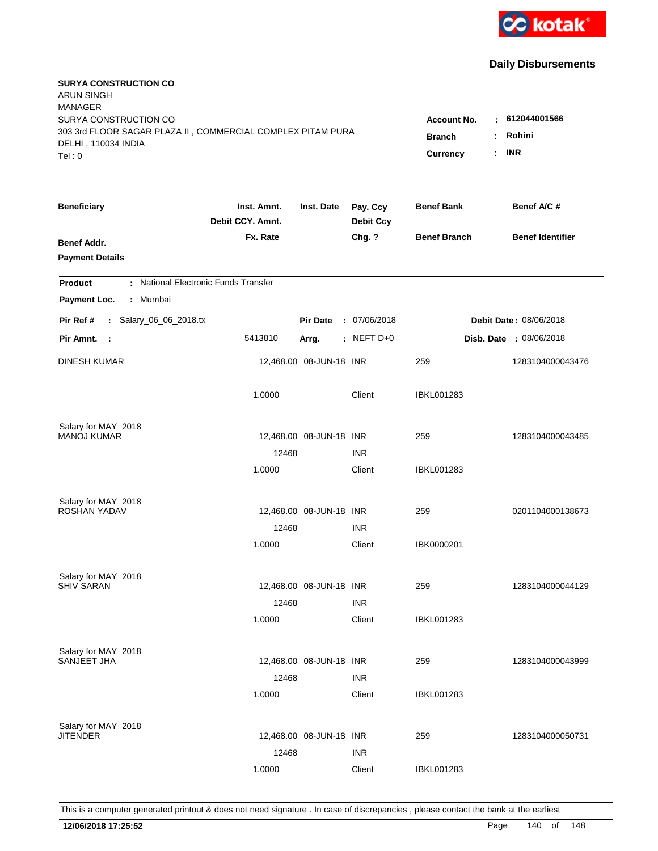

| <b>SURYA CONSTRUCTION CO</b><br><b>ARUN SINGH</b><br><b>MANAGER</b><br>SURYA CONSTRUCTION CO<br>303 3rd FLOOR SAGAR PLAZA II, COMMERCIAL COMPLEX PITAM PURA<br>DELHI, 110034 INDIA<br>Tel: 0 | <b>Account No.</b><br><b>Branch</b><br>$\ddot{\cdot}$<br><b>Currency</b><br>÷. | $-612044001566$<br>Rohini<br><b>INR</b> |                              |                     |                                |
|----------------------------------------------------------------------------------------------------------------------------------------------------------------------------------------------|--------------------------------------------------------------------------------|-----------------------------------------|------------------------------|---------------------|--------------------------------|
| <b>Beneficiary</b>                                                                                                                                                                           | Inst. Amnt.<br>Debit CCY. Amnt.                                                | Inst. Date                              | Pay. Ccy<br><b>Debit Ccy</b> | <b>Benef Bank</b>   | Benef A/C #                    |
| Benef Addr.<br><b>Payment Details</b>                                                                                                                                                        | Fx. Rate                                                                       |                                         | Chg. ?                       | <b>Benef Branch</b> | <b>Benef Identifier</b>        |
| : National Electronic Funds Transfer<br><b>Product</b>                                                                                                                                       |                                                                                |                                         |                              |                     |                                |
| Payment Loc.<br>Mumbai<br>$\mathbb{C}^{\times}$                                                                                                                                              |                                                                                |                                         |                              |                     |                                |
| : Salary_06_06_2018.tx<br>Pir Ref #                                                                                                                                                          |                                                                                | <b>Pir Date</b>                         | : 07/06/2018                 |                     | Debit Date: 08/06/2018         |
| Pir Amnt.<br>- 1                                                                                                                                                                             | 5413810                                                                        | Arrg.                                   | $:$ NEFT D+0                 |                     | <b>Disb. Date : 08/06/2018</b> |
| <b>DINESH KUMAR</b>                                                                                                                                                                          |                                                                                | 12,468.00 08-JUN-18 INR                 |                              | 259                 | 1283104000043476               |
|                                                                                                                                                                                              | 1.0000                                                                         |                                         | Client                       | <b>IBKL001283</b>   |                                |
| Salary for MAY 2018                                                                                                                                                                          |                                                                                |                                         |                              |                     |                                |
| <b>MANOJ KUMAR</b>                                                                                                                                                                           | 12468                                                                          | 12,468.00 08-JUN-18 INR                 | <b>INR</b>                   | 259                 | 1283104000043485               |
|                                                                                                                                                                                              | 1.0000                                                                         |                                         | Client                       | <b>IBKL001283</b>   |                                |
| Salary for MAY 2018                                                                                                                                                                          |                                                                                |                                         |                              |                     |                                |
| ROSHAN YADAV                                                                                                                                                                                 |                                                                                | 12,468.00 08-JUN-18 INR                 |                              | 259                 | 0201104000138673               |
|                                                                                                                                                                                              | 12468                                                                          |                                         | <b>INR</b>                   |                     |                                |
|                                                                                                                                                                                              | 1.0000                                                                         |                                         | Client                       | IBK0000201          |                                |
| Salary for MAY 2018                                                                                                                                                                          |                                                                                |                                         |                              |                     |                                |
| <b>SHIV SARAN</b>                                                                                                                                                                            |                                                                                | 12,468.00 08-JUN-18 INR                 |                              | 259                 | 1283104000044129               |
|                                                                                                                                                                                              | 12468                                                                          |                                         | <b>INR</b>                   |                     |                                |
|                                                                                                                                                                                              | 1.0000                                                                         |                                         | Client                       | <b>IBKL001283</b>   |                                |
| Salary for MAY 2018<br>SANJEET JHA                                                                                                                                                           |                                                                                | 12,468.00 08-JUN-18 INR                 |                              | 259                 | 1283104000043999               |
|                                                                                                                                                                                              | 12468                                                                          |                                         | <b>INR</b>                   |                     |                                |
|                                                                                                                                                                                              | 1.0000                                                                         |                                         | Client                       | <b>IBKL001283</b>   |                                |
|                                                                                                                                                                                              |                                                                                |                                         |                              |                     |                                |
| Salary for MAY 2018<br><b>JITENDER</b>                                                                                                                                                       |                                                                                | 12,468.00 08-JUN-18 INR                 |                              | 259                 | 1283104000050731               |
|                                                                                                                                                                                              | 12468                                                                          |                                         | <b>INR</b>                   |                     |                                |
|                                                                                                                                                                                              | 1.0000                                                                         |                                         | Client                       | <b>IBKL001283</b>   |                                |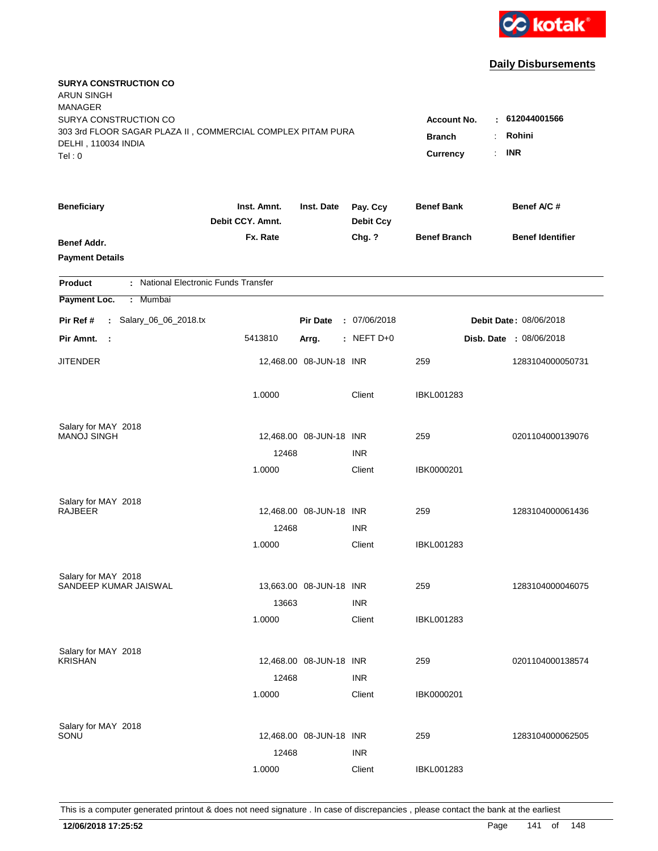

| <b>SURYA CONSTRUCTION CO</b><br><b>ARUN SINGH</b><br><b>MANAGER</b>                                                   |                                                |                                              |                              |                     |                                |
|-----------------------------------------------------------------------------------------------------------------------|------------------------------------------------|----------------------------------------------|------------------------------|---------------------|--------------------------------|
| SURYA CONSTRUCTION CO<br>303 3rd FLOOR SAGAR PLAZA II, COMMERCIAL COMPLEX PITAM PURA<br>DELHI, 110034 INDIA<br>Tel: 0 | Account No.<br><b>Branch</b><br>÷.<br>Currency | : 612044001566<br>Rohini<br><b>INR</b><br>÷. |                              |                     |                                |
| <b>Beneficiary</b>                                                                                                    | Inst. Amnt.<br>Debit CCY. Amnt.                | Inst. Date                                   | Pay. Ccy<br><b>Debit Ccy</b> | <b>Benef Bank</b>   | Benef A/C #                    |
| Benef Addr.<br><b>Payment Details</b>                                                                                 | Fx. Rate                                       |                                              | Chg. ?                       | <b>Benef Branch</b> | <b>Benef Identifier</b>        |
| : National Electronic Funds Transfer<br><b>Product</b>                                                                |                                                |                                              |                              |                     |                                |
| Payment Loc.<br>Mumbai<br>÷.                                                                                          |                                                |                                              |                              |                     |                                |
| : Salary_06_06_2018.tx<br>Pir Ref #                                                                                   |                                                | <b>Pir Date</b>                              | : 07/06/2018                 |                     | Debit Date: 08/06/2018         |
| Pir Amnt.<br>- 1                                                                                                      | 5413810                                        | Arrg.                                        | $:$ NEFT D+0                 |                     | <b>Disb. Date : 08/06/2018</b> |
| <b>JITENDER</b>                                                                                                       |                                                | 12,468.00 08-JUN-18 INR                      |                              | 259                 | 1283104000050731               |
|                                                                                                                       | 1.0000                                         |                                              | Client                       | <b>IBKL001283</b>   |                                |
| Salary for MAY 2018                                                                                                   |                                                |                                              |                              |                     |                                |
| <b>MANOJ SINGH</b>                                                                                                    |                                                | 12,468.00 08-JUN-18 INR                      |                              | 259                 | 0201104000139076               |
|                                                                                                                       | 12468<br>1.0000                                |                                              | <b>INR</b><br>Client         | IBK0000201          |                                |
|                                                                                                                       |                                                |                                              |                              |                     |                                |
| Salary for MAY 2018<br><b>RAJBEER</b>                                                                                 |                                                | 12,468.00 08-JUN-18 INR                      |                              | 259                 | 1283104000061436               |
|                                                                                                                       | 12468                                          |                                              | <b>INR</b>                   |                     |                                |
|                                                                                                                       | 1.0000                                         |                                              | Client                       | IBKL001283          |                                |
|                                                                                                                       |                                                |                                              |                              |                     |                                |
| Salary for MAY 2018                                                                                                   |                                                |                                              |                              |                     |                                |
| SANDEEP KUMAR JAISWAL                                                                                                 |                                                | 13,663.00 08-JUN-18 INR                      |                              | 259                 | 1283104000046075               |
|                                                                                                                       | 13663<br>1.0000                                |                                              | <b>INR</b><br>Client         | IBKL001283          |                                |
|                                                                                                                       |                                                |                                              |                              |                     |                                |
| Salary for MAY 2018                                                                                                   |                                                |                                              |                              |                     |                                |
| <b>KRISHAN</b>                                                                                                        |                                                | 12,468.00 08-JUN-18 INR                      |                              | 259                 | 0201104000138574               |
|                                                                                                                       | 12468                                          |                                              | <b>INR</b>                   |                     |                                |
|                                                                                                                       | 1.0000                                         |                                              | Client                       | IBK0000201          |                                |
| Salary for MAY 2018                                                                                                   |                                                |                                              |                              |                     |                                |
| SONU                                                                                                                  |                                                | 12,468.00 08-JUN-18 INR                      |                              | 259                 | 1283104000062505               |
|                                                                                                                       | 12468                                          |                                              | <b>INR</b>                   |                     |                                |
|                                                                                                                       | 1.0000                                         |                                              | Client                       | <b>IBKL001283</b>   |                                |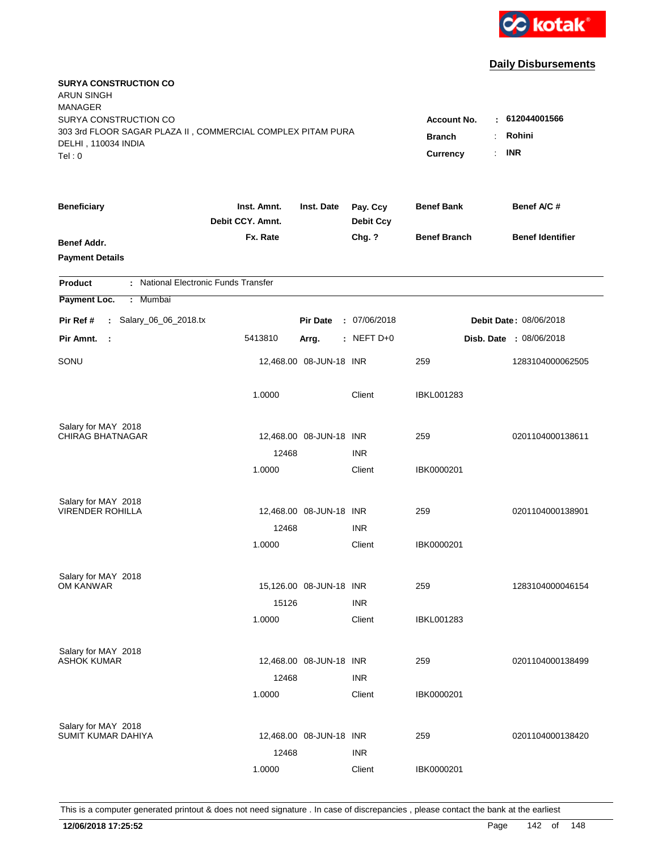

| <b>SURYA CONSTRUCTION CO</b><br><b>ARUN SINGH</b><br><b>MANAGER</b><br>SURYA CONSTRUCTION CO<br>303 3rd FLOOR SAGAR PLAZA II, COMMERCIAL COMPLEX PITAM PURA<br>DELHI, 110034 INDIA<br>Tel: 0 | Account No.<br><b>Branch</b><br>÷<br>Currency<br>$\mathbf{r}$ | $-612044001566$<br>Rohini<br><b>INR</b> |                              |                     |                                |
|----------------------------------------------------------------------------------------------------------------------------------------------------------------------------------------------|---------------------------------------------------------------|-----------------------------------------|------------------------------|---------------------|--------------------------------|
| <b>Beneficiary</b>                                                                                                                                                                           | Inst. Amnt.<br>Debit CCY. Amnt.                               | Inst. Date                              | Pay. Ccy<br><b>Debit Ccy</b> | <b>Benef Bank</b>   | Benef A/C #                    |
| Benef Addr.<br><b>Payment Details</b>                                                                                                                                                        | Fx. Rate                                                      |                                         | Chg. ?                       | <b>Benef Branch</b> | <b>Benef Identifier</b>        |
| : National Electronic Funds Transfer<br><b>Product</b>                                                                                                                                       |                                                               |                                         |                              |                     |                                |
| Mumbai<br>Payment Loc.<br>÷.                                                                                                                                                                 |                                                               |                                         |                              |                     |                                |
| : Salary_06_06_2018.tx<br>Pir Ref #                                                                                                                                                          |                                                               | <b>Pir Date</b>                         | : 07/06/2018                 |                     | Debit Date: 08/06/2018         |
| Pir Amnt.<br>- 1                                                                                                                                                                             | 5413810                                                       | Arrg.                                   | $:$ NEFT D+0                 |                     | <b>Disb. Date : 08/06/2018</b> |
| SONU                                                                                                                                                                                         |                                                               | 12,468.00 08-JUN-18 INR                 |                              | 259                 | 1283104000062505               |
|                                                                                                                                                                                              | 1.0000                                                        |                                         | Client                       | <b>IBKL001283</b>   |                                |
| Salary for MAY 2018                                                                                                                                                                          |                                                               |                                         |                              |                     |                                |
| <b>CHIRAG BHATNAGAR</b>                                                                                                                                                                      |                                                               | 12,468.00 08-JUN-18 INR                 |                              | 259                 | 0201104000138611               |
|                                                                                                                                                                                              | 12468<br>1.0000                                               |                                         | <b>INR</b><br>Client         | IBK0000201          |                                |
|                                                                                                                                                                                              |                                                               |                                         |                              |                     |                                |
| Salary for MAY 2018                                                                                                                                                                          |                                                               |                                         |                              |                     |                                |
| <b>VIRENDER ROHILLA</b>                                                                                                                                                                      |                                                               | 12,468.00 08-JUN-18 INR                 |                              | 259                 | 0201104000138901               |
|                                                                                                                                                                                              | 12468                                                         |                                         | <b>INR</b>                   |                     |                                |
|                                                                                                                                                                                              | 1.0000                                                        |                                         | Client                       | IBK0000201          |                                |
| Salary for MAY 2018                                                                                                                                                                          |                                                               |                                         |                              |                     |                                |
| OM KANWAR                                                                                                                                                                                    |                                                               | 15,126.00 08-JUN-18 INR                 |                              | 259                 | 1283104000046154               |
|                                                                                                                                                                                              | 15126                                                         |                                         | <b>INR</b>                   |                     |                                |
|                                                                                                                                                                                              | 1.0000                                                        |                                         | Client                       | IBKL001283          |                                |
| Salary for MAY 2018                                                                                                                                                                          |                                                               |                                         |                              |                     |                                |
| <b>ASHOK KUMAR</b>                                                                                                                                                                           |                                                               | 12,468.00 08-JUN-18 INR                 |                              | 259                 | 0201104000138499               |
|                                                                                                                                                                                              | 12468                                                         |                                         | <b>INR</b>                   |                     |                                |
|                                                                                                                                                                                              | 1.0000                                                        |                                         | Client                       | IBK0000201          |                                |
|                                                                                                                                                                                              |                                                               |                                         |                              |                     |                                |
| Salary for MAY 2018<br>SUMIT KUMAR DAHIYA                                                                                                                                                    |                                                               | 12,468.00 08-JUN-18 INR                 |                              | 259                 | 0201104000138420               |
|                                                                                                                                                                                              | 12468                                                         |                                         | <b>INR</b>                   |                     |                                |
|                                                                                                                                                                                              | 1.0000                                                        |                                         | Client                       | IBK0000201          |                                |
|                                                                                                                                                                                              |                                                               |                                         |                              |                     |                                |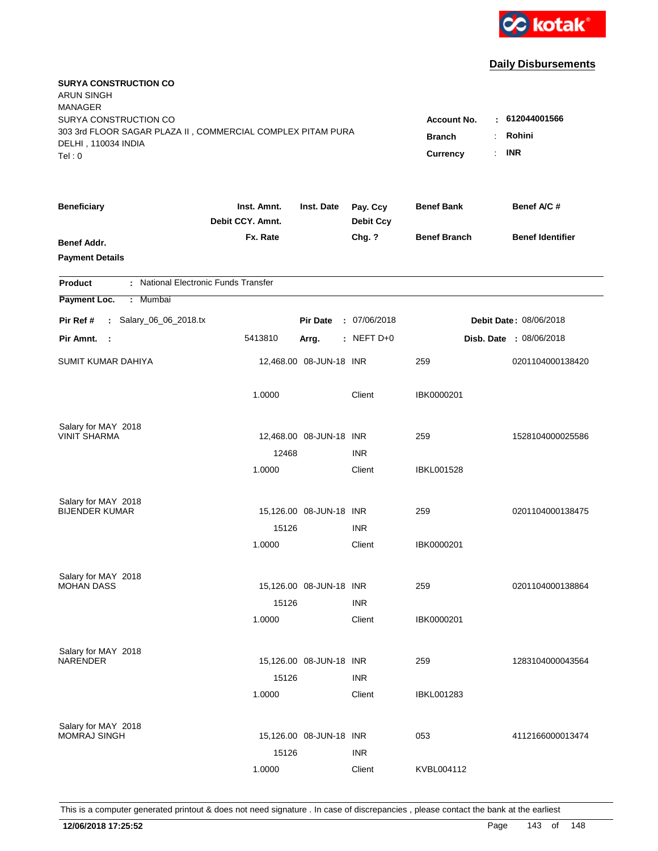

| <b>SURYA CONSTRUCTION CO</b><br><b>ARUN SINGH</b><br><b>MANAGER</b><br>SURYA CONSTRUCTION CO<br>303 3rd FLOOR SAGAR PLAZA II, COMMERCIAL COMPLEX PITAM PURA<br>DELHI, 110034 INDIA<br>Tel: 0 | <b>Account No.</b><br><b>Branch</b><br>$\ddot{\cdot}$<br><b>Currency</b> | 612044001566<br>÷<br>Rohini<br><b>INR</b><br>÷. |                              |                     |                                |
|----------------------------------------------------------------------------------------------------------------------------------------------------------------------------------------------|--------------------------------------------------------------------------|-------------------------------------------------|------------------------------|---------------------|--------------------------------|
| <b>Beneficiary</b>                                                                                                                                                                           | Inst. Amnt.<br>Debit CCY. Amnt.                                          | Inst. Date                                      | Pay. Ccy<br><b>Debit Ccy</b> | <b>Benef Bank</b>   | Benef A/C #                    |
| Benef Addr.<br><b>Payment Details</b>                                                                                                                                                        | Fx. Rate                                                                 |                                                 | Chg. ?                       | <b>Benef Branch</b> | <b>Benef Identifier</b>        |
| : National Electronic Funds Transfer<br><b>Product</b>                                                                                                                                       |                                                                          |                                                 |                              |                     |                                |
| Payment Loc.<br>Mumbai<br>÷.                                                                                                                                                                 |                                                                          |                                                 |                              |                     |                                |
| : Salary_06_06_2018.tx<br>Pir Ref #                                                                                                                                                          |                                                                          | <b>Pir Date</b>                                 | : 07/06/2018                 |                     | Debit Date: 08/06/2018         |
| Pir Amnt.<br>- 1                                                                                                                                                                             | 5413810                                                                  | Arrg.                                           | $:$ NEFT D+0                 |                     | <b>Disb. Date : 08/06/2018</b> |
| <b>SUMIT KUMAR DAHIYA</b>                                                                                                                                                                    |                                                                          | 12,468.00 08-JUN-18 INR                         |                              | 259                 | 0201104000138420               |
|                                                                                                                                                                                              | 1.0000                                                                   |                                                 | Client                       | IBK0000201          |                                |
| Salary for MAY 2018<br><b>VINIT SHARMA</b>                                                                                                                                                   |                                                                          |                                                 |                              |                     |                                |
|                                                                                                                                                                                              | 12468                                                                    | 12,468.00 08-JUN-18 INR                         | <b>INR</b>                   | 259                 | 1528104000025586               |
|                                                                                                                                                                                              | 1.0000                                                                   |                                                 | Client                       | <b>IBKL001528</b>   |                                |
| Salary for MAY 2018                                                                                                                                                                          |                                                                          |                                                 |                              |                     |                                |
| <b>BIJENDER KUMAR</b>                                                                                                                                                                        |                                                                          | 15,126.00 08-JUN-18 INR                         |                              | 259                 | 0201104000138475               |
|                                                                                                                                                                                              | 15126                                                                    |                                                 | <b>INR</b>                   |                     |                                |
|                                                                                                                                                                                              | 1.0000                                                                   |                                                 | Client                       | IBK0000201          |                                |
| Salary for MAY 2018                                                                                                                                                                          |                                                                          |                                                 |                              |                     |                                |
| <b>MOHAN DASS</b>                                                                                                                                                                            |                                                                          | 15,126.00 08-JUN-18 INR                         |                              | 259                 | 0201104000138864               |
|                                                                                                                                                                                              | 15126                                                                    |                                                 | <b>INR</b>                   |                     |                                |
|                                                                                                                                                                                              | 1.0000                                                                   |                                                 | Client                       | IBK0000201          |                                |
| Salary for MAY 2018<br><b>NARENDER</b>                                                                                                                                                       |                                                                          | 15,126.00 08-JUN-18 INR                         |                              | 259                 | 1283104000043564               |
|                                                                                                                                                                                              | 15126                                                                    |                                                 | <b>INR</b>                   |                     |                                |
|                                                                                                                                                                                              | 1.0000                                                                   |                                                 | Client                       | <b>IBKL001283</b>   |                                |
|                                                                                                                                                                                              |                                                                          |                                                 |                              |                     |                                |
| Salary for MAY 2018<br><b>MOMRAJ SINGH</b>                                                                                                                                                   |                                                                          | 15,126.00 08-JUN-18 INR                         |                              | 053                 | 4112166000013474               |
|                                                                                                                                                                                              | 15126                                                                    |                                                 | <b>INR</b>                   |                     |                                |
|                                                                                                                                                                                              | 1.0000                                                                   |                                                 | Client                       | KVBL004112          |                                |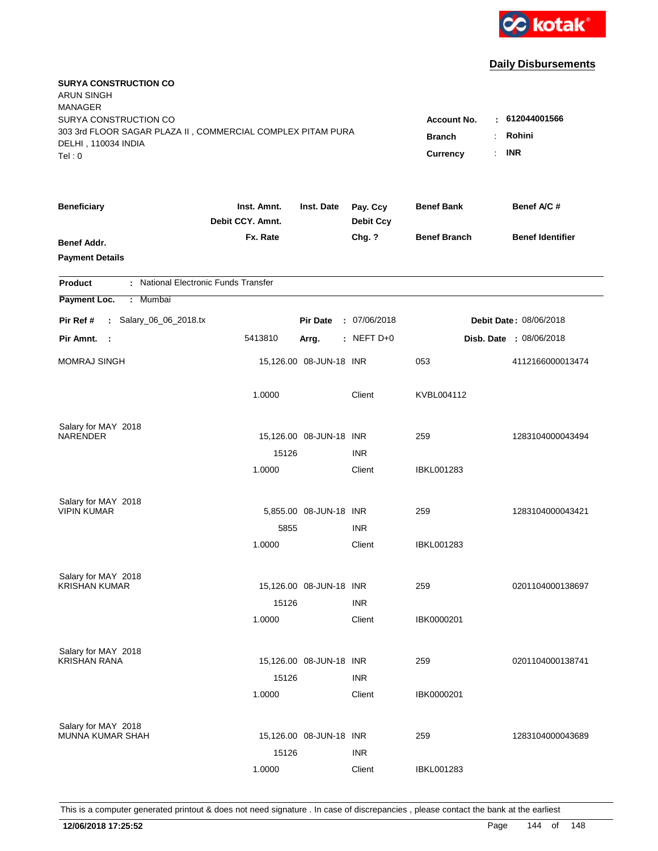

| <b>SURYA CONSTRUCTION CO</b><br><b>ARUN SINGH</b><br><b>MANAGER</b><br>SURYA CONSTRUCTION CO<br>303 3rd FLOOR SAGAR PLAZA II, COMMERCIAL COMPLEX PITAM PURA<br>DELHI, 110034 INDIA<br>Tel: 0 | <b>Account No.</b><br><b>Branch</b><br>$\ddot{\cdot}$<br><b>Currency</b> | $-612044001566$<br>Rohini<br><b>INR</b><br>÷. |                              |                     |                               |
|----------------------------------------------------------------------------------------------------------------------------------------------------------------------------------------------|--------------------------------------------------------------------------|-----------------------------------------------|------------------------------|---------------------|-------------------------------|
| <b>Beneficiary</b>                                                                                                                                                                           | Inst. Amnt.<br>Debit CCY. Amnt.                                          | Inst. Date                                    | Pay. Ccy<br><b>Debit Ccy</b> | <b>Benef Bank</b>   | Benef A/C #                   |
| Benef Addr.<br><b>Payment Details</b>                                                                                                                                                        | Fx. Rate                                                                 |                                               | Chg. ?                       | <b>Benef Branch</b> | <b>Benef Identifier</b>       |
| : National Electronic Funds Transfer<br><b>Product</b>                                                                                                                                       |                                                                          |                                               |                              |                     |                               |
| Payment Loc.<br>Mumbai<br>$\mathbb{C}^{\times}$                                                                                                                                              |                                                                          |                                               |                              |                     |                               |
| : Salary_06_06_2018.tx<br>Pir Ref #                                                                                                                                                          |                                                                          | <b>Pir Date</b>                               | : 07/06/2018                 |                     | <b>Debit Date: 08/06/2018</b> |
| Pir Amnt.<br>- 1                                                                                                                                                                             | 5413810                                                                  | Arrg.                                         | $:$ NEFT D+0                 |                     | Disb. Date : 08/06/2018       |
| <b>MOMRAJ SINGH</b>                                                                                                                                                                          |                                                                          | 15,126.00 08-JUN-18 INR                       |                              | 053                 | 4112166000013474              |
|                                                                                                                                                                                              | 1.0000                                                                   |                                               | Client                       | KVBL004112          |                               |
| Salary for MAY 2018<br><b>NARENDER</b>                                                                                                                                                       |                                                                          | 15,126.00 08-JUN-18 INR                       |                              | 259                 | 1283104000043494              |
|                                                                                                                                                                                              | 15126                                                                    |                                               | <b>INR</b>                   |                     |                               |
|                                                                                                                                                                                              | 1.0000                                                                   |                                               | Client                       | <b>IBKL001283</b>   |                               |
| Salary for MAY 2018<br><b>VIPIN KUMAR</b>                                                                                                                                                    |                                                                          |                                               |                              | 259                 |                               |
|                                                                                                                                                                                              | 5855                                                                     | 5,855.00 08-JUN-18 INR                        | <b>INR</b>                   |                     | 1283104000043421              |
|                                                                                                                                                                                              | 1.0000                                                                   |                                               | Client                       | <b>IBKL001283</b>   |                               |
| Salary for MAY 2018                                                                                                                                                                          |                                                                          |                                               |                              |                     |                               |
| <b>KRISHAN KUMAR</b>                                                                                                                                                                         |                                                                          | 15,126.00 08-JUN-18 INR                       |                              | 259                 | 0201104000138697              |
|                                                                                                                                                                                              | 15126                                                                    |                                               | <b>INR</b>                   |                     |                               |
|                                                                                                                                                                                              | 1.0000                                                                   |                                               | Client                       | IBK0000201          |                               |
| Salary for MAY 2018<br><b>KRISHAN RANA</b>                                                                                                                                                   |                                                                          |                                               |                              |                     |                               |
|                                                                                                                                                                                              | 15126                                                                    | 15,126.00 08-JUN-18 INR                       | <b>INR</b>                   | 259                 | 0201104000138741              |
|                                                                                                                                                                                              | 1.0000                                                                   |                                               | Client                       | IBK0000201          |                               |
| Salary for MAY 2018                                                                                                                                                                          |                                                                          |                                               |                              |                     |                               |
| <b>MUNNA KUMAR SHAH</b>                                                                                                                                                                      |                                                                          | 15,126.00 08-JUN-18 INR                       |                              | 259                 | 1283104000043689              |
|                                                                                                                                                                                              | 15126                                                                    |                                               | <b>INR</b>                   |                     |                               |
|                                                                                                                                                                                              | 1.0000                                                                   |                                               | Client                       | <b>IBKL001283</b>   |                               |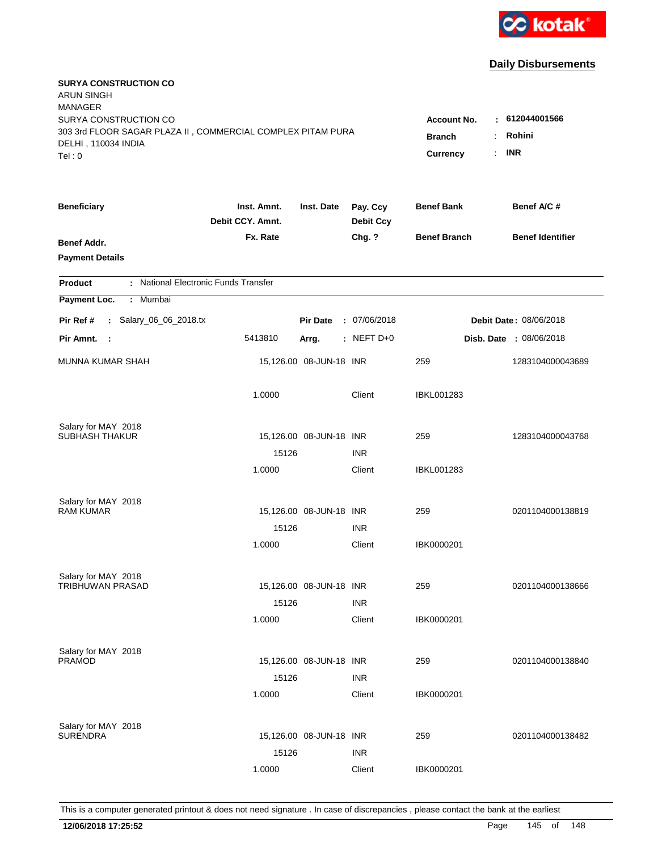

| <b>SURYA CONSTRUCTION CO</b><br><b>ARUN SINGH</b><br><b>MANAGER</b><br>SURYA CONSTRUCTION CO<br>303 3rd FLOOR SAGAR PLAZA II, COMMERCIAL COMPLEX PITAM PURA<br>DELHI, 110034 INDIA<br>Tel: 0 |                                 |                                 |                              | <b>Account No.</b><br><b>Branch</b><br>$\ddot{\phantom{a}}$<br><b>Currency</b><br>÷. | $-612044001566$<br>Rohini<br><b>INR</b> |  |
|----------------------------------------------------------------------------------------------------------------------------------------------------------------------------------------------|---------------------------------|---------------------------------|------------------------------|--------------------------------------------------------------------------------------|-----------------------------------------|--|
|                                                                                                                                                                                              |                                 |                                 |                              |                                                                                      |                                         |  |
| <b>Beneficiary</b>                                                                                                                                                                           | Inst. Amnt.<br>Debit CCY. Amnt. | Inst. Date                      | Pay. Ccy<br><b>Debit Ccy</b> | <b>Benef Bank</b>                                                                    | Benef A/C#                              |  |
| Benef Addr.<br><b>Payment Details</b>                                                                                                                                                        | Fx. Rate                        |                                 | Chg. ?                       | <b>Benef Branch</b>                                                                  | <b>Benef Identifier</b>                 |  |
| : National Electronic Funds Transfer<br><b>Product</b>                                                                                                                                       |                                 |                                 |                              |                                                                                      |                                         |  |
| Payment Loc.<br>: Mumbai                                                                                                                                                                     |                                 |                                 |                              |                                                                                      |                                         |  |
| : Salary_06_06_2018.tx<br>Pir Ref #                                                                                                                                                          |                                 | <b>Pir Date</b><br>: 07/06/2018 |                              | Debit Date: 08/06/2018                                                               |                                         |  |
| Pir Amnt. :                                                                                                                                                                                  | 5413810                         | Arrg.                           | $:$ NEFT D+0                 |                                                                                      | <b>Disb. Date : 08/06/2018</b>          |  |
| <b>MUNNA KUMAR SHAH</b>                                                                                                                                                                      |                                 | 15,126.00 08-JUN-18 INR         |                              | 259                                                                                  | 1283104000043689                        |  |
|                                                                                                                                                                                              | 1.0000                          |                                 | Client                       | <b>IBKL001283</b>                                                                    |                                         |  |
| Salary for MAY 2018                                                                                                                                                                          |                                 |                                 |                              |                                                                                      |                                         |  |
| <b>SUBHASH THAKUR</b>                                                                                                                                                                        |                                 | 15,126.00 08-JUN-18 INR         |                              | 259                                                                                  | 1283104000043768                        |  |
|                                                                                                                                                                                              | 15126                           |                                 | <b>INR</b>                   |                                                                                      |                                         |  |
|                                                                                                                                                                                              | 1.0000                          |                                 | Client                       | <b>IBKL001283</b>                                                                    |                                         |  |
| Salary for MAY 2018                                                                                                                                                                          |                                 |                                 |                              |                                                                                      |                                         |  |
| <b>RAM KUMAR</b>                                                                                                                                                                             |                                 | 15,126.00 08-JUN-18 INR         |                              | 259                                                                                  | 0201104000138819                        |  |
|                                                                                                                                                                                              | 15126                           |                                 | <b>INR</b>                   |                                                                                      |                                         |  |
|                                                                                                                                                                                              | 1.0000                          |                                 | Client                       | IBK0000201                                                                           |                                         |  |
| Salary for MAY 2018                                                                                                                                                                          |                                 |                                 |                              |                                                                                      |                                         |  |
| TRIBHUWAN PRASAD                                                                                                                                                                             |                                 | 15,126.00 08-JUN-18 INR         |                              | 259                                                                                  | 0201104000138666                        |  |
|                                                                                                                                                                                              | 15126                           |                                 | <b>INR</b>                   |                                                                                      |                                         |  |
|                                                                                                                                                                                              | 1.0000                          |                                 | Client                       | IBK0000201                                                                           |                                         |  |
|                                                                                                                                                                                              |                                 |                                 |                              |                                                                                      |                                         |  |
| Salary for MAY 2018<br><b>PRAMOD</b>                                                                                                                                                         |                                 | 15,126.00 08-JUN-18 INR         |                              | 259                                                                                  | 0201104000138840                        |  |
|                                                                                                                                                                                              | 15126                           |                                 | <b>INR</b>                   |                                                                                      |                                         |  |
|                                                                                                                                                                                              | 1.0000                          |                                 | Client                       | IBK0000201                                                                           |                                         |  |
|                                                                                                                                                                                              |                                 |                                 |                              |                                                                                      |                                         |  |
| Salary for MAY 2018<br><b>SURENDRA</b>                                                                                                                                                       |                                 | 15,126.00 08-JUN-18 INR         |                              | 259                                                                                  | 0201104000138482                        |  |
|                                                                                                                                                                                              | 15126                           |                                 | <b>INR</b>                   |                                                                                      |                                         |  |
|                                                                                                                                                                                              | 1.0000                          |                                 | Client                       | IBK0000201                                                                           |                                         |  |
|                                                                                                                                                                                              |                                 |                                 |                              |                                                                                      |                                         |  |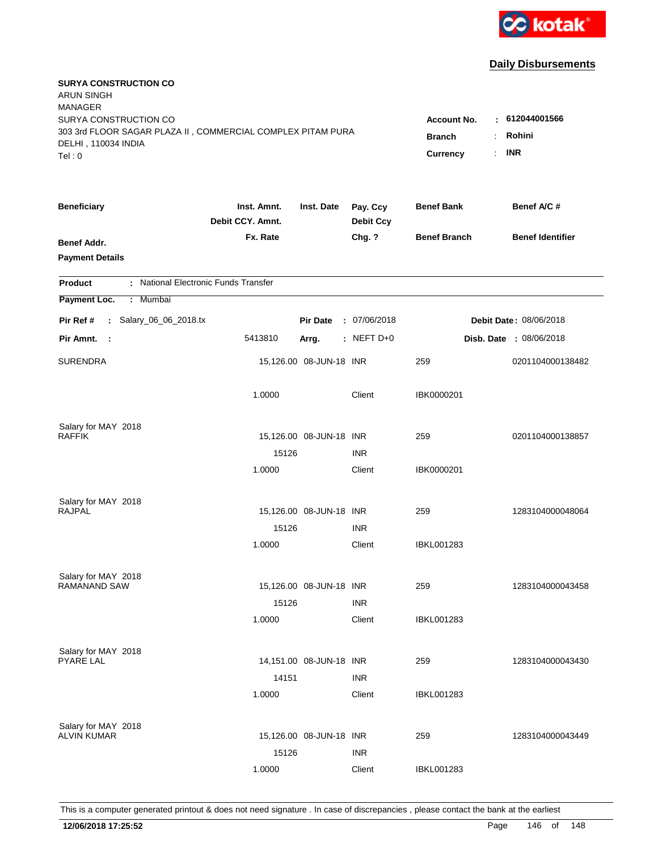

| <b>SURYA CONSTRUCTION CO</b><br><b>ARUN SINGH</b><br><b>MANAGER</b><br>SURYA CONSTRUCTION CO<br>303 3rd FLOOR SAGAR PLAZA II, COMMERCIAL COMPLEX PITAM PURA<br>DELHI, 110034 INDIA |                                 |                         |                              | <b>Account No.</b><br><b>Branch</b> | $-612044001566$<br>Rohini<br>÷.<br><b>INR</b> |
|------------------------------------------------------------------------------------------------------------------------------------------------------------------------------------|---------------------------------|-------------------------|------------------------------|-------------------------------------|-----------------------------------------------|
| Tel: 0                                                                                                                                                                             |                                 |                         |                              | Currency<br>÷.                      |                                               |
| <b>Beneficiary</b>                                                                                                                                                                 | Inst. Amnt.<br>Debit CCY. Amnt. | Inst. Date              | Pay. Ccy<br><b>Debit Ccy</b> | <b>Benef Bank</b>                   | Benef A/C #                                   |
| Benef Addr.<br><b>Payment Details</b>                                                                                                                                              | Fx. Rate                        |                         | Chg. ?                       | <b>Benef Branch</b>                 | <b>Benef Identifier</b>                       |
| : National Electronic Funds Transfer<br><b>Product</b>                                                                                                                             |                                 |                         |                              |                                     |                                               |
| Payment Loc.<br>: Mumbai                                                                                                                                                           |                                 |                         |                              |                                     |                                               |
| : Salary_06_06_2018.tx<br>Pir Ref #                                                                                                                                                |                                 | <b>Pir Date</b>         | : 07/06/2018                 | Debit Date: 08/06/2018              |                                               |
| Pir Amnt. :                                                                                                                                                                        | 5413810                         | Arrg.                   | $:$ NEFT D+0                 |                                     | Disb. Date : 08/06/2018                       |
| <b>SURENDRA</b>                                                                                                                                                                    |                                 | 15,126.00 08-JUN-18 INR |                              | 259                                 | 0201104000138482                              |
|                                                                                                                                                                                    | 1.0000                          |                         | Client                       | IBK0000201                          |                                               |
| Salary for MAY 2018                                                                                                                                                                |                                 |                         |                              |                                     |                                               |
| <b>RAFFIK</b>                                                                                                                                                                      |                                 | 15,126.00 08-JUN-18 INR |                              | 259                                 | 0201104000138857                              |
|                                                                                                                                                                                    | 15126                           |                         | <b>INR</b>                   |                                     |                                               |
|                                                                                                                                                                                    | 1.0000                          |                         | Client                       | IBK0000201                          |                                               |
| Salary for MAY 2018                                                                                                                                                                |                                 |                         |                              |                                     |                                               |
| <b>RAJPAL</b>                                                                                                                                                                      |                                 | 15,126.00 08-JUN-18 INR |                              | 259                                 | 1283104000048064                              |
|                                                                                                                                                                                    | 15126                           |                         | <b>INR</b>                   |                                     |                                               |
|                                                                                                                                                                                    | 1.0000                          |                         | Client                       | <b>IBKL001283</b>                   |                                               |
| Salary for MAY 2018                                                                                                                                                                |                                 |                         |                              |                                     |                                               |
| <b>RAMANAND SAW</b>                                                                                                                                                                |                                 | 15,126.00 08-JUN-18 INR |                              | 259                                 | 1283104000043458                              |
|                                                                                                                                                                                    | 15126                           |                         | <b>INR</b>                   |                                     |                                               |
|                                                                                                                                                                                    | 1.0000                          |                         | Client                       | <b>IBKL001283</b>                   |                                               |
|                                                                                                                                                                                    |                                 |                         |                              |                                     |                                               |
| Salary for MAY 2018<br><b>PYARE LAL</b>                                                                                                                                            |                                 | 14,151.00 08-JUN-18 INR |                              | 259                                 | 1283104000043430                              |
|                                                                                                                                                                                    | 14151                           |                         | <b>INR</b>                   |                                     |                                               |
|                                                                                                                                                                                    | 1.0000                          |                         | Client                       | <b>IBKL001283</b>                   |                                               |
|                                                                                                                                                                                    |                                 |                         |                              |                                     |                                               |
| Salary for MAY 2018<br><b>ALVIN KUMAR</b>                                                                                                                                          |                                 | 15,126.00 08-JUN-18 INR |                              | 259                                 | 1283104000043449                              |
|                                                                                                                                                                                    | 15126                           |                         | <b>INR</b>                   |                                     |                                               |
|                                                                                                                                                                                    | 1.0000                          |                         | Client                       | <b>IBKL001283</b>                   |                                               |
|                                                                                                                                                                                    |                                 |                         |                              |                                     |                                               |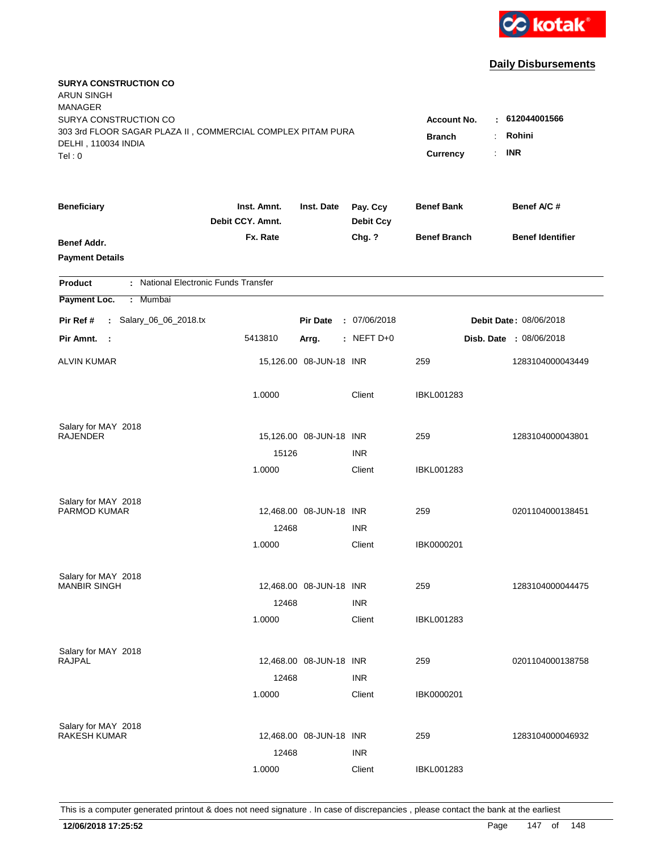

| <b>SURYA CONSTRUCTION CO</b><br><b>ARUN SINGH</b><br><b>MANAGER</b><br>SURYA CONSTRUCTION CO<br>303 3rd FLOOR SAGAR PLAZA II, COMMERCIAL COMPLEX PITAM PURA<br>DELHI, 110034 INDIA<br>Tel: 0 |                                 |                         |                              | <b>Account No.</b><br><b>Branch</b><br>$\ddot{\cdot}$<br><b>Currency</b> | $-612044001566$<br>Rohini<br><b>INR</b><br>÷. |  |
|----------------------------------------------------------------------------------------------------------------------------------------------------------------------------------------------|---------------------------------|-------------------------|------------------------------|--------------------------------------------------------------------------|-----------------------------------------------|--|
| <b>Beneficiary</b>                                                                                                                                                                           | Inst. Amnt.<br>Debit CCY. Amnt. | Inst. Date              | Pay. Ccy<br><b>Debit Ccy</b> | <b>Benef Bank</b>                                                        | Benef A/C #                                   |  |
| Benef Addr.<br><b>Payment Details</b>                                                                                                                                                        | Fx. Rate                        |                         | Chg. ?                       | <b>Benef Branch</b>                                                      | <b>Benef Identifier</b>                       |  |
| : National Electronic Funds Transfer<br><b>Product</b>                                                                                                                                       |                                 |                         |                              |                                                                          |                                               |  |
| Payment Loc.<br>Mumbai<br>$\mathbb{C}^{\times}$                                                                                                                                              |                                 |                         |                              |                                                                          |                                               |  |
| : Salary_06_06_2018.tx<br>Pir Ref #                                                                                                                                                          |                                 | <b>Pir Date</b>         | : 07/06/2018                 | Debit Date: 08/06/2018                                                   |                                               |  |
| Pir Amnt.<br>- 1                                                                                                                                                                             | 5413810                         | Arrg.                   | $:$ NEFT D+0                 |                                                                          | <b>Disb. Date : 08/06/2018</b>                |  |
| <b>ALVIN KUMAR</b>                                                                                                                                                                           |                                 | 15,126.00 08-JUN-18 INR |                              | 259                                                                      | 1283104000043449                              |  |
|                                                                                                                                                                                              | 1.0000                          |                         | Client                       | <b>IBKL001283</b>                                                        |                                               |  |
| Salary for MAY 2018<br><b>RAJENDER</b>                                                                                                                                                       |                                 | 15,126.00 08-JUN-18 INR |                              | 259                                                                      | 1283104000043801                              |  |
|                                                                                                                                                                                              | 15126<br>1.0000                 |                         | <b>INR</b><br>Client         | IBKL001283                                                               |                                               |  |
| Salary for MAY 2018<br>PARMOD KUMAR                                                                                                                                                          | 12468                           | 12,468.00 08-JUN-18 INR | <b>INR</b>                   | 259                                                                      | 0201104000138451                              |  |
|                                                                                                                                                                                              | 1.0000                          |                         | Client                       | IBK0000201                                                               |                                               |  |
| Salary for MAY 2018<br><b>MANBIR SINGH</b>                                                                                                                                                   | 12468                           | 12,468.00 08-JUN-18 INR | <b>INR</b>                   | 259                                                                      | 1283104000044475                              |  |
|                                                                                                                                                                                              | 1.0000                          |                         | Client                       | <b>IBKL001283</b>                                                        |                                               |  |
| Salary for MAY 2018<br><b>RAJPAL</b>                                                                                                                                                         | 12468                           | 12,468.00 08-JUN-18 INR | <b>INR</b>                   | 259                                                                      | 0201104000138758                              |  |
|                                                                                                                                                                                              | 1.0000                          |                         | Client                       | IBK0000201                                                               |                                               |  |
| Salary for MAY 2018<br><b>RAKESH KUMAR</b>                                                                                                                                                   | 12468                           | 12,468.00 08-JUN-18 INR | <b>INR</b>                   | 259                                                                      | 1283104000046932                              |  |
|                                                                                                                                                                                              | 1.0000                          |                         | Client                       | <b>IBKL001283</b>                                                        |                                               |  |